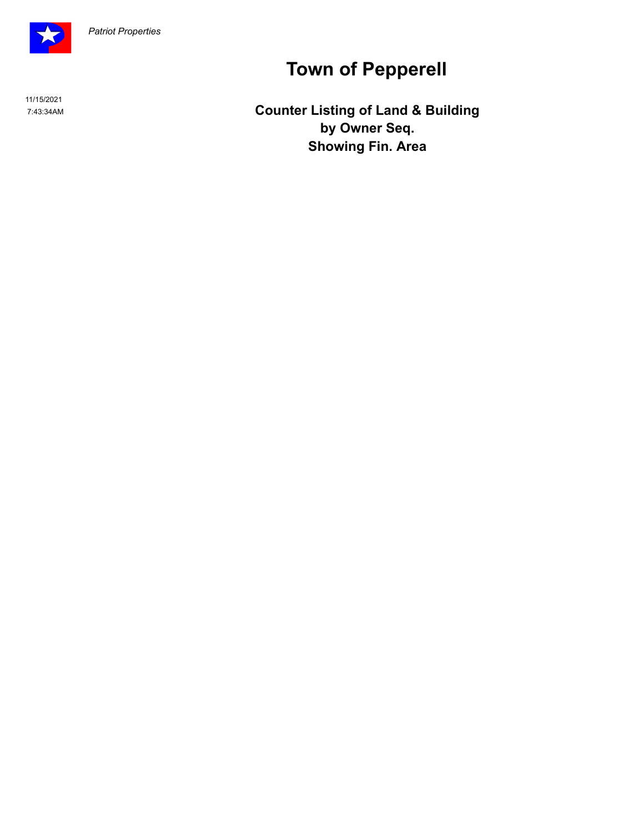

11/15/2021

# **Town of Pepperell**

 7:43:34AM **Counter Listing of Land & Building by Owner Seq. Showing Fin. Area**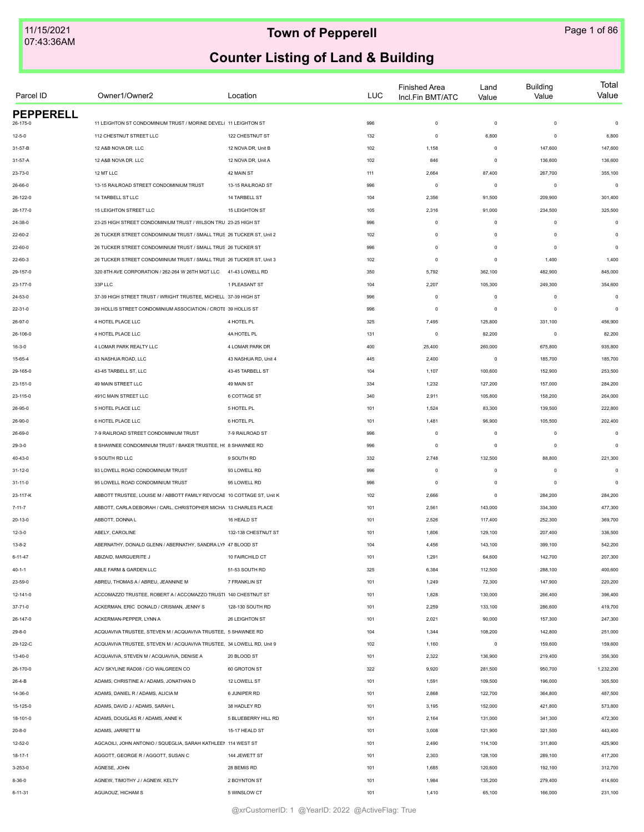| Parcel ID                    | Owner1/Owner2                                                          | Location             | LUC        | <b>Finished Area</b><br>Incl.Fin BMT/ATC | Land<br>Value | <b>Building</b><br>Value | Total<br>Value |
|------------------------------|------------------------------------------------------------------------|----------------------|------------|------------------------------------------|---------------|--------------------------|----------------|
| <b>PEPPERELL</b><br>26-175-0 | 11 LEIGHTON ST CONDOMINIUM TRUST / MORINE DEVEL( 11 LEIGHTON ST        |                      | 996        | $\mathbf 0$                              | $\mathbf 0$   | $\mathbf 0$              | $\mathsf 0$    |
| $12 - 5 - 0$                 | 112 CHESTNUT STREET LLC                                                | 122 CHESTNUT ST      | 132        | $\mathbf 0$                              | 6,800         | $\mathbf 0$              | 6,800          |
| 31-57-B                      | 12 A&B NOVA DR. LLC                                                    | 12 NOVA DR, Unit B   | 102        | 1,158                                    | $\mathbf 0$   | 147,600                  | 147,600        |
| 31-57-A                      | 12 A&B NOVA DR. LLC                                                    | 12 NOVA DR, Unit A   | 102        | 846                                      | $\mathbf 0$   | 136,600                  | 136,600        |
| 23-73-0                      | 12 MT LLC                                                              | 42 MAIN ST           |            | 2,664                                    | 87,400        | 267,700                  | 355,100        |
|                              | 13-15 RAILROAD STREET CONDOMINIUM TRUST                                | 13-15 RAILROAD ST    | 111<br>996 | $\mathbf 0$                              | $\mathsf 0$   | $\mathbf 0$              | $\mathbf 0$    |
| 26-66-0                      |                                                                        |                      |            |                                          |               |                          |                |
| 26-122-0                     | 14 TARBELL ST LLC                                                      | 14 TARBELL ST        | 104        | 2,356                                    | 91,500        | 209,900                  | 301,400        |
| 26-177-0                     | 15 LEIGHTON STREET LLC                                                 | 15 LEIGHTON ST       | 105        | 2,316                                    | 91,000        | 234,500                  | 325,500        |
| 24-38-0                      | 23-25 HIGH STREET CONDOMINIUM TRUST / WILSON TRU 23-25 HIGH ST         |                      | 996        | $\mathbf 0$                              | $\mathbf 0$   | $\mathbf 0$              | $\mathsf 0$    |
| 22-60-2                      | 26 TUCKER STREET CONDOMINIUM TRUST / SMALL TRUS 26 TUCKER ST, Unit 2   |                      | 102        | $\mathbf 0$                              | $\mathbf 0$   | $\mathbf 0$              | $\mathbf 0$    |
| 22-60-0                      | 26 TUCKER STREET CONDOMINIUM TRUST / SMALL TRUS 26 TUCKER ST           |                      | 996        | $\mathbf 0$                              | $\mathbf 0$   | $\mathbf 0$              | $\mathbf 0$    |
| 22-60-3                      | 26 TUCKER STREET CONDOMINIUM TRUST / SMALL TRUS 26 TUCKER ST, Unit 3   |                      | 102        | $\circ$                                  | 0             | 1,400                    | 1,400          |
| 29-157-0                     | 320 8TH AVE CORPORATION / 262-264 W 26TH MGT LLC 41-43 LOWELL RD       |                      | 350        | 5,792                                    | 362,100       | 482,900                  | 845,000        |
| 23-177-0                     | 33P LLC                                                                | 1 PLEASANT ST        | 104        | 2,207                                    | 105,300       | 249,300                  | 354,600        |
| 24-53-0                      | 37-39 HIGH STREET TRUST / WRIGHT TRUSTEE, MICHELL 37-39 HIGH ST        |                      | 996        | $\mathbf 0$                              | $\mathbf 0$   | $\mathbf 0$              | $\mathsf 0$    |
| $22 - 31 - 0$                | 39 HOLLIS STREET CONDOMINIUM ASSOCIATION / CROTE 39 HOLLIS ST          |                      | 996        | $\mathbf 0$                              | $\mathbf 0$   | $\mathbf 0$              | $\Omega$       |
| 26-97-0                      | 4 HOTEL PLACE LLC                                                      | 4 HOTEL PL           | 325        | 7,495                                    | 125,800       | 331,100                  | 456,900        |
| 26-106-0                     | 4 HOTEL PLACE LLC                                                      | 4A HOTEL PL          | 131        | $\mathbf 0$                              | 82,200        | $\mathbf 0$              | 82,200         |
| $16 - 3 - 0$                 | 4 LOMAR PARK REALTY LLC                                                | 4 LOMAR PARK DR      | 400        | 25,400                                   | 260,000       | 675,800                  | 935,800        |
| 15-65-4                      | 43 NASHUA ROAD, LLC                                                    | 43 NASHUA RD, Unit 4 | 445        | 2,400                                    | $\mathsf 0$   | 185,700                  | 185,700        |
| 29-165-0                     | 43-45 TARBELL ST. LLC                                                  | 43-45 TARBELL ST     | 104        | 1,107                                    | 100,600       | 152,900                  | 253,500        |
| 23-151-0                     | 49 MAIN STREET LLC                                                     | 49 MAIN ST           | 334        | 1,232                                    | 127,200       | 157,000                  | 284,200        |
| 23-115-0                     | 491C MAIN STREET LLC                                                   | <b>6 COTTAGE ST</b>  | 340        | 2,911                                    | 105,800       | 158,200                  | 264,000        |
| 26-95-0                      | 5 HOTEL PLACE LLC                                                      | 5 HOTEL PL           | 101        | 1,524                                    | 83,300        | 139,500                  | 222,800        |
| 26-90-0                      | 6 HOTEL PLACE LLC                                                      | 6 HOTEL PL           | 101        | 1,481                                    | 96,900        | 105,500                  | 202,400        |
| 26-69-0                      | 7-9 RAILROAD STREET CONDOMINIUM TRUST                                  | 7-9 RAILROAD ST      | 996        | $\circ$                                  | 0             | $\mathbf 0$              | $\mathbf 0$    |
| $29-3-0$                     | 8 SHAWNEE CONDOMINIUM TRUST / BAKER TRUSTEE, H( 8 SHAWNEE RD           |                      | 996        | $\circ$                                  | 0             | 0                        | $\mathbf 0$    |
| 40-43-0                      | 9 SOUTH RD LLC                                                         | 9 SOUTH RD           | 332        | 2,748                                    | 132,500       | 88,800                   | 221,300        |
| $31 - 12 - 0$                | 93 LOWELL ROAD CONDOMINIUM TRUST                                       | 93 LOWELL RD         | 996        | $\circ$                                  | $\mathsf 0$   | $\mathbf 0$              | $\mathsf 0$    |
| $31 - 11 - 0$                | 95 LOWELL ROAD CONDOMINIUM TRUST                                       | 95 LOWELL RD         | 996        | $\mathbf 0$                              | $\mathbf 0$   | $\mathbf 0$              | $\mathbf 0$    |
| 23-117-K                     | ABBOTT TRUSTEE, LOUISE M / ABBOTT FAMILY REVOCAE 10 COTTAGE ST, Unit K |                      | 102        | 2,666                                    | $\mathbf 0$   | 284,200                  | 284,200        |
| $7 - 11 - 7$                 | ABBOTT, CARLA DEBORAH / CARL, CHRISTOPHER MICHA 13 CHARLES PLACE       |                      | 101        | 2,561                                    | 143,000       | 334,300                  | 477,300        |
| $20 - 13 - 0$                | ABBOTT, DONNAL                                                         | 16 HEALD ST          | 101        | 2,526                                    | 117,400       | 252,300                  | 369,700        |
| $12 - 3 - 0$                 | ABELY, CAROLINE                                                        | 132-138 CHESTNUT ST  | 101        | 1,806                                    | 129,100       | 207,400                  | 336,500        |
| $13 - 8 - 2$                 | ABERNATHY, DONALD GLENN / ABERNATHY, SANDRA LYM 47 BLOOD ST            |                      | 104        | 4,456                                    | 143,100       | 399,100                  | 542,200        |
| $6 - 11 - 47$                | ABIZAID, MARGUERITE J                                                  | 10 FAIRCHILD CT      | 101        | 1,291                                    | 64,600        | 142,700                  | 207,300        |
| $40 - 1 - 1$                 | ABLE FARM & GARDEN LLC                                                 | 51-53 SOUTH RD       | 325        | 6,384                                    | 112,500       | 288,100                  | 400,600        |
| 23-59-0                      | ABREU, THOMAS A / ABREU, JEANNINE M                                    | 7 FRANKLIN ST        | 101        | 1,249                                    | 72,300        | 147,900                  | 220,200        |
| 12-141-0                     | ACCOMAZZO TRUSTEE, ROBERT A / ACCOMAZZO TRUSTI 140 CHESTNUT ST         |                      | 101        | 1,828                                    | 130,000       | 266,400                  | 396,400        |
| $37 - 71 - 0$                | ACKERMAN, ERIC DONALD / CRISMAN, JENNY S                               | 128-130 SOUTH RD     | 101        | 2,259                                    | 133,100       | 286,600                  | 419,700        |
| 26-147-0                     | ACKERMAN-PEPPER, LYNN A                                                | 26 LEIGHTON ST       | 101        | 2,021                                    | 90,000        | 157,300                  | 247,300        |
| $29 - 8 - 0$                 | ACQUAVIVA TRUSTEE, STEVEN M / ACQUAVIVA TRUSTEE, 5 SHAWNEE RD          |                      | 104        | 1,344                                    | 108,200       | 142,800                  | 251,000        |
| 29-122-C                     | ACQUAVIVA TRUSTEE, STEVEN M / ACQUAVIVA TRUSTEE, 34 LOWELL RD, Unit 9  |                      | 102        | 1,160                                    | $\mathsf 0$   | 159,600                  | 159,600        |
| $13 - 40 - 0$                | ACQUAVIVA, STEVEN M / ACQUAVIVA, DENISE A                              | 20 BLOOD ST          | 101        | 2,322                                    | 136,900       | 219,400                  | 356,300        |
| 26-170-0                     | ACV SKYLINE RAD08 / C/O WALGREEN CO                                    | 60 GROTON ST         | 322        | 9,920                                    | 281,500       | 950,700                  | 1,232,200      |
| $26 - 4 - B$                 | ADAMS, CHRISTINE A / ADAMS, JONATHAN D                                 | 12 LOWELL ST         | 101        | 1,591                                    | 109,500       | 196,000                  | 305,500        |
| 14-36-0                      | ADAMS, DANIEL R / ADAMS, ALICIA M                                      | 6 JUNIPER RD         | 101        | 2,868                                    | 122,700       | 364,800                  | 487,500        |
| 15-125-0                     | ADAMS, DAVID J / ADAMS, SARAH L                                        | 38 HADLEY RD         | 101        | 3,195                                    | 152,000       | 421,800                  | 573,800        |
|                              |                                                                        |                      |            |                                          |               |                          |                |
| 18-101-0                     | ADAMS, DOUGLAS R / ADAMS, ANNE K                                       | 5 BLUEBERRY HILL RD  | 101        | 2,164                                    | 131,000       | 341,300                  | 472,300        |
| $20 - 8 - 0$                 | ADAMS, JARRETT M                                                       | 15-17 HEALD ST       | 101        | 3,008                                    | 121,900       | 321,500                  | 443,400        |
| 12-52-0                      | AGCAOILI, JOHN ANTONIO / SQUEGLIA, SARAH KATHLEEN 114 WEST ST          |                      | 101        | 2,490                                    | 114,100       | 311,800                  | 425,900        |
| 18-17-1                      | AGGOTT, GEORGE R / AGGOTT, SUSAN C                                     | 144 JEWETT ST        | 101        | 2,303                                    | 128,100       | 289,100                  | 417,200        |
| 3-253-0                      | AGNESE, JOHN                                                           | 28 BEMIS RD          | 101        | 1,685                                    | 120,600       | 192,100                  | 312,700        |
| $8 - 36 - 0$                 | AGNEW, TIMOTHY J / AGNEW, KELTY                                        | 2 BOYNTON ST         | 101        | 1,984                                    | 135,200       | 279,400                  | 414,600        |
| $6 - 11 - 31$                | AGUAOUZ, HICHAM S                                                      | 5 WINSLOW CT         | 101        | 1,410                                    | 65,100        | 166,000                  | 231,100        |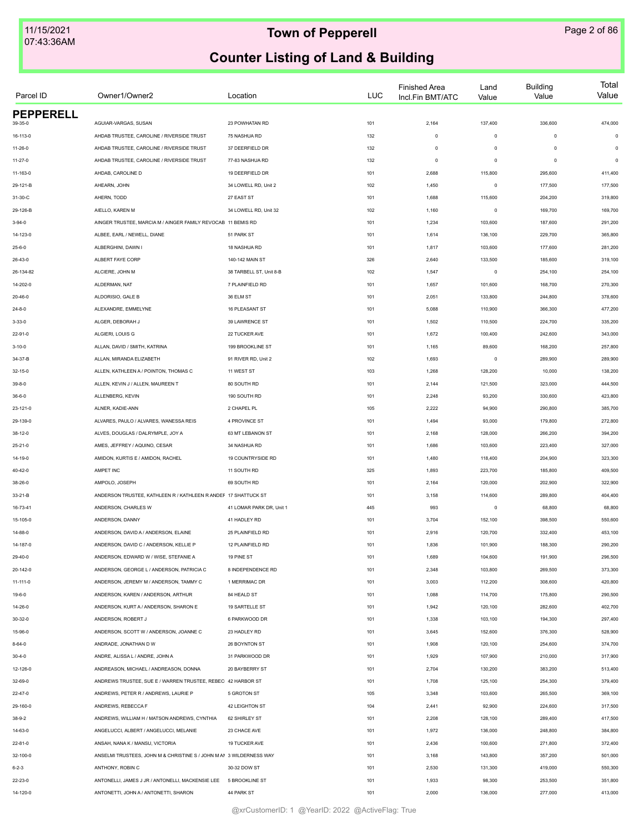| Parcel ID               | Owner1/Owner2                                                       | Location                 | LUC | <b>Finished Area</b><br>Incl.Fin BMT/ATC | Land<br>Value | <b>Building</b><br>Value | Total<br>Value |
|-------------------------|---------------------------------------------------------------------|--------------------------|-----|------------------------------------------|---------------|--------------------------|----------------|
| <b>PEPPERELL</b>        |                                                                     |                          |     |                                          |               |                          |                |
| 39-35-0                 | AGUIAR-VARGAS, SUSAN                                                | 23 POWHATAN RD           | 101 | 2,164                                    | 137,400       | 336,600                  | 474,000        |
| 16-113-0                | AHDAB TRUSTEE, CAROLINE / RIVERSIDE TRUST                           | 75 NASHUA RD             | 132 | $\mathsf 0$                              | $\mathsf 0$   | $\mathbf 0$              | $\mathsf 0$    |
| $11 - 26 - 0$           | AHDAB TRUSTEE, CAROLINE / RIVERSIDE TRUST                           | 37 DEERFIELD DR          | 132 | $\mathsf 0$                              | $\mathbf 0$   | $\mathbf 0$              | $\mathsf 0$    |
| $11 - 27 - 0$           | AHDAB TRUSTEE, CAROLINE / RIVERSIDE TRUST                           | 77-83 NASHUA RD          | 132 | $\mathsf 0$                              | $\mathbf 0$   | $\mathbf 0$              | $\mathsf 0$    |
| 11-163-0                | AHDAB, CAROLINE D                                                   | 19 DEERFIELD DR          | 101 | 2,688                                    | 115,800       | 295,600                  | 411,400        |
| 29-121-B                | AHEARN, JOHN                                                        | 34 LOWELL RD, Unit 2     | 102 | 1,450                                    | $\mathbf 0$   | 177,500                  | 177,500        |
| 31-30-C                 | AHERN, TODD                                                         | 27 EAST ST               | 101 | 1,688                                    | 115,600       | 204,200                  | 319,800        |
| 29-126-B                | AIELLO, KAREN M                                                     | 34 LOWELL RD, Unit 32    | 102 | 1,160                                    | $\mathbf 0$   | 169,700                  | 169,700        |
| $3 - 94 - 0$            | AINGER TRUSTEE, MARCIA M / AINGER FAMILY REVOCAB 11 BEMIS RD        |                          | 101 | 1,234                                    | 103,600       | 187,600                  | 291,200        |
| 14-123-0                | ALBEE, EARL / NEWELL, DIANE                                         | 51 PARK ST               | 101 | 1,614                                    | 136,100       | 229,700                  | 365,800        |
| $25 - 6 - 0$            | ALBERGHINI, DAWN I                                                  | 18 NASHUA RD             | 101 | 1,817                                    | 103,600       | 177,600                  | 281,200        |
| 26-43-0                 | ALBERT FAYE CORP                                                    | 140-142 MAIN ST          | 326 | 2,640                                    | 133,500       | 185,600                  | 319,100        |
| 26-134-82               | ALCIERE, JOHN M                                                     | 38 TARBELL ST, Unit 8-B  | 102 | 1,547                                    | $\mathsf 0$   | 254,100                  | 254,100        |
| 14-202-0                | ALDERMAN, NAT                                                       | 7 PLAINFIELD RD          | 101 | 1,657                                    | 101,600       | 168,700                  | 270,300        |
| $20 - 46 - 0$           | ALDORISIO, GALE B                                                   | 36 ELM ST                | 101 | 2,051                                    | 133,800       | 244,800                  | 378,600        |
| $24 - 8 - 0$            | ALEXANDRE, EMMELYNE                                                 | 16 PLEASANT ST           | 101 | 5,088                                    | 110,900       | 366,300                  | 477,200        |
| $3 - 33 - 0$            | ALGER, DEBORAH J                                                    | 39 LAWRENCE ST           | 101 | 1,502                                    | 110,500       | 224,700                  | 335,200        |
| 22-91-0                 | ALGIERI, LOUIS G                                                    | 22 TUCKER AVE            | 101 | 1,672                                    | 100,400       | 242,600                  | 343,000        |
| $3 - 10 - 0$            | ALLAN, DAVID / SMITH, KATRINA                                       | 199 BROOKLINE ST         | 101 | 1,165                                    | 89,600        | 168,200                  | 257,800        |
| 34-37-B                 | ALLAN, MIRANDA ELIZABETH                                            | 91 RIVER RD, Unit 2      | 102 | 1,693                                    | $\,0\,$       | 289,900                  | 289,900        |
| 32-15-0                 | ALLEN, KATHLEEN A / POINTON, THOMAS C                               | 11 WEST ST               | 103 | 1,268                                    | 128,200       | 10,000                   | 138,200        |
| $39 - 8 - 0$            | ALLEN, KEVIN J / ALLEN, MAUREEN T                                   | 80 SOUTH RD              | 101 | 2,144                                    | 121,500       | 323,000                  | 444,500        |
| $36 - 6 - 0$            | ALLENBERG, KEVIN                                                    | 190 SOUTH RD             | 101 | 2,248                                    | 93,200        | 330,600                  | 423,800        |
| 23-121-0                | ALNER, KADIE-ANN                                                    | 2 CHAPEL PL              | 105 | 2,222                                    | 94,900        | 290,800                  | 385,700        |
| 29-139-0                | ALVARES, PAULO / ALVARES, WANESSA REIS                              | 4 PROVINCE ST            | 101 | 1,494                                    | 93,000        | 179,800                  | 272,800        |
|                         |                                                                     |                          |     |                                          |               |                          |                |
| $38-12-0$               | ALVES, DOUGLAS / DALRYMPLE, JOY A                                   | 63 MT LEBANON ST         | 101 | 2,168                                    | 128,000       | 266,200                  | 394,200        |
| 25-21-0                 | AMES, JEFFREY / AQUINO, CESAR                                       | 34 NASHUA RD             | 101 | 1,686                                    | 103,600       | 223,400                  | 327,000        |
| 14-19-0                 | AMIDON, KURTIS E / AMIDON, RACHEL                                   | 19 COUNTRYSIDE RD        | 101 | 1,480                                    | 118,400       | 204,900                  | 323,300        |
| 40-42-0                 | AMPET INC                                                           | 11 SOUTH RD              | 325 | 1,893                                    | 223,700       | 185,800                  | 409,500        |
| 38-26-0                 | AMPOLO, JOSEPH                                                      | 69 SOUTH RD              | 101 | 2,164                                    | 120,000       | 202,900                  | 322,900        |
| 33-21-B                 | ANDERSON TRUSTEE, KATHLEEN R / KATHLEEN R ANDEF 17 SHATTUCK ST      |                          | 101 | 3,158                                    | 114,600       | 289,800                  | 404,400        |
| 16-73-41                | ANDERSON, CHARLES W                                                 | 41 LOMAR PARK DR, Unit 1 | 445 | 993                                      | $\mathbf 0$   | 68,800                   | 68,800         |
| 15-105-0                | ANDERSON, DANNY                                                     | 41 HADLEY RD             | 101 | 3,704                                    | 152,100       | 398,500                  | 550,600        |
| 14-88-0                 | ANDERSON, DAVID A / ANDERSON, ELAINE                                | 25 PLAINFIELD RD         | 101 | 2,916                                    | 120,700       | 332,400                  | 453,100        |
| 14-187-0                | ANDERSON, DAVID C / ANDERSON, KELLIE P                              | 12 PLAINFIELD RD         | 101 | 1,836                                    | 101,900       | 188,300                  | 290,200        |
| 29-40-0                 | ANDERSON, EDWARD W / WISE, STEFANIE A                               | 19 PINE ST               | 101 | 1,689                                    | 104,600       | 191,900                  | 296,500        |
| 20-142-0                | ANDERSON, GEORGE L / ANDERSON, PATRICIA C                           | 8 INDEPENDENCE RD        | 101 | 2,348                                    | 103,800       | 269,500                  | 373,300        |
| $11 - 111 - 0$          | ANDERSON, JEREMY M / ANDERSON, TAMMY C                              | 1 MERRIMAC DR            | 101 | 3,003                                    | 112,200       | 308,600                  | 420,800        |
| $19 - 6 - 0$            | ANDERSON, KAREN / ANDERSON, ARTHUR                                  | 84 HEALD ST              | 101 | 1,088                                    | 114,700       | 175,800                  | 290,500        |
| 14-26-0                 | ANDERSON, KURT A / ANDERSON, SHARON E                               | 19 SARTELLE ST           | 101 | 1,942                                    | 120,100       | 282,600                  | 402,700        |
| $30 - 32 - 0$           | ANDERSON, ROBERT J                                                  | 6 PARKWOOD DR            | 101 | 1,338                                    | 103,100       | 194,300                  | 297,400        |
| 15-96-0                 | ANDERSON, SCOTT W / ANDERSON, JOANNE C                              | 23 HADLEY RD             | 101 | 3,645                                    | 152,600       | 376,300                  | 528,900        |
| $8 - 64 - 0$            | ANDRADE, JONATHAN D W                                               | 26 BOYNTON ST            | 101 | 1,908                                    | 120,100       | 254,600                  | 374,700        |
| $30 - 4 - 0$            | ANDRE, ALISSA L / ANDRE, JOHN A                                     | 31 PARKWOOD DR           | 101 | 1,929                                    | 107,900       | 210,000                  | 317,900        |
| 12-126-0                | ANDREASON, MICHAEL / ANDREASON, DONNA                               | 20 BAYBERRY ST           | 101 | 2,704                                    | 130,200       | 383,200                  | 513,400        |
| 32-69-0                 | ANDREWS TRUSTEE, SUE E / WARREN TRUSTEE, REBEC 42 HARBOR ST         |                          | 101 | 1,708                                    | 125,100       | 254,300                  | 379,400        |
| $22 - 47 - 0$           | ANDREWS, PETER R / ANDREWS, LAURIE P                                | 5 GROTON ST              | 105 | 3,348                                    | 103,600       | 265,500                  | 369,100        |
| 29-160-0                | ANDREWS, REBECCA F                                                  | 42 LEIGHTON ST           | 104 | 2,441                                    | 92,900        | 224,600                  | 317,500        |
| $38 - 9 - 2$            | ANDREWS, WILLIAM H / MATSON ANDREWS, CYNTHIA                        | 62 SHIRLEY ST            | 101 | 2,208                                    | 128,100       | 289,400                  | 417,500        |
| 14-63-0                 | ANGELUCCI, ALBERT / ANGELUCCI, MELANIE                              | 23 CHACE AVE             | 101 | 1,972                                    | 136,000       | 248,800                  | 384,800        |
| 22-81-0                 | ANSAH, NANA K / MANSU, VICTORIA                                     | 19 TUCKER AVE            | 101 | 2,436                                    | 100,600       | 271,800                  | 372,400        |
|                         | ANSELMI TRUSTEES, JOHN M & CHRISTINE S / JOHN M AN 3 WILDERNESS WAY |                          | 101 | 3,168                                    | 143,800       | 357,200                  | 501,000        |
| 32-100-0<br>$6 - 2 - 3$ | ANTHONY, ROBIN C                                                    | 30-32 DOW ST             | 101 | 2,530                                    | 131,300       | 419,000                  | 550,300        |
|                         |                                                                     |                          |     |                                          |               |                          |                |
| 22-23-0                 | ANTONELLI, JAMES J JR / ANTONELLI, MACKENSIE LEE                    | <b>5 BROOKLINE ST</b>    | 101 | 1,933                                    | 98,300        | 253,500                  | 351,800        |
| 14-120-0                | ANTONETTI, JOHN A / ANTONETTI, SHARON                               | 44 PARK ST               | 101 | 2,000                                    | 136,000       | 277,000                  | 413,000        |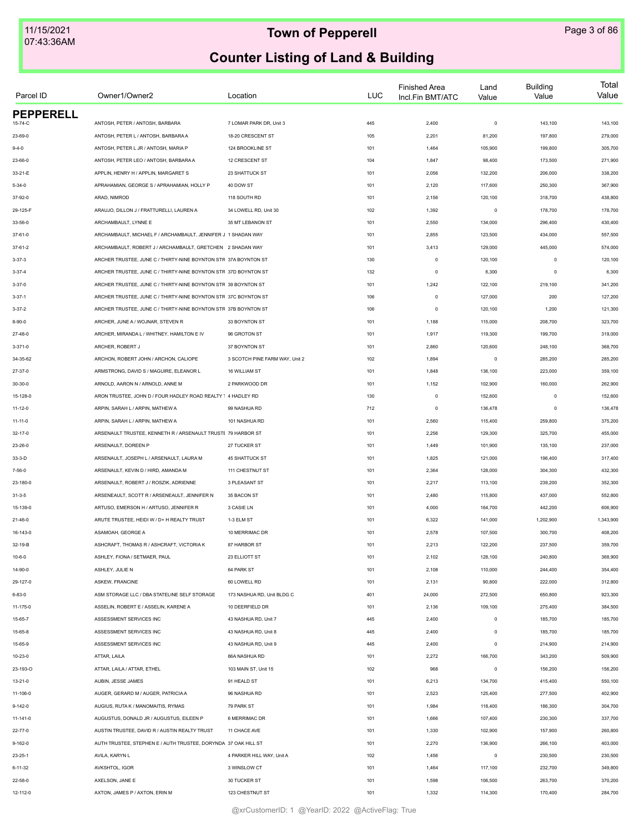| Parcel ID        | Owner1/Owner2                                                   | Location                       | LUC | <b>Finished Area</b><br>Incl.Fin BMT/ATC | Land<br>Value | <b>Building</b><br>Value | Total<br>Value |
|------------------|-----------------------------------------------------------------|--------------------------------|-----|------------------------------------------|---------------|--------------------------|----------------|
| <b>PEPPERELL</b> |                                                                 |                                |     |                                          |               |                          |                |
| 15-74-C          | ANTOSH, PETER / ANTOSH, BARBARA                                 | 7 LOMAR PARK DR, Unit 3        | 445 | 2,400                                    | $\mathsf 0$   | 143,100                  | 143,100        |
| 23-69-0          | ANTOSH, PETER L / ANTOSH, BARBARA A                             | 18-20 CRESCENT ST              | 105 | 2,201                                    | 81,200        | 197,800                  | 279,000        |
| $9 - 4 - 0$      | ANTOSH, PETER L JR / ANTOSH, MARIA P                            | 124 BROOKLINE ST               | 101 | 1,464                                    | 105,900       | 199,800                  | 305,700        |
| 23-66-0          | ANTOSH, PETER LEO / ANTOSH, BARBARA A                           | 12 CRESCENT ST                 | 104 | 1,847                                    | 98,400        | 173,500                  | 271,900        |
| 33-21-E          | APPLIN, HENRY H / APPLIN, MARGARET S                            | 23 SHATTUCK ST                 | 101 | 2,056                                    | 132,200       | 206,000                  | 338,200        |
| $5 - 34 - 0$     | APRAHAMIAN, GEORGE S / APRAHAMIAN, HOLLY P                      | 40 DOW ST                      | 101 | 2,120                                    | 117,600       | 250,300                  | 367,900        |
| 37-92-0          | ARAD, NIMROD                                                    | 118 SOUTH RD                   | 101 | 2,156                                    | 120,100       | 318,700                  | 438,800        |
| 29-125-F         | ARAUJO, DILLON J / FRATTURELLI, LAUREN A                        | 34 LOWELL RD, Unit 30          | 102 | 1,392                                    | $\mathsf 0$   | 178,700                  | 178,700        |
| 33-56-0          | ARCHAMBAULT, LYNNE E                                            | 35 MT LEBANON ST               | 101 | 2,550                                    | 134,000       | 296,400                  | 430,400        |
| 37-61-0          | ARCHAMBAULT, MICHAEL F / ARCHAMBAULT, JENNIFER J 1 SHADAN WAY   |                                | 101 | 2,855                                    | 123,500       | 434,000                  | 557,500        |
| 37-61-2          | ARCHAMBAULT, ROBERT J / ARCHAMBAULT, GRETCHEN 2 SHADAN WAY      |                                | 101 | 3,413                                    | 129,000       | 445,000                  | 574,000        |
| $3 - 37 - 3$     | ARCHER TRUSTEE, JUNE C / THIRTY-NINE BOYNTON STR 37A BOYNTON ST |                                | 130 | $\circ$                                  | 120,100       | $^{\circ}$               | 120,100        |
| $3 - 37 - 4$     | ARCHER TRUSTEE, JUNE C / THIRTY-NINE BOYNTON STR 37D BOYNTON ST |                                | 132 | $\mathbf 0$                              | 6,300         | $\Omega$                 | 6,300          |
| $3 - 37 - 0$     | ARCHER TRUSTEE, JUNE C / THIRTY-NINE BOYNTON STR 39 BOYNTON ST  |                                | 101 | 1,242                                    | 122,100       | 219,100                  | 341,200        |
| $3 - 37 - 1$     | ARCHER TRUSTEE, JUNE C / THIRTY-NINE BOYNTON STR 37C BOYNTON ST |                                | 106 | $\mathbf 0$                              | 127,000       | 200                      | 127,200        |
| $3 - 37 - 2$     | ARCHER TRUSTEE, JUNE C / THIRTY-NINE BOYNTON STR 37B BOYNTON ST |                                | 106 | $\mathbf 0$                              | 120,100       | 1,200                    | 121,300        |
| 8-90-0           | ARCHER, JUNE A / WOJNAR, STEVEN R                               | 33 BOYNTON ST                  | 101 | 1,188                                    | 115,000       | 208,700                  | 323,700        |
| 27-48-0          | ARCHER, MIRANDA L / WHITNEY, HAMILTON E IV                      | 96 GROTON ST                   | 101 | 1,917                                    | 119,300       | 199,700                  | 319,000        |
| $3 - 371 - 0$    | ARCHER, ROBERT J                                                | 37 BOYNTON ST                  | 101 | 2,860                                    | 120,600       | 248,100                  | 368,700        |
| 34-35-62         | ARCHON, ROBERT JOHN / ARCHON, CALIOPE                           | 3 SCOTCH PINE FARM WAY, Unit 2 | 102 | 1,894                                    | $\mathsf 0$   | 285,200                  | 285,200        |
| 27-37-0          | ARMSTRONG, DAVID S / MAGUIRE, ELEANOR L                         | 16 WILLIAM ST                  | 101 | 1,848                                    | 136,100       | 223,000                  | 359,100        |
| 30-30-0          | ARNOLD, AARON N / ARNOLD, ANNE M                                | 2 PARKWOOD DR                  | 101 | 1,152                                    | 102,900       | 160,000                  | 262,900        |
| 15-128-0         | ARON TRUSTEE, JOHN D / FOUR HADLEY ROAD REALTY 1 4 HADLEY RD    |                                | 130 | $\mathbf 0$                              | 152,600       | $\mathbf 0$              | 152,600        |
| $11 - 12 - 0$    | ARPIN, SARAH L / ARPIN, MATHEW A                                | 99 NASHUA RD                   | 712 | $\mathbf 0$                              | 136,478       | $\circ$                  | 136,478        |
|                  | ARPIN, SARAH L / ARPIN, MATHEW A                                | 101 NASHUA RD                  | 101 | 2,560                                    | 115,400       | 259,800                  | 375,200        |
| 11-11-0          |                                                                 |                                |     |                                          |               |                          |                |
| $32 - 17 - 0$    | ARSENAULT TRUSTEE, KENNETH R / ARSENAULT TRUSTE 79 HARBOR ST    |                                | 101 | 2,256                                    | 129,300       | 325,700                  | 455,000        |
| 23-26-0          | ARSENAULT, DOREEN P                                             | 27 TUCKER ST                   | 101 | 1,449                                    | 101,900       | 135,100                  | 237,000        |
| $33-3-D$         | ARSENAULT, JOSEPH L / ARSENAULT, LAURA M                        | <b>45 SHATTUCK ST</b>          | 101 | 1,825                                    | 121,000       | 196,400                  | 317,400        |
| 7-56-0           | ARSENAULT, KEVIN D / HIRD, AMANDA M                             | 111 CHESTNUT ST                | 101 | 2,364                                    | 128,000       | 304,300                  | 432,300        |
| 23-180-0         | ARSENAULT, ROBERT J / ROSZIK, ADRIENNE                          | 3 PLEASANT ST                  | 101 | 2,217                                    | 113,100       | 239,200                  | 352,300        |
| $31 - 3 - 5$     | ARSENEAULT, SCOTT R / ARSENEAULT, JENNIFER N                    | 35 BACON ST                    | 101 | 2,480                                    | 115,800       | 437,000                  | 552,800        |
| 15-139-0         | ARTUSO, EMERSON H / ARTUSO, JENNIFER R                          | 3 CASIE LN                     | 101 | 4,000                                    | 164,700       | 442,200                  | 606,900        |
| $21 - 46 - 0$    | ARUTE TRUSTEE, HEIDI W / D+ H REALTY TRUST                      | 1-3 ELM ST                     | 101 | 6,322                                    | 141,000       | 1,202,900                | 1,343,900      |
| 16-143-0         | ASAMOAH, GEORGE A                                               | 10 MERRIMAC DR                 | 101 | 2,578                                    | 107,500       | 300,700                  | 408,200        |
| 32-19-B          | ASHCRAFT, THOMAS R / ASHCRAFT, VICTORIA K                       | 87 HARBOR ST                   | 101 | 2,213                                    | 122,200       | 237,500                  | 359,700        |
| $10 - 6 - 0$     | ASHLEY, FIONA / SETMAER, PAUL                                   | 23 ELLIOTT ST                  | 101 | 2,102                                    | 128,100       | 240,800                  | 368,900        |
| 14-90-0          | ASHLEY, JULIE N                                                 | 64 PARK ST                     | 101 | 2,108                                    | 110,000       | 244,400                  | 354,400        |
| 29-127-0         | ASKEW, FRANCINE                                                 | 60 LOWELL RD                   | 101 | 2,131                                    | 90,800        | 222,000                  | 312,800        |
| $6 - 83 - 0$     | ASM STORAGE LLC / DBA STATELINE SELF STORAGE                    | 173 NASHUA RD. Unit BLDG C     | 401 | 24,000                                   | 272,500       | 650,800                  | 923,300        |
| 11-175-0         | ASSELIN, ROBERT E / ASSELIN, KARENE A                           | 10 DEERFIELD DR                | 101 | 2,136                                    | 109,100       | 275,400                  | 384,500        |
| 15-65-7          | ASSESSMENT SERVICES INC                                         | 43 NASHUA RD, Unit 7           | 445 | 2,400                                    | $\mathsf 0$   | 185,700                  | 185,700        |
| 15-65-8          | ASSESSMENT SERVICES INC                                         | 43 NASHUA RD, Unit 8           | 445 | 2,400                                    | $\mathsf 0$   | 185,700                  | 185,700        |
| 15-65-9          | ASSESSMENT SERVICES INC                                         | 43 NASHUA RD, Unit 9           | 445 | 2,400                                    | $\mathsf 0$   | 214,900                  | 214,900        |
| 10-23-0          | ATTAR, LAILA                                                    | 86A NASHUA RD                  | 101 | 2,272                                    | 166,700       | 343,200                  | 509,900        |
| 23-193-O         | ATTAR, LAILA / ATTAR, ETHEL                                     | 103 MAIN ST, Unit 15           | 102 | 968                                      | $\mathsf 0$   | 156,200                  | 156,200        |
| $13 - 21 - 0$    | AUBIN, JESSE JAMES                                              | 91 HEALD ST                    | 101 | 6,213                                    | 134,700       | 415,400                  | 550,100        |
| 11-106-0         | AUGER, GERARD M / AUGER, PATRICIA A                             | 96 NASHUA RD                   | 101 | 2,523                                    | 125,400       | 277,500                  | 402,900        |
| $9 - 142 - 0$    | AUGIUS, RUTA K / MANOMAITIS, RYMAS                              | 79 PARK ST                     | 101 | 1,984                                    | 118,400       | 186,300                  | 304,700        |
| 11-141-0         | AUGUSTUS, DONALD JR / AUGUSTUS, EILEEN P                        | 6 MERRIMAC DR                  | 101 | 1,666                                    | 107,400       | 230,300                  | 337,700        |
| 22-77-0          | AUSTIN TRUSTEE, DAVID R / AUSTIN REALTY TRUST                   | 11 CHACE AVE                   | 101 | 1,330                                    | 102,900       | 157,900                  | 260,800        |
| $9 - 162 - 0$    | AUTH TRUSTEE, STEPHEN E / AUTH TRUSTEE, DORYNDA 37 OAK HILL ST  |                                | 101 | 2,270                                    | 136,900       | 266,100                  | 403,000        |
|                  |                                                                 |                                |     |                                          |               |                          |                |
| $23 - 25 - 1$    | AVILA, KARYN L                                                  | 4 PARKER HILL WAY, Unit A      | 102 | 1,456                                    | $\mathsf 0$   | 230,500                  | 230,500        |
| $6 - 11 - 32$    | AVKSHTOL, IGOR                                                  | 3 WINSLOW CT                   | 101 | 1,464                                    | 117,100       | 232,700                  | 349,800        |
| 22-58-0          | AXELSON, JANE E                                                 | 30 TUCKER ST                   | 101 | 1,598                                    | 106,500       | 263,700                  | 370,200        |
| 12-112-0         | AXTON, JAMES P / AXTON, ERIN M                                  | 123 CHESTNUT ST                | 101 | 1,332                                    | 114,300       | 170,400                  | 284,700        |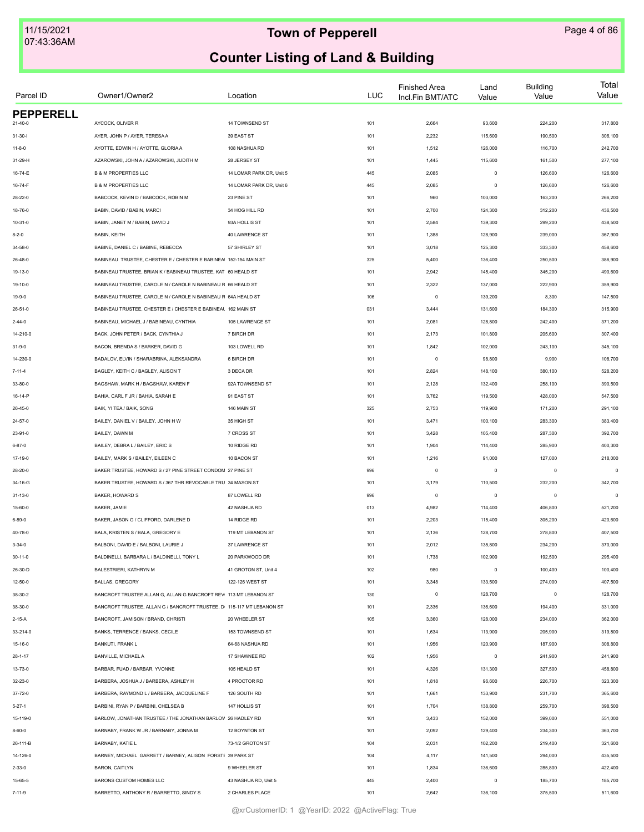| Parcel ID        | Owner1/Owner2                                                          | Location                 | LUC | <b>Finished Area</b><br>Incl.Fin BMT/ATC | Land<br>Value | <b>Building</b><br>Value | Total<br>Value |
|------------------|------------------------------------------------------------------------|--------------------------|-----|------------------------------------------|---------------|--------------------------|----------------|
| <b>PEPPERELL</b> |                                                                        |                          |     |                                          |               |                          |                |
| $21 - 40 - 0$    | AYCOCK, OLIVER R                                                       | 14 TOWNSEND ST           | 101 | 2,664                                    | 93,600        | 224,200                  | 317,800        |
| $31 - 30 - 1$    | AYER, JOHN P / AYER, TERESA A                                          | 39 EAST ST               | 101 | 2,232                                    | 115,600       | 190,500                  | 306,100        |
| $11 - 8 - 0$     | AYOTTE, EDWIN H / AYOTTE, GLORIA A                                     | 108 NASHUA RD            | 101 | 1,512                                    | 126,000       | 116,700                  | 242,700        |
| 31-29-H          | AZAROWSKI, JOHN A / AZAROWSKI, JUDITH M                                | 28 JERSEY ST             | 101 | 1,445                                    | 115,600       | 161,500                  | 277,100        |
| 16-74-E          | <b>B &amp; M PROPERTIES LLC</b>                                        | 14 LOMAR PARK DR, Unit 5 | 445 | 2,085                                    | $\mathsf 0$   | 126,600                  | 126,600        |
| 16-74-F          | <b>B &amp; M PROPERTIES LLC</b>                                        | 14 LOMAR PARK DR, Unit 6 | 445 | 2,085                                    | $\mathsf 0$   | 126,600                  | 126,600        |
| 28-22-0          | BABCOCK, KEVIN D / BABCOCK, ROBIN M                                    | 23 PINE ST               | 101 | 960                                      | 103,000       | 163,200                  | 266,200        |
| 18-76-0          | BABIN, DAVID / BABIN, MARCI                                            | 34 HOG HILL RD           | 101 | 2,700                                    | 124,300       | 312,200                  | 436,500        |
| $10 - 31 - 0$    | BABIN, JANET M / BABIN, DAVID J                                        | 93A HOLLIS ST            | 101 | 2,584                                    | 139,300       | 299,200                  | 438,500        |
| $8 - 2 - 0$      | BABIN, KEITH                                                           | 40 LAWRENCE ST           | 101 | 1,388                                    | 128,900       | 239,000                  | 367,900        |
| 34-58-0          | BABINE, DANIEL C / BABINE, REBECCA                                     | 57 SHIRLEY ST            | 101 | 3,018                                    | 125,300       | 333,300                  | 458,600        |
| 26-48-0          | BABINEAU TRUSTEE, CHESTER E / CHESTER E BABINEA 152-154 MAIN ST        |                          | 325 | 5,400                                    | 136,400       | 250,500                  | 386,900        |
| 19-13-0          | BABINEAU TRUSTEE, BRIAN K / BABINEAU TRUSTEE, KAT 60 HEALD ST          |                          | 101 | 2,942                                    | 145,400       | 345,200                  | 490,600        |
| 19-10-0          | BABINEAU TRUSTEE, CAROLE N / CAROLE N BABINEAU R 66 HEALD ST           |                          | 101 | 2,322                                    | 137,000       | 222,900                  | 359,900        |
| $19 - 9 - 0$     | BABINEAU TRUSTEE, CAROLE N / CAROLE N BABINEAU R 64A HEALD ST          |                          | 106 | $\mathbf 0$                              | 139,200       | 8,300                    | 147,500        |
| $26 - 51 - 0$    | BABINEAU TRUSTEE, CHESTER E / CHESTER E BABINEAL 162 MAIN ST           |                          | 031 | 3,444                                    | 131,600       | 184,300                  | 315,900        |
| $2 - 44 - 0$     | BABINEAU, MICHAEL J / BABINEAU, CYNTHIA                                | 105 LAWRENCE ST          | 101 | 2,081                                    | 128,800       | 242,400                  | 371,200        |
| 14-210-0         | BACK, JOHN PETER / BACK, CYNTHIA J                                     | 7 BIRCH DR               | 101 | 2,173                                    | 101,800       | 205,600                  | 307,400        |
| $31 - 9 - 0$     | BACON, BRENDA S / BARKER, DAVID G                                      | 103 LOWELL RD            | 101 | 1,842                                    | 102,000       | 243,100                  | 345,100        |
| 14-230-0         | BADALOV, ELVIN / SHARABRINA, ALEKSANDRA                                | 6 BIRCH DR               | 101 | $\mathbf 0$                              | 98,800        | 9,900                    | 108,700        |
| $7 - 11 - 4$     | BAGLEY, KEITH C / BAGLEY, ALISON T                                     | 3 DECA DR                | 101 | 2,824                                    | 148,100       | 380,100                  | 528,200        |
| 33-80-0          | BAGSHAW, MARK H / BAGSHAW, KAREN F                                     | 92A TOWNSEND ST          | 101 | 2,128                                    | 132,400       | 258,100                  | 390,500        |
| 16-14-P          | BAHIA, CARL F JR / BAHIA, SARAH E                                      | 91 EAST ST               | 101 | 3,762                                    | 119,500       | 428,000                  | 547,500        |
|                  | BAIK, YI TEA / BAIK, SONG                                              | 146 MAIN ST              |     |                                          | 119,900       |                          |                |
| 26-45-0          |                                                                        |                          | 325 | 2,753                                    |               | 171,200                  | 291,100        |
| 24-57-0          | BAILEY, DANIEL V / BAILEY, JOHN H W                                    | 35 HIGH ST               | 101 | 3,471                                    | 100,100       | 283,300                  | 383,400        |
| 23-91-0          | BAILEY, DAWN M                                                         | 7 CROSS ST               | 101 | 3,428                                    | 105,400       | 287,300                  | 392,700        |
| $6 - 87 - 0$     | BAILEY, DEBRA L / BAILEY, ERIC S                                       | 10 RIDGE RD              | 101 | 1,904                                    | 114,400       | 285,900                  | 400,300        |
| 17-19-0          | BAILEY, MARK S / BAILEY, EILEEN C                                      | 10 BACON ST              | 101 | 1,216                                    | 91,000        | 127,000                  | 218,000        |
| 28-20-0          | BAKER TRUSTEE, HOWARD S / 27 PINE STREET CONDOM 27 PINE ST             |                          | 996 | $\mathbf 0$                              | $\mathsf 0$   | $^{\circ}$               | $\mathbf 0$    |
| 34-16-G          | BAKER TRUSTEE, HOWARD S / 367 THR REVOCABLE TRU 34 MASON ST            |                          | 101 | 3,179                                    | 110,500       | 232,200                  | 342,700        |
| $31 - 13 - 0$    | BAKER, HOWARD S                                                        | 87 LOWELL RD             | 996 | $\mathbf 0$                              | $\mathsf 0$   | $\circ$                  | $\epsilon$     |
| 15-60-0          | BAKER, JAMIE                                                           | 42 NASHUA RD             | 013 | 4,982                                    | 114,400       | 406,800                  | 521,200        |
| $6 - 89 - 0$     | BAKER, JASON G / CLIFFORD, DARLENE D                                   | 14 RIDGE RD              | 101 | 2,203                                    | 115,400       | 305,200                  | 420,600        |
| 40-78-0          | BALA, KRISTEN S / BALA, GREGORY E                                      | 119 MT LEBANON ST        | 101 | 2,136                                    | 128,700       | 278,800                  | 407,500        |
| $3 - 34 - 0$     | BALBONI, DAVID E / BALBONI, LAURIE J                                   | 37 LAWRENCE ST           | 101 | 2,012                                    | 135,800       | 234,200                  | 370,000        |
| 30-11-0          | BALDINELLI, BARBARA L / BALDINELLI, TONY L                             | 20 PARKWOOD DR           | 101 | 1,738                                    | 102,900       | 192,500                  | 295,400        |
| 26-30-D          | BALESTRIERI, KATHRYN M                                                 | 41 GROTON ST, Unit 4     | 102 | 980                                      | $\mathsf 0$   | 100,400                  | 100,400        |
| $12 - 50 - 0$    | <b>BALLAS, GREGORY</b>                                                 | 122-126 WEST ST          | 101 | 3,348                                    | 133,500       | 274,000                  | 407,500        |
| 38-30-2          | BANCROFT TRUSTEE ALLAN G, ALLAN G BANCROFT REV 113 MT LEBANON ST       |                          | 130 | $\mathbf 0$                              | 128,700       | $\circ$                  | 128,700        |
| 38-30-0          | BANCROFT TRUSTEE, ALLAN G / BANCROFT TRUSTEE, D: 115-117 MT LEBANON ST |                          | 101 | 2,336                                    | 136,600       | 194,400                  | 331,000        |
| $2 - 15 - A$     | BANCROFT, JAMISON / BRAND, CHRISTI                                     | 20 WHEELER ST            | 105 | 3,360                                    | 128,000       | 234,000                  | 362,000        |
| 33-214-0         | BANKS, TERRENCE / BANKS, CECILE                                        | 153 TOWNSEND ST          | 101 | 1,634                                    | 113,900       | 205,900                  | 319,800        |
| 15-16-0          | <b>BANKUTI, FRANK L</b>                                                | 64-68 NASHUA RD          | 101 | 1,956                                    | 120,900       | 187,900                  | 308,800        |
| $28 - 1 - 17$    | BANVILLE, MICHAEL A                                                    | 17 SHAWNEE RD            | 102 | 1,956                                    | $\mathsf 0$   | 241,900                  | 241,900        |
| 13-73-0          | BARBAR, FUAD / BARBAR, YVONNE                                          | 105 HEALD ST             | 101 | 4,326                                    | 131,300       | 327,500                  | 458,800        |
| 32-23-0          | BARBERA, JOSHUA J / BARBERA, ASHLEY H                                  | 4 PROCTOR RD             | 101 | 1,818                                    | 96,600        | 226,700                  | 323,300        |
| 37-72-0          | BARBERA, RAYMOND L / BARBERA, JACQUELINE F                             | 126 SOUTH RD             | 101 | 1,661                                    | 133,900       | 231,700                  | 365,600        |
| $5 - 27 - 1$     | BARBINI, RYAN P / BARBINI, CHELSEA B                                   | 147 HOLLIS ST            | 101 | 1,704                                    | 138,800       | 259,700                  | 398,500        |
| 15-119-0         | BARLOW, JONATHAN TRUSTEE / THE JONATHAN BARLOV 26 HADLEY RD            |                          | 101 | 3,433                                    | 152,000       | 399,000                  | 551,000        |
| $8 - 60 - 0$     | BARNABY, FRANK W JR / BARNABY, JONNA M                                 | 12 BOYNTON ST            | 101 | 2,092                                    | 129,400       | 234,300                  | 363,700        |
| 26-111-B         | BARNABY, KATIE L                                                       | 73-1/2 GROTON ST         | 104 | 2,031                                    | 102,200       | 219,400                  | 321,600        |
| 14-126-0         | BARNEY, MICHAEL GARRETT / BARNEY, ALISON FORSTE 39 PARK ST             |                          | 104 | 4,117                                    | 141,500       | 294,000                  | 435,500        |
| $2 - 33 - 0$     | <b>BARON, CAITLYN</b>                                                  | 9 WHEELER ST             | 101 | 1,834                                    | 136,600       | 285,800                  | 422,400        |
| 15-65-5          | BARONS CUSTOM HOMES LLC                                                | 43 NASHUA RD, Unit 5     | 445 | 2,400                                    | $\mathsf 0$   |                          |                |
|                  |                                                                        |                          |     |                                          |               | 185,700                  | 185,700        |
| $7 - 11 - 9$     | BARRETTO, ANTHONY R / BARRETTO, SINDY S                                | 2 CHARLES PLACE          | 101 | 2,642                                    | 136,100       | 375,500                  | 511,600        |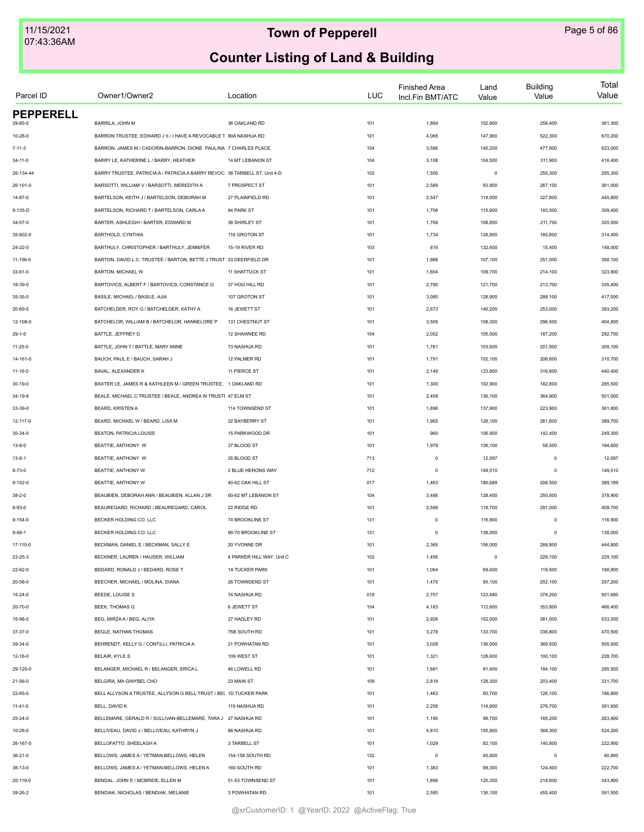| Parcel ID        | Owner1/Owner2                                                              | Location                     | <b>LUC</b> | <b>Finished Area</b><br>Incl.Fin BMT/ATC | Land<br>Value | <b>Building</b><br>Value | Total<br>Value |
|------------------|----------------------------------------------------------------------------|------------------------------|------------|------------------------------------------|---------------|--------------------------|----------------|
| <b>PEPPERELL</b> |                                                                            |                              |            |                                          |               |                          |                |
| 29-85-0          | BARRILA, JOHN M                                                            | 36 OAKLAND RD                | 101        | 1,884                                    | 102,900       | 258,400                  | 361,300        |
| 10-28-0          | BARRON TRUSTEE, EDWARD J II / I HAVE A REVOCABLE T 90A NASHUA RD           |                              | 101        | 4,065                                    | 147,900       | 522,300                  | 670,200        |
| $7 - 11 - 3$     | BARRON, JAMES M / CADORIN-BARRON, DIONE PAULINA 7 CHARLES PLACE            |                              | 104        | 3,586                                    | 145,200       | 477,800                  | 623,000        |
| $34 - 11 - 0$    | BARRY LE, KATHERINE L / BARRY, HEATHER                                     | 14 MT LEBANON ST             | 104        | 3,108                                    | 104,500       | 311,900                  | 416,400        |
| 26-134-44        | BARRY TRUSTEE, PATRICIA A / PATRICIA A BARRY REVOC 38 TARBELL ST, Unit 4-D |                              | 102        | 1,500                                    | $\mathsf 0$   | 255,300                  | 255,300        |
| 26-101-0         | BARSOTTI, WILLIAM V / BARSOTTI, MEREDITH A                                 | 7 PROSPECT ST                | 101        | 2,589                                    | 93,900        | 267,100                  | 361,000        |
| $14 - 87 - 0$    | BARTELSON, KEITH J / BARTELSON, DEBORAH M                                  | 27 PLAINFIELD RD             | 101        | 2,547                                    | 118,000       | 327,800                  | 445,800        |
| 9-135-D          | BARTELSON, RICHARD T / BARTELSON, CARLA A                                  | 94 PARK ST                   | 101        | 1,706                                    | 115,900       | 193,500                  | 309,400        |
| 34-57-0          | BARTER, ASHLEIGH / BARTER, EDWARD M                                        | 38 SHIRLEY ST                | 101        | 1,768                                    | 108,800       | 211,700                  | 320,500        |
| 35-802-0         | BARTHOLD, CYNTHIA                                                          | 116 GROTON ST                | 101        | 1,734                                    | 128,800       | 185,600                  | 314,400        |
| $24 - 22 - 0$    | BARTHULY, CHRISTOPHER / BARTHULY, JENNIFER                                 | 15-19 RIVER RD               | 103        | 816                                      | 132,600       | 15,400                   | 148,000        |
| 11-156-0         | BARTON, DAVID L.C. TRUSTEE / BARTON, BETTE J TRUST 33 DEERFIELD DR         |                              | 101        | 1,988                                    | 107,100       | 251,000                  | 358,100        |
| $33 - 61 - 0$    | BARTON, MICHAEL W                                                          | <b>11 SHATTUCK ST</b>        | 101        | 1,604                                    | 109,700       | 214,100                  | 323,800        |
| 18-39-0          | BARTOVICS, ALBERT F / BARTOVICS, CONSTANCE G                               | 37 HOG HILL RD               | 101        | 2,790                                    | 121,700       | 213,700                  | 335,400        |
| 35-35-0          | BASILE, MICHAEL / BASILE, AJIA                                             | 107 GROTON ST                | 101        | 3,080                                    | 128,900       | 288,100                  | 417,000        |
| $20 - 69 - 0$    | BATCHELDER, ROY G / BATCHELDER, KATHY A                                    | 16 JEWETT ST                 | 101        | 2,673                                    | 140,200       | 253,000                  | 393,200        |
| 12-108-0         | BATCHELOR, WILLIAM B / BATCHELOR, HANNELORE P                              | 131 CHESTNUT ST              | 101        | 3,505                                    | 108,300       | 296,500                  | 404,800        |
| $29 - 1 - 0$     | BATTLE, JEFFREY D                                                          | 12 SHAWNEE RD                | 104        | 2,052                                    | 105,500       | 187,200                  | 292,700        |
| 11-25-0          | BATTLE, JOHN T / BATTLE, MARY ANNE                                         | 73 NASHUA RD                 | 101        | 1,761                                    | 103,600       | 201,500                  | 305,100        |
| 14-161-0         | BAUCH, PAUL E / BAUCH, SARAH J                                             | 12 PALMER RD                 | 101        | 1,791                                    | 102,100       | 208,600                  | 310,700        |
| 11-16-0          | BAVAL, ALEXANDER K                                                         | 11 PIERCE ST                 | 101        | 2,148                                    | 123,800       | 316,600                  | 440,400        |
| 30-19-0          | BAXTER LE, JAMES R & KATHLEEN M / GREEN TRUSTEE, 1 OAKLAND RD              |                              | 101        | 1,300                                    | 102,900       | 182,600                  | 285,500        |
| $34 - 19 - 8$    | BEALE, MICHAEL C TRUSTEE / BEALE, ANDREA W TRUSTI 47 ELM ST                |                              | 101        | 2,409                                    | 136,100       | 364,900                  | 501,000        |
| 33-39-0          | BEARD, KRISTEN A                                                           | 114 TOWNSEND ST              | 101        | 1,896                                    | 137,900       | 223,900                  | 361,800        |
| 12-117-0         | BEARD, MICHAEL W / BEARD, LISA M                                           | 32 BAYBERRY ST               | 101        | 1,965                                    | 128,100       | 261,600                  | 389,700        |
| $30 - 34 - 0$    | BEATON, PATRICIA LOUISE                                                    | 15 PARKWOOD DR               | 101        | 960                                      | 106,900       | 142,400                  | 249,300        |
| $13 - 8 - 0$     | BEATTIE, ANTHONY W                                                         | 37 BLOOD ST                  | 101        | 1,978                                    | 136,100       | 58,500                   | 194,600        |
| $13 - 8 - 1$     | BEATTIE, ANTHONY W                                                         | 35 BLOOD ST                  | 713        | $\mathbf 0$                              | 12,097        | $\mathbf 0$              | 12,097         |
| $8 - 73 - 0$     | BEATTIE, ANTHONY W                                                         | 2 BLUE HERONS WAY            | 712        | $\mathsf 0$                              | 149,510       | $\circ$                  | 149,510        |
| $9 - 152 - 0$    | BEATTIE, ANTHONY W                                                         | 40-62 OAK HILL ST            | 017        | 1,463                                    | 180,689       | 208,500                  | 389,189        |
| $38 - 2 - 0$     | BEAUBIEN, DEBORAH ANN / BEAUBIEN, ALLAN J SR                               | 60-62 MT LEBANON ST          | 104        | 3,486                                    | 128,400       | 250,500                  | 378,900        |
| 6-93-0           | BEAUREGARD, RICHARD / BEAUREGARD, CAROL                                    | 22 RIDGE RD                  | 101        | 2,599                                    | 118,700       | 291,000                  | 409,700        |
| $9 - 154 - 0$    | BECKER HOLDING CO. LLC                                                     | 74 BROOKLINE ST              | 131        | $\circ$                                  | 116,900       | $\mathbf 0$              | 116,900        |
| $9 - 48 - 1$     | BECKER HOLDING CO. LLC                                                     | 66-70 BROOKLINE ST           | 131        | $\mathbf 0$                              | 138,000       | $\mathbf 0$              | 138,000        |
| 17-110-0         | BECKMAN, DANIEL E / BECKMAN, SALLY E                                       | 20 YVONNE DR                 | 101        | 2,365                                    | 156,000       | 288,800                  | 444,800        |
| 23-25-3          | BECKNER, LAUREN / HAUSER, WILLIAM                                          | 4 PARKER HILL WAY, Unit C    | 102        | 1,456                                    | $\mathsf 0$   | 229,100                  | 229,100        |
| 22-62-0          | BEDARD, RONALD J / BEDARD, ROSE T                                          | <b>1A TUCKER PARK</b>        | 101        | 1,064                                    | 69,400        | 119,500                  | 188,900        |
| 20-58-0          | BEECHER, MICHAEL / MOLINA, DIANA                                           | 26 TOWNSEND ST               | 101        | 1,470                                    | 95,100        | 202,100                  | 297,200        |
| $15 - 24 - 0$    | BEEDE, LOUISE S                                                            | 74 NASHUA RD                 | 018        | 2,757                                    | 123,480       | 378,200                  | 501,680        |
| 20-70-0          | BEEK, THOMAS G                                                             | 6 JEWETT ST                  | 104        | 4,183                                    | 112,600       | 353,800                  | 466,400        |
| 15-98-0          | BEG, MIRZA A / BEG, ALIYA                                                  | 27 HADLEY RD                 | 101        | 2,926                                    | 152,000       | 381,500                  | 533,500        |
| 37-37-0          | BEGLE, NATHAN THOMAS                                                       | 75B SOUTH RD                 | 101        | 3,278                                    | 133,700       | 336,800                  | 470,500        |
| 39-34-0          | BEHRENDT, KELLY G / CONTILLI, PATRICIA A                                   | 21 POWHATAN RD               | 101        | 3,028                                    | 136,000       | 369,500                  | 505,500        |
| 12-16-0          | <b>BELAIR, KYLE S</b>                                                      | 109 WEST ST                  | 101        | 1,321                                    | 128,600       | 100,100                  | 228,700        |
| 29-120-0         | BELANGER, MICHAEL R / BELANGER, ERICA L                                    | 46 LOWELL RD                 | 101        | 1,681                                    | 91,400        | 194,100                  | 285,500        |
| $21 - 56 - 0$    | BELGIRA. MA GINYBEL CHO                                                    | 23 MAIN ST                   | 109        | 2,818                                    | 128,300       | 203,400                  | 331,700        |
| 22-65-0          | BELL ALLYSON A TRUSTEE, ALLYSON G BELL TRUST / BEL 1D TUCKER PARK          |                              | 101        | 1,463                                    | 60,700        | 126,100                  | 186,800        |
| $11 - 41 - 0$    | BELL, DAVID K                                                              | 119 NASHUA RD                | 101        | 2,256                                    | 114,900       | 276,700                  | 391,600        |
| 25-24-0          | BELLEMARE, GERALD R / SULLIVAN-BELLEMARE, TARA J 27 NASHUA RD              |                              | 101        | 1,190                                    | 98,700        | 165,200                  | 263,900        |
|                  |                                                                            |                              |            |                                          |               |                          |                |
| 10-26-0          | BELLIVEAU, DAVID J / BELLIVEAU, KATHRYN J                                  | 88 NASHUA RD<br>3 TARBELL ST | 101        | 4,810                                    | 155,900       | 368,300                  | 524,200        |
| 26-167-0         | BELLOFATTO, SHEELAGH A                                                     |                              | 101        | 1,029                                    | 82,100        | 140,800                  | 222,900        |
| $36 - 21 - 0$    | BELLOWS, JAMES A / YETMAN-BELLOWS, HELEN                                   | 154-158 SOUTH RD             | 132        | $\mathbf 0$                              | 40,800        | $\mathbf 0$              | 40,800         |
| 36-13-0          | BELLOWS, JAMES A / YETMAN-BELLOWS, HELEN A                                 | 160 SOUTH RD                 | 101        | 1,383                                    | 98,300        | 124,400                  | 222,700        |
| 20-119-0         | BENDAL, JOHN E / MCBRIDE, ELLEN M                                          | 51-53 TOWNSEND ST            | 101        | 1,896                                    | 125,300       | 218,600                  | 343,900        |
| 39-26-2          | BENDIAK, NICHOLAS / BENDIAK, MELANIE                                       | 3 POWHATAN RD                | 101        | 2,580                                    | 136,100       | 455,400                  | 591,500        |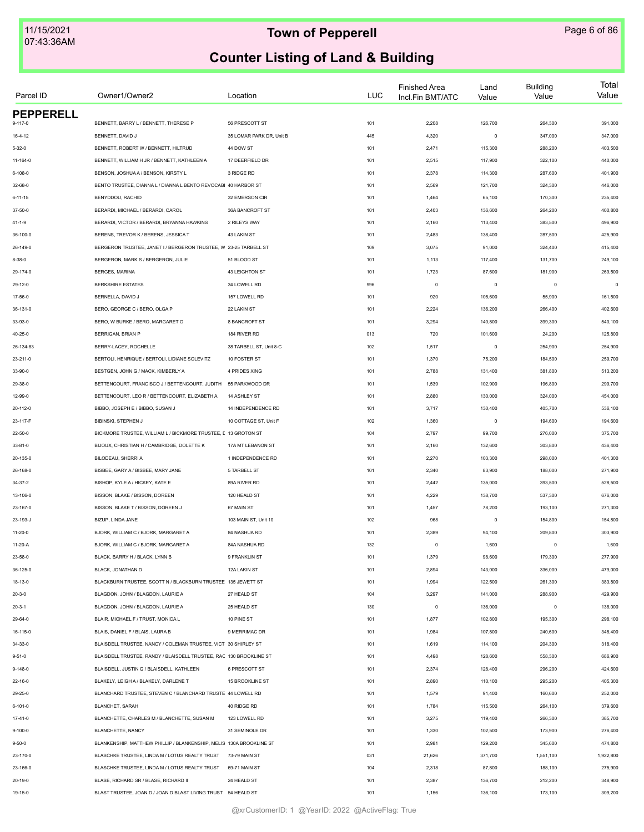| Parcel ID        | Owner1/Owner2                                                       | Location                 | <b>LUC</b> | <b>Finished Area</b><br>Incl.Fin BMT/ATC | Land<br>Value | <b>Building</b><br>Value | Total<br>Value |
|------------------|---------------------------------------------------------------------|--------------------------|------------|------------------------------------------|---------------|--------------------------|----------------|
| <b>PEPPERELL</b> |                                                                     |                          |            |                                          |               |                          |                |
| $9 - 117 - 0$    | BENNETT, BARRY L / BENNETT, THERESE P                               | 56 PRESCOTT ST           | 101        | 2,208                                    | 126,700       | 264,300                  | 391,000        |
| $16 - 4 - 12$    | BENNETT, DAVID J                                                    | 35 LOMAR PARK DR, Unit B | 445        | 4,320                                    | $\circ$       | 347,000                  | 347,000        |
| $5 - 32 - 0$     | BENNETT, ROBERT W / BENNETT, HILTRUD                                | 44 DOW ST                | 101        | 2,471                                    | 115,300       | 288,200                  | 403,500        |
| 11-164-0         | BENNETT, WILLIAM H JR / BENNETT, KATHLEEN A                         | 17 DEERFIELD DR          | 101        | 2,515                                    | 117,900       | 322,100                  | 440,000        |
| $6 - 108 - 0$    | BENSON, JOSHUA A / BENSON, KIRSTY L                                 | 3 RIDGE RD               | 101        | 2,378                                    | 114,300       | 287,600                  | 401,900        |
| 32-68-0          | BENTO TRUSTEE, DIANNA L / DIANNA L BENTO REVOCABI 40 HARBOR ST      |                          | 101        | 2,569                                    | 121,700       | 324,300                  | 446,000        |
| $6 - 11 - 15$    | BENYDDOU, RACHID                                                    | 32 EMERSON CIR           | 101        | 1,464                                    | 65,100        | 170,300                  | 235,400        |
| 37-50-0          | BERARDI, MICHAEL / BERARDI, CAROL                                   | 36A BANCROFT ST          | 101        | 2,403                                    | 136,600       | 264,200                  | 400,800        |
| $41 - 1 - 9$     | BERARDI, VICTOR / BERARDI, BRYANNA HAWKINS                          | 2 RILEYS WAY             | 101        | 2,160                                    | 113,400       | 383,500                  | 496,900        |
| 36-100-0         | BERENS, TREVOR K / BERENS, JESSICA T                                | 43 LAKIN ST              | 101        | 2,483                                    | 138,400       | 287,500                  | 425,900        |
| 26-149-0         | BERGERON TRUSTEE, JANET I / BERGERON TRUSTEE, W 23-25 TARBELL ST    |                          | 109        | 3,075                                    | 91,000        | 324,400                  | 415,400        |
| 8-38-0           | BERGERON, MARK S / BERGERON, JULIE                                  | 51 BLOOD ST              | 101        | 1,113                                    | 117,400       | 131,700                  | 249,100        |
| 29-174-0         | BERGES, MARINA                                                      | 43 LEIGHTON ST           | 101        | 1,723                                    | 87,600        | 181,900                  | 269,500        |
| 29-12-0          | <b>BERKSHIRE ESTATES</b>                                            | 34 LOWELL RD             | 996        | $\circ$                                  | $\mathsf 0$   | $\mathbf 0$              | $\Omega$       |
| 17-56-0          | BERNELLA, DAVID J                                                   | 157 LOWELL RD            | 101        | 920                                      | 105,600       | 55,900                   | 161,500        |
| 36-131-0         | BERO, GEORGE C / BERO, OLGA P                                       | 22 LAKIN ST              | 101        | 2,224                                    | 136,200       | 266,400                  | 402,600        |
| 33-93-0          | BERO, W BURKE / BERO, MARGARET O                                    | 8 BANCROFT ST            | 101        | 3,294                                    | 140,800       | 399,300                  | 540,100        |
| 40-25-0          | BERRIGAN, BRIAN P                                                   | 184 RIVER RD             | 013        | 720                                      | 101,600       | 24,200                   | 125,800        |
| 26-134-83        | BERRY-LACEY, ROCHELLE                                               | 38 TARBELL ST, Unit 8-C  | 102        | 1,517                                    | $\mathsf 0$   | 254,900                  | 254,900        |
| 23-211-0         | BERTOLI, HENRIQUE / BERTOLI, LIDIANE SOLEVITZ                       | 10 FOSTER ST             | 101        | 1,370                                    | 75,200        | 184,500                  | 259,700        |
| 33-90-0          | BESTGEN, JOHN G / MACK, KIMBERLY A                                  | 4 PRIDES XING            | 101        | 2,788                                    | 131,400       | 381,800                  | 513,200        |
| 29-38-0          | BETTENCOURT, FRANCISCO J / BETTENCOURT, JUDITH                      | 55 PARKWOOD DR           | 101        | 1,539                                    | 102,900       | 196,800                  | 299,700        |
| 12-99-0          | BETTENCOURT, LEO R / BETTENCOURT, ELIZABETH A                       | 14 ASHLEY ST             | 101        | 2,880                                    | 130,000       | 324,000                  | 454,000        |
| 20-112-0         | BIBBO, JOSEPH E / BIBBO, SUSAN J                                    | 14 INDEPENDENCE RD       | 101        | 3,717                                    | 130,400       | 405,700                  | 536,100        |
| 23-117-F         | BIBINSKI, STEPHEN J                                                 | 10 COTTAGE ST, Unit F    | 102        | 1,360                                    | $\mathsf 0$   | 194,600                  | 194,600        |
|                  |                                                                     |                          |            |                                          |               |                          |                |
| 22-50-0          | BICKMORE TRUSTEE, WILLIAM L / BICKMORE TRUSTEE, [ 13 GROTON ST      |                          | 104        | 2,797                                    | 99,700        | 276,000                  | 375,700        |
| 33-81-0          | BIJOUX, CHRISTIAN H / CAMBRIDGE, DOLETTE K                          | 17A MT LEBANON ST        | 101        | 2,160                                    | 132,600       | 303,800                  | 436,400        |
| 20-135-0         | BILODEAU, SHERRI A                                                  | 1 INDEPENDENCE RD        | 101        | 2,270                                    | 103,300       | 298,000                  | 401,300        |
| 26-168-0         | BISBEE, GARY A / BISBEE, MARY JANE                                  | 5 TARBELL ST             | 101        | 2,340                                    | 83,900        | 188,000                  | 271,900        |
| 34-37-2          | BISHOP, KYLE A / HICKEY, KATE E                                     | 89A RIVER RD             | 101        | 2,442                                    | 135,000       | 393,500                  | 528,500        |
| 13-106-0         | BISSON, BLAKE / BISSON, DOREEN                                      | 120 HEALD ST             | 101        | 4,229                                    | 138,700       | 537,300                  | 676,000        |
| 23-167-0         | BISSON, BLAKE T / BISSON, DOREEN J                                  | 67 MAIN ST               | 101        | 1,457                                    | 78,200        | 193,100                  | 271,300        |
| 23-193-J         | BIZUP, LINDA JANE                                                   | 103 MAIN ST, Unit 10     | 102        | 968                                      | $\mathsf 0$   | 154,800                  | 154,800        |
| 11-20-0          | BJORK, WILLIAM C / BJORK, MARGARET A                                | 84 NASHUA RD             | 101        | 2,389                                    | 94,100        | 209,800                  | 303,900        |
| $11-20-A$        | BJORK, WILLIAM C / BJORK, MARGARET A                                | 84A NASHUA RD            | 132        | $\circ$                                  | 1,600         | $\mathbf 0$              | 1,600          |
| 23-58-0          | BLACK, BARRY H / BLACK, LYNN B                                      | 9 FRANKLIN ST            | 101        | 1,379                                    | 98,600        | 179,300                  | 277,900        |
| 36-125-0         | BLACK, JONATHAN D                                                   | 12A LAKIN ST             | 101        | 2,894                                    | 143,000       | 336,000                  | 479,000        |
| 18-13-0          | BLACKBURN TRUSTEE, SCOTT N / BLACKBURN TRUSTEE 135 JEWETT ST        |                          | 101        | 1,994                                    | 122,500       | 261,300                  | 383,800        |
| $20 - 3 - 0$     | BLAGDON, JOHN / BLAGDON, LAURIE A                                   | 27 HEALD ST              | 104        | 3,297                                    | 141,000       | 288,900                  | 429,900        |
| $20 - 3 - 1$     | BLAGDON, JOHN / BLAGDON, LAURIE A                                   | 25 HEALD ST              | 130        | $\circ$                                  | 136,000       | $\mathbf 0$              | 136,000        |
| 29-64-0          | BLAIR, MICHAEL F / TRUST, MONICA L                                  | 10 PINE ST               | 101        | 1,877                                    | 102,800       | 195,300                  | 298,100        |
| 16-115-0         | BLAIS, DANIEL F / BLAIS, LAURA B                                    | 9 MERRIMAC DR            | 101        | 1,984                                    | 107,800       | 240,600                  | 348,400        |
| 34-33-0          | BLAISDELL TRUSTEE, NANCY / COLEMAN TRUSTEE, VICT 30 SHIRLEY ST      |                          | 101        | 1,619                                    | 114,100       | 204,300                  | 318,400        |
| $9 - 51 - 0$     | BLAISDELL TRUSTEE, RANDY / BLAISDELL TRUSTEE, RAC 130 BROOKLINE ST  |                          | 101        | 4,498                                    | 128,600       | 558,300                  | 686,900        |
| $9 - 148 - 0$    | BLAISDELL, JUSTIN G / BLAISDELL, KATHLEEN                           | 6 PRESCOTT ST            | 101        | 2,374                                    | 128,400       | 296,200                  | 424,600        |
| $22 - 16 - 0$    | BLAKELY, LEIGH A / BLAKELY, DARLENE T                               | 15 BROOKLINE ST          | 101        | 2,890                                    | 110,100       | 295,200                  | 405,300        |
| 29-25-0          | BLANCHARD TRUSTEE, STEVEN C / BLANCHARD TRUSTE 44 LOWELL RD         |                          | 101        | 1,579                                    | 91,400        | 160,600                  | 252,000        |
| 6-101-0          | <b>BLANCHET, SARAH</b>                                              | 40 RIDGE RD              | 101        | 1,784                                    | 115,500       | 264,100                  | 379,600        |
| 17-41-0          | BLANCHETTE, CHARLES M / BLANCHETTE, SUSAN M                         | 123 LOWELL RD            | 101        | 3,275                                    | 119,400       | 266,300                  | 385,700        |
| 9-100-0          | BLANCHETTE, NANCY                                                   | 31 SEMINOLE DR           | 101        | 1,330                                    | 102,500       | 173,900                  | 276,400        |
| $9 - 50 - 0$     | BLANKENSHIP, MATTHEW PHILLIP / BLANKENSHIP, MELIS 130A BROOKLINE ST |                          | 101        | 2,981                                    | 129,200       | 345,600                  | 474,800        |
|                  | BLASCHKE TRUSTEE, LINDA M / LOTUS REALTY TRUST 73-79 MAIN ST        |                          |            |                                          |               |                          |                |
| 23-170-0         |                                                                     |                          | 031        | 21,626                                   | 371,700       | 1,551,100                | 1,922,800      |
| 23-166-0         | BLASCHKE TRUSTEE, LINDA M / LOTUS REALTY TRUST                      | 69-71 MAIN ST            | 104        | 2,318                                    | 87,800        | 188,100                  | 275,900        |
| 20-19-0          | BLASE, RICHARD SR / BLASE, RICHARD II                               | 24 HEALD ST              | 101        | 2,387                                    | 136,700       | 212,200                  | 348,900        |
| 19-15-0          | BLAST TRUSTEE, JOAN D / JOAN D BLAST LIVING TRUST 54 HEALD ST       |                          | 101        | 1,156                                    | 136,100       | 173,100                  | 309,200        |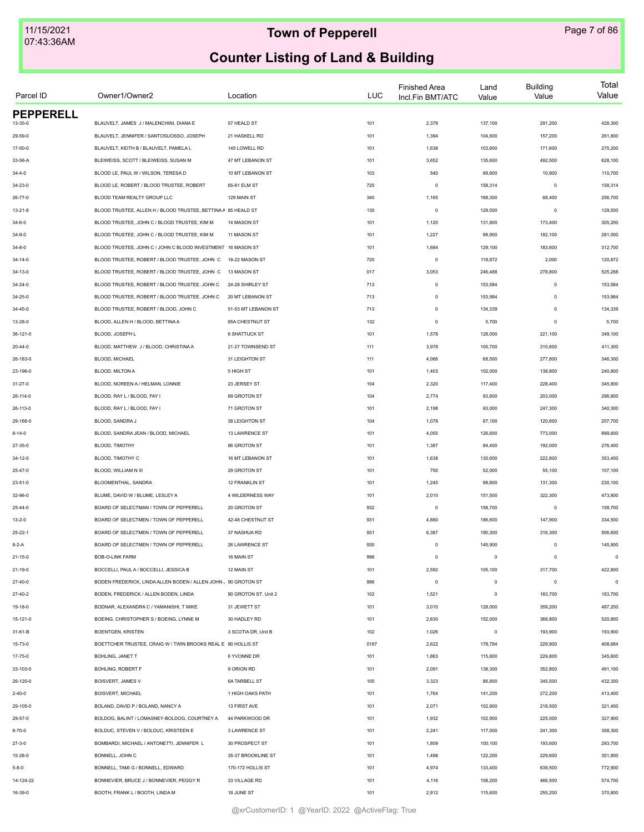| Parcel ID        | Owner1/Owner2                                                 | Location             | LUC  | <b>Finished Area</b><br>Incl.Fin BMT/ATC | Land<br>Value | <b>Building</b><br>Value | Total<br>Value |
|------------------|---------------------------------------------------------------|----------------------|------|------------------------------------------|---------------|--------------------------|----------------|
| <b>PEPPERELL</b> |                                                               |                      |      |                                          |               |                          |                |
| 13-35-0          | BLAUVELT, JAMES J / MALENCHINI, DIANA E                       | 57 HEALD ST          | 101  | 2,378                                    | 137,100       | 291,200                  | 428,300        |
| 29-59-0          | BLAUVELT, JENNIFER / SANTOSUOSSO, JOSEPH                      | 21 HASKELL RD        | 101  | 1,394                                    | 104,600       | 157,200                  | 261,800        |
| 17-50-0          | BLAUVELT, KEITH B / BLAUVELT, PAMELA L                        | 145 LOWELL RD        | 101  | 1,638                                    | 103,600       | 171,600                  | 275,200        |
| 33-56-A          | BLEIWEISS, SCOTT / BLEIWEISS, SUSAN M                         | 47 MT LEBANON ST     | 101  | 3,652                                    | 135,600       | 492,500                  | 628,100        |
| $34 - 4 - 0$     | BLOOD LE, PAUL W / WILSON, TERESA D                           | 10 MT LEBANON ST     | 103  | 540                                      | 99,800        | 10,900                   | 110,700        |
| 34-23-0          | BLOOD LE, ROBERT / BLOOD TRUSTEE, ROBERT                      | 65-81 ELM ST         | 720  | $\Omega$                                 | 158,314       | $\circ$                  | 158,314        |
| 26-77-0          | BLOOD TEAM REALTY GROUP LLC                                   | 129 MAIN ST          | 340  | 1,165                                    | 168,300       | 88,400                   | 256,700        |
| $13 - 21 - 8$    | BLOOD TRUSTEE, ALLEN H / BLOOD TRUSTEE, BETTINA A 85 HEALD ST |                      | 130  | $\mathbf 0$                              | 129,500       | $^{\circ}$               | 129,500        |
| $34 - 6 - 0$     | BLOOD TRUSTEE, JOHN C / BLOOD TRUSTEE, KIM M                  | 14 MASON ST          | 101  | 1,120                                    | 131,800       | 173,400                  | 305,200        |
| $34 - 9 - 0$     | BLOOD TRUSTEE, JOHN C / BLOOD TRUSTEE, KIM M                  | 11 MASON ST          | 101  | 1,227                                    | 98,900        | 182,100                  | 281,000        |
| $34 - 8 - 0$     | BLOOD TRUSTEE, JOHN C / JOHN C BLOOD INVESTMENT 16 MASON ST   |                      | 101  | 1,684                                    | 129,100       | 183,600                  | 312,700        |
| 34-14-0          | BLOOD TRUSTEE, ROBERT / BLOOD TRUSTEE, JOHN C                 | 18-22 MASON ST       | 720  | $\circ$                                  | 118,872       | 2,000                    | 120,872        |
| 34-13-0          | BLOOD TRUSTEE, ROBERT / BLOOD TRUSTEE, JOHN C                 | 13 MASON ST          | 017  | 3,053                                    | 246,488       | 278,800                  | 525,288        |
| 34-24-0          | BLOOD TRUSTEE, ROBERT / BLOOD TRUSTEE, JOHN C                 | 24-28 SHIRLEY ST     | 713  | $\mathbf 0$                              | 153,584       | $\circ$                  | 153,584        |
| 34-25-0          | BLOOD TRUSTEE, ROBERT / BLOOD TRUSTEE, JOHN C                 | 20 MT LEBANON ST     | 713  | $\mathbf 0$                              | 153,984       | $^{\circ}$               | 153,984        |
| 34-45-0          | BLOOD TRUSTEE, ROBERT / BLOOD, JOHN C                         | 51-53 MT LEBANON ST  | 713  | $\mathbf 0$                              | 134,339       | $\mathbf 0$              | 134,339        |
| 13-28-0          | BLOOD, ALLEN H / BLOOD, BETTINA A                             | 85A CHESTNUT ST      | 132  | $\mathbf 0$                              | 5,700         | $\mathbf 0$              | 5,700          |
| 36-121-0         | BLOOD, JOSEPH L                                               | <b>6 SHATTUCK ST</b> | 101  | 1,578                                    | 128,000       | 221,100                  | 349,100        |
| 20-44-0          | BLOOD, MATTHEW J / BLOOD, CHRISTINA A                         | 21-27 TOWNSEND ST    | 111  | 3,978                                    | 100,700       | 310,600                  | 411,300        |
| 26-183-0         | BLOOD, MICHAEL                                                | 31 LEIGHTON ST       | 111  | 4,066                                    | 68,500        | 277,800                  | 346,300        |
| 23-196-0         | BLOOD, MILTON A                                               | 5 HIGH ST            | 101  | 1,403                                    | 102,000       | 138,800                  | 240,800        |
| 31-27-0          | BLOOD, NOREEN A / HELMAN, LONNIE                              | 23 JERSEY ST         | 104  | 2,320                                    | 117,400       | 228,400                  | 345,800        |
| 26-114-0         | BLOOD, RAY L / BLOOD, FAY I                                   | 69 GROTON ST         | 104  | 2,774                                    | 93,800        | 203,000                  | 296,800        |
| 26-113-0         | BLOOD, RAY L / BLOOD, FAY I                                   | 71 GROTON ST         | 101  | 2,198                                    | 93,000        | 247,300                  | 340,300        |
| 29-166-0         | BLOOD, SANDRA J                                               | 38 LEIGHTON ST       | 104  | 1,078                                    | 87,100        | 120,600                  | 207,700        |
|                  |                                                               |                      |      |                                          |               |                          |                |
| $8 - 14 - 0$     | BLOOD, SANDRA JEAN / BLOOD, MICHAEL                           | 13 LAWRENCE ST       | 101  | 4,055                                    | 126,600       | 773,000                  | 899,600        |
| 27-35-0          | BLOOD, TIMOTHY                                                | 86 GROTON ST         | 101  | 1,387                                    | 84,400        | 192,000                  | 276,400        |
| 34-12-0          | BLOOD, TIMOTHY C                                              | 16 MT LEBANON ST     | 101  | 1,638                                    | 130,600       | 222,800                  | 353,400        |
| 25-47-0          | BLOOD, WILLIAM N III                                          | 29 GROTON ST         | 101  | 750                                      | 52,000        | 55,100                   | 107,100        |
| $23 - 51 - 0$    | BLOOMENTHAL, SANDRA                                           | 12 FRANKLIN ST       | 101  | 1,245                                    | 98,800        | 131,300                  | 230,100        |
| 32-96-0          | BLUME, DAVID W / BLUME, LESLEY A                              | 4 WILDERNESS WAY     | 101  | 2,010                                    | 151,500       | 322,300                  | 473,800        |
| 25-44-0          | BOARD OF SELECTMAN / TOWN OF PEPPERELL                        | 20 GROTON ST         | 932  | $\mathbf 0$                              | 158,700       | $\mathbf 0$              | 158,700        |
| $13 - 2 - 0$     | BOARD OF SELECTMEN / TOWN OF PEPPERELL                        | 42-48 CHESTNUT ST    | 931  | 4,880                                    | 186,600       | 147,900                  | 334,500        |
| $25 - 22 - 1$    | BOARD OF SELECTMEN / TOWN OF PEPPERELL                        | 37 NASHUA RD         | 931  | 6,387                                    | 190,300       | 316,300                  | 506,600        |
| $8-2-A$          | BOARD OF SELECTMEN / TOWN OF PEPPERELL                        | 26 LAWRENCE ST       | 930  | $\circ$                                  | 145,900       | $\mathbf 0$              | 145,900        |
| 21-15-0          | <b>BOB-O-LINK FARM</b>                                        | 16 MAIN ST           | 996  | $\mathsf 0$                              | $\mathsf 0$   | $\mathbf 0$              | $\mathsf 0$    |
| 21-19-0          | BOCCELLI, PAUL A / BOCCELLI, JESSICA B                        | 12 MAIN ST           | 101  | 2,592                                    | 105,100       | 317,700                  | 422,800        |
| 27-40-0          | BODEN FREDERICK, LINDA ALLEN BODEN / ALLEN JOHN 、90 GROTON ST |                      | 996  | $\mathbf 0$                              | $\mathsf 0$   | $\circ$                  | $\circ$        |
| $27-40-2$        | BODEN, FREDERICK / ALLEN BODEN, LINDA                         | 90 GROTON ST, Unit 2 | 102  | 1,521                                    | $\mathsf 0$   | 183,700                  | 183,700        |
| 19-18-0          | BODNAR, ALEXANDRA C / YAMANISHI, T MIKE                       | 31 JEWETT ST         | 101  | 3,010                                    | 128,000       | 359,200                  | 487,200        |
| 15-121-0         | BOEING, CHRISTOPHER S / BOEING, LYNNE M                       | 30 HADLEY RD         | 101  | 2,630                                    | 152,000       | 368,800                  | 520,800        |
| 31-61-B          | <b>BOENTGEN, KRISTEN</b>                                      | 3 SCOTIA DR, Unit B  | 102  | 1,026                                    | $\mathsf 0$   | 193,900                  | 193,900        |
| 15-73-0          | BOETTCHER TRUSTEE, CRAIG W / TWIN BROOKS REAL E 90 HOLLIS ST  |                      | 0187 | 2,622                                    | 178,784       | 229,900                  | 408,684        |
| 17-75-0          | BOHLING, JANET T                                              | 6 YVONNE DR          | 101  | 1,863                                    | 115,800       | 229,800                  | 345,600        |
| 33-103-0         | BOHLING, ROBERT F                                             | 9 ORION RD           | 101  | 2,091                                    | 138,300       | 352,800                  | 491,100        |
| 26-120-0         | BOISVERT, JAMES V                                             | <b>6A TARBELL ST</b> | 105  | 3,323                                    | 86,800        | 345,500                  | 432,300        |
| $2 - 40 - 0$     | BOISVERT, MICHAEL                                             | 1 HIGH OAKS PATH     | 101  | 1,764                                    | 141,200       | 272,200                  | 413,400        |
| 29-105-0         | BOLAND, DAVID P / BOLAND, NANCY A                             | 13 FIRST AVE         | 101  | 2,071                                    | 102,900       | 218,500                  | 321,400        |
| 29-57-0          | BOLDOG, BALINT / LOMASNEY-BOLDOG, COURTNEY A                  | 44 PARKWOOD DR       | 101  | 1,932                                    | 102,900       | 225,000                  | 327,900        |
| $8 - 70 - 0$     | BOLDUC, STEVEN V / BOLDUC, KRISTEEN E                         | 3 LAWRENCE ST        | 101  | 2,241                                    | 117,000       | 241,300                  | 358,300        |
| $27 - 3 - 0$     | BOMBARDI, MICHAEL / ANTONETTI, JENNIFER L                     | 30 PROSPECT ST       | 101  | 1,809                                    | 100,100       | 193,600                  | 293,700        |
|                  | BONNELL, JOHN C                                               | 35-37 BROOKLINE ST   | 101  | 1,498                                    | 122,200       | 229,600                  | 351,800        |
| 15-28-0          | BONNELL, TAMI G / BONNELL, EDWARD                             | 170-172 HOLLIS ST    | 101  | 4,974                                    |               | 639,500                  | 772,900        |
| $5 - 8 - 0$      |                                                               |                      |      |                                          | 133,400       |                          |                |
| 14-124-22        | BONNEVIER, BRUCE J / BONNEVIER, PEGGY R                       | 33 VILLAGE RD        | 101  | 4,116                                    | 108,200       | 466,500                  | 574,700        |
| 16-39-0          | BOOTH, FRANK L / BOOTH, LINDA M                               | 18 JUNE ST           | 101  | 2,912                                    | 115,600       | 255,200                  | 370,800        |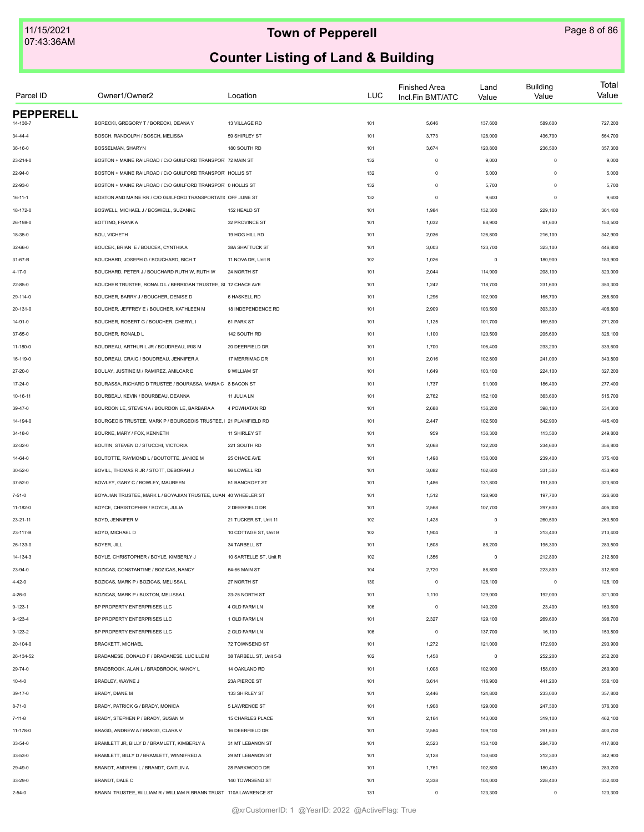| Parcel ID                    | Owner1/Owner2                                                                                                            | Location                | <b>LUC</b> | <b>Finished Area</b><br>Incl.Fin BMT/ATC | Land<br>Value    | <b>Building</b><br>Value | Total<br>Value |
|------------------------------|--------------------------------------------------------------------------------------------------------------------------|-------------------------|------------|------------------------------------------|------------------|--------------------------|----------------|
| <b>PEPPERELL</b><br>14-130-7 | BORECKI, GREGORY T / BORECKI, DEANA Y                                                                                    | 13 VILLAGE RD           | 101        | 5,646                                    | 137,600          | 589,600                  | 727,200        |
| 34-44-4                      | BOSCH, RANDOLPH / BOSCH, MELISSA                                                                                         | 59 SHIRLEY ST           | 101        | 3,773                                    | 128,000          | 436,700                  | 564,700        |
| 36-16-0                      | BOSSELMAN, SHARYN                                                                                                        | 180 SOUTH RD            | 101        | 3,674                                    | 120,800          | 236,500                  | 357,300        |
| 23-214-0                     | BOSTON + MAINE RAILROAD / C/O GUILFORD TRANSPOR 72 MAIN ST                                                               |                         |            | $\mathsf 0$                              | 9,000            | $\mathbf 0$              | 9,000          |
|                              |                                                                                                                          |                         | 132        |                                          |                  | $\mathbf 0$              |                |
| 22-94-0                      | BOSTON + MAINE RAILROAD / C/O GUILFORD TRANSPOR HOLLIS ST<br>BOSTON + MAINE RAILROAD / C/O GUILFORD TRANSPOR 0 HOLLIS ST |                         | 132        | $\mathsf 0$                              | 5,000<br>5,700   | $\Omega$                 | 5,000<br>5,700 |
| 22-93-0                      |                                                                                                                          |                         | 132        | $\mathsf 0$                              |                  | $\Omega$                 |                |
| $16 - 11 - 1$                | BOSTON AND MAINE RR / C/O GUILFORD TRANSPORTATI( OFF JUNE ST<br>BOSWELL, MICHAEL J / BOSWELL, SUZANNE                    | 152 HEALD ST            | 132        | $\mathsf 0$<br>1,984                     | 9,600<br>132,300 |                          | 9,600          |
| 18-172-0                     |                                                                                                                          |                         | 101        |                                          |                  | 229,100                  | 361,400        |
| 26-198-0                     | BOTTINO, FRANK A                                                                                                         | 32 PROVINCE ST          | 101        | 1,032                                    | 88,900           | 61,600                   | 150,500        |
| 18-35-0                      | BOU, VICHETH                                                                                                             | 19 HOG HILL RD          | 101        | 2,036                                    | 126,800          | 216,100                  | 342,900        |
| 32-66-0                      | BOUCEK, BRIAN E / BOUCEK, CYNTHIA A                                                                                      | 38A SHATTUCK ST         | 101        | 3,003                                    | 123,700          | 323,100                  | 446,800        |
| 31-67-B                      | BOUCHARD, JOSEPH G / BOUCHARD, BICH T                                                                                    | 11 NOVA DR, Unit B      | 102        | 1,026                                    | $\mathsf 0$      | 180,900                  | 180,900        |
| $4 - 17 - 0$                 | BOUCHARD, PETER J / BOUCHARD RUTH W, RUTH W                                                                              | 24 NORTH ST             | 101        | 2,044                                    | 114,900          | 208,100                  | 323,000        |
| 22-85-0                      | BOUCHER TRUSTEE, RONALD L / BERRIGAN TRUSTEE, SI 12 CHACE AVE                                                            |                         | 101        | 1,242                                    | 118,700          | 231,600                  | 350,300        |
| 29-114-0                     | BOUCHER, BARRY J / BOUCHER, DENISE D                                                                                     | 6 HASKELL RD            | 101        | 1,296                                    | 102,900          | 165,700                  | 268,600        |
| 20-131-0                     | BOUCHER. JEFFREY E / BOUCHER. KATHLEEN M                                                                                 | 18 INDEPENDENCE RD      | 101        | 2,909                                    | 103,500          | 303,300                  | 406,800        |
| 14-91-0                      | BOUCHER, ROBERT G / BOUCHER, CHERYL I                                                                                    | 61 PARK ST              | 101        | 1,125                                    | 101,700          | 169,500                  | 271,200        |
| 37-65-0                      | BOUCHER, RONALD L                                                                                                        | 142 SOUTH RD            | 101        | 1,100                                    | 120,500          | 205,600                  | 326,100        |
| 11-180-0                     | BOUDREAU, ARTHUR L JR / BOUDREAU, IRIS M                                                                                 | 20 DEERFIELD DR         | 101        | 1,700                                    | 106,400          | 233,200                  | 339,600        |
| 16-119-0                     | BOUDREAU, CRAIG / BOUDREAU, JENNIFER A                                                                                   | 17 MERRIMAC DR          | 101        | 2,016                                    | 102,800          | 241,000                  | 343,800        |
| 27-20-0                      | BOULAY, JUSTINE M / RAMIREZ, AMILCAR E                                                                                   | 9 WILLIAM ST            | 101        | 1,649                                    | 103,100          | 224,100                  | 327,200        |
| 17-24-0                      | BOURASSA, RICHARD D TRUSTEE / BOURASSA, MARIA C 8 BACON ST                                                               |                         | 101        | 1,737                                    | 91,000           | 186,400                  | 277,400        |
| 10-16-11                     | BOURBEAU, KEVIN / BOURBEAU, DEANNA                                                                                       | 11 JULIA LN             | 101        | 2,762                                    | 152,100          | 363,600                  | 515,700        |
| 39-47-0                      | BOURDON LE, STEVEN A / BOURDON LE, BARBARA A                                                                             | 4 POWHATAN RD           | 101        | 2,688                                    | 136,200          | 398,100                  | 534,300        |
| 14-194-0                     | BOURGEOIS TRUSTEE, MARK P / BOURGEOIS TRUSTEE,   21 PLAINFIELD RD                                                        |                         | 101        | 2,447                                    | 102,500          | 342,900                  | 445,400        |
| $34 - 18 - 0$                | BOURKE, MARY / FOX, KENNETH                                                                                              | 11 SHIRLEY ST           | 101        | 959                                      | 136,300          | 113,500                  | 249,800        |
| 32-32-0                      | BOUTIN, STEVEN D / STUCCHI, VICTORIA                                                                                     | 221 SOUTH RD            | 101        | 2,068                                    | 122,200          | 234,600                  | 356,800        |
| 14-64-0                      | BOUTOTTE, RAYMOND L / BOUTOTTE, JANICE M                                                                                 | 25 CHACE AVE            | 101        | 1,498                                    | 136,000          | 239,400                  | 375,400        |
| 30-52-0                      | BOVILL, THOMAS R JR / STOTT, DEBORAH J                                                                                   | 96 LOWELL RD            | 101        | 3,082                                    | 102,600          | 331,300                  | 433,900        |
| $37 - 52 - 0$                | BOWLEY, GARY C / BOWLEY, MAUREEN                                                                                         | 51 BANCROFT ST          | 101        | 1,486                                    | 131,800          | 191,800                  | 323,600        |
| $7 - 51 - 0$                 | BOYAJIAN TRUSTEE, MARK L / BOYAJIAN TRUSTEE, LUAN 40 WHEELER ST                                                          |                         | 101        | 1,512                                    | 128,900          | 197,700                  | 326,600        |
| 11-182-0                     | BOYCE, CHRISTOPHER / BOYCE, JULIA                                                                                        | 2 DEERFIELD DR          | 101        | 2,568                                    | 107,700          | 297,600                  | 405,300        |
| 23-21-11                     | BOYD, JENNIFER M                                                                                                         | 21 TUCKER ST, Unit 11   | 102        | 1,428                                    | $\circ$          | 260,500                  | 260,500        |
| 23-117-B                     | BOYD, MICHAEL D                                                                                                          | 10 COTTAGE ST, Unit B   | 102        | 1,904                                    | $\circ$          | 213,400                  | 213,400        |
| 26-133-0                     | BOYER, JILL                                                                                                              | 34 TARBELL ST           | 101        | 1,508                                    | 88,200           | 195,300                  | 283,500        |
| 14-134-3                     | BOYLE, CHRISTOPHER / BOYLE, KIMBERLY J                                                                                   | 10 SARTELLE ST, Unit R  | 102        | 1,356                                    | $\mathsf 0$      | 212,800                  | 212,800        |
| 23-94-0                      | BOZICAS, CONSTANTINE / BOZICAS, NANCY                                                                                    | 64-66 MAIN ST           | 104        | 2,720                                    | 88,800           | 223,800                  | 312,600        |
| $4 - 42 - 0$                 | BOZICAS, MARK P / BOZICAS, MELISSA L                                                                                     | 27 NORTH ST             | 130        | $\mathsf 0$                              | 128,100          | $\circ$                  | 128,100        |
| $4 - 26 - 0$                 | BOZICAS, MARK P / BUXTON, MELISSA L                                                                                      | 23-25 NORTH ST          | 101        | 1,110                                    | 129,000          | 192,000                  | 321,000        |
| $9 - 123 - 1$                | BP PROPERTY ENTERPRISES LLC                                                                                              | 4 OLD FARM LN           | 106        | $\mathsf 0$                              | 140,200          | 23,400                   | 163,600        |
| $9 - 123 - 4$                | BP PROPERTY ENTERPRISES LLC                                                                                              | 1 OLD FARM LN           | 101        | 2,327                                    | 129,100          | 269,600                  | 398,700        |
| 9-123-2                      | BP PROPERTY ENTERPRISES LLC                                                                                              | 2 OLD FARM LN           | 106        | 0                                        | 137,700          | 16,100                   | 153,800        |
| 20-104-0                     | <b>BRACKETT, MICHAEL</b>                                                                                                 | 72 TOWNSEND ST          | 101        | 1,272                                    | 121,000          | 172,900                  | 293,900        |
| 26-134-52                    | BRADANESE, DONALD F / BRADANESE, LUCILLE M                                                                               | 38 TARBELL ST, Unit 5-B | 102        | 1,458                                    | $\mathsf 0$      | 252,200                  | 252,200        |
| 29-74-0                      | BRADBROOK, ALAN L / BRADBROOK, NANCY L                                                                                   | 14 OAKLAND RD           | 101        | 1,008                                    | 102,900          | 158,000                  | 260,900        |
| $10 - 4 - 0$                 | BRADLEY, WAYNE J                                                                                                         | 23A PIERCE ST           | 101        | 3,614                                    | 116,900          | 441,200                  | 558,100        |
| 39-17-0                      | BRADY, DIANE M                                                                                                           | 133 SHIRLEY ST          | 101        | 2,446                                    | 124,800          | 233,000                  | 357,800        |
| $8 - 71 - 0$                 | BRADY, PATRICK G / BRADY, MONICA                                                                                         | 5 LAWRENCE ST           | 101        | 1,908                                    | 129,000          | 247,300                  | 376,300        |
| $7 - 11 - 8$                 | BRADY, STEPHEN P / BRADY, SUSAN M                                                                                        | 15 CHARLES PLACE        | 101        | 2,164                                    | 143,000          | 319,100                  | 462,100        |
| 11-178-0                     | BRAGG, ANDREW A / BRAGG, CLARA V                                                                                         | 16 DEERFIELD DR         | 101        | 2,584                                    | 109,100          | 291,600                  | 400,700        |
| 33-54-0                      | BRAMLETT JR, BILLY D / BRAMLETT, KIMBERLY A                                                                              | 31 MT LEBANON ST        | 101        | 2,523                                    | 133,100          | 284,700                  | 417,800        |
|                              | BRAMLETT, BILLY D / BRAMLETT, WINNIFRED A                                                                                | 29 MT LEBANON ST        | 101        | 2,128                                    | 130,600          | 212,300                  | 342,900        |
| 33-53-0<br>29-49-0           | BRANDT, ANDREW L / BRANDT, CAITLIN A                                                                                     | 28 PARKWOOD DR          | 101        | 1,761                                    | 102,800          | 180,400                  | 283,200        |
|                              | BRANDT, DALE C                                                                                                           | 140 TOWNSEND ST         | 101        | 2,338                                    |                  | 228,400                  | 332,400        |
| 33-29-0                      |                                                                                                                          |                         |            |                                          | 104,000          |                          |                |
| $2 - 54 - 0$                 | BRANN TRUSTEE, WILLIAM R / WILLIAM R BRANN TRUST 110A LAWRENCE ST                                                        |                         | 131        | $\mathsf 0$                              | 123,300          | $\mathbf 0$              | 123,300        |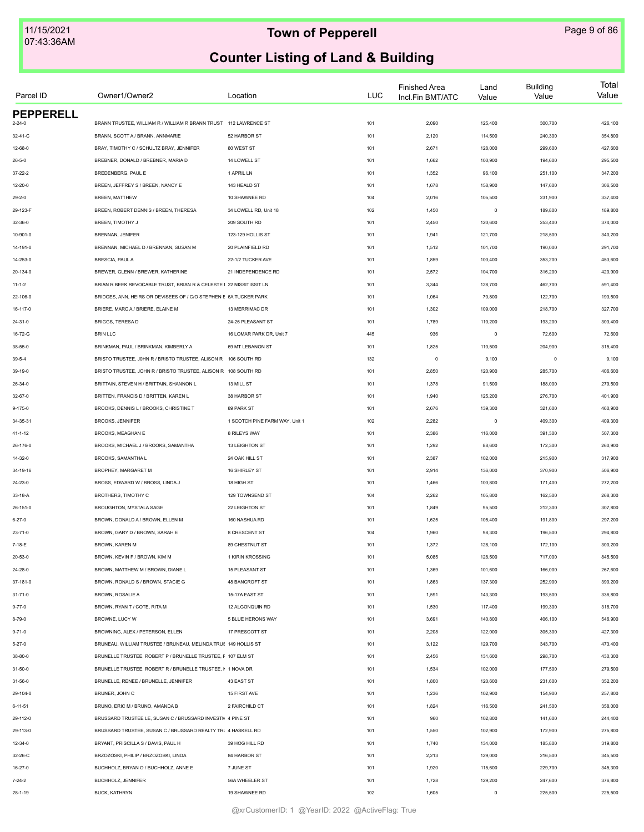| Parcel ID        | Owner1/Owner2                                                       | Location                       | LUC | <b>Finished Area</b><br>Incl.Fin BMT/ATC | Land<br>Value | <b>Building</b><br>Value | Total<br>Value |
|------------------|---------------------------------------------------------------------|--------------------------------|-----|------------------------------------------|---------------|--------------------------|----------------|
| <b>PEPPERELL</b> | BRANN TRUSTEE, WILLIAM R / WILLIAM R BRANN TRUST                    | 112 LAWRENCE ST                |     | 2,090                                    | 125,400       | 300,700                  | 426,100        |
| $2 - 24 - 0$     |                                                                     |                                | 101 |                                          |               |                          |                |
| 32-41-C          | BRANN, SCOTT A / BRANN, ANNMARIE                                    | 52 HARBOR ST                   | 101 | 2,120                                    | 114,500       | 240,300                  | 354,800        |
| 12-68-0          | BRAY, TIMOTHY C / SCHULTZ BRAY, JENNIFER                            | 80 WEST ST                     | 101 | 2,671                                    | 128,000       | 299,600                  | 427,600        |
| $26 - 5 - 0$     | BREBNER, DONALD / BREBNER, MARIA D                                  | 14 LOWELL ST                   | 101 | 1,662                                    | 100,900       | 194,600                  | 295,500        |
| $37 - 22 - 2$    | BREDENBERG, PAUL E                                                  | 1 APRIL LN                     | 101 | 1,352                                    | 96,100        | 251,100                  | 347,200        |
| 12-20-0          | BREEN, JEFFREY S / BREEN, NANCY E                                   | 143 HEALD ST                   | 101 | 1,678                                    | 158,900       | 147,600                  | 306,500        |
| $29 - 2 - 0$     | <b>BREEN, MATTHEW</b>                                               | 10 SHAWNEE RD                  | 104 | 2,016                                    | 105,500       | 231,900                  | 337,400        |
| 29-123-F         | BREEN, ROBERT DENNIS / BREEN, THERESA                               | 34 LOWELL RD, Unit 18          | 102 | 1,450                                    | $\mathbf 0$   | 189,800                  | 189,800        |
| 32-36-0          | BREEN. TIMOTHY J                                                    | 209 SOUTH RD                   | 101 | 2,450                                    | 120,600       | 253,400                  | 374,000        |
| 10-901-0         | BRENNAN, JENIFER                                                    | 123-129 HOLLIS ST              | 101 | 1,941                                    | 121,700       | 218,500                  | 340,200        |
| 14-191-0         | BRENNAN, MICHAEL D / BRENNAN, SUSAN M                               | 20 PLAINFIELD RD               | 101 | 1,512                                    | 101,700       | 190,000                  | 291,700        |
| 14-253-0         | BRESCIA, PAUL A                                                     | 22-1/2 TUCKER AVE              | 101 | 1,859                                    | 100,400       | 353,200                  | 453,600        |
| 20-134-0         | BREWER, GLENN / BREWER, KATHERINE                                   | 21 INDEPENDENCE RD             | 101 | 2,572                                    | 104,700       | 316,200                  | 420,900        |
| $11 - 1 - 2$     | BRIAN R BEEK REVOCABLE TRUST, BRIAN R & CELESTE I 22 NISSITISSIT LN |                                | 101 | 3,344                                    | 128,700       | 462,700                  | 591,400        |
| 22-106-0         | BRIDGES, ANN, HEIRS OR DEVISEES OF / C/O STEPHEN E 6A TUCKER PARK   |                                | 101 | 1,064                                    | 70,800        | 122,700                  | 193,500        |
| 16-117-0         | BRIERE, MARC A / BRIERE, ELAINE M                                   | 13 MERRIMAC DR                 | 101 | 1,302                                    | 109,000       | 218,700                  | 327,700        |
| $24 - 31 - 0$    | BRIGGS, TERESA D                                                    | 24-26 PLEASANT ST              | 101 | 1,789                                    | 110,200       | 193,200                  | 303,400        |
| 16-72-G          | <b>BRIN LLC</b>                                                     | 16 LOMAR PARK DR, Unit 7       | 445 | 936                                      | $\mathbf 0$   | 72,600                   | 72,600         |
| 38-55-0          | BRINKMAN, PAUL / BRINKMAN, KIMBERLY A                               | 69 MT LEBANON ST               | 101 | 1,825                                    | 110,500       | 204,900                  | 315,400        |
| $39-5-4$         | BRISTO TRUSTEE, J0HN R / BRISTO TRUSTEE, ALISON R 106 SOUTH RD      |                                | 132 | $\mathsf 0$                              | 9,100         | $\mathbf 0$              | 9,100          |
| 39-19-0          | BRISTO TRUSTEE, JOHN R / BRISTO TRUSTEE, ALISON R 108 SOUTH RD      |                                | 101 | 2,850                                    | 120,900       | 285,700                  | 406,600        |
| 26-34-0          | BRITTAIN, STEVEN H / BRITTAIN, SHANNON L                            | 13 MILL ST                     | 101 | 1,378                                    | 91,500        | 188,000                  | 279,500        |
| 32-67-0          | BRITTEN, FRANCIS D / BRITTEN, KAREN L                               | 38 HARBOR ST                   | 101 | 1,940                                    | 125,200       | 276,700                  | 401,900        |
| $9 - 175 - 0$    | BROOKS, DENNIS L / BROOKS, CHRISTINE T                              | 89 PARK ST                     | 101 | 2,676                                    | 139,300       | 321,600                  | 460,900        |
| 34-35-31         | BROOKS, JENNIFER                                                    | 1 SCOTCH PINE FARM WAY, Unit 1 | 102 | 2,282                                    | $\,0\,$       | 409,300                  | 409,300        |
| $41 - 1 - 12$    | BROOKS, MEAGHAN E                                                   | 8 RILEYS WAY                   | 101 | 2,386                                    | 116,000       | 391,300                  | 507,300        |
| 26-176-0         | BROOKS, MICHAEL J / BROOKS, SAMANTHA                                | 13 LEIGHTON ST                 | 101 | 1,292                                    | 88,600        | 172,300                  | 260,900        |
| 14-32-0          | BROOKS, SAMANTHA L                                                  | 24 OAK HILL ST                 | 101 | 2,387                                    | 102,000       | 215,900                  | 317,900        |
|                  | BROPHEY, MARGARET M                                                 | 16 SHIRLEY ST                  |     | 2,914                                    |               | 370,900                  |                |
| 34-19-16         |                                                                     |                                | 101 |                                          | 136,000       |                          | 506,900        |
| 24-23-0          | BROSS, EDWARD W / BROSS, LINDA J                                    | 18 HIGH ST                     | 101 | 1,466                                    | 100,800       | 171,400                  | 272,200        |
| 33-18-A          | <b>BROTHERS, TIMOTHY C</b>                                          | 129 TOWNSEND ST                | 104 | 2,262                                    | 105,800       | 162,500                  | 268,300        |
| 26-151-0         | BROUGHTON, MYSTALA SAGE                                             | 22 LEIGHTON ST                 | 101 | 1,849                                    | 95,500        | 212,300                  | 307,800        |
| $6 - 27 - 0$     | BROWN, DONALD A / BROWN, ELLEN M                                    | 160 NASHUA RD                  | 101 | 1,625                                    | 105,400       | 191,800                  | 297,200        |
| 23-71-0          | BROWN, GARY D / BROWN, SARAH E                                      | 8 CRESCENT ST                  | 104 | 1,960                                    | 98,300        | 196,500                  | 294,800        |
| 7-18-E           | BROWN, KAREN M                                                      | 89 CHESTNUT ST                 | 101 | 1,372                                    | 128,100       | 172,100                  | 300,200        |
| 20-53-0          | BROWN, KEVIN F / BROWN, KIM M                                       | 1 KIRIN KROSSING               | 101 | 5,085                                    | 128,500       | 717,000                  | 845,500        |
| 24-28-0          | BROWN, MATTHEW M / BROWN, DIANE L                                   | 15 PLEASANT ST                 | 101 | 1,369                                    | 101,600       | 166,000                  | 267,600        |
| 37-181-0         | BROWN, RONALD S / BROWN, STACIE G                                   | 48 BANCROFT ST                 | 101 | 1,863                                    | 137,300       | 252,900                  | 390,200        |
| $31 - 71 - 0$    | BROWN, ROSALIE A                                                    | 15-17A EAST ST                 | 101 | 1,591                                    | 143,300       | 193,500                  | 336,800        |
| $9 - 77 - 0$     | BROWN, RYAN T / COTE, RITA M                                        | 12 ALGONQUIN RD                | 101 | 1,530                                    | 117,400       | 199,300                  | 316,700        |
| 8-79-0           | BROWNE, LUCY W                                                      | 5 BLUE HERONS WAY              | 101 | 3,691                                    | 140,800       | 406,100                  | 546,900        |
| $9 - 71 - 0$     | BROWNING, ALEX / PETERSON, ELLEN                                    | 17 PRESCOTT ST                 | 101 | 2,208                                    | 122,000       | 305,300                  | 427,300        |
| $5 - 27 - 0$     | BRUNEAU, WILLIAM TRUSTEE / BRUNEAU, MELINDA TRUS 149 HOLLIS ST      |                                | 101 | 3,122                                    | 129,700       | 343,700                  | 473,400        |
| 38-80-0          | BRUNELLE TRUSTEE, ROBERT P / BRUNELLE TRUSTEE, F 107 ELM ST         |                                | 101 | 2,456                                    | 131,600       | 298,700                  | 430,300        |
| $31 - 50 - 0$    | BRUNELLE TRUSTEE, ROBERT R / BRUNELLE TRUSTEE, I 1 NOVA DR          |                                | 101 | 1,534                                    | 102,000       | 177,500                  | 279,500        |
| 31-56-0          | BRUNELLE, RENEE / BRUNELLE, JENNIFER                                | 43 EAST ST                     | 101 | 1,800                                    | 120,600       | 231,600                  | 352,200        |
| 29-104-0         | BRUNER, JOHN C                                                      | 15 FIRST AVE                   | 101 | 1,236                                    | 102,900       | 154,900                  | 257,800        |
| $6 - 11 - 51$    | BRUNO, ERIC M / BRUNO, AMANDA B                                     | 2 FAIRCHILD CT                 | 101 | 1,824                                    | 116,500       | 241,500                  | 358,000        |
| 29-112-0         | BRUSSARD TRUSTEE LE, SUSAN C / BRUSSARD INVESTIV 4 PINE ST          |                                | 101 | 960                                      | 102,800       | 141,600                  | 244,400        |
| 29-113-0         | BRUSSARD TRUSTEE, SUSAN C / BRUSSARD REALTY TRI 4 HASKELL RD        |                                | 101 | 1,550                                    | 102,900       | 172,900                  | 275,800        |
| 12-34-0          | BRYANT, PRISCILLA S / DAVIS, PAUL H                                 | 39 HOG HILL RD                 | 101 | 1,740                                    | 134,000       | 185,800                  | 319,800        |
| 32-26-C          | BRZOZOSKI, PHILIP / BRZOZOSKI, LINDA                                | 84 HARBOR ST                   | 101 | 2,213                                    | 129,000       | 216,500                  | 345,500        |
| $16 - 27 - 0$    | BUCHHOLZ, BRYAN O / BUCHHOLZ, ANNE E                                | 7 JUNE ST                      | 101 | 1,920                                    | 115,600       | 229,700                  | 345,300        |
| $7 - 24 - 2$     | BUCHHOLZ, JENNIFER                                                  | 56A WHEELER ST                 | 101 | 1,728                                    | 129,200       | 247,600                  | 376,800        |
| $28 - 1 - 19$    | BUCK, KATHRYN                                                       | 19 SHAWNEE RD                  | 102 | 1,605                                    | $\mathsf 0$   | 225,500                  | 225,500        |
|                  |                                                                     |                                |     |                                          |               |                          |                |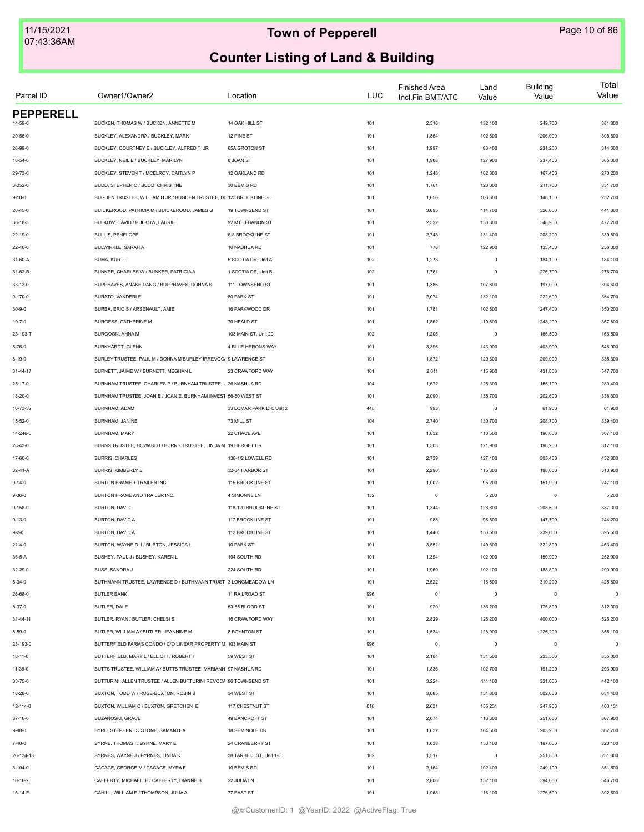| Parcel ID        | Owner1/Owner2                                                     | Location                 | <b>LUC</b> | <b>Finished Area</b><br>Incl.Fin BMT/ATC | Land<br>Value | <b>Building</b><br>Value | Total<br>Value |
|------------------|-------------------------------------------------------------------|--------------------------|------------|------------------------------------------|---------------|--------------------------|----------------|
| <b>PEPPERELL</b> |                                                                   |                          |            |                                          |               |                          |                |
| 14-59-0          | BUCKEN, THOMAS W / BUCKEN, ANNETTE M                              | 14 OAK HILL ST           | 101        | 2,516                                    | 132,100       | 249,700                  | 381,800        |
| 29-56-0          | BUCKLEY, ALEXANDRA / BUCKLEY, MARK                                | 12 PINE ST               | 101        | 1,864                                    | 102,800       | 206,000                  | 308,800        |
| 26-99-0          | BUCKLEY, COURTNEY E / BUCKLEY, ALFRED T JR                        | 65A GROTON ST            | 101        | 1,997                                    | 83,400        | 231,200                  | 314,600        |
| $16 - 54 - 0$    | BUCKLEY, NEIL E / BUCKLEY, MARILYN                                | 8 JOAN ST                | 101        | 1,908                                    | 127,900       | 237,400                  | 365,300        |
| 29-73-0          | BUCKLEY, STEVEN T / MCELROY, CAITLYN P                            | 12 OAKLAND RD            | 101        | 1,248                                    | 102,800       | 167,400                  | 270,200        |
| $3 - 252 - 0$    | BUDD, STEPHEN C / BUDD, CHRISTINE                                 | 30 BEMIS RD              | 101        | 1,761                                    | 120,000       | 211,700                  | 331,700        |
| $9 - 10 - 0$     | BUGDEN TRUSTEE, WILLIAM H JR / BUGDEN TRUSTEE, G 123 BROOKLINE ST |                          | 101        | 1,056                                    | 106,600       | 146,100                  | 252,700        |
| 20-45-0          | BUICKEROOD, PATRICIA M / BUICKEROOD, JAMES G                      | 19 TOWNSEND ST           | 101        | 3,695                                    | 114,700       | 326,600                  | 441,300        |
| $38 - 18 - 5$    | BULKOW, DAVID / BULKOW, LAURIE                                    | 92 MT LEBANON ST         | 101        | 2,522                                    | 130,300       | 346,900                  | 477,200        |
| 22-19-0          | BULLIS, PENELOPE                                                  | 6-8 BROOKLINE ST         | 101        | 2,748                                    | 131,400       | 208,200                  | 339,600        |
| 22-40-0          | BULWINKLE, SARAH A                                                | 10 NASHUA RD             | 101        | 776                                      | 122,900       | 133,400                  | 256,300        |
| 31-60-A          | BUMA, KURT L                                                      | 5 SCOTIA DR, Unit A      | 102        | 1,273                                    | $\mathsf 0$   | 184,100                  | 184,100        |
| 31-62-B          | BUNKER, CHARLES W / BUNKER, PATRICIA A                            | 1 SCOTIA DR, Unit B      | 102        | 1,761                                    | $\pmb{0}$     | 276,700                  | 276,700        |
| 33-13-0          | BUPPHAVES, ANAKE DANG / BUPPHAVES, DONNA S                        | 111 TOWNSEND ST          | 101        | 1,386                                    | 107,600       | 197,000                  | 304,600        |
| $9 - 170 - 0$    | BURATO, VANDERLEI                                                 | 80 PARK ST               | 101        | 2,074                                    | 132,100       | 222,600                  | 354,700        |
| $30 - 9 - 0$     | BURBA, ERIC S / ARSENAULT, AMIE                                   | 16 PARKWOOD DR           | 101        | 1,781                                    | 102,800       | 247,400                  | 350,200        |
| 19-7-0           | BURGESS, CATHERINE M                                              | 70 HEALD ST              | 101        | 1,862                                    | 119,600       | 248,200                  | 367,800        |
| 23-193-T         | BURGOON, ANNA M                                                   | 103 MAIN ST, Unit 20     | 102        | 1,206                                    | $\mathsf 0$   | 166,500                  | 166,500        |
| $8 - 76 - 0$     | BURKHARDT, GLENN                                                  | 4 BLUE HERONS WAY        | 101        | 3,396                                    | 143,000       | 403,900                  | 546,900        |
| 8-19-0           | BURLEY TRUSTEE, PAUL M / DONNA M BURLEY IRREVOC. 9 LAWRENCE ST    |                          | 101        | 1,872                                    | 129,300       | 209,000                  | 338,300        |
| 31-44-17         | BURNETT, JAIME W / BURNETT, MEGHAN L                              | 23 CRAWFORD WAY          | 101        | 2,611                                    | 115,900       | 431,800                  | 547,700        |
| $25 - 17 - 0$    | BURNHAM TRUSTEE, CHARLES P / BURNHAM TRUSTEE, 、26 NASHUA RD       |                          | 104        | 1,672                                    | 125,300       | 155,100                  | 280,400        |
| 18-20-0          | BURNHAM TRUSTEE, JOAN E / JOAN E. BURNHAM INVES1 56-60 WEST ST    |                          | 101        | 2,090                                    | 135,700       | 202,600                  | 338,300        |
| 16-73-32         | BURNHAM, ADAM                                                     | 33 LOMAR PARK DR, Unit 2 | 445        | 993                                      | $\mathsf 0$   | 61,900                   | 61,900         |
| $15 - 52 - 0$    | BURNHAM, JANINE                                                   | 73 MILL ST               | 104        | 2,740                                    | 130,700       | 208,700                  | 339,400        |
| 14-246-0         | BURNHAM, MARY                                                     | 22 CHACE AVE             | 101        | 1,832                                    | 110,500       | 196,600                  | 307,100        |
|                  | BURNS TRUSTEE, HOWARD I / BURNS TRUSTEE, LINDA M 19 HERGET DR     |                          | 101        | 1,503                                    | 121,900       | 190,200                  | 312,100        |
| 28-43-0          | <b>BURRIS, CHARLES</b>                                            | 138-1/2 LOWELL RD        | 101        | 2,739                                    | 127,400       | 305,400                  | 432,800        |
| 17-60-0          |                                                                   |                          |            |                                          |               |                          |                |
| 32-41-A          | BURRIS, KIMBERLY E                                                | 32-34 HARBOR ST          | 101        | 2,290                                    | 115,300       | 198,600                  | 313,900        |
| $9 - 14 - 0$     | BURTON FRAME + TRAILER INC                                        | 115 BROOKLINE ST         | 101        | 1,002                                    | 95,200        | 151,900                  | 247,100        |
| $9 - 36 - 0$     | BURTON FRAME AND TRAILER INC.                                     | 4 SIMONNE LN             | 132        | $\circ$                                  | 5,200         | $\circ$                  | 5,200          |
| $9 - 158 - 0$    | BURTON, DAVID                                                     | 118-120 BROOKLINE ST     | 101        | 1,344                                    | 128,800       | 208,500                  | 337,300        |
| $9 - 13 - 0$     | BURTON, DAVID A                                                   | 117 BROOKLINE ST         | 101        | 988                                      | 96,500        | 147,700                  | 244,200        |
| $9 - 2 - 0$      | BURTON, DAVID A                                                   | 112 BROOKLINE ST         | 101        | 1,440                                    | 156,500       | 239,000                  | 395,500        |
| $21 - 4 - 0$     | BURTON, WAYNE D II / BURTON, JESSICA L                            | 10 PARK ST               | 101        | 3,552                                    | 140,600       | 322,800                  | 463,400        |
| 36-5-A           | BUSHEY, PAUL J / BUSHEY, KAREN L                                  | 194 SOUTH RD             | 101        | 1,394                                    | 102,000       | 150,900                  | 252,900        |
| 32-29-0          | <b>BUSS, SANDRA J</b>                                             | 224 SOUTH RD             | 101        | 1,960                                    | 102,100       | 188,800                  | 290,900        |
| $6 - 34 - 0$     | BUTHMANN TRUSTEE, LAWRENCE D / BUTHMANN TRUST 3 LONGMEADOW LN     |                          | 101        | 2,522                                    | 115,600       | 310,200                  | 425,800        |
| 26-68-0          | <b>BUTLER BANK</b>                                                | 11 RAILROAD ST           | 996        | $\mathbb O$                              | $\mathsf 0$   | $\circ$                  | $\circ$        |
| $8 - 37 - 0$     | BUTLER, DALE                                                      | 53-55 BLOOD ST           | 101        | 920                                      | 136,200       | 175,800                  | 312,000        |
| $31 - 44 - 11$   | BUTLER, RYAN / BUTLER, CHELSI S                                   | 16 CRAWFORD WAY          | 101        | 2,829                                    | 126,200       | 400,000                  | 526,200        |
| 8-59-0           | BUTLER, WILLIAM A / BUTLER, JEANNINE M                            | 8 BOYNTON ST             | 101        | 1,534                                    | 128,900       | 226,200                  | 355,100        |
| 23-193-0         | BUTTERFIELD FARMS CONDO / C/O LINEAR PROPERTY M 103 MAIN ST       |                          | 996        | $\circ$                                  | $\mathsf 0$   | $\circ$                  | $\circ$        |
| $18 - 11 - 0$    | BUTTERFIELD, MARY L / ELLIOTT, ROBERT T                           | 59 WEST ST               | 101        | 2,184                                    | 131,500       | 223,500                  | 355,000        |
| 11-36-0          | BUTTS TRUSTEE, WILLIAM A / BUTTS TRUSTEE, MARIANN 97 NASHUA RD    |                          | 101        | 1,836                                    | 102,700       | 191,200                  | 293,900        |
| 33-75-0          | BUTTURINI, ALLEN TRUSTEE / ALLEN BUTTURINI REVOC/ 96 TOWNSEND ST  |                          | 101        | 3,224                                    | 111,100       | 331,000                  | 442,100        |
| 18-28-0          | BUXTON, TODD W / ROSE-BUXTON, ROBIN B                             | 34 WEST ST               | 101        | 3,085                                    | 131,800       | 502,600                  | 634,400        |
| 12-114-0         | BUXTON, WILLIAM C / BUXTON, GRETCHEN E                            | 117 CHESTNUT ST          | 018        | 2,631                                    | 155,231       | 247,900                  | 403,131        |
| 37-16-0          | BUZANOSKI, GRACE                                                  | 49 BANCROFT ST           | 101        | 2,674                                    | 116,300       | 251,600                  | 367,900        |
| $9 - 88 - 0$     | BYRD, STEPHEN C / STONE, SAMANTHA                                 | 18 SEMINOLE DR           | 101        | 1,632                                    | 104,500       | 203,200                  | 307,700        |
| 7-40-0           | BYRNE, THOMAS I / BYRNE, MARY E                                   | 24 CRANBERRY ST          | 101        | 1,638                                    | 133,100       | 187,000                  | 320,100        |
| 26-134-13        | BYRNES, WAYNE J / BYRNES, LINDA K                                 | 38 TARBELL ST, Unit 1-C  | 102        | 1,517                                    | $\mathsf 0$   | 251,800                  | 251,800        |
| $3 - 104 - 0$    | CACACE, GEORGE M / CACACE, MYRA F                                 | 10 BEMIS RD              | 101        | 2,164                                    | 102,400       | 249,100                  | 351,500        |
| 10-16-23         | CAFFERTY, MICHAEL E / CAFFERTY, DIANNE B                          | 22 JULIA LN              | 101        | 2,806                                    | 152,100       | 394,600                  | 546,700        |
| 16-14-E          | CAHILL, WILLIAM P / THOMPSON, JULIA A                             | 77 EAST ST               | 101        | 1,968                                    | 116,100       | 276,500                  | 392,600        |
|                  |                                                                   |                          |            |                                          |               |                          |                |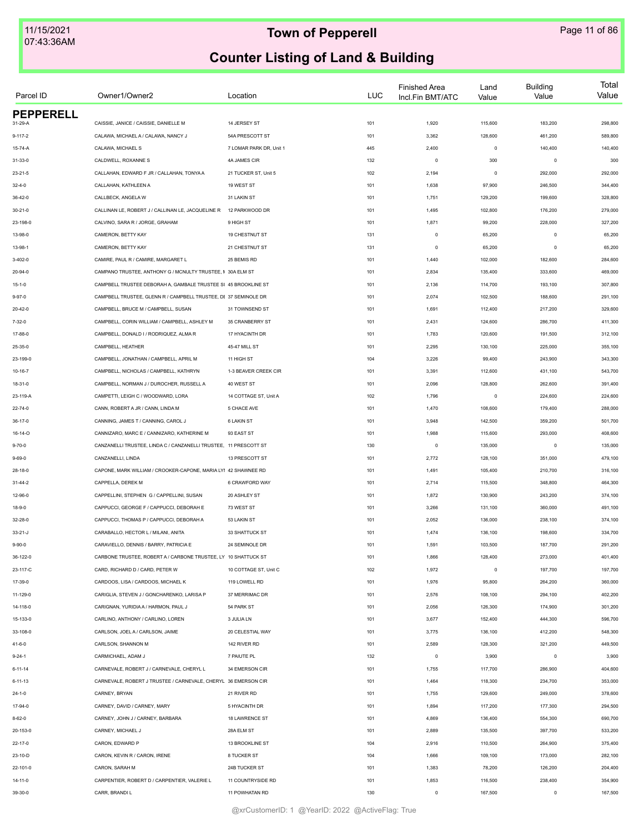| Parcel ID                | Owner1/Owner2                                                    | Location                | <b>LUC</b> | <b>Finished Area</b><br>Incl.Fin BMT/ATC | Land<br>Value | <b>Building</b><br>Value | Total<br>Value |
|--------------------------|------------------------------------------------------------------|-------------------------|------------|------------------------------------------|---------------|--------------------------|----------------|
| <b>PEPPERELL</b>         |                                                                  |                         |            |                                          |               |                          |                |
| 31-29-A                  | CAISSIE, JANICE / CAISSIE, DANIELLE M                            | 14 JERSEY ST            | 101        | 1,920                                    | 115,600       | 183,200                  | 298,800        |
| $9 - 117 - 2$            | CALAWA, MICHAEL A / CALAWA, NANCY J                              | 54A PRESCOTT ST         | 101        | 3,362                                    | 128,600       | 461,200                  | 589,800        |
| 15-74-A                  | CALAWA, MICHAEL S                                                | 7 LOMAR PARK DR, Unit 1 | 445        | 2,400                                    | $\mathsf 0$   | 140,400                  | 140,400        |
| 31-33-0                  | CALDWELL, ROXANNE S                                              | 4A JAMES CIR            | 132        | $\circ$                                  | 300           | $\mathbf 0$              | 300            |
| $23 - 21 - 5$            | CALLAHAN, EDWARD F JR / CALLAHAN, TONYA A                        | 21 TUCKER ST, Unit 5    | 102        | 2,194                                    | $\mathsf 0$   | 292,000                  | 292,000        |
| $32 - 4 - 0$             | CALLAHAN, KATHLEEN A                                             | 19 WEST ST              | 101        | 1,638                                    | 97,900        | 246,500                  | 344,400        |
| 36-42-0                  | CALLBECK, ANGELA W                                               | 31 LAKIN ST             | 101        | 1,751                                    | 129,200       | 199,600                  | 328,800        |
| $30 - 21 - 0$            | CALLINAN LE, ROBERT J / CALLINAN LE, JACQUELINE R                | 12 PARKWOOD DR          | 101        | 1,495                                    | 102,800       | 176,200                  | 279,000        |
| 23-198-0                 | CALVINO, SARA R / JORGE, GRAHAM                                  | 9 HIGH ST               | 101        | 1,871                                    | 99,200        | 228,000                  | 327,200        |
| 13-98-0                  | CAMERON, BETTY KAY                                               | 19 CHESTNUT ST          | 131        | $\circ$                                  | 65,200        | $\mathbf 0$              | 65,200         |
| 13-98-1                  | CAMERON, BETTY KAY                                               | 21 CHESTNUT ST          | 131        | $\circ$                                  | 65,200        | $^{\circ}$               | 65,200         |
| $3-402-0$                | CAMIRE, PAUL R / CAMIRE, MARGARET L                              | 25 BEMIS RD             | 101        | 1,440                                    | 102,000       | 182,600                  | 284,600        |
| 20-94-0                  | CAMPANO TRUSTEE, ANTHONY G / MCNULTY TRUSTEE, I 30A ELM ST       |                         | 101        | 2,834                                    | 135,400       | 333,600                  | 469,000        |
| $15 - 1 - 0$             | CAMPBELL TRUSTEE DEBORAH A, GAMBALE TRUSTEE SI 45 BROOKLINE ST   |                         | 101        | 2,136                                    | 114,700       | 193,100                  | 307,800        |
| 9-97-0                   | CAMPBELL TRUSTEE, GLENN R / CAMPBELL TRUSTEE, DI 37 SEMINOLE DR  |                         | 101        | 2,074                                    | 102,500       | 188,600                  | 291,100        |
| 20-42-0                  | CAMPBELL, BRUCE M / CAMPBELL, SUSAN                              | 31 TOWNSEND ST          | 101        | 1,691                                    | 112,400       | 217,200                  | 329,600        |
| $7 - 32 - 0$             | CAMPBELL, CORIN WILLIAM / CAMPBELL, ASHLEY M                     | 35 CRANBERRY ST         | 101        | 2,431                                    | 124,600       | 286,700                  | 411,300        |
| 17-88-0                  | CAMPBELL, DONALD I / RODRIQUEZ, ALMA R                           | 17 HYACINTH DR          | 101        | 1,783                                    | 120,600       | 191,500                  | 312,100        |
| 25-35-0                  | CAMPBELL, HEATHER                                                | 45-47 MILL ST           | 101        | 2,295                                    | 130,100       | 225,000                  | 355,100        |
| 23-199-0                 | CAMPBELL, JONATHAN / CAMPBELL, APRIL M                           | 11 HIGH ST              | 104        | 3,226                                    | 99,400        | 243,900                  | 343,300        |
| 10-16-7                  | CAMPBELL, NICHOLAS / CAMPBELL, KATHRYN                           | 1-3 BEAVER CREEK CIR    | 101        | 3,391                                    | 112,600       | 431,100                  | 543,700        |
| 18-31-0                  | CAMPBELL, NORMAN J / DUROCHER, RUSSELL A                         | 40 WEST ST              | 101        | 2,096                                    | 128,800       | 262,600                  | 391,400        |
| 23-119-A                 | CAMPETTI, LEIGH C / WOODWARD, LORA                               | 14 COTTAGE ST, Unit A   | 102        | 1,796                                    | $\mathsf 0$   | 224,600                  | 224,600        |
| 22-74-0                  | CANN, ROBERT A JR / CANN, LINDA M                                | 5 CHACE AVE             | 101        | 1,470                                    | 108,600       | 179,400                  | 288,000        |
| $36 - 17 - 0$            | CANNING, JAMES T / CANNING, CAROL J                              | <b>6 LAKIN ST</b>       | 101        | 3,948                                    | 142,500       | 359,200                  | 501,700        |
| 16-14-O                  | CANNIZARO, MARC E / CANNIZARO, KATHERINE M                       | 93 EAST ST              | 101        | 1,988                                    | 115,600       | 293,000                  | 408,600        |
| $9 - 70 - 0$             | CANZANELLI TRUSTEE, LINDA C / CANZANELLI TRUSTEE, 11 PRESCOTT ST |                         | 130        | $\circ$                                  | 135,000       | $\circ$                  | 135,000        |
| $9 - 69 - 0$             | CANZANELLI, LINDA                                                | 13 PRESCOTT ST          | 101        | 2,772                                    | 128,100       | 351,000                  | 479,100        |
|                          | CAPONE, MARK WILLIAM / CROOKER-CAPONE, MARIA LYI 42 SHAWNEE RD   |                         |            | 1,491                                    | 105,400       | 210,700                  | 316,100        |
| 28-18-0<br>$31 - 44 - 2$ | CAPPELLA, DEREK M                                                | 6 CRAWFORD WAY          | 101<br>101 | 2,714                                    | 115,500       | 348,800                  | 464,300        |
|                          | CAPPELLINI, STEPHEN G / CAPPELLINI, SUSAN                        |                         |            |                                          |               |                          | 374,100        |
| 12-96-0                  | CAPPUCCI, GEORGE F / CAPPUCCI, DEBORAH E                         | 20 ASHLEY ST            | 101        | 1,872                                    | 130,900       | 243,200                  |                |
| $18 - 9 - 0$             |                                                                  | 73 WEST ST              | 101        | 3,266                                    | 131,100       | 360,000                  | 491,100        |
| 32-28-0                  | CAPPUCCI, THOMAS P / CAPPUCCI, DEBORAH A                         | 53 LAKIN ST             | 101        | 2,052                                    | 136,000       | 238,100                  | 374,100        |
| $33 - 21 - J$            | CARABALLO, HECTOR L / MILANI, ANITA                              | 33 SHATTUCK ST          | 101        | 1,474                                    | 136,100       | 198,600                  | 334,700        |
| $9 - 90 - 0$             | CARAVIELLO, DENNIS / BARRY, PATRICIA E                           | 24 SEMINOLE DR          | 101        | 1,591                                    | 103,500       | 187,700                  | 291,200        |
| 36-122-0                 | CARBONE TRUSTEE, ROBERT A / CARBONE TRUSTEE, LY 10 SHATTUCK ST   |                         | 101        | 1,866                                    | 128,400       | 273,000                  | 401,400        |
| 23-117-C                 | CARD, RICHARD D / CARD, PETER W                                  | 10 COTTAGE ST, Unit C   | 102        | 1,972                                    | $\mathsf 0$   | 197,700                  | 197,700        |
| 17-39-0                  | CARDOOS, LISA / CARDOOS, MICHAEL K                               | 119 LOWELL RD           | 101        | 1,976                                    | 95,800        | 264,200                  | 360,000        |
| 11-129-0                 | CARIGLIA, STEVEN J / GONCHARENKO, LARISA P                       | 37 MERRIMAC DR          | 101        | 2,576                                    | 108,100       | 294,100                  | 402,200        |
| 14-118-0                 | CARIGNAN, YURIDIA A / HARMON, PAUL J                             | 54 PARK ST              | 101        | 2,056                                    | 126,300       | 174,900                  | 301,200        |
| 15-133-0                 | CARLINO, ANTHONY / CARLINO, LOREN                                | 3 JULIA LN              | 101        | 3,677                                    | 152,400       | 444,300                  | 596,700        |
| 33-108-0                 | CARLSON, JOEL A / CARLSON, JAIME                                 | 20 CELESTIAL WAY        | 101        | 3,775                                    | 136,100       | 412,200                  | 548,300        |
| 41-6-0                   | CARLSON, SHANNON M                                               | 142 RIVER RD            | 101        | 2,589                                    | 128,300       | 321,200                  | 449,500        |
| $9 - 24 - 1$             | CARMICHAEL, ADAM J                                               | 7 PAIUTE PL             | 132        | $\circ$                                  | 3,900         | $^{\circ}$               | 3,900          |
| $6 - 11 - 14$            | CARNEVALE, ROBERT J / CARNEVALE, CHERYL L                        | 34 EMERSON CIR          | 101        | 1,755                                    | 117,700       | 286,900                  | 404,600        |
| $6 - 11 - 13$            | CARNEVALE, ROBERT J TRUSTEE / CARNEVALE, CHERYL 36 EMERSON CIR   |                         | 101        | 1,464                                    | 118,300       | 234,700                  | 353,000        |
| $24 - 1 - 0$             | CARNEY, BRYAN                                                    | 21 RIVER RD             | 101        | 1,755                                    | 129,600       | 249,000                  | 378,600        |
| 17-94-0                  | CARNEY, DAVID / CARNEY, MARY                                     | 5 HYACINTH DR           | 101        | 1,894                                    | 117,200       | 177,300                  | 294,500        |
| $8 - 62 - 0$             | CARNEY, JOHN J / CARNEY, BARBARA                                 | 18 LAWRENCE ST          | 101        | 4,869                                    | 136,400       | 554,300                  | 690,700        |
| 20-153-0                 | CARNEY, MICHAEL J                                                | 28A ELM ST              | 101        | 2,889                                    | 135,500       | 397,700                  | 533,200        |
| 22-17-0                  | CARON, EDWARD P                                                  | 13 BROOKLINE ST         | 104        | 2,916                                    | 110,500       | 264,900                  | 375,400        |
| 23-10-D                  | CARON, KEVIN R / CARON, IRENE                                    | 8 TUCKER ST             | 104        | 1,666                                    | 109,100       | 173,000                  | 282,100        |
| 22-101-0                 | CARON, SARAH M                                                   | 24B TUCKER ST           | 101        | 1,383                                    | 78,200        | 126,200                  | 204,400        |
| 14-11-0                  | CARPENTIER, ROBERT D / CARPENTIER, VALERIE L                     | 11 COUNTRYSIDE RD       | 101        | 1,853                                    | 116,500       | 238,400                  | 354,900        |
| 39-30-0                  | CARR, BRANDI L                                                   | 11 POWHATAN RD          | 130        | $\mathbb O$                              | 167,500       | $\mathbf 0$              | 167,500        |
|                          |                                                                  |                         |            |                                          |               |                          |                |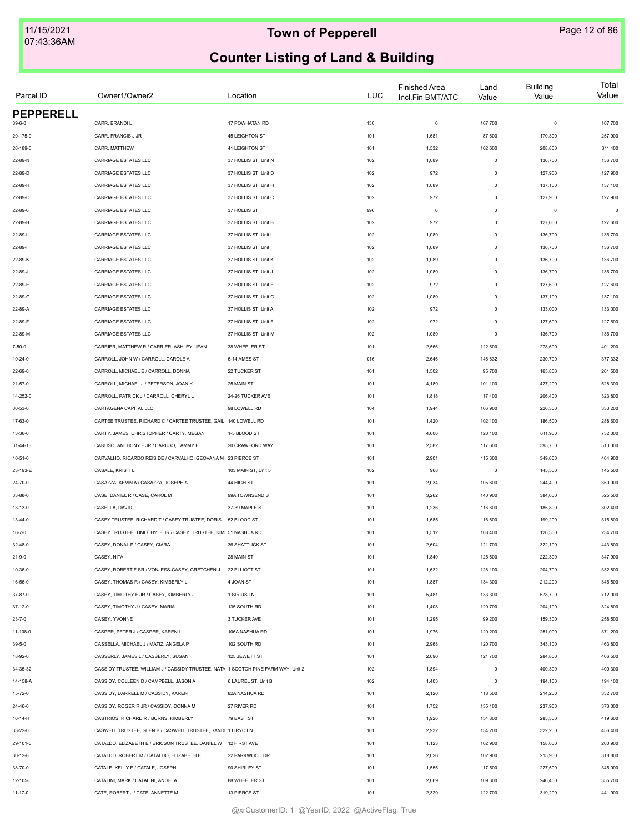| Parcel ID        | Owner1/Owner2                                                                     | Location             | LUC | <b>Finished Area</b><br>Incl.Fin BMT/ATC | Land<br>Value | <b>Building</b><br>Value | Total<br>Value |
|------------------|-----------------------------------------------------------------------------------|----------------------|-----|------------------------------------------|---------------|--------------------------|----------------|
| <b>PEPPERELL</b> |                                                                                   |                      |     |                                          |               |                          |                |
| $39 - 6 - 0$     | CARR, BRANDI L                                                                    | 17 POWHATAN RD       | 130 | $\mathsf 0$                              | 167,700       | $\circ$                  | 167,700        |
| 29-175-0         | CARR, FRANCIS J JR                                                                | 45 LEIGHTON ST       | 101 | 1,681                                    | 87,600        | 170,300                  | 257,900        |
| 26-189-0         | CARR, MATTHEW                                                                     | 41 LEIGHTON ST       | 101 | 1,532                                    | 102,600       | 208,800                  | 311,400        |
| 22-89-N          | CARRIAGE ESTATES LLC                                                              | 37 HOLLIS ST, Unit N | 102 | 1,089                                    | $\mathsf 0$   | 136,700                  | 136,700        |
| 22-89-D          | CARRIAGE ESTATES LLC                                                              | 37 HOLLIS ST, Unit D | 102 | 972                                      | $\mathsf 0$   | 127,900                  | 127,900        |
| 22-89-H          | CARRIAGE ESTATES LLC                                                              | 37 HOLLIS ST, Unit H | 102 | 1,089                                    | $\mathsf 0$   | 137,100                  | 137,100        |
| 22-89-C          | <b>CARRIAGE ESTATES LLC</b>                                                       | 37 HOLLIS ST, Unit C | 102 | 972                                      | $\mathsf 0$   | 127,900                  | 127,900        |
| 22-89-0          | CARRIAGE ESTATES LLC                                                              | 37 HOLLIS ST         | 996 | $\mathbf 0$                              | $\mathsf 0$   | $\circ$                  | $\mathbf 0$    |
| 22-89-B          | CARRIAGE ESTATES LLC                                                              | 37 HOLLIS ST, Unit B | 102 | 972                                      | $\mathsf 0$   | 127,600                  | 127,600        |
| 22-89-L          | CARRIAGE ESTATES LLC                                                              | 37 HOLLIS ST, Unit L | 102 | 1,089                                    | $\mathsf 0$   | 136,700                  | 136,700        |
| 22-89-1          | CARRIAGE ESTATES LLC                                                              | 37 HOLLIS ST, Unit I | 102 | 1,089                                    | $\mathsf 0$   | 136,700                  | 136,700        |
| 22-89-K          | CARRIAGE ESTATES LLC                                                              | 37 HOLLIS ST, Unit K | 102 | 1,089                                    | $\mathsf 0$   | 136,700                  | 136,700        |
| $22 - 89 - J$    | CARRIAGE ESTATES LLC                                                              | 37 HOLLIS ST, Unit J | 102 | 1,089                                    | $\mathsf 0$   | 136,700                  | 136,700        |
| 22-89-E          | CARRIAGE ESTATES LLC                                                              | 37 HOLLIS ST, Unit E | 102 | 972                                      | $\mathsf 0$   | 127,600                  | 127,600        |
| 22-89-G          | CARRIAGE ESTATES LLC                                                              | 37 HOLLIS ST, Unit G | 102 | 1,089                                    | $\mathsf 0$   | 137,100                  | 137,100        |
| 22-89-A          | CARRIAGE ESTATES LLC                                                              | 37 HOLLIS ST, Unit A | 102 | 972                                      | $\mathsf 0$   | 133,000                  | 133,000        |
| 22-89-F          | CARRIAGE ESTATES LLC                                                              | 37 HOLLIS ST, Unit F | 102 | 972                                      | $\mathsf 0$   | 127,600                  | 127,600        |
| 22-89-M          | CARRIAGE ESTATES LLC                                                              | 37 HOLLIS ST, Unit M | 102 | 1,089                                    | $\mathsf 0$   | 136,700                  | 136,700        |
| $7 - 50 - 0$     | CARRIER, MATTHEW R / CARRIER, ASHLEY JEAN                                         | 38 WHEELER ST        | 101 | 2,566                                    | 122,600       | 278,600                  | 401,200        |
| 19-24-0          | CARROLL. JOHN W / CARROLL. CAROLE A                                               | 6-14 AMES ST         | 016 | 2,646                                    | 146,632       | 230,700                  | 377,332        |
| 22-69-0          | CARROLL, MICHAEL E / CARROLL, DONNA                                               | 22 TUCKER ST         | 101 | 1,502                                    | 95,700        | 165,800                  | 261,500        |
| $21 - 57 - 0$    | CARROLL, MICHAEL J / PETERSON, JOAN K                                             | 25 MAIN ST           | 101 | 4,189                                    | 101,100       | 427,200                  | 528,300        |
| 14-252-0         | CARROLL, PATRICK J / CARROLL, CHERYL L                                            | 24-26 TUCKER AVE     | 101 | 1,818                                    | 117,400       | 206,400                  | 323,800        |
| 30-53-0          | CARTAGENA CAPITAL LLC                                                             | 98 LOWELL RD         | 104 | 1,944                                    | 106,900       | 226,300                  | 333,200        |
| 17-63-0          | CARTEE TRUSTEE, RICHARD C / CARTEE TRUSTEE, GAIL 140 LOWELL RD                    |                      | 101 | 1,420                                    | 102,100       | 186,500                  | 288,600        |
| 13-36-0          | CARTY, JAMES CHRISTOPHER / CARTY, MEGAN                                           | 1-5 BLOOD ST         | 101 | 4,606                                    | 120,100       | 611,900                  | 732,000        |
| 31-44-13         | CARUSO, ANTHONY F JR / CARUSO, TAMMY E                                            | 20 CRAWFORD WAY      | 101 | 2,582                                    | 117,600       | 395,700                  | 513,300        |
| $10 - 51 - 0$    | CARVALHO, RICARDO REIS DE / CARVALHO, GEOVANA M 23 PIERCE ST                      |                      | 101 | 2,901                                    | 115,300       | 349,600                  | 464,900        |
| 23-193-E         | CASALE, KRISTI L                                                                  | 103 MAIN ST, Unit 5  | 102 | 968                                      | $\mathsf 0$   | 145,500                  | 145,500        |
| 24-70-0          | CASAZZA, KEVIN A / CASAZZA, JOSEPH A                                              | 44 HIGH ST           | 101 | 2,034                                    | 105,600       | 244,400                  | 350,000        |
| 33-88-0          | CASE, DANIEL R / CASE, CAROL M                                                    | 99A TOWNSEND ST      | 101 | 3,262                                    | 140,900       | 384,600                  | 525,500        |
| 13-13-0          | CASELLA, DAVID J                                                                  | 37-39 MAPLE ST       | 101 | 1,236                                    | 116,600       | 185,800                  | 302,400        |
| 13-44-0          | CASEY TRUSTEE, RICHARD T / CASEY TRUSTEE, DORIS 52 BLOOD ST                       |                      | 101 | 1,685                                    | 116,600       | 199,200                  | 315,800        |
| 16-7-0           | CASEY TRUSTEE, TIMOTHY F JR / CASEY TRUSTEE, KIM 51 NASHUA RD                     |                      | 101 | 1,512                                    | 108,400       | 126,300                  | 234,700        |
| 32-48-0          | CASEY, DONAL P / CASEY, CIARA                                                     | 36 SHATTUCK ST       | 101 | 2,604                                    | 121,700       | 322,100                  | 443,800        |
| $21 - 9 - 0$     | CASEY, NITA                                                                       | 28 MAIN ST           | 101 | 1,840                                    | 125,600       | 222,300                  | 347,900        |
| 10-36-0          | CASEY, ROBERT F SR / VONJESS-CASEY, GRETCHEN J                                    | 22 ELLIOTT ST        | 101 | 1,632                                    | 128,100       | 204,700                  | 332,800        |
| 16-56-0          | CASEY, THOMAS R / CASEY, KIMBERLY L                                               | 4 JOAN ST            | 101 | 1,887                                    | 134,300       | 212,200                  | 346,500        |
| 37-87-0          | CASEY, TIMOTHY F JR / CASEY, KIMBERLY J                                           | 1 SIRIUS LN          | 101 | 5,481                                    | 133,300       | 578,700                  | 712,000        |
| 37-12-0          | CASEY, TIMOTHY J / CASEY, MARIA                                                   | 135 SOUTH RD         | 101 | 1,408                                    | 120,700       | 204,100                  | 324,800        |
| $23 - 7 - 0$     | CASEY, YVONNE                                                                     | 3 TUCKER AVE         | 101 | 1,295                                    | 99,200        | 159,300                  | 258,500        |
| 11-108-0         | CASPER, PETER J / CASPER, KAREN L                                                 | 106A NASHUA RD       | 101 | 1,976                                    | 120,200       | 251,000                  | 371,200        |
| $39 - 5 - 0$     | CASSELLA, MICHAEL J / MATIZ, ANGELA P                                             | 102 SOUTH RD         | 101 | 2,968                                    | 120,700       | 343,100                  | 463,800        |
| 18-92-0          | CASSERLY, JAMES L / CASSERLY, SUSAN                                               | 125 JEWETT ST        | 101 | 2,090                                    | 121,700       | 284,800                  | 406,500        |
| 34-35-32         | CASSIDY TRUSTEE, WILLIAM J / CASSIDY TRUSTEE, NATA 1 SCOTCH PINE FARM WAY, Unit 2 |                      | 102 | 1,894                                    | $\mathsf 0$   | 400,300                  | 400,300        |
| 14-158-A         | CASSIDY, COLLEEN D / CAMPBELL, JASON A                                            | 6 LAUREL ST, Unit B  | 102 | 1,403                                    | $\mathsf 0$   | 194,100                  | 194,100        |
| 15-72-0          | CASSIDY, DARRELL M / CASSIDY, KAREN                                               | 82A NASHUA RD        | 101 | 2,120                                    | 118,500       | 214,200                  | 332,700        |
| 24-46-0          | CASSIDY, ROGER R JR / CASSIDY, DONNA M                                            | 27 RIVER RD          | 101 | 1,752                                    | 135,100       | 237,900                  | 373,000        |
| 16-14-H          | CASTRIOS, RICHARD R / BURNS, KIMBERLY                                             | 79 EAST ST           | 101 | 1,926                                    | 134,300       | 285,300                  | 419,600        |
| 33-22-0          | CASWELL TRUSTEE, GLEN B / CASWELL TRUSTEE, SAND 1 LIRYC LN                        |                      | 101 | 2,932                                    | 134,200       | 322,200                  | 456,400        |
| 29-101-0         | CATALDO, ELIZABETH E / ERICSON TRUSTEE, DANIEL W 12 FIRST AVE                     |                      | 101 | 1,123                                    | 102,900       | 158,000                  | 260,900        |
| $30 - 12 - 0$    | CATALDO, ROBERT M / CATALDO, ELIZABETH E                                          | 22 PARKWOOD DR       | 101 | 2,026                                    | 102,900       | 215,900                  | 318,800        |
| 38-70-0          | CATALE, KELLY E / CATALE, JOSEPH                                                  | 90 SHIRLEY ST        | 101 | 1,555                                    | 117,500       | 227,500                  | 345,000        |
| 12-105-0         | CATALINI, MARK / CATALINI, ANGELA                                                 | 88 WHEELER ST        | 101 | 2,069                                    | 109,300       | 246,400                  | 355,700        |
| $11 - 17 - 0$    | CATE, ROBERT J / CATE, ANNETTE M                                                  | 13 PIERCE ST         | 101 | 2,329                                    | 122,700       | 319,200                  | 441,900        |
|                  |                                                                                   |                      |     |                                          |               |                          |                |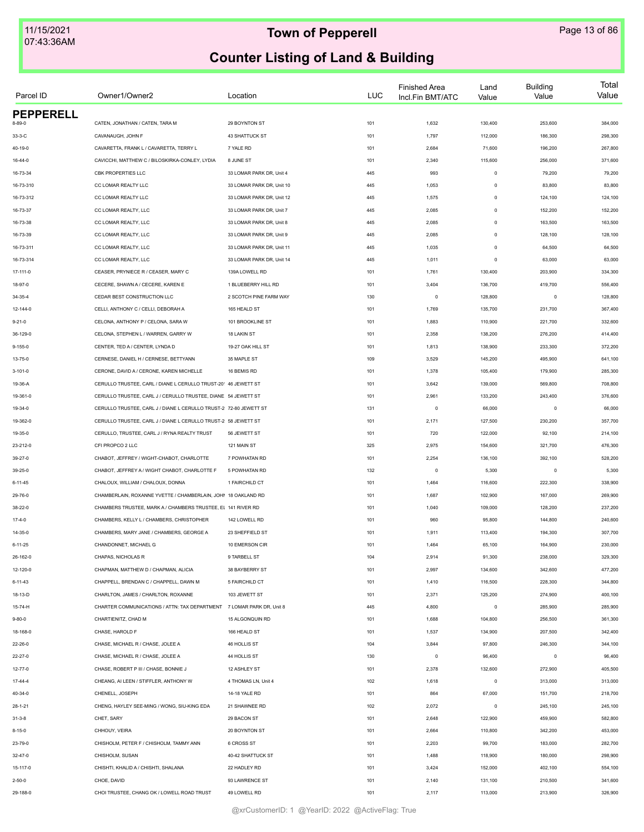| Parcel ID        | Owner1/Owner2                                                         | Location                  | <b>LUC</b> | <b>Finished Area</b><br>Incl.Fin BMT/ATC | Land<br>Value | <b>Building</b><br>Value | Total<br>Value |
|------------------|-----------------------------------------------------------------------|---------------------------|------------|------------------------------------------|---------------|--------------------------|----------------|
| <b>PEPPERELL</b> |                                                                       |                           |            |                                          |               |                          |                |
| 8-89-0           | CATEN, JONATHAN / CATEN, TARA M                                       | 29 BOYNTON ST             | 101        | 1,632                                    | 130,400       | 253,600                  | 384,000        |
| 33-3-C           | CAVANAUGH, JOHN F                                                     | 43 SHATTUCK ST            | 101        | 1,797                                    | 112,000       | 186,300                  | 298,300        |
| 40-19-0          | CAVARETTA, FRANK L / CAVARETTA, TERRY L                               | 7 YALE RD                 | 101        | 2,684                                    | 71,600        | 196,200                  | 267,800        |
| $16 - 44 - 0$    | CAVICCHI, MATTHEW C / BILOSKIRKA-CONLEY, LYDIA                        | 8 JUNE ST                 | 101        | 2,340                                    | 115,600       | 256,000                  | 371,600        |
| 16-73-34         | CBK PROPERTIES LLC                                                    | 33 LOMAR PARK DR, Unit 4  | 445        | 993                                      | $\mathsf 0$   | 79,200                   | 79,200         |
| 16-73-310        | CC LOMAR REALTY LLC                                                   | 33 LOMAR PARK DR, Unit 10 | 445        | 1,053                                    | $\mathsf 0$   | 83,800                   | 83,800         |
| 16-73-312        | CC LOMAR REALTY LLC                                                   | 33 LOMAR PARK DR, Unit 12 | 445        | 1,575                                    | $\mathsf 0$   | 124,100                  | 124,100        |
| 16-73-37         | CC LOMAR REALTY, LLC                                                  | 33 LOMAR PARK DR, Unit 7  | 445        | 2,085                                    | $\mathsf 0$   | 152,200                  | 152,200        |
| 16-73-38         | CC LOMAR REALTY, LLC                                                  | 33 LOMAR PARK DR, Unit 8  | 445        | 2,085                                    | $\mathsf 0$   | 163,500                  | 163,500        |
| 16-73-39         | CC LOMAR REALTY, LLC                                                  | 33 LOMAR PARK DR, Unit 9  | 445        | 2,085                                    | $\mathsf 0$   | 128,100                  | 128,100        |
| 16-73-311        | CC LOMAR REALTY, LLC                                                  | 33 LOMAR PARK DR, Unit 11 | 445        | 1,035                                    | $\mathsf 0$   | 64,500                   | 64,500         |
| 16-73-314        | CC LOMAR REALTY, LLC                                                  | 33 LOMAR PARK DR, Unit 14 | 445        | 1,011                                    | $\circ$       | 63,000                   | 63,000         |
| 17-111-0         | CEASER, PRYNIECE R / CEASER, MARY C                                   | 139A LOWELL RD            | 101        | 1,761                                    | 130,400       | 203,900                  | 334,300        |
| 18-97-0          | CECERE, SHAWN A / CECERE, KAREN E                                     | 1 BLUEBERRY HILL RD       | 101        | 3,404                                    | 136,700       | 419,700                  | 556,400        |
| 34-35-4          | CEDAR BEST CONSTRUCTION LLC                                           | 2 SCOTCH PINE FARM WAY    | 130        | $\mathsf 0$                              | 128,800       | $\mathbf 0$              | 128,800        |
| 12-144-0         | CELLI, ANTHONY C / CELLI, DEBORAH A                                   | 165 HEALD ST              | 101        | 1,769                                    | 135,700       | 231,700                  | 367,400        |
| $9 - 21 - 0$     | CELONA, ANTHONY P / CELONA, SARA W                                    | 101 BROOKLINE ST          | 101        | 1,883                                    | 110,900       | 221,700                  | 332,600        |
| 36-129-0         | CELONA, STEPHEN L / WARREN, GARRY W                                   | 18 LAKIN ST               | 101        | 2,358                                    | 138,200       | 276,200                  | 414,400        |
| 9-155-0          | CENTER, TED A / CENTER, LYNDA D                                       | 19-27 OAK HILL ST         | 101        | 1,813                                    | 138,900       | 233,300                  | 372,200        |
| 13-75-0          | CERNESE, DANIEL H / CERNESE, BETTYANN                                 | 35 MAPLE ST               | 109        | 3,529                                    | 145,200       | 495,900                  | 641,100        |
| $3 - 101 - 0$    | CERONE, DAVID A / CERONE, KAREN MICHELLE                              | 16 BEMIS RD               | 101        | 1,378                                    | 105,400       | 179,900                  | 285,300        |
|                  | CERULLO TRUSTEE, CARL / DIANE L CERULLO TRUST-20' 46 JEWETT ST        |                           | 101        | 3,642                                    | 139,000       | 569,800                  | 708,800        |
| 19-36-A          | CERULLO TRUSTEE, CARL J / CERULLO TRUSTEE, DIANE 54 JEWETT ST         |                           | 101        | 2,961                                    | 133,200       | 243,400                  | 376,600        |
| 19-361-0         |                                                                       |                           |            |                                          |               |                          |                |
| 19-34-0          | CERULLO TRUSTEE, CARL J / DIANE L CERULLO TRUST-2 72-80 JEWETT ST     |                           | 131        | $\mathsf 0$                              | 66,000        | $\mathbf 0$              | 66,000         |
| 19-362-0         | CERULLO TRUSTEE, CARL J / DIANE L CERULLO TRUST-2 58 JEWETT ST        |                           | 101        | 2,171                                    | 127,500       | 230,200                  | 357,700        |
| 19-35-0          | CERULLO, TRUSTEE, CARL J / RYNA REALTY TRUST                          | 56 JEWETT ST              | 101        | 720                                      | 122,000       | 92,100                   | 214,100        |
| 23-212-0         | CFI PROPCO 2 LLC                                                      | 121 MAIN ST               | 325        | 2,975                                    | 154,600       | 321,700                  | 476,300        |
| 39-27-0          | CHABOT, JEFFREY / WIGHT-CHABOT, CHARLOTTE                             | 7 POWHATAN RD             | 101        | 2,254                                    | 136,100       | 392,100                  | 528,200        |
| 39-25-0          | CHABOT, JEFFREY A / WIGHT CHABOT, CHARLOTTE F                         | 5 POWHATAN RD             | 132        | $\mathsf 0$                              | 5,300         | $\mathbf 0$              | 5,300          |
| $6 - 11 - 45$    | CHALOUX, WILLIAM / CHALOUX, DONNA                                     | 1 FAIRCHILD CT            | 101        | 1,464                                    | 116,600       | 222,300                  | 338,900        |
| 29-76-0          | CHAMBERLAIN, ROXANNE YVETTE / CHAMBERLAIN, JOHN 18 OAKLAND RD         |                           | 101        | 1,687                                    | 102,900       | 167,000                  | 269,900        |
| 38-22-0          | CHAMBERS TRUSTEE, MARK A / CHAMBERS TRUSTEE, EL 141 RIVER RD          |                           | 101        | 1,040                                    | 109,000       | 128,200                  | 237,200        |
| $17-4-0$         | CHAMBERS, KELLY L / CHAMBERS, CHRISTOPHER                             | 142 LOWELL RD             | 101        | 960                                      | 95,800        | 144,800                  | 240,600        |
| 14-35-0          | CHAMBERS, MARY JANE / CHAMBERS, GEORGE A                              | 23 SHEFFIELD ST           | 101        | 1,911                                    | 113,400       | 194,300                  | 307,700        |
| $6 - 11 - 25$    | CHANDONNET, MICHAEL G                                                 | 10 EMERSON CIR            | 101        | 1,464                                    | 65,100        | 164,900                  | 230,000        |
| 26-162-0         | CHAPAS, NICHOLAS R                                                    | 9 TARBELL ST              | 104        | 2,914                                    | 91,300        | 238,000                  | 329,300        |
| 12-120-0         | CHAPMAN, MATTHEW D / CHAPMAN, ALICIA                                  | 38 BAYBERRY ST            | 101        | 2,997                                    | 134,600       | 342,600                  | 477,200        |
| $6 - 11 - 43$    | CHAPPELL, BRENDAN C / CHAPPELL, DAWN M                                | 5 FAIRCHILD CT            | 101        | 1,410                                    | 116,500       | 228,300                  | 344,800        |
| 18-13-D          | CHARLTON, JAMES / CHARLTON, ROXANNE                                   | 103 JEWETT ST             | 101        | 2,371                                    | 125,200       | 274,900                  | 400,100        |
| 15-74-H          | CHARTER COMMUNICATIONS / ATTN: TAX DEPARTMENT 7 LOMAR PARK DR, Unit 8 |                           | 445        | 4,800                                    | $\mathsf 0$   | 285,900                  | 285,900        |
| $9 - 80 - 0$     | CHARTIENITZ, CHAD M                                                   | 15 ALGONQUIN RD           | 101        | 1,688                                    | 104,800       | 256,500                  | 361,300        |
| 18-168-0         | CHASE, HAROLD F                                                       | 166 HEALD ST              | 101        | 1,537                                    | 134,900       | 207,500                  | 342,400        |
| 22-26-0          | CHASE, MICHAEL R / CHASE, JOLEE A                                     | 46 HOLLIS ST              | 104        | 3,844                                    | 97,800        | 246,300                  | 344,100        |
| 22-27-0          | CHASE, MICHAEL R / CHASE, JOLEE A                                     | 44 HOLLIS ST              | 130        | 0                                        | 96,400        | $\mathbf 0$              | 96,400         |
| $12 - 77 - 0$    | CHASE, ROBERT P III / CHASE, BONNIE J                                 | 12 ASHLEY ST              | 101        | 2,378                                    | 132,600       | 272,900                  | 405,500        |
| 17-44-4          | CHEANG, AI LEEN / STIFFLER, ANTHONY W                                 | 4 THOMAS LN, Unit 4       | 102        | 1,618                                    | $\mathsf 0$   | 313,000                  | 313,000        |
| $40 - 34 - 0$    | CHENELL, JOSEPH                                                       | 14-18 YALE RD             | 101        | 864                                      | 67,000        | 151,700                  | 218,700        |
| $28 - 1 - 21$    | CHENG, HAYLEY SEE-MING / WONG, SIU-KING EDA                           | 21 SHAWNEE RD             | 102        | 2,072                                    | $\circ$       | 245,100                  | 245,100        |
| $31 - 3 - 8$     | CHET, SARY                                                            | 29 BACON ST               | 101        | 2,648                                    | 122,900       | 459,900                  | 582,800        |
|                  |                                                                       |                           |            |                                          |               |                          |                |
| $8 - 15 - 0$     | CHHOUY, VEIRA                                                         | 20 BOYNTON ST             | 101        | 2,664                                    | 110,800       | 342,200                  | 453,000        |
| 23-79-0          | CHISHOLM, PETER F / CHISHOLM, TAMMY ANN                               | 6 CROSS ST                | 101        | 2,203                                    | 99,700        | 183,000                  | 282,700        |
| 32-47-0          | CHISHOLM, SUSAN                                                       | 40-42 SHATTUCK ST         | 101        | 1,488                                    | 118,900       | 180,000                  | 298,900        |
| 15-117-0         | CHISHTI, KHALID A / CHISHTI, SHALANA                                  | 22 HADLEY RD              | 101        | 3,424                                    | 152,000       | 402,100                  | 554,100        |
| $2 - 50 - 0$     | CHOE, DAVID                                                           | 93 LAWRENCE ST            | 101        | 2,140                                    | 131,100       | 210,500                  | 341,600        |
| 29-188-0         | CHOI TRUSTEE, CHANG OK / LOWELL ROAD TRUST                            | 49 LOWELL RD              | 101        | 2,117                                    | 113,000       | 213,900                  | 326,900        |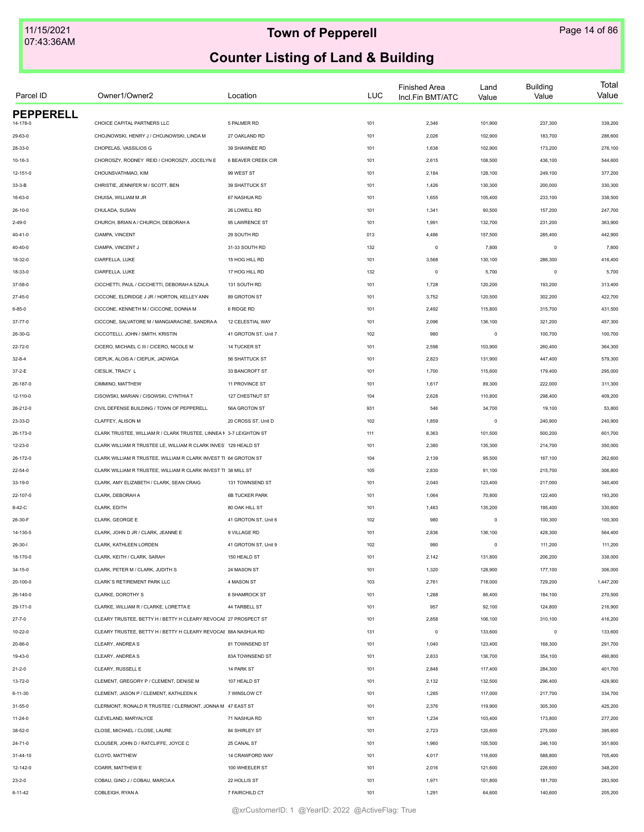| Parcel ID        | Owner1/Owner2                                                      | Location              | <b>LUC</b> | <b>Finished Area</b><br>Incl.Fin BMT/ATC | Land<br>Value | <b>Building</b><br>Value | Total<br>Value |
|------------------|--------------------------------------------------------------------|-----------------------|------------|------------------------------------------|---------------|--------------------------|----------------|
| <b>PEPPERELL</b> |                                                                    |                       |            |                                          |               |                          |                |
| $4 - 178 - 0$    | CHOICE CAPITAL PARTNERS LLC                                        | 5 PALMER RD           | 101        | 2,346                                    | 101,900       | 237,300                  | 339,200        |
| 29-63-0          | CHOJNOWSKI, HENRY J / CHOJNOWSKI, LINDA M                          | 27 OAKLAND RD         | 101        | 2,026                                    | 102,900       | 183,700                  | 286,600        |
| 28-33-0          | CHOPELAS, VASSILIOS G                                              | 39 SHAWNEE RD         | 101        | 1,638                                    | 102,900       | 173,200                  | 276,100        |
| $10 - 16 - 3$    | CHOROSZY, RODNEY REID / CHOROSZY, JOCELYN E                        | 6 BEAVER CREEK CIR    | 101        | 2,615                                    | 108,500       | 436,100                  | 544,600        |
| 12-151-0         | CHOUNSVATHMAO, KIM                                                 | 99 WEST ST            | 101        | 2,184                                    | 128,100       | 249,100                  | 377,200        |
| $33 - 3 - B$     | CHRISTIE, JENNIFER M / SCOTT, BEN                                  | 39 SHATTUCK ST        | 101        | 1,426                                    | 130,300       | 200,000                  | 330,300        |
| 16-63-0          | CHUISA, WILLIAM M JR                                               | 67 NASHUA RD          | 101        | 1,655                                    | 105,400       | 233,100                  | 338,500        |
| $26 - 10 - 0$    | CHULADA, SUSAN                                                     | 26 LOWELL RD          | 101        | 1,341                                    | 90,500        | 157,200                  | 247,700        |
| $2 - 49 - 0$     | CHURCH, BRIAN A / CHURCH, DEBORAH A                                | 95 LAWRENCE ST        | 101        | 1,991                                    | 132,700       | 231,200                  | 363,900        |
| $40 - 41 - 0$    | CIAMPA, VINCENT                                                    | 29 SOUTH RD           | 013        | 4,486                                    | 157,500       | 285,400                  | 442,900        |
| $40 - 40 - 0$    | CIAMPA, VINCENT J                                                  | 31-33 SOUTH RD        | 132        | $\mathsf 0$                              | 7,800         | $\circ$                  | 7,800          |
| 18-32-0          | CIARFELLA, LUKE                                                    | 15 HOG HILL RD        | 101        | 3,568                                    | 130,100       | 286,300                  | 416,400        |
| 18-33-0          | CIARFELLA, LUKE                                                    | 17 HOG HILL RD        | 132        | $\mathsf 0$                              | 5,700         | $\circ$                  | 5,700          |
| 37-58-0          | CICCHETTI, PAUL / CICCHETTI, DEBORAH A SZALA                       | 131 SOUTH RD          | 101        | 1,728                                    | 120,200       | 193,200                  | 313,400        |
| 27-45-0          | CICCONE, ELDRIDGE J JR / HORTON, KELLEY ANN                        | 89 GROTON ST          | 101        | 3,752                                    | 120,500       | 302,200                  | 422,700        |
| $6 - 85 - 0$     | CICCONE, KENNETH M / CICCONE, DONNA M                              | 6 RIDGE RD            | 101        | 2,492                                    | 115,800       | 315,700                  | 431,500        |
| $37 - 77 - 0$    | CICCONE, SALVATORE M / MANGIARACINE, SANDRA A                      | 12 CELESTIAL WAY      | 101        | 2,096                                    | 136,100       | 321,200                  | 457,300        |
| 26-30-G          | CICCOTELLI, JOHN / SMITH, KRISTIN                                  | 41 GROTON ST, Unit 7  | 102        | 980                                      | $\mathsf 0$   | 100,700                  | 100,700        |
| 22-72-0          | CICERO, MICHAEL C III / CICERO, NICOLE M                           | 14 TUCKER ST          | 101        | 2,598                                    | 103,900       | 260,400                  | 364,300        |
| $32 - 8 - 4$     | CIEPLIK, ALOIS A / CIEPLIK, JADWIGA                                | 56 SHATTUCK ST        | 101        | 2,823                                    | 131,900       | 447,400                  | 579,300        |
| 37-2-E           | CIESLIK, TRACY L                                                   | 33 BANCROFT ST        | 101        | 1,700                                    | 115,600       | 179,400                  | 295,000        |
| 26-187-0         | CIMMINO, MATTHEW                                                   | 11 PROVINCE ST        | 101        | 1,617                                    | 89,300        | 222,000                  | 311,300        |
| 12-110-0         | CISOWSKI, MARIAN / CISOWSKI, CYNTHIA T                             | 127 CHESTNUT ST       | 104        | 2,628                                    | 110,800       | 298,400                  | 409,200        |
| 26-212-0         | CIVIL DEFENSE BUILDING / TOWN OF PEPPERELL                         | 56A GROTON ST         | 931        | 546                                      | 34,700        | 19,100                   | 53,800         |
| 23-33-D          | CLAFFEY, ALISON M                                                  | 20 CROSS ST, Unit D   | 102        | 1,859                                    | $\mathsf 0$   | 240,900                  | 240,900        |
|                  |                                                                    |                       |            |                                          |               |                          |                |
| 26-173-0         | CLARK TRUSTEE, WILLIAM R / CLARK TRUSTEE, LINNEA N 3-7 LEIGHTON ST |                       | 111        | 8,363                                    | 101,500       | 500,200                  | 601,700        |
| 12-23-0          | CLARK WILLIAM R TRUSTEE LE, WILLIAM R CLARK INVES' 129 HEALD ST    |                       | 101        | 2,380                                    | 135,300       | 214,700                  | 350,000        |
| 26-172-0         | CLARK WILLIAM R TRUSTEE, WILLIAM R CLARK INVEST TI 64 GROTON ST    |                       | 104        | 2,139                                    | 95,500        | 167,100                  | 262,600        |
| 22-54-0          | CLARK WILLIAM R TRUSTEE, WILLIAM R CLARK INVEST TI 38 MILL ST      |                       | 105        | 2,830                                    | 91,100        | 215,700                  | 306,800        |
| 33-19-0          | CLARK, AMY ELIZABETH / CLARK, SEAN CRAIG                           | 131 TOWNSEND ST       | 101        | 2,040                                    | 123,400       | 217,000                  | 340,400        |
| 22-107-0         | CLARK, DEBORAH A                                                   | <b>6B TUCKER PARK</b> | 101        | 1,064                                    | 70,800        | 122,400                  | 193,200        |
| $8-42-C$         | CLARK, EDITH                                                       | 80 OAK HILL ST        | 101        | 1,483                                    | 135,200       | 195,400                  | 330,600        |
| 26-30-F          | CLARK, GEORGE E                                                    | 41 GROTON ST, Unit 6  | 102        | 980                                      | $\mathsf 0$   | 100,300                  | 100,300        |
| 14-130-5         | CLARK, JOHN D JR / CLARK, JEANNE E                                 | 9 VILLAGE RD          | 101        | 2,836                                    | 136,100       | 428,300                  | 564,400        |
| $26 - 30 - 1$    | CLARK, KATHLEEN LORDEN                                             | 41 GROTON ST, Unit 9  | 102        | 980                                      | $\circ$       | 111,200                  | 111,200        |
| 18-170-0         | CLARK, KEITH / CLARK, SARAH                                        | 150 HEALD ST          | 101        | 2,142                                    | 131,800       | 206,200                  | 338,000        |
| 34-15-0          | CLARK, PETER M / CLARK, JUDITH S                                   | 24 MASON ST           | 101        | 1,320                                    | 128,900       | 177,100                  | 306,000        |
| 20-100-0         | CLARK'S RETIREMENT PARK LLC                                        | 4 MASON ST            | 103        | 2,761                                    | 718,000       | 729,200                  | 1,447,200      |
| 26-140-0         | CLARKE, DOROTHY S                                                  | 8 SHAMROCK ST         | 101        | 1,288                                    | 86,400        | 184,100                  | 270,500        |
| 29-171-0         | CLARKE, WILLIAM R / CLARKE, LORETTA E                              | 44 TARBELL ST         | 101        | 957                                      | 92,100        | 124,800                  | 216,900        |
| $27 - 7 - 0$     | CLEARY TRUSTEE, BETTY H / BETTY H CLEARY REVOCAE 27 PROSPECT ST    |                       | 101        | 2,858                                    | 106,100       | 310,100                  | 416,200        |
| 10-22-0          | CLEARY TRUSTEE, BETTY H / BETTY H CLEARY REVOCAE 88A NASHUA RD     |                       | 131        | $\mathsf 0$                              | 133,600       | $\mathbf 0$              | 133,600        |
| 20-86-0          | CLEARY, ANDREA S                                                   | 81 TOWNSEND ST        | 101        | 1,040                                    | 123,400       | 168,300                  | 291,700        |
| 19-43-0          | CLEARY, ANDREA S                                                   | 83A TOWNSEND ST       | 101        | 2,833                                    | 136,700       | 354,100                  | 490,800        |
| $21 - 2 - 0$     | CLEARY. RUSSELL E                                                  | 14 PARK ST            | 101        | 2,848                                    | 117,400       | 284,300                  | 401,700        |
| 13-72-0          | CLEMENT, GREGORY P / CLEMENT, DENISE M                             | 107 HEALD ST          | 101        | 2,132                                    | 132,500       | 296,400                  | 428,900        |
| $6 - 11 - 30$    | CLEMENT, JASON P / CLEMENT, KATHLEEN K                             | 7 WINSLOW CT          | 101        | 1,285                                    | 117,000       | 217,700                  | 334,700        |
| $31 - 55 - 0$    | CLERMONT, RONALD R TRUSTEE / CLERMONT, JONNA M 47 EAST ST          |                       | 101        | 2,376                                    | 119,900       | 305,300                  | 425,200        |
| $11 - 24 - 0$    | CLEVELAND, MARYALYCE                                               | 71 NASHUA RD          | 101        | 1,234                                    | 103,400       | 173,800                  | 277,200        |
| 38-52-0          | CLOSE, MICHAEL / CLOSE, LAURE                                      | 84 SHIRLEY ST         | 101        | 2,723                                    | 120,600       | 275,000                  | 395,600        |
| 24-71-0          | CLOUSER, JOHN D / RATCLIFFE, JOYCE C                               | 25 CANAL ST           | 101        | 1,960                                    | 105,500       | 246,100                  | 351,600        |
| 31-44-10         | CLOYD, MATTHEW                                                     | 14 CRAWFORD WAY       | 101        | 4,017                                    | 116,600       | 588,800                  | 705,400        |
| 12-142-0         | COARR, MATTHEW E                                                   | 100 WHEELER ST        | 101        | 2,016                                    | 121,600       | 226,600                  | 348,200        |
| $23 - 2 - 0$     | COBAU, GINO J / COBAU, MARCIA A                                    | 22 HOLLIS ST          | 101        | 1,971                                    | 101,800       | 181,700                  | 283,500        |
| $6 - 11 - 42$    | COBLEIGH, RYAN A                                                   | 7 FAIRCHILD CT        | 101        | 1,291                                    | 64,600        | 140,600                  | 205,200        |
|                  |                                                                    |                       |            |                                          |               |                          |                |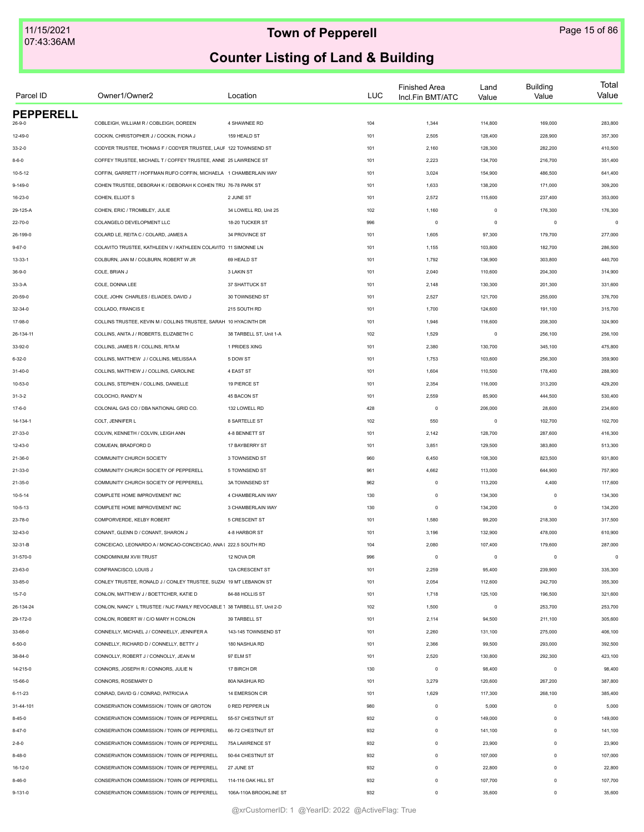| Parcel ID        | Owner1/Owner2                                                            | Location                | <b>LUC</b> | <b>Finished Area</b><br>Incl.Fin BMT/ATC | Land<br>Value | <b>Building</b><br>Value | Total<br>Value |
|------------------|--------------------------------------------------------------------------|-------------------------|------------|------------------------------------------|---------------|--------------------------|----------------|
| <b>PEPPERELL</b> |                                                                          |                         |            |                                          |               |                          |                |
| $26 - 9 - 0$     | COBLEIGH, WILLIAM R / COBLEIGH, DOREEN                                   | 4 SHAWNEE RD            | 104        | 1,344                                    | 114,800       | 169,000                  | 283,800        |
| $12 - 49 - 0$    | COCKIN, CHRISTOPHER J / COCKIN, FIONA J                                  | 159 HEALD ST            | 101        | 2,505                                    | 128,400       | 228,900                  | 357,300        |
| $33 - 2 - 0$     | CODYER TRUSTEE, THOMAS F / CODYER TRUSTEE, LAUF 122 TOWNSEND ST          |                         | 101        | 2,160                                    | 128,300       | 282,200                  | 410,500        |
| $8 - 6 - 0$      | COFFEY TRUSTEE, MICHAEL T / COFFEY TRUSTEE, ANNE 25 LAWRENCE ST          |                         | 101        | 2,223                                    | 134,700       | 216,700                  | 351,400        |
| $10 - 5 - 12$    | COFFIN, GARRETT / HOFFMAN RUFO COFFIN, MICHAELA 1 CHAMBERLAIN WAY        |                         | 101        | 3,024                                    | 154,900       | 486,500                  | 641,400        |
| $9 - 149 - 0$    | COHEN TRUSTEE, DEBORAH K / DEBORAH K COHEN TRU 76-78 PARK ST             |                         | 101        | 1,633                                    | 138,200       | 171,000                  | 309,200        |
| 16-23-0          | COHEN, ELLIOT S                                                          | 2 JUNE ST               | 101        | 2,572                                    | 115,600       | 237,400                  | 353,000        |
| 29-125-A         | COHEN, ERIC / TROMBLEY, JULIE                                            | 34 LOWELL RD, Unit 25   | 102        | 1,160                                    | $\mathbf 0$   | 176,300                  | 176,300        |
| $22 - 70 - 0$    | COLANGELO DEVELOPMENT LLC                                                | 18-20 TUCKER ST         | 996        | $\mathbf 0$                              | $\mathsf 0$   | $\mathbf 0$              | $\mathbf 0$    |
| 26-199-0         | COLARD LE, REITA C / COLARD, JAMES A                                     | 34 PROVINCE ST          | 101        | 1,605                                    | 97,300        | 179,700                  | 277,000        |
| $9 - 67 - 0$     | COLAVITO TRUSTEE, KATHLEEN V / KATHLEEN COLAVITO 11 SIMONNE LN           |                         | 101        | 1,155                                    | 103,800       | 182,700                  | 286,500        |
| $13 - 33 - 1$    | COLBURN, JAN M / COLBURN, ROBERT W JR                                    | 69 HEALD ST             | 101        | 1,792                                    | 136,900       | 303,800                  | 440,700        |
| $36 - 9 - 0$     | COLE, BRIAN J                                                            | <b>3 LAKIN ST</b>       | 101        | 2,040                                    | 110,600       | 204,300                  | 314,900        |
| $33-3-A$         | COLE, DONNA LEE                                                          | 37 SHATTUCK ST          | 101        | 2,148                                    | 130,300       | 201,300                  | 331,600        |
| 20-59-0          | COLE, JOHN CHARLES / ELIADES, DAVID J                                    | 30 TOWNSEND ST          | 101        | 2,527                                    | 121,700       | 255,000                  | 376,700        |
| $32 - 34 - 0$    | COLLADO. FRANCIS E                                                       | 215 SOUTH RD            | 101        | 1,700                                    | 124,600       | 191,100                  | 315,700        |
| 17-98-0          | COLLINS TRUSTEE, KEVIN M / COLLINS TRUSTEE, SARAH 10 HYACINTH DR         |                         | 101        | 1,946                                    | 116,600       | 208,300                  | 324,900        |
| 26-134-11        | COLLINS, ANITA J / ROBERTS, ELIZABETH C                                  | 38 TARBELL ST, Unit 1-A | 102        | 1,529                                    | $\mathsf 0$   | 256,100                  | 256,100        |
| 33-92-0          | COLLINS, JAMES R / COLLINS, RITA M                                       | 1 PRIDES XING           | 101        | 2,380                                    | 130,700       | 345,100                  | 475,800        |
| $6 - 32 - 0$     | COLLINS, MATTHEW J / COLLINS, MELISSA A                                  | 5 DOW ST                | 101        | 1,753                                    | 103,600       | 256,300                  | 359,900        |
| 31-40-0          | COLLINS, MATTHEW J / COLLINS, CAROLINE                                   | 4 EAST ST               | 101        | 1,604                                    | 110,500       | 178,400                  | 288,900        |
| 10-53-0          | COLLINS, STEPHEN / COLLINS, DANIELLE                                     | 19 PIERCE ST            | 101        | 2,354                                    | 116,000       | 313,200                  | 429,200        |
| $31 - 3 - 2$     | COLOCHO, RANDY N                                                         | 45 BACON ST             | 101        | 2,559                                    | 85,900        | 444,500                  | 530,400        |
| $17 - 6 - 0$     | COLONIAL GAS CO / DBA NATIONAL GRID CO.                                  | 132 LOWELL RD           | 428        | $\mathbf 0$                              | 206,000       | 28,600                   | 234,600        |
| 14-134-1         | COLT, JENNIFER L                                                         | 8 SARTELLE ST           | 102        | 550                                      | 0             | 102,700                  | 102,700        |
| 27-33-0          | COLVIN, KENNETH / COLVIN, LEIGH ANN                                      | 4-8 BENNETT ST          | 101        | 2,142                                    | 128,700       | 287,600                  | 416,300        |
| 12-43-0          | COMJEAN, BRADFORD D                                                      | 17 BAYBERRY ST          | 101        | 3,851                                    | 129,500       | 383,800                  | 513,300        |
| 21-36-0          | COMMUNITY CHURCH SOCIETY                                                 | 3 TOWNSEND ST           | 960        | 6,450                                    | 108,300       | 823,500                  | 931,800        |
| 21-33-0          | COMMUNITY CHURCH SOCIETY OF PEPPERELL                                    | 5 TOWNSEND ST           | 961        | 4,662                                    | 113,000       | 644,900                  | 757,900        |
| $21 - 35 - 0$    | COMMUNITY CHURCH SOCIETY OF PEPPERELL                                    | 3A TOWNSEND ST          | 962        | $\mathbf 0$                              | 113,200       | 4,400                    | 117,600        |
| $10 - 5 - 14$    | COMPLETE HOME IMPROVEMENT INC                                            | 4 CHAMBERLAIN WAY       | 130        | $\mathbf 0$                              | 134,300       | $\mathbf 0$              | 134,300        |
| $10 - 5 - 13$    | COMPLETE HOME IMPROVEMENT INC                                            | 3 CHAMBERLAIN WAY       | 130        | $\mathbf 0$                              | 134,200       | $\mathbf 0$              | 134,200        |
|                  |                                                                          |                         |            |                                          |               |                          |                |
| 23-78-0          | COMPORVERDE, KELBY ROBERT                                                | 5 CRESCENT ST           | 101        | 1,580                                    | 99,200        | 218,300                  | 317,500        |
| $32 - 43 - 0$    | CONANT, GLENN D / CONANT, SHARON J                                       | 4-8 HARBOR ST           | 101        | 3,196                                    | 132,900       | 478,000                  | 610,900        |
| 32-31-B          | CONCEICAO, LEONARDO A / MONCAO-CONCEICAO, ANA I 222.5 SOUTH RD           |                         | 104        | 2,080                                    | 107,400       | 179,600                  | 287,000        |
| 31-570-0         | CONDOMINIUM XVIII TRUST                                                  | 12 NOVA DR              | 996        | $\mathbb O$                              | $\mathbf 0$   | $\mathbf 0$              | $\mathsf 0$    |
| 23-63-0          | CONFRANCISCO, LOUIS J                                                    | 12A CRESCENT ST         | 101        | 2,259                                    | 95,400        | 239,900                  | 335,300        |
| 33-85-0          | CONLEY TRUSTEE, RONALD J / CONLEY TRUSTEE, SUZAI 19 MT LEBANON ST        |                         | 101        | 2,054                                    | 112,600       | 242,700                  | 355,300        |
| $15 - 7 - 0$     | CONLON, MATTHEW J / BOETTCHER, KATIE D                                   | 84-88 HOLLIS ST         | 101        | 1,718                                    | 125,100       | 196,500                  | 321,600        |
| 26-134-24        | CONLON, NANCY L TRUSTEE / NJC FAMILY REVOCABLE 1 38 TARBELL ST, Unit 2-D |                         | 102        | 1,500                                    | 0             | 253,700                  | 253,700        |
| 29-172-0         | CONLON, ROBERT W / C/O MARY H CONLON                                     | 39 TARBELL ST           | 101        | 2,114                                    | 94,500        | 211,100                  | 305,600        |
| 33-66-0          | CONNEILLY, MICHAEL J / CONNIELLY, JENNIFER A                             | 143-145 TOWNSEND ST     | 101        | 2,260                                    | 131,100       | 275,000                  | 406,100        |
| $6 - 50 - 0$     | CONNELLY, RICHARD D / CONNELLY, BETTY J                                  | 180 NASHUA RD           | 101        | 2,366                                    | 99,500        | 293,000                  | 392,500        |
| 38-84-0          | CONNOLLY, ROBERT J / CONNOLLY, JEAN M                                    | 97 ELM ST               | 101        | 2,520                                    | 130,800       | 292,300                  | 423,100        |
| 14-215-0         | CONNORS, JOSEPH R / CONNORS, JULIE N                                     | 17 BIRCH DR             | 130        | $\mathbf 0$                              | 98,400        | $\mathbf 0$              | 98,400         |
| 15-66-0          | CONNORS, ROSEMARY D                                                      | 80A NASHUA RD           | 101        | 3,279                                    | 120,600       | 267,200                  | 387,800        |
| $6 - 11 - 23$    | CONRAD, DAVID G / CONRAD, PATRICIA A                                     | 14 EMERSON CIR          | 101        | 1,629                                    | 117,300       | 268,100                  | 385,400        |
| 31-44-101        | CONSERVATION COMMISSION / TOWN OF GROTON                                 | 0 RED PEPPER LN         | 980        | $\mathbf 0$                              | 5,000         | $\mathbf 0$              | 5,000          |
| $8 - 45 - 0$     | CONSERVATION COMMISSION / TOWN OF PEPPERELL                              | 55-57 CHESTNUT ST       | 932        | $\circ$                                  | 149,000       | $\mathbf 0$              | 149,000        |
| $8 - 47 - 0$     | CONSERVATION COMMISSION / TOWN OF PEPPERELL                              | 66-72 CHESTNUT ST       | 932        | $\circ$                                  | 141,100       | $\mathbf 0$              | 141,100        |
| $2 - 8 - 0$      | CONSERVATION COMMISSION / TOWN OF PEPPERELL                              | 75A LAWRENCE ST         | 932        | $\mathbb O$                              | 23,900        | $\Omega$                 | 23,900         |
| $8 - 48 - 0$     | CONSERVATION COMMISSION / TOWN OF PEPPERELL                              | 50-64 CHESTNUT ST       | 932        | $\mathbb O$                              | 107,000       | $\Omega$                 | 107,000        |
| $16-12-0$        | CONSERVATION COMMISSION / TOWN OF PEPPERELL                              | 27 JUNE ST              | 932        | $\mathbf 0$                              | 22,800        | $\mathbf 0$              | 22,800         |
| $8 - 46 - 0$     | CONSERVATION COMMISSION / TOWN OF PEPPERELL                              | 114-116 OAK HILL ST     | 932        | $\mathbf 0$                              | 107,700       | $\mathbf 0$              | 107,700        |
| $9 - 131 - 0$    | CONSERVATION COMMISSION / TOWN OF PEPPERELL                              | 106A-110A BROOKLINE ST  | 932        | $\circ$                                  | 35,600        | $\mathbf 0$              | 35,600         |
|                  |                                                                          |                         |            |                                          |               |                          |                |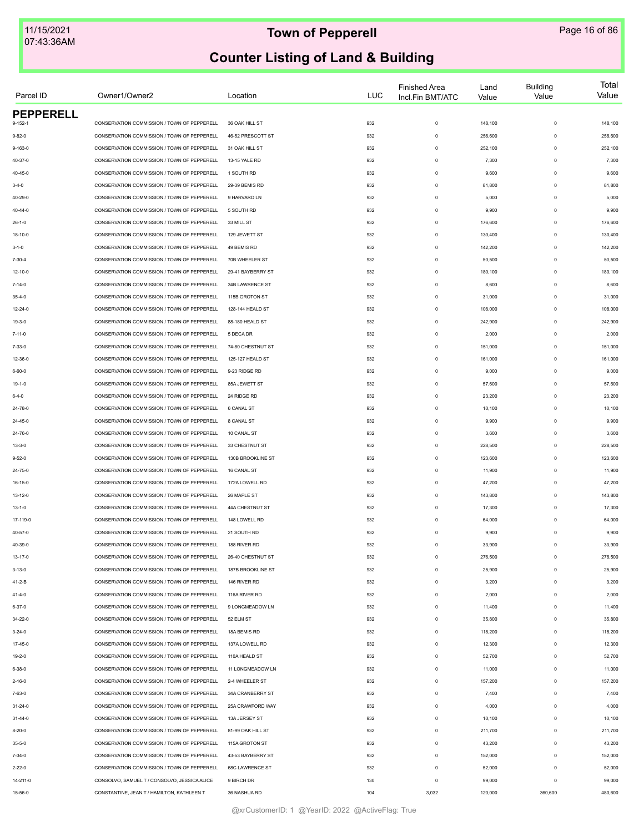| Parcel ID        | Owner1/Owner2                                | Location          | LUC | <b>Finished Area</b><br>Incl.Fin BMT/ATC | Land<br>Value | <b>Building</b><br>Value | Total<br>Value |
|------------------|----------------------------------------------|-------------------|-----|------------------------------------------|---------------|--------------------------|----------------|
| <b>PEPPERELL</b> |                                              |                   |     |                                          |               |                          |                |
| $9 - 152 - 1$    | CONSERVATION COMMISSION / TOWN OF PEPPERELL  | 36 OAK HILL ST    | 932 | $\mathsf 0$                              | 148,100       | $\mathbf 0$              | 148,100        |
| $9 - 82 - 0$     | CONSERVATION COMMISSION / TOWN OF PEPPERELL  | 46-52 PRESCOTT ST | 932 | $\mathsf 0$                              | 256,600       | $\mathbf 0$              | 256,600        |
| $9 - 163 - 0$    | CONSERVATION COMMISSION / TOWN OF PEPPERELL  | 31 OAK HILL ST    | 932 | $\mathsf 0$                              | 252,100       | $\mathbf 0$              | 252,100        |
| 40-37-0          | CONSERVATION COMMISSION / TOWN OF PEPPERELL  | 13-15 YALE RD     | 932 | $\mathsf 0$                              | 7,300         | $^{\circ}$               | 7,300          |
| 40-45-0          | CONSERVATION COMMISSION / TOWN OF PEPPERELL  | 1 SOUTH RD        | 932 | $\mathsf 0$                              | 9,600         | $\mathbf 0$              | 9,600          |
| $3 - 4 - 0$      | CONSERVATION COMMISSION / TOWN OF PEPPERELL  | 29-39 BEMIS RD    | 932 | $\mathsf 0$                              | 81,800        | $\Omega$                 | 81,800         |
| 40-29-0          | CONSERVATION COMMISSION / TOWN OF PEPPERELL  | 9 HARVARD LN      | 932 | $\mathsf 0$                              | 5,000         | $\Omega$                 | 5,000          |
| $40 - 44 - 0$    | CONSERVATION COMMISSION / TOWN OF PEPPERELL  | 5 SOUTH RD        | 932 | $\mathsf 0$                              | 9,900         | $\mathbf 0$              | 9,900          |
| $26 - 1 - 0$     | CONSERVATION COMMISSION / TOWN OF PEPPERELL  | 33 MILL ST        | 932 | $\mathsf 0$                              | 176,600       | $\mathbf 0$              | 176,600        |
| 18-10-0          | CONSERVATION COMMISSION / TOWN OF PEPPERELL  | 129 JEWETT ST     | 932 | $\circ$                                  | 130,400       | $\mathbf 0$              | 130,400        |
| $3 - 1 - 0$      | CONSERVATION COMMISSION / TOWN OF PEPPERELL  | 49 BEMIS RD       | 932 | $\mathsf 0$                              | 142,200       | $\mathbf 0$              | 142,200        |
| 7-30-4           | CONSERVATION COMMISSION / TOWN OF PEPPERELL  | 70B WHEELER ST    | 932 | $\mathsf 0$                              | 50,500        | $^{\circ}$               | 50,500         |
| 12-10-0          | CONSERVATION COMMISSION / TOWN OF PEPPERELL  | 29-41 BAYBERRY ST | 932 | $\mathsf 0$                              | 180,100       | $\Omega$                 | 180,100        |
| $7 - 14 - 0$     | CONSERVATION COMMISSION / TOWN OF PEPPERELL  | 34B LAWRENCE ST   | 932 | $\mathsf 0$                              | 8,600         | $\Omega$                 | 8,600          |
| $35 - 4 - 0$     | CONSERVATION COMMISSION / TOWN OF PEPPERELL  | 115B GROTON ST    | 932 | $\mathsf 0$                              | 31,000        | $\mathbf 0$              | 31,000         |
| 12-24-0          | CONSERVATION COMMISSION / TOWN OF PEPPERELL  | 128-144 HEALD ST  | 932 | $\mathsf 0$                              | 108,000       | $\mathbf 0$              | 108,000        |
| 19-3-0           | CONSERVATION COMMISSION / TOWN OF PEPPERELL  | 88-180 HEALD ST   | 932 | $\mathsf 0$                              | 242,900       | $\mathbf 0$              | 242,900        |
| $7 - 11 - 0$     | CONSERVATION COMMISSION / TOWN OF PEPPERELL  | 5 DECA DR         | 932 | $\mathsf 0$                              | 2,000         | $\mathbf 0$              | 2,000          |
| 7-33-0           | CONSERVATION COMMISSION / TOWN OF PEPPERELL  | 74-80 CHESTNUT ST | 932 | $\mathsf 0$                              | 151,000       | $^{\circ}$               | 151,000        |
| 12-36-0          | CONSERVATION COMMISSION / TOWN OF PEPPERELL  | 125-127 HEALD ST  | 932 | $\mathsf 0$                              | 161,000       | $^{\circ}$               | 161,000        |
| 6-60-0           | CONSERVATION COMMISSION / TOWN OF PEPPERELL  | 9-23 RIDGE RD     | 932 | $\mathsf 0$                              | 9,000         | $\Omega$                 | 9,000          |
|                  | CONSERVATION COMMISSION / TOWN OF PEPPERELL  | 85A JEWETT ST     |     |                                          |               | $\Omega$                 | 57,600         |
| 19-1-0           | CONSERVATION COMMISSION / TOWN OF PEPPERELL  |                   | 932 | $\mathsf 0$                              | 57,600        | $\mathbf 0$              |                |
| $6 - 4 - 0$      |                                              | 24 RIDGE RD       | 932 | $\mathsf 0$                              | 23,200        |                          | 23,200         |
| 24-78-0          | CONSERVATION COMMISSION / TOWN OF PEPPERELL  | <b>6 CANAL ST</b> | 932 | $\mathsf 0$                              | 10,100        | $\mathbf 0$              | 10,100         |
| 24-45-0          | CONSERVATION COMMISSION / TOWN OF PEPPERELL  | 8 CANAL ST        | 932 | $\mathsf 0$                              | 9,900         | $\mathbf 0$              | 9,900          |
| 24-76-0          | CONSERVATION COMMISSION / TOWN OF PEPPERELL  | 10 CANAL ST       | 932 | $\mathsf 0$                              | 3,600         | $\mathbf 0$              | 3,600          |
| $13 - 3 - 0$     | CONSERVATION COMMISSION / TOWN OF PEPPERELL  | 33 CHESTNUT ST    | 932 | $\mathsf 0$                              | 228,500       | $^{\circ}$               | 228,500        |
| $9 - 52 - 0$     | CONSERVATION COMMISSION / TOWN OF PEPPERELL  | 130B BROOKLINE ST | 932 | $\mathsf 0$                              | 123,600       | $\Omega$                 | 123,600        |
| 24-75-0          | CONSERVATION COMMISSION / TOWN OF PEPPERELL  | 16 CANAL ST       | 932 | $\mathsf 0$                              | 11,900        | $\Omega$                 | 11,900         |
| $16 - 15 - 0$    | CONSERVATION COMMISSION / TOWN OF PEPPERELL  | 172A LOWELL RD    | 932 | $\mathsf 0$                              | 47,200        | $\mathbf 0$              | 47,200         |
| $13 - 12 - 0$    | CONSERVATION COMMISSION / TOWN OF PEPPERELL  | 26 MAPLE ST       | 932 | $\mathsf 0$                              | 143,800       | $\mathbf 0$              | 143,800        |
| $13 - 1 - 0$     | CONSERVATION COMMISSION / TOWN OF PEPPERELL  | 44A CHESTNUT ST   | 932 | $\mathsf 0$                              | 17,300        | $\mathbf 0$              | 17,300         |
| 17-119-0         | CONSERVATION COMMISSION / TOWN OF PEPPERELL  | 148 LOWELL RD     | 932 | $\mathsf 0$                              | 64,000        | $\mathbf 0$              | 64,000         |
| 40-57-0          | CONSERVATION COMMISSION / TOWN OF PEPPERELL  | 21 SOUTH RD       | 932 | $^{\circ}$                               | 9,900         | $^{\circ}$               | 9,900          |
| 40-39-0          | CONSERVATION COMMISSION / TOWN OF PEPPERELL  | 188 RIVER RD      | 932 | $^{\circ}$                               | 33,900        | $^{\circ}$               | 33,900         |
| 13-17-0          | CONSERVATION COMMISSION / TOWN OF PEPPERELL  | 26-40 CHESTNUT ST | 932 | $\mathsf 0$                              | 276,500       | $\mathbf 0$              | 276,500        |
| $3 - 13 - 0$     | CONSERVATION COMMISSION / TOWN OF PEPPERELL  | 187B BROOKLINE ST | 932 | $\Omega$                                 | 25,900        | $\Omega$                 | 25,900         |
| 41-2-B           | CONSERVATION COMMISSION / TOWN OF PEPPERELL  | 146 RIVER RD      | 932 | $\circ$                                  | 3,200         | $\Omega$                 | 3,200          |
| $41 - 4 - 0$     | CONSERVATION COMMISSION / TOWN OF PEPPERELL  | 116A RIVER RD     | 932 | $\mathsf 0$                              | 2,000         | $\mathbf 0$              | 2,000          |
| $6 - 37 - 0$     | CONSERVATION COMMISSION / TOWN OF PEPPERELL  | 9 LONGMEADOW LN   | 932 | $^{\circ}$                               | 11,400        | $\mathbf 0$              | 11,400         |
| 34-22-0          | CONSERVATION COMMISSION / TOWN OF PEPPERELL  | 52 ELM ST         | 932 | $^{\circ}$                               | 35,800        | $\mathbf 0$              | 35,800         |
| $3 - 24 - 0$     | CONSERVATION COMMISSION / TOWN OF PEPPERELL  | 18A BEMIS RD      | 932 | $^{\circ}$                               | 118,200       | $\Omega$                 | 118,200        |
| 17-45-0          | CONSERVATION COMMISSION / TOWN OF PEPPERELL  | 137A LOWELL RD    | 932 | $\mathsf 0$                              | 12,300        | $\Omega$                 | 12,300         |
| 19-2-0           | CONSERVATION COMMISSION / TOWN OF PEPPERELL  | 110A HEALD ST     | 932 | $\mathsf 0$                              | 52,700        | $\Omega$                 | 52,700         |
| $6 - 38 - 0$     | CONSERVATION COMMISSION / TOWN OF PEPPERELL  | 11 LONGMEADOW LN  | 932 | $\mathsf 0$                              | 11,000        | $\Omega$                 | 11,000         |
| $2 - 16 - 0$     | CONSERVATION COMMISSION / TOWN OF PEPPERELL  | 2-4 WHEELER ST    | 932 | $\mathsf 0$                              | 157,200       | $\Omega$                 | 157,200        |
| 7-63-0           | CONSERVATION COMMISSION / TOWN OF PEPPERELL  | 34A CRANBERRY ST  | 932 | $\circ$                                  | 7,400         | $\mathbf 0$              | 7,400          |
| 31-24-0          | CONSERVATION COMMISSION / TOWN OF PEPPERELL  | 25A CRAWFORD WAY  | 932 | $\circ$                                  | 4,000         | $\mathbf 0$              | 4,000          |
| 31-44-0          | CONSERVATION COMMISSION / TOWN OF PEPPERELL  | 13A JERSEY ST     | 932 | $\mathsf 0$                              | 10,100        | $\mathbf 0$              | 10,100         |
|                  | CONSERVATION COMMISSION / TOWN OF PEPPERELL  | 81-99 OAK HILL ST |     | $\mathsf 0$                              |               | $^{\circ}$               |                |
| $8 - 20 - 0$     | CONSERVATION COMMISSION / TOWN OF PEPPERELL  |                   | 932 |                                          | 211,700       | $\Omega$                 | 211,700        |
| $35 - 5 - 0$     |                                              | 115A GROTON ST    | 932 | $\mathsf 0$                              | 43,200        |                          | 43,200         |
| $7 - 34 - 0$     | CONSERVATION COMMISSION / TOWN OF PEPPERELL  | 43-53 BAYBERRY ST | 932 | $\mathsf 0$                              | 152,000       | $\Omega$                 | 152,000        |
| $2 - 22 - 0$     | CONSERVATION COMMISSION / TOWN OF PEPPERELL  | 68C LAWRENCE ST   | 932 | $\mathsf 0$                              | 52,000        | $\mathbf 0$              | 52,000         |
| 14-211-0         | CONSOLVO, SAMUEL T / CONSOLVO, JESSICA ALICE | 9 BIRCH DR        | 130 | $\mathsf 0$                              | 99,000        | $\mathbf 0$              | 99,000         |
| 15-56-0          | CONSTANTINE, JEAN T / HAMILTON, KATHLEEN T   | 36 NASHUA RD      | 104 | 3,032                                    | 120,000       | 360,600                  | 480,600        |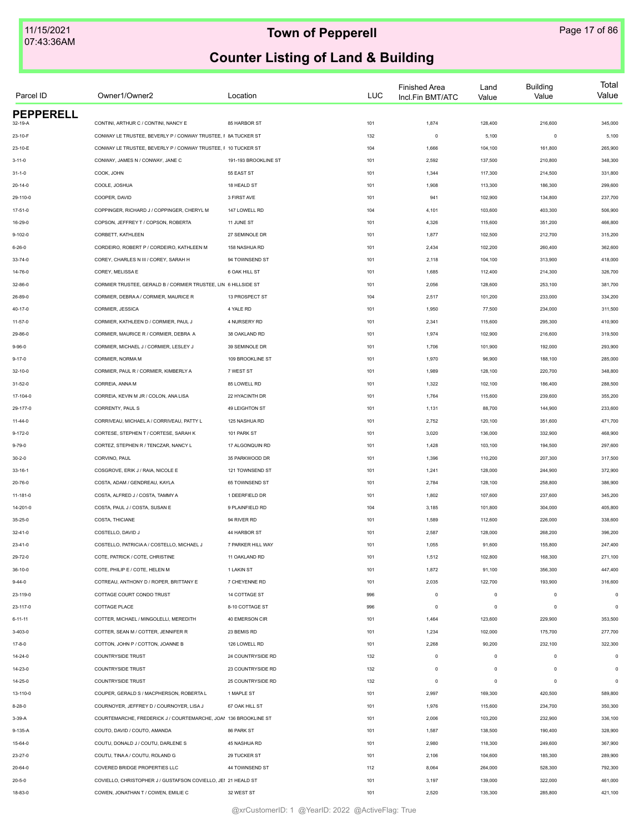| Parcel ID        | Owner1/Owner2                                                   | Location             | <b>LUC</b> | <b>Finished Area</b><br>Incl.Fin BMT/ATC | Land<br>Value | <b>Building</b><br>Value | Total<br>Value |
|------------------|-----------------------------------------------------------------|----------------------|------------|------------------------------------------|---------------|--------------------------|----------------|
| <b>PEPPERELL</b> |                                                                 |                      |            |                                          |               |                          |                |
| 32-19-A          | CONTINI, ARTHUR C / CONTINI, NANCY E                            | 85 HARBOR ST         | 101        | 1,874                                    | 128,400       | 216,600                  | 345,000        |
| 23-10-F          | CONWAY LE TRUSTEE, BEVERLY P / CONWAY TRUSTEE, F 8A TUCKER ST   |                      | 132        | $\circ$                                  | 5,100         | $\circ$                  | 5,100          |
| 23-10-E          | CONWAY LE TRUSTEE, BEVERLY P / CONWAY TRUSTEE, F 10 TUCKER ST   |                      | 104        | 1,666                                    | 104,100       | 161,800                  | 265,900        |
| $3 - 11 - 0$     | CONWAY, JAMES N / CONWAY, JANE C                                | 191-193 BROOKLINE ST | 101        | 2,592                                    | 137,500       | 210,800                  | 348,300        |
| $31 - 1 - 0$     | COOK, JOHN                                                      | 55 EAST ST           | 101        | 1,344                                    | 117,300       | 214,500                  | 331,800        |
| $20 - 14 - 0$    | COOLE, JOSHUA                                                   | 18 HEALD ST          | 101        | 1,908                                    | 113,300       | 186,300                  | 299,600        |
| 29-110-0         | COOPER, DAVID                                                   | 3 FIRST AVE          | 101        | 941                                      | 102,900       | 134,800                  | 237,700        |
| $17 - 51 - 0$    | COPPINGER, RICHARD J / COPPINGER, CHERYL M                      | 147 LOWELL RD        | 104        | 4,101                                    | 103,600       | 403,300                  | 506,900        |
| 16-29-0          | COPSON. JEFFREY T / COPSON. ROBERTA                             | 11 JUNE ST           | 101        | 4,326                                    | 115,600       | 351,200                  | 466,800        |
| $9 - 102 - 0$    | CORBETT, KATHLEEN                                               | 27 SEMINOLE DR       | 101        | 1,877                                    | 102,500       | 212,700                  | 315,200        |
| $6 - 26 - 0$     | CORDEIRO, ROBERT P / CORDEIRO, KATHLEEN M                       | 158 NASHUA RD        | 101        | 2,434                                    | 102,200       | 260,400                  | 362,600        |
| $33 - 74 - 0$    | COREY, CHARLES N III / COREY, SARAH H                           | 94 TOWNSEND ST       | 101        | 2,118                                    | 104,100       | 313,900                  | 418,000        |
| 14-76-0          | COREY, MELISSA E                                                | 6 OAK HILL ST        | 101        | 1,685                                    | 112,400       | 214,300                  | 326,700        |
| 32-86-0          | CORMIER TRUSTEE, GERALD B / CORMIER TRUSTEE, LIN 6 HILLSIDE ST  |                      | 101        | 2,056                                    | 128,600       | 253,100                  | 381,700        |
| 26-89-0          | CORMIER, DEBRA A / CORMIER, MAURICE R                           | 13 PROSPECT ST       | 104        | 2,517                                    | 101,200       | 233,000                  | 334,200        |
| $40 - 17 - 0$    | CORMIER, JESSICA                                                | 4 YALE RD            | 101        | 1,950                                    | 77,500        | 234,000                  | 311,500        |
| $11 - 57 - 0$    | CORMIER, KATHLEEN D / CORMIER, PAUL J                           | 4 NURSERY RD         | 101        | 2,341                                    | 115,600       | 295,300                  | 410,900        |
| 29-86-0          | CORMIER, MAURICE R / CORMIER, DEBRA A                           | 38 OAKLAND RD        | 101        | 1,974                                    | 102,900       | 216,600                  | 319,500        |
| $9 - 96 - 0$     | CORMIER, MICHAEL J / CORMIER, LESLEY J                          | 39 SEMINOLE DR       | 101        | 1,706                                    | 101,900       | 192,000                  | 293,900        |
| $9 - 17 - 0$     | CORMIER, NORMA M                                                | 109 BROOKLINE ST     | 101        | 1,970                                    | 96,900        | 188,100                  | 285,000        |
| $32 - 10 - 0$    | CORMIER, PAUL R / CORMIER, KIMBERLY A                           | 7 WEST ST            | 101        | 1,989                                    | 128,100       | 220,700                  | 348,800        |
| $31 - 52 - 0$    | CORREIA, ANNA M                                                 | 85 LOWELL RD         | 101        | 1,322                                    | 102,100       | 186,400                  | 288,500        |
| 17-104-0         | CORREIA, KEVIN M JR / COLON, ANA LISA                           | 22 HYACINTH DR       | 101        | 1,764                                    | 115,600       | 239,600                  | 355,200        |
| 29-177-0         | CORRENTY, PAUL S                                                | 49 LEIGHTON ST       | 101        | 1,131                                    | 88,700        | 144,900                  | 233,600        |
| $11 - 44 - 0$    | CORRIVEAU, MICHAEL A / CORRIVEAU, PATTY L                       | 125 NASHUA RD        | 101        | 2,752                                    | 120,100       | 351,600                  | 471,700        |
|                  |                                                                 |                      |            |                                          |               |                          |                |
| $9 - 172 - 0$    | CORTESE, STEPHEN T / CORTESE, SARAH K                           | 101 PARK ST          | 101        | 3,020                                    | 136,000       | 332,900                  | 468,900        |
| $9 - 79 - 0$     | CORTEZ, STEPHEN R / TENCZAR, NANCY L                            | 17 ALGONQUIN RD      | 101        | 1,428                                    | 103,100       | 194,500                  | 297,600        |
| $30 - 2 - 0$     | CORVINO, PAUL                                                   | 35 PARKWOOD DR       | 101        | 1,396                                    | 110,200       | 207,300                  | 317,500        |
| $33 - 16 - 1$    | COSGROVE, ERIK J / RAIA, NICOLE E                               | 121 TOWNSEND ST      | 101        | 1,241                                    | 128,000       | 244,900                  | 372,900        |
| 20-76-0          | COSTA, ADAM / GENDREAU, KAYLA                                   | 65 TOWNSEND ST       | 101        | 2,784                                    | 128,100       | 258,800                  | 386,900        |
| 11-181-0         | COSTA, ALFRED J / COSTA, TAMMY A                                | 1 DEERFIELD DR       | 101        | 1,802                                    | 107,600       | 237,600                  | 345,200        |
| 14-201-0         | COSTA, PAUL J / COSTA, SUSAN E                                  | 9 PLAINFIELD RD      | 104        | 3,185                                    | 101,800       | 304,000                  | 405,800        |
| 35-25-0          | COSTA, THICIANE                                                 | 94 RIVER RD          | 101        | 1,589                                    | 112,600       | 226,000                  | 338,600        |
| $32 - 41 - 0$    | COSTELLO, DAVID J                                               | 44 HARBOR ST         | 101        | 2,587                                    | 128,000       | 268,200                  | 396,200        |
| $23 - 41 - 0$    | COSTELLO, PATRICIA A / COSTELLO, MICHAEL J                      | 7 PARKER HILL WAY    | 101        | 1,055                                    | 91,600        | 155,800                  | 247,400        |
| 29-72-0          | COTE, PATRICK / COTE, CHRISTINE                                 | 11 OAKLAND RD        | 101        | 1,512                                    | 102,800       | 168,300                  | 271,100        |
| 36-10-0          | COTE, PHILIP E / COTE, HELEN M                                  | 1 LAKIN ST           | 101        | 1,872                                    | 91,100        | 356,300                  | 447,400        |
| $9 - 44 - 0$     | COTREAU, ANTHONY D / ROPER, BRITTANY E                          | 7 CHEYENNE RD        | 101        | 2,035                                    | 122,700       | 193,900                  | 316,600        |
| 23-119-0         | COTTAGE COURT CONDO TRUST                                       | 14 COTTAGE ST        | 996        | $\mathsf 0$                              | $\,$ 0 $\,$   | $\mathbf 0$              | $\mathsf 0$    |
| 23-117-0         | COTTAGE PLACE                                                   | 8-10 COTTAGE ST      | 996        | $\mathsf 0$                              | $\mathsf 0$   | $\circ$                  | $\circ$        |
| $6 - 11 - 11$    | COTTER. MICHAEL / MINGOLELLI. MEREDITH                          | 40 EMERSON CIR       | 101        | 1,464                                    | 123,600       | 229,900                  | 353,500        |
| $3 - 403 - 0$    | COTTER, SEAN M / COTTER, JENNIFER R                             | 23 BEMIS RD          | 101        | 1,234                                    | 102,000       | 175,700                  | 277,700        |
| $17 - 8 - 0$     | COTTON, JOHN P / COTTON, JOANNE B                               | 126 LOWELL RD        | 101        | 2,268                                    | 90,200        | 232,100                  | 322,300        |
| 14-24-0          | <b>COUNTRYSIDE TRUST</b>                                        | 24 COUNTRYSIDE RD    | 132        | $\mathsf 0$                              | $\mathsf 0$   | $^{\circ}$               | $\mathsf 0$    |
| 14-23-0          | <b>COUNTRYSIDE TRUST</b>                                        | 23 COUNTRYSIDE RD    | 132        | $\mathsf 0$                              | $\mathsf 0$   | $\Omega$                 | $\circ$        |
| 14-25-0          | <b>COUNTRYSIDE TRUST</b>                                        | 25 COUNTRYSIDE RD    | 132        | $\mathsf 0$                              | $\mathsf 0$   | $\Omega$                 | $\circ$        |
| 13-110-0         | COUPER, GERALD S / MACPHERSON, ROBERTA L                        | 1 MAPLE ST           | 101        | 2,997                                    | 169,300       | 420,500                  | 589,800        |
| $8 - 28 - 0$     | COURNOYER, JEFFREY D / COURNOYER, LISA J                        | 67 OAK HILL ST       | 101        | 1,976                                    | 115,600       | 234,700                  | 350,300        |
| $3-39-A$         | COURTEMARCHE, FREDERICK J / COURTEMARCHE, JOAI 136 BROOKLINE ST |                      | 101        | 2,006                                    | 103,200       | 232,900                  | 336,100        |
| 9-135-A          | COUTO, DAVID / COUTO, AMANDA                                    | 86 PARK ST           | 101        | 1,587                                    | 138,500       | 190,400                  | 328,900        |
| 15-64-0          | COUTU, DONALD J / COUTU, DARLENE S                              | 45 NASHUA RD         | 101        | 2,980                                    | 118,300       | 249,600                  | 367,900        |
| 23-27-0          | COUTU, TINA A / COUTU, ROLAND G                                 | 29 TUCKER ST         | 101        | 2,106                                    | 104,600       | 185,300                  | 289,900        |
| 20-64-0          | COVERED BRIDGE PROPERTIES LLC                                   | 44 TOWNSEND ST       | 112        | 8,064                                    | 264,000       | 528,300                  | 792,300        |
|                  | COVIELLO, CHRISTOPHER J / GUSTAFSON COVIELLO, JEI 21 HEALD ST   |                      | 101        | 3,197                                    | 139,000       | 322,000                  | 461,000        |
| $20 - 5 - 0$     |                                                                 |                      |            |                                          |               |                          |                |
| 18-83-0          | COWEN, JONATHAN T / COWEN, EMILIE C                             | 32 WEST ST           | 101        | 2,520                                    | 135,300       | 285,800                  | 421,100        |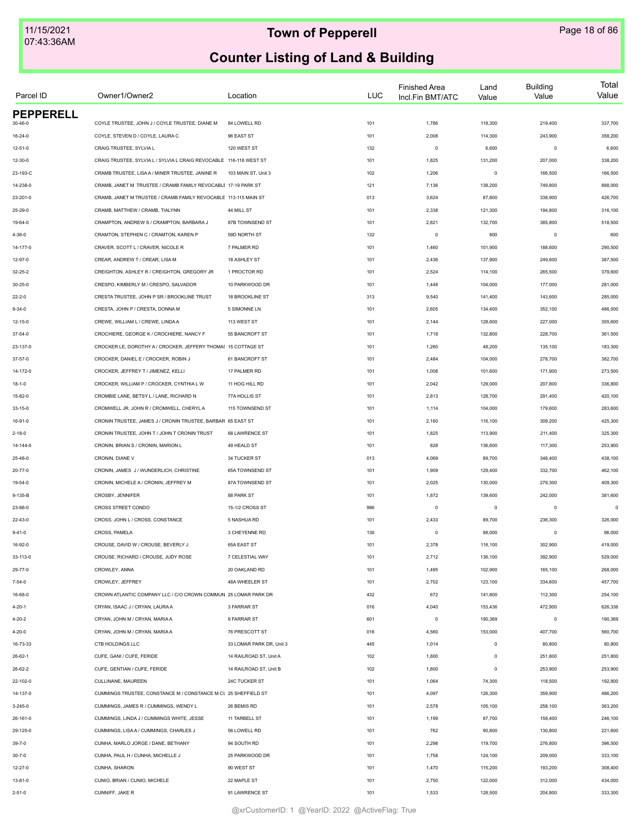| Parcel ID        | Owner1/Owner2                                                      | Location                 | <b>LUC</b> | <b>Finished Area</b><br>Incl.Fin BMT/ATC | Land<br>Value | <b>Building</b><br>Value | Total<br>Value |
|------------------|--------------------------------------------------------------------|--------------------------|------------|------------------------------------------|---------------|--------------------------|----------------|
| <b>PEPPERELL</b> |                                                                    |                          |            |                                          |               |                          |                |
| 30-46-0          | COYLE TRUSTEE, JOHN J / COYLE TRUSTEE, DIANE M                     | 84 LOWELL RD             | 101        | 1,786                                    | 118,300       | 219,400                  | 337,700        |
| $16 - 24 - 0$    | COYLE, STEVEN D / COYLE, LAURA C                                   | 96 EAST ST               | 101        | 2,008                                    | 114,300       | 243,900                  | 358,200        |
| $12 - 51 - 0$    | CRAIG TRUSTEE, SYLVIA L                                            | 120 WEST ST              | 132        | $\circ$                                  | 6,600         | $\mathbf 0$              | 6,600          |
| 12-30-0          | CRAIG TRUSTEE, SYLVIA L / SYLVIA L CRAIG REVOCABLE 116-118 WEST ST |                          | 101        | 1,825                                    | 131,200       | 207,000                  | 338,200        |
| 23-193-C         | CRAMB TRUSTEE, LISAA / MINER TRUSTEE, JANINE R                     | 103 MAIN ST, Unit 3      | 102        | 1,206                                    | $\mathsf 0$   | 166,500                  | 166,500        |
| 14-238-0         | CRAMB, JANET M TRUSTEE / CRAMB FAMILY REVOCABLI 17-19 PARK ST      |                          | 121        | 7,136                                    | 138,200       | 749,800                  | 888,000        |
| 23-201-0         | CRAMB, JANET M TRUSTEE / CRAMB FAMILY REVOCABLE 113-115 MAIN ST    |                          | 013        | 3,624                                    | 87,800        | 338,900                  | 426,700        |
| 25-29-0          | CRAMB, MATTHEW / CRAMB, TIALYNN                                    | 44 MILL ST               | 101        | 2,338                                    | 121,300       | 194,800                  | 316,100        |
| 19-64-0          | CRAMPTON, ANDREW S / CRAMPTON, BARBARA J                           | 87B TOWNSEND ST          | 101        | 2,821                                    | 132,700       | 385,800                  | 518,500        |
| $4 - 36 - 0$     | CRAMTON, STEPHEN C / CRAMTON, KAREN P                              | 59D NORTH ST             | 132        | $\circ$                                  | 800           | $\mathbf 0$              | 800            |
| 14-177-0         | CRAVER, SCOTT L / CRAVER, NICOLE R                                 | 7 PALMER RD              | 101        | 1,460                                    | 101,900       | 188,600                  | 290,500        |
| 12-97-0          | CREAR, ANDREW T / CREAR, LISA M                                    | 18 ASHLEY ST             | 101        | 2,436                                    | 137,900       | 249,600                  | 387,500        |
| $32 - 25 - 2$    | CREIGHTON, ASHLEY R / CREIGHTON, GREGORY JR                        | 1 PROCTOR RD             | 101        | 2,524                                    | 114,100       | 265,500                  | 379,600        |
| $30 - 25 - 0$    | CRESPO, KIMBERLY M / CRESPO, SALVADOR                              | 10 PARKWOOD DR           | 101        | 1,448                                    | 104,000       | 177,000                  | 281,000        |
| $22 - 2 - 0$     | CRESTA TRUSTEE, JOHN P SR / BROOKLINE TRUST                        | 18 BROOKLINE ST          | 313        | 9,540                                    | 141,400       | 143,600                  | 285,000        |
| $9 - 34 - 0$     | CRESTA, JOHN P / CRESTA, DONNA M                                   | 5 SIMONNE LN             | 101        | 2,605                                    | 134,400       | 352,100                  | 486,500        |
| 12-15-0          | CREWE, WILLIAM L / CREWE, LINDA A                                  | 113 WEST ST              | 101        | 2,144                                    | 128,600       | 227,000                  | 355,600        |
| 37-54-0          | CROCHIERE, GEORGE K / CROCHIERE, NANCY F                           | 55 BANCROFT ST           | 101        | 1,718                                    | 132,800       | 228,700                  | 361,500        |
| 23-137-0         | CROCKER LE, DOROTHY A / CROCKER, JEFFERY THOMA! 15 COTTAGE ST      |                          | 101        | 1,260                                    | 48,200        | 135,100                  | 183,300        |
| 37-57-0          | CROCKER, DANIEL E / CROCKER, ROBIN J                               | 61 BANCROFT ST           | 101        | 2,484                                    | 104,000       | 278,700                  | 382,700        |
| 14-172-0         | CROCKER, JEFFREY T / JIMENEZ, KELLI                                | 17 PALMER RD             | 101        | 1,008                                    | 101,600       | 171,900                  | 273,500        |
| $18 - 1 - 0$     | CROCKER, WILLIAM P / CROCKER, CYNTHIA L W                          | 11 HOG HILL RD           | 101        | 2,042                                    | 129,000       | 207,800                  | 336,800        |
| 15-82-0          | CROMBIE LANE, BETSY L / LANE, RICHARD N                            | 77A HOLLIS ST            | 101        | 2,813                                    | 128,700       | 291,400                  | 420,100        |
| $33 - 15 - 0$    | CROMWELL JR, JOHN R / CROMWELL, CHERYL A                           | 115 TOWNSEND ST          | 101        | 1,114                                    | 104,000       | 179,600                  | 283,600        |
| 16-91-0          | CRONIN TRUSTEE, JAMES J / CRONIN TRUSTEE, BARBAR 65 EAST ST        |                          | 101        | 2,160                                    | 116,100       | 309,200                  | 425,300        |
| $2 - 18 - 0$     | CRONIN TRUSTEE, JOHN T / JOHN T CRONIN TRUST                       | 68 LAWRENCE ST           | 101        | 1,825                                    | 113,900       | 211,400                  | 325,300        |
| 14-144-0         | CRONIN, BRIAN S / CRONIN, MARION L                                 | 49 HEALD ST              | 101        | 828                                      | 136,600       | 117,300                  | 253,900        |
| 25-48-0          | CRONIN, DIANE V                                                    | 34 TUCKER ST             | 013        | 4,069                                    | 89,700        | 348,400                  | 438,100        |
| $20 - 77 - 0$    | CRONIN, JAMES J / WUNDERLICH, CHRISTINE                            | 65A TOWNSEND ST          | 101        | 1,909                                    | 129,400       | 332,700                  | 462,100        |
| 19-54-0          | CRONIN, MICHELE A / CRONIN, JEFFREY M                              | 87A TOWNSEND ST          | 101        | 2,025                                    | 130,000       | 279,300                  | 409,300        |
| 9-135-B          | CROSBY, JENNIFER                                                   | 88 PARK ST               | 101        | 1,872                                    | 139,600       | 242,000                  | 381,600        |
| 23-88-0          | CROSS STREET CONDO                                                 | 15-1/2 CROSS ST          | 996        | $\circ$                                  | $\circ$       | $\mathbf 0$              | 0              |
| 22-43-0          | CROSS, JOHN L / CROSS, CONSTANCE                                   | 5 NASHUA RD              | 101        | 2,433                                    | 89,700        | 236,300                  | 326,000        |
| $9 - 41 - 0$     | CROSS, PAMELA                                                      | 3 CHEYENNE RD            | 130        | $\mathbf 0$                              | 98,000        | $\mathbf 0$              | 98,000         |
| 16-92-0          | CROUSE. DAVID W / CROUSE. BEVERLY J                                | 65A EAST ST              | 101        | 2,378                                    | 116,100       | 302,900                  | 419,000        |
| 33-113-0         | CROUSE, RICHARD / CROUSE, JUDY ROSE                                | 7 CELESTIAL WAY          | 101        | 2,712                                    | 136,100       | 392,900                  | 529,000        |
| 29-77-0          | CROWLEY, ANNA                                                      | 20 OAKLAND RD            | 101        | 1,495                                    | 102,900       | 165,100                  | 268,000        |
| $7 - 54 - 0$     | CROWLEY, JEFFREY                                                   | 48A WHEELER ST           | 101        | 2,702                                    | 123,100       | 334,600                  | 457,700        |
| 16-68-0          | CROWN ATLANTIC COMPANY LLC / C/O CROWN COMMUN 25 LOMAR PARK DR     |                          | 432        | 672                                      | 141,800       | 112,300                  | 254,100        |
| $4 - 20 - 1$     | CRYAN, ISAAC J / CRYAN, LAURA A                                    | 3 FARRAR ST              | 016        | 4,040                                    | 153,436       | 472,900                  | 626,336        |
| $4 - 20 - 2$     | CRYAN, JOHN M / CRYAN, MARIA A                                     | 9 FARRAR ST              | 601        | $\circ$                                  | 190,369       | $\mathbf 0$              | 190,369        |
| 4-20-0           | CRYAN, JOHN M / CRYAN, MARIA A                                     | 76 PRESCOTT ST           | 016        | 4,560                                    | 153,000       | 407,700                  | 560,700        |
|                  | CTB HOLDINGS LLC                                                   | 33 LOMAR PARK DR, Unit 3 | 445        | 1,014                                    | $\,$ 0 $\,$   | 80,800                   | 80,800         |
| 16-73-33         | CUFE, GANI / CUFE, FERIDE                                          | 14 RAILROAD ST, Unit A   |            |                                          | $\mathsf 0$   |                          |                |
| $26 - 62 - 1$    |                                                                    |                          | 102        | 1,800                                    |               | 251,800                  | 251,800        |
| 26-62-2          | CUFE, GENTIAN / CUFE, FERIDE                                       | 14 RAILROAD ST, Unit B   | 102        | 1,800                                    | $\circ$       | 253,900                  | 253,900        |
| 22-102-0         | CULLINANE, MAUREEN                                                 | 24C TUCKER ST            | 101        | 1,064                                    | 74,300        | 118,500                  | 192,800        |
| 14-137-0         | CUMMINGS TRUSTEE, CONSTANCE M / CONSTANCE M CL 25 SHEFFIELD ST     |                          | 101        | 4,097                                    | 126,300       | 359,900                  | 486,200        |
| $3 - 245 - 0$    | CUMMINGS, JAMES R / CUMMINGS, WENDY L                              | 26 BEMIS RD              | 101        | 2,578                                    | 105,100       | 258,100                  | 363,200        |
| 26-161-0         | CUMMINGS, LINDA J / CUMMINGS WHITE, JESSE                          | 11 TARBELL ST            | 101        | 1,199                                    | 87,700        | 158,400                  | 246,100        |
| 29-125-0         | CUMMINGS, LISA A / CUMMINGS, CHARLES J                             | 56 LOWELL RD             | 101        | 762                                      | 90,800        | 130,800                  | 221,600        |
| $39 - 7 - 0$     | CUNHA, MARLO JORGE / DANE, BETHANY                                 | 94 SOUTH RD              | 101        | 2,298                                    | 119,700       | 276,800                  | 396,500        |
| $30 - 7 - 0$     | CUNHA, PAUL H / CUNHA, MICHELLE J                                  | 25 PARKWOOD DR           | 101        | 1,758                                    | 124,100       | 209,000                  | 333,100        |
| $12 - 27 - 0$    | CUNHA, SHARON                                                      | 90 WEST ST               | 101        | 1,470                                    | 115,200       | 193,200                  | 308,400        |
| $13 - 81 - 0$    | CUNIO, BRIAN / CUNIO, MICHELE                                      | 22 MAPLE ST              | 101        | 2,750                                    | 122,000       | 312,000                  | 434,000        |
| $2 - 51 - 0$     | CUNNIFF, JAKE R                                                    | 91 LAWRENCE ST           | 101        | 1,533                                    | 128,500       | 204,800                  | 333,300        |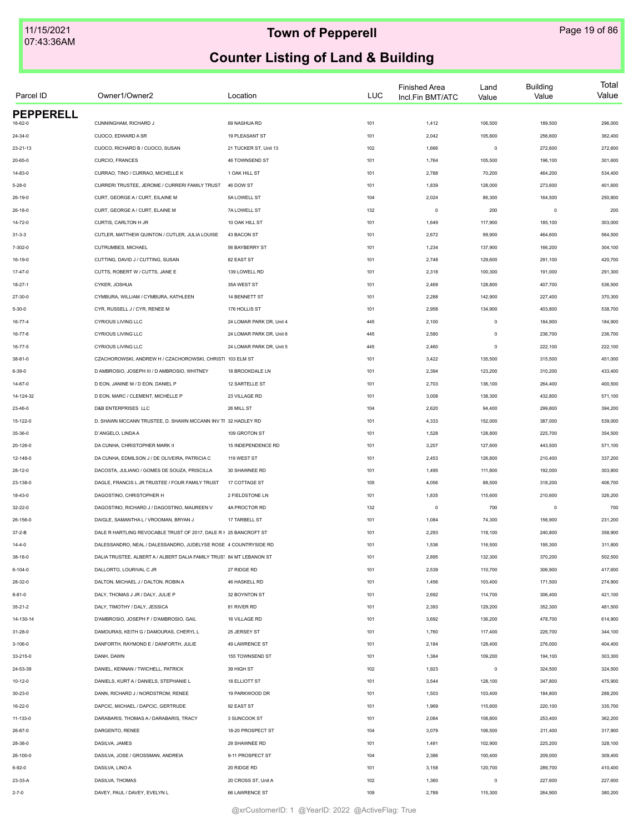| Parcel ID        | Owner1/Owner2                                                        | Location                 | LUC | <b>Finished Area</b><br>Incl.Fin BMT/ATC | Land<br>Value | <b>Building</b><br>Value | Total<br>Value |
|------------------|----------------------------------------------------------------------|--------------------------|-----|------------------------------------------|---------------|--------------------------|----------------|
| <b>PEPPERELL</b> |                                                                      |                          |     |                                          |               |                          |                |
| 16-62-0          | CUNNINGHAM, RICHARD J                                                | 69 NASHUA RD             | 101 | 1,412                                    | 106,500       | 189,500                  | 296,000        |
| 24-34-0          | CUOCO, EDWARD A SR                                                   | 19 PLEASANT ST           | 101 | 2,042                                    | 105,800       | 256,600                  | 362,400        |
| 23-21-13         | CUOCO, RICHARD B / CUOCO, SUSAN                                      | 21 TUCKER ST, Unit 13    | 102 | 1,666                                    | $\mathsf 0$   | 272,600                  | 272,600        |
| 20-65-0          | CURCIO, FRANCES                                                      | 46 TOWNSEND ST           | 101 | 1,764                                    | 105,500       | 196,100                  | 301,600        |
| 14-83-0          | CURRAO, TINO / CURRAO, MICHELLE K                                    | 1 OAK HILL ST            | 101 | 2,788                                    | 70,200        | 464,200                  | 534,400        |
| $5 - 28 - 0$     | CURRERI TRUSTEE, JEROME / CURRERI FAMILY TRUST                       | 46 DOW ST                | 101 | 1,839                                    | 128,000       | 273,600                  | 401,600        |
| 26-19-0          | CURT, GEORGE A / CURT, EILAINE M                                     | 5A LOWELL ST             | 104 | 2,024                                    | 86,300        | 164,500                  | 250,800        |
| $26 - 18 - 0$    | CURT, GEORGE A / CURT, ELAINE M                                      | 7A LOWELL ST             | 132 | $\mathbf 0$                              | 200           | $^{\circ}$               | 200            |
| 14-72-0          | CURTIS, CARLTON H JR                                                 | 10 OAK HILL ST           | 101 | 1,649                                    | 117,900       | 185,100                  | 303,000        |
| $31 - 3 - 3$     | CUTLER, MATTHEW QUINTON / CUTLER, JULIA LOUISE                       | 43 BACON ST              | 101 | 2,672                                    | 99,900        | 464,600                  | 564,500        |
| 7-302-0          | CUTRUMBES, MICHAEL                                                   | 56 BAYBERRY ST           | 101 | 1,234                                    | 137,900       | 166,200                  | 304,100        |
| 16-19-0          | CUTTING, DAVID J / CUTTING, SUSAN                                    | 82 EAST ST               | 101 | 2,748                                    | 129,600       | 291,100                  | 420,700        |
| $17 - 47 - 0$    | CUTTS, ROBERT W / CUTTS, JANE E                                      | 139 LOWELL RD            | 101 | 2,318                                    | 100,300       | 191,000                  | 291,300        |
| 18-27-1          | CYKER, JOSHUA                                                        | 35A WEST ST              | 101 | 2,469                                    | 128,800       | 407,700                  | 536,500        |
| 27-30-0          | CYMBURA, WILLIAM / CYMBURA, KATHLEEN                                 | 14 BENNETT ST            | 101 | 2,288                                    | 142,900       | 227,400                  | 370,300        |
| $5 - 30 - 0$     | CYR, RUSSELL J / CYR, RENEE M                                        | 176 HOLLIS ST            | 101 | 2,958                                    | 134,900       | 403,800                  | 538,700        |
| 16-77-4          | <b>CYRIOUS LIVING LLC</b>                                            | 24 LOMAR PARK DR, Unit 4 | 445 | 2,100                                    | $\mathsf 0$   | 184,900                  | 184,900        |
| 16-77-6          | CYRIOUS LIVING LLC                                                   | 24 LOMAR PARK DR, Unit 6 | 445 | 2,580                                    | $\mathsf 0$   | 236,700                  | 236,700        |
| 16-77-5          | <b>CYRIOUS LIVING LLC</b>                                            | 24 LOMAR PARK DR, Unit 5 | 445 | 2,460                                    | $\mathsf 0$   | 222,100                  | 222,100        |
| 38-81-0          | CZACHOROWSKI, ANDREW H / CZACHOROWSKI, CHRISTI 103 ELM ST            |                          | 101 | 3,422                                    | 135,500       | 315,500                  | 451,000        |
| $6 - 39 - 0$     | D AMBROSIO, JOSEPH III / D AMBROSIO, WHITNEY                         | 18 BROOKDALE LN          | 101 | 2,394                                    | 123,200       | 310,200                  | 433,400        |
| 14-67-0          | D EON, JANINE M / D EON, DANIEL P                                    | 12 SARTELLE ST           | 101 | 2,703                                    | 136,100       | 264,400                  | 400,500        |
| 14-124-32        | D EON, MARC / CLEMENT, MICHELLE P                                    | 23 VILLAGE RD            | 101 | 3,008                                    | 138,300       | 432,800                  | 571,100        |
| 23-46-0          | <b>D&amp;B ENTERPRISES LLC</b>                                       | 26 MILL ST               | 104 | 2,620                                    | 94,400        | 299,800                  | 394,200        |
| 15-122-0         | D. SHAWN MCCANN TRUSTEE, D. SHAWN MCCANN INV TF 32 HADLEY RD         |                          | 101 | 4,333                                    | 152,000       | 387,000                  | 539,000        |
|                  |                                                                      |                          |     |                                          |               |                          |                |
| 35-36-0          | D'ANGELO, LINDA A                                                    | 109 GROTON ST            | 101 | 1,528                                    | 128,800       | 225,700                  | 354,500        |
| 20-126-0         | DA CUNHA, CHRISTOPHER MARK II                                        | 15 INDEPENDENCE RD       | 101 | 3,207                                    | 127,600       | 443,500                  | 571,100        |
| 12-148-0         | DA CUNHA, EDMILSON J / DE OLIVEIRA, PATRICIA C                       | 119 WEST ST              | 101 | 2,453                                    | 126,800       | 210,400                  | 337,200        |
| 28-12-0          | DACOSTA, JULIANO / GOMES DE SOUZA, PRISCILLA                         | 30 SHAWNEE RD            | 101 | 1,495                                    | 111,800       | 192,000                  | 303,800        |
| 23-138-0         | DAGLE, FRANCIS L JR TRUSTEE / FOUR FAMILY TRUST                      | 17 COTTAGE ST            | 105 | 4,056                                    | 88,500        | 318,200                  | 406,700        |
| 18-43-0          | DAGOSTINO, CHRISTOPHER H                                             | 2 FIELDSTONE LN          | 101 | 1,835                                    | 115,600       | 210,600                  | 326,200        |
| 32-22-0          | DAGOSTINO, RICHARD J / DAGOSTINO, MAUREEN V                          | 4A PROCTOR RD            | 132 | $\mathbf 0$                              | 700           | $\mathbf 0$              | 700            |
| 26-156-0         | DAIGLE, SAMANTHA L / VROOMAN, BRYAN J                                | 17 TARBELL ST            | 101 | 1,084                                    | 74,300        | 156,900                  | 231,200        |
| $37 - 2 - B$     | DALE R HARTLING REVOCABLE TRUST OF 2017, DALE R F 25 BANCROFT ST     |                          | 101 | 2,293                                    | 118,100       | 240,800                  | 358,900        |
| 14-4-0           | DALESSANDRO, NEAL / DALESSANDRO, JUDELYSE ROSE 4 COUNTRYSIDE RD      |                          | 101 | 1,536                                    | 116,500       | 195,300                  | 311,800        |
| 38-18-0          | DALIA TRUSTEE, ALBERT A / ALBERT DALIA FAMILY TRUS' 84 MT LEBANON ST |                          | 101 | 2,895                                    | 132,300       | 370,200                  | 502,500        |
| 6-104-0          | DALLORTO, LOURIVAL C JR                                              | 27 RIDGE RD              | 101 | 2,539                                    | 110,700       | 306,900                  | 417,600        |
| 28-32-0          | DALTON, MICHAEL J / DALTON, ROBIN A                                  | 46 HASKELL RD            | 101 | 1,456                                    | 103,400       | 171,500                  | 274,900        |
| $8 - 81 - 0$     | DALY, THOMAS J JR / DALY, JULIE P                                    | 32 BOYNTON ST            | 101 | 2,692                                    | 114,700       | 306,400                  | 421,100        |
| $35 - 21 - 2$    | DALY, TIMOTHY / DALY, JESSICA                                        | 81 RIVER RD              | 101 | 2,393                                    | 129,200       | 352,300                  | 481,500        |
| 14-130-14        | D'AMBROSIO, JOSEPH F / D'AMBROSIO, GAIL                              | 16 VILLAGE RD            | 101 | 3,692                                    | 136,200       | 478,700                  | 614,900        |
| 31-28-0          | DAMOURAS, KEITH G / DAMOURAS, CHERYL L                               | 25 JERSEY ST             | 101 | 1,760                                    | 117,400       | 226,700                  | 344,100        |
| 3-106-0          | DANFORTH, RAYMOND E / DANFORTH, JULIE                                | 49 LAWRENCE ST           | 101 | 2,184                                    | 128,400       | 276,000                  | 404,400        |
| 33-215-0         | DANH, DAWN                                                           | 155 TOWNSEND ST          | 101 | 1,384                                    | 109,200       | 194,100                  | 303,300        |
| 24-53-39         | DANIEL, KENNAN / TWICHELL, PATRICK                                   | 39 HIGH ST               | 102 | 1,923                                    | $\mathsf 0$   | 324,500                  | 324,500        |
| $10 - 12 - 0$    | DANIELS, KURT A / DANIELS, STEPHANIE L                               | <b>18 ELLIOTT ST</b>     | 101 | 3,544                                    | 128,100       | 347,800                  | 475,900        |
| $30 - 23 - 0$    | DANN, RICHARD J / NORDSTROM, RENEE                                   | 19 PARKWOOD DR           | 101 | 1,503                                    | 103,400       | 184,800                  | 288,200        |
| 16-22-0          | DAPCIC, MICHAEL / DAPCIC, GERTRUDE                                   | 92 EAST ST               | 101 | 1,969                                    | 115,600       | 220,100                  | 335,700        |
| 11-133-0         | DARABARIS, THOMAS A / DARABARIS, TRACY                               | 3 SUNCOOK ST             | 101 | 2,084                                    | 108,800       | 253,400                  | 362,200        |
| 26-87-0          | DARGENTO, RENEE                                                      | 18-20 PROSPECT ST        | 104 | 3,079                                    | 106,500       | 211,400                  | 317,900        |
| 28-38-0          | DASILVA, JAMES                                                       | 29 SHAWNEE RD            | 101 | 1,491                                    | 102,900       | 225,200                  | 328,100        |
| 26-100-0         | DASILVA, JOSE / GROSSMAN, ANDREIA                                    | 9-11 PROSPECT ST         | 104 | 2,386                                    | 100,400       | 209,000                  | 309,400        |
| $6 - 92 - 0$     | DASILVA, LINO A                                                      | 20 RIDGE RD              | 101 | 3,158                                    | 120,700       | 289,700                  | 410,400        |
|                  | DASILVA, THOMAS                                                      | 20 CROSS ST, Unit A      |     | 1,360                                    | $\mathsf 0$   | 227,600                  | 227,600        |
| 23-33-A          |                                                                      |                          | 102 |                                          |               |                          |                |
| $2 - 7 - 0$      | DAVEY, PAUL / DAVEY, EVELYN L                                        | 66 LAWRENCE ST           | 109 | 2,789                                    | 115,300       | 264,900                  | 380,200        |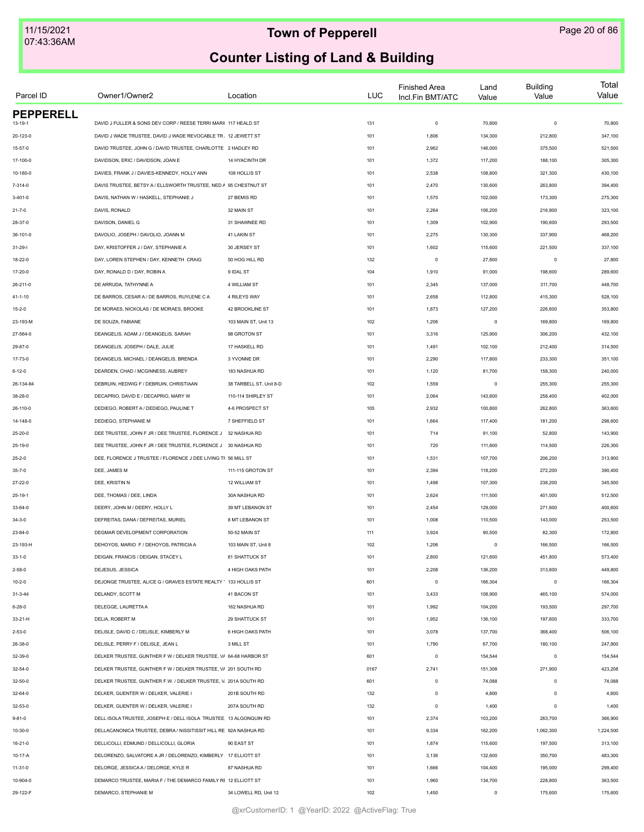| Parcel ID        | Owner1/Owner2                                                     | Location                | LUC  | <b>Finished Area</b><br>Incl.Fin BMT/ATC | Land<br>Value | <b>Building</b><br>Value | Total<br>Value |
|------------------|-------------------------------------------------------------------|-------------------------|------|------------------------------------------|---------------|--------------------------|----------------|
| <b>PEPPERELL</b> |                                                                   |                         |      |                                          |               |                          |                |
| 13-19-1          | DAVID J FULLER & SONS DEV CORP / REESE TERRI MARII 117 HEALD ST   |                         | 131  | $\mathbf 0$                              | 70,800        | $\mathbf 0$              | 70,800         |
| 20-123-0         | DAVID J WADE TRUSTEE, DAVID J WADE REVOCABLE TR. 12 JEWETT ST     |                         | 101  | 1,806                                    | 134,300       | 212,800                  | 347,100        |
| $15 - 57 - 0$    | DAVID TRUSTEE, JOHN G / DAVID TRUSTEE, CHARLOTTE 2 HADLEY RD      |                         | 101  | 2,962                                    | 146,000       | 375,500                  | 521,500        |
| 17-100-0         | DAVIDSON, ERIC / DAVIDSON, JOAN E                                 | 14 HYACINTH DR          | 101  | 1,372                                    | 117,200       | 188,100                  | 305,300        |
| 10-180-0         | DAVIES, FRANK J / DAVIES-KENNEDY, HOLLY ANN                       | 108 HOLLIS ST           | 101  | 2,538                                    | 108,800       | 321,300                  | 430,100        |
| 7-314-0          | DAVIS TRUSTEE, BETSY A / ELLSWORTH TRUSTEE, NED A 95 CHESTNUT ST  |                         | 101  | 2,470                                    | 130,600       | 263,800                  | 394,400        |
| $3 - 401 - 0$    | DAVIS, NATHAN W / HASKELL, STEPHANIE J                            | 27 BEMIS RD             | 101  | 1,570                                    | 102,000       | 173,300                  | 275,300        |
| $21 - 7 - 0$     | DAVIS, RONALD                                                     | 32 MAIN ST              | 101  | 2,264                                    | 106,200       | 216,900                  | 323,100        |
| 28-37-0          | DAVISON, DANIEL G                                                 | 31 SHAWNEE RD           | 101  | 1,309                                    | 102,900       | 190,600                  | 293,500        |
| 36-101-0         | DAVOLIO, JOSEPH / DAVOLIO, JOANN M                                | 41 LAKIN ST             | 101  | 2,275                                    | 130,300       | 337,900                  | 468,200        |
| $31 - 29 - 1$    | DAY, KRISTOFFER J / DAY, STEPHANIE A                              | 30 JERSEY ST            | 101  | 1,602                                    | 115,600       | 221,500                  | 337,100        |
| 18-22-0          | DAY, LOREN STEPHEN / DAY, KENNETH CRAIG                           | 50 HOG HILL RD          | 132  | $\mathsf 0$                              | 27,800        | $^{\circ}$               | 27,800         |
| 17-20-0          | DAY, RONALD D / DAY, ROBIN A                                      | 9 IDAL ST               | 104  | 1,910                                    | 91,000        | 198,600                  | 289,600        |
| 26-211-0         | DE ARRUDA, TATHYNNE A                                             | 4 WILLIAM ST            | 101  | 2,345                                    | 137,000       | 311,700                  | 448,700        |
| $41 - 1 - 10$    | DE BARROS, CESAR A / DE BARROS, RUYLENE C A                       | 4 RILEYS WAY            | 101  | 2,658                                    | 112,800       | 415,300                  | 528,100        |
| $15 - 2 - 0$     | DE MORAES, NICKOLAS / DE MORAES, BROOKE                           | 42 BROOKLINE ST         | 101  | 1,873                                    | 127,200       | 226,600                  | 353,800        |
| 23-193-M         | DE SOUZA, FABIANE                                                 | 103 MAIN ST, Unit 13    | 102  | 1,206                                    | $\mathbf 0$   | 169,800                  | 169,800        |
| 27-564-0         | DEANGELIS, ADAM J / DEANGELIS, SARAH                              | 98 GROTON ST            | 101  | 3,316                                    | 125,900       | 306,200                  | 432,100        |
| 29-87-0          | DEANGELIS, JOSEPH / DALE, JULIE                                   | 17 HASKELL RD           | 101  | 1,491                                    | 102,100       | 212,400                  | 314,500        |
| 17-73-0          | DEANGELIS, MICHAEL / DEANGELIS, BRENDA                            | 3 YVONNE DR             | 101  | 2,290                                    | 117,800       | 233,300                  | 351,100        |
| $6 - 12 - 0$     | DEARDEN, CHAD / MCGINNESS, AUBREY                                 | 183 NASHUA RD           | 101  | 1,120                                    | 81,700        | 158,300                  | 240,000        |
| 26-134-84        | DEBRUIN, HEDWIG F / DEBRUIN, CHRISTIAAN                           | 38 TARBELL ST, Unit 8-D | 102  | 1,559                                    | $\mathbf 0$   | 255,300                  | 255,300        |
| 38-28-0          | DECAPRIO, DAVID E / DECAPRIO, MARY W                              | 110-114 SHIRLEY ST      | 101  | 2,064                                    | 143,600       | 258,400                  | 402,000        |
| 26-110-0         | DEDIEGO, ROBERT A / DEDIEGO, PAULINE T                            | 4-6 PROSPECT ST         | 105  | 2,932                                    | 100,800       | 262,800                  | 363,600        |
| 14-148-0         | DEDIEGO, STEPHANIE M                                              | 7 SHEFFIELD ST          | 101  | 1,664                                    | 117,400       | 181,200                  | 298,600        |
| 25-20-0          | DEE TRUSTEE, JOHN F JR / DEE TRUSTEE, FLORENCE J                  | 32 NASHUA RD            | 101  | 714                                      | 91,100        | 52,800                   | 143,900        |
| 25-19-0          | DEE TRUSTEE, JOHN F JR / DEE TRUSTEE, FLORENCE J 30 NASHUA RD     |                         | 101  | 720                                      | 111,800       | 114,500                  | 226,300        |
| $25 - 2 - 0$     | DEE, FLORENCE J TRUSTEE / FLORENCE J DEE LIVING TI 56 MILL ST     |                         | 101  | 1,531                                    | 107,700       | 206,200                  | 313,900        |
| $35 - 7 - 0$     | DEE, JAMES M                                                      | 111-115 GROTON ST       | 101  | 2,394                                    | 118,200       | 272,200                  | 390,400        |
| $27 - 22 - 0$    | DEE, KRISTIN N                                                    | 12 WILLIAM ST           | 101  | 1,498                                    | 107,300       | 238,200                  | 345,500        |
|                  |                                                                   |                         |      |                                          |               |                          |                |
| $25 - 19 - 1$    | DEE, THOMAS / DEE, LINDA                                          | 30A NASHUA RD           | 101  | 2,624                                    | 111,500       | 401,000                  | 512,500        |
| 33-64-0          | DEERY, JOHN M / DEERY, HOLLY L                                    | 39 MT LEBANON ST        | 101  | 2,454                                    | 129,000       | 271,600                  | 400,600        |
| $34 - 3 - 0$     | DEFREITAS, DANA / DEFREITAS, MURIEL                               | 8 MT LEBANON ST         | 101  | 1,008                                    | 110,500       | 143,000                  | 253,500        |
| 23-84-0          | DEGMAR DEVELOPMENT CORPORATION                                    | 50-52 MAIN ST           | 111  | 3,924                                    | 90,500        | 82,300                   | 172,800        |
| 23-193-H         | DEHOYOS, MARIO F / DEHOYOS, PATRICIA A                            | 103 MAIN ST, Unit 8     | 102  | 1,206                                    | $\mathbf 0$   | 166,500                  | 166,500        |
| $33 - 1 - 0$     | DEIGAN, FRANCIS / DEIGAN, STACEY L                                | 61 SHATTUCK ST          | 101  | 2,800                                    | 121,600       | 451,800                  | 573,400        |
| $2 - 58 - 0$     | DEJESUS, JESSICA                                                  | 4 HIGH OAKS PATH        | 101  | 2,208                                    | 136,200       | 313,600                  | 449,800        |
| $10 - 2 - 0$     | DEJONGE TRUSTEE, ALICE G / GRAVES ESTATE REALTY 1 133 HOLLIS ST   |                         | 601  | $\mathsf 0$                              | 166,304       | $\mathbf 0$              | 166,304        |
| $31 - 3 - 44$    | DELANDY, SCOTT M                                                  | 41 BACON ST             | 101  | 3,433                                    | 108,900       | 465,100                  | 574,000        |
| $6 - 28 - 0$     | DELEGGE, LAURETTA A                                               | 162 NASHUA RD           | 101  | 1,992                                    | 104,200       | 193,500                  | 297,700        |
| 33-21-H          | DELIA, ROBERT M                                                   | 29 SHATTUCK ST          | 101  | 1,952                                    | 136,100       | 197,600                  | 333,700        |
| $2 - 53 - 0$     | DELISLE, DAVID C / DELISLE, KIMBERLY M                            | 6 HIGH OAKS PATH        | 101  | 3,078                                    | 137,700       | 368,400                  | 506,100        |
| 26-38-0          | DELISLE, PERRY F / DELISLE, JEAN L                                | 3 MILL ST               | 101  | 1,790                                    | 67,700        | 180,100                  | 247,800        |
| 32-39-0          | DELKER TRUSTEE, GUNTHER F W / DELKER TRUSTEE, V/ 64-68 HARBOR ST  |                         | 601  | $\mathsf 0$                              | 154,544       | $\mathbf 0$              | 154,544        |
| $32 - 54 - 0$    | DELKER TRUSTEE, GUNTHER F W / DELKER TRUSTEE, V/ 201 SOUTH RD     |                         | 0167 | 2,741                                    | 151,308       | 271,900                  | 423,208        |
| 32-50-0          | DELKER TRUSTEE, GUNTHER F.W. / DELKER TRUSTEE, V. 201A SOUTH RD   |                         | 601  | $\mathsf 0$                              | 74,088        | $\mathbf 0$              | 74,088         |
| 32-64-0          | DELKER, GUENTER W / DELKER, VALERIE I                             | 201B SOUTH RD           | 132  | $\mathsf 0$                              | 4,800         | $\mathbf 0$              | 4,800          |
| 32-53-0          | DELKER, GUENTER W / DELKER, VALERIE I                             | 207A SOUTH RD           | 132  | $\mathsf 0$                              | 1,400         | $\mathbf 0$              | 1,400          |
| $9 - 81 - 0$     | DELL ISOLA TRUSTEE, JOSEPH E / DELL ISOLA TRUSTEE 13 ALGONQUIN RD |                         | 101  | 2,374                                    | 103,200       | 263,700                  | 366,900        |
| 10-30-0          | DELLACANONICA TRUSTEE, DEBRA / NISSITISSIT HILL RE 92A NASHUA RD  |                         | 101  | 9,334                                    | 162,200       | 1,062,300                | 1,224,500      |
| 16-21-0          | DELLICOLLI, EDMUND / DELLICOLLI, GLORIA                           | 90 EAST ST              | 101  | 1,874                                    | 115,600       | 197,500                  | 313,100        |
| 10-17-A          | DELORENZO, SALVATORE A JR / DELORENZO, KIMBERLY 17 ELLIOTT ST     |                         | 101  | 3,136                                    | 132,600       | 350,700                  | 483,300        |
| $11 - 31 - 0$    | DELORGE, JESSICA A / DELORGE, KYLE R                              | 87 NASHUA RD            | 101  | 1,666                                    | 104,400       | 195,000                  | 299,400        |
| 10-904-0         | DEMARCO TRUSTEE, MARIA F / THE DEMARCO FAMILY RI 12 ELLIOTT ST    |                         | 101  | 1,960                                    | 134,700       | 228,800                  | 363,500        |
| 29-122-F         | DEMARCO, STEPHANIE M                                              | 34 LOWELL RD, Unit 12   | 102  | 1,450                                    | $\mathsf 0$   | 175,600                  | 175,600        |
|                  |                                                                   |                         |      |                                          |               |                          |                |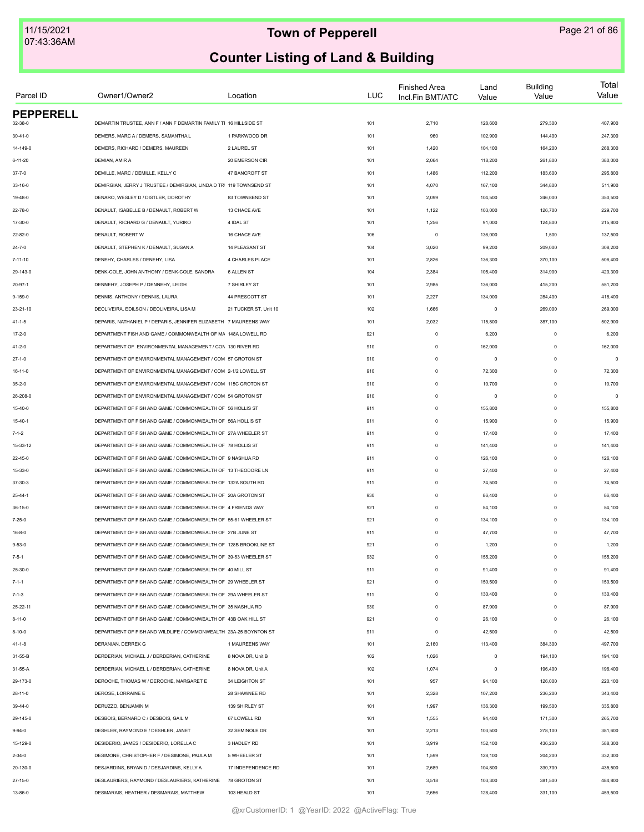| Parcel ID        | Owner1/Owner2                                                       | Location              | LUC | <b>Finished Area</b><br>Incl.Fin BMT/ATC | Land<br>Value | <b>Building</b><br>Value | Total<br>Value |
|------------------|---------------------------------------------------------------------|-----------------------|-----|------------------------------------------|---------------|--------------------------|----------------|
| <b>PEPPERELL</b> |                                                                     |                       |     |                                          |               |                          |                |
| 32-38-0          | DEMARTIN TRUSTEE, ANN F / ANN F DEMARTIN FAMILY TI 16 HILLSIDE ST   |                       | 101 | 2,710                                    | 128,600       | 279,300                  | 407,900        |
| $30 - 41 - 0$    | DEMERS, MARC A / DEMERS, SAMANTHA L                                 | 1 PARKWOOD DR         | 101 | 960                                      | 102,900       | 144,400                  | 247,300        |
| 14-149-0         | DEMERS, RICHARD / DEMERS, MAUREEN                                   | 2 LAUREL ST           | 101 | 1,420                                    | 104,100       | 164,200                  | 268,300        |
| $6 - 11 - 20$    | DEMIAN, AMIR A                                                      | 20 EMERSON CIR        | 101 | 2,064                                    | 118,200       | 261,800                  | 380,000        |
| $37 - 7 - 0$     | DEMILLE, MARC / DEMILLE, KELLY C                                    | 47 BANCROFT ST        | 101 | 1,486                                    | 112,200       | 183,600                  | 295,800        |
| 33-16-0          | DEMIRGIAN, JERRY J TRUSTEE / DEMIRGIAN, LINDA D TRI 119 TOWNSEND ST |                       | 101 | 4,070                                    | 167,100       | 344,800                  | 511,900        |
| 19-48-0          | DENARO, WESLEY D / DISTLER, DOROTHY                                 | 83 TOWNSEND ST        | 101 | 2,099                                    | 104,500       | 246,000                  | 350,500        |
| 22-78-0          | DENAULT, ISABELLE B / DENAULT, ROBERT W                             | 13 CHACE AVE          | 101 | 1,122                                    | 103,000       | 126,700                  | 229,700        |
| 17-30-0          | DENAULT, RICHARD G / DENAULT, YURIKO                                | 4 IDAL ST             | 101 | 1,256                                    | 91,000        | 124,800                  | 215,800        |
| 22-82-0          | DENAULT, ROBERT W                                                   | 16 CHACE AVE          | 106 | $^{\circ}$                               | 136,000       | 1,500                    | 137,500        |
| $24 - 7 - 0$     | DENAULT, STEPHEN K / DENAULT, SUSAN A                               | 14 PLEASANT ST        | 104 | 3,020                                    | 99,200        | 209,000                  | 308,200        |
| 7-11-10          | DENEHY, CHARLES / DENEHY, LISA                                      | 4 CHARLES PLACE       | 101 | 2,826                                    | 136,300       | 370,100                  | 506,400        |
| 29-143-0         | DENK-COLE, JOHN ANTHONY / DENK-COLE, SANDRA                         | 6 ALLEN ST            | 104 | 2,384                                    | 105,400       | 314,900                  | 420,300        |
| $20 - 97 - 1$    | DENNEHY, JOSEPH P / DENNEHY, LEIGH                                  | 7 SHIRLEY ST          | 101 | 2,985                                    | 136,000       | 415,200                  | 551,200        |
| $9 - 159 - 0$    | DENNIS, ANTHONY / DENNIS, LAURA                                     | 44 PRESCOTT ST        | 101 | 2,227                                    | 134,000       | 284,400                  | 418,400        |
| 23-21-10         | DEOLIVEIRA, EDILSON / DEOLIVEIRA, LISA M                            | 21 TUCKER ST. Unit 10 | 102 | 1,666                                    | $\mathbf 0$   | 269,000                  | 269,000        |
| $41 - 1 - 5$     | DEPARIS, NATHANIEL P / DEPARIS, JENNIFER ELIZABETH 7 MAUREENS WAY   |                       | 101 | 2,032                                    | 115,800       | 387,100                  | 502,900        |
| $17 - 2 - 0$     | DEPARTMENT FISH AND GAME / COMMONWEALTH OF MA 148A LOWELL RD        |                       | 921 | $\mathsf 0$                              | 6,200         | $\mathbf 0$              | 6,200          |
| 41-2-0           | DEPARTMENT OF ENVIRONMENTAL MANAGEMENT / CON 130 RIVER RD           |                       | 910 | $\mathsf 0$                              | 162,000       | $\mathbf 0$              | 162,000        |
| $27 - 1 - 0$     | DEPARTMENT OF ENVIRONMENTAL MANAGEMENT / COM 57 GROTON ST           |                       | 910 | $\mathsf 0$                              | $^{\circ}$    | $\mathbf 0$              | $\Omega$       |
| 16-11-0          | DEPARTMENT OF ENVIRONMENTAL MANAGEMENT / COM 2-1/2 LOWELL ST        |                       | 910 | $\mathsf 0$                              | 72,300        | $\Omega$                 | 72,300         |
| $35 - 2 - 0$     | DEPARTMENT OF ENVIRONMENTAL MANAGEMENT / COM 115C GROTON ST         |                       | 910 | $\mathbf 0$                              | 10,700        | $\Omega$                 | 10,700         |
| 26-208-0         | DEPARTMENT OF ENVIRONMENTAL MANAGEMENT / COM 54 GROTON ST           |                       | 910 | $\mathsf 0$                              | $\mathbf 0$   | $\mathbf 0$              | $\Omega$       |
| $15 - 40 - 0$    | DEPARTMENT OF FISH AND GAME / COMMONWEALTH OF 56 HOLLIS ST          |                       | 911 | $\mathsf 0$                              | 155,800       | $\mathbf 0$              | 155,800        |
| $15 - 40 - 1$    | DEPARTMENT OF FISH AND GAME / COMMONWEALTH OF 56A HOLLIS ST         |                       | 911 | $\mathsf 0$                              | 15,900        | $\mathbf 0$              | 15,900         |
| $7 - 1 - 2$      | DEPARTMENT OF FISH AND GAME / COMMONWEALTH OF 27A WHEELER ST        |                       | 911 | $\mathsf 0$                              | 17,400        | $\mathbf 0$              | 17,400         |
| 15-33-12         | DEPARTMENT OF FISH AND GAME / COMMONWEALTH OF 78 HOLLIS ST          |                       | 911 | $\mathsf 0$                              | 141,400       | $\mathbf 0$              | 141,400        |
| 22-45-0          | DEPARTMENT OF FISH AND GAME / COMMONWEALTH OF 9 NASHUA RD           |                       | 911 | $\mathsf 0$                              | 126,100       | $\Omega$                 | 126,100        |
| 15-33-0          | DEPARTMENT OF FISH AND GAME / COMMONWEALTH OF 13 THEODORE LN        |                       | 911 | $\mathsf 0$                              | 27,400        | $\Omega$                 | 27,400         |
| 37-30-3          | DEPARTMENT OF FISH AND GAME / COMMONWEALTH OF 132A SOUTH RD         |                       | 911 | $\mathsf 0$                              | 74,500        | $\mathbf 0$              | 74,500         |
|                  |                                                                     |                       |     |                                          |               |                          |                |
| $25 - 44 - 1$    | DEPARTMENT OF FISH AND GAME / COMMONWEALTH OF 20A GROTON ST         |                       | 930 | $\mathsf 0$                              | 86,400        | $\mathbf 0$              | 86,400         |
| $36 - 15 - 0$    | DEPARTMENT OF FISH AND GAME / COMMONWEALTH OF 4 FRIENDS WAY         |                       | 921 | $\mathsf 0$                              | 54,100        | $\mathbf 0$              | 54,100         |
| $7 - 25 - 0$     | DEPARTMENT OF FISH AND GAME / COMMONWEALTH OF 55-61 WHEELER ST      |                       | 921 | $\mathsf 0$                              | 134,100       | $\mathbf 0$              | 134,100        |
| $16 - 8 - 0$     | DEPARTMENT OF FISH AND GAME / COMMONWEALTH OF 27B JUNE ST           |                       | 911 | $\mathsf 0$                              | 47,700        | $\Omega$                 | 47,700         |
| $9 - 53 - 0$     | DEPARTMENT OF FISH AND GAME / COMMONWEALTH OF 128B BROOKLINE ST     |                       | 921 | $\mathsf 0$                              | 1,200         | $\Omega$                 | 1,200          |
| $7 - 5 - 1$      | DEPARTMENT OF FISH AND GAME / COMMONWEALTH OF 39-53 WHEELER ST      |                       | 932 | $\mathbb O$                              | 155,200       | $\mathbf 0$              | 155,200        |
| 25-30-0          | DEPARTMENT OF FISH AND GAME / COMMONWEALTH OF 40 MILL ST            |                       | 911 | $\Omega$                                 | 91,400        | $\Omega$                 | 91,400         |
| $7 - 1 - 1$      | DEPARTMENT OF FISH AND GAME / COMMONWEALTH OF 29 WHEELER ST         |                       | 921 | $\circ$                                  | 150,500       | $\Omega$                 | 150,500        |
| $7 - 1 - 3$      | DEPARTMENT OF FISH AND GAME / COMMONWEALTH OF 29A WHEELER ST        |                       | 911 | $\mathsf 0$                              | 130,400       | $\Omega$                 | 130,400        |
| 25-22-11         | DEPARTMENT OF FISH AND GAME / COMMONWEALTH OF 35 NASHUA RD          |                       | 930 | $\circ$                                  | 87,900        | $\mathbf 0$              | 87,900         |
| $8 - 11 - 0$     | DEPARTMENT OF FISH AND GAME / COMMONWEALTH OF 43B OAK HILL ST       |                       | 921 | $\mathsf 0$                              | 26,100        | $\mathbf 0$              | 26,100         |
| 8-10-0           | DEPARTMENT OF FISH AND WILDLIFE / COMMONWEALTH 23A-25 BOYNTON ST    |                       | 911 | $\mathsf 0$                              | 42,500        | $\Omega$                 | 42,500         |
| 41-1-8           | DERANIAN, DERREK G                                                  | 1 MAUREENS WAY        | 101 | 2,160                                    | 113,400       | 384,300                  | 497,700        |
| 31-55-B          | DERDERIAN, MICHAEL J / DERDERIAN, CATHERINE                         | 8 NOVA DR, Unit B     | 102 | 1,026                                    | $\mathbf 0$   | 194,100                  | 194,100        |
| 31-55-A          | DERDERIAN, MICHAEL L / DERDERIAN, CATHERINE                         | 8 NOVA DR, Unit A     | 102 | 1,074                                    | $\mathbf 0$   | 196,400                  | 196,400        |
| 29-173-0         | DEROCHE. THOMAS W / DEROCHE. MARGARET E                             | 34 LEIGHTON ST        | 101 | 957                                      | 94,100        | 126,000                  | 220,100        |
| 28-11-0          | DEROSE, LORRAINE E                                                  | 28 SHAWNEE RD         | 101 | 2,328                                    | 107,200       | 236,200                  | 343,400        |
| 39-44-0          | DERUZZO, BENJAMIN M                                                 | 139 SHIRLEY ST        | 101 | 1,997                                    | 136,300       | 199,500                  | 335,800        |
| 29-145-0         | DESBOIS, BERNARD C / DESBOIS, GAIL M                                | 67 LOWELL RD          | 101 | 1,555                                    | 94,400        | 171,300                  | 265,700        |
| $9 - 94 - 0$     | DESHLER, RAYMOND E / DESHLER, JANET                                 | 32 SEMINOLE DR        | 101 | 2,213                                    | 103,500       | 278,100                  | 381,600        |
| 15-129-0         | DESIDERIO, JAMES / DESIDERIO, LORELLA C                             | 3 HADLEY RD           | 101 | 3,919                                    | 152,100       | 436,200                  | 588,300        |
| $2 - 34 - 0$     | DESIMONE, CHRISTOPHER F / DESIMONE, PAULA M                         | 5 WHEELER ST          | 101 | 1,599                                    | 128,100       | 204,200                  | 332,300        |
| 20-130-0         | DESJARDINS, BRYAN D / DESJARDINS, KELLY A                           | 17 INDEPENDENCE RD    | 101 | 2,689                                    | 104,800       | 330,700                  | 435,500        |
| $27 - 15 - 0$    | DESLAURIERS, RAYMOND / DESLAURIERS, KATHERINE                       | 78 GROTON ST          | 101 | 3,518                                    | 103,300       | 381,500                  | 484,800        |
| 13-86-0          | DESMARAIS, HEATHER / DESMARAIS, MATTHEW                             | 103 HEALD ST          | 101 | 2,656                                    | 128,400       | 331,100                  | 459,500        |
|                  |                                                                     |                       |     |                                          |               |                          |                |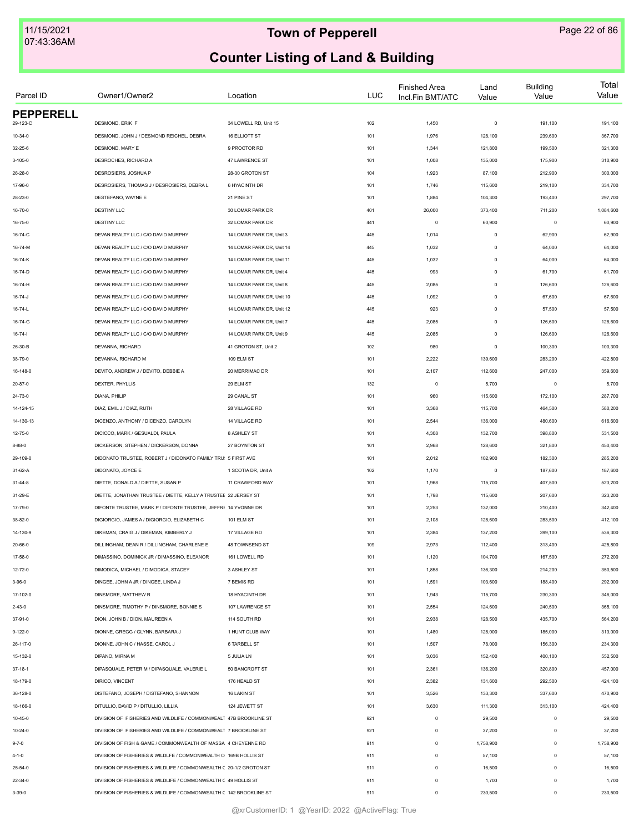| Parcel ID        | Owner1/Owner2                                                      | Location                  | <b>LUC</b> | <b>Finished Area</b><br>Incl.Fin BMT/ATC | Land<br>Value | <b>Building</b><br>Value | Total<br>Value |
|------------------|--------------------------------------------------------------------|---------------------------|------------|------------------------------------------|---------------|--------------------------|----------------|
| <b>PEPPERELL</b> |                                                                    |                           |            |                                          |               |                          |                |
| 29-123-C         | DESMOND, ERIK F                                                    | 34 LOWELL RD, Unit 15     | 102        | 1,450                                    | $\mathsf 0$   | 191,100                  | 191,100        |
| $10 - 34 - 0$    | DESMOND, JOHN J / DESMOND REICHEL, DEBRA                           | <b>16 ELLIOTT ST</b>      | 101        | 1,976                                    | 128,100       | 239,600                  | 367,700        |
| 32-25-6          | DESMOND, MARY E                                                    | 9 PROCTOR RD              | 101        | 1,344                                    | 121,800       | 199,500                  | 321,300        |
| 3-105-0          | DESROCHES, RICHARD A                                               | 47 LAWRENCE ST            | 101        | 1,008                                    | 135,000       | 175,900                  | 310,900        |
| 26-28-0          | DESROSIERS, JOSHUA P                                               | 28-30 GROTON ST           | 104        | 1,923                                    | 87,100        | 212,900                  | 300,000        |
| 17-96-0          | DESROSIERS, THOMAS J / DESROSIERS, DEBRA L                         | 6 HYACINTH DR             | 101        | 1,746                                    | 115,600       | 219,100                  | 334,700        |
| 28-23-0          | DESTEFANO, WAYNE E                                                 | 21 PINE ST                | 101        | 1,884                                    | 104,300       | 193,400                  | 297,700        |
| 16-70-0          | <b>DESTINY LLC</b>                                                 | 30 LOMAR PARK DR          | 401        | 26,000                                   | 373,400       | 711,200                  | 1,084,600      |
| 16-75-0          | <b>DESTINY LLC</b>                                                 | 32 LOMAR PARK DR          | 441        | $\mathbf 0$                              | 60,900        | $\mathbf 0$              | 60,900         |
| 16-74-C          | DEVAN REALTY LLC / C/O DAVID MURPHY                                | 14 LOMAR PARK DR, Unit 3  | 445        | 1,014                                    | $\mathsf 0$   | 62,900                   | 62,900         |
| 16-74-M          | DEVAN REALTY LLC / C/O DAVID MURPHY                                | 14 LOMAR PARK DR, Unit 14 | 445        | 1,032                                    | $\mathsf 0$   | 64,000                   | 64,000         |
| 16-74-K          | DEVAN REALTY LLC / C/O DAVID MURPHY                                | 14 LOMAR PARK DR, Unit 11 | 445        | 1,032                                    | 0             | 64,000                   | 64,000         |
| 16-74-D          | DEVAN REALTY LLC / C/O DAVID MURPHY                                | 14 LOMAR PARK DR, Unit 4  | 445        | 993                                      | $\mathsf 0$   | 61,700                   | 61,700         |
| 16-74-H          | DEVAN REALTY LLC / C/O DAVID MURPHY                                | 14 LOMAR PARK DR, Unit 8  | 445        | 2,085                                    | $\mathsf 0$   | 126,600                  | 126,600        |
| 16-74-J          | DEVAN REALTY LLC / C/O DAVID MURPHY                                | 14 LOMAR PARK DR, Unit 10 | 445        | 1,092                                    | $\mathsf 0$   | 67,600                   | 67,600         |
| 16-74-L          | DEVAN REALTY LLC / C/O DAVID MURPHY                                | 14 LOMAR PARK DR. Unit 12 | 445        | 923                                      | $\mathsf 0$   | 57,500                   | 57,500         |
| 16-74-G          | DEVAN REALTY LLC / C/O DAVID MURPHY                                | 14 LOMAR PARK DR. Unit 7  | 445        | 2,085                                    | $\mathsf 0$   | 126,600                  | 126,600        |
| $16 - 74 - 1$    | DEVAN REALTY LLC / C/O DAVID MURPHY                                | 14 LOMAR PARK DR, Unit 9  | 445        | 2,085                                    | $\mathsf 0$   | 126,600                  | 126,600        |
| 26-30-B          | DEVANNA, RICHARD                                                   | 41 GROTON ST, Unit 2      | 102        | 980                                      | 0             | 100,300                  | 100,300        |
| 38-79-0          | DEVANNA, RICHARD M                                                 | 109 ELM ST                | 101        | 2,222                                    | 139,600       | 283,200                  | 422,800        |
| 16-148-0         | DEVITO, ANDREW J / DEVITO, DEBBIE A                                | 20 MERRIMAC DR            | 101        | 2,107                                    | 112,600       | 247,000                  | 359,600        |
|                  | DEXTER, PHYLLIS                                                    | 29 ELM ST                 |            | $\mathbf 0$                              | 5,700         | $^{\circ}$               | 5,700          |
| 20-87-0          | DIANA, PHILIP                                                      | 29 CANAL ST               | 132<br>101 | 960                                      | 115,600       | 172,100                  | 287,700        |
| 24-73-0          |                                                                    |                           |            |                                          |               |                          |                |
| 14-124-15        | DIAZ, EMIL J / DIAZ, RUTH                                          | 28 VILLAGE RD             | 101        | 3,368                                    | 115,700       | 464,500                  | 580,200        |
| 14-130-13        | DICENZO, ANTHONY / DICENZO, CAROLYN                                | 14 VILLAGE RD             | 101        | 2,544                                    | 136,000       | 480,600                  | 616,600        |
| 12-75-0          | DICICCO, MARK / GESUALDI, PAULA                                    | 8 ASHLEY ST               | 101        | 4,308                                    | 132,700       | 398,800                  | 531,500        |
| $8 - 88 - 0$     | DICKERSON, STEPHEN / DICKERSON, DONNA                              | 27 BOYNTON ST             | 101        | 2,968                                    | 128,600       | 321,800                  | 450,400        |
| 29-109-0         | DIDONATO TRUSTEE, ROBERT J / DIDONATO FAMILY TRU: 5 FIRST AVE      |                           | 101        | 2,012                                    | 102,900       | 182,300                  | 285,200        |
| 31-62-A          | DIDONATO, JOYCE E                                                  | 1 SCOTIA DR, Unit A       | 102        | 1,170                                    | $\,0\,$       | 187,600                  | 187,600        |
| $31 - 44 - 8$    | DIETTE, DONALD A / DIETTE, SUSAN P                                 | 11 CRAWFORD WAY           | 101        | 1,968                                    | 115,700       | 407,500                  | 523,200        |
| 31-29-E          | DIETTE, JONATHAN TRUSTEE / DIETTE, KELLY A TRUSTEE 22 JERSEY ST    |                           | 101        | 1,798                                    | 115,600       | 207,600                  | 323,200        |
| 17-79-0          | DIFONTE TRUSTEE, MARK P / DIFONTE TRUSTEE, JEFFRE 14 YVONNE DR     |                           | 101        | 2,253                                    | 132,000       | 210,400                  | 342,400        |
| 38-82-0          | DIGIORGIO, JAMES A / DIGIORGIO, ELIZABETH C                        | 101 ELM ST                | 101        | 2,108                                    | 128,600       | 283,500                  | 412,100        |
| 14-130-9         | DIKEMAN, CRAIG J / DIKEMAN, KIMBERLY J                             | 17 VILLAGE RD             | 101        | 2,384                                    | 137,200       | 399,100                  | 536,300        |
| 20-66-0          | DILLINGHAM, DEAN R / DILLINGHAM, CHARLENE E                        | 48 TOWNSEND ST            | 109        | 2,973                                    | 112,400       | 313,400                  | 425,800        |
| 17-58-0          | DIMASSINO, DOMINICK JR / DIMASSINO, ELEANOR                        | 161 LOWELL RD             | 101        | 1,120                                    | 104,700       | 167,500                  | 272,200        |
| 12-72-0          | DIMODICA, MICHAEL / DIMODICA, STACEY                               | 3 ASHLEY ST               | 101        | 1,858                                    | 136,300       | 214,200                  | 350,500        |
| $3 - 96 - 0$     | DINGEE, JOHN A JR / DINGEE, LINDA J                                | 7 BEMIS RD                | 101        | 1,591                                    | 103,600       | 188,400                  | 292,000        |
| 17-102-0         | DINSMORE, MATTHEW R                                                | 18 HYACINTH DR            | 101        | 1,943                                    | 115,700       | 230,300                  | 346,000        |
| $2 - 43 - 0$     | DINSMORE, TIMOTHY P / DINSMORE, BONNIE S                           | 107 LAWRENCE ST           | 101        | 2,554                                    | 124,600       | 240,500                  | 365,100        |
| $37-91-0$        | DION, JOHN B / DION, MAUREEN A                                     | 114 SOUTH RD              | 101        | 2,938                                    | 128,500       | 435,700                  | 564,200        |
| $9 - 122 - 0$    | DIONNE, GREGG / GLYNN, BARBARA J                                   | 1 HUNT CLUB WAY           | 101        | 1,480                                    | 128,000       | 185,000                  | 313,000        |
| 26-117-0         | DIONNE, JOHN C / HASSE, CAROL J                                    | <b>6 TARBELL ST</b>       | 101        | 1,507                                    | 78,000        | 156,300                  | 234,300        |
| 15-132-0         | DIPANO, MIRNA M                                                    | 5 JULIA LN                | 101        | 3,036                                    | 152,400       | 400,100                  | 552,500        |
| $37 - 18 - 1$    | DIPASQUALE, PETER M / DIPASQUALE, VALERIE L                        | 50 BANCROFT ST            | 101        | 2,361                                    | 136,200       | 320,800                  | 457,000        |
| 18-179-0         | DIRICO, VINCENT                                                    | 176 HEALD ST              | 101        | 2,382                                    | 131,600       | 292,500                  | 424,100        |
| 36-128-0         | DISTEFANO, JOSEPH / DISTEFANO, SHANNON                             | 16 LAKIN ST               | 101        | 3,526                                    | 133,300       | 337,600                  | 470,900        |
| 18-166-0         | DITULLIO, DAVID P / DITULLIO, LILLIA                               | 124 JEWETT ST             | 101        | 3,630                                    | 111,300       | 313,100                  | 424,400        |
| 10-45-0          | DIVISION OF FISHERIES AND WILDLIFE / COMMONWEALT 47B BROOKLINE ST  |                           | 921        | $\mathbf 0$                              | 29,500        | $\mathbf 0$              | 29,500         |
| 10-24-0          | DIVISION OF FISHERIES AND WILDLIFE / COMMONWEALT 7 BROOKLINE ST    |                           | 921        | $\mathbf 0$                              | 37,200        | $\mathbf 0$              | 37,200         |
| $9 - 7 - 0$      | DIVISION OF FISH & GAME / COMMONWEALTH OF MASSA 4 CHEYENNE RD      |                           | 911        | $\mathbf 0$                              | 1,758,900     | $\mathbf 0$              | 1,758,900      |
|                  | DIVISION OF FISHERIES & WILDLFE / COMMONWEALTH O 169B HOLLIS ST    |                           |            | $\mathbf 0$                              |               | $\mathbf 0$              | 57,100         |
| $4 - 1 - 0$      | DIVISION OF FISHERIES & WILDLIFE / COMMONWEALTH C 20-1/2 GROTON ST |                           | 911        | $\mathsf 0$                              | 57,100        | $\Omega$                 |                |
| 25-54-0          |                                                                    |                           | 911        |                                          | 16,500        |                          | 16,500         |
| 22-34-0          | DIVISION OF FISHERIES & WILDLIFE / COMMONWEALTH C 49 HOLLIS ST     |                           | 911        | $\mathbf 0$                              | 1,700         | $\Omega$                 | 1,700          |
| $3 - 39 - 0$     | DIVISION OF FISHERIES & WILDLIFE / COMMONWEALTH C 142 BROOKLINE ST |                           | 911        | $\mathbf 0$                              | 230,500       | $\mathbf 0$              | 230,500        |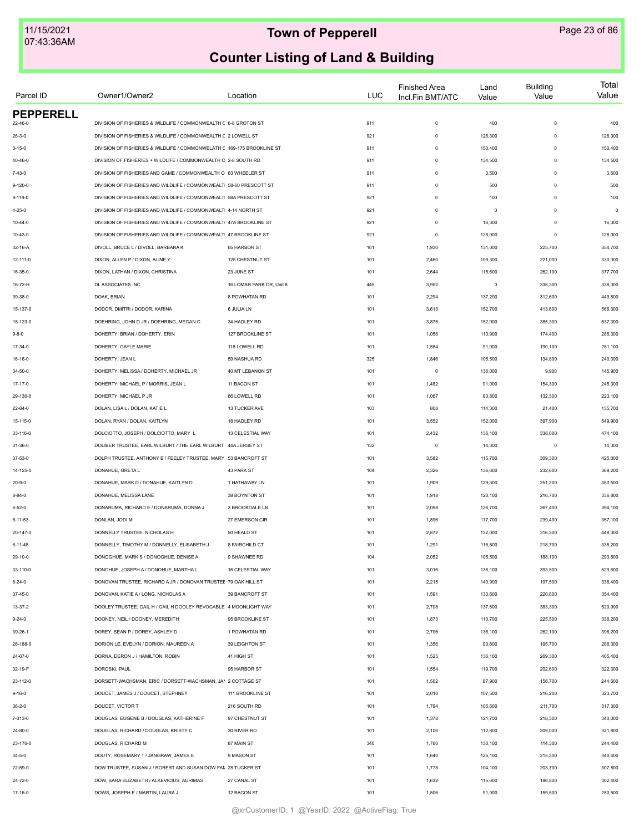| Parcel ID                   | Owner1/Owner2                                                          | Location                 | LUC | <b>Finished Area</b><br>Incl.Fin BMT/ATC | Land<br>Value  | <b>Building</b><br>Value | Total<br>Value  |
|-----------------------------|------------------------------------------------------------------------|--------------------------|-----|------------------------------------------|----------------|--------------------------|-----------------|
| <b>PEPPERELL</b><br>22-46-0 | DIVISION OF FISHERIES & WILDLIFE / COMMONWEALTH C 6-8 GROTON ST        |                          | 911 | $\mathbf 0$                              | 400            | $\mathbf 0$              | 400             |
| $26 - 3 - 0$                | DIVISION OF FISHERIES & WILDLIFE / COMMONWEALTH C 2 LOWELL ST          |                          | 921 | $\mathbf 0$                              | 126,300        | $\mathbf 0$              | 126,300         |
| $3 - 15 - 0$                | DIVISION OF FISHERIES & WILDLIFE / COMMONWELATH C 169-175 BROOKLINE ST |                          | 911 | $\mathbf 0$                              | 150,400        | $\mathbf 0$              | 150,400         |
| 40-46-0                     | DIVISION OF FISHERIES + WILDLIFE / COMMONWEALTH C 2-8 SOUTH RD         |                          | 911 | $\mathbf 0$                              | 134,500        | $\Omega$                 | 134,500         |
| $7 - 43 - 0$                | DIVISION OF FISHERIES AND GAME / COMMONWEALTH O 63 WHEELER ST          |                          | 911 | $\mathbf 0$                              | 3,500          | $\Omega$                 | 3,500           |
| $9-120-0$                   | DIVISION OF FISHERIES AND WILDLIFE / COMMONWEALT  58-60 PRESCOTT ST    |                          | 911 | $\Omega$                                 | 500            | $\Omega$                 | 500             |
|                             |                                                                        |                          |     | $\Omega$                                 |                | $\Omega$                 |                 |
| $9 - 119 - 0$               | DIVISION OF FISHERIES AND WILDLIFE / COMMONWEALTI 58A PRESCOTT ST      |                          | 921 |                                          | 100            | $\Omega$                 | 100<br>$\Omega$ |
| $4 - 25 - 0$                | DIVISION OF FISHERIES AND WILDLIFE / COMMONWEALTI 4-14 NORTH ST        |                          | 921 | $\mathbf 0$                              | $\overline{0}$ |                          |                 |
| $10 - 44 - 0$               | DIVISION OF FISHERIES AND WILDLIFE / COMMONWEALTI 47A BROOKLINE ST     |                          | 921 | $\mathbf 0$                              | 16,300         | $\mathbf 0$              | 16,300          |
| $10 - 43 - 0$               | DIVISION OF FISHERIES AND WILDLIFE / COMMONWEALTI 47 BROOKLINE ST      |                          | 921 | $\mathbf 0$                              | 128,000        | $\mathbf 0$              | 128,000         |
| 32-16-A                     | DIVOLL, BRUCE L / DIVOLL, BARBARA K                                    | 65 HARBOR ST             | 101 | 1,930                                    | 131,000        | 223,700                  | 354,700         |
| 12-111-0                    | DIXON, ALLEN P / DIXON, ALINE Y                                        | 125 CHESTNUT ST          | 101 | 2,460                                    | 109,300        | 221,000                  | 330,300         |
| 16-35-0                     | DIXON, LATHAN / DIXON, CHRISTINA                                       | 23 JUNE ST               | 101 | 2,644                                    | 115,600        | 262,100                  | 377,700         |
| 16-72-H                     | DL ASSOCIATES INC                                                      | 16 LOMAR PARK DR, Unit 8 | 445 | 3,952                                    | $\mathsf 0$    | 338,300                  | 338,300         |
| 39-38-0                     | DOAK, BRIAN                                                            | 8 POWHATAN RD            | 101 | 2,294                                    | 137,200        | 312,600                  | 449,800         |
| 15-137-0                    | DODOR, DMITRI / DODOR, KARINA                                          | 6 JULIA LN               | 101 | 3,613                                    | 152,700        | 413,600                  | 566,300         |
| 15-123-0                    | DOEHRING, JOHN D JR / DOEHRING, MEGAN C                                | 34 HADLEY RD             | 101 | 3,875                                    | 152,000        | 385,300                  | 537,300         |
| $9 - 8 - 0$                 | DOHERTY, BRIAN / DOHERTY, ERIN                                         | 127 BROOKLINE ST         | 101 | 1,056                                    | 110,900        | 174,400                  | 285,300         |
| 17-34-0                     | DOHERTY, GAYLE MARIE                                                   | 118 LOWELL RD            | 101 | 1,584                                    | 91,000         | 190,100                  | 281,100         |
| 16-16-0                     | DOHERTY, JEAN L                                                        | 59 NASHUA RD             | 325 | 1,846                                    | 105,500        | 134,800                  | 240,300         |
| 34-50-0                     | DOHERTY, MELISSA / DOHERTY, MICHAEL JR                                 | 40 MT LEBANON ST         | 101 | $\mathbf 0$                              | 136,000        | 9,900                    | 145,900         |
| 17-17-0                     | DOHERTY, MICHAEL P / MORRIS, JEAN L                                    | 11 BACON ST              | 101 | 1,482                                    | 91,000         | 154,300                  | 245,300         |
| 29-130-0                    | DOHERTY, MICHAEL P JR                                                  | 66 LOWELL RD             | 101 | 1,067                                    | 90,800         | 132,300                  | 223,100         |
| $22 - 84 - 0$               | DOLAN, LISA L / DOLAN, KATIE L                                         | 13 TUCKER AVE            | 103 | 808                                      | 114,300        | 21,400                   | 135,700         |
| 15-115-0                    | DOLAN, RYAN / DOLAN, KAITLYN                                           | 18 HADLEY RD             | 101 | 3,552                                    | 152,000        | 397,900                  | 549,900         |
| 33-116-0                    | DOLCIOTTO, JOSEPH / DOLCIOTTO, MARY L                                  | 13 CELESTIAL WAY         | 101 | 2,432                                    | 136,100        | 338,000                  | 474,100         |
| 31-36-0                     | DOLIBER TRUSTEE, EARL WILBURT / THE EARL WILBURT 44A JERSEY ST         |                          | 132 | $\circ$                                  | 14,300         | 0                        | 14,300          |
| 37-53-0                     | DOLPH TRUSTEE, ANTHONY B / FEELEY TRUSTEE, MARY 53 BANCROFT ST         |                          | 101 | 3,582                                    | 115,700        | 309,300                  | 425,000         |
| 14-125-0                    | DONAHUE, GRETA L                                                       | 43 PARK ST               | 104 | 2,326                                    | 136,600        | 232,600                  | 369,200         |
| $20 - 9 - 0$                | DONAHUE, MARK D / DONAHUE, KAITLYN D                                   | 1 HATHAWAY LN            | 101 | 1,909                                    | 129,300        | 251,200                  | 380,500         |
| $8 - 84 - 0$                | DONAHUE, MELISSA LANE                                                  | 38 BOYNTON ST            | 101 | 1,918                                    | 120,100        | 216,700                  | 336,800         |
| $6 - 52 - 0$                | DONARUMA, RICHARD E / DONARUMA, DONNA J                                | 3 BROOKDALE LN           | 101 | 2,098                                    | 126,700        | 267,400                  | 394,100         |
| $6 - 11 - 53$               | DONLAN, JODI M                                                         | 27 EMERSON CIR           | 101 | 1,896                                    | 117,700        | 239,400                  | 357,100         |
| 20-147-0                    | DONNELLY TRUSTEE, NICHOLAS H                                           | 50 HEALD ST              | 101 | 2,872                                    | 132,000        | 316,300                  | 448,300         |
| $6 - 11 - 48$               | DONNELLY, TIMOTHY M / DONNELLY, ELISABETH J                            | 8 FAIRCHILD CT           | 101 | 1,291                                    | 116,500        | 218,700                  | 335,200         |
| 29-10-0                     | DONOGHUE, MARK S / DONOGHUE, DENISE A                                  | 9 SHAWNEE RD             | 104 | 2,052                                    | 105,500        | 188,100                  | 293,600         |
| 33-110-0                    | DONOHUE, JOSEPH A / DONOHUE, MARTHA L                                  | 16 CELESTIAL WAY         | 101 | 3,016                                    | 136,100        | 393,500                  | 529,600         |
| $8 - 24 - 0$                | DONOVAN TRUSTEE, RICHARD A JR / DONOVAN TRUSTEE 79 OAK HILL ST         |                          | 101 | 2,215                                    | 140,900        | 197,500                  | 338,400         |
| 37-45-0                     | DONOVAN, KATIE A / LONG, NICHOLAS A                                    | 39 BANCROFT ST           | 101 | 1,591                                    | 133,600        |                          |                 |
|                             | DOOLEY TRUSTEE, GAIL H / GAIL H DOOLEY REVOCABLE 4 MOONLIGHT WAY       |                          |     |                                          |                | 220,800                  | 354,400         |
| 13-37-2                     |                                                                        |                          | 101 | 2,708                                    | 137,600        | 383,300                  | 520,900         |
| $9 - 24 - 0$                | DOONEY, NEIL / DOONEY, MEREDITH                                        | 95 BROOKLINE ST          | 101 | 1,873                                    | 110,700        | 225,500                  | 336,200         |
| 39-26-1                     | DOREY, SEAN P / DOREY, ASHLEY D                                        | 1 POWHATAN RD            | 101 | 2,796                                    | 136,100        | 262,100                  | 398,200         |
| 26-188-0                    | DORION LE, EVELYN / DORION, MAUREEN A                                  | 39 LEIGHTON ST           | 101 | 1,356                                    | 90,600         | 195,700                  | 286,300         |
| 24-67-0                     | DORNA, DERON J / HAMILTON, ROBIN                                       | 41 HIGH ST               | 101 | 1,525                                    | 136,100        | 269,300                  | 405,400         |
| 32-19-F                     | DOROSKI, PAUL                                                          | 95 HARBOR ST             | 101 | 1,554                                    | 119,700        | 202,600                  | 322,300         |
| 23-112-0                    | DORSETT-WACHSMAN, ERIC / DORSETT-WACHSMAN, JAI 2 COTTAGE ST            |                          | 101 | 1,502                                    | 87,900         | 156,700                  | 244,600         |
| $9 - 16 - 0$                | DOUCET, JAMES J / DOUCET, STEPHNEY                                     | 111 BROOKLINE ST         | 101 | 2,010                                    | 107,500        | 216,200                  | 323,700         |
| $36 - 2 - 0$                | DOUCET, VICTOR T                                                       | 216 SOUTH RD             | 101 | 1,794                                    | 105,600        | 211,700                  | 317,300         |
| 7-313-0                     | DOUGLAS, EUGENE B / DOUGLAS, KATHERINE F                               | 97 CHESTNUT ST           | 101 | 1,378                                    | 121,700        | 218,300                  | 340,000         |
| 24-80-0                     | DOUGLAS, RICHARD / DOUGLAS, KRISTY C                                   | 30 RIVER RD              | 101 | 2,106                                    | 112,800        | 209,000                  | 321,800         |
| 23-176-0                    | DOUGLAS, RICHARD M                                                     | 87 MAIN ST               | 340 | 1,760                                    | 130,100        | 114,300                  | 244,400         |
| $34 - 5 - 0$                | DOUTY, ROSEMARY T / JANGRAW, JAMES E                                   | 9 MASON ST               | 101 | 1,640                                    | 125,100        | 215,300                  | 340,400         |
| 22-59-0                     | DOW TRUSTEE, SUSAN J / ROBERT AND SUSAN DOW FAN 28 TUCKER ST           |                          | 101 | 1,778                                    | 104,100        | 203,700                  | 307,800         |
| 24-72-0                     | DOW, SARA ELIZABETH / ALKEVICIUS, AURIMAS                              | 27 CANAL ST              | 101 | 1,632                                    | 115,600        | 186,800                  | 302,400         |
| 17-16-0                     | DOWS, JOSEPH E / MARTIN, LAURA J                                       | 12 BACON ST              | 101 | 1,506                                    | 91,000         | 159,500                  | 250,500         |
|                             |                                                                        |                          |     |                                          |                |                          |                 |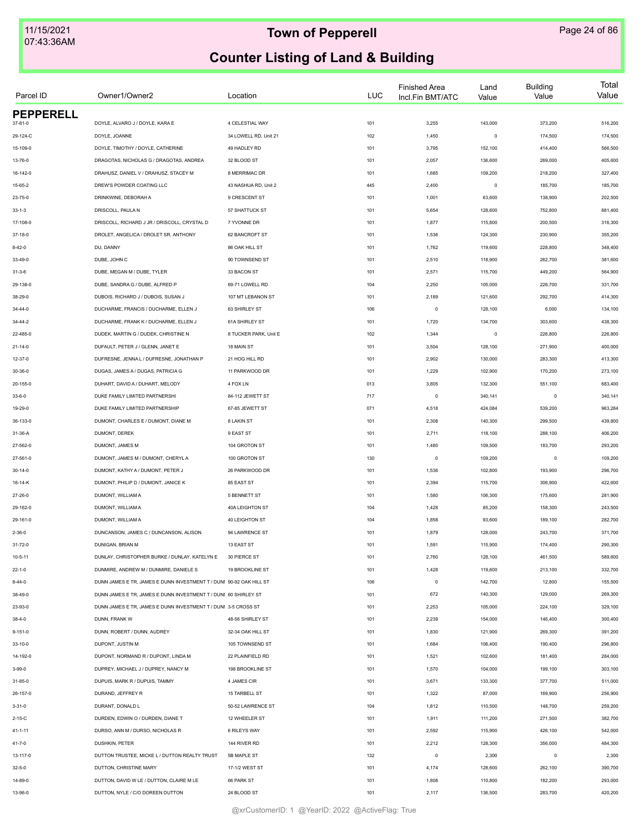| Parcel ID        | Owner1/Owner2                                                       | Location              | <b>LUC</b> | <b>Finished Area</b><br>Incl.Fin BMT/ATC | Land<br>Value | <b>Building</b><br>Value | Total<br>Value |
|------------------|---------------------------------------------------------------------|-----------------------|------------|------------------------------------------|---------------|--------------------------|----------------|
| <b>PEPPERELL</b> |                                                                     |                       |            |                                          |               |                          |                |
| $37 - 81 - 0$    | DOYLE, ALVARO J / DOYLE, KARA E                                     | 4 CELESTIAL WAY       | 101        | 3,255                                    | 143,000       | 373,200                  | 516,200        |
| 29-124-C         | DOYLE, JOANNE                                                       | 34 LOWELL RD, Unit 21 | 102        | 1,450                                    | $\mathsf 0$   | 174,500                  | 174,500        |
| 15-109-0         | DOYLE, TIMOTHY / DOYLE, CATHERINE                                   | 49 HADLEY RD          | 101        | 3,795                                    | 152,100       | 414,400                  | 566,500        |
| 13-76-0          | DRAGOTAS, NICHOLAS G / DRAGOTAS, ANDREA                             | 32 BLOOD ST           | 101        | 2,057                                    | 136,600       | 269,000                  | 405,600        |
| 16-142-0         | DRAHUSZ, DANIEL V / DRAHUSZ, STACEY M                               | 8 MERRIMAC DR         | 101        | 1,685                                    | 109,200       | 218,200                  | 327,400        |
| 15-65-2          | DREW'S POWDER COATING LLC                                           | 43 NASHUA RD, Unit 2  | 445        | 2,400                                    | $\mathsf 0$   | 185,700                  | 185,700        |
| 23-75-0          | DRINKWINE, DEBORAH A                                                | 9 CRESCENT ST         | 101        | 1,001                                    | 63,600        | 138,900                  | 202,500        |
| $33 - 1 - 3$     | DRISCOLL, PAULA N                                                   | 57 SHATTUCK ST        | 101        | 5,654                                    | 128,600       | 752,800                  | 881,400        |
| 17-108-0         | DRISCOLL, RICHARD J JR / DRISCOLL, CRYSTAL D                        | 7 YVONNE DR           | 101        | 1,877                                    | 115,800       | 200,500                  | 316,300        |
| $37 - 18 - 0$    | DROLET, ANGELICA / DROLET SR, ANTHONY                               | 62 BANCROFT ST        | 101        | 1,536                                    | 124,300       | 230,900                  | 355,200        |
| $8 - 42 - 0$     | DU, DANNY                                                           | 86 OAK HILL ST        | 101        | 1,762                                    | 119,600       | 228,800                  | 348,400        |
| 33-49-0          | DUBE, JOHN C                                                        | 90 TOWNSEND ST        | 101        | 2,510                                    | 118,900       | 262,700                  | 381,600        |
| $31 - 3 - 6$     | DUBE, MEGAN M / DUBE, TYLER                                         | 33 BACON ST           | 101        | 2,571                                    | 115,700       | 449,200                  | 564,900        |
| 29-138-0         | DUBE, SANDRA G / DUBE, ALFRED P                                     | 69-71 LOWELL RD       | 104        | 2,250                                    | 105,000       | 226,700                  | 331,700        |
| 38-29-0          | DUBOIS, RICHARD J / DUBOIS, SUSAN J                                 | 107 MT LEBANON ST     | 101        | 2,189                                    | 121,600       | 292,700                  | 414,300        |
| $34 - 44 - 0$    | DUCHARME, FRANCIS / DUCHARME, ELLEN J                               | 63 SHIRLEY ST         | 106        | $\circ$                                  | 128,100       | 6,000                    | 134,100        |
| 34-44-2          | DUCHARME, FRANK K / DUCHARME, ELLEN J                               | 61A SHIRLEY ST        | 101        | 1,720                                    | 134,700       | 303,600                  | 438,300        |
| 22-485-0         | DUDEK, MARTIN G / DUDEK, CHRISTINE N                                | 8 TUCKER PARK, Unit E | 102        | 1,344                                    | $\mathsf 0$   | 226,800                  | 226,800        |
| $21 - 14 - 0$    | DUFAULT, PETER J / GLENN, JANET E                                   | 18 MAIN ST            | 101        | 3,504                                    | 128,100       | 271,900                  | 400,000        |
| 12-37-0          | DUFRESNE, JENNA L / DUFRESNE, JONATHAN P                            | 21 HOG HILL RD        | 101        | 2,902                                    | 130,000       | 283,300                  | 413,300        |
| 30-36-0          | DUGAS, JAMES A / DUGAS, PATRICIA G                                  | 11 PARKWOOD DR        | 101        | 1,229                                    | 102,900       | 170,200                  | 273,100        |
| 20-155-0         | DUHART, DAVID A / DUHART, MELODY                                    | 4 FOX LN              | 013        | 3,805                                    | 132,300       | 551,100                  | 683,400        |
| $33 - 6 - 0$     | DUKE FAMILY LIMITED PARTNERSHI                                      | 84-112 JEWETT ST      | 717        | $\circ$                                  | 340,141       | $\mathbf 0$              | 340,141        |
| 19-29-0          | DUKE FAMILY LIMITED PARTNERSHIP                                     | 67-85 JEWETT ST       | 071        | 4,518                                    | 424,084       | 539,200                  | 963,284        |
| 36-133-0         | DUMONT, CHARLES E / DUMONT, DIANE M                                 | 8 LAKIN ST            | 101        | 2,308                                    | 140,300       | 299,500                  | 439,800        |
| 31-36-A          | DUMONT, DEREK                                                       | 9 EAST ST             | 101        | 2,711                                    | 118,100       | 288,100                  | 406,200        |
| 27-562-0         | DUMONT, JAMES M                                                     | 104 GROTON ST         | 101        | 1,480                                    | 109,500       | 183,700                  | 293,200        |
| 27-561-0         | DUMONT, JAMES M / DUMONT, CHERYL A                                  | 100 GROTON ST         | 130        | $\circ$                                  | 109,200       | $\circ$                  | 109,200        |
| $30 - 14 - 0$    | DUMONT, KATHY A / DUMONT, PETER J                                   | 26 PARKWOOD DR        | 101        | 1,536                                    | 102,800       | 193,900                  | 296,700        |
| 16-14-K          | DUMONT, PHILIP D / DUMONT, JANICE K                                 | 85 EAST ST            | 101        | 2,394                                    | 115,700       | 306,900                  | 422,600        |
| 27-26-0          | DUMONT, WILLIAM A                                                   | <b>5 BENNETT ST</b>   | 101        | 1,580                                    | 106,300       | 175,600                  | 281,900        |
| 29-162-0         | DUMONT, WILLIAM A                                                   | 40A LEIGHTON ST       | 104        | 1,428                                    | 85,200        | 158,300                  | 243,500        |
| 29-161-0         | DUMONT, WILLIAM A                                                   | 40 LEIGHTON ST        | 104        | 1,858                                    | 93,600        | 189,100                  | 282,700        |
| $2 - 36 - 0$     | DUNCANSON, JAMES C / DUNCANSON, ALISON                              | 94 LAWRENCE ST        | 101        | 1,879                                    | 128,000       | 243,700                  | 371,700        |
|                  |                                                                     |                       | 101        |                                          |               |                          |                |
| $31 - 72 - 0$    | DUNIGAN, BRIAN M                                                    | 13 EAST ST            |            | 1,591                                    | 115,900       | 174,400                  | 290,300        |
| 10-5-11          | DUNLAY, CHRISTOPHER BURKE / DUNLAY, KATELYN E                       | 30 PIERCE ST          | 101        | 2,760                                    | 128,100       | 461,500                  | 589,600        |
| $22 - 1 - 0$     | DUNMIRE, ANDREW M / DUNMIRE, DANIELE S                              | 19 BROOKLINE ST       | 101        | 1,428                                    | 119,600       | 213,100                  | 332,700        |
| $8 - 44 - 0$     | DUNN JAMES E TR, JAMES E DUNN INVESTMENT T / DUNI 90-92 OAK HILL ST |                       | 106        | $\circ$                                  | 142,700       | 12,800                   | 155,500        |
| 38-49-0          | DUNN JAMES E TR. JAMES E DUNN INVESTMENT T / DUNI 60 SHIRLEY ST     |                       | 101        | 672                                      | 140,300       | 129,000                  | 269,300        |
| 23-93-0          | DUNN JAMES E TR, JAMES E DUNN INVESTMENT T / DUNI 3-5 CROSS ST      |                       | 101        | 2,253                                    | 105,000       | 224,100                  | 329,100        |
| $38 - 4 - 0$     | DUNN, FRANK W                                                       | 48-56 SHIRLEY ST      | 101        | 2,239                                    | 154,000       | 146,400                  | 300,400        |
| $9 - 151 - 0$    | DUNN, ROBERT / DUNN, AUDREY                                         | 32-34 OAK HILL ST     | 101        | 1,830                                    | 121,900       | 269,300                  | 391,200        |
| $33 - 10 - 0$    | DUPONT, JUSTIN M                                                    | 105 TOWNSEND ST       | 101        | 1,684                                    | 106,400       | 190,400                  | 296,800        |
| 14-192-0         | DUPONT, NORMAND R / DUPONT, LINDA M                                 | 22 PLAINFIELD RD      | 101        | 1,521                                    | 102,600       | 181,400                  | 284,000        |
| $3 - 99 - 0$     | DUPREY, MICHAEL J / DUPREY, NANCY M                                 | 198 BROOKLINE ST      | 101        | 1,570                                    | 104,000       | 199,100                  | 303,100        |
| $31 - 85 - 0$    | DUPUIS, MARK R / DUPUIS, TAMMY                                      | 4 JAMES CIR           | 101        | 3,671                                    | 133,300       | 377,700                  | 511,000        |
| 26-157-0         | DURAND, JEFFREY R                                                   | 15 TARBELL ST         | 101        | 1,322                                    | 87,000        | 169,900                  | 256,900        |
| $3 - 31 - 0$     | DURANT, DONALD L                                                    | 50-52 LAWRENCE ST     | 104        | 1,812                                    | 110,500       | 148,700                  | 259,200        |
| $2 - 15 - C$     | DURDEN, EDWIN O / DURDEN, DIANE T                                   | 12 WHEELER ST         | 101        | 1,911                                    | 111,200       | 271,500                  | 382,700        |
| 41-1-11          | DURSO, ANN M / DURSO, NICHOLAS R                                    | 6 RILEYS WAY          | 101        | 2,592                                    | 115,900       | 426,100                  | 542,000        |
| 41-7-0           | DUSHKIN, PETER                                                      | 144 RIVER RD          | 101        | 2,212                                    | 128,300       | 356,000                  | 484,300        |
| 13-117-0         | DUTTON TRUSTEE, MICKE L / DUTTON REALTY TRUST                       | 5B MAPLE ST           | 132        | $\mathbb O$                              | 2,300         | $\mathbf 0$              | 2,300          |
| $32 - 5 - 0$     | DUTTON, CHRISTINE MARY                                              | 17-1/2 WEST ST        | 101        | 4,174                                    | 128,600       | 262,100                  | 390,700        |
| 14-89-0          | DUTTON, DAVID W LE / DUTTON, CLAIRE M LE                            | 66 PARK ST            | 101        | 1,808                                    | 110,800       | 182,200                  | 293,000        |
| 13-96-0          | DUTTON, NYLE / C/O DOREEN DUTTON                                    | 24 BLOOD ST           | 101        | 2,117                                    | 136,500       | 283,700                  | 420,200        |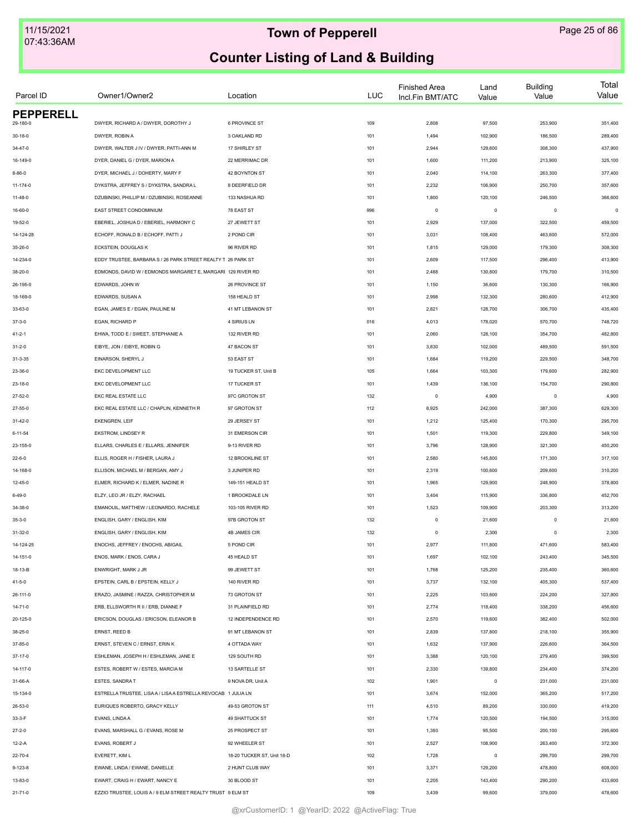| Parcel ID        | Owner1/Owner2                                                 | Location                   | LUC | <b>Finished Area</b><br>Incl.Fin BMT/ATC | Land<br>Value | <b>Building</b><br>Value | Total<br>Value |
|------------------|---------------------------------------------------------------|----------------------------|-----|------------------------------------------|---------------|--------------------------|----------------|
| <b>PEPPERELL</b> | DWYER, RICHARD A / DWYER, DOROTHY J                           | 6 PROVINCE ST              |     |                                          |               |                          | 351,400        |
| 29-180-0         |                                                               |                            | 109 | 2,808                                    | 97,500        | 253,900                  |                |
| $30 - 18 - 0$    | DWYER, ROBIN A                                                | 3 OAKLAND RD               | 101 | 1,494                                    | 102,900       | 186,500                  | 289,400        |
| 34-47-0          | DWYER, WALTER J IV / DWYER, PATTI-ANN M                       | 17 SHIRLEY ST              | 101 | 2,944                                    | 129,600       | 308,300                  | 437,900        |
| 16-149-0         | DYER, DANIEL G / DYER, MARION A                               | 22 MERRIMAC DR             | 101 | 1,600                                    | 111,200       | 213,900                  | 325,100        |
| $8 - 86 - 0$     | DYER, MICHAEL J / DOHERTY, MARY F                             | 42 BOYNTON ST              | 101 | 2,040                                    | 114,100       | 263,300                  | 377,400        |
| 11-174-0         | DYKSTRA, JEFFREY S / DYKSTRA, SANDRA L                        | 8 DEERFIELD DR             | 101 | 2,232                                    | 106,900       | 250,700                  | 357,600        |
| $11 - 48 - 0$    | DZUBINSKI, PHILLIP M / DZUBINSKI, ROSEANNE                    | 133 NASHUA RD              | 101 | 1,800                                    | 120,100       | 246,500                  | 366,600        |
| 16-60-0          | EAST STREET CONDOMINIUM                                       | 78 EAST ST                 | 996 | $\mathbf 0$                              | $\mathsf 0$   | $^{\circ}$               | $\mathbf 0$    |
| 19-52-0          | EBERIEL. JOSHUA D / EBERIEL, HARMONY C                        | 27 JEWETT ST               | 101 | 2,929                                    | 137,000       | 322,500                  | 459,500        |
| 14-124-28        | ECHOFF, RONALD B / ECHOFF, PATTI J                            | 2 POND CIR                 | 101 | 3,031                                    | 108,400       | 463,600                  | 572,000        |
| 35-26-0          | ECKSTEIN, DOUGLAS K                                           | 96 RIVER RD                | 101 | 1,815                                    | 129,000       | 179,300                  | 308,300        |
| 14-234-0         | EDDY TRUSTEE, BARBARA S / 26 PARK STREET REALTY T 26 PARK ST  |                            | 101 | 2,609                                    | 117,500       | 296,400                  | 413,900        |
| 38-20-0          | EDMONDS, DAVID W / EDMONDS MARGARET E, MARGARI 129 RIVER RD   |                            | 101 | 2,488                                    | 130,800       | 179,700                  | 310,500        |
| 26-195-0         | EDWARDS, JOHN W                                               | 26 PROVINCE ST             | 101 | 1,150                                    | 36,600        | 130,300                  | 166,900        |
| 18-169-0         | EDWARDS, SUSAN A                                              | 158 HEALD ST               | 101 | 2,998                                    | 132,300       | 280,600                  | 412,900        |
| 33-63-0          | EGAN, JAMES E / EGAN, PAULINE M                               | 41 MT LEBANON ST           | 101 | 2,821                                    | 128,700       | 306,700                  | 435,400        |
| $37 - 3 - 0$     | EGAN, RICHARD P                                               | 4 SIRIUS LN                | 016 | 4,013                                    | 178,020       | 570,700                  | 748,720        |
| 41-2-1           | EHWA, TODD E / SWEET, STEPHANIE A                             | 132 RIVER RD               | 101 | 2,060                                    | 128,100       | 354,700                  | 482,800        |
| $31 - 2 - 0$     | EIBYE, JON / EIBYE, ROBIN G                                   | 47 BACON ST                | 101 | 3,830                                    | 102,000       | 489,500                  | 591,500        |
| $31 - 3 - 35$    | EINARSON, SHERYL J                                            | 53 EAST ST                 | 101 | 1,684                                    | 119,200       | 229,500                  | 348,700        |
| 23-36-0          | EKC DEVELOPMENT LLC                                           | 19 TUCKER ST, Unit B       | 105 | 1,664                                    | 103,300       | 179,600                  | 282,900        |
| 23-18-0          | EKC DEVELOPMENT LLC                                           | 17 TUCKER ST               | 101 | 1,439                                    | 136,100       | 154,700                  | 290,800        |
| 27-52-0          | EKC REAL ESTATE LLC                                           | 97C GROTON ST              | 132 | $\mathbf 0$                              | 4,900         | $\mathbf 0$              | 4,900          |
| 27-55-0          | EKC REAL ESTATE LLC / CHAPLIN, KENNETH R                      | 97 GROTON ST               | 112 | 8,925                                    | 242,000       | 387,300                  | 629,300        |
| $31 - 42 - 0$    | EKENGREN, LEIF                                                | 29 JERSEY ST               | 101 | 1,212                                    | 125,400       | 170,300                  | 295,700        |
| $6 - 11 - 54$    | EKSTROM, LINDSEY R                                            | 31 EMERSON CIR             | 101 | 1,501                                    | 119,300       | 229,800                  | 349,100        |
| 23-155-0         | ELLARS, CHARLES E / ELLARS, JENNIFER                          | 9-13 RIVER RD              | 101 | 3,796                                    | 128,900       | 321,300                  | 450,200        |
| $22 - 6 - 0$     | ELLIS, ROGER H / FISHER, LAURA J                              | 12 BROOKLINE ST            | 101 | 2,580                                    | 145,800       | 171,300                  | 317,100        |
| 14-168-0         | ELLISON, MICHAEL M / BERGAN, AMY J                            | 3 JUNIPER RD               | 101 | 2,319                                    | 100,600       | 209,600                  | 310,200        |
| $12 - 45 - 0$    | ELMER, RICHARD K / ELMER, NADINE R                            | 149-151 HEALD ST           | 101 | 1,965                                    | 129,900       | 248,900                  | 378,800        |
|                  |                                                               |                            |     |                                          |               |                          |                |
| $6 - 49 - 0$     | ELZY, LEO JR / ELZY, RACHAEL                                  | 1 BROOKDALE LN             | 101 | 3,404                                    | 115,900       | 336,800                  | 452,700        |
| 34-38-0          | EMANOUIL, MATTHEW / LEONARDO, RACHELE                         | 103-105 RIVER RD           | 101 | 1,523                                    | 109,900       | 203,300                  | 313,200        |
| $35 - 3 - 0$     | ENGLISH, GARY / ENGLISH, KIM                                  | 97B GROTON ST              | 132 | $\mathbf 0$                              | 21,600        | $\mathbf 0$              | 21,600         |
| 31-32-0          | ENGLISH, GARY / ENGLISH, KIM                                  | 4B JAMES CIR               | 132 | $\Omega$                                 | 2,300         | 0                        | 2,300          |
| 14-124-25        | ENOCHS, JEFFREY / ENOCHS, ABIGAIL                             | 5 POND CIR                 | 101 | 2,977                                    | 111,800       | 471,600                  | 583,400        |
| 14-151-0         | ENOS, MARK / ENOS, CARA J                                     | 45 HEALD ST                | 101 | 1,697                                    | 102,100       | 243,400                  | 345,500        |
| 18-13-B          | ENWRIGHT, MARK J JR                                           | 99 JEWETT ST               | 101 | 1,768                                    | 125,200       | 235,400                  | 360,600        |
| $41 - 5 - 0$     | EPSTEIN, CARL B / EPSTEIN, KELLY J                            | 140 RIVER RD               | 101 | 3,737                                    | 132,100       | 405,300                  | 537,400        |
| 26-111-0         | ERAZO, JASMINE / RAZZA, CHRISTOPHER M                         | 73 GROTON ST               | 101 | 2,225                                    | 103,600       | 224,200                  | 327,800        |
| $14 - 71 - 0$    | ERB, ELLSWORTH R II / ERB, DIANNE F                           | 31 PLAINFIELD RD           | 101 | 2,774                                    | 118,400       | 338,200                  | 456,600        |
| 20-125-0         | ERICSON, DOUGLAS / ERICSON, ELEANOR B                         | 12 INDEPENDENCE RD         | 101 | 2,570                                    | 119,600       | 382,400                  | 502,000        |
| 38-25-0          | ERNST, REED B                                                 | 91 MT LEBANON ST           | 101 | 2,839                                    | 137,800       | 218,100                  | 355,900        |
| 37-85-0          | ERNST, STEVEN C / ERNST, ERIN K                               | 4 OTTADA WAY               | 101 | 1,632                                    | 137,900       | 226,600                  | 364,500        |
| 37-17-0          | ESHLEMAN, JOSEPH H / ESHLEMAN, JANE E                         | 129 SOUTH RD               | 101 | 3,388                                    | 120,100       | 279,400                  | 399,500        |
| 14-117-0         | ESTES, ROBERT W / ESTES, MARCIA M                             | 13 SARTELLE ST             | 101 | 2,330                                    | 139,800       | 234,400                  | 374,200        |
| 31-66-A          | ESTES, SANDRA T                                               | 9 NOVA DR, Unit A          | 102 | 1,901                                    | $\mathsf 0$   | 231,000                  | 231,000        |
| 15-134-0         | ESTRELLA TRUSTEE, LISA A / LISA A ESTRELLA REVOCAB 1 JULIA LN |                            | 101 | 3,674                                    | 152,000       | 365,200                  | 517,200        |
| 26-53-0          | EURIQUES ROBERTO, GRACY KELLY                                 | 49-53 GROTON ST            | 111 | 4,510                                    | 89,200        | 330,000                  | 419,200        |
| $33-3-F$         | EVANS, LINDA A                                                | 49 SHATTUCK ST             | 101 | 1,774                                    | 120,500       | 194,500                  | 315,000        |
| $27 - 2 - 0$     | EVANS, MARSHALL G / EVANS, ROSE M                             | 25 PROSPECT ST             | 101 | 1,393                                    | 95,500        | 200,100                  | 295,600        |
| 12-2-A           | EVANS, ROBERT J                                               | 92 WHEELER ST              | 101 | 2,527                                    | 108,900       | 263,400                  | 372,300        |
| 22-70-4          | EVERETT, KIM L                                                | 18-20 TUCKER ST, Unit 18-D | 102 | 1,728                                    | $\mathsf 0$   | 299,700                  | 299,700        |
| $9 - 123 - 8$    | EWANE, LINDA / EWANE, DANIELLE                                | 2 HUNT CLUB WAY            | 101 | 3,371                                    | 129,200       | 478,800                  | 608,000        |
| 13-83-0          | EWART, CRAIG H / EWART, NANCY E                               | 30 BLOOD ST                | 101 | 2,205                                    | 143,400       | 290,200                  | 433,600        |
| $21 - 71 - 0$    | EZZIO TRUSTEE, LOUIS A / 9 ELM STREET REALTY TRUST 9 ELM ST   |                            | 109 | 3,439                                    | 99,600        | 379,000                  | 478,600        |
|                  |                                                               |                            |     |                                          |               |                          |                |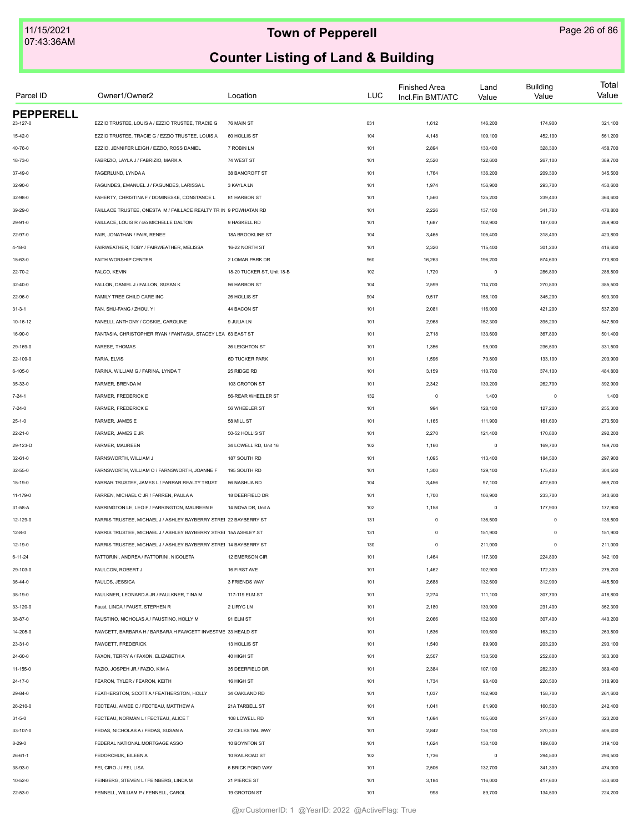| Parcel ID        | Owner1/Owner2                                                    | Location                   | LUC | <b>Finished Area</b><br>Incl.Fin BMT/ATC | Land<br>Value | <b>Building</b><br>Value | Total<br>Value |
|------------------|------------------------------------------------------------------|----------------------------|-----|------------------------------------------|---------------|--------------------------|----------------|
| <b>PEPPERELL</b> |                                                                  |                            |     |                                          |               |                          |                |
| 23-127-0         | EZZIO TRUSTEE, LOUIS A / EZZIO TRUSTEE, TRACIE G                 | 76 MAIN ST                 | 031 | 1,612                                    | 146,200       | 174,900                  | 321,100        |
| $15 - 42 - 0$    | EZZIO TRUSTEE, TRACIE G / EZZIO TRUSTEE, LOUIS A                 | 60 HOLLIS ST               | 104 | 4,148                                    | 109,100       | 452,100                  | 561,200        |
| 40-76-0          | EZZIO, JENNIFER LEIGH / EZZIO, ROSS DANIEL                       | 7 ROBIN LN                 | 101 | 2,894                                    | 130,400       | 328,300                  | 458,700        |
| 18-73-0          | FABRIZIO, LAYLA J / FABRIZIO, MARK A                             | 74 WEST ST                 | 101 | 2,520                                    | 122,600       | 267,100                  | 389,700        |
| 37-49-0          | FAGERLUND, LYNDA A                                               | 38 BANCROFT ST             | 101 | 1,764                                    | 136,200       | 209,300                  | 345,500        |
| 32-90-0          | FAGUNDES, EMANUEL J / FAGUNDES, LARISSA L                        | 3 KAYLA LN                 | 101 | 1,974                                    | 156,900       | 293,700                  | 450,600        |
| 32-98-0          | FAHERTY, CHRISTINA F / DOMINESKE, CONSTANCE L                    | 81 HARBOR ST               | 101 | 1,560                                    | 125,200       | 239,400                  | 364,600        |
| 39-29-0          | FAILLACE TRUSTEE, ONESTA M / FAILLACE REALTY TR IN 9 POWHATAN RD |                            | 101 | 2,226                                    | 137,100       | 341,700                  | 478,800        |
| 29-91-0          | FAILLACE, LOUIS R / c/o MICHELLE DALTON                          | 9 HASKELL RD               | 101 | 1,687                                    | 102,900       | 187,000                  | 289,900        |
| 22-97-0          | FAIR, JONATHAN / FAIR, RENEE                                     | 18A BROOKLINE ST           | 104 | 3,465                                    | 105,400       | 318,400                  | 423,800        |
| $4 - 18 - 0$     | FAIRWEATHER, TOBY / FAIRWEATHER, MELISSA                         | 16-22 NORTH ST             | 101 | 2,320                                    | 115,400       | 301,200                  | 416,600        |
| 15-63-0          | FAITH WORSHIP CENTER                                             | 2 LOMAR PARK DR            | 960 | 16,263                                   | 196,200       | 574,600                  | 770,800        |
| 22-70-2          | FALCO, KEVIN                                                     | 18-20 TUCKER ST, Unit 18-B | 102 | 1,720                                    | $\mathsf 0$   | 286,800                  | 286,800        |
| 32-40-0          | FALLON, DANIEL J / FALLON, SUSAN K                               | 56 HARBOR ST               | 104 | 2,599                                    | 114,700       | 270,800                  | 385,500        |
| 22-96-0          | FAMILY TREE CHILD CARE INC                                       | 26 HOLLIS ST               | 904 | 9,517                                    | 158,100       | 345,200                  | 503,300        |
| $31 - 3 - 1$     | FAN, SHU-FANG / ZHOU, YI                                         | 44 BACON ST                | 101 | 2,081                                    | 116,000       | 421,200                  | 537,200        |
| 10-16-12         | FANELLI, ANTHONY / COSKIE, CAROLINE                              | 9 JULIA LN                 | 101 | 2,968                                    | 152,300       | 395,200                  | 547,500        |
| 16-90-0          | FANTASIA, CHRISTOPHER RYAN / FANTASIA, STACEY LEA 63 EAST ST     |                            | 101 | 2,718                                    | 133,600       | 367,800                  | 501,400        |
| 29-169-0         | FARESE, THOMAS                                                   | 36 LEIGHTON ST             | 101 | 1,356                                    | 95,000        | 236,500                  | 331,500        |
| 22-109-0         | FARIA, ELVIS                                                     | 6D TUCKER PARK             | 101 | 1,596                                    | 70,800        | 133,100                  | 203,900        |
| 6-105-0          | FARINA, WILLIAM G / FARINA, LYNDA T                              | 25 RIDGE RD                | 101 | 3,159                                    | 110,700       | 374,100                  | 484,800        |
| 35-33-0          | FARMER, BRENDA M                                                 | 103 GROTON ST              | 101 | 2,342                                    | 130,200       | 262,700                  | 392,900        |
| $7 - 24 - 1$     | FARMER, FREDERICK E                                              | 56-REAR WHEELER ST         | 132 | $\mathbf 0$                              | 1,400         | $\mathbf 0$              | 1,400          |
| $7 - 24 - 0$     | FARMER, FREDERICK E                                              | 56 WHEELER ST              | 101 | 994                                      | 128,100       | 127,200                  | 255,300        |
| $25 - 1 - 0$     | FARMER, JAMES E                                                  | 58 MILL ST                 | 101 | 1,165                                    | 111,900       | 161,600                  | 273,500        |
| $22 - 21 - 0$    | FARMER, JAMES E JR                                               | 50-52 HOLLIS ST            | 101 | 2,270                                    | 121,400       | 170,800                  | 292,200        |
| 29-123-D         | FARMER, MAUREEN                                                  | 34 LOWELL RD, Unit 16      | 102 | 1,160                                    | $\,0\,$       | 169,700                  | 169,700        |
|                  | FARNSWORTH, WILLIAM J                                            | 187 SOUTH RD               | 101 | 1,095                                    | 113,400       | 184,500                  | 297,900        |
| 32-61-0          |                                                                  |                            |     |                                          |               |                          |                |
| 32-55-0          | FARNSWORTH, WILLIAM O / FARNSWORTH, JOANNE F                     | 195 SOUTH RD               | 101 | 1,300                                    | 129,100       | 175,400                  | 304,500        |
| 15-19-0          | FARRAR TRUSTEE, JAMES L / FARRAR REALTY TRUST                    | 56 NASHUA RD               | 104 | 3,456                                    | 97,100        | 472,600                  | 569,700        |
| 11-179-0         | FARREN, MICHAEL C JR / FARREN, PAULA A                           | 18 DEERFIELD DR            | 101 | 1,700                                    | 106,900       | 233,700                  | 340,600        |
| 31-58-A          | FARRINGTON LE, LEO F / FARRINGTON, MAUREEN E                     | 14 NOVA DR, Unit A         | 102 | 1,158                                    | $\mathbf 0$   | 177,900                  | 177,900        |
| 12-129-0         | FARRIS TRUSTEE, MICHAEL J / ASHLEY BAYBERRY STREI 22 BAYBERRY ST |                            | 131 | $\mathbf 0$                              | 136,500       | $\mathbf 0$              | 136,500        |
| $12 - 8 - 0$     | FARRIS TRUSTEE, MICHAEL J / ASHLEY BAYBERRY STREI 15A ASHLEY ST  |                            | 131 | $\mathbf 0$                              | 151,900       | $\mathbf 0$              | 151,900        |
| $12 - 19 - 0$    | FARRIS TRUSTEE, MICHAEL J / ASHLEY BAYBERRY STREI 14 BAYBERRY ST |                            | 130 | $\mathbf 0$                              | 211,000       | $\mathbf 0$              | 211,000        |
| $6 - 11 - 24$    | FATTORINI, ANDREA / FATTORINI, NICOLETA                          | 12 EMERSON CIR             | 101 | 1,464                                    | 117,300       | 224,800                  | 342,100        |
| 29-103-0         | FAULCON, ROBERT J                                                | 16 FIRST AVE               | 101 | 1,462                                    | 102,900       | 172,300                  | 275,200        |
| $36 - 44 - 0$    | FAULDS, JESSICA                                                  | 3 FRIENDS WAY              | 101 | 2,688                                    | 132,600       | 312,900                  | 445,500        |
| 38-19-0          | FAULKNER, LEONARD A JR / FAULKNER, TINA M                        | 117-119 ELM ST             | 101 | 2,274                                    | 111,100       | 307,700                  | 418,800        |
| 33-120-0         | Faust, LINDA / FAUST, STEPHEN R                                  | 2 LIRYC LN                 | 101 | 2,180                                    | 130,900       | 231,400                  | 362,300        |
| 38-87-0          | FAUSTINO, NICHOLAS A / FAUSTINO, HOLLY M                         | 91 ELM ST                  | 101 | 2,066                                    | 132,800       | 307,400                  | 440,200        |
| 14-205-0         | FAWCETT, BARBARA H / BARBARA H FAWCETT INVESTME 33 HEALD ST      |                            | 101 | 1,536                                    | 100,600       | 163,200                  | 263,800        |
| 23-31-0          | FAWCETT, FREDERICK                                               | 13 HOLLIS ST               | 101 | 1,540                                    | 89,900        | 203,200                  | 293,100        |
| 24-60-0          | FAXON, TERRY A / FAXON, ELIZABETH A                              | 40 HIGH ST                 | 101 | 2,507                                    | 130,500       | 252,800                  | 383,300        |
| 11-155-0         | FAZIO, JOSPEH JR / FAZIO, KIM A                                  | 35 DEERFIELD DR            | 101 | 2,384                                    | 107,100       | 282,300                  | 389,400        |
| 24-17-0          | FEARON, TYLER / FEARON, KEITH                                    | 16 HIGH ST                 | 101 | 1,734                                    | 98,400        | 220,500                  | 318,900        |
| 29-84-0          | FEATHERSTON, SCOTT A/ FEATHERSTON, HOLLY                         | 34 OAKLAND RD              | 101 | 1,037                                    | 102,900       | 158,700                  | 261,600        |
| 26-210-0         | FECTEAU, AIMEE C / FECTEAU, MATTHEW A                            | 21A TARBELL ST             | 101 | 1,041                                    | 81,900        | 160,500                  | 242,400        |
| $31 - 5 - 0$     | FECTEAU, NORMAN L / FECTEAU, ALICE T                             | 108 LOWELL RD              | 101 | 1,694                                    | 105,600       | 217,600                  | 323,200        |
| 33-107-0         | FEDAS, NICHOLAS A / FEDAS, SUSAN A                               | 22 CELESTIAL WAY           | 101 | 2,842                                    | 136,100       | 370,300                  | 506,400        |
| $8 - 29 - 0$     | FEDERAL NATIONAL MORTGAGE ASSO                                   | 10 BOYNTON ST              | 101 | 1,624                                    | 130,100       | 189,000                  | 319,100        |
| $26 - 61 - 1$    | FEDORCHUK, EILEEN A                                              | 10 RAILROAD ST             | 102 | 1,736                                    | $\,0\,$       | 294,500                  | 294,500        |
| 38-93-0          | FEI, CIRO J / FEI, LISA                                          | 6 BRICK POND WAY           | 101 | 2,506                                    | 132,700       | 341,300                  | 474,000        |
| $10 - 52 - 0$    | FEINBERG, STEVEN L / FEINBERG, LINDA M                           | 21 PIERCE ST               | 101 | 3,184                                    | 116,000       | 417,600                  | 533,600        |
|                  |                                                                  |                            |     |                                          |               |                          |                |
| 22-53-0          | FENNELL, WILLIAM P / FENNELL, CAROL                              | 19 GROTON ST               | 101 | 998                                      | 89,700        | 134,500                  | 224,200        |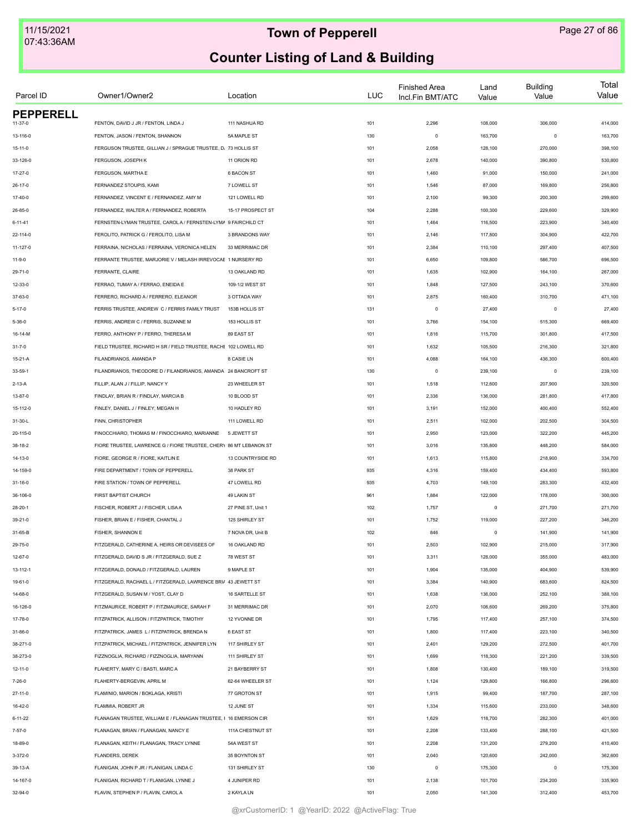| Parcel ID        | Owner1/Owner2                                                     | Location           | <b>LUC</b> | <b>Finished Area</b><br>Incl.Fin BMT/ATC | Land<br>Value | <b>Building</b><br>Value | Total<br>Value |
|------------------|-------------------------------------------------------------------|--------------------|------------|------------------------------------------|---------------|--------------------------|----------------|
| <b>PEPPERELL</b> | FENTON, DAVID J JR / FENTON, LINDA J                              |                    |            |                                          |               |                          |                |
| 11-37-0          |                                                                   | 111 NASHUA RD      | 101        | 2,296                                    | 108,000       | 306,000                  | 414,000        |
| 13-116-0         | FENTON, JASON / FENTON, SHANNON                                   | 5A MAPLE ST        | 130        | $\circ$                                  | 163,700       | $\mathbf 0$              | 163,700        |
| $15 - 11 - 0$    | FERGUSON TRUSTEE, GILLIAN J / SPRAGUE TRUSTEE, D. 73 HOLLIS ST    |                    | 101        | 2,058                                    | 128,100       | 270,000                  | 398,100        |
| 33-126-0         | FERGUSON, JOSEPH K                                                | 11 ORION RD        | 101        | 2,678                                    | 140,000       | 390,800                  | 530,800        |
| 17-27-0          | FERGUSON, MARTHA E                                                | 6 BACON ST         | 101        | 1,460                                    | 91,000        | 150,000                  | 241,000        |
| $26 - 17 - 0$    | FERNANDEZ STOUPIS, KAMI                                           | 7 LOWELL ST        | 101        | 1,546                                    | 87,000        | 169,800                  | 256,800        |
| $17-40-0$        | FERNANDEZ, VINCENT E / FERNANDEZ, AMY M                           | 121 LOWELL RD      | 101        | 2,100                                    | 99,300        | 200,300                  | 299,600        |
| $26 - 85 - 0$    | FERNANDEZ, WALTER A / FERNANDEZ, ROBERTA                          | 15-17 PROSPECT ST  | 104        | 2,288                                    | 100,300       | 229,600                  | 329,900        |
| $6 - 11 - 41$    | FERNSTEN-LYMAN TRUSTEE, CAROL A / FERNSTEN-LYMA 9 FAIRCHILD CT    |                    | 101        | 1,464                                    | 116,500       | 223,900                  | 340,400        |
| 22-114-0         | FEROLITO, PATRICK G / FEROLITO, LISA M                            | 3 BRANDONS WAY     | 101        | 2,146                                    | 117,800       | 304,900                  | 422,700        |
| 11-127-0         | FERRAINA, NICHOLAS / FERRAINA, VERONICA HELEN                     | 33 MERRIMAC DR     | 101        | 2,384                                    | 110,100       | 297,400                  | 407,500        |
| $11-9-0$         | FERRANTE TRUSTEE, MARJORIE V / MELASH IRREVOCAE 1 NURSERY RD      |                    | 101        | 6,650                                    | 109,800       | 586,700                  | 696,500        |
| 29-71-0          | FERRANTE, CLAIRE                                                  | 13 OAKLAND RD      | 101        | 1,635                                    | 102,900       | 164,100                  | 267,000        |
| 12-33-0          | FERRAO, TUMAY A / FERRAO, ENEIDA E                                | 109-1/2 WEST ST    | 101        | 1,848                                    | 127,500       | 243,100                  | 370,600        |
| 37-63-0          | FERRERO, RICHARD A / FERRERO, ELEANOR                             | 3 OTTADA WAY       | 101        | 2,875                                    | 160,400       | 310,700                  | 471,100        |
| $5 - 17 - 0$     | FERRIS TRUSTEE, ANDREW C / FERRIS FAMILY TRUST                    | 153B HOLLIS ST     | 131        | $\circ$                                  | 27,400        | $\circ$                  | 27,400         |
| $5 - 36 - 0$     | FERRIS, ANDREW C / FERRIS, SUZANNE M                              | 153 HOLLIS ST      | 101        | 3,766                                    | 154,100       | 515,300                  | 669,400        |
| 16-14-M          | FERRO, ANTHONY P / FERRO, THERESA M                               | 89 EAST ST         | 101        | 1,816                                    | 115,700       | 301,800                  | 417,500        |
| $31 - 7 - 0$     | FIELD TRUSTEE, RICHARD H SR / FIELD TRUSTEE, RACHE 102 LOWELL RD  |                    | 101        | 1,632                                    | 105,500       | 216,300                  | 321,800        |
| 15-21-A          | FILANDRIANOS, AMANDA P                                            | 8 CASIE LN         | 101        | 4,088                                    | 164,100       | 436,300                  | 600,400        |
| 33-59-1          | FILANDRIANOS. THEODORE D / FILANDRIANOS. AMANDA 24 BANCROFT ST    |                    | 130        | $\mathbf 0$                              | 239,100       | $\mathbf 0$              | 239,100        |
| $2 - 13 - A$     | FILLIP, ALAN J / FILLIP, NANCY Y                                  | 23 WHEELER ST      | 101        | 1,518                                    | 112,600       | 207,900                  | 320,500        |
| 13-87-0          | FINDLAY, BRIAN R / FINDLAY, MARCIA B                              | 10 BLOOD ST        | 101        | 2,336                                    | 136,000       | 281,800                  | 417,800        |
| 15-112-0         | FINLEY, DANIEL J / FINLEY, MEGAN H                                | 10 HADLEY RD       | 101        | 3,191                                    | 152,000       | 400,400                  | 552,400        |
| 31-30-L          | FINN, CHRISTOPHER                                                 | 111 LOWELL RD      | 101        | 2,511                                    | 102,000       | 202,500                  | 304,500        |
| 20-115-0         | FINOCCHIARO, THOMAS M / FINOCCHIARO, MARIANNE                     | 5 JEWETT ST        | 101        | 2,950                                    | 123,000       | 322,200                  | 445,200        |
| 38-18-2          | FIORE TRUSTEE, LAWRENCE G / FIORE TRUSTEE, CHERY 86 MT LEBANON ST |                    | 101        | 3,016                                    | 135,800       | 448,200                  | 584,000        |
| 14-13-0          | FIORE, GEORGE R / FIORE, KAITLIN E                                | 13 COUNTRYSIDE RD  | 101        | 1,613                                    | 115,800       | 218,900                  | 334,700        |
| 14-159-0         | FIRE DEPARTMENT / TOWN OF PEPPERELL                               | 38 PARK ST         | 935        | 4,316                                    | 159,400       | 434,400                  | 593,800        |
|                  | FIRE STATION / TOWN OF PEPPERELL                                  | 47 LOWELL RD       | 935        | 4,703                                    | 149,100       | 283,300                  | 432,400        |
| $31 - 16 - 0$    |                                                                   |                    |            |                                          |               |                          |                |
| 36-106-0         | FIRST BAPTIST CHURCH                                              | 49 LAKIN ST        | 961        | 1,884                                    | 122,000       | 178,000                  | 300,000        |
| $28 - 20 - 1$    | FISCHER, ROBERT J / FISCHER, LISA A                               | 27 PINE ST, Unit 1 | 102        | 1,757                                    | $\circ$       | 271,700                  | 271,700        |
| $39 - 21 - 0$    | FISHER, BRIAN E / FISHER, CHANTAL J                               | 125 SHIRLEY ST     | 101        | 1,752                                    | 119,000       | 227,200                  | 346,200        |
| 31-65-B          | FISHER, SHANNON E                                                 | 7 NOVA DR, Unit B  | 102        | 846                                      | $\circ$       | 141,900                  | 141,900        |
| 29-75-0          | FITZGERALD, CATHERINE A, HEIRS OR DEVISEES OF                     | 16 OAKLAND RD      | 101        | 2,503                                    | 102,900       | 215,000                  | 317,900        |
| 12-67-0          | FITZGERALD, DAVID S JR / FITZGERALD, SUE Z                        | 78 WEST ST         | 101        | 3,311                                    | 128,000       | 355,000                  | 483,000        |
| 13-112-1         | FITZGERALD, DONALD / FITZGERALD, LAUREN                           | 9 MAPLE ST         | 101        | 1,904                                    | 135,000       | 404,900                  | 539,900        |
| 19-61-0          | FITZGERALD, RACHAEL L / FITZGERALD, LAWRENCE BRI/ 43 JEWETT ST    |                    | 101        | 3,384                                    | 140,900       | 683,600                  | 824,500        |
| 14-68-0          | FITZGERALD, SUSAN M / YOST, CLAY D                                | 16 SARTELLE ST     | 101        | 1,638                                    | 136,000       | 252,100                  | 388,100        |
| 16-126-0         | FITZMAURICE, ROBERT P / FITZMAURICE, SARAH F                      | 31 MERRIMAC DR     | 101        | 2,070                                    | 106,600       | 269,200                  | 375,800        |
| 17-78-0          | FITZPATRICK, ALLISON / FITZPATRICK, TIMOTHY                       | 12 YVONNE DR       | 101        | 1,795                                    | 117,400       | 257,100                  | 374,500        |
| 31-86-0          | FITZPATRICK, JAMES L / FITZPATRICK, BRENDA N                      | 6 EAST ST          | 101        | 1,800                                    | 117,400       | 223,100                  | 340,500        |
| 38-271-0         | FITZPATRICK, MICHAEL / FITZPATRICK, JENNIFER LYN                  | 117 SHIRLEY ST     | 101        | 2,401                                    | 129,200       | 272,500                  | 401,700        |
| 38-273-0         | FIZZNOGLIA, RICHARD / FIZZNOGLIA, MARYANN                         | 111 SHIRLEY ST     | 101        | 1,699                                    | 118,300       | 221,200                  | 339,500        |
| $12 - 11 - 0$    | FLAHERTY, MARY C / BASTI, MARC A                                  | 21 BAYBERRY ST     | 101        | 1,808                                    | 130,400       | 189,100                  | 319,500        |
| $7 - 26 - 0$     | FLAHERTY-BERGEVIN, APRIL M                                        | 62-64 WHEELER ST   | 101        | 1,124                                    | 129,800       | 166,800                  | 296,600        |
| 27-11-0          | FLAMINIO, MARION / BOKLAGA, KRISTI                                | 77 GROTON ST       | 101        | 1,915                                    | 99,400        | 187,700                  | 287,100        |
| 16-42-0          | FLAMMIA, ROBERT JR                                                | 12 JUNE ST         | 101        | 1,334                                    | 115,600       | 233,000                  | 348,600        |
| $6 - 11 - 22$    | FLANAGAN TRUSTEE, WILLIAM E / FLANAGAN TRUSTEE, I 16 EMERSON CIR  |                    | 101        | 1,629                                    | 118,700       | 282,300                  | 401,000        |
| 7-57-0           | FLANAGAN, BRIAN / FLANAGAN, NANCY E                               | 111A CHESTNUT ST   | 101        | 2,208                                    | 133,400       | 288,100                  | 421,500        |
| 18-89-0          | FLANAGAN, KEITH / FLANAGAN, TRACY LYNNE                           | 54A WEST ST        | 101        | 2,208                                    | 131,200       | 279,200                  | 410,400        |
| 3-372-0          | FLANDERS, DEREK                                                   | 35 BOYNTON ST      | 101        | 2,040                                    | 120,600       | 242,000                  | 362,600        |
| 39-13-A          | FLANIGAN, JOHN P JR / FLANIGAN, LINDA C                           | 131 SHIRLEY ST     | 130        | $\mathsf 0$                              | 175,300       | $\mathbf 0$              | 175,300        |
| 14-167-0         | FLANIGAN, RICHARD T / FLANIGAN, LYNNE J                           | 4 JUNIPER RD       | 101        | 2,138                                    | 101,700       | 234,200                  | 335,900        |
| 32-94-0          | FLAVIN, STEPHEN P / FLAVIN, CAROL A                               | 2 KAYLA LN         | 101        | 2,050                                    | 141,300       | 312,400                  | 453,700        |
|                  |                                                                   |                    |            |                                          |               |                          |                |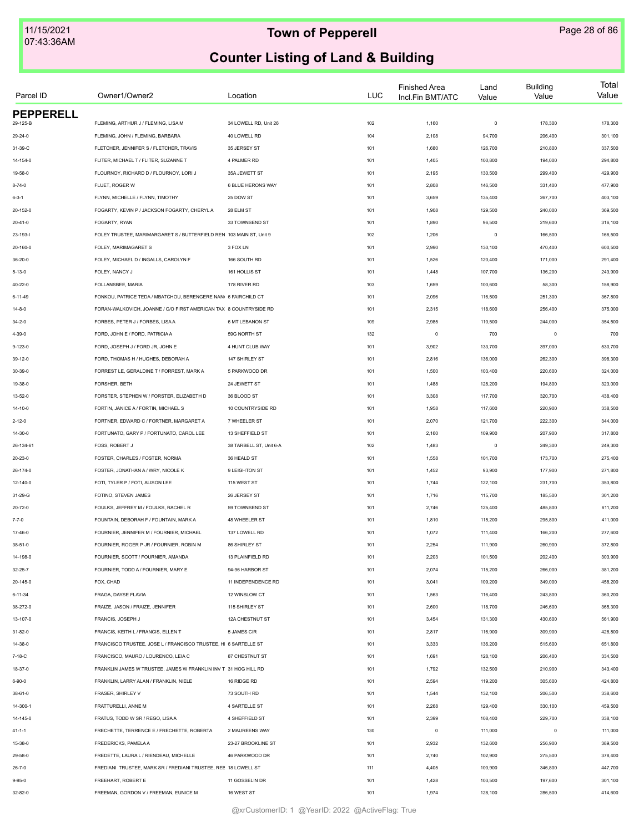| Parcel ID                    | Owner1/Owner2                                                       | Location                | <b>LUC</b> | <b>Finished Area</b><br>Incl.Fin BMT/ATC | Land<br>Value | <b>Building</b><br>Value | Total<br>Value |
|------------------------------|---------------------------------------------------------------------|-------------------------|------------|------------------------------------------|---------------|--------------------------|----------------|
| <b>PEPPERELL</b><br>29-125-B | FLEMING, ARTHUR J / FLEMING, LISA M                                 | 34 LOWELL RD, Unit 26   |            | 1,160                                    | $\mathsf 0$   | 178,300                  | 178,300        |
|                              |                                                                     |                         | 102        |                                          |               |                          |                |
| 29-24-0                      | FLEMING, JOHN / FLEMING, BARBARA                                    | 40 LOWELL RD            | 104        | 2,108                                    | 94,700        | 206,400                  | 301,100        |
| 31-39-C                      | FLETCHER, JENNIFER S / FLETCHER, TRAVIS                             | 35 JERSEY ST            | 101        | 1,680                                    | 126,700       | 210,800                  | 337,500        |
| 14-154-0                     | FLITER, MICHAEL T / FLITER, SUZANNE T                               | 4 PALMER RD             | 101        | 1,405                                    | 100,800       | 194,000                  | 294,800        |
| 19-58-0                      | FLOURNOY, RICHARD D / FLOURNOY, LORI J                              | 35A JEWETT ST           | 101        | 2,195                                    | 130,500       | 299,400                  | 429,900        |
| $8 - 74 - 0$                 | FLUET, ROGER W                                                      | 6 BLUE HERONS WAY       | 101        | 2,808                                    | 146,500       | 331,400                  | 477,900        |
| $6 - 3 - 1$                  | FLYNN, MICHELLE / FLYNN, TIMOTHY                                    | 25 DOW ST               | 101        | 3,659                                    | 135,400       | 267,700                  | 403,100        |
| 20-152-0                     | FOGARTY, KEVIN P / JACKSON FOGARTY, CHERYLA                         | 28 ELM ST               | 101        | 1,908                                    | 129,500       | 240,000                  | 369,500        |
| $20 - 41 - 0$                | FOGARTY, RYAN                                                       | 33 TOWNSEND ST          | 101        | 1,890                                    | 96,500        | 219,600                  | 316,100        |
| 23-193-l                     | FOLEY TRUSTEE, MARIMARGARET S / BUTTERFIELD REN 103 MAIN ST, Unit 9 |                         | 102        | 1,206                                    | $\mathsf 0$   | 166,500                  | 166,500        |
| 20-160-0                     | FOLEY, MARIMAGARET S                                                | 3 FOX LN                | 101        | 2,990                                    | 130,100       | 470,400                  | 600,500        |
| 36-20-0                      | FOLEY, MICHAEL D / INGALLS, CAROLYN F                               | 166 SOUTH RD            | 101        | 1,526                                    | 120,400       | 171,000                  | 291,400        |
| $5 - 13 - 0$                 | FOLEY, NANCY J                                                      | 161 HOLLIS ST           | 101        | 1,448                                    | 107,700       | 136,200                  | 243,900        |
| 40-22-0                      | FOLLANSBEE, MARIA                                                   | 178 RIVER RD            | 103        | 1,659                                    | 100,600       | 58,300                   | 158,900        |
| $6 - 11 - 49$                | FONKOU, PATRICE TEDA / MBATCHOU, BERENGERE NAN/ 6 FAIRCHILD CT      |                         | 101        | 2,096                                    | 116,500       | 251,300                  | 367,800        |
| $14 - 8 - 0$                 | FORAN-WALKOVICH, JOANNE / C/O FIRST AMERICAN TAX 8 COUNTRYSIDE RD   |                         | 101        | 2,315                                    | 118,600       | 256,400                  | 375,000        |
| $34 - 2 - 0$                 | FORBES, PETER J / FORBES, LISA A                                    | 6 MT LEBANON ST         | 109        | 2,985                                    | 110,500       | 244,000                  | 354,500        |
| 4-39-0                       | FORD, JOHN E / FORD, PATRICIAA                                      | 59G NORTH ST            | 132        | $\circ$                                  | 700           | $\mathbf 0$              | 700            |
| $9 - 123 - 0$                | FORD, JOSEPH J / FORD JR, JOHN E                                    | 4 HUNT CLUB WAY         | 101        | 3,902                                    | 133,700       | 397,000                  | 530,700        |
| 39-12-0                      | FORD, THOMAS H / HUGHES, DEBORAH A                                  | 147 SHIRLEY ST          | 101        | 2,816                                    | 136,000       | 262,300                  | 398,300        |
| 30-39-0                      | FORREST LE, GERALDINE T / FORREST, MARK A                           | 5 PARKWOOD DR           | 101        | 1,500                                    | 103,400       | 220,600                  | 324,000        |
| 19-38-0                      | FORSHER, BETH                                                       | 24 JEWETT ST            | 101        | 1,488                                    | 128,200       | 194,800                  | 323,000        |
| 13-52-0                      | FORSTER, STEPHEN W / FORSTER, ELIZABETH D                           | 36 BLOOD ST             | 101        | 3,308                                    | 117,700       | 320,700                  | 438,400        |
| 14-10-0                      | FORTIN, JANICE A / FORTIN, MICHAEL S                                | 10 COUNTRYSIDE RD       | 101        | 1,958                                    | 117,600       | 220,900                  | 338,500        |
| $2 - 12 - 0$                 | FORTNER, EDWARD C / FORTNER, MARGARET A                             | 7 WHEELER ST            | 101        | 2,070                                    | 121,700       | 222,300                  | 344,000        |
| 14-30-0                      | FORTUNATO, GARY P / FORTUNATO, CAROL LEE                            | 13 SHEFFIELD ST         | 101        | 2,160                                    | 109,900       | 207,900                  | 317,800        |
| 26-134-61                    | FOSS, ROBERT J                                                      | 38 TARBELL ST, Unit 6-A | 102        | 1,483                                    | 0             | 249,300                  | 249,300        |
| 20-23-0                      | FOSTER, CHARLES / FOSTER, NORMA                                     | 36 HEALD ST             | 101        | 1,558                                    | 101,700       | 173,700                  | 275,400        |
| 26-174-0                     | FOSTER, JONATHAN A / WRY, NICOLE K                                  | 9 LEIGHTON ST           | 101        | 1,452                                    | 93,900        | 177,900                  | 271,800        |
| 12-140-0                     | FOTI, TYLER P / FOTI, ALISON LEE                                    | 115 WEST ST             | 101        | 1,744                                    | 122,100       | 231,700                  | 353,800        |
| 31-29-G                      | FOTINO. STEVEN JAMES                                                | 26 JERSEY ST            | 101        | 1,716                                    | 115,700       | 185,500                  | 301,200        |
| $20 - 72 - 0$                | FOULKS, JEFFREY M / FOULKS, RACHEL R                                | 59 TOWNSEND ST          | 101        | 2,746                                    | 125,400       | 485,800                  | 611,200        |
|                              | FOUNTAIN, DEBORAH F / FOUNTAIN, MARK A                              |                         | 101        |                                          |               |                          |                |
| $7 - 7 - 0$                  |                                                                     | 48 WHEELER ST           |            | 1,810                                    | 115,200       | 295,800                  | 411,000        |
| 17-46-0                      | FOURNIER, JENNIFER M / FOURNIER, MICHAEL                            | 137 LOWELL RD           | 101        | 1,072                                    | 111,400       | 166,200                  | 277,600        |
| 38-51-0                      | FOURNIER, ROGER P JR / FOURNIER, ROBIN M                            | 86 SHIRLEY ST           | 101        | 2,254                                    | 111,900       | 260,900                  | 372,800        |
| 14-198-0                     | FOURNIER, SCOTT / FOURNIER, AMANDA                                  | 13 PLAINFIELD RD        | 101        | 2,203                                    | 101,500       | 202,400                  | 303,900        |
| $32 - 25 - 7$                | FOURNIER, TODD A / FOURNIER, MARY E                                 | 94-96 HARBOR ST         | 101        | 2,074                                    | 115,200       | 266,000                  | 381,200        |
| 20-145-0                     | FOX, CHAD                                                           | 11 INDEPENDENCE RD      | 101        | 3,041                                    | 109,200       | 349,000                  | 458,200        |
| $6 - 11 - 34$                | FRAGA, DAYSE FLAVIA                                                 | 12 WINSLOW CT           | 101        | 1,563                                    | 116,400       | 243,800                  | 360,200        |
| 38-272-0                     | FRAIZE, JASON / FRAIZE, JENNIFER                                    | 115 SHIRLEY ST          | 101        | 2,600                                    | 118,700       | 246,600                  | 365,300        |
| 13-107-0                     | FRANCIS, JOSEPH J                                                   | 12A CHESTNUT ST         | 101        | 3,454                                    | 131,300       | 430,600                  | 561,900        |
| 31-82-0                      | FRANCIS, KEITH L / FRANCIS, ELLEN T                                 | 5 JAMES CIR             | 101        | 2,817                                    | 116,900       | 309,900                  | 426,800        |
| 14-38-0                      | FRANCISCO TRUSTEE, JOSE L / FRANCISCO TRUSTEE, HI 6 SARTELLE ST     |                         | 101        | 3,333                                    | 136,200       | 515,600                  | 651,800        |
| 7-18-C                       | FRANCISCO, MAURO / LOURENCO, LEIA C                                 | 87 CHESTNUT ST          | 101        | 1,691                                    | 128,100       | 206,400                  | 334,500        |
| 18-37-0                      | FRANKLIN JAMES W TRUSTEE, JAMES W FRANKLIN INV T 31 HOG HILL RD     |                         | 101        | 1,792                                    | 132,500       | 210,900                  | 343,400        |
| $6 - 90 - 0$                 | FRANKLIN, LARRY ALAN / FRANKLIN, NIELE                              | 16 RIDGE RD             | 101        | 2,594                                    | 119,200       | 305,600                  | 424,800        |
| 38-61-0                      | FRASER, SHIRLEY V                                                   | 73 SOUTH RD             | 101        | 1,544                                    | 132,100       | 206,500                  | 338,600        |
| 14-300-1                     | FRATTURELLI, ANNE M                                                 | 4 SARTELLE ST           | 101        | 2,268                                    | 129,400       | 330,100                  | 459,500        |
| 14-145-0                     | FRATUS, TODD W SR / REGO, LISA A                                    | 4 SHEFFIELD ST          | 101        | 2,399                                    | 108,400       | 229,700                  | 338,100        |
| $41 - 1 - 1$                 | FRECHETTE, TERRENCE E / FRECHETTE, ROBERTA                          | 2 MAUREENS WAY          | 130        | 0                                        | 111,000       | $\mathbf 0$              | 111,000        |
| 15-38-0                      | FREDERICKS, PAMELA A                                                | 23-27 BROOKLINE ST      | 101        | 2,932                                    | 132,600       | 256,900                  | 389,500        |
| 29-58-0                      | FREDETTE, LAURA L / RIENDEAU, MICHELLE                              | 46 PARKWOOD DR          | 101        | 2,740                                    | 102,900       | 275,500                  | 378,400        |
| $26 - 7 - 0$                 | FREDIANI TRUSTEE, MARK SR / FREDIANI TRUSTEE, REE 18 LOWELL ST      |                         | 111        | 4,405                                    | 100,900       | 346,800                  | 447,700        |
| $9 - 95 - 0$                 | FREEHART, ROBERT E                                                  | 11 GOSSELIN DR          | 101        | 1,428                                    | 103,500       | 197,600                  | 301,100        |
| 32-82-0                      | FREEMAN, GORDON V / FREEMAN, EUNICE M                               | 16 WEST ST              | 101        | 1,974                                    | 128,100       | 286,500                  | 414,600        |
|                              |                                                                     |                         |            |                                          |               |                          |                |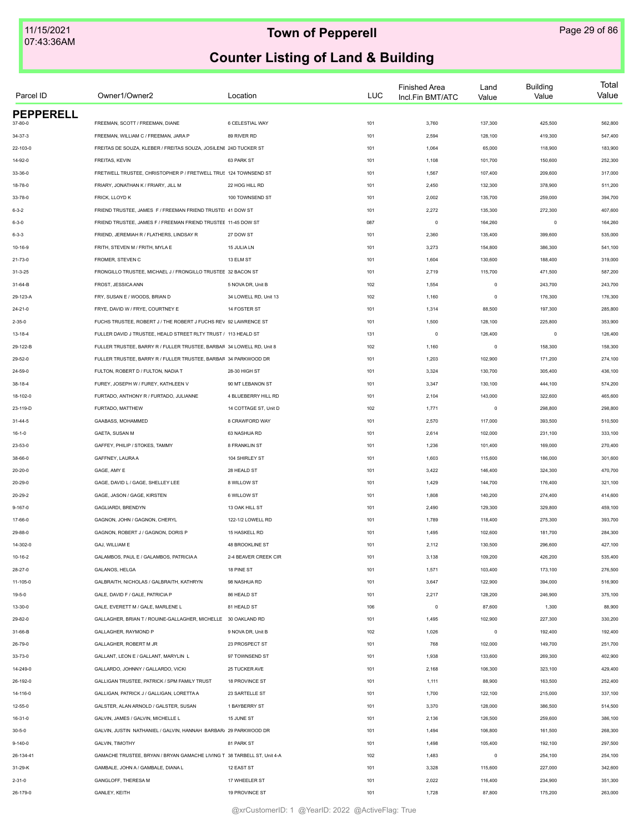| Parcel ID                   | Owner1/Owner2                                                           | Location              | <b>LUC</b> | <b>Finished Area</b><br>Incl.Fin BMT/ATC | Land<br>Value | <b>Building</b><br>Value | Total<br>Value |
|-----------------------------|-------------------------------------------------------------------------|-----------------------|------------|------------------------------------------|---------------|--------------------------|----------------|
| <b>PEPPERELL</b><br>37-80-0 | FREEMAN, SCOTT / FREEMAN, DIANE                                         | 6 CELESTIAL WAY       | 101        | 3,760                                    | 137,300       | 425,500                  | 562,800        |
|                             |                                                                         |                       |            |                                          |               |                          |                |
| $34 - 37 - 3$               | FREEMAN, WILLIAM C / FREEMAN, JARA P                                    | 89 RIVER RD           | 101        | 2,594                                    | 128,100       | 419,300                  | 547,400        |
| 22-103-0                    | FREITAS DE SOUZA, KLEBER / FREITAS SOUZA, JOSILENE 24D TUCKER ST        |                       | 101        | 1,064                                    | 65,000        | 118,900                  | 183,900        |
| 14-92-0                     | FREITAS, KEVIN                                                          | 63 PARK ST            | 101        | 1,108                                    | 101,700       | 150,600                  | 252,300        |
| 33-36-0                     | FRETWELL TRUSTEE, CHRISTOPHER P / FRETWELL TRUS 124 TOWNSEND ST         |                       | 101        | 1,567                                    | 107,400       | 209,600                  | 317,000        |
| 18-78-0                     | FRIARY, JONATHAN K / FRIARY, JILL M                                     | 22 HOG HILL RD        | 101        | 2,450                                    | 132,300       | 378,900                  | 511,200        |
| 33-78-0                     | FRICK, LLOYD K                                                          | 100 TOWNSEND ST       | 101        | 2,002                                    | 135,700       | 259,000                  | 394,700        |
| $6 - 3 - 2$                 | FRIEND TRUSTEE, JAMES F / FREEMAN FRIEND TRUSTEI 41 DOW ST              |                       | 101        | 2,272                                    | 135,300       | 272,300                  | 407,600        |
| $6 - 3 - 0$                 | FRIEND TRUSTEE, JAMES F / FREEMAN FRIEND TRUSTEE 11-45 DOW ST           |                       | 087        | $\circ$                                  | 164,260       | $\circ$                  | 164,260        |
| $6 - 3 - 3$                 | FRIEND, JEREMIAH R / FLATHERS, LINDSAY R                                | 27 DOW ST             | 101        | 2,360                                    | 135,400       | 399,600                  | 535,000        |
| 10-16-9                     | FRITH, STEVEN M / FRITH, MYLA E                                         | 15 JULIA LN           | 101        | 3,273                                    | 154,800       | 386,300                  | 541,100        |
| 21-73-0                     | FROMER, STEVEN C                                                        | 13 ELM ST             | 101        | 1,604                                    | 130,600       | 188,400                  | 319,000        |
| $31 - 3 - 25$               | FRONGILLO TRUSTEE, MICHAEL J / FRONGILLO TRUSTEE 32 BACON ST            |                       | 101        | 2,719                                    | 115,700       | 471,500                  | 587,200        |
| 31-64-B                     | FROST, JESSICA ANN                                                      | 5 NOVA DR, Unit B     | 102        | 1,554                                    | $\pmb{0}$     | 243,700                  | 243,700        |
| 29-123-A                    | FRY, SUSAN E / WOODS, BRIAN D                                           | 34 LOWELL RD, Unit 13 | 102        | 1,160                                    | $\mathsf 0$   | 176,300                  | 176,300        |
| $24 - 21 - 0$               | FRYE. DAVID W / FRYE. COURTNEY E                                        | 14 FOSTER ST          | 101        | 1,314                                    | 88,500        | 197,300                  | 285,800        |
| $2 - 35 - 0$                | FUCHS TRUSTEE, ROBERT J / THE ROBERT J FUCHS REV 92 LAWRENCE ST         |                       | 101        | 1,500                                    | 128,100       | 225,800                  | 353,900        |
| $13 - 18 - 4$               | FULLER DAVID J TRUSTEE, HEALD STREET RLTY TRUST / 113 HEALD ST          |                       | 131        | $\circ$                                  | 126,400       | $\mathbf 0$              | 126,400        |
| 29-122-B                    | FULLER TRUSTEE, BARRY R / FULLER TRUSTEE, BARBAR 34 LOWELL RD, Unit 8   |                       | 102        | 1,160                                    | $\mathsf 0$   | 158,300                  | 158,300        |
| 29-52-0                     | FULLER TRUSTEE, BARRY R / FULLER TRUSTEE, BARBAR 34 PARKWOOD DR         |                       | 101        | 1,203                                    | 102,900       | 171,200                  | 274,100        |
| 24-59-0                     | FULTON, ROBERT D / FULTON, NADIA T                                      | 28-30 HIGH ST         | 101        | 3,324                                    | 130,700       | 305,400                  | 436,100        |
| 38-18-4                     | FUREY, JOSEPH W / FUREY, KATHLEEN V                                     | 90 MT LEBANON ST      | 101        | 3,347                                    | 130,100       | 444,100                  | 574,200        |
| 18-102-0                    | FURTADO, ANTHONY R / FURTADO, JULIANNE                                  | 4 BLUEBERRY HILL RD   | 101        | 2,104                                    | 143,000       | 322,600                  | 465,600        |
| 23-119-D                    | FURTADO, MATTHEW                                                        | 14 COTTAGE ST, Unit D | 102        | 1,771                                    | $\mathsf 0$   | 298,800                  | 298,800        |
| $31 - 44 - 5$               | GAABASS, MOHAMMED                                                       | 8 CRAWFORD WAY        | 101        | 2,570                                    | 117,000       | 393,500                  | 510,500        |
| $16 - 1 - 0$                | GAETA, SUSAN M                                                          | 63 NASHUA RD          | 101        | 2,614                                    | 102,000       | 231,100                  | 333,100        |
| 23-53-0                     | GAFFEY, PHILIP / STOKES, TAMMY                                          | 8 FRANKLIN ST         | 101        | 1,236                                    | 101,400       | 169,000                  | 270,400        |
| 38-66-0                     | GAFFNEY, LAURA A                                                        | 104 SHIRLEY ST        | 101        | 1,603                                    | 115,600       | 186,000                  | 301,600        |
| $20 - 20 - 0$               | GAGE, AMY E                                                             | 28 HEALD ST           | 101        | 3,422                                    | 146,400       | 324,300                  | 470,700        |
| $20 - 29 - 0$               | GAGE, DAVID L / GAGE, SHELLEY LEE                                       | 8 WILLOW ST           | 101        | 1,429                                    | 144,700       | 176,400                  | 321,100        |
|                             | GAGE, JASON / GAGE, KIRSTEN                                             | 6 WILLOW ST           |            |                                          | 140,200       |                          |                |
| $20 - 29 - 2$               |                                                                         |                       | 101        | 1,808                                    |               | 274,400                  | 414,600        |
| $9 - 167 - 0$               | GAGLIARDI, BRENDYN                                                      | 13 OAK HILL ST        | 101        | 2,490                                    | 129,300       | 329,800                  | 459,100        |
| 17-66-0                     | GAGNON, JOHN / GAGNON, CHERYL                                           | 122-1/2 LOWELL RD     | 101        | 1,789                                    | 118,400       | 275,300                  | 393,700        |
| 29-88-0                     | GAGNON, ROBERT J / GAGNON, DORIS P                                      | 15 HASKELL RD         | 101        | 1,495                                    | 102,600       | 181,700                  | 284,300        |
| 14-302-0                    | GAJ, WILLIAM E                                                          | 48 BROOKLINE ST       | 101        | 2,112                                    | 130,500       | 296,600                  | 427,100        |
| $10 - 16 - 2$               | GALAMBOS, PAUL E / GALAMBOS, PATRICIA A                                 | 2-4 BEAVER CREEK CIR  | 101        | 3,138                                    | 109,200       | 426,200                  | 535,400        |
| $28 - 27 - 0$               | GALANOS, HELGA                                                          | 18 PINE ST            | 101        | 1,571                                    | 103,400       | 173,100                  | 276,500        |
| 11-105-0                    | GALBRAITH, NICHOLAS / GALBRAITH, KATHRYN                                | 98 NASHUA RD          | 101        | 3,647                                    | 122,900       | 394,000                  | 516,900        |
| $19 - 5 - 0$                | GALE, DAVID F / GALE, PATRICIA P                                        | 86 HEALD ST           | 101        | 2,217                                    | 128,200       | 246,900                  | 375,100        |
| 13-30-0                     | GALE, EVERETT M / GALE, MARLENE L                                       | 81 HEALD ST           | 106        | $\circ$                                  | 87,600        | 1,300                    | 88,900         |
| 29-82-0                     | GALLAGHER, BRIAN T / ROUINE-GALLAGHER, MICHELLE 30 OAKLAND RD           |                       | 101        | 1,495                                    | 102,900       | 227,300                  | 330,200        |
| 31-66-B                     | GALLAGHER, RAYMOND P                                                    | 9 NOVA DR, Unit B     | 102        | 1,026                                    | $\mathsf 0$   | 192,400                  | 192,400        |
| 26-79-0                     | GALLAGHER, ROBERT M JR                                                  | 23 PROSPECT ST        | 101        | 768                                      | 102,000       | 149,700                  | 251,700        |
| 33-73-0                     | GALLANT, LEON E / GALLANT, MARYLIN L                                    | 97 TOWNSEND ST        | 101        | 1,938                                    | 133,600       | 269,300                  | 402,900        |
| 14-249-0                    | GALLARDO, JOHNNY / GALLARDO, VICKI                                      | 25 TUCKER AVE         | 101        | 2,168                                    | 106,300       | 323,100                  | 429,400        |
| 26-192-0                    | GALLIGAN TRUSTEE, PATRICK / SPM FAMILY TRUST                            | 18 PROVINCE ST        | 101        | 1,111                                    | 88,900        | 163,500                  | 252,400        |
| 14-116-0                    | GALLIGAN, PATRICK J / GALLIGAN, LORETTA A                               | 23 SARTELLE ST        | 101        | 1,700                                    | 122,100       | 215,000                  | 337,100        |
| 12-55-0                     | GALSTER, ALAN ARNOLD / GALSTER, SUSAN                                   | 1 BAYBERRY ST         | 101        | 3,370                                    | 128,000       | 386,500                  | 514,500        |
| 16-31-0                     | GALVIN, JAMES / GALVIN, MICHELLE L                                      | 15 JUNE ST            | 101        | 2,136                                    | 126,500       | 259,600                  | 386,100        |
| $30 - 5 - 0$                | GALVIN, JUSTIN NATHANIEL / GALVIN, HANNAH BARBAR/ 29 PARKWOOD DR        |                       | 101        | 1,494                                    | 106,800       | 161,500                  | 268,300        |
| $9 - 140 - 0$               | GALVIN, TIMOTHY                                                         | 81 PARK ST            | 101        | 1,498                                    | 105,400       | 192,100                  | 297,500        |
| 26-134-41                   | GAMACHE TRUSTEE, BRYAN / BRYAN GAMACHE LIVING T 38 TARBELL ST, Unit 4-A |                       | 102        | 1,483                                    | $\mathsf 0$   | 254,100                  | 254,100        |
| 31-29-K                     | GAMBALE, JOHN A / GAMBALE, DIANA L                                      | 12 EAST ST            | 101        | 3,328                                    | 115,600       | 227,000                  | 342,600        |
| $2 - 31 - 0$                | GANGLOFF, THERESA M                                                     | 17 WHEELER ST         | 101        | 2,022                                    | 116,400       | 234,900                  | 351,300        |
| 26-179-0                    | GANLEY, KEITH                                                           | 19 PROVINCE ST        | 101        | 1,728                                    | 87,800        | 175,200                  | 263,000        |
|                             |                                                                         |                       |            |                                          |               |                          |                |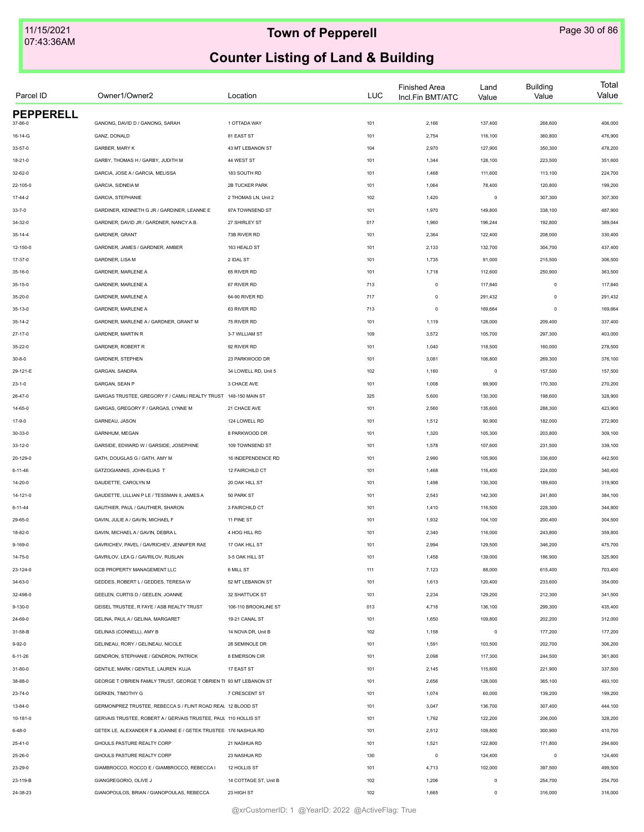| Parcel ID        | Owner1/Owner2                                                      | Location                              | <b>LUC</b> | <b>Finished Area</b><br>Incl.Fin BMT/ATC | Land<br>Value | <b>Building</b><br>Value | Total<br>Value |
|------------------|--------------------------------------------------------------------|---------------------------------------|------------|------------------------------------------|---------------|--------------------------|----------------|
| <b>PEPPERELL</b> |                                                                    |                                       |            |                                          |               |                          |                |
| 37-86-0          | GANONG, DAVID D / GANONG, SARAH                                    | 1 OTTADA WAY                          | 101        | 2,166                                    | 137,400       | 268,600                  | 406,000        |
| 16-14-G          | GANZ, DONALD                                                       | 81 EAST ST                            | 101        | 2,754                                    | 116,100       | 360,800                  | 476,900        |
| 33-57-0          | GARBER, MARY K                                                     | 43 MT LEBANON ST                      | 104        | 2,970                                    | 127,900       | 350,300                  | 478,200        |
| 18-21-0          | GARBY, THOMAS H / GARBY, JUDITH M                                  | 44 WEST ST                            | 101        | 1,344                                    | 128,100       | 223,500                  | 351,600        |
| 32-62-0          | GARCIA, JOSE A / GARCIA, MELISSA                                   | 183 SOUTH RD                          | 101        | 1,468                                    | 111,600       | 113,100                  | 224,700        |
| 22-105-0         | <b>GARCIA, SIDNEIA M</b>                                           | 2B TUCKER PARK                        | 101        | 1,064                                    | 78,400        | 120,800                  | 199,200        |
| $17-44-2$        | <b>GARCIA, STEPHANIE</b>                                           | 2 THOMAS LN, Unit 2                   | 102        | 1,420                                    | $\mathsf 0$   | 307,300                  | 307,300        |
| $33 - 7 - 0$     | GARDINER, KENNETH G JR / GARDINER, LEANNE E                        | 97A TOWNSEND ST                       | 101        | 1,970                                    | 149,800       | 338,100                  | 487,900        |
| 34-32-0          | GARDNER, DAVID JR / GARDNER, NANCY A.B.                            | 27 SHIRLEY ST                         | 017        | 1,960                                    | 196,244       | 192,800                  | 389,044        |
| $35 - 14 - 4$    | GARDNER, GRANT                                                     | 73B RIVER RD                          | 101        | 2,364                                    | 122,400       | 208,000                  | 330,400        |
| 12-150-0         | GARDNER, JAMES / GARDNER, AMBER                                    | 163 HEALD ST                          | 101        | 2,133                                    | 132,700       | 304,700                  | 437,400        |
| 17-37-0          | GARDNER, LISA M                                                    | 2 IDAL ST                             | 101        | 1,735                                    | 91,000        | 215,500                  | 306,500        |
| 35-16-0          | GARDNER, MARLENE A                                                 | 65 RIVER RD                           | 101        | 1,718                                    | 112,600       | 250,900                  | 363,500        |
| 35-15-0          | GARDNER, MARLENE A                                                 | 67 RIVER RD                           | 713        | $\mathbf 0$                              | 117,840       | $\circ$                  | 117,840        |
| 35-20-0          | GARDNER, MARLENE A                                                 | 64-90 RIVER RD                        | 717        | $\circ$                                  | 291,432       | $^{\circ}$               | 291,432        |
| $35 - 13 - 0$    | GARDNER, MARLENE A                                                 | 63 RIVER RD                           | 713        | $\circ$                                  | 169,664       | $\mathbf 0$              | 169,664        |
| $35 - 14 - 2$    | GARDNER, MARLENE A / GARDNER, GRANT M                              | 75 RIVER RD                           | 101        | 1,119                                    | 128,000       | 209,400                  | 337,400        |
| $27 - 17 - 0$    | <b>GARDNER, MARTIN R</b>                                           | 3-7 WILLIAM ST                        | 109        | 3,572                                    | 105,700       | 297,300                  | 403,000        |
| 35-22-0          | GARDNER, ROBERT R                                                  | 92 RIVER RD                           | 101        | 1,040                                    | 118,500       | 160,000                  | 278,500        |
| $30 - 8 - 0$     | GARDNER, STEPHEN                                                   | 23 PARKWOOD DR                        | 101        | 3,081                                    | 106,800       | 269,300                  | 376,100        |
| 29-121-E         | <b>GARGAN, SANDRA</b>                                              | 34 LOWELL RD, Unit 5                  | 102        | 1,160                                    | $\pmb{0}$     | 157,500                  | 157,500        |
| $23 - 1 - 0$     | <b>GARGAN, SEAN P</b>                                              | 3 CHACE AVE                           | 101        | 1,008                                    | 99,900        | 170,300                  | 270,200        |
| 26-47-0          | GARGAS TRUSTEE, GREGORY F / CAMILI REALTY TRUST 148-150 MAIN ST    |                                       | 325        | 5,600                                    | 130,300       | 198,600                  | 328,900        |
| 14-65-0          | GARGAS, GREGORY F / GARGAS, LYNNE M                                | 21 CHACE AVE                          | 101        | 2,560                                    | 135,600       | 288,300                  | 423,900        |
| 17-9-0           | GARNEAU, JASON                                                     | 124 LOWELL RD                         | 101        | 1,512                                    | 90,900        | 182,000                  | 272,900        |
| 30-33-0          | GARNHUM, MEGAN                                                     | 8 PARKWOOD DR                         | 101        | 1,320                                    | 105,300       | 203,800                  | 309,100        |
|                  |                                                                    |                                       |            |                                          |               |                          |                |
| 33-12-0          | GARSIDE, EDWARD W / GARSIDE, JOSEPHINE                             | 109 TOWNSEND ST<br>16 INDEPENDENCE RD | 101        | 1,578                                    | 107,600       | 231,500                  | 339,100        |
| 20-129-0         | GATH, DOUGLAS G / GATH, AMY M                                      |                                       | 101        | 2,990                                    | 105,900       | 336,600                  | 442,500        |
| $6 - 11 - 46$    | GATZOGIANNIS, JOHN-ELIAS T                                         | 12 FAIRCHILD CT                       | 101        | 1,468                                    | 116,400       | 224,000                  | 340,400        |
| 14-20-0          | <b>GAUDETTE, CAROLYN M</b>                                         | 20 OAK HILL ST                        | 101        | 1,498                                    | 130,300       | 189,600                  | 319,900        |
| 14-121-0         | GAUDETTE, LILLIAN P LE / TESSMAN II, JAMES A                       | 50 PARK ST                            | 101        | 2,543                                    | 142,300       | 241,800                  | 384,100        |
| $6 - 11 - 44$    | GAUTHIER, PAUL / GAUTHIER, SHARON                                  | 3 FAIRCHILD CT                        | 101        | 1,410                                    | 116,500       | 228,300                  | 344,800        |
| 29-65-0          | GAVIN, JULIE A / GAVIN, MICHAEL F                                  | 11 PINE ST                            | 101        | 1,932                                    | 104,100       | 200,400                  | 304,500        |
| 18-82-0          | GAVIN, MICHAEL A / GAVIN, DEBRA L                                  | 4 HOG HILL RD                         | 101        | 2,340                                    | 116,000       | 243,800                  | 359,800        |
| $9 - 169 - 0$    | GAVRICHEV, PAVEL / GAVRICHEV, JENNIFER RAE                         | 17 OAK HILL ST                        | 101        | 2,994                                    | 129,500       | 346,200                  | 475,700        |
| 14-75-0          | GAVRILOV, LEA G / GAVRILOV, RUSLAN                                 | 3-5 OAK HILL ST                       | 101        | 1,458                                    | 139,000       | 186,900                  | 325,900        |
| 23-124-0         | GCB PROPERTY MANAGEMENT LLC                                        | 6 MILL ST                             | 111        | 7,123                                    | 88,000        | 615,400                  | 703,400        |
| 34-63-0          | GEDDES, ROBERT L / GEDDES, TERESA W                                | 52 MT LEBANON ST                      | 101        | 1,613                                    | 120,400       | 233,600                  | 354,000        |
| 32-498-0         | GEELEN. CURTIS D / GEELEN. JOANNE                                  | 32 SHATTUCK ST                        | 101        | 2,234                                    | 129,200       | 212,300                  | 341,500        |
| $9 - 130 - 0$    | GEISEL TRUSTEE, R FAYE / ASB REALTY TRUST                          | 106-110 BROOKLINE ST                  | 013        | 4,716                                    | 136,100       | 299,300                  | 435,400        |
| 24-69-0          | GELINA, PAUL A / GELINA, MARGARET                                  | 19-21 CANAL ST                        | 101        | 1,650                                    | 109,800       | 202,200                  | 312,000        |
| 31-58-B          | GELINAS (CONNELL), AMY B                                           | 14 NOVA DR, Unit B                    | 102        | 1,158                                    | $\mathsf 0$   | 177,200                  | 177,200        |
| $9 - 92 - 0$     | GELINEAU, RORY / GELINEAU, NICOLE                                  | 28 SEMINOLE DR                        | 101        | 1,591                                    | 103,500       | 202,700                  | 306,200        |
| 6-11-26          | GENDRON, STEPHANIE / GENDRON, PATRICK                              | 8 EMERSON CIR                         | 101        | 2,098                                    | 117,300       | 244,500                  | 361,800        |
| $31 - 80 - 0$    | GENTILE, MARK / GENTILE, LAUREN KUJA                               | 17 EAST ST                            | 101        | 2,145                                    | 115,600       | 221,900                  | 337,500        |
| 38-88-0          | GEORGE T O'BRIEN FAMILY TRUST, GEORGE T OBRIEN TI 93 MT LEBANON ST |                                       | 101        | 2,656                                    | 128,000       | 365,100                  | 493,100        |
| $23 - 74 - 0$    | <b>GERKEN, TIMOTHY G</b>                                           | 7 CRESCENT ST                         | 101        | 1,074                                    | 60,000        | 139,200                  | 199,200        |
| $13 - 84 - 0$    | GERMONPREZ TRUSTEE, REBECCA S / FLINT ROAD REAL 12 BLOOD ST        |                                       | 101        | 3,047                                    | 136,700       | 307,400                  | 444,100        |
| 10-181-0         | GERVAIS TRUSTEE, ROBERT A / GERVAIS TRUSTEE, PAUL 110 HOLLIS ST    |                                       | 101        | 1,792                                    | 122,200       | 206,000                  | 328,200        |
| $6 - 48 - 0$     | GETEK LE, ALEXANDER F & JOANNE E / GETEK TRUSTEE 176 NASHUA RD     |                                       | 101        | 2,512                                    | 109,800       | 300,900                  | 410,700        |
| 25-41-0          | GHOULS PASTURE REALTY CORP                                         | 21 NASHUA RD                          | 101        | 1,521                                    | 122,800       | 171,800                  | 294,600        |
|                  | GHOULS PASTURE REALTY CORP                                         | 23 NASHUA RD                          | 130        | $\mathsf 0$                              | 124,400       | $\mathbf 0$              | 124,400        |
| 25-26-0          | GIAMBROCCO, ROCCO E / GIAMBROCCO, REBECCA I                        | 12 HOLLIS ST                          | 101        |                                          | 102,000       | 397,500                  |                |
| 23-29-0          |                                                                    |                                       |            | 4,713                                    |               |                          | 499,500        |
| 23-119-B         | GIANGREGORIO, OLIVE J                                              | 14 COTTAGE ST, Unit B                 | 102        | 1,206                                    | $\mathsf 0$   | 254,700                  | 254,700        |
| 24-38-23         | GIANOPOULOS, BRIAN / GIANOPOULAS, REBECCA                          | 23 HIGH ST                            | 102        | 1,665                                    | $\circ$       | 316,000                  | 316,000        |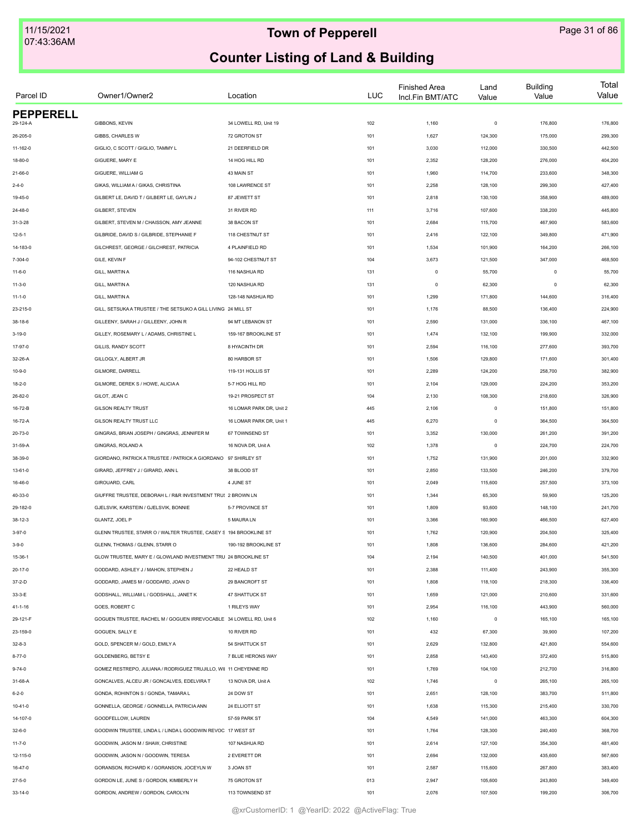| Parcel ID        | Owner1/Owner2                                                      | Location                 | <b>LUC</b> | <b>Finished Area</b><br>Incl.Fin BMT/ATC | Land<br>Value | <b>Building</b><br>Value | Total<br>Value |
|------------------|--------------------------------------------------------------------|--------------------------|------------|------------------------------------------|---------------|--------------------------|----------------|
| <b>PEPPERELL</b> |                                                                    |                          |            |                                          |               |                          |                |
| 29-124-A         | GIBBONS, KEVIN                                                     | 34 LOWELL RD, Unit 19    | 102        | 1,160                                    | $\pmb{0}$     | 176,800                  | 176,800        |
| 26-205-0         | GIBBS, CHARLES W                                                   | 72 GROTON ST             | 101        | 1,627                                    | 124,300       | 175,000                  | 299,300        |
| 11-162-0         | GIGLIO, C SCOTT / GIGLIO, TAMMY L                                  | 21 DEERFIELD DR          | 101        | 3,030                                    | 112,000       | 330,500                  | 442,500        |
| 18-80-0          | GIGUERE, MARY E                                                    | 14 HOG HILL RD           | 101        | 2,352                                    | 128,200       | 276,000                  | 404,200        |
| 21-66-0          | GIGUERE, WILLIAM G                                                 | 43 MAIN ST               | 101        | 1,960                                    | 114,700       | 233,600                  | 348,300        |
| $2 - 4 - 0$      | GIKAS, WILLIAM A / GIKAS, CHRISTINA                                | 108 LAWRENCE ST          | 101        | 2,258                                    | 128,100       | 299,300                  | 427,400        |
| 19-45-0          | GILBERT LE. DAVID T / GILBERT LE. GAYLIN J                         | 87 JEWETT ST             | 101        | 2,818                                    | 130,100       | 358,900                  | 489,000        |
| 24-48-0          | GILBERT, STEVEN                                                    | 31 RIVER RD              | 111        | 3,716                                    | 107,600       | 338,200                  | 445,800        |
| $31 - 3 - 28$    | GILBERT, STEVEN M / CHAISSON, AMY JEANNE                           | 38 BACON ST              | 101        | 2,684                                    | 115,700       | 467,900                  | 583,600        |
| $12 - 5 - 1$     | GILBRIDE, DAVID S / GILBRIDE, STEPHANIE F                          | 118 CHESTNUT ST          | 101        | 2,416                                    | 122,100       | 349,800                  | 471,900        |
| 14-183-0         | GILCHREST, GEORGE / GILCHREST, PATRICIA                            | 4 PLAINFIELD RD          | 101        | 1,534                                    | 101,900       | 164,200                  | 266,100        |
| 7-304-0          | GILE, KEVIN F                                                      | 94-102 CHESTNUT ST       | 104        | 3,673                                    | 121,500       | 347,000                  | 468,500        |
| $11-6-0$         | GILL, MARTIN A                                                     | 116 NASHUA RD            | 131        | $\circ$                                  | 55,700        | $\circ$                  | 55,700         |
| $11 - 3 - 0$     | GILL, MARTIN A                                                     | 120 NASHUA RD            | 131        | $\circ$                                  | 62,300        | $^{\circ}$               | 62,300         |
| $11 - 1 - 0$     | GILL, MARTIN A                                                     | 128-148 NASHUA RD        | 101        | 1,299                                    | 171,800       | 144,600                  | 316,400        |
| 23-215-0         | GILL, SETSUKA A TRUSTEE / THE SETSUKO A GILL LIVING 24 MILL ST     |                          | 101        | 1,176                                    | 88,500        | 136,400                  | 224,900        |
| 38-18-6          | GILLEENY, SARAH J / GILLEENY, JOHN R                               | 94 MT LEBANON ST         | 101        | 2,590                                    | 131,000       | 336,100                  | 467,100        |
| $3 - 19 - 0$     | GILLEY, ROSEMARY L / ADAMS, CHRISTINE L                            | 159-167 BROOKLINE ST     | 101        | 1,474                                    | 132,100       | 199,900                  | 332,000        |
| 17-97-0          | GILLIS, RANDY SCOTT                                                | 8 HYACINTH DR            | 101        | 2,594                                    | 116,100       | 277,600                  | 393,700        |
| 32-26-A          | GILLOGLY, ALBERT JR                                                | 80 HARBOR ST             | 101        | 1,506                                    | 129,800       | 171,600                  | 301,400        |
| $10 - 9 - 0$     | GILMORE, DARRELL                                                   | 119-131 HOLLIS ST        | 101        | 2,289                                    | 124,200       | 258,700                  | 382,900        |
| $18 - 2 - 0$     | GILMORE, DEREK S / HOWE, ALICIA A                                  | 5-7 HOG HILL RD          | 101        | 2,104                                    | 129,000       | 224,200                  | 353,200        |
| 26-82-0          | GILOT, JEAN C                                                      | 19-21 PROSPECT ST        | 104        | 2,130                                    | 108,300       | 218,600                  | 326,900        |
| 16-72-B          | <b>GILSON REALTY TRUST</b>                                         | 16 LOMAR PARK DR, Unit 2 | 445        | 2,106                                    | $\mathsf 0$   | 151,800                  | 151,800        |
|                  |                                                                    |                          |            |                                          | $\mathsf 0$   |                          |                |
| 16-72-A          | GILSON REALTY TRUST LLC                                            | 16 LOMAR PARK DR, Unit 1 | 445        | 6,270                                    |               | 364,500                  | 364,500        |
| 20-73-0          | GINGRAS, BRIAN JOSEPH / GINGRAS, JENNIFER M                        | 67 TOWNSEND ST           | 101        | 3,352                                    | 130,000       | 261,200                  | 391,200        |
| 31-59-A          | GINGRAS, ROLAND A                                                  | 16 NOVA DR, Unit A       | 102        | 1,378                                    | $\mathsf 0$   | 224,700                  | 224,700        |
| 38-39-0          | GIORDANO, PATRICK A TRUSTEE / PATRICK A GIORDANO                   | 97 SHIRLEY ST            | 101        | 1,752                                    | 131,900       | 201,000                  | 332,900        |
| 13-61-0          | GIRARD, JEFFREY J / GIRARD, ANN L                                  | 38 BLOOD ST              | 101        | 2,850                                    | 133,500       | 246,200                  | 379,700        |
| 16-46-0          | GIROUARD, CARL                                                     | 4 JUNE ST                | 101        | 2,049                                    | 115,600       | 257,500                  | 373,100        |
| 40-33-0          | GIUFFRE TRUSTEE, DEBORAH L / R&R INVESTMENT TRU! 2 BROWN LN        |                          | 101        | 1,344                                    | 65,300        | 59,900                   | 125,200        |
| 29-182-0         | GJELSVIK, KARSTEIN / GJELSVIK, BONNIE                              | 5-7 PROVINCE ST          | 101        | 1,809                                    | 93,600        | 148,100                  | 241,700        |
| $38 - 12 - 3$    | GLANTZ, JOEL P                                                     | 5 MAURA LN               | 101        | 3,366                                    | 160,900       | 466,500                  | 627,400        |
| $3 - 97 - 0$     | GLENN TRUSTEE, STARR O / WALTER TRUSTEE, CASEY S 194 BROOKLINE ST  |                          | 101        | 1,762                                    | 120,900       | 204,500                  | 325,400        |
| $3 - 9 - 0$      | GLENN, THOMAS / GLENN, STARR O                                     | 190-192 BROOKLINE ST     | 101        | 1,808                                    | 136,600       | 284,600                  | 421,200        |
| 15-36-1          | GLOW TRUSTEE, MARY E / GLOWLAND INVESTMENT TRU 24 BROOKLINE ST     |                          | 104        | 2,194                                    | 140,500       | 401,000                  | 541,500        |
| $20 - 17 - 0$    | GODDARD, ASHLEY J / MAHON, STEPHEN J                               | 22 HEALD ST              | 101        | 2,388                                    | 111,400       | 243,900                  | 355,300        |
| $37 - 2 - D$     | GODDARD, JAMES M / GODDARD, JOAN D                                 | 29 BANCROFT ST           | 101        | 1,808                                    | 118,100       | 218,300                  | 336,400        |
| 33-3-E           | GODSHALL, WILLIAM L / GODSHALL, JANET K                            | <b>47 SHATTUCK ST</b>    | 101        | 1,659                                    | 121,000       | 210,600                  | 331,600        |
| 41-1-16          | GOES, ROBERT C                                                     | 1 RILEYS WAY             | 101        | 2,954                                    | 116,100       | 443,900                  | 560,000        |
| 29-121-F         | GOGUEN TRUSTEE, RACHEL M / GOGUEN IRREVOCABLE 34 LOWELL RD, Unit 6 |                          | 102        | 1,160                                    | $\mathsf 0$   | 165,100                  | 165,100        |
| 23-159-0         | GOGUEN, SALLY E                                                    | 10 RIVER RD              | 101        | 432                                      | 67,300        | 39,900                   | 107,200        |
| $32 - 8 - 3$     | GOLD, SPENCER M / GOLD, EMILY A                                    | 54 SHATTUCK ST           | 101        | 2,629                                    | 132,800       | 421,800                  | 554,600        |
| $8 - 77 - 0$     | <b>GOLDENBERG, BETSY E</b>                                         | 7 BLUE HERONS WAY        | 101        | 2,858                                    | 143,400       | 372,400                  | 515,800        |
| $9 - 74 - 0$     | GOMEZ RESTREPO, JULIANA / RODRIGUEZ TRUJILLO, WII 11 CHEYENNE RD   |                          | 101        | 1,769                                    | 104,100       | 212,700                  | 316,800        |
| 31-68-A          | GONCALVES, ALCEU JR / GONCALVES, EDELVIRA T                        | 13 NOVA DR, Unit A       | 102        | 1,746                                    | $\mathsf 0$   | 265,100                  | 265,100        |
| $6 - 2 - 0$      | GONDA, ROHINTON S / GONDA, TAMARA L                                | 24 DOW ST                | 101        | 2,651                                    | 128,100       | 383,700                  | 511,800        |
| $10 - 41 - 0$    | GONNELLA, GEORGE / GONNELLA, PATRICIA ANN                          | 24 ELLIOTT ST            | 101        | 1,638                                    | 115,300       | 215,400                  | 330,700        |
| 14-107-0         | GOODFELLOW, LAUREN                                                 | 57-59 PARK ST            | 104        | 4,549                                    | 141,000       | 463,300                  | 604,300        |
| $32 - 6 - 0$     | GOODWIN TRUSTEE, LINDA L / LINDA L GOODWIN REVOC 17 WEST ST        |                          | 101        | 1,764                                    | 128,300       | 240,400                  | 368,700        |
| $11 - 7 - 0$     | GOODWIN, JASON M / SHAW, CHRISTINE                                 | 107 NASHUA RD            | 101        | 2,614                                    | 127,100       | 354,300                  | 481,400        |
|                  | GOODWIN, JASON N / GOODWIN, TERESA                                 | 2 EVERETT DR             |            |                                          |               |                          |                |
| 12-115-0         | GORANSON, RICHARD K / GORANSON, JOCEYLN W                          | 3 JOAN ST                | 101<br>101 | 2,694                                    | 132,000       | 435,600                  | 567,600        |
| $16 - 47 - 0$    |                                                                    |                          |            | 2,587                                    | 115,600       | 267,800                  | 383,400        |
| $27 - 5 - 0$     | GORDON LE, JUNE S / GORDON, KIMBERLY H                             | 75 GROTON ST             | 013        | 2,947                                    | 105,600       | 243,800                  | 349,400        |
| $33 - 14 - 0$    | GORDON, ANDREW / GORDON, CAROLYN                                   | 113 TOWNSEND ST          | 101        | 2,076                                    | 107,500       | 199,200                  | 306,700        |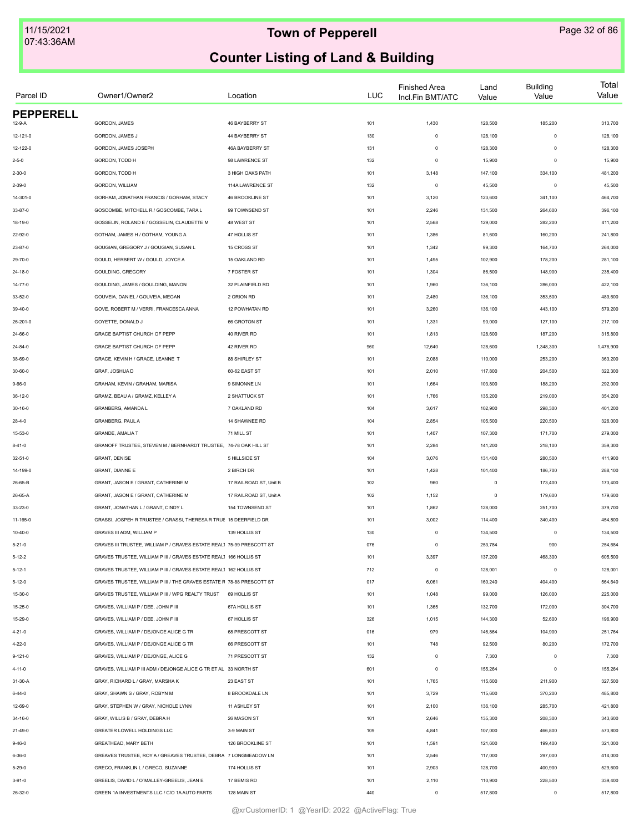| Parcel ID        | Owner1/Owner2                                                         | Location               | <b>LUC</b> | <b>Finished Area</b><br>Incl.Fin BMT/ATC | Land<br>Value | <b>Building</b><br>Value | Total<br>Value |
|------------------|-----------------------------------------------------------------------|------------------------|------------|------------------------------------------|---------------|--------------------------|----------------|
| <b>PEPPERELL</b> |                                                                       |                        |            |                                          |               |                          |                |
| 12-9-A           | GORDON, JAMES                                                         | 46 BAYBERRY ST         | 101        | 1,430                                    | 128,500       | 185,200                  | 313,700        |
| 12-121-0         | GORDON, JAMES J                                                       | 44 BAYBERRY ST         | 130        | $\circ$                                  | 128,100       | $\mathbf 0$              | 128,100        |
| 12-122-0         | GORDON, JAMES JOSEPH                                                  | 46A BAYBERRY ST        | 131        | $\circ$                                  | 128,300       | $\mathbf 0$              | 128,300        |
| $2 - 5 - 0$      | GORDON, TODD H                                                        | 98 LAWRENCE ST         | 132        | $\circ$                                  | 15,900        | $\mathbf 0$              | 15,900         |
| $2 - 30 - 0$     | GORDON, TODD H                                                        | 3 HIGH OAKS PATH       | 101        | 3,148                                    | 147,100       | 334,100                  | 481,200        |
| $2 - 39 - 0$     | GORDON, WILLIAM                                                       | 114A LAWRENCE ST       | 132        | $\circ$                                  | 45,500        | $\mathbf 0$              | 45,500         |
| 14-301-0         | GORHAM, JONATHAN FRANCIS / GORHAM, STACY                              | 46 BROOKLINE ST        | 101        | 3,120                                    | 123,600       | 341,100                  | 464,700        |
| 33-87-0          | GOSCOMBE, MITCHELL R / GOSCOMBE, TARA L                               | 99 TOWNSEND ST         | 101        | 2,246                                    | 131,500       | 264,600                  | 396,100        |
| 18-19-0          | GOSSELIN, ROLAND E / GOSSELIN, CLAUDETTE M                            | 48 WEST ST             | 101        | 2,568                                    | 129,000       | 282,200                  | 411,200        |
| 22-92-0          | GOTHAM, JAMES H / GOTHAM, YOUNG A                                     | 47 HOLLIS ST           | 101        | 1,386                                    | 81,600        | 160,200                  | 241,800        |
| 23-87-0          | GOUGIAN, GREGORY J / GOUGIAN, SUSAN L                                 | 15 CROSS ST            | 101        | 1,342                                    | 99,300        | 164,700                  | 264,000        |
| 29-70-0          | GOULD, HERBERT W / GOULD, JOYCE A                                     | 15 OAKLAND RD          | 101        | 1,495                                    | 102,900       | 178,200                  | 281,100        |
| 24-18-0          | GOULDING, GREGORY                                                     | 7 FOSTER ST            | 101        | 1,304                                    | 86,500        | 148,900                  | 235,400        |
| 14-77-0          | GOULDING, JAMES / GOULDING, MANON                                     | 32 PLAINFIELD RD       | 101        | 1,960                                    | 136,100       | 286,000                  | 422,100        |
| 33-52-0          | GOUVEIA, DANIEL / GOUVEIA, MEGAN                                      | 2 ORION RD             | 101        | 2,480                                    | 136,100       | 353,500                  | 489,600        |
| 39-40-0          | GOVE, ROBERT M / VERRI, FRANCESCA ANNA                                | 12 POWHATAN RD         | 101        | 3,260                                    | 136,100       | 443,100                  | 579,200        |
| 26-201-0         | GOYETTE, DONALD J                                                     | 66 GROTON ST           | 101        | 1,331                                    | 90,000        | 127,100                  | 217,100        |
| 24-66-0          | GRACE BAPTIST CHURCH OF PEPP                                          | 40 RIVER RD            | 101        | 1,813                                    | 128,600       | 187,200                  | 315,800        |
| 24-84-0          | GRACE BAPTIST CHURCH OF PEPP                                          | 42 RIVER RD            | 960        | 12,640                                   | 128,600       | 1,348,300                | 1,476,900      |
| 38-69-0          | GRACE, KEVIN H / GRACE, LEANNE T                                      | 88 SHIRLEY ST          | 101        | 2,088                                    | 110,000       | 253,200                  | 363,200        |
| $30 - 60 - 0$    | GRAF, JOSHUA D                                                        | 60-62 EAST ST          | 101        | 2,010                                    | 117,800       | 204,500                  | 322,300        |
| $9 - 66 - 0$     | GRAHAM, KEVIN / GRAHAM, MARISA                                        | 9 SIMONNE LN           | 101        | 1,664                                    | 103,800       | 188,200                  | 292,000        |
| $36-12-0$        | GRAMZ, BEAU A / GRAMZ, KELLEY A                                       | 2 SHATTUCK ST          | 101        | 1,766                                    | 135,200       | 219,000                  | 354,200        |
| $30 - 16 - 0$    | GRANBERG, AMANDA L                                                    | 7 OAKLAND RD           | 104        | 3,617                                    | 102,900       | 298,300                  | 401,200        |
|                  |                                                                       |                        |            |                                          |               |                          |                |
| $28 - 4 - 0$     | GRANBERG, PAUL A                                                      | 14 SHAWNEE RD          | 104        | 2,854                                    | 105,500       | 220,500                  | 326,000        |
| 15-53-0          | GRANDE, AMALIA T                                                      | 71 MILL ST             | 101        | 1,407                                    | 107,300       | 171,700                  | 279,000        |
| $8 - 41 - 0$     | GRANOFF TRUSTEE, STEVEN M / BERNHARDT TRUSTEE, 74-78 OAK HILL ST      |                        | 101        | 2,284                                    | 141,200       | 218,100                  | 359,300        |
| 32-51-0          | <b>GRANT, DENISE</b>                                                  | 5 HILLSIDE ST          | 104        | 3,076                                    | 131,400       | 280,500                  | 411,900        |
| 14-199-0         | GRANT, DIANNE E                                                       | 2 BIRCH DR             | 101        | 1,428                                    | 101,400       | 186,700                  | 288,100        |
| 26-65-B          | GRANT, JASON E / GRANT, CATHERINE M                                   | 17 RAILROAD ST, Unit B | 102        | 960                                      | $\mathsf 0$   | 173,400                  | 173,400        |
| 26-65-A          | GRANT, JASON E / GRANT, CATHERINE M                                   | 17 RAILROAD ST, Unit A | 102        | 1,152                                    | $\mathsf 0$   | 179,600                  | 179,600        |
| 33-23-0          | GRANT, JONATHAN L / GRANT, CINDY L                                    | 154 TOWNSEND ST        | 101        | 1,862                                    | 128,000       | 251,700                  | 379,700        |
| 11-165-0         | GRASSI, JOSPEH R TRUSTEE / GRASSI, THERESA R TRUS 15 DEERFIELD DR     |                        | 101        | 3,002                                    | 114,400       | 340,400                  | 454,800        |
| $10 - 40 - 0$    | GRAVES III ADM, WILLIAM P                                             | 139 HOLLIS ST          | 130        | $\circ$                                  | 134,500       | $\mathbf 0$              | 134,500        |
| $5 - 21 - 0$     | GRAVES III TRUSTEE, WILLIAM P / GRAVES ESTATE REAL1 75-99 PRESCOTT ST |                        | 076        | $\circ$                                  | 253,784       | 900                      | 254,684        |
| $5 - 12 - 2$     | GRAVES TRUSTEE, WILLIAM P III / GRAVES ESTATE REAL1 166 HOLLIS ST     |                        | 101        | 3,397                                    | 137,200       | 468,300                  | 605,500        |
| $5 - 12 - 1$     | GRAVES TRUSTEE, WILLIAM P III / GRAVES ESTATE REAL1 162 HOLLIS ST     |                        | 712        | $\circ$                                  | 128,001       | $\Omega$                 | 128,001        |
| $5 - 12 - 0$     | GRAVES TRUSTEE, WILLIAM P III / THE GRAVES ESTATE R 78-88 PRESCOTT ST |                        | 017        | 6,061                                    | 160,240       | 404,400                  | 564,640        |
| 15-30-0          | GRAVES TRUSTEE, WILLIAM P III / WPG REALTY TRUST                      | 69 HOLLIS ST           | 101        | 1,048                                    | 99,000        | 126,000                  | 225,000        |
| $15 - 25 - 0$    | GRAVES, WILLIAM P / DEE, JOHN F III                                   | 67A HOLLIS ST          | 101        | 1,365                                    | 132,700       | 172,000                  | 304,700        |
| 15-29-0          | GRAVES, WILLIAM P / DEE, JOHN F III                                   | 67 HOLLIS ST           | 326        | 1,015                                    | 144,300       | 52,600                   | 196,900        |
| 4-21-0           | GRAVES, WILLIAM P / DEJONGE ALICE G TR                                | 68 PRESCOTT ST         | 016        | 979                                      | 146,864       | 104,900                  | 251,764        |
| 4-22-0           | GRAVES, WILLIAM P / DEJONGE ALICE G TR                                | 66 PRESCOTT ST         | 101        | 748                                      | 92,500        | 80,200                   | 172,700        |
| $9 - 121 - 0$    | GRAVES, WILLIAM P / DEJONGE, ALICE G                                  | 71 PRESCOTT ST         | 132        | $\circ$                                  | 7,300         | $\circ$                  | 7,300          |
| 4-11-0           | GRAVES. WILLIAM P III ADM / DEJONGE ALICE G TR ET AL 33 NORTH ST      |                        | 601        | $\circ$                                  | 155,264       | $^{\circ}$               | 155,264        |
| 31-30-A          | GRAY, RICHARD L / GRAY, MARSHA K                                      | 23 EAST ST             | 101        | 1,765                                    | 115,600       | 211,900                  | 327,500        |
| $6 - 44 - 0$     | GRAY, SHAWN S / GRAY, ROBYN M                                         | 8 BROOKDALE LN         | 101        | 3,729                                    | 115,600       | 370,200                  | 485,800        |
| 12-69-0          | GRAY, STEPHEN W / GRAY, NICHOLE LYNN                                  | 11 ASHLEY ST           | 101        | 2,100                                    | 136,100       | 285,700                  | 421,800        |
| 34-16-0          | GRAY, WILLIS B / GRAY, DEBRA H                                        | 26 MASON ST            | 101        | 2,646                                    | 135,300       | 208,300                  | 343,600        |
| 21-49-0          | GREATER LOWELL HOLDINGS LLC                                           | 3-9 MAIN ST            | 109        | 4,841                                    | 107,000       | 466,800                  | 573,800        |
| $9 - 46 - 0$     | GREATHEAD, MARY BETH                                                  | 126 BROOKLINE ST       | 101        | 1,591                                    | 121,600       | 199,400                  | 321,000        |
| 6-36-0           | GREAVES TRUSTEE, ROY A / GREAVES TRUSTEE, DEBRA 7 LONGMEADOW LN       |                        | 101        | 2,546                                    | 117,000       | 297,000                  | 414,000        |
| $5 - 29 - 0$     | GRECO, FRANKLIN L / GRECO, SUZANNE                                    | 174 HOLLIS ST          | 101        | 2,903                                    | 128,700       | 400,900                  | 529,600        |
| $3 - 91 - 0$     | GREELIS, DAVID L / O'MALLEY-GREELIS, JEAN E                           | 17 BEMIS RD            | 101        | 2,110                                    | 110,900       | 228,500                  | 339,400        |
| 26-32-0          | GREEN 1A INVESTMENTS LLC / C/O 1A AUTO PARTS                          | 128 MAIN ST            | 440        | $\circ$                                  | 517,800       | 0                        | 517,800        |
|                  |                                                                       |                        |            |                                          |               |                          |                |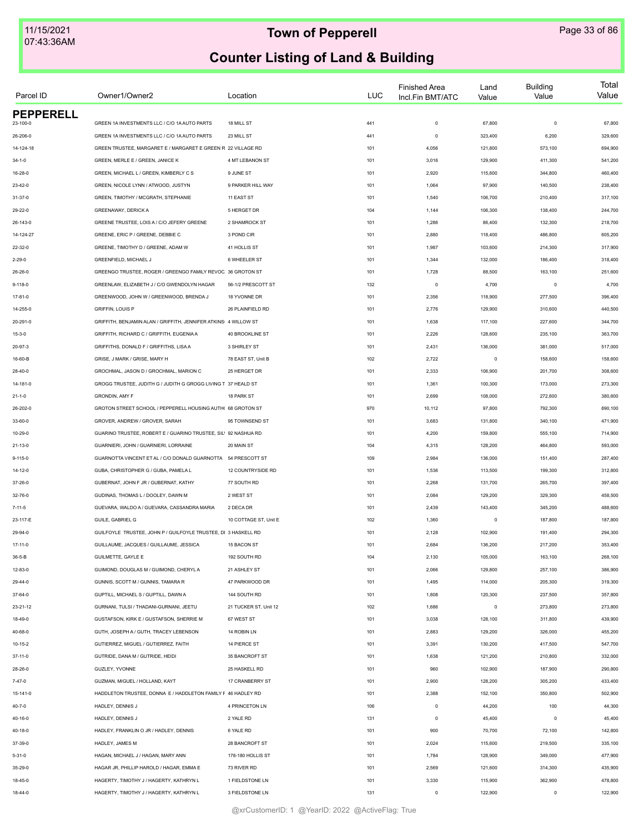| Parcel ID                    | Owner1/Owner2                                                                 | Location                       | <b>LUC</b> | <b>Finished Area</b><br>Incl.Fin BMT/ATC | Land<br>Value     | <b>Building</b><br>Value | Total<br>Value |
|------------------------------|-------------------------------------------------------------------------------|--------------------------------|------------|------------------------------------------|-------------------|--------------------------|----------------|
| <b>PEPPERELL</b><br>23-100-0 | GREEN 1A INVESTMENTS LLC / C/O 1A AUTO PARTS                                  | 18 MILL ST                     | 441        | $\mathbf 0$                              | 67,800            | $\circ$                  | 67,800         |
| 26-206-0                     | GREEN 1A INVESTMENTS LLC / C/O 1A AUTO PARTS                                  | 23 MILL ST                     | 441        | $\circ$                                  | 323,400           | 6,200                    | 329,600        |
| 14-124-18                    | GREEN TRUSTEE, MARGARET E / MARGARET E GREEN R 22 VILLAGE RD                  |                                | 101        | 4,056                                    | 121,800           | 573,100                  | 694,900        |
| $34 - 1 - 0$                 | GREEN, MERLE E / GREEN, JANICE K                                              | 4 MT LEBANON ST                | 101        | 3,016                                    | 129,900           | 411,300                  | 541,200        |
|                              |                                                                               |                                |            |                                          |                   |                          |                |
| 16-28-0                      | GREEN, MICHAEL L / GREEN, KIMBERLY C S<br>GREEN, NICOLE LYNN / ATWOOD, JUSTYN | 9 JUNE ST<br>9 PARKER HILL WAY | 101        | 2,920                                    | 115,600<br>97,900 | 344,800                  | 460,400        |
| 23-42-0                      |                                                                               |                                | 101        | 1,064                                    |                   | 140,500                  | 238,400        |
| $31 - 37 - 0$                | GREEN, TIMOTHY / MCGRATH, STEPHANIE                                           | 11 EAST ST                     | 101        | 1,540                                    | 106,700           | 210,400                  | 317,100        |
| 29-22-0                      | GREENAWAY, DERICK A                                                           | 5 HERGET DR                    | 104        | 1,144                                    | 106,300           | 138,400                  | 244,700        |
| 26-143-0                     | GREENE TRUSTEE, LOIS A / C/O JEFERY GREENE                                    | 2 SHAMROCK ST                  | 101        | 1,286                                    | 86,400            | 132,300                  | 218,700        |
| 14-124-27                    | GREENE, ERIC P / GREENE, DEBBIE C                                             | 3 POND CIR                     | 101        | 2,880                                    | 118,400           | 486,800                  | 605,200        |
| 22-32-0                      | GREENE, TIMOTHY D / GREENE, ADAM W                                            | 41 HOLLIS ST                   | 101        | 1,987                                    | 103,600           | 214,300                  | 317,900        |
| $2 - 29 - 0$                 | GREENFIELD, MICHAEL J                                                         | 6 WHEELER ST                   | 101        | 1,344                                    | 132,000           | 186,400                  | 318,400        |
| 26-26-0                      | GREENGO TRUSTEE, ROGER / GREENGO FAMILY REVOC 36 GROTON ST                    |                                | 101        | 1,728                                    | 88,500            | 163,100                  | 251,600        |
| $9 - 118 - 0$                | GREENLAW, ELIZABETH J / C/O GWENDOLYN HAGAR                                   | 56-1/2 PRESCOTT ST             | 132        | $\circ$                                  | 4,700             | $\circ$                  | 4,700          |
| 17-81-0                      | GREENWOOD, JOHN W / GREENWOOD, BRENDA J                                       | 18 YVONNE DR                   | 101        | 2,356                                    | 118,900           | 277,500                  | 396,400        |
| 14-255-0                     | <b>GRIFFIN, LOUIS P</b>                                                       | 26 PLAINFIELD RD               | 101        | 2,776                                    | 129,900           | 310,600                  | 440,500        |
| 20-291-0                     | GRIFFITH, BENJAMIN ALAN / GRIFFITH, JENNIFER ATKINS 4 WILLOW ST               |                                | 101        | 1,638                                    | 117,100           | 227,600                  | 344,700        |
| $15 - 3 - 0$                 | GRIFFITH, RICHARD C / GRIFFITH, EUGENIA A                                     | 40 BROOKLINE ST                | 101        | 2,226                                    | 128,600           | 235,100                  | 363,700        |
| 20-97-3                      | GRIFFITHS, DONALD F / GRIFFITHS, LISA A                                       | 3 SHIRLEY ST                   | 101        | 2,431                                    | 136,000           | 381,000                  | 517,000        |
| 16-60-B                      | GRISE, J MARK / GRISE, MARY H                                                 | 78 EAST ST, Unit B             | 102        | 2,722                                    | $\mathsf 0$       | 158,600                  | 158,600        |
| 28-40-0                      | GROCHMAL, JASON D / GROCHMAL, MARION C                                        | 25 HERGET DR                   | 101        | 2,333                                    | 106,900           | 201,700                  | 308,600        |
| 14-181-0                     | GROGG TRUSTEE, JUDITH G / JUDITH G GROGG LIVING T 37 HEALD ST                 |                                | 101        | 1,361                                    | 100,300           | 173,000                  | 273,300        |
| $21 - 1 - 0$                 | <b>GRONDIN, AMY F</b>                                                         | 18 PARK ST                     | 101        | 2,699                                    | 108,000           | 272,600                  | 380,600        |
| 26-202-0                     | GROTON STREET SCHOOL / PEPPERELL HOUSING AUTH( 68 GROTON ST                   |                                | 970        | 10,112                                   | 97,800            | 792,300                  | 890,100        |
| 33-60-0                      | GROVER, ANDREW / GROVER, SARAH                                                | 95 TOWNSEND ST                 | 101        | 3,683                                    | 131,800           | 340,100                  | 471,900        |
| 10-29-0                      | GUARINO TRUSTEE, ROBERT E / GUARINO TRUSTEE, SIL' 92 NASHUA RD                |                                | 101        | 4,200                                    | 159,800           | 555,100                  | 714,900        |
| 21-13-0                      | GUARNIERI, JOHN / GUARNIERI, LORRAINE                                         | 20 MAIN ST                     | 104        | 4,315                                    | 128,200           | 464,800                  | 593,000        |
| 9-115-0                      | GUARNOTTA VINCENT ET AL / C/O DONALD GUARNOTTA 54 PRESCOTT ST                 |                                | 109        | 2,984                                    | 136,000           | 151,400                  | 287,400        |
| 14-12-0                      | GUBA, CHRISTOPHER G / GUBA, PAMELA L                                          | 12 COUNTRYSIDE RD              | 101        | 1,536                                    | 113,500           | 199,300                  | 312,800        |
| 37-26-0                      | GUBERNAT, JOHN F JR / GUBERNAT, KATHY                                         | 77 SOUTH RD                    | 101        | 2,268                                    | 131,700           | 265,700                  | 397,400        |
| 32-76-0                      | GUDINAS, THOMAS L / DOOLEY, DAWN M                                            | 2 WEST ST                      | 101        | 2,084                                    | 129,200           | 329,300                  | 458,500        |
| $7 - 11 - 5$                 | GUEVARA, WALDO A / GUEVARA, CASSANDRA MARIA                                   | 2 DECA DR                      | 101        | 2,439                                    | 143,400           | 345,200                  | 488,600        |
| 23-117-E                     | GUILE, GABRIEL G                                                              | 10 COTTAGE ST, Unit E          | 102        | 1,360                                    | $\mathsf 0$       | 187,800                  | 187,800        |
| 29-94-0                      | GUILFOYLE TRUSTEE, JOHN P / GUILFOYLE TRUSTEE, DI 3 HASKELL RD                |                                | 101        | 2,128                                    | 102,900           | 191,400                  | 294,300        |
| $17 - 11 - 0$                | GUILLAUME, JACQUES / GUILLAUME, JESSICA                                       | 15 BACON ST                    | 101        | 2,684                                    | 136,200           | 217,200                  | 353,400        |
| $36 - 5 - B$                 | <b>GUILMETTE, GAYLE E</b>                                                     | 192 SOUTH RD                   | 104        | 2,130                                    | 105,000           | 163,100                  | 268,100        |
| 12-83-0                      | GUIMOND, DOUGLAS M / GUIMOND, CHERYLA                                         | 21 ASHLEY ST                   | 101        | 2,066                                    | 129,800           | 257,100                  | 386,900        |
| 29-44-0                      | GUNNIS, SCOTT M / GUNNIS, TAMARA R                                            | 47 PARKWOOD DR                 | 101        | 1,495                                    | 114,000           | 205,300                  | 319,300        |
| 37-64-0                      | GUPTILL, MICHAEL S / GUPTILL, DAWN A                                          | 144 SOUTH RD                   | 101        | 1,808                                    | 120,300           | 237,500                  | 357,800        |
| $23 - 21 - 12$               | GURNANI, TULSI / THADANI-GURNANI, JEETU                                       | 21 TUCKER ST, Unit 12          | 102        | 1,686                                    | $\mathsf 0$       | 273,800                  | 273,800        |
| 18-49-0                      | GUSTAFSON, KIRK E / GUSTAFSON, SHERRIE M                                      | 67 WEST ST                     | 101        | 3,038                                    | 128,100           | 311,800                  | 439,900        |
| 40-68-0                      | GUTH, JOSEPH A / GUTH, TRACEY LEBENSON                                        | 14 ROBIN LN                    | 101        | 2,883                                    | 129,200           | 326,000                  | 455,200        |
| 10-15-2                      | GUTIERREZ, MIGUEL / GUTIERREZ, FAITH                                          | 14 PIERCE ST                   | 101        | 3,391                                    | 130,200           | 417,500                  | 547,700        |
| $37 - 11 - 0$                | GUTRIDE, DANA M / GUTRIDE, HEIDI                                              | 35 BANCROFT ST                 | 101        | 1,638                                    | 121,200           | 210,800                  | 332,000        |
| 28-26-0                      | GUZLEY, YVONNE                                                                | 25 HASKELL RD                  | 101        | 960                                      | 102,900           | 187,900                  | 290,800        |
| $7 - 47 - 0$                 | GUZMAN, MIGUEL / HOLLAND, KAYT                                                | 17 CRANBERRY ST                | 101        | 2,900                                    | 128,200           | 305,200                  | 433,400        |
| 15-141-0                     | HADDLETON TRUSTEE, DONNA E / HADDLETON FAMILY F 46 HADLEY RD                  |                                | 101        | 2,388                                    | 152,100           | 350,800                  | 502,900        |
| $40 - 7 - 0$                 | HADLEY, DENNIS J                                                              | 4 PRINCETON LN                 | 106        | $\circ$                                  | 44,200            | 100                      | 44,300         |
| 40-16-0                      | HADLEY, DENNIS J                                                              | 2 YALE RD                      | 131        | $\mathbb O$                              | 45,400            | $^{\circ}$               | 45,400         |
| 40-18-0                      | HADLEY, FRANKLIN O JR / HADLEY, DENNIS                                        | 6 YALE RD                      | 101        | 900                                      | 70,700            | 72,100                   | 142,800        |
| 37-39-0                      | HADLEY, JAMES M                                                               | 28 BANCROFT ST                 | 101        | 2,024                                    | 115,600           | 219,500                  | 335,100        |
| $5 - 31 - 0$                 | HAGAN, MICHAEL J / HAGAN, MARY ANN                                            | 178-180 HOLLIS ST              | 101        | 1,784                                    | 128,900           | 349,000                  | 477,900        |
| 35-29-0                      | HAGAR JR, PHILLIP HAROLD / HAGAR, EMMA E                                      | 73 RIVER RD                    | 101        | 2,569                                    | 121,600           | 314,300                  | 435,900        |
| 18-45-0                      | HAGERTY, TIMOTHY J / HAGERTY, KATHRYN L                                       | 1 FIELDSTONE LN                | 101        | 3,330                                    | 115,900           | 362,900                  | 478,800        |
| $18 - 44 - 0$                | HAGERTY, TIMOTHY J / HAGERTY, KATHRYN L                                       | 3 FIELDSTONE LN                | 131        | $\circ$                                  | 122,900           | 0                        | 122,900        |
|                              |                                                                               |                                |            |                                          |                   |                          |                |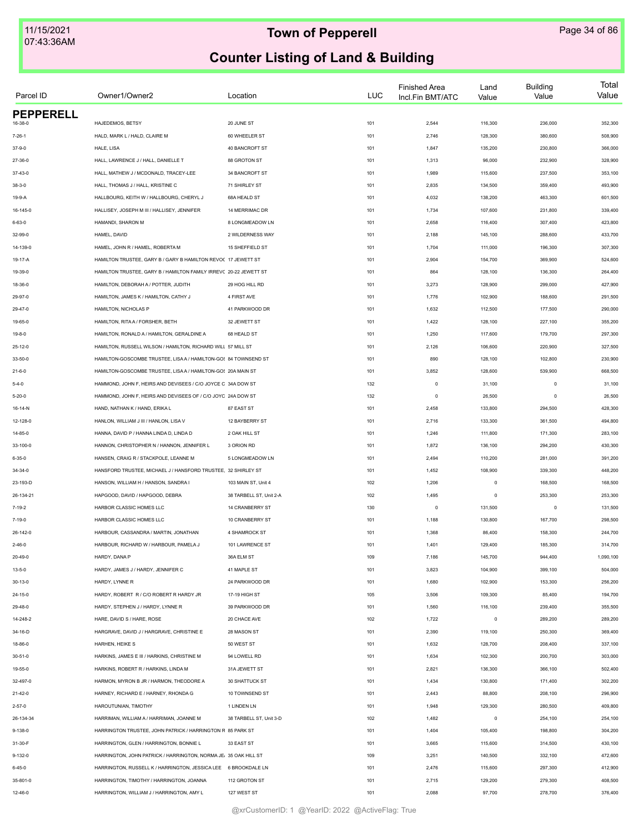| Parcel ID        | Owner1/Owner2                                                     | Location                | <b>LUC</b> | <b>Finished Area</b><br>Incl.Fin BMT/ATC | Land<br>Value | <b>Building</b><br>Value | Total<br>Value |
|------------------|-------------------------------------------------------------------|-------------------------|------------|------------------------------------------|---------------|--------------------------|----------------|
| <b>PEPPERELL</b> |                                                                   |                         |            |                                          |               |                          |                |
| 16-38-0          | HAJEDEMOS, BETSY                                                  | 20 JUNE ST              | 101        | 2,544                                    | 116,300       | 236,000                  | 352,300        |
| $7 - 26 - 1$     | HALD, MARK L / HALD, CLAIRE M                                     | 60 WHEELER ST           | 101        | 2,746                                    | 128,300       | 380,600                  | 508,900        |
| $37-9-0$         | HALE, LISA                                                        | 40 BANCROFT ST          | 101        | 1,847                                    | 135,200       | 230,800                  | 366,000        |
| 27-36-0          | HALL, LAWRENCE J / HALL, DANIELLE T                               | 88 GROTON ST            | 101        | 1,313                                    | 96,000        | 232,900                  | 328,900        |
| 37-43-0          | HALL, MATHEW J / MCDONALD, TRACEY-LEE                             | 34 BANCROFT ST          | 101        | 1,989                                    | 115,600       | 237,500                  | 353,100        |
| $38 - 3 - 0$     | HALL, THOMAS J / HALL, KRISTINE C                                 | 71 SHIRLEY ST           | 101        | 2,835                                    | 134,500       | 359,400                  | 493,900        |
| 19-9-A           | HALLBOURG, KEITH W / HALLBOURG, CHERYL J                          | 68A HEALD ST            | 101        | 4,032                                    | 138,200       | 463,300                  | 601,500        |
| 16-145-0         | HALLISEY, JOSEPH M III / HALLISEY, JENNIFER                       | 14 MERRIMAC DR          | 101        | 1,734                                    | 107,600       | 231,800                  | 339,400        |
| $6 - 63 - 0$     | HAMANDI, SHARON M                                                 | 8 LONGMEADOW LN         | 101        | 2,658                                    | 116,400       | 307,400                  | 423,800        |
| 32-99-0          | HAMEL, DAVID                                                      | 2 WILDERNESS WAY        | 101        | 2,188                                    | 145,100       | 288,600                  | 433,700        |
| 14-139-0         | HAMEL, JOHN R / HAMEL, ROBERTA M                                  | 15 SHEFFIELD ST         | 101        | 1,704                                    | 111,000       | 196,300                  | 307,300        |
| 19-17-A          | HAMILTON TRUSTEE, GARY B / GARY B HAMILTON REVO( 17 JEWETT ST     |                         | 101        | 2,904                                    | 154,700       | 369,900                  | 524,600        |
| 19-39-0          | HAMILTON TRUSTEE, GARY B / HAMILTON FAMILY IRREVC 20-22 JEWETT ST |                         | 101        | 864                                      | 128,100       | 136,300                  | 264,400        |
| 18-36-0          | HAMILTON, DEBORAH A / POTTER, JUDITH                              | 29 HOG HILL RD          | 101        | 3,273                                    | 128,900       | 299,000                  | 427,900        |
| 29-97-0          | HAMILTON, JAMES K / HAMILTON, CATHY J                             | 4 FIRST AVE             | 101        | 1,776                                    | 102,900       | 188,600                  | 291,500        |
| 29-47-0          | HAMILTON, NICHOLAS P                                              | 41 PARKWOOD DR          | 101        | 1,632                                    | 112,500       | 177,500                  | 290,000        |
| 19-65-0          | HAMILTON, RITA A / FORSHER, BETH                                  | 32 JEWETT ST            | 101        | 1,422                                    | 128,100       | 227,100                  | 355,200        |
| $19 - 8 - 0$     | HAMILTON, RONALD A / HAMILTON, GERALDINE A                        | 68 HEALD ST             | 101        | 1,250                                    | 117,600       | 179,700                  | 297,300        |
| $25 - 12 - 0$    | HAMILTON, RUSSELL WILSON / HAMILTON, RICHARD WILL 57 MILL ST      |                         | 101        | 2,126                                    | 106,600       | 220,900                  | 327,500        |
| 33-50-0          | HAMILTON-GOSCOMBE TRUSTEE, LISAA / HAMILTON-GO! 84 TOWNSEND ST    |                         | 101        | 890                                      | 128,100       | 102,800                  | 230,900        |
| $21 - 6 - 0$     | HAMILTON-GOSCOMBE TRUSTEE, LISAA / HAMILTON-GOS 20A MAIN ST       |                         | 101        | 3,852                                    | 128,600       | 539,900                  | 668,500        |
| $5 - 4 - 0$      | HAMMOND, JOHN F, HEIRS AND DEVISEES / C/O JOYCE C 34A DOW ST      |                         | 132        | $\mathsf 0$                              | 31,100        | $\mathbf 0$              | 31,100         |
| $5 - 20 - 0$     | HAMMOND, JOHN F, HEIRS AND DEVISEES OF / C/O JOYC 24A DOW ST      |                         | 132        | $\mathsf 0$                              | 26,500        | $\circ$                  | 26,500         |
| 16-14-N          | HAND, NATHAN K / HAND, ERIKA L                                    | 87 EAST ST              | 101        | 2,458                                    | 133,800       | 294,500                  | 428,300        |
| 12-128-0         | HANLON, WILLIAM J III / HANLON, LISA V                            | 12 BAYBERRY ST          | 101        | 2,716                                    | 133,300       | 361,500                  | 494,800        |
| 14-85-0          | HANNA, DAVID P / HANNA LINDA D, LINDA D                           | 2 OAK HILL ST           | 101        | 1,246                                    | 111,800       | 171,300                  | 283,100        |
| 33-100-0         | HANNON, CHRISTOPHER N / HANNON, JENNIFER L                        | 3 ORION RD              | 101        | 1,872                                    | 136,100       | 294,200                  | 430,300        |
| $6 - 35 - 0$     | HANSEN, CRAIG R / STACKPOLE, LEANNE M                             | 5 LONGMEADOW LN         | 101        | 2,494                                    | 110,200       | 281,000                  | 391,200        |
| 34-34-0          | HANSFORD TRUSTEE, MICHAEL J / HANSFORD TRUSTEE, 32 SHIRLEY ST     |                         | 101        | 1,452                                    | 108,900       | 339,300                  | 448,200        |
| 23-193-D         | HANSON, WILLIAM H / HANSON, SANDRA I                              | 103 MAIN ST, Unit 4     | 102        | 1,206                                    | $\circ$       | 168,500                  | 168,500        |
|                  | HAPGOOD, DAVID / HAPGOOD, DEBRA                                   | 38 TARBELL ST, Unit 2-A |            |                                          | $\circ$       | 253,300                  |                |
| 26-134-21        |                                                                   |                         | 102        | 1,495                                    |               |                          | 253,300        |
| $7 - 19 - 2$     | HARBOR CLASSIC HOMES LLC                                          | 14 CRANBERRY ST         | 130        | $\circ$                                  | 131,500       | $\mathbf 0$              | 131,500        |
| $7 - 19 - 0$     | HARBOR CLASSIC HOMES LLC                                          | 10 CRANBERRY ST         | 101        | 1,188                                    | 130,800       | 167,700                  | 298,500        |
| 26-142-0         | HARBOUR, CASSANDRA / MARTIN, JONATHAN                             | 4 SHAMROCK ST           | 101        | 1,368                                    | 86,400        | 158,300                  | 244,700        |
| $2 - 46 - 0$     | HARBOUR, RICHARD W / HARBOUR, PAMELA J                            | 101 LAWRENCE ST         | 101        | 1,401                                    | 129,400       | 185,300                  | 314,700        |
| 20-49-0          | HARDY, DANA P                                                     | 36A ELM ST              | 109        | 7,186                                    | 145,700       | 944,400                  | 1,090,100      |
| $13 - 5 - 0$     | HARDY, JAMES J / HARDY, JENNIFER C                                | 41 MAPLE ST             | 101        | 3,823                                    | 104,900       | 399,100                  | 504,000        |
| $30 - 13 - 0$    | HARDY, LYNNE R                                                    | 24 PARKWOOD DR          | 101        | 1,680                                    | 102,900       | 153,300                  | 256,200        |
| 24-15-0          | HARDY, ROBERT R / C/O ROBERT R HARDY JR                           | 17-19 HIGH ST           | 105        | 3,506                                    | 109,300       | 85,400                   | 194,700        |
| 29-48-0          | HARDY, STEPHEN J / HARDY, LYNNE R                                 | 39 PARKWOOD DR          | 101        | 1,560                                    | 116,100       | 239,400                  | 355,500        |
| 14-248-2         | HARE, DAVID S / HARE, ROSE                                        | 20 CHACE AVE            | 102        | 1,722                                    | $\mathsf 0$   | 289,200                  | 289,200        |
| 34-16-D          | HARGRAVE, DAVID J / HARGRAVE, CHRISTINE E                         | 28 MASON ST             | 101        | 2,390                                    | 119,100       | 250,300                  | 369,400        |
| 18-86-0          | HARHEN, HEIKE S                                                   | 50 WEST ST              | 101        | 1,632                                    | 128,700       | 208,400                  | 337,100        |
| $30 - 51 - 0$    | HARKINS, JAMES E III / HARKINS, CHRISTINE M                       | 94 LOWELL RD            | 101        | 1,634                                    | 102,300       | 200,700                  | 303,000        |
| 19-55-0          | HARKINS, ROBERT R / HARKINS, LINDA M                              | 31A JEWETT ST           | 101        | 2,821                                    | 136,300       | 366,100                  | 502,400        |
| 32-497-0         | HARMON, MYRON B JR / HARMON, THEODORE A                           | 30 SHATTUCK ST          | 101        | 1,434                                    | 130,800       | 171,400                  | 302,200        |
| $21 - 42 - 0$    | HARNEY, RICHARD E / HARNEY, RHONDA G                              | 10 TOWNSEND ST          | 101        | 2,443                                    | 88,800        | 208,100                  | 296,900        |
| $2 - 57 - 0$     | HAROUTUNIAN, TIMOTHY                                              | 1 LINDEN LN             | 101        | 1,948                                    | 129,300       | 280,500                  | 409,800        |
| 26-134-34        | HARRIMAN, WILLIAM A / HARRIMAN, JOANNE M                          | 38 TARBELL ST, Unit 3-D | 102        | 1,482                                    | $\mathsf 0$   | 254,100                  | 254,100        |
| 9-138-0          | HARRINGTON TRUSTEE, JOHN PATRICK / HARRINGTON R 85 PARK ST        |                         | 101        | 1,404                                    | 105,400       | 198,800                  | 304,200        |
| 31-30-F          | HARRINGTON, GLEN / HARRINGTON, BONNIE L                           | 33 EAST ST              | 101        | 3,665                                    | 115,600       | 314,500                  | 430,100        |
| $9 - 132 - 0$    | HARRINGTON, JOHN PATRICK / HARRINGTON, NORMA JE. 35 OAK HILL ST   |                         | 109        | 3,251                                    | 140,500       | 332,100                  | 472,600        |
| $6 - 45 - 0$     | HARRINGTON, RUSSELL K / HARRINGTON, JESSICA LEE 6 BROOKDALE LN    |                         | 101        | 2,476                                    | 115,600       | 297,300                  | 412,900        |
| 35-801-0         | HARRINGTON, TIMOTHY / HARRINGTON, JOANNA                          | 112 GROTON ST           | 101        | 2,715                                    | 129,200       | 279,300                  | 408,500        |
| 12-46-0          | HARRINGTON, WILLIAM J / HARRINGTON, AMY L                         | 127 WEST ST             | 101        | 2,088                                    | 97,700        | 278,700                  | 376,400        |
|                  |                                                                   |                         |            |                                          |               |                          |                |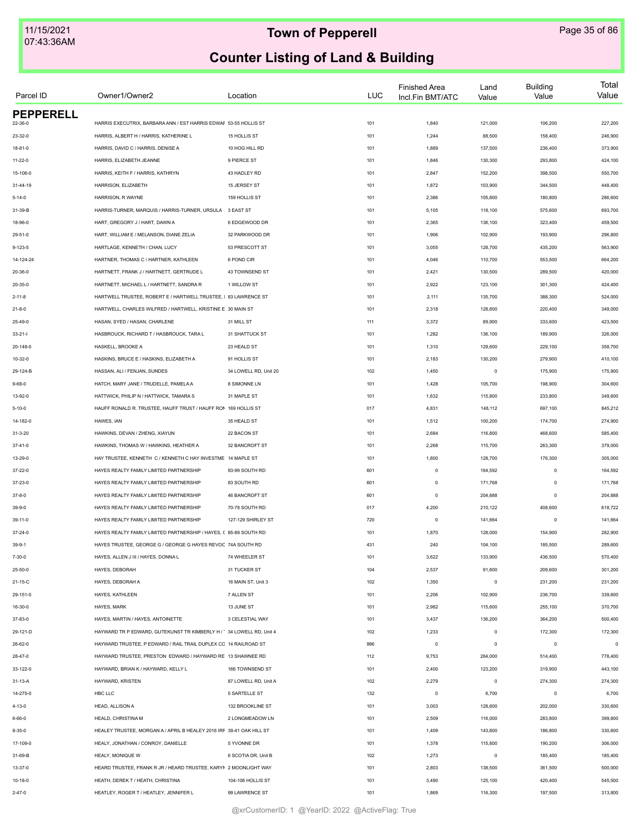| Parcel ID        | Owner1/Owner2                                                        | Location              | LUC | <b>Finished Area</b><br>Incl.Fin BMT/ATC | Land<br>Value | <b>Building</b><br>Value | Total<br>Value |
|------------------|----------------------------------------------------------------------|-----------------------|-----|------------------------------------------|---------------|--------------------------|----------------|
| <b>PEPPERELL</b> |                                                                      |                       |     |                                          |               |                          |                |
| 22-36-0          | HARRIS EXECUTRIX, BARBARA ANN / EST HARRIS EDWAF 53-55 HOLLIS ST     |                       | 101 | 1,840                                    | 121,000       | 106,200                  | 227,200        |
| 23-32-0          | HARRIS, ALBERT H / HARRIS, KATHERINE L                               | 15 HOLLIS ST          | 101 | 1,244                                    | 88,500        | 158,400                  | 246,900        |
| $18 - 81 - 0$    | HARRIS, DAVID C / HARRIS, DENISE A                                   | 10 HOG HILL RD        | 101 | 1,889                                    | 137,500       | 236,400                  | 373,900        |
| 11-22-0          | HARRIS, ELIZABETH JEANNE                                             | 9 PIERCE ST           | 101 | 1,846                                    | 130,300       | 293,800                  | 424,100        |
| 15-106-0         | HARRIS, KEITH F / HARRIS, KATHRYN                                    | 43 HADLEY RD          | 101 | 2,847                                    | 152,200       | 398,500                  | 550,700        |
| 31-44-19         | HARRISON, ELIZABETH                                                  | 15 JERSEY ST          | 101 | 1,872                                    | 103,900       | 344,500                  | 448,400        |
| $5 - 14 - 0$     | HARRISON, R WAYNE                                                    | 159 HOLLIS ST         | 101 | 2,386                                    | 105,800       | 180,800                  | 286,600        |
| 31-39-B          | HARRIS-TURNER, MARQUIS / HARRIS-TURNER, URSULA 3 EAST ST             |                       | 101 | 5,105                                    | 118,100       | 575,600                  | 693,700        |
| 18-96-0          | HART, GREGORY J / HART, DAWN A                                       | 6 EDGEWOOD DR         | 101 | 2,365                                    | 136,100       | 323,400                  | 459,500        |
| $29 - 51 - 0$    | HART, WILLIAM E / MELANSON, DIANE ZELIA                              | 32 PARKWOOD DR        | 101 | 1,906                                    | 102,900       | 193,900                  | 296,800        |
| $9 - 123 - 5$    | HARTLAGE, KENNETH / CHAN, LUCY                                       | 53 PRESCOTT ST        | 101 | 3,055                                    | 128,700       | 435,200                  | 563,900        |
| 14-124-24        | HARTNER, THOMAS C / HARTNER, KATHLEEN                                | 6 POND CIR            | 101 | 4,046                                    | 110,700       | 553,500                  | 664,200        |
| 20-36-0          | HARTNETT, FRANK J / HARTNETT, GERTRUDE L                             | 43 TOWNSEND ST        | 101 | 2,421                                    | 130,500       | 289,500                  | 420,000        |
| 20-35-0          | HARTNETT, MICHAEL L / HARTNETT, SANDRA R                             | 1 WILLOW ST           | 101 | 2,922                                    | 123,100       | 301,300                  | 424,400        |
| $2 - 11 - 8$     | HARTWELL TRUSTEE, ROBERT E / HARTWELL TRUSTEE, I 83 LAWRENCE ST      |                       | 101 | 2,111                                    | 135,700       | 388,300                  | 524,000        |
| $21 - 8 - 0$     | HARTWELL, CHARLES WILFRED / HARTWELL, KRISTINE E 30 MAIN ST          |                       | 101 | 2,318                                    | 128,600       | 220,400                  | 349,000        |
| 25-49-0          | HASAN, SYED / HASAN, CHARLENE                                        | 31 MILL ST            | 111 | 3,372                                    | 89,900        | 333,600                  | 423,500        |
| $33 - 21 - 1$    | HASBROUCK, RICHARD T / HASBROUCK, TARA L                             | 31 SHATTUCK ST        | 101 | 1,282                                    | 136,100       | 189,900                  | 326,000        |
| 20-148-0         | HASKELL, BROOKE A                                                    | 23 HEALD ST           | 101 | 1,310                                    | 129,600       | 229,100                  | 358,700        |
| 10-32-0          | HASKINS, BRUCE E / HASKINS, ELIZABETH A                              | 91 HOLLIS ST          | 101 | 2,183                                    | 130,200       | 279,900                  | 410,100        |
| 29-124-B         | HASSAN, ALI / FENJAN, SUNDES                                         | 34 LOWELL RD. Unit 20 | 102 | 1,450                                    | $\,$ 0 $\,$   | 175,900                  | 175,900        |
| $9 - 68 - 0$     | HATCH, MARY JANE / TRUDELLE, PAMELA A                                | 8 SIMONNE LN          | 101 | 1,428                                    | 105,700       | 198,900                  | 304,600        |
| 13-92-0          | HATTWICK, PHILIP N / HATTWICK, TAMARA S                              | 31 MAPLE ST           | 101 | 1,632                                    | 115,800       | 233,800                  | 349,600        |
| $5 - 10 - 0$     | HAUFF RONALD R. TRUSTEE, HAUFF TRUST / HAUFF RON 169 HOLLIS ST       |                       | 017 | 4,831                                    | 148,112       | 697,100                  | 845,212        |
| 14-182-0         | HAWES, IAN                                                           | 35 HEALD ST           | 101 | 1,512                                    | 100,200       | 174,700                  | 274,900        |
| $31 - 3 - 20$    | HAWKINS, DEVAN / ZHENG, XIAYUN                                       | 22 BACON ST           | 101 | 2,684                                    | 116,800       | 468,600                  | 585,400        |
| $37 - 41 - 0$    | HAWKINS, THOMAS W / HAWKINS, HEATHER A                               | 32 BANCROFT ST        | 101 | 2,268                                    | 115,700       | 263,300                  | 379,000        |
| 13-29-0          | HAY TRUSTEE, KENNETH C / KENNETH C HAY INVESTME 14 MAPLE ST          |                       | 101 | 1,800                                    | 128,700       | 176,300                  | 305,000        |
| 37-22-0          | HAYES REALTY FAMILY LIMITED PARTNERSHIP                              | 93-99 SOUTH RD        | 601 | $\mathbf 0$                              | 164,592       | $\mathbf 0$              | 164,592        |
| 37-23-0          | HAYES REALTY FAMILY LIMITED PARTNERSHIP                              | 83 SOUTH RD           | 601 | $\mathbf 0$                              | 171,768       | $\mathbf 0$              | 171,768        |
|                  |                                                                      |                       |     |                                          |               |                          |                |
| $37 - 8 - 0$     | HAYES REALTY FAMILY LIMITED PARTNERSHIP                              | 46 BANCROFT ST        | 601 | $\mathbf 0$                              | 204,888       | $\mathbf 0$              | 204,888        |
| $39 - 9 - 0$     | HAYES REALTY FAMILY LIMITED PARTNERSHIP                              | 70-78 SOUTH RD        | 017 | 4,200                                    | 210,122       | 408,600                  | 618,722        |
| $39 - 11 - 0$    | HAYES REALTY FAMILY LIMITED PARTNERSHIP                              | 127-129 SHIRLEY ST    | 720 | $\mathbf 0$                              | 141,664       | $\mathbf 0$              | 141,664        |
| $37 - 24 - 0$    | HAYES REALTY FAMILY LIMITED PARTNERSHIP / HAYES, ( 85-89 SOUTH RD    |                       | 101 | 1,870                                    | 128,000       | 154,900                  | 282,900        |
| $39 - 9 - 1$     | HAYES TRUSTEE, GEORGE G / GEORGE G HAYES REVOC 74A SOUTH RD          |                       | 431 | 240                                      | 104,100       | 185,500                  | 289,600        |
| 7-30-0           | HAYES, ALLEN J III / HAYES, DONNA L                                  | 74 WHEELER ST         | 101 | 3,622                                    | 133,900       | 436,500                  | 570,400        |
| 25-50-0          | HAYES, DEBORAH                                                       | 31 TUCKER ST          | 104 | 2,537                                    | 91,600        | 209,600                  | 301,200        |
| 21-15-C          | HAYES, DEBORAH A                                                     | 16 MAIN ST, Unit 3    | 102 | 1,350                                    | $\mathbf 0$   | 231,200                  | 231,200        |
| 29-151-0         | HAYES, KATHLEEN                                                      | 7 ALLEN ST            | 101 | 2,206                                    | 102,900       | 236,700                  | 339,600        |
| 16-30-0          | HAYES, MARK                                                          | 13 JUNE ST            | 101 | 2,982                                    | 115,600       | 255,100                  | 370,700        |
| 37-83-0          | HAYES, MARTIN / HAYES, ANTOINETTE                                    | 3 CELESTIAL WAY       | 101 | 3,437                                    | 136,200       | 364,200                  | 500,400        |
| 29-121-D         | HAYWARD TR P EDWARD, GUTEKUNST TR KIMBERLY H / 34 LOWELL RD, Unit 4  |                       | 102 | 1,233                                    | $\mathsf 0$   | 172,300                  | 172,300        |
| 26-62-0          | HAYWARD TRUSTEE, P EDWARD / RAIL TRAIL DUPLEX CO 14 RAILROAD ST      |                       | 996 | $\mathbf 0$                              | $\mathsf 0$   | $\mathbf 0$              | $\Omega$       |
| 28-47-0          | HAYWARD TRUSTEE, PRESTON EDWARD / HAYWARD RE 13 SHAWNEE RD           |                       | 112 | 9,753                                    | 264,000       | 514,400                  | 778,400        |
| 33-122-0         | HAYWARD, BRIAN K / HAYWARD, KELLY L                                  | 166 TOWNSEND ST       | 101 | 2,400                                    | 123,200       | 319,900                  | 443,100        |
| $31 - 13 - A$    | HAYWARD, KRISTEN                                                     | 87 LOWELL RD, Unit A  | 102 | 2,279                                    | $\mathbf 0$   | 274,300                  | 274,300        |
| 14-275-0         | HBC LLC                                                              | 5 SARTELLE ST         | 132 | $\mathbf 0$                              | 6,700         | $\mathbf 0$              | 6,700          |
| $4 - 13 - 0$     | HEAD, ALLISON A                                                      | 132 BROOKLINE ST      | 101 | 3,003                                    | 128,600       | 202,000                  | 330,600        |
| $6 - 66 - 0$     | HEALD, CHRISTINA M                                                   | 2 LONGMEADOW LN       | 101 | 2,509                                    | 116,000       | 283,800                  | 399,800        |
| $8 - 35 - 0$     | HEALEY TRUSTEE, MORGAN A / APRIL B HEALEY 2016 IRF 39-41 OAK HILL ST |                       | 101 | 1,409                                    | 143,800       | 186,800                  | 330,600        |
| 17-109-0         | HEALY, JONATHAN / CONROY, DANIELLE                                   | 5 YVONNE DR           | 101 | 1,378                                    | 115,800       | 190,200                  | 306,000        |
| 31-69-B          | HEALY, MONIQUE W                                                     | 6 SCOTIA DR, Unit B   | 102 | 1,273                                    | $\,0\,$       | 185,400                  | 185,400        |
| 13-37-0          | HEARD TRUSTEE, FRANK R JR / HEARD TRUSTEE, KARYN 2 MOONLIGHT WAY     |                       | 101 | 2,803                                    | 138,500       | 361,500                  | 500,000        |
| $10 - 18 - 0$    | HEATH, DEREK T / HEATH, CHRISTINA                                    | 104-106 HOLLIS ST     | 101 | 3,490                                    | 125,100       | 420,400                  | 545,500        |
| $2 - 47 - 0$     | HEATLEY, ROGER T / HEATLEY, JENNIFER L                               | 99 LAWRENCE ST        | 101 | 1,869                                    | 116,300       | 197,500                  | 313,800        |
|                  |                                                                      |                       |     |                                          |               |                          |                |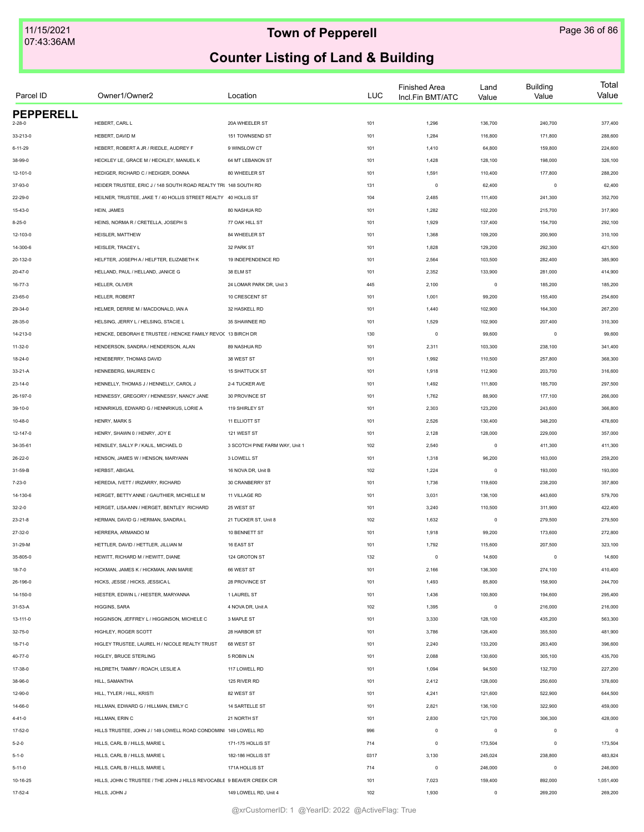| Parcel ID        | Owner1/Owner2                                                         | Location                       | <b>LUC</b> | <b>Finished Area</b><br>Incl.Fin BMT/ATC | Land<br>Value | <b>Building</b><br>Value | Total<br>Value |
|------------------|-----------------------------------------------------------------------|--------------------------------|------------|------------------------------------------|---------------|--------------------------|----------------|
| <b>PEPPERELL</b> |                                                                       |                                |            |                                          |               |                          |                |
| $2 - 28 - 0$     | HEBERT, CARL L                                                        | 20A WHEELER ST                 | 101        | 1,296                                    | 136,700       | 240,700                  | 377,400        |
| 33-213-0         | HEBERT, DAVID M                                                       | 151 TOWNSEND ST                | 101        | 1,284                                    | 116,800       | 171,800                  | 288,600        |
| $6 - 11 - 29$    | HEBERT, ROBERT A JR / RIEDLE, AUDREY F                                | 9 WINSLOW CT                   | 101        | 1,410                                    | 64,800        | 159,800                  | 224,600        |
| 38-99-0          | HECKLEY LE, GRACE M / HECKLEY, MANUEL K                               | 64 MT LEBANON ST               | 101        | 1,428                                    | 128,100       | 198,000                  | 326,100        |
| 12-101-0         | HEDIGER, RICHARD C / HEDIGER, DONNA                                   | 80 WHEELER ST                  | 101        | 1,591                                    | 110,400       | 177,800                  | 288,200        |
| 37-93-0          | HEIDER TRUSTEE, ERIC J / 148 SOUTH ROAD REALTY TRI 148 SOUTH RD       |                                | 131        | $\circ$                                  | 62,400        | $\circ$                  | 62,400         |
| 22-29-0          | HEILNER, TRUSTEE, JAKE T / 40 HOLLIS STREET REALTY 40 HOLLIS ST       |                                | 104        | 2,485                                    | 111,400       | 241,300                  | 352,700        |
| 15-43-0          | HEIN, JAMES                                                           | 80 NASHUA RD                   | 101        | 1,282                                    | 102,200       | 215,700                  | 317,900        |
| $8 - 25 - 0$     | HEINS, NORMA R / CRETELLA, JOSEPH S                                   | 77 OAK HILL ST                 | 101        | 1,929                                    | 137,400       | 154,700                  | 292,100        |
| 12-103-0         | HEISLER, MATTHEW                                                      | 84 WHEELER ST                  | 101        | 1,368                                    | 109,200       | 200,900                  | 310,100        |
| 14-300-6         | HEISLER, TRACEY L                                                     | 32 PARK ST                     | 101        | 1,828                                    | 129,200       | 292,300                  | 421,500        |
| 20-132-0         | HELFTER, JOSEPH A / HELFTER, ELIZABETH K                              | 19 INDEPENDENCE RD             | 101        | 2,564                                    | 103,500       | 282,400                  | 385,900        |
| 20-47-0          | HELLAND, PAUL / HELLAND, JANICE G                                     | 38 ELM ST                      | 101        | 2,352                                    | 133,900       | 281,000                  | 414,900        |
| 16-77-3          | HELLER, OLIVER                                                        | 24 LOMAR PARK DR, Unit 3       | 445        | 2,100                                    | $\pmb{0}$     | 185,200                  | 185,200        |
| 23-65-0          | HELLER, ROBERT                                                        | 10 CRESCENT ST                 | 101        | 1,001                                    | 99,200        | 155,400                  | 254,600        |
| 29-34-0          | HELMER, DERRIE M / MACDONALD, IAN A                                   | 32 HASKELL RD                  | 101        | 1,440                                    | 102,900       | 164,300                  | 267,200        |
| 28-35-0          | HELSING, JERRY L / HELSING, STACIE L                                  | 35 SHAWNEE RD                  | 101        | 1,529                                    | 102,900       | 207,400                  | 310,300        |
| 14-213-0         | HENCKE, DEBORAH E TRUSTEE / HENCKE FAMILY REVO( 13 BIRCH DR           |                                | 130        | $\mathsf 0$                              | 99,600        | $\mathbf 0$              | 99,600         |
| 11-32-0          | HENDERSON, SANDRA / HENDERSON, ALAN                                   | 89 NASHUA RD                   | 101        | 2,311                                    | 103,300       | 238,100                  | 341,400        |
| 18-24-0          | HENEBERRY, THOMAS DAVID                                               | 38 WEST ST                     | 101        | 1,992                                    | 110,500       | 257,800                  | 368,300        |
| 33-21-A          | HENNEBERG, MAUREEN C                                                  | <b>15 SHATTUCK ST</b>          | 101        | 1,918                                    | 112,900       | 203,700                  | 316,600        |
| 23-14-0          | HENNELLY, THOMAS J / HENNELLY, CAROL J                                | 2-4 TUCKER AVE                 | 101        | 1,492                                    | 111,800       | 185,700                  | 297,500        |
| 26-197-0         | HENNESSY, GREGORY / HENNESSY, NANCY JANE                              | 30 PROVINCE ST                 | 101        | 1,762                                    | 88,900        | 177,100                  | 266,000        |
|                  | HENNRIKUS, EDWARD G / HENNRIKUS, LORIE A                              |                                |            |                                          | 123,200       |                          |                |
| 39-10-0          |                                                                       | 119 SHIRLEY ST                 | 101        | 2,303                                    |               | 243,600                  | 366,800        |
| 10-48-0          | HENRY, MARK S                                                         | <b>11 ELLIOTT ST</b>           | 101        | 2,526                                    | 130,400       | 348,200                  | 478,600        |
| 12-147-0         | HENRY, SHAWN 0 / HENRY, JOY E                                         | 121 WEST ST                    | 101        | 2,128                                    | 128,000       | 229,000                  | 357,000        |
| 34-35-61         | HENSLEY, SALLY P / KALIL, MICHAEL D                                   | 3 SCOTCH PINE FARM WAY, Unit 1 | 102        | 2,540                                    | $\mathsf 0$   | 411,300                  | 411,300        |
| 26-22-0          | HENSON, JAMES W / HENSON, MARYANN                                     | 3 LOWELL ST                    | 101        | 1,318                                    | 96,200        | 163,000                  | 259,200        |
| 31-59-B          | <b>HERBST, ABIGAIL</b>                                                | 16 NOVA DR, Unit B             | 102        | 1,224                                    | $\mathsf 0$   | 193,000                  | 193,000        |
| $7 - 23 - 0$     | HEREDIA, IVETT / IRIZARRY, RICHARD                                    | 30 CRANBERRY ST                | 101        | 1,736                                    | 119,600       | 238,200                  | 357,800        |
| 14-130-6         | HERGET. BETTY ANNE / GAUTHIER. MICHELLE M                             | 11 VILLAGE RD                  | 101        | 3,031                                    | 136,100       | 443,600                  | 579,700        |
| $32 - 2 - 0$     | HERGET, LISA ANN / HERGET, BENTLEY RICHARD                            | 25 WEST ST                     | 101        | 3,240                                    | 110,500       | 311,900                  | 422,400        |
| $23 - 21 - 8$    | HERMAN, DAVID G / HERMAN, SANDRA L                                    | 21 TUCKER ST, Unit 8           | 102        | 1,632                                    | $\mathsf 0$   | 279,500                  | 279,500        |
| 27-32-0          | HERRERA, ARMANDO M                                                    | 10 BENNETT ST                  | 101        | 1,918                                    | 99,200        | 173,600                  | 272,800        |
| 31-29-M          | HETTLER, DAVID / HETTLER, JILLIAN M                                   | 16 EAST ST                     | 101        | 1,792                                    | 115,600       | 207,500                  | 323,100        |
| 35-805-0         | HEWITT, RICHARD M / HEWITT, DIANE                                     | 124 GROTON ST                  | 132        | $\mathsf 0$                              | 14,600        | $\mathbf 0$              | 14,600         |
| $18 - 7 - 0$     | HICKMAN, JAMES K / HICKMAN, ANN MARIE                                 | 66 WEST ST                     | 101        | 2,166                                    | 136,300       | 274,100                  | 410,400        |
| 26-196-0         | HICKS, JESSE / HICKS, JESSICA L                                       | 28 PROVINCE ST                 | 101        | 1,493                                    | 85,800        | 158,900                  | 244,700        |
| 14-150-0         | HIESTER, EDWIN L / HIESTER, MARYANNA                                  | 1 LAUREL ST                    | 101        | 1,436                                    | 100,800       | 194,600                  | 295,400        |
| 31-53-A          | HIGGINS, SARA                                                         | 4 NOVA DR, Unit A              | 102        | 1,395                                    | $\mathsf 0$   | 216,000                  | 216,000        |
| 13-111-0         | HIGGINSON, JEFFREY L / HIGGINSON, MICHELE C                           | 3 MAPLE ST                     | 101        | 3,330                                    | 128,100       | 435,200                  | 563,300        |
| 32-75-0          | HIGHLEY, ROGER SCOTT                                                  | 28 HARBOR ST                   | 101        | 3,786                                    | 126,400       | 355,500                  | 481,900        |
| 18-71-0          | HIGLEY TRUSTEE, LAUREL H / NICOLE REALTY TRUST                        | 68 WEST ST                     | 101        | 2,240                                    | 133,200       | 263,400                  | 396,600        |
| 40-77-0          | HIGLEY, BRUCE STERLING                                                | 5 ROBIN LN                     | 101        | 2,088                                    | 130,600       | 305,100                  | 435,700        |
| 17-38-0          | HILDRETH, TAMMY / ROACH, LESLIE A                                     | 117 LOWELL RD                  | 101        | 1,094                                    | 94,500        | 132,700                  | 227,200        |
| 38-96-0          | HILL, SAMANTHA                                                        | 125 RIVER RD                   | 101        | 2,412                                    | 128,000       | 250,600                  | 378,600        |
| 12-90-0          | HILL, TYLER / HILL, KRISTI                                            | 82 WEST ST                     | 101        | 4,241                                    | 121,600       | 522,900                  | 644,500        |
| 14-66-0          | HILLMAN, EDWARD G / HILLMAN, EMILY C                                  | 14 SARTELLE ST                 | 101        | 2,821                                    | 136,100       | 322,900                  | 459,000        |
| 4-41-0           | HILLMAN, ERIN C                                                       | 21 NORTH ST                    | 101        | 2,830                                    | 121,700       | 306,300                  | 428,000        |
| 17-52-0          | HILLS TRUSTEE, JOHN J / 149 LOWELL ROAD CONDOMINI 149 LOWELL RD       |                                | 996        | $\mathsf 0$                              | $\mathsf 0$   | $^{\circ}$               | $\circ$        |
| $5 - 2 - 0$      | HILLS, CARL B / HILLS, MARIE L                                        | 171-175 HOLLIS ST              | 714        | $\mathsf 0$                              | 173,504       | $\mathbf 0$              | 173,504        |
|                  |                                                                       |                                |            |                                          |               |                          |                |
| $5 - 1 - 0$      | HILLS, CARL B / HILLS, MARIE L                                        | 182-186 HOLLIS ST              | 0317       | 3,130                                    | 245,024       | 238,800                  | 483,824        |
| $5 - 11 - 0$     | HILLS, CARL B / HILLS, MARIE L                                        | 171A HOLLIS ST                 | 714        | $\mathsf 0$                              | 246,000       | $\mathbf 0$              | 246,000        |
| 10-16-25         | HILLS, JOHN C TRUSTEE / THE JOHN J HILLS REVOCABLE 9 BEAVER CREEK CIR |                                | 101        | 7,023                                    | 159,400       | 892,000                  | 1,051,400      |
| 17-52-4          | HILLS, JOHN J                                                         | 149 LOWELL RD, Unit 4          | 102        | 1,930                                    | $\mathsf 0$   | 269,200                  | 269,200        |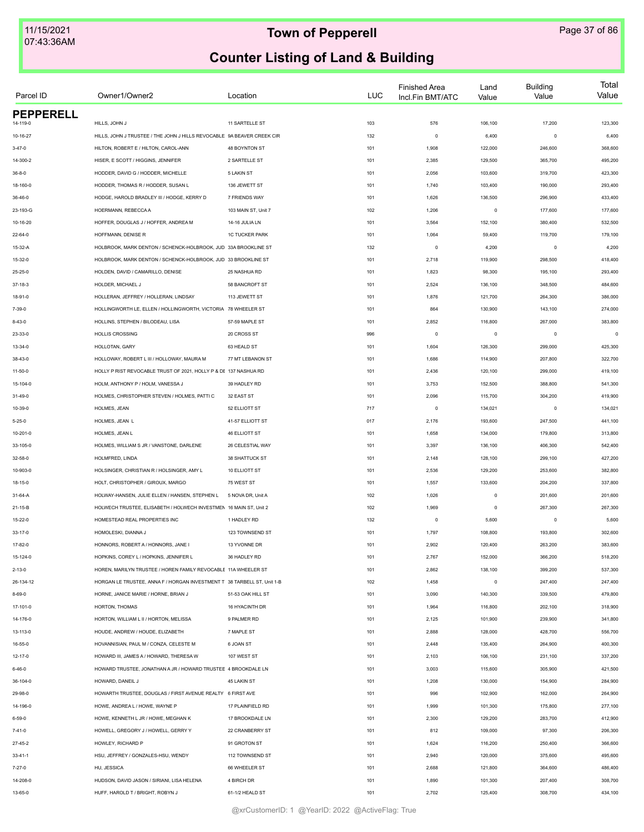| Parcel ID        | Owner1/Owner2                                                           | Location              | <b>LUC</b> | <b>Finished Area</b><br>Incl.Fin BMT/ATC | Land<br>Value           | <b>Building</b><br>Value | Total<br>Value |
|------------------|-------------------------------------------------------------------------|-----------------------|------------|------------------------------------------|-------------------------|--------------------------|----------------|
| <b>PEPPERELL</b> |                                                                         |                       |            |                                          |                         |                          |                |
| $4 - 119 - 0$    | HILLS, JOHN J                                                           | 11 SARTELLE ST        | 103        | 576                                      | 106,100                 | 17,200                   | 123,300        |
| 10-16-27         | HILLS, JOHN J TRUSTEE / THE JOHN J HILLS REVOCABLE 9A BEAVER CREEK CIR  |                       | 132        | $\mathbf 0$                              | 6,400                   | $\mathbf 0$              | 6,400          |
| $3 - 47 - 0$     | HILTON, ROBERT E / HILTON, CAROL-ANN                                    | 48 BOYNTON ST         | 101        | 1,908                                    | 122,000                 | 246,600                  | 368,600        |
| 14-300-2         | HISER, E SCOTT / HIGGINS, JENNIFER                                      | 2 SARTELLE ST         | 101        | 2,385                                    | 129,500                 | 365,700                  | 495,200        |
| $36 - 8 - 0$     | HODDER, DAVID G / HODDER, MICHELLE                                      | <b>5 LAKIN ST</b>     | 101        | 2,056                                    | 103,600                 | 319,700                  | 423,300        |
| 18-160-0         | HODDER, THOMAS R / HODDER, SUSAN L                                      | 136 JEWETT ST         | 101        | 1,740                                    | 103,400                 | 190,000                  | 293,400        |
| 36-46-0          | HODGE, HAROLD BRADLEY III / HODGE, KERRY D                              | 7 FRIENDS WAY         | 101        | 1,626                                    | 136,500                 | 296,900                  | 433,400        |
| 23-193-G         | HOERMANN, REBECCA A                                                     | 103 MAIN ST, Unit 7   | 102        | 1,206                                    | $\mathsf 0$             | 177,600                  | 177,600        |
| 10-16-20         | HOFFER, DOUGLAS J / HOFFER, ANDREA M                                    | 14-16 JULIA LN        | 101        | 3,564                                    | 152,100                 | 380,400                  | 532,500        |
| $22 - 64 - 0$    | HOFFMANN, DENISE R                                                      | <b>1C TUCKER PARK</b> | 101        | 1,064                                    | 59,400                  | 119,700                  | 179,100        |
| 15-32-A          | HOLBROOK, MARK DENTON / SCHENCK-HOLBROOK, JUD 33A BROOKLINE ST          |                       | 132        | $\mathbf 0$                              | 4,200                   | $\mathbf 0$              | 4,200          |
| 15-32-0          | HOLBROOK, MARK DENTON / SCHENCK-HOLBROOK, JUD 33 BROOKLINE ST           |                       | 101        | 2,718                                    | 119,900                 | 298,500                  | 418,400        |
| 25-25-0          | HOLDEN, DAVID / CAMARILLO, DENISE                                       | 25 NASHUA RD          | 101        | 1,823                                    | 98,300                  | 195,100                  | 293,400        |
| $37-18-3$        | HOLDER, MICHAEL J                                                       | 58 BANCROFT ST        | 101        | 2,524                                    | 136,100                 | 348,500                  | 484,600        |
| 18-91-0          | HOLLERAN, JEFFREY / HOLLERAN, LINDSAY                                   | 113 JEWETT ST         | 101        | 1,876                                    | 121,700                 | 264,300                  | 386,000        |
| 7-39-0           | HOLLINGWORTH LE, ELLEN / HOLLINGWORTH, VICTORIA 78 WHEELER ST           |                       | 101        | 864                                      | 130,900                 | 143,100                  | 274,000        |
| $8 - 43 - 0$     | HOLLINS, STEPHEN / BILODEAU, LISA                                       | 57-59 MAPLE ST        | 101        | 2,852                                    | 116,800                 | 267,000                  | 383,800        |
| 23-33-0          | <b>HOLLIS CROSSING</b>                                                  | 20 CROSS ST           | 996        | $^{\circ}$                               | $\overline{\mathbf{0}}$ | $\mathbf 0$              | $\Omega$       |
| 13-34-0          | HOLLOTAN, GARY                                                          | 63 HEALD ST           | 101        | 1,604                                    | 126,300                 | 299,000                  | 425,300        |
| 38-43-0          | HOLLOWAY, ROBERT L III / HOLLOWAY, MAURA M                              | 77 MT LEBANON ST      | 101        | 1,686                                    | 114,900                 | 207,800                  | 322,700        |
| 11-50-0          | HOLLY P RIST REVOCABLE TRUST OF 2021, HOLLY P & DE 137 NASHUA RD        |                       | 101        | 2,436                                    | 120,100                 | 299,000                  | 419,100        |
| 15-104-0         | HOLM, ANTHONY P / HOLM, VANESSA J                                       | 39 HADLEY RD          | 101        | 3,753                                    | 152,500                 | 388,800                  | 541,300        |
| 31-49-0          | HOLMES, CHRISTOPHER STEVEN / HOLMES, PATTI C                            | 32 EAST ST            | 101        | 2,096                                    | 115,700                 | 304,200                  | 419,900        |
| 10-39-0          | HOLMES, JEAN                                                            | 52 ELLIOTT ST         | 717        | $\mathbf 0$                              | 134,021                 | $\mathbf 0$              | 134,021        |
| $5 - 25 - 0$     | HOLMES, JEAN L                                                          | 41-57 ELLIOTT ST      | 017        | 2,176                                    | 193,600                 | 247,500                  | 441,100        |
| 10-201-0         | HOLMES, JEAN L                                                          | <b>46 ELLIOTT ST</b>  | 101        | 1,658                                    | 134,000                 | 179,800                  | 313,800        |
|                  |                                                                         |                       |            |                                          |                         |                          |                |
| 33-105-0         | HOLMES, WILLIAM S JR / VANSTONE, DARLENE                                | 26 CELESTIAL WAY      | 101        | 3,397                                    | 136,100                 | 406,300                  | 542,400        |
| 32-58-0          | HOLMFRED, LINDA                                                         | 38 SHATTUCK ST        | 101        | 2,148                                    | 128,100                 | 299,100                  | 427,200        |
| 10-903-0         | HOLSINGER, CHRISTIAN R / HOLSINGER, AMY L                               | 10 ELLIOTT ST         | 101        | 2,536                                    | 129,200                 | 253,600                  | 382,800        |
| 18-15-0          | HOLT, CHRISTOPHER / GIROUX, MARGO                                       | 75 WEST ST            | 101        | 1,557                                    | 133,600                 | 204,200                  | 337,800        |
| 31-64-A          | HOLWAY-HANSEN, JULIE ELLEN / HANSEN, STEPHEN L                          | 5 NOVA DR, Unit A     | 102        | 1,026                                    | $\mathsf 0$             | 201,600                  | 201,600        |
| 21-15-B          | HOLWECH TRUSTEE, ELISABETH / HOLWECH INVESTMEN 16 MAIN ST, Unit 2       |                       | 102        | 1,969                                    | $\overline{0}$          | 267,300                  | 267,300        |
| 15-22-0          | HOMESTEAD REAL PROPERTIES INC                                           | 1 HADLEY RD           | 132        | $\mathbf 0$                              | 5,600                   | $\mathbf 0$              | 5,600          |
| $33 - 17 - 0$    | HOMOLESKI, DIANNA J                                                     | 123 TOWNSEND ST       | 101        | 1,797                                    | 108,800                 | 193,800                  | 302,600        |
| 17-82-0          | HONNORS, ROBERT A / HONNORS, JANE I                                     | 13 YVONNE DR          | 101        | 2,902                                    | 120,400                 | 263,200                  | 383,600        |
| 15-124-0         | HOPKINS, COREY L / HOPKINS, JENNIFER L                                  | 36 HADLEY RD          | 101        | 2,767                                    | 152,000                 | 366,200                  | 518,200        |
| $2 - 13 - 0$     | HOREN, MARILYN TRUSTEE / HOREN FAMILY REVOCABLE 11A WHEELER ST          |                       | 101        | 2,862                                    | 138,100                 | 399,200                  | 537,300        |
| 26-134-12        | HORGAN LE TRUSTEE, ANNA F / HORGAN INVESTMENT T 38 TARBELL ST, Unit 1-B |                       | 102        | 1,458                                    | $\mathsf 0$             | 247,400                  | 247,400        |
| $8 - 69 - 0$     | HORNE, JANICE MARIE / HORNE, BRIAN J                                    | 51-53 OAK HILL ST     | 101        | 3,090                                    | 140,300                 | 339,500                  | 479,800        |
| 17-101-0         | HORTON, THOMAS                                                          | 16 HYACINTH DR        | 101        | 1,964                                    | 116,800                 | 202,100                  | 318,900        |
| 14-176-0         | HORTON, WILLIAM L II / HORTON, MELISSA                                  | 9 PALMER RD           | 101        | 2,125                                    | 101,900                 | 239,900                  | 341,800        |
| 13-113-0         | HOUDE, ANDREW / HOUDE, ELIZABETH                                        | 7 MAPLE ST            | 101        | 2,888                                    | 128,000                 | 428,700                  | 556,700        |
| 16-55-0          | HOVANNISIAN, PAUL M / CONZA, CELESTE M                                  | 6 JOAN ST             | 101        | 2,448                                    | 135,400                 | 264,900                  | 400,300        |
| 12-17-0          | HOWARD III, JAMES A / HOWARD, THERESA W                                 | 107 WEST ST           | 101        | 2,103                                    | 106,100                 | 231,100                  | 337,200        |
| $6 - 46 - 0$     | HOWARD TRUSTEE, JONATHAN A JR / HOWARD TRUSTEE 4 BROOKDALE LN           |                       | 101        | 3,003                                    | 115,600                 | 305,900                  | 421,500        |
| 36-104-0         | HOWARD, DANEIL J                                                        | 45 LAKIN ST           | 101        | 1,208                                    | 130,000                 | 154,900                  | 284,900        |
| 29-98-0          | HOWARTH TRUSTEE, DOUGLAS / FIRST AVENUE REALTY 6 FIRST AVE              |                       | 101        | 996                                      | 102,900                 | 162,000                  | 264,900        |
| 14-196-0         | HOWE, ANDREA L / HOWE, WAYNE P                                          | 17 PLAINFIELD RD      | 101        | 1,999                                    | 101,300                 | 175,800                  | 277,100        |
| $6 - 59 - 0$     | HOWE, KENNETH L JR / HOWE, MEGHAN K                                     | 17 BROOKDALE LN       | 101        | 2,300                                    | 129,200                 | 283,700                  | 412,900        |
| $7 - 41 - 0$     | HOWELL, GREGORY J / HOWELL, GERRY Y                                     | 22 CRANBERRY ST       | 101        | 812                                      | 109,000                 | 97,300                   | 206,300        |
| 27-45-2          | HOWLEY, RICHARD P                                                       | 91 GROTON ST          | 101        | 1,624                                    | 116,200                 | 250,400                  | 366,600        |
| $33 - 41 - 1$    | HSU, JEFFREY / GONZALES-HSU, WENDY                                      | 112 TOWNSEND ST       | 101        | 2,940                                    | 120,000                 | 375,600                  | 495,600        |
| $7 - 27 - 0$     | HU, JESSICA                                                             | 66 WHEELER ST         | 101        | 2,688                                    | 121,800                 | 364,600                  | 486,400        |
|                  | HUDSON, DAVID JASON / SIRIANI, LISA HELENA                              | 4 BIRCH DR            |            |                                          |                         |                          |                |
| 14-208-0         |                                                                         |                       | 101        | 1,890                                    | 101,300                 | 207,400                  | 308,700        |
| 13-65-0          | HUFF, HAROLD T / BRIGHT, ROBYN J                                        | 61-1/2 HEALD ST       | 101        | 2,702                                    | 125,400                 | 308,700                  | 434,100        |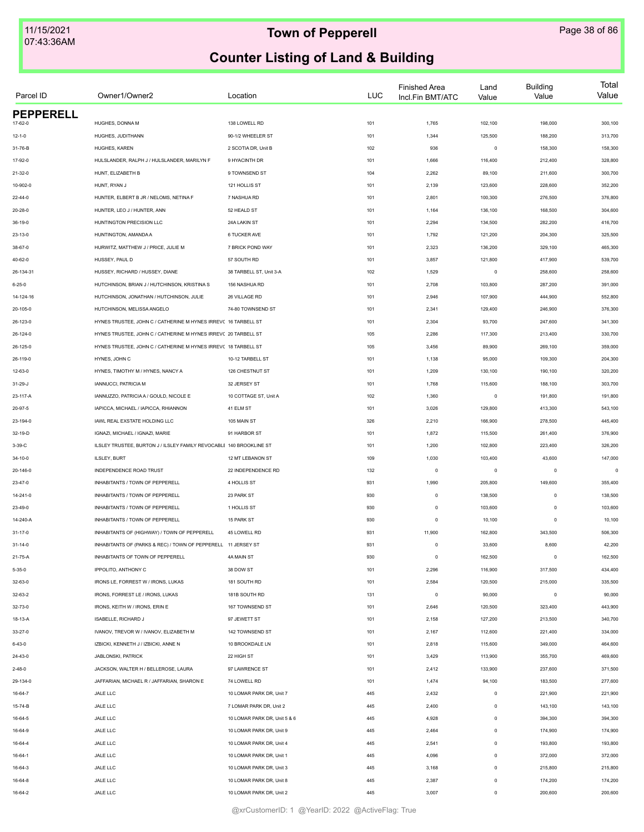| Parcel ID        | Owner1/Owner2                                                       | Location                     | <b>LUC</b> | <b>Finished Area</b><br>Incl.Fin BMT/ATC | Land<br>Value | <b>Building</b><br>Value | Total<br>Value |
|------------------|---------------------------------------------------------------------|------------------------------|------------|------------------------------------------|---------------|--------------------------|----------------|
| <b>PEPPERELL</b> |                                                                     |                              |            |                                          |               |                          |                |
| 17-62-0          | HUGHES, DONNA M                                                     | 138 LOWELL RD                | 101        | 1,765                                    | 102,100       | 198,000                  | 300,100        |
| $12 - 1 - 0$     | HUGHES, JUDITHANN                                                   | 90-1/2 WHEELER ST            | 101        | 1,344                                    | 125,500       | 188,200                  | 313,700        |
| 31-76-B          | HUGHES, KAREN                                                       | 2 SCOTIA DR, Unit B          | 102        | 936                                      | $\mathsf 0$   | 158,300                  | 158,300        |
| 17-92-0          | HULSLANDER, RALPH J / HULSLANDER, MARILYN F                         | 9 HYACINTH DR                | 101        | 1,666                                    | 116,400       | 212,400                  | 328,800        |
| $21 - 32 - 0$    | HUNT, ELIZABETH B                                                   | 9 TOWNSEND ST                | 104        | 2,262                                    | 89,100        | 211,600                  | 300,700        |
| 10-902-0         | HUNT. RYAN J                                                        | 121 HOLLIS ST                | 101        | 2,139                                    | 123,600       | 228,600                  | 352,200        |
| $22 - 44 - 0$    | HUNTER, ELBERT B JR / NELOMS, NETINA F                              | 7 NASHUA RD                  | 101        | 2,801                                    | 100,300       | 276,500                  | 376,800        |
| $20 - 28 - 0$    | HUNTER, LEO J / HUNTER, ANN                                         | 52 HEALD ST                  | 101        | 1,164                                    | 136,100       | 168,500                  | 304,600        |
| 36-19-0          | HUNTINGTON PRECISION LLC                                            | 24A LAKIN ST                 | 101        | 2,294                                    | 134,500       | 282,200                  | 416,700        |
| 23-13-0          | HUNTINGTON, AMANDA A                                                | 6 TUCKER AVE                 | 101        | 1,792                                    | 121,200       | 204,300                  | 325,500        |
| 38-67-0          | HURWITZ, MATTHEW J / PRICE, JULIE M                                 | 7 BRICK POND WAY             | 101        | 2,323                                    | 136,200       | 329,100                  | 465,300        |
| 40-62-0          | HUSSEY, PAUL D                                                      | 57 SOUTH RD                  | 101        | 3,857                                    | 121,800       | 417,900                  | 539,700        |
| 26-134-31        | HUSSEY, RICHARD / HUSSEY, DIANE                                     | 38 TARBELL ST, Unit 3-A      | 102        | 1,529                                    | $\mathsf 0$   | 258,600                  | 258,600        |
| $6 - 25 - 0$     | HUTCHINSON, BRIAN J / HUTCHINSON, KRISTINA S                        | 156 NASHUA RD                | 101        | 2,708                                    | 103,800       | 287,200                  | 391,000        |
| 14-124-16        | HUTCHINSON, JONATHAN / HUTCHINSON, JULIE                            | 26 VILLAGE RD                | 101        | 2,946                                    | 107,900       | 444,900                  | 552,800        |
| 20-105-0         | HUTCHINSON, MELISSA ANGELO                                          | 74-80 TOWNSEND ST            | 101        | 2,341                                    | 129,400       | 246,900                  | 376,300        |
| 26-123-0         | HYNES TRUSTEE, JOHN C / CATHERINE M HYNES IRREVC 16 TARBELL ST      |                              | 101        | 2,304                                    | 93,700        | 247,600                  | 341,300        |
| 26-124-0         | HYNES TRUSTEE, JOHN C / CATHERINE M HYNES IRREVC 20 TARBELL ST      |                              | 105        | 2,286                                    | 117,300       | 213,400                  | 330,700        |
| 26-125-0         | HYNES TRUSTEE, JOHN C / CATHERINE M HYNES IRREVC 18 TARBELL ST      |                              | 105        | 3,456                                    | 89,900        | 269,100                  | 359,000        |
| 26-119-0         | HYNES, JOHN C                                                       | 10-12 TARBELL ST             | 101        | 1,138                                    | 95,000        | 109,300                  | 204,300        |
| 12-63-0          | HYNES, TIMOTHY M / HYNES, NANCY A                                   | 126 CHESTNUT ST              | 101        | 1,209                                    | 130,100       | 190,100                  | 320,200        |
| 31-29-J          | <b>IANNUCCI, PATRICIA M</b>                                         | 32 JERSEY ST                 | 101        | 1,768                                    | 115,600       | 188,100                  | 303,700        |
| 23-117-A         | IANNUZZO, PATRICIA A / GOULD, NICOLE E                              | 10 COTTAGE ST, Unit A        | 102        | 1,360                                    | $\mathsf 0$   | 191,800                  | 191,800        |
| 20-97-5          | IAPICCA, MICHAEL / IAPICCA, RHIANNON                                | 41 ELM ST                    | 101        | 3,026                                    | 129,800       | 413,300                  | 543,100        |
| 23-194-0         | IAWL REAL EXSTATE HOLDING LLC                                       | 105 MAIN ST                  | 326        | 2,210                                    | 166,900       | 278,500                  | 445,400        |
| 32-19-D          | IGNAZI, MICHAEL / IGNAZI, MARIE                                     | 91 HARBOR ST                 | 101        | 1,872                                    | 115,500       | 261,400                  | 376,900        |
| 3-39-C           | ILSLEY TRUSTEE, BURTON J / ILSLEY FAMILY REVOCABLE 140 BROOKLINE ST |                              | 101        | 1,200                                    | 102,800       | 223,400                  | 326,200        |
| 34-10-0          | ILSLEY, BURT                                                        | 12 MT LEBANON ST             | 109        | 1,030                                    | 103,400       | 43,600                   | 147,000        |
|                  | INDEPENDENCE ROAD TRUST                                             | 22 INDEPENDENCE RD           |            | $\circ$                                  |               |                          | $\circ$        |
| 20-146-0         |                                                                     |                              | 132        |                                          | $\mathsf 0$   | $^{\circ}$               |                |
| 23-47-0          | INHABITANTS / TOWN OF PEPPERELL                                     | 4 HOLLIS ST                  | 931        | 1,990                                    | 205,800       | 149,600                  | 355,400        |
| 14-241-0         | INHABITANTS / TOWN OF PEPPERELL                                     | 23 PARK ST                   | 930        | $\circ$                                  | 138,500       | $\mathbf 0$              | 138,500        |
| 23-49-0          | INHABITANTS / TOWN OF PEPPERELL                                     | 1 HOLLIS ST                  | 930        | $\circ$                                  | 103,600       | $\mathbf 0$              | 103,600        |
| 14-240-A         | INHABITANTS / TOWN OF PEPPERELL                                     | 15 PARK ST                   | 930        | $\circ$                                  | 10,100        | $\mathbf 0$              | 10,100         |
| $31 - 17 - 0$    | INHABITANTS OF (HIGHWAY) / TOWN OF PEPPERELL                        | 45 LOWELL RD                 | 931        | 11,900                                   | 162,800       | 343,500                  | 506,300        |
| $31 - 14 - 0$    | INHABITANTS OF (PARKS & REC) / TOWN OF PEPPERELL 11 JERSEY ST       |                              | 931        | $\circ$                                  | 33,600        | 8,600                    | 42,200         |
| 21-75-A          | INHABITANTS OF TOWN OF PEPPERELL                                    | 4A MAIN ST                   | 930        | $\mathbb O$                              | 162,500       | $\mathbf 0$              | 162,500        |
| $5 - 35 - 0$     | <b>IPPOLITO, ANTHONY C</b>                                          | 38 DOW ST                    | 101        | 2,296                                    | 116,900       | 317,500                  | 434,400        |
| 32-63-0          | IRONS LE, FORREST W / IRONS, LUKAS                                  | 181 SOUTH RD                 | 101        | 2,584                                    | 120,500       | 215,000                  | 335,500        |
| 32-63-2          | IRONS, FORREST LE / IRONS, LUKAS                                    | 181B SOUTH RD                | 131        | $\circ$                                  | 90,000        | $\circ$                  | 90,000         |
| 32-73-0          | IRONS, KEITH W / IRONS, ERIN E                                      | 167 TOWNSEND ST              | 101        | 2,646                                    | 120,500       | 323,400                  | 443,900        |
| 18-13-A          | ISABELLE, RICHARD J                                                 | 97 JEWETT ST                 | 101        | 2,158                                    | 127,200       | 213,500                  | 340,700        |
| 33-27-0          | IVANOV, TREVOR W / IVANOV, ELIZABETH M                              | 142 TOWNSEND ST              | 101        | 2,167                                    | 112,600       | 221,400                  | 334,000        |
| 6-43-0           | IZBICKI, KENNETH J / IZBICKI, ANNE N                                | 10 BROOKDALE LN              | 101        | 2,818                                    | 115,600       | 349,000                  | 464,600        |
| 24-43-0          | JABLONSKI, PATRICK                                                  | 22 HIGH ST                   | 101        | 3,429                                    | 113,900       | 355,700                  | 469,600        |
| $2 - 48 - 0$     | JACKSON, WALTER H / BELLEROSE, LAURA                                | 97 LAWRENCE ST               | 101        | 2,412                                    | 133,900       | 237,600                  | 371,500        |
| 29-134-0         | JAFFARIAN, MICHAEL R / JAFFARIAN, SHARON E                          | 74 LOWELL RD                 | 101        | 1,474                                    | 94,100        | 183,500                  | 277,600        |
| 16-64-7          | JALE LLC                                                            | 10 LOMAR PARK DR, Unit 7     | 445        | 2,432                                    | $\mathsf 0$   | 221,900                  | 221,900        |
| 15-74-B          | JALE LLC                                                            | 7 LOMAR PARK DR, Unit 2      | 445        | 2,400                                    | $\mathsf 0$   | 143,100                  | 143,100        |
| 16-64-5          | JALE LLC                                                            | 10 LOMAR PARK DR, Unit 5 & 6 | 445        | 4,928                                    | $\mathsf 0$   | 394,300                  | 394,300        |
| 16-64-9          | JALE LLC                                                            | 10 LOMAR PARK DR, Unit 9     | 445        | 2,464                                    | $\mathsf 0$   | 174,900                  | 174,900        |
| 16-64-4          | JALE LLC                                                            | 10 LOMAR PARK DR, Unit 4     | 445        | 2,541                                    | $\mathsf 0$   | 193,800                  | 193,800        |
| 16-64-1          | JALE LLC                                                            | 10 LOMAR PARK DR, Unit 1     | 445        | 4,096                                    | $\mathsf 0$   | 372,000                  | 372,000        |
| 16-64-3          | JALE LLC                                                            | 10 LOMAR PARK DR, Unit 3     | 445        | 3,168                                    | $\mathsf 0$   | 215,800                  | 215,800        |
| 16-64-8          | JALE LLC                                                            | 10 LOMAR PARK DR, Unit 8     | 445        | 2,387                                    | $\mathbf 0$   | 174,200                  | 174,200        |
| 16-64-2          | JALE LLC                                                            | 10 LOMAR PARK DR, Unit 2     | 445        | 3,007                                    | $\mathsf 0$   | 200,600                  | 200,600        |
|                  |                                                                     |                              |            |                                          |               |                          |                |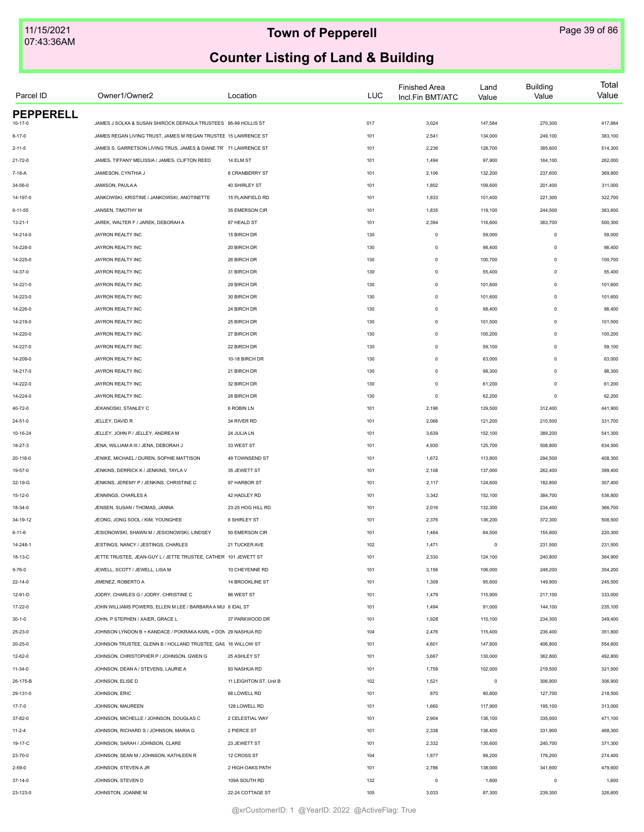| Parcel ID                    | Owner1/Owner2                                                                                                                    | Location               | <b>LUC</b> | <b>Finished Area</b><br>Incl.Fin BMT/ATC | Land<br>Value      | <b>Building</b><br>Value | Total<br>Value     |
|------------------------------|----------------------------------------------------------------------------------------------------------------------------------|------------------------|------------|------------------------------------------|--------------------|--------------------------|--------------------|
| <b>PEPPERELL</b>             |                                                                                                                                  |                        |            |                                          |                    |                          |                    |
| $10 - 17 - 0$                | JAMES J SOLKA & SUSAN SHIROCK DEPAOLA TRUSTEES 95-99 HOLLIS ST<br>JAMES REGAN LIVING TRUST, JAMES M REGAN TRUSTEE 15 LAWRENCE ST |                        | 017        | 3,024                                    | 147,584            | 270,300                  | 417,884            |
| $8 - 17 - 0$<br>$2 - 11 - 5$ | JAMES S. GARRETSON LIVING TRUS, JAMES & DIANE TR' 71 LAWRENCE ST                                                                 |                        | 101<br>101 | 2,541<br>2,236                           | 134,000<br>128,700 | 249,100<br>385,600       | 383,100<br>514,300 |
|                              | JAMES, TIFFANY MELISSIA / JAMES, CLIFTON REED                                                                                    | 14 ELM ST              |            | 1,494                                    | 97,900             | 164,100                  | 262,000            |
| 21-72-0                      |                                                                                                                                  |                        | 101        |                                          |                    |                          |                    |
| 7-18-A                       | JAMIESON, CYNTHIA J                                                                                                              | 8 CRANBERRY ST         | 101        | 2,106                                    | 132,200            | 237,600                  | 369,800            |
| 34-56-0                      | JAMISON, PAULA A                                                                                                                 | 40 SHIRLEY ST          | 101        | 1,802                                    | 109,600            | 201,400                  | 311,000            |
| 14-197-0                     | JANKOWSKI, KRISTINE / JANKOWSKI, ANOTINETTE                                                                                      | 15 PLAINFIELD RD       | 101        | 1,833                                    | 101,400            | 221,300                  | 322,700            |
| $6 - 11 - 55$                | JANSEN, TIMOTHY M                                                                                                                | 35 EMERSON CIR         | 101        | 1,835                                    | 119,100            | 244,500                  | 363,600            |
| $13 - 21 - 1$                | JAREK, WALTER F / JAREK, DEBORAH A                                                                                               | 87 HEALD ST            | 101        | 2,394                                    | 116,600            | 383,700                  | 500,300            |
| 14-214-0                     | JAYRON REALTY INC                                                                                                                | 15 BIRCH DR            | 130        | $\mathsf 0$                              | 59,000             | $\mathbf 0$              | 59,000             |
| 14-228-0                     | JAYRON REALTY INC                                                                                                                | 20 BIRCH DR            | 130        | $\mathsf 0$                              | 98,400             | $\mathbf 0$              | 98,400             |
| 14-225-0                     | JAYRON REALTY INC                                                                                                                | 26 BIRCH DR            | 130        | $\mathsf 0$                              | 100,700            | $\mathbf 0$              | 100,700            |
| 14-37-0                      | JAYRON REALTY INC                                                                                                                | 31 BIRCH DR            | 130        | $\mathbf 0$                              | 55,400             | $\mathbf 0$              | 55,400             |
| 14-221-0                     | JAYRON REALTY INC                                                                                                                | 29 BIRCH DR            | 130        | $\mathbf 0$                              | 101,600            | $\mathbf 0$              | 101,600            |
| 14-223-0                     | JAYRON REALTY INC                                                                                                                | 30 BIRCH DR            | 130        | $\mathsf 0$                              | 101,600            | $\mathbf 0$              | 101,600            |
| 14-226-0                     | JAYRON REALTY INC                                                                                                                | 24 BIRCH DR            | 130        | $\mathsf 0$                              | 98,400             | $\mathbf 0$              | 98,400             |
| 14-219-0                     | JAYRON REALTY INC                                                                                                                | 25 BIRCH DR            | 130        | $\mathsf 0$                              | 101,500            | $\mathbf 0$              | 101,500            |
| 14-220-0                     | JAYRON REALTY INC                                                                                                                | 27 BIRCH DR            | 130        | $\mathsf 0$                              | 100,200            | $\mathbf 0$              | 100,200            |
| 14-227-0                     | JAYRON REALTY INC                                                                                                                | 22 BIRCH DR            | 130        | $\mathsf 0$                              | 59,100             | $\mathbf 0$              | 59,100             |
| 14-209-0                     | JAYRON REALTY INC                                                                                                                | 10-18 BIRCH DR         | 130        | $\mathsf 0$                              | 63,000             | $\mathbf 0$              | 63,000             |
| 14-217-0                     | JAYRON REALTY INC                                                                                                                | 21 BIRCH DR            | 130        | $\mathsf 0$                              | 98,300             | $\Omega$                 | 98,300             |
| 14-222-0                     | JAYRON REALTY INC                                                                                                                | 32 BIRCH DR            | 130        | $\mathsf 0$                              | 61,200             | $\Omega$                 | 61,200             |
| 14-224-0                     | JAYRON REALTY INC                                                                                                                | 28 BIRCH DR            | 130        | $\mathsf 0$                              | 62,200             | $\mathbf 0$              | 62,200             |
| 40-72-0                      | JEKANOSKI, STANLEY C                                                                                                             | 6 ROBIN LN             | 101        | 2,196                                    | 129,500            | 312,400                  | 441,900            |
| 24-51-0                      | JELLEY, DAVID R                                                                                                                  | 34 RIVER RD            | 101        | 2,066                                    | 121,200            | 210,500                  | 331,700            |
| 10-16-24                     | JELLEY, JOHN P / JELLEY, ANDREA M                                                                                                | 24 JULIA LN            | 101        | 3,639                                    | 152,100            | 389,200                  | 541,300            |
| 18-27-3                      | JENA, WILLIAM A III / JENA, DEBORAH J                                                                                            | 33 WEST ST             | 101        | 4,930                                    | 125,700            | 508,800                  | 634,500            |
| 20-118-0                     | JENIKE, MICHAEL / DUREN, SOPHIE MATTISON                                                                                         | 49 TOWNSEND ST         | 101        | 1,672                                    | 113,800            | 294,500                  | 408,300            |
| 19-57-0                      | JENKINS, DERRICK K / JENKINS, TAYLA V                                                                                            | 35 JEWETT ST           | 101        | 2,108                                    | 137,000            | 262,400                  | 399,400            |
| 32-19-G                      | JENKINS, JEREMY P / JENKINS, CHRISTINE C                                                                                         | 97 HARBOR ST           | 101        | 2,117                                    | 124,600            | 182,800                  | 307,400            |
| $15 - 12 - 0$                | JENNINGS, CHARLES A                                                                                                              | 42 HADLEY RD           | 101        | 3,342                                    | 152,100            | 384,700                  | 536,800            |
| 18-34-0                      | JENSEN, SUSAN / THOMAS, JANNA                                                                                                    | 23-25 HOG HILL RD      | 101        | 2,016                                    | 132,300            | 234,400                  | 366,700            |
| 34-19-12                     | JEONG, JONG SOOL / KIM, YOUNGHEE                                                                                                 | 8 SHIRLEY ST           | 101        | 2,376                                    | 136,200            | 372,300                  | 508,500            |
| $6 - 11 - 6$                 | JESIONOWSKI, SHAWN M / JESIONOWSKI, LINDSEY                                                                                      | 50 EMERSON CIR         | 101        | 1,464                                    | 64,500             | 155,800                  | 220,300            |
| 14-248-1                     | JESTINGS, NANCY / JESTINGS, CHARLES                                                                                              | 21 TUCKER AVE          | 102        | 1,471                                    | $\circ$            | 231,500                  | 231,500            |
| 18-13-C                      | JETTE TRUSTEE, JEAN-GUY L / JETTE TRUSTEE, CATHER 101 JEWETT ST                                                                  |                        | 101        | 2,330                                    | 124,100            | 240,800                  | 364,900            |
| $9 - 76 - 0$                 | JEWELL, SCOTT / JEWELL, LISA M                                                                                                   | 10 CHEYENNE RD         | 101        | 3,156                                    | 106,000            | 248,200                  | 354,200            |
| $22 - 14 - 0$                | JIMENEZ, ROBERTO A                                                                                                               | 14 BROOKLINE ST        | 101        | 1,309                                    | 95,600             | 149,900                  | 245,500            |
| 12-91-D                      | JODRY, CHARLES G / JODRY, CHRISTINE C                                                                                            | 86 WEST ST             | 101        | 1,479                                    | 115,900            | 217,100                  | 333,000            |
| 17-22-0                      | JOHN WILLIAMS POWERS, ELLEN M LEE / BARBARA A MU 8 IDAL ST                                                                       |                        | 101        | 1,494                                    | 91,000             | 144,100                  | 235,100            |
|                              |                                                                                                                                  | 37 PARKWOOD DR         |            |                                          |                    |                          |                    |
| $30 - 1 - 0$                 | JOHN, P STEPHEN / XAIER, GRACE L                                                                                                 |                        | 101        | 1,928                                    | 115,100            | 234,300                  | 349,400            |
| 25-23-0                      | JOHNSON LYNDON B + KANDACE / POKRAKA KARL + DON 29 NASHUA RD                                                                     |                        | 104        | 2,476                                    | 115,400            | 236,400                  | 351,800            |
| 20-25-0                      | JOHNSON TRUSTEE, GLENN B / HOLLAND TRUSTEE, GAIL 16 WILLOW ST                                                                    |                        | 101        | 4,601                                    | 147,800            | 406,800                  | 554,600            |
| 12-62-0                      | JOHNSON, CHRISTOPHER P / JOHNSON, GWEN G                                                                                         | 25 ASHLEY ST           | 101        | 3,667                                    | 130,000            | 362,800                  | 492,800            |
| $11 - 34 - 0$                | JOHNSON, DEAN A / STEVENS, LAURIE A                                                                                              | 93 NASHUA RD           | 101        | 1,759                                    | 102,000            | 219,500                  | 321,500            |
| 26-175-B                     | JOHNSON, ELISE D                                                                                                                 | 11 LEIGHTON ST, Unit B | 102        | 1,521                                    | $\mathsf 0$        | 306,900                  | 306,900            |
| 29-131-0                     | JOHNSON, ERIC                                                                                                                    | 68 LOWELL RD           | 101        | 870                                      | 90,800             | 127,700                  | 218,500            |
| $17 - 7 - 0$                 | JOHNSON, MAUREEN                                                                                                                 | 128 LOWELL RD          | 101        | 1,660                                    | 117,900            | 195,100                  | 313,000            |
| 37-82-0                      | JOHNSON, MICHELLE / JOHNSON, DOUGLAS C                                                                                           | 2 CELESTIAL WAY        | 101        | 2,904                                    | 136,100            | 335,000                  | 471,100            |
| $11 - 2 - 4$                 | JOHNSON, RICHARD S / JOHNSON, MARIA G                                                                                            | 2 PIERCE ST            | 101        | 2,338                                    | 136,400            | 331,900                  | 468,300            |
| 19-17-C                      | JOHNSON, SARAH / JOHNSON, CLARE                                                                                                  | 23 JEWETT ST           | 101        | 2,332                                    | 130,600            | 240,700                  | 371,300            |
| 23-70-0                      | JOHNSON, SEAN M / JOHNSON, KATHLEEN R                                                                                            | 12 CROSS ST            | 104        | 1,877                                    | 98,200             | 176,200                  | 274,400            |
| $2 - 59 - 0$                 | JOHNSON, STEVEN A JR                                                                                                             | 2 HIGH OAKS PATH       | 101        | 2,786                                    | 138,000            | 341,600                  | 479,600            |
| $37 - 14 - 0$                | JOHNSON, STEVEN D                                                                                                                | 109A SOUTH RD          | 132        | $\mathsf 0$                              | 1,800              | $\mathbf 0$              | 1,800              |
| 23-123-0                     | JOHNSTON, JOANNE M                                                                                                               | 22-24 COTTAGE ST       | 105        | 3,033                                    | 87,300             | 239,300                  | 326,600            |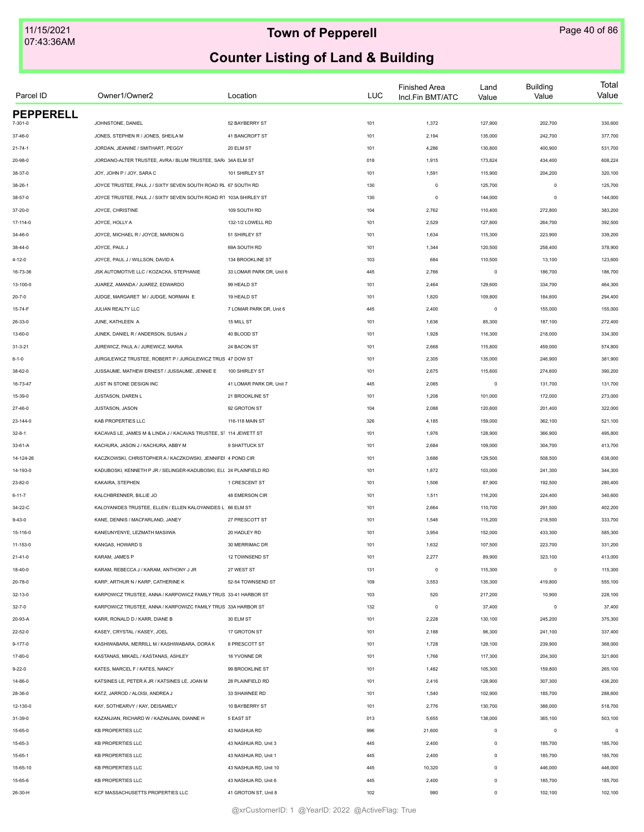| Parcel ID        | Owner1/Owner2                                                       | Location                 | <b>LUC</b> | <b>Finished Area</b><br>Incl.Fin BMT/ATC | Land<br>Value | <b>Building</b><br>Value | Total<br>Value |
|------------------|---------------------------------------------------------------------|--------------------------|------------|------------------------------------------|---------------|--------------------------|----------------|
| <b>PEPPERELL</b> | JOHNSTONE, DANIEL                                                   | 52 BAYBERRY ST           |            |                                          | 127,900       | 202,700                  | 330,600        |
| 7-301-0          |                                                                     |                          | 101        | 1,372                                    |               |                          |                |
| 37-46-0          | JONES, STEPHEN R / JONES, SHEILA M                                  | 41 BANCROFT ST           | 101        | 2,194                                    | 135,000       | 242,700                  | 377,700        |
| $21 - 74 - 1$    | JORDAN, JEANINE / SMITHART, PEGGY                                   | 20 ELM ST                | 101        | 4,286                                    | 130,800       | 400,900                  | 531,700        |
| 20-98-0          | JORDANO-ALTER TRUSTEE, AVRA / BLUM TRUSTEE, SAR/ 34A ELM ST         |                          | 018        | 1,915                                    | 173,824       | 434,400                  | 608,224        |
| 38-37-0          | JOY, JOHN P / JOY, SARA C                                           | 101 SHIRLEY ST           | 101        | 1,591                                    | 115,900       | 204,200                  | 320,100        |
| $38 - 26 - 1$    | JOYCE TRUSTEE, PAUL J / SIXTY SEVEN SOUTH ROAD RL 67 SOUTH RD       |                          | 130        | $\mathsf 0$                              | 125,700       | $\Omega$                 | 125,700        |
| 38-57-0          | JOYCE TRUSTEE, PAUL J / SIXTY SEVEN SOUTH ROAD R1 103A SHIRLEY ST   |                          | 130        | $\mathbf 0$                              | 144,000       | $\Omega$                 | 144,000        |
| 37-20-0          | JOYCE, CHRISTINE                                                    | 109 SOUTH RD             | 104        | 2,762                                    | 110,400       | 272,800                  | 383,200        |
| 17-114-0         | JOYCE, HOLLY A                                                      | 132-1/2 LOWELL RD        | 101        | 2,529                                    | 127,800       | 264,700                  | 392,500        |
| 34-46-0          | JOYCE, MICHAEL R / JOYCE, MARION G                                  | 51 SHIRLEY ST            | 101        | 1,634                                    | 115,300       | 223,900                  | 339,200        |
| $38 - 44 - 0$    | JOYCE, PAUL J                                                       | 69A SOUTH RD             | 101        | 1,344                                    | 120,500       | 258,400                  | 378,900        |
| 4-12-0           | JOYCE, PAUL J / WILLSON, DAVID A                                    | 134 BROOKLINE ST         | 103        | 684                                      | 110,500       | 13,100                   | 123,600        |
| 16-73-36         | JSK AUTOMOTIVE LLC / KOZACKA, STEPHANIE                             | 33 LOMAR PARK DR, Unit 6 | 445        | 2,766                                    | $\mathsf 0$   | 186,700                  | 186,700        |
| 13-100-0         | JUAREZ, AMANDA / JUAREZ, EDWARDO                                    | 99 HEALD ST              | 101        | 2,464                                    | 129,600       | 334,700                  | 464,300        |
| $20 - 7 - 0$     | JUDGE, MARGARET M / JUDGE, NORMAN E                                 | 19 HEALD ST              | 101        | 1,820                                    | 109,800       | 184,600                  | 294,400        |
| 15-74-F          | <b>JULIAN REALTY LLC</b>                                            | 7 LOMAR PARK DR, Unit 6  | 445        | 2,400                                    | $\mathsf 0$   | 155,000                  | 155,000        |
| 26-33-0          | JUNE, KATHLEEN A                                                    | 15 MILL ST               | 101        | 1,636                                    | 85,300        | 187,100                  | 272,400        |
| 13-60-0          | JUNEK, DANIEL R / ANDERSON, SUSAN J                                 | 40 BLOOD ST              | 101        | 1,928                                    | 116,300       | 218,000                  | 334,300        |
| $31 - 3 - 21$    | JUREWICZ, PAUL A / JUREWICZ, MARIA                                  | 24 BACON ST              | 101        | 2,668                                    | 115,800       | 459,000                  | 574,800        |
| $6 - 1 - 0$      | JURGILEWICZ TRUSTEE, ROBERT P / JURGILEWICZ TRUS 47 DOW ST          |                          | 101        | 2,305                                    | 135,000       | 246,900                  | 381,900        |
| 38-62-0          | JUSSAUME. MATHEW ERNEST / JUSSAUME. JENNIE E                        | 100 SHIRLEY ST           | 101        | 2,675                                    | 115,600       | 274,600                  | 390,200        |
| 16-73-47         | JUST IN STONE DESIGN INC                                            | 41 LOMAR PARK DR, Unit 7 | 445        | 2,085                                    | $\mathsf 0$   | 131,700                  | 131,700        |
| 15-39-0          | JUSTASON, DAREN L                                                   | 21 BROOKLINE ST          | 101        | 1,208                                    | 101,000       | 172,000                  | 273,000        |
| 27-46-0          | JUSTASON, JASON                                                     | 92 GROTON ST             | 104        | 2,088                                    | 120,600       | 201,400                  | 322,000        |
| 23-144-0         | KAB PROPERTIES LLC                                                  | 116-118 MAIN ST          | 326        | 4,185                                    | 159,000       | 362,100                  | 521,100        |
| $32 - 8 - 1$     | KACAVAS LE, JAMES M & LINDA J / KACAVAS TRUSTEE, ST 114 JEWETT ST   |                          | 101        | 1,976                                    | 128,900       | 366,900                  | 495,800        |
| 33-61-A          | KACHURA, JASON J / KACHURA, ABBY M                                  | 9 SHATTUCK ST            | 101        | 2,684                                    | 109,000       | 304,700                  | 413,700        |
| 14-124-26        | KACZKOWSKI, CHRISTOPHER A / KACZKOWSKI, JENNIFEF 4 POND CIR         |                          | 101        | 3,686                                    | 129,500       | 508,500                  | 638,000        |
|                  | KADUBOSKI, KENNETH P JR / SELINGER-KADUBOSKI, ELI. 24 PLAINFIELD RD |                          | 101        | 1,872                                    | 103,000       |                          | 344,300        |
| 14-193-0         | KAKAIRA, STEPHEN                                                    | 1 CRESCENT ST            |            |                                          | 87,900        | 241,300                  |                |
| 23-82-0          |                                                                     |                          | 101        | 1,506                                    |               | 192,500                  | 280,400        |
| $6 - 11 - 7$     | KALCHBRENNER, BILLIE JO                                             | <b>48 EMERSON CIR</b>    | 101        | 1,511                                    | 116,200       | 224,400                  | 340,600        |
| 34-22-C          | KALOYANIDES TRUSTEE, ELLEN / ELLEN KALOYANIDES L 66 ELM ST          |                          | 101        | 2,664                                    | 110,700       | 291,500                  | 402,200        |
| $9 - 43 - 0$     | KANE, DENNIS / MACFARLAND, JANEY                                    | 27 PRESCOTT ST           | 101        | 1,546                                    | 115,200       | 218,500                  | 333,700        |
| 15-116-0         | KANEUNYENYE, LEZMATH MASIIWA                                        | 20 HADLEY RD             | 101        | 3,954                                    | 152,000       | 433,300                  | 585,300        |
| 11-153-0         | KANGAS, HOWARD S                                                    | 30 MERRIMAC DR           | 101        | 1,632                                    | 107,500       | 223,700                  | 331,200        |
| 21-41-0          | KARAM, JAMES P                                                      | 12 TOWNSEND ST           | 101        | 2,277                                    | 89,900        | 323,100                  | 413,000        |
| 18-40-0          | KARAM, REBECCA J / KARAM, ANTHONY J JR                              | 27 WEST ST               | 131        | $\mathsf 0$                              | 115,300       | $\mathbf 0$              | 115,300        |
| 20-78-0          | KARP, ARTHUR N / KARP, CATHERINE K                                  | 52-54 TOWNSEND ST        | 109        | 3,553                                    | 135,300       | 419,800                  | 555,100        |
| 32-13-0          | KARPOWICZ TRUSTEE, ANNA / KARPOWICZ FAMILY TRUS 33-41 HARBOR ST     |                          | 103        | 520                                      | 217,200       | 10,900                   | 228,100        |
| $32 - 7 - 0$     | KARPOWICZ TRUSTEE, ANNA / KARPOWIZC FAMILY TRUS 33A HARBOR ST       |                          | 132        | $\circ$                                  | 37,400        | $\mathbf 0$              | 37,400         |
| 20-93-A          | KARR, RONALD D / KARR, DIANE B                                      | 30 ELM ST                | 101        | 2,228                                    | 130,100       | 245,200                  | 375,300        |
| 22-52-0          | KASEY, CRYSTAL / KASEY, JOEL                                        | 17 GROTON ST             | 101        | 2,188                                    | 96,300        | 241,100                  | 337,400        |
| $9 - 177 - 0$    | KASHIWABARA, MERRILL M / KASHIWABARA, DORA K                        | 8 PRESCOTT ST            | 101        | 1,728                                    | 128,100       | 239,900                  | 368,000        |
| 17-80-0          | KASTANAS, MIKAEL / KASTANAS, ASHLEY                                 | 16 YVONNE DR             | 101        | 1,766                                    | 117,300       | 204,300                  | 321,600        |
| $9 - 22 - 0$     | KATES, MARCEL F / KATES, NANCY                                      | 99 BROOKLINE ST          | 101        | 1,482                                    | 105,300       | 159,800                  | 265,100        |
| 14-86-0          | KATSINES LE, PETER A JR / KATSINES LE, JOAN M                       | 28 PLAINFIELD RD         | 101        | 2,416                                    | 128,900       | 307,300                  | 436,200        |
| 28-36-0          | KATZ, JARROD / ALOISI, ANDREA J                                     | 33 SHAWNEE RD            | 101        | 1,540                                    | 102,900       | 185,700                  | 288,600        |
| 12-130-0         | KAY, SOTHEARVY / KAY, DEISAMELY                                     | 10 BAYBERRY ST           | 101        | 2,776                                    | 130,700       | 388,000                  | 518,700        |
| 31-39-0          | KAZANJIAN, RICHARD W / KAZANJIAN, DIANNE H                          | 5 EAST ST                | 013        | 5,655                                    | 138,000       | 365,100                  | 503,100        |
| 15-65-0          | <b>KB PROPERTIES LLC</b>                                            | 43 NASHUA RD             | 996        | 21,600                                   | $\mathsf 0$   | $^{\circ}$               | $^{\circ}$     |
| 15-65-3          | <b>KB PROPERTIES LLC</b>                                            | 43 NASHUA RD, Unit 3     | 445        | 2,400                                    | $\mathsf 0$   | 185,700                  | 185,700        |
| 15-65-1          | <b>KB PROPERTIES LLC</b>                                            | 43 NASHUA RD, Unit 1     | 445        | 2,400                                    | $\mathsf 0$   | 185,700                  | 185,700        |
| 15-65-10         | <b>KB PROPERTIES LLC</b>                                            | 43 NASHUA RD, Unit 10    | 445        | 10,320                                   | $\mathsf 0$   | 446,000                  | 446,000        |
| 15-65-6          | <b>KB PROPERTIES LLC</b>                                            | 43 NASHUA RD, Unit 6     | 445        | 2,400                                    | $\mathsf 0$   | 185,700                  | 185,700        |
| 26-30-H          | KCF MASSACHUSETTS PROPERTIES LLC                                    | 41 GROTON ST, Unit 8     | 102        | 980                                      | $\mathbf 0$   | 102,100                  | 102,100        |
|                  |                                                                     |                          |            |                                          |               |                          |                |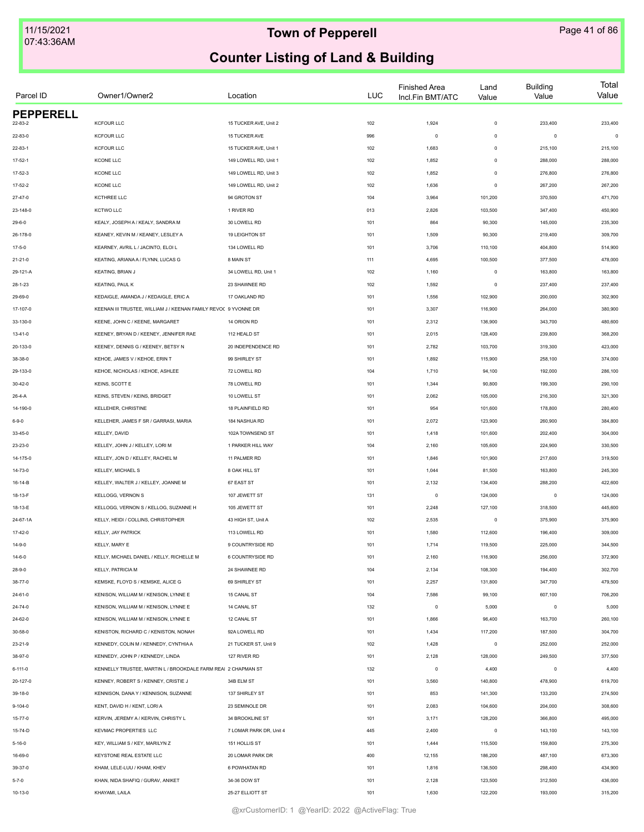| Parcel ID        | Owner1/Owner2                                                   | Location                | <b>LUC</b> | <b>Finished Area</b><br>Incl.Fin BMT/ATC | Land<br>Value | <b>Building</b><br>Value | Total<br>Value |
|------------------|-----------------------------------------------------------------|-------------------------|------------|------------------------------------------|---------------|--------------------------|----------------|
| <b>PEPPERELL</b> |                                                                 |                         |            |                                          |               |                          |                |
| 22-83-2          | <b>KCFOUR LLC</b>                                               | 15 TUCKER AVE, Unit 2   | 102        | 1,924                                    | $\mathsf 0$   | 233,400                  | 233,400        |
| 22-83-0          | <b>KCFOUR LLC</b>                                               | 15 TUCKER AVE           | 996        | $\circ$                                  | $\mathbf 0$   | $\mathbf 0$              | $\mathbf 0$    |
| $22 - 83 - 1$    | <b>KCFOUR LLC</b>                                               | 15 TUCKER AVE, Unit 1   | 102        | 1,683                                    | $\mathbf 0$   | 215,100                  | 215,100        |
| $17 - 52 - 1$    | KCONE LLC                                                       | 149 LOWELL RD, Unit 1   | 102        | 1,852                                    | $\mathsf 0$   | 288,000                  | 288,000        |
| $17 - 52 - 3$    | KCONE LLC                                                       | 149 LOWELL RD, Unit 3   | 102        | 1,852                                    | $\mathbf 0$   | 276,800                  | 276,800        |
| $17 - 52 - 2$    | KCONE LLC                                                       | 149 LOWELL RD, Unit 2   | 102        | 1,636                                    | $\mathbf 0$   | 267,200                  | 267,200        |
| 27-47-0          | KCTHREE LLC                                                     | 94 GROTON ST            | 104        | 3,964                                    | 101,200       | 370,500                  | 471,700        |
| 23-148-0         | <b>KCTWO LLC</b>                                                | 1 RIVER RD              | 013        | 2,826                                    | 103,500       | 347,400                  | 450,900        |
| $29 - 6 - 0$     | KEALY, JOSEPH A / KEALY, SANDRA M                               | 30 LOWELL RD            | 101        | 864                                      | 90,300        | 145,000                  | 235,300        |
| 26-178-0         | KEANEY, KEVIN M / KEANEY, LESLEY A                              | 19 LEIGHTON ST          | 101        | 1,509                                    | 90,300        | 219,400                  | 309,700        |
| $17 - 5 - 0$     | KEARNEY, AVRIL L / JACINTO, ELOI L                              | 134 LOWELL RD           | 101        | 3,706                                    | 110,100       | 404,800                  | 514,900        |
| $21 - 21 - 0$    | KEATING, ARIANA A / FLYNN, LUCAS G                              | 8 MAIN ST               | 111        | 4,695                                    | 100,500       | 377,500                  | 478,000        |
| 29-121-A         | <b>KEATING, BRIAN J</b>                                         | 34 LOWELL RD, Unit 1    | 102        | 1,160                                    | $\,0\,$       | 163,800                  | 163,800        |
| $28 - 1 - 23$    | KEATING, PAUL K                                                 | 23 SHAWNEE RD           | 102        | 1,592                                    | $\,0\,$       | 237,400                  | 237,400        |
| 29-69-0          | KEDAIGLE, AMANDA J / KEDAIGLE, ERIC A                           | 17 OAKLAND RD           | 101        | 1,556                                    | 102,900       | 200,000                  | 302,900        |
| 17-107-0         | KEENAN III TRUSTEE, WILLIAM J / KEENAN FAMILY REVOC 9 YVONNE DR |                         | 101        | 3,307                                    | 116,900       | 264,000                  | 380,900        |
| 33-130-0         | KEENE, JOHN C / KEENE, MARGARET                                 | 14 ORION RD             | 101        | 2,312                                    | 136,900       | 343,700                  | 480,600        |
| $13 - 41 - 0$    | KEENEY, BRYAN D / KEENEY, JENNIFER RAE                          | 112 HEALD ST            | 101        | 2,015                                    | 128,400       | 239,800                  | 368,200        |
| 20-133-0         | KEENEY, DENNIS G / KEENEY, BETSY N                              | 20 INDEPENDENCE RD      | 101        | 2,782                                    | 103,700       | 319,300                  | 423,000        |
| 38-38-0          | KEHOE, JAMES V / KEHOE, ERIN T                                  | 99 SHIRLEY ST           | 101        | 1,892                                    | 115,900       | 258,100                  | 374,000        |
| 29-133-0         | KEHOE, NICHOLAS / KEHOE, ASHLEE                                 | 72 LOWELL RD            | 104        | 1,710                                    | 94,100        | 192,000                  | 286,100        |
| 30-42-0          | KEINS, SCOTT E                                                  | 78 LOWELL RD            | 101        | 1,344                                    | 90,800        | 199,300                  | 290,100        |
| 26-4-A           | KEINS, STEVEN / KEINS, BRIDGET                                  | 10 LOWELL ST            | 101        | 2,062                                    | 105,000       | 216,300                  | 321,300        |
|                  | KELLEHER, CHRISTINE                                             | 18 PLAINFIELD RD        | 101        | 954                                      | 101,600       | 178,800                  | 280,400        |
| 14-190-0         | KELLEHER, JAMES F SR / GARRASI, MARIA                           | 184 NASHUA RD           |            | 2,072                                    | 123,900       | 260,900                  | 384,800        |
| $6 - 9 - 0$      |                                                                 |                         | 101        |                                          |               |                          |                |
| 33-45-0          | KELLEY, DAVID                                                   | 102A TOWNSEND ST        | 101        | 1,418                                    | 101,600       | 202,400                  | 304,000        |
| 23-23-0          | KELLEY, JOHN J / KELLEY, LORI M                                 | 1 PARKER HILL WAY       | 104        | 2,160                                    | 105,600       | 224,900                  | 330,500        |
| 14-175-0         | KELLEY, JON D / KELLEY, RACHEL M                                | 11 PALMER RD            | 101        | 1,846                                    | 101,900       | 217,600                  | 319,500        |
| 14-73-0          | KELLEY, MICHAEL S                                               | 8 OAK HILL ST           | 101        | 1,044                                    | 81,500        | 163,800                  | 245,300        |
| 16-14-B          | KELLEY, WALTER J / KELLEY, JOANNE M                             | 67 EAST ST              | 101        | 2,132                                    | 134,400       | 288,200                  | 422,600        |
| 18-13-F          | <b>KELLOGG, VERNON S</b>                                        | 107 JEWETT ST           | 131        | $\mathsf 0$                              | 124,000       | $^{\circ}$               | 124,000        |
| 18-13-E          | KELLOGG, VERNON S / KELLOG, SUZANNE H                           | 105 JEWETT ST           | 101        | 2,248                                    | 127,100       | 318,500                  | 445,600        |
| 24-67-1A         | KELLY, HEIDI / COLLINS, CHRISTOPHER                             | 43 HIGH ST, Unit A      | 102        | 2,535                                    | $\mathsf 0$   | 375,900                  | 375,900        |
| 17-42-0          | KELLY, JAY PATRICK                                              | 113 LOWELL RD           | 101        | 1,580                                    | 112,600       | 196,400                  | 309,000        |
| 14-9-0           | KELLY, MARY E                                                   | 9 COUNTRYSIDE RD        | 101        | 1,714                                    | 119,500       | 225,000                  | 344,500        |
| 14-6-0           | KELLY, MICHAEL DANIEL / KELLY, RICHELLE M                       | 6 COUNTRYSIDE RD        | 101        | 2,160                                    | 116,900       | 256,000                  | 372,900        |
| 28-9-0           | <b>KELLY, PATRICIA M</b>                                        | 24 SHAWNEE RD           | 104        | 2,134                                    | 108,300       | 194,400                  | 302,700        |
| 38-77-0          | KEMSKE, FLOYD S / KEMSKE, ALICE G                               | 69 SHIRLEY ST           | 101        | 2,257                                    | 131,800       | 347,700                  | 479,500        |
| 24-61-0          | KENISON, WILLIAM M / KENISON, LYNNE E                           | 15 CANAL ST             | 104        | 7,586                                    | 99,100        | 607,100                  | 706,200        |
| 24-74-0          | KENISON, WILLIAM M / KENISON, LYNNE E                           | 14 CANAL ST             | 132        | $\mathsf 0$                              | 5,000         | $\mathbf 0$              | 5,000          |
| 24-62-0          | KENISON, WILLIAM M / KENISON, LYNNE E                           | 12 CANAL ST             | 101        | 1,866                                    | 96,400        | 163,700                  | 260,100        |
| 30-58-0          | KENISTON, RICHARD C / KENISTON, NONAH                           | 92A LOWELL RD           | 101        | 1,434                                    | 117,200       | 187,500                  | 304,700        |
| 23-21-9          | KENNEDY, COLIN M / KENNEDY, CYNTHIAA                            | 21 TUCKER ST, Unit 9    | 102        | 1,428                                    | $\mathsf 0$   | 252,000                  | 252,000        |
| 38-97-0          | KENNEDY, JOHN P / KENNEDY, LINDA                                | 127 RIVER RD            | 101        | 2,128                                    | 128,000       | 249,500                  | 377,500        |
| 6-111-0          | KENNELLY TRUSTEE. MARTIN L / BROOKDALE FARM REAI 2 CHAPMAN ST   |                         | 132        | $\mathsf 0$                              | 4,400         | $\mathbf 0$              | 4,400          |
| 20-127-0         | KENNEY, ROBERT S / KENNEY, CRISTIE J                            | 34B ELM ST              | 101        | 3,560                                    | 140,800       | 478,900                  | 619,700        |
| 39-18-0          | KENNISON, DANA Y / KENNISON, SUZANNE                            | 137 SHIRLEY ST          | 101        | 853                                      | 141,300       | 133,200                  | 274,500        |
| $9 - 104 - 0$    | KENT, DAVID H / KENT, LORI A                                    | 23 SEMINOLE DR          | 101        | 2,083                                    | 104,600       | 204,000                  | 308,600        |
| $15 - 77 - 0$    | KERVIN, JEREMY A / KERVIN, CHRISTY L                            | 34 BROOKLINE ST         | 101        | 3,171                                    | 128,200       | 366,800                  | 495,000        |
| 15-74-D          | KEVMAC PROPERTIES LLC                                           | 7 LOMAR PARK DR, Unit 4 | 445        | 2,400                                    | $\mathsf 0$   | 143,100                  | 143,100        |
|                  |                                                                 |                         |            |                                          |               |                          |                |
| $5 - 16 - 0$     | KEY, WILLIAM S / KEY, MARILYN Z                                 | 151 HOLLIS ST           | 101        | 1,444                                    | 115,500       | 159,800                  | 275,300        |
| 16-69-0          | KEYSTONE REAL ESTATE LLC                                        | 20 LOMAR PARK DR        | 400        | 12,155                                   | 186,200       | 487,100                  | 673,300        |
| 39-37-0          | KHAM, LELE-LUU / KHAM, KHEV                                     | 6 POWHATAN RD           | 101        | 1,816                                    | 136,500       | 298,400                  | 434,900        |
| $5 - 7 - 0$      | KHAN, NIDA SHAFIQ / GURAV, ANIKET                               | 34-36 DOW ST            | 101        | 2,128                                    | 123,500       | 312,500                  | 436,000        |
| 10-13-0          | KHAYAMI, LAILA                                                  | 25-27 ELLIOTT ST        | 101        | 1,630                                    | 122,200       | 193,000                  | 315,200        |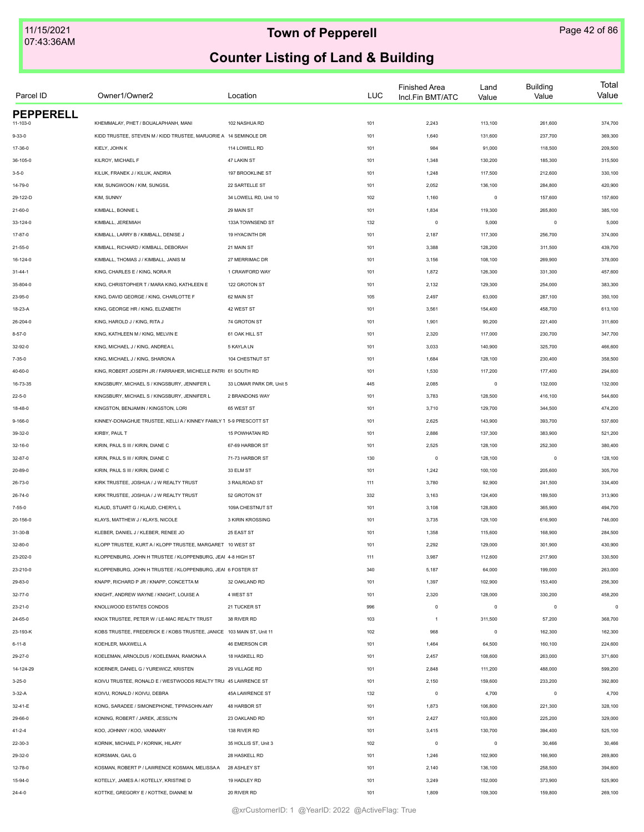| Parcel ID                    | Owner1/Owner2                                                         | Location                 | <b>LUC</b> | <b>Finished Area</b><br>Incl.Fin BMT/ATC | Land<br>Value | <b>Building</b><br>Value | Total<br>Value |
|------------------------------|-----------------------------------------------------------------------|--------------------------|------------|------------------------------------------|---------------|--------------------------|----------------|
| <b>PEPPERELL</b><br>11-103-0 | KHEMMALAY, PHET / BOUALAPHANH, MANI                                   | 102 NASHUA RD            | 101        | 2,243                                    | 113,100       | 261,600                  | 374,700        |
|                              |                                                                       |                          |            |                                          |               |                          |                |
| $9 - 33 - 0$                 | KIDD TRUSTEE, STEVEN M / KIDD TRUSTEE, MARJORIE A 14 SEMINOLE DR      |                          | 101        | 1,640                                    | 131,600       | 237,700                  | 369,300        |
| 17-36-0                      | KIELY, JOHN K                                                         | 114 LOWELL RD            | 101        | 984                                      | 91,000        | 118,500                  | 209,500        |
| 36-105-0                     | KILROY, MICHAEL F                                                     | 47 LAKIN ST              | 101        | 1,348                                    | 130,200       | 185,300                  | 315,500        |
| $3 - 5 - 0$                  | KILUK, FRANEK J / KILUK, ANDRIA                                       | 197 BROOKLINE ST         | 101        | 1,248                                    | 117,500       | 212,600                  | 330,100        |
| 14-79-0                      | KIM, SUNGWOON / KIM, SUNGSIL                                          | 22 SARTELLE ST           | 101        | 2,052                                    | 136,100       | 284,800                  | 420,900        |
| 29-122-D                     | KIM, SUNNY                                                            | 34 LOWELL RD, Unit 10    | 102        | 1,160                                    | $\mathsf 0$   | 157,600                  | 157,600        |
| $21 - 60 - 0$                | KIMBALL, BONNIE L                                                     | 29 MAIN ST               | 101        | 1,834                                    | 119,300       | 265,800                  | 385,100        |
| 33-124-0                     | KIMBALL, JEREMIAH                                                     | 133A TOWNSEND ST         | 132        | $\circ$                                  | 5,000         | $^{\circ}$               | 5,000          |
| 17-87-0                      | KIMBALL, LARRY B / KIMBALL, DENISE J                                  | 19 HYACINTH DR           | 101        | 2,187                                    | 117,300       | 256,700                  | 374,000        |
| $21 - 55 - 0$                | KIMBALL, RICHARD / KIMBALL, DEBORAH                                   | 21 MAIN ST               | 101        | 3,388                                    | 128,200       | 311,500                  | 439,700        |
| 16-124-0                     | KIMBALL, THOMAS J / KIMBALL, JANIS M                                  | 27 MERRIMAC DR           | 101        | 3,156                                    | 108,100       | 269,900                  | 378,000        |
| $31 - 44 - 1$                | KING, CHARLES E / KING, NORA R                                        | 1 CRAWFORD WAY           | 101        | 1,872                                    | 126,300       | 331,300                  | 457,600        |
| 35-804-0                     | KING, CHRISTOPHER T / MARA KING, KATHLEEN E                           | 122 GROTON ST            | 101        | 2,132                                    | 129,300       | 254,000                  | 383,300        |
| 23-95-0                      | KING, DAVID GEORGE / KING, CHARLOTTE F                                | 62 MAIN ST               | 105        | 2,497                                    | 63,000        | 287,100                  | 350,100        |
| 18-23-A                      | KING, GEORGE HR / KING, ELIZABETH                                     | 42 WEST ST               | 101        | 3,561                                    | 154,400       | 458,700                  | 613,100        |
| 26-204-0                     | KING, HAROLD J / KING, RITA J                                         | 74 GROTON ST             | 101        | 1,901                                    | 90,200        | 221,400                  | 311,600        |
| $8 - 57 - 0$                 | KING, KATHLEEN M / KING, MELVIN E                                     | 61 OAK HILL ST           | 101        | 2,320                                    | 117,000       | 230,700                  | 347,700        |
| 32-92-0                      | KING, MICHAEL J / KING, ANDREA L                                      | 5 KAYLA LN               | 101        | 3,033                                    | 140,900       | 325,700                  | 466,600        |
| 7-35-0                       | KING, MICHAEL J / KING, SHARON A                                      | 104 CHESTNUT ST          | 101        | 1,684                                    | 128,100       | 230,400                  | 358,500        |
| 40-60-0                      | KING, ROBERT JOSEPH JR / FARRAHER, MICHELLE PATRI 61 SOUTH RD         |                          | 101        | 1,530                                    | 117,200       | 177,400                  | 294,600        |
| 16-73-35                     | KINGSBURY, MICHAEL S / KINGSBURY, JENNIFER L                          | 33 LOMAR PARK DR, Unit 5 | 445        | 2,085                                    | $\mathsf 0$   | 132,000                  | 132,000        |
| $22 - 5 - 0$                 | KINGSBURY, MICHAEL S / KINGSBURY, JENNIFER L                          | 2 BRANDONS WAY           | 101        | 3,783                                    | 128,500       | 416,100                  | 544,600        |
| 18-48-0                      | KINGSTON, BENJAMIN / KINGSTON, LORI                                   | 65 WEST ST               | 101        | 3,710                                    | 129,700       | 344,500                  | 474,200        |
| $9 - 166 - 0$                | KINNEY-DONAGHUE TRUSTEE, KELLI A / KINNEY FAMILY 1 5-9 PRESCOTT ST    |                          | 101        | 2,625                                    | 143,900       | 393,700                  | 537,600        |
| 39-32-0                      | KIRBY, PAUL T                                                         | 15 POWHATAN RD           | 101        | 2,886                                    | 137,300       | 383,900                  | 521,200        |
| 32-16-0                      | KIRIN, PAUL S III / KIRIN, DIANE C                                    | 67-69 HARBOR ST          | 101        | 2,525                                    | 128,100       | 252,300                  | 380,400        |
| 32-87-0                      | KIRIN, PAUL S III / KIRIN, DIANE C                                    | 71-73 HARBOR ST          | 130        | $\circ$                                  | 128,100       | $^{\circ}$               | 128,100        |
| 20-89-0                      | KIRIN, PAUL S III / KIRIN, DIANE C                                    | 33 ELM ST                | 101        | 1,242                                    | 100,100       | 205,600                  | 305,700        |
| 26-73-0                      | KIRK TRUSTEE, JOSHUA / J W REALTY TRUST                               | 3 RAILROAD ST            | 111        | 3,780                                    | 92,900        | 241,500                  | 334,400        |
| $26 - 74 - 0$                | KIRK TRUSTEE, JOSHUA / J W REALTY TRUST                               | 52 GROTON ST             | 332        | 3,163                                    | 124,400       | 189,500                  | 313,900        |
|                              |                                                                       |                          |            |                                          |               |                          |                |
| $7 - 55 - 0$                 | KLAUD, STUART G / KLAUD, CHERYL L                                     | 109A CHESTNUT ST         | 101        | 3,108                                    | 128,800       | 365,900                  | 494,700        |
| 20-156-0                     | KLAYS, MATTHEW J / KLAYS, NICOLE                                      | 3 KIRIN KROSSING         | 101        | 3,735                                    | 129,100       | 616,900                  | 746,000        |
| 31-30-B                      | KLEBER, DANIEL J / KLEBER, RENEE JO                                   | 25 EAST ST               | 101        | 1,358                                    | 115,600       | 168,900                  | 284,500        |
| 32-80-0                      | KLOPP TRUSTEE, KURT A / KLOPP TRUSTEE, MARGARET 10 WEST ST            |                          | 101        | 2,292                                    | 129,000       | 301,900                  | 430,900        |
| 23-202-0                     | KLOPPENBURG, JOHN H TRUSTEE / KLOPPENBURG, JEAI 4-8 HIGH ST           |                          | 111        | 3,987                                    | 112,600       | 217,900                  | 330,500        |
| 23-210-0                     | KLOPPENBURG, JOHN H TRUSTEE / KLOPPENBURG, JEAI 6 FOSTER ST           |                          | 340        | 5,187                                    | 64,000        | 199,000                  | 263,000        |
| 29-83-0                      | KNAPP, RICHARD P JR / KNAPP, CONCETTA M                               | 32 OAKLAND RD            | 101        | 1,397                                    | 102,900       | 153,400                  | 256,300        |
| $32 - 77 - 0$                | KNIGHT, ANDREW WAYNE / KNIGHT, LOUISE A                               | 4 WEST ST                | 101        | 2,320                                    | 128,000       | 330,200                  | 458,200        |
| $23 - 21 - 0$                | KNOLLWOOD ESTATES CONDOS                                              | 21 TUCKER ST             | 996        | $\circ$                                  | $\mathsf 0$   | $\mathbf 0$              | $\circ$        |
| 24-65-0                      | KNOX TRUSTEE, PETER W / LE-MAC REALTY TRUST                           | 38 RIVER RD              | 103        | $\overline{1}$                           | 311,500       | 57,200                   | 368,700        |
| 23-193-K                     | KOBS TRUSTEE, FREDERICK E / KOBS TRUSTEE, JANICE 103 MAIN ST, Unit 11 |                          | 102        | 968                                      | $\mathsf 0$   | 162,300                  | 162,300        |
| $6 - 11 - 8$                 | KOEHLER, MAXWELL A                                                    | 46 EMERSON CIR           | 101        | 1,464                                    | 64,500        | 160,100                  | 224,600        |
| 29-27-0                      | KOELEMAN, ARNOLDUS / KOELEMAN, RAMONA A                               | 18 HASKELL RD            | 101        | 2,457                                    | 108,600       | 263,000                  | 371,600        |
| 14-124-29                    | KOERNER, DANIEL G / YUREWICZ, KRISTEN                                 | 29 VILLAGE RD            | 101        | 2,848                                    | 111,200       | 488,000                  | 599,200        |
| $3 - 25 - 0$                 | KOIVU TRUSTEE, RONALD E / WESTWOODS REALTY TRU: 45 LAWRENCE ST        |                          | 101        | 2,150                                    | 159,600       | 233,200                  | 392,800        |
| $3-32-A$                     | KOIVU, RONALD / KOIVU, DEBRA                                          | 45A LAWRENCE ST          | 132        | $\circ$                                  | 4,700         | $\mathbf 0$              | 4,700          |
| 32-41-E                      | KONG, SARADEE / SIMONEPHONE, TIPPASOHN AMY                            | 48 HARBOR ST             | 101        | 1,873                                    | 106,800       | 221,300                  | 328,100        |
| 29-66-0                      | KONING, ROBERT / JAREK, JESSLYN                                       | 23 OAKLAND RD            | 101        | 2,427                                    | 103,800       | 225,200                  | 329,000        |
| $41 - 2 - 4$                 | KOO, JOHNNY / KOO, VANNARY                                            | 138 RIVER RD             | 101        | 3,415                                    | 130,700       | 394,400                  | 525,100        |
| 22-30-3                      | KORNIK, MICHAEL P / KORNIK, HILARY                                    | 35 HOLLIS ST, Unit 3     | 102        | $\mathbb O$                              | $\mathsf 0$   | 30,466                   | 30,466         |
| 29-32-0                      | KORSMAN, GAIL G                                                       | 28 HASKELL RD            | 101        | 1,246                                    | 102,900       | 166,900                  | 269,800        |
| 12-78-0                      | KOSMAN, ROBERT P / LAWRENCE KOSMAN, MELISSA A                         | 28 ASHLEY ST             | 101        | 2,140                                    | 136,100       | 258,500                  | 394,600        |
| 15-94-0                      | KOTELLY, JAMES A / KOTELLY, KRISTINE D                                | 19 HADLEY RD             | 101        | 3,249                                    | 152,000       | 373,900                  | 525,900        |
| $24 - 4 - 0$                 | KOTTKE, GREGORY E / KOTTKE, DIANNE M                                  | 20 RIVER RD              | 101        | 1,809                                    | 109,300       | 159,800                  | 269,100        |
|                              |                                                                       |                          |            |                                          |               |                          |                |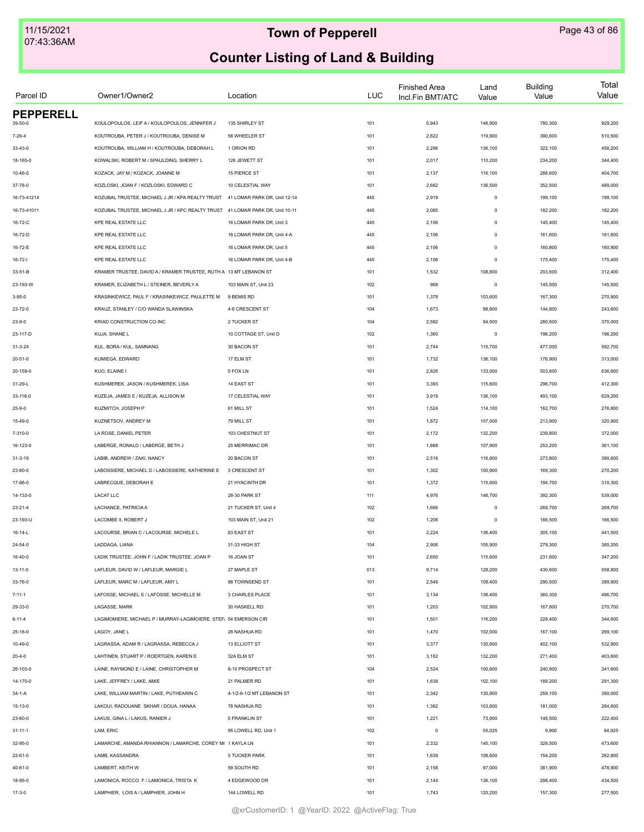| Parcel ID        | Owner1/Owner2                                                                 | Location                     | <b>LUC</b> | <b>Finished Area</b><br>Incl.Fin BMT/ATC | Land<br>Value | <b>Building</b><br>Value | Total<br>Value |
|------------------|-------------------------------------------------------------------------------|------------------------------|------------|------------------------------------------|---------------|--------------------------|----------------|
| <b>PEPPERELL</b> | KOULOPOULOS, LEIF A / KOULOPOULOS, JENNIFER J                                 |                              |            | 5,943                                    | 148,900       |                          |                |
| 39-50-0          |                                                                               | 135 SHIRLEY ST               | 101        |                                          |               | 780,300                  | 929,200        |
| $7 - 26 - 4$     | KOUTROUBA, PETER J / KOUTROUBA, DENISE M                                      | 58 WHEELER ST                | 101        | 2,622                                    | 119,900       | 390,600                  | 510,500        |
| 33-43-0          | KOUTROUBA, WILLIAM H / KOUTROUBA, DEBORAH L                                   | 1 ORION RD                   | 101        | 2,296                                    | 136,100       | 322,100                  | 458,200        |
| 18-165-0         | KOWALSKI, ROBERT M / SPAULDING, SHERRY L                                      | 126 JEWETT ST                | 101        | 2,017                                    | 110,200       | 234,200                  | 344,400        |
| $10 - 46 - 0$    | KOZACK, JAY M / KOZACK, JOANNE M                                              | 15 PIERCE ST                 | 101        | 2,137                                    | 116,100       | 288,600                  | 404,700        |
| 37-78-0          | KOZLOSKI, JOAN F / KOZLOSKI, EDWARD C                                         | 10 CELESTIAL WAY             | 101        | 2,682                                    | 136,500       | 352,500                  | 489,000        |
| 16-73-41214      | KOZUBAL TRUSTEE, MICHAEL J JR / KPA REALTY TRUST 41 LOMAR PARK DR, Unit 12-14 |                              | 445        | 2,919                                    | $\mathsf 0$   | 199,100                  | 199,100        |
| 16-73-41011      | KOZUBAL TRUSTEE, MICHAEL J JR / KPC REALTY TRUST                              | 41 LOMAR PARK DR, Unit 10-11 | 445        | 2,085                                    | $\mathsf 0$   | 182,200                  | 182,200        |
| 16-72-C          | <b>KPE REAL ESTATE LLC</b>                                                    | 16 LOMAR PARK DR. Unit 3     | 445        | 2,106                                    | $\mathsf 0$   | 145,400                  | 145,400        |
| 16-72-D          | KPE REAL ESTATE LLC                                                           | 16 LOMAR PARK DR, Unit 4-A   | 445        | 2,106                                    | $\mathsf 0$   | 161,600                  | 161,600        |
| 16-72-E          | KPE REAL ESTATE LLC                                                           | 16 LOMAR PARK DR, Unit 5     | 445        | 2,106                                    | $\mathsf 0$   | 160,800                  | 160,800        |
| $16 - 72 - 1$    | KPE REAL ESTATE LLC                                                           | 16 LOMAR PARK DR, Unit 4-B   | 445        | 2,106                                    | $\mathsf 0$   | 175,400                  | 175,400        |
| 33-51-B          | KRAMER TRUSTEE, DAVID A / KRAMER TRUSTEE, RUTH A 13 MT LEBANON ST             |                              | 101        | 1,532                                    | 108,800       | 203,600                  | 312,400        |
| 23-193-W         | KRAMER, ELIZABETH L / STEINER, BEVERLY A                                      | 103 MAIN ST, Unit 23         | 102        | 968                                      | $\mathsf 0$   | 145,500                  | 145,500        |
| $3 - 95 - 0$     | KRASINKEWICZ. PAUL F / KRASINKEWICZ. PAULETTE M                               | 9 BEMIS RD                   | 101        | 1,378                                    | 103,600       | 167,300                  | 270,900        |
| 23-72-0          | KRAUZ, STANLEY / C/O WANDA SLAWINSKA                                          | 4-6 CRESCENT ST              | 104        | 1,673                                    | 98,800        | 144,800                  | 243,600        |
| $23 - 9 - 0$     | KRIAD CONSTRUCTION CO INC                                                     | 2 TUCKER ST                  | 104        | 2,592                                    | 94,500        | 280,500                  | 375,000        |
| 23-117-D         | KUJA, SHANE L                                                                 | 10 COTTAGE ST, Unit D        | 102        | 1,360                                    | $\mathsf 0$   | 196,200                  | 196,200        |
| $31 - 3 - 24$    | KUL, BORA / KUL, SAMNANG                                                      | 30 BACON ST                  | 101        | 2,744                                    | 115,700       | 477,000                  | 592,700        |
| 20-51-0          | KUMIEGA, EDWARD                                                               | 17 ELM ST                    | 101        | 1,732                                    | 136,100       | 176,900                  | 313,000        |
| 20-159-0         | KUO. ELAINE I                                                                 | 5 FOX LN                     | 101        | 2,826                                    | 133,000       | 503,600                  | 636,600        |
| 31-29-L          | KUSHMEREK, JASON / KUSHMEREK, LISA                                            | 14 EAST ST                   | 101        | 3,393                                    | 115,600       | 296,700                  | 412,300        |
| 33-118-0         | KUZEJA, JAMES E / KUZEJA, ALLISON M                                           | 17 CELESTIAL WAY             | 101        | 3,919                                    | 136,100       | 493,100                  | 629,200        |
| $25 - 9 - 0$     | KUZMITCH, JOSEPH P                                                            | 61 MILL ST                   | 101        | 1,524                                    | 114,100       | 162,700                  | 276,800        |
| 15-49-0          | KUZNETSOV, ANDREY M                                                           | 79 MILL ST                   | 101        | 1,872                                    | 107,000       | 213,900                  | 320,900        |
| 7-310-0          | LA ROSE, DANIEL PETER                                                         | 103 CHESTNUT ST              | 101        | 2,172                                    | 132,200       | 239,800                  | 372,000        |
| 16-123-0         | LABERGE, RONALD / LABERGE, BETH J                                             | 25 MERRIMAC DR               | 101        | 1,888                                    | 107,900       | 253,200                  | 361,100        |
| $31 - 3 - 19$    | LABIB, ANDREW / ZAKI, NANCY                                                   | 20 BACON ST                  | 101        | 2,516                                    | 116,800       | 273,800                  | 390,600        |
|                  | LABOSSIERE, MICHAEL D / LABOSSIERE, KATHERINE E                               | 3 CRESCENT ST                | 101        | 1,302                                    | 100,900       |                          | 270,200        |
| 23-80-0          | LABRECQUE, DEBORAH E                                                          | 21 HYACINTH DR               |            |                                          |               | 169,300                  |                |
| 17-86-0          |                                                                               |                              | 101        | 1,372                                    | 115,600       | 194,700                  | 310,300        |
| 14-133-0         | <b>LACAT LLC</b>                                                              | 28-30 PARK ST                | 111        | 4,976                                    | 146,700       | 392,300                  | 539,000        |
| $23 - 21 - 4$    | LACHANCE, PATRICIA A                                                          | 21 TUCKER ST, Unit 4         | 102        | 1,666                                    | $\mathsf 0$   | 269,700                  | 269,700        |
| 23-193-U         | LACOMBE II, ROBERT J                                                          | 103 MAIN ST, Unit 21         | 102        | 1,206                                    | $\mathsf 0$   | 166,500                  | 166,500        |
| 16-14-L          | LACOURSE, BRIAN C / LACOURSE, MICHELE L                                       | 83 EAST ST                   | 101        | 2,224                                    | 136,400       | 305,100                  | 441,500        |
| $24 - 54 - 0$    | LADDAGA, LIANA                                                                | 31-33 HIGH ST                | 104        | 2,906                                    | 105,900       | 279,300                  | 385,200        |
| $16 - 40 - 0$    | LADIK TRUSTEE, JOHN F / LADIK TRUSTEE, JOAN P                                 | 16 JOAN ST                   | 101        | 2,650                                    | 115,600       | 231,600                  | 347,200        |
| $13 - 11 - 0$    | LAFLEUR, DAVID W / LAFLEUR, MARGIE L                                          | 27 MAPLE ST                  | 013        | 9,714                                    | 128,200       | 430,600                  | 558,800        |
| 33-76-0          | LAFLEUR, MARC M / LAFLEUR, AMY L                                              | 98 TOWNSEND ST               | 101        | 2,548                                    | 109,400       | 290,500                  | 399,900        |
| $7 - 11 - 1$     | LAFOSSE, MICHAEL S / LAFOSSE, MICHELLE M                                      | 3 CHARLES PLACE              | 101        | 3,134                                    | 136,400       | 360,300                  | 496,700        |
| 29-33-0          | LAGASSE, MARK                                                                 | 30 HASKELL RD                | 101        | 1,203                                    | 102,900       | 167,800                  | 270,700        |
| $6 - 11 - 4$     | LAGIMOMIERE, MICHAEL P / MURRAY-LAGIMOIERE, STEF. 54 EMERSON CIR              |                              | 101        | 1,501                                    | 116,200       | 228,400                  | 344,600        |
| 25-18-0          | LAGOY, JANE L                                                                 | 28 NASHUA RD                 | 101        | 1,470                                    | 102,000       | 167,100                  | 269,100        |
| $10 - 49 - 0$    | LAGRASSA, ADAM R / LAGRASSA, REBECCA J                                        | 13 ELLIOTT ST                | 101        | 3,377                                    | 130,800       | 402,100                  | 532,900        |
| $20 - 4 - 0$     | LAHTINEN, STUART P / ROERTGEN, KAREN E                                        | 32A ELM ST                   | 101        | 3,182                                    | 132,200       | 271,400                  | 403,600        |
| 26-103-0         | LAINE, RAYMOND E / LAINE, CHRISTOPHER M                                       | 8-10 PROSPECT ST             | 104        | 2,524                                    | 100,800       | 240,800                  | 341,600        |
| 14-170-0         | LAKE, JEFFREY / LAKE, AMIE                                                    | 21 PALMER RD                 | 101        | 1,638                                    | 102,100       | 189,200                  | 291,300        |
| $34 - 1 - A$     | LAKE, WILLIAM MARTIN / LAKE, PUTHEARIN C                                      | 4-1/2-6-1/2 MT LEBANON ST    | 101        | 2,342                                    | 130,900       | 259,100                  | 390,000        |
| $15 - 13 - 0$    | LAKOUI, RADOUANE SKHAR / DOUA, HANAA                                          | 78 NASHUA RD                 | 101        | 1,382                                    | 103,600       | 181,000                  | 284,600        |
| 23-60-0          | LAKUS, GINA L / LAKUS, RANIER J                                               | 5 FRANKLIN ST                | 101        | 1,221                                    | 73,900        | 148,500                  | 222,400        |
| $31 - 11 - 1$    | LAM, ERIC                                                                     | 95 LOWELL RD, Unit 1         | 102        | $\mathsf 0$                              | 55,025        | 9,900                    | 64,925         |
| 32-95-0          | LAMARCHE, AMANDA RHIANNON / LAMARCHE, COREY MI 1 KAYLA LN                     |                              | 101        | 2,332                                    | 145,100       | 328,500                  | 473,600        |
| 22-61-0          | LAMB, KASSANDRA                                                               | 5 TUCKER PARK                | 101        | 1,639                                    | 108,600       | 154,200                  | 262,800        |
| $40 - 61 - 0$    | LAMBERT, KEITH W                                                              | 59 SOUTH RD                  | 101        | 2,158                                    | 97,000        | 381,900                  | 478,900        |
| 18-95-0          | LAMONICA, ROCCO F / LAMONICA, TRISTA K                                        | 4 EDGEWOOD DR                | 101        | 2,144                                    | 136,100       | 298,400                  | 434,500        |
| $17 - 3 - 0$     | LAMPHIER, LOIS A / LAMPHIER, JOHN H                                           | 144 LOWELL RD                | 101        | 1,743                                    | 120,200       | 157,300                  | 277,500        |
|                  |                                                                               |                              |            |                                          |               |                          |                |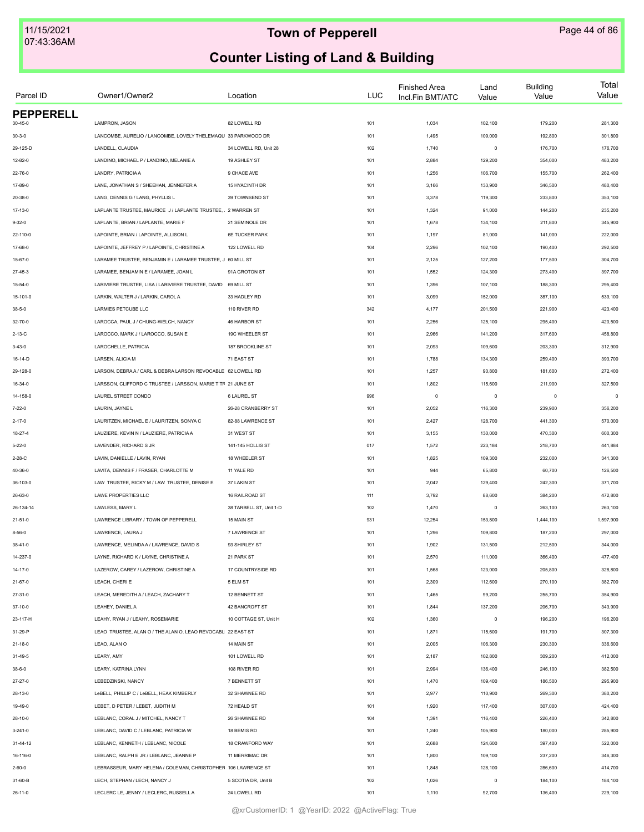| Parcel ID        | Owner1/Owner2                                                  | Location                | <b>LUC</b> | <b>Finished Area</b><br>Incl.Fin BMT/ATC | Land<br>Value | <b>Building</b><br>Value | Total<br>Value |
|------------------|----------------------------------------------------------------|-------------------------|------------|------------------------------------------|---------------|--------------------------|----------------|
| <b>PEPPERELL</b> |                                                                |                         |            |                                          |               |                          |                |
| 30-45-0          | LAMPRON, JASON                                                 | 82 LOWELL RD            | 101        | 1,034                                    | 102,100       | 179,200                  | 281,300        |
| $30 - 3 - 0$     | LANCOMBE, AURELIO / LANCOMBE, LOVELY THELEMAQU 33 PARKWOOD DR  |                         | 101        | 1,495                                    | 109,000       | 192,800                  | 301,800        |
| 29-125-D         | LANDELL, CLAUDIA                                               | 34 LOWELL RD, Unit 28   | 102        | 1,740                                    | $\mathsf 0$   | 176,700                  | 176,700        |
| $12 - 82 - 0$    | LANDINO, MICHAEL P / LANDINO, MELANIE A                        | 19 ASHLEY ST            | 101        | 2,884                                    | 129,200       | 354,000                  | 483,200        |
| 22-76-0          | LANDRY, PATRICIA A                                             | 9 CHACE AVE             | 101        | 1,256                                    | 106,700       | 155,700                  | 262,400        |
| 17-89-0          | LANE, JONATHAN S / SHEEHAN, JENNEFER A                         | 15 HYACINTH DR          | 101        | 3,166                                    | 133,900       | 346,500                  | 480,400        |
| 20-38-0          | LANG, DENNIS G / LANG, PHYLLIS L                               | 39 TOWNSEND ST          | 101        | 3,378                                    | 119,300       | 233,800                  | 353,100        |
| 17-13-0          | LAPLANTE TRUSTEE, MAURICE J/LAPLANTE TRUSTEE, 2 WARREN ST      |                         | 101        | 1,324                                    | 91,000        | 144,200                  | 235,200        |
| $9 - 32 - 0$     | LAPLANTE, BRIAN / LAPLANTE, MARIE F                            | 21 SEMINOLE DR          | 101        | 1,678                                    | 134,100       | 211,800                  | 345,900        |
| 22-110-0         | LAPOINTE, BRIAN / LAPOINTE, ALLISON L                          | <b>6E TUCKER PARK</b>   | 101        | 1,197                                    | 81,000        | 141,000                  | 222,000        |
| 17-68-0          | LAPOINTE, JEFFREY P / LAPOINTE, CHRISTINE A                    | 122 LOWELL RD           | 104        | 2,296                                    | 102,100       | 190,400                  | 292,500        |
| 15-67-0          | LARAMEE TRUSTEE, BENJAMIN E / LARAMEE TRUSTEE, J 60 MILL ST    |                         | 101        | 2,125                                    | 127,200       | 177,500                  | 304,700        |
| $27 - 45 - 3$    | LARAMEE, BENJAMIN E / LARAMEE, JOAN L                          | 91A GROTON ST           | 101        | 1,552                                    | 124,300       | 273,400                  | 397,700        |
| $15 - 54 - 0$    | LARIVIERE TRUSTEE, LISA / LARIVIERE TRUSTEE, DAVID 69 MILL ST  |                         | 101        | 1,396                                    | 107,100       | 188,300                  | 295,400        |
| 15-101-0         | LARKIN, WALTER J / LARKIN, CAROL A                             | 33 HADLEY RD            | 101        | 3,099                                    | 152,000       | 387,100                  | 539,100        |
| $38 - 5 - 0$     | LARMIES PETCUBE LLC                                            | 110 RIVER RD            | 342        | 4,177                                    | 201,500       | 221,900                  | 423,400        |
| 32-70-0          | LAROCCA, PAUL J / CHUNG-WELCH, NANCY                           | 46 HARBOR ST            | 101        | 2,256                                    | 125,100       | 295,400                  | 420,500        |
| $2 - 13 - C$     | LAROCCO, MARK J / LAROCCO, SUSAN E                             | 19C WHEELER ST          | 101        | 2,966                                    | 141,200       | 317,600                  | 458,800        |
| $3 - 43 - 0$     | LAROCHELLE, PATRICIA                                           | 187 BROOKLINE ST        | 101        | 2,093                                    | 109,600       | 203,300                  | 312,900        |
| 16-14-D          | LARSEN, ALICIA M                                               | 71 EAST ST              | 101        | 1,788                                    | 134,300       | 259,400                  | 393,700        |
| 29-128-0         | LARSON, DEBRAA / CARL & DEBRA LARSON REVOCABLE 62 LOWELL RD    |                         | 101        | 1,257                                    | 90,800        | 181,600                  | 272,400        |
| 16-34-0          | LARSSON, CLIFFORD C TRUSTEE / LARSSON, MARIE T TF 21 JUNE ST   |                         | 101        | 1,802                                    | 115,600       | 211,900                  | 327,500        |
|                  | LAUREL STREET CONDO                                            | 6 LAUREL ST             |            | $\mathsf 0$                              | $\mathsf 0$   | $^{\circ}$               | $\mathbf 0$    |
| 14-158-0         |                                                                |                         | 996        |                                          |               |                          |                |
| $7 - 22 - 0$     | LAURIN, JAYNE L                                                | 26-28 CRANBERRY ST      | 101        | 2,052                                    | 116,300       | 239,900                  | 356,200        |
| $2 - 17 - 0$     | LAURITZEN, MICHAEL E / LAURITZEN, SONYA C                      | 82-88 LAWRENCE ST       | 101        | 2,427                                    | 128,700       | 441,300                  | 570,000        |
| 18-27-4          | LAUZIERE, KEVIN N / LAUZIERE, PATRICIA A                       | 31 WEST ST              | 101        | 3,155                                    | 130,000       | 470,300                  | 600,300        |
| $5 - 22 - 0$     | LAVENDER, RICHARD S JR                                         | 141-145 HOLLIS ST       | 017        | 1,572                                    | 223,184       | 218,700                  | 441,884        |
| $2 - 28 - C$     | LAVIN, DANIELLE / LAVIN, RYAN                                  | 18 WHEELER ST           | 101        | 1,825                                    | 109,300       | 232,000                  | 341,300        |
| 40-36-0          | LAVITA, DENNIS F / FRASER, CHARLOTTE M                         | 11 YALE RD              | 101        | 944                                      | 65,800        | 60,700                   | 126,500        |
| 36-103-0         | LAW TRUSTEE, RICKY M / LAW TRUSTEE, DENISE E                   | 37 LAKIN ST             | 101        | 2,042                                    | 129,400       | 242,300                  | 371,700        |
| 26-63-0          | LAWE PROPERTIES LLC                                            | 16 RAILROAD ST          | 111        | 3,792                                    | 88,600        | 384,200                  | 472,800        |
| 26-134-14        | LAWLESS, MARY L                                                | 38 TARBELL ST, Unit 1-D | 102        | 1,470                                    | $\mathsf 0$   | 263,100                  | 263,100        |
| $21 - 51 - 0$    | LAWRENCE LIBRARY / TOWN OF PEPPERELL                           | 15 MAIN ST              | 931        | 12,254                                   | 153,800       | 1,444,100                | 1,597,900      |
| $8 - 56 - 0$     | LAWRENCE, LAURA J                                              | <b>7 LAWRENCE ST</b>    | 101        | 1,296                                    | 109,800       | 187,200                  | 297,000        |
| $38 - 41 - 0$    | LAWRENCE, MELINDA A / LAWRENCE, DAVID S                        | 93 SHIRLEY ST           | 101        | 1,902                                    | 131,500       | 212,500                  | 344,000        |
| 14-237-0         | LAYNE, RICHARD K / LAYNE, CHRISTINE A                          | 21 PARK ST              | 101        | 2,570                                    | 111,000       | 366,400                  | 477,400        |
| $14 - 17 - 0$    | LAZEROW, CAREY / LAZEROW, CHRISTINE A                          | 17 COUNTRYSIDE RD       | 101        | 1,568                                    | 123,000       | 205,800                  | 328,800        |
| $21 - 67 - 0$    | LEACH, CHERI E                                                 | 5 ELM ST                | 101        | 2,309                                    | 112,600       | 270,100                  | 382,700        |
| $27 - 31 - 0$    | LEACH, MEREDITH A / LEACH, ZACHARY T                           | 12 BENNETT ST           | 101        | 1,465                                    | 99,200        | 255,700                  | 354,900        |
| 37-10-0          | LEAHEY, DANIEL A                                               | 42 BANCROFT ST          | 101        | 1,844                                    | 137,200       | 206,700                  | 343,900        |
| 23-117-H         | LEAHY, RYAN J / LEAHY, ROSEMARIE                               | 10 COTTAGE ST, Unit H   | 102        | 1,360                                    | $\mathsf 0$   | 196,200                  | 196,200        |
| 31-29-P          | LEAO TRUSTEE, ALAN O / THE ALAN O. LEAO REVOCABL 22 EAST ST    |                         | 101        | 1,871                                    | 115,600       | 191,700                  | 307,300        |
| $21 - 18 - 0$    | LEAO, ALAN O                                                   | 14 MAIN ST              | 101        | 2,005                                    | 106,300       | 230,300                  | 336,600        |
| $31 - 49 - 5$    | LEARY, AMY                                                     | 101 LOWELL RD           | 101        | 2,187                                    | 102,800       | 309,200                  | 412,000        |
| $38 - 6 - 0$     | LEARY, KATRINA LYNN                                            | 108 RIVER RD            | 101        | 2,994                                    | 136,400       | 246,100                  | 382,500        |
| 27-27-0          | LEBEDZINSKI, NANCY                                             | 7 BENNETT ST            | 101        | 1,470                                    | 109,400       | 186,500                  | 295,900        |
| 28-13-0          | LeBELL, PHILLIP C / LeBELL, HEAK KIMBERLY                      | 32 SHAWNEE RD           | 101        | 2,977                                    | 110,900       | 269,300                  | 380,200        |
| 19-49-0          | LEBET, D PETER / LEBET, JUDITH M                               | 72 HEALD ST             | 101        | 1,920                                    | 117,400       | 307,000                  | 424,400        |
| 28-10-0          | LEBLANC, CORAL J / MITCHEL, NANCY T                            | 26 SHAWNEE RD           | 104        | 1,391                                    | 116,400       | 226,400                  | 342,800        |
| $3 - 241 - 0$    | LEBLANC, DAVID C / LEBLANC, PATRICIA W                         | 18 BEMIS RD             | 101        | 1,240                                    | 105,900       | 180,000                  | 285,900        |
| 31-44-12         | LEBLANC, KENNETH / LEBLANC, NICOLE                             | 18 CRAWFORD WAY         | 101        | 2,688                                    | 124,600       | 397,400                  | 522,000        |
|                  |                                                                |                         |            |                                          |               |                          |                |
| 16-116-0         | LEBLANC, RALPH E JR / LEBLANC, JEANNE P                        | 11 MERRIMAC DR          | 101        | 1,800                                    | 109,100       | 237,200                  | 346,300        |
| $2 - 60 - 0$     | LEBRASSEUR, MARY HELENA / COLEMAN, CHRISTOPHER 106 LAWRENCE ST |                         | 101        | 1,848                                    | 128,100       | 286,600                  | 414,700        |
| 31-60-B          | LECH, STEPHAN / LECH, NANCY J                                  | 5 SCOTIA DR, Unit B     | 102        | 1,026                                    | $\mathsf 0$   | 184,100                  | 184,100        |
| $26 - 11 - 0$    | LECLERC LE, JENNY / LECLERC, RUSSELL A                         | 24 LOWELL RD            | 101        | 1,110                                    | 92,700        | 136,400                  | 229,100        |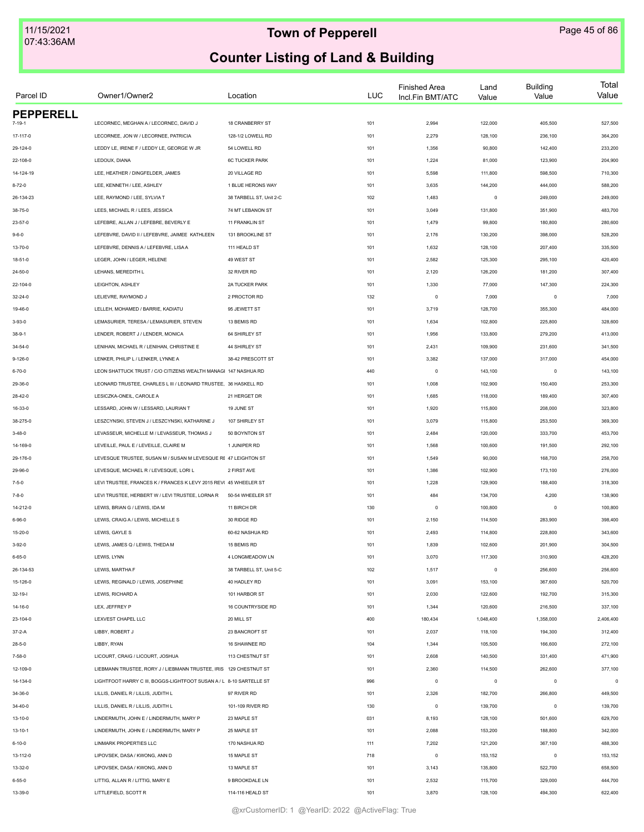| Parcel ID        | Owner1/Owner2                                                       | Location                | <b>LUC</b> | <b>Finished Area</b><br>Incl.Fin BMT/ATC | Land<br>Value | <b>Building</b><br>Value | Total<br>Value |
|------------------|---------------------------------------------------------------------|-------------------------|------------|------------------------------------------|---------------|--------------------------|----------------|
| <b>PEPPERELL</b> |                                                                     |                         |            |                                          |               |                          |                |
|                  | LECORNEC, MEGHAN A / LECORNEC, DAVID J                              | 18 CRANBERRY ST         | 101        | 2,994                                    | 122,000       | 405,500                  | 527,500        |
| 17-117-0         | LECORNEE, JON W / LECORNEE, PATRICIA                                | 128-1/2 LOWELL RD       | 101        | 2,279                                    | 128,100       | 236,100                  | 364,200        |
| 29-124-0         | LEDDY LE, IRENE F / LEDDY LE, GEORGE W JR                           | 54 LOWELL RD            | 101        | 1,356                                    | 90,800        | 142,400                  | 233,200        |
| 22-108-0         | LEDOUX, DIANA                                                       | <b>6C TUCKER PARK</b>   | 101        | 1,224                                    | 81,000        | 123,900                  | 204,900        |
| 14-124-19        | LEE, HEATHER / DINGFELDER, JAMES                                    | 20 VILLAGE RD           | 101        | 5,598                                    | 111,800       | 598,500                  | 710,300        |
| $8 - 72 - 0$     | LEE, KENNETH / LEE, ASHLEY                                          | 1 BLUE HERONS WAY       | 101        | 3,635                                    | 144,200       | 444,000                  | 588,200        |
| 26-134-23        | LEE, RAYMOND / LEE, SYLVIA T                                        | 38 TARBELL ST, Unit 2-C | 102        | 1,483                                    | $\mathsf 0$   | 249,000                  | 249,000        |
| 38-75-0          | LEES, MICHAEL R / LEES, JESSICA                                     | 74 MT LEBANON ST        | 101        | 3,049                                    | 131,800       | 351,900                  | 483,700        |
| $23 - 57 - 0$    | LEFEBRE, ALLAN J / LEFEBRE, BEVERLY E                               | 11 FRANKLIN ST          | 101        | 1,479                                    | 99,800        | 180,800                  | 280,600        |
| $9 - 6 - 0$      | LEFEBVRE, DAVID II / LEFEBVRE, JAIMEE KATHLEEN                      | 131 BROOKLINE ST        | 101        | 2,176                                    | 130,200       | 398,000                  | 528,200        |
| 13-70-0          | LEFEBVRE, DENNIS A / LEFEBVRE, LISA A                               | 111 HEALD ST            | 101        | 1,632                                    | 128,100       | 207,400                  | 335,500        |
| 18-51-0          | LEGER, JOHN / LEGER, HELENE                                         | 49 WEST ST              | 101        | 2,582                                    | 125,300       | 295,100                  | 420,400        |
| 24-50-0          | LEHANS, MEREDITH L                                                  | 32 RIVER RD             | 101        | 2,120                                    | 126,200       | 181,200                  | 307,400        |
| 22-104-0         | LEIGHTON, ASHLEY                                                    | 2A TUCKER PARK          | 101        | 1,330                                    | 77,000        | 147,300                  | 224,300        |
| $32 - 24 - 0$    | LELIEVRE, RAYMOND J                                                 | 2 PROCTOR RD            | 132        | $\circ$                                  | 7,000         | $^{\circ}$               | 7,000          |
| 19-46-0          | LELLEH, MOHAMED / BARRIE, KADIATU                                   | 95 JEWETT ST            | 101        | 3,719                                    | 128,700       | 355,300                  | 484,000        |
| $3 - 93 - 0$     | LEMASURIER, TERESA / LEMASURIER, STEVEN                             | 13 BEMIS RD             | 101        | 1,634                                    | 102,800       | 225,800                  | 328,600        |
| $38 - 9 - 1$     | LENDER, ROBERT J / LENDER, MONICA                                   | 64 SHIRLEY ST           | 101        | 1,956                                    | 133,800       | 279,200                  | 413,000        |
| 34-54-0          | LENIHAN, MICHAEL R / LENIHAN, CHRISTINE E                           | 44 SHIRLEY ST           | 101        | 2,431                                    | 109,900       | 231,600                  | 341,500        |
| $9 - 126 - 0$    | LENKER, PHILIP L / LENKER, LYNNE A                                  | 38-42 PRESCOTT ST       | 101        | 3,382                                    | 137,000       | 317,000                  | 454,000        |
| $6 - 70 - 0$     | LEON SHATTUCK TRUST / C/O CITIZENS WEALTH MANAGI 147 NASHUA RD      |                         | 440        | $\mathbf 0$                              | 143,100       | $\mathbf 0$              | 143,100        |
| 29-36-0          | LEONARD TRUSTEE, CHARLES L III / LEONARD TRUSTEE, 36 HASKELL RD     |                         | 101        | 1,008                                    | 102,900       | 150,400                  | 253,300        |
| $28 - 42 - 0$    | LESICZKA-ONEIL, CAROLE A                                            | 21 HERGET DR            | 101        | 1,685                                    | 118,000       | 189,400                  | 307,400        |
| 16-33-0          | LESSARD, JOHN W / LESSARD, LAURIAN T                                | 19 JUNE ST              | 101        | 1,920                                    | 115,800       | 208,000                  | 323,800        |
| 38-275-0         | LESZCYNSKI, STEVEN J / LESZCYNSKI, KATHARINE J                      | 107 SHIRLEY ST          | 101        | 3,079                                    | 115,800       | 253,500                  | 369,300        |
| $3 - 48 - 0$     | LEVASSEUR, MICHELLE M / LEVASSEUR, THOMAS J                         | 50 BOYNTON ST           | 101        | 2,484                                    | 120,000       | 333,700                  | 453,700        |
| 14-169-0         | LEVEILLE, PAUL E / LEVEILLE, CLAIRE M                               | 1 JUNIPER RD            | 101        | 1,568                                    | 100,600       | 191,500                  | 292,100        |
| 29-176-0         | LEVESQUE TRUSTEE, SUSAN M / SUSAN M LEVESQUE RE 47 LEIGHTON ST      |                         | 101        | 1,549                                    | 90,000        | 168,700                  | 258,700        |
| 29-96-0          | LEVESQUE, MICHAEL R / LEVESQUE, LORI L                              | 2 FIRST AVE             | 101        | 1,386                                    | 102,900       | 173,100                  | 276,000        |
| $7 - 5 - 0$      | LEVI TRUSTEE, FRANCES K / FRANCES K LEVY 2015 REV( 45 WHEELER ST    |                         | 101        | 1,228                                    | 129,900       | 188,400                  | 318,300        |
| $7 - 8 - 0$      | LEVI TRUSTEE, HERBERT W / LEVI TRUSTEE, LORNA R                     | 50-54 WHEELER ST        | 101        | 484                                      | 134,700       | 4,200                    | 138,900        |
| 14-212-0         | LEWIS, BRIAN G / LEWIS, IDA M                                       | 11 BIRCH DR             | 130        | $\circ$                                  | 100,800       | $\mathbf 0$              | 100,800        |
|                  |                                                                     |                         |            |                                          |               |                          |                |
| $6 - 96 - 0$     | LEWIS, CRAIG A / LEWIS, MICHELLE S                                  | 30 RIDGE RD             | 101        | 2,150                                    | 114,500       | 283,900                  | 398,400        |
| 15-20-0          | LEWIS, GAYLE S                                                      | 60-62 NASHUA RD         | 101        | 2,493                                    | 114,800       | 228,800                  | 343,600        |
| $3 - 92 - 0$     | LEWIS, JAMES Q / LEWIS, THEDA M                                     | 15 BEMIS RD             | 101        | 1,839                                    | 102,600       | 201,900                  | 304,500        |
| $6 - 65 - 0$     | LEWIS, LYNN                                                         | 4 LONGMEADOW LN         | 101        | 3,070                                    | 117,300       | 310,900                  | 428,200        |
| 26-134-53        | LEWIS, MARTHA F                                                     | 38 TARBELL ST, Unit 5-C | 102        | 1,517                                    | $\mathsf 0$   | 256,600                  | 256,600        |
| 15-126-0         | LEWIS, REGINALD / LEWIS, JOSEPHINE                                  | 40 HADLEY RD            | 101        | 3,091                                    | 153,100       | 367,600                  | 520,700        |
| $32 - 19 - 1$    | LEWIS, RICHARD A                                                    | 101 HARBOR ST           | 101        | 2,030                                    | 122,600       | 192,700                  | 315,300        |
| 14-16-0          | LEX, JEFFREY P                                                      | 16 COUNTRYSIDE RD       | 101        | 1,344                                    | 120,600       | 216,500                  | 337,100        |
| 23-104-0         | LEXVEST CHAPEL LLC                                                  | 20 MILL ST              | 400        | 180,434                                  | 1,048,400     | 1,358,000                | 2,406,400      |
| $37 - 2 - A$     | LIBBY, ROBERT J                                                     | 23 BANCROFT ST          | 101        | 2,037                                    | 118,100       | 194,300                  | 312,400        |
| $28 - 5 - 0$     | LIBBY, RYAN                                                         | 16 SHAWNEE RD           | 104        | 1,344                                    | 105,500       | 166,600                  | 272,100        |
| $7 - 58 - 0$     | LICOURT, CRAIG / LICOURT, JOSHUA                                    | 113 CHESTNUT ST         | 101        | 2,608                                    | 140,500       | 331,400                  | 471,900        |
| 12-109-0         | LIEBMANN TRUSTEE, RORY J / LIEBMANN TRUSTEE, IRIS 129 CHESTNUT ST   |                         | 101        | 2,360                                    | 114,500       | 262,600                  | 377,100        |
| 14-134-0         | LIGHTFOOT HARRY C III, BOGGS-LIGHTFOOT SUSAN A / L 8-10 SARTELLE ST |                         | 996        | $\circ$                                  | $\mathsf 0$   | $\mathbf 0$              | $\mathbf 0$    |
| 34-36-0          | LILLIS, DANIEL R / LILLIS, JUDITH L                                 | 97 RIVER RD             | 101        | 2,326                                    | 182,700       | 266,800                  | 449,500        |
| $34 - 40 - 0$    | LILLIS, DANIEL R / LILLIS, JUDITH L                                 | 101-109 RIVER RD        | 130        | $\mathsf 0$                              | 139,700       | $\mathbf 0$              | 139,700        |
| 13-10-0          | LINDERMUTH, JOHN E / LINDERMUTH, MARY P                             | 23 MAPLE ST             | 031        | 8,193                                    | 128,100       | 501,600                  | 629,700        |
| $13 - 10 - 1$    | LINDERMUTH, JOHN E / LINDERMUTH, MARY P                             | 25 MAPLE ST             | 101        | 2,088                                    | 153,200       | 188,800                  | 342,000        |
| $6 - 10 - 0$     | LINMARK PROPERTIES LLC                                              | 170 NASHUA RD           | 111        | 7,202                                    | 121,200       | 367,100                  | 488,300        |
| 13-112-0         | LIPOVSEK, DASA / KWONG, ANN D                                       | 15 MAPLE ST             | 718        | $\mathbf 0$                              | 153,152       | $\mathbf 0$              | 153,152        |
| 13-32-0          | LIPOVSEK, DASA / KWONG, ANN D                                       | 13 MAPLE ST             | 101        | 3,143                                    | 135,800       | 522,700                  | 658,500        |
| $6 - 55 - 0$     | LITTIG, ALLAN R / LITTIG, MARY E                                    | 9 BROOKDALE LN          | 101        | 2,532                                    | 115,700       | 329,000                  | 444,700        |
| 13-39-0          | LITTLEFIELD, SCOTT R                                                | 114-116 HEALD ST        | 101        | 3,870                                    | 128,100       | 494,300                  | 622,400        |
|                  |                                                                     |                         |            |                                          |               |                          |                |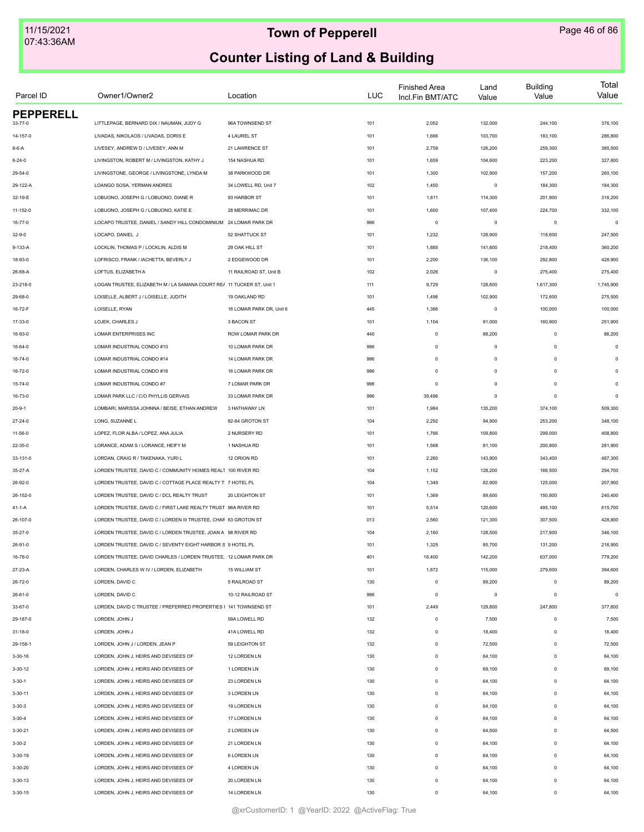| Parcel ID        | Owner1/Owner2                                                         | Location                 | LUC | <b>Finished Area</b><br>Incl.Fin BMT/ATC | Land<br>Value | <b>Building</b><br>Value | Total<br>Value |
|------------------|-----------------------------------------------------------------------|--------------------------|-----|------------------------------------------|---------------|--------------------------|----------------|
| <b>PEPPERELL</b> |                                                                       |                          |     |                                          |               |                          |                |
| 33-77-0          | LITTLEPAGE, BERNARD DIX / NAUMAN, JUDY G                              | 96A TOWNSEND ST          | 101 | 2,052                                    | 132,000       | 244,100                  | 376,100        |
| 14-157-0         | LIVADAS, NIKOLAOS / LIVADAS, DORIS E                                  | 4 LAUREL ST              | 101 | 1,666                                    | 103,700       | 183,100                  | 286,800        |
| $8 - 6 - A$      | LIVESEY, ANDREW D / LIVESEY, ANN M                                    | 21 LAWRENCE ST           | 101 | 2,759                                    | 126,200       | 259,300                  | 385,500        |
| $6 - 24 - 0$     | LIVINGSTON, ROBERT M / LIVINGSTON, KATHY J                            | 154 NASHUA RD            | 101 | 1,659                                    | 104,600       | 223,200                  | 327,800        |
| 29-54-0          | LIVINGSTONE, GEORGE / LIVINGSTONE, LYNDA M                            | 38 PARKWOOD DR           | 101 | 1,300                                    | 102,900       | 157,200                  | 260,100        |
| 29-122-A         | LOANGO SOSA, YERMAN ANDRES                                            | 34 LOWELL RD, Unit 7     | 102 | 1,450                                    | $\mathsf 0$   | 184,300                  | 184,300        |
| 32-19-E          | LOBUONO, JOSEPH G / LOBUONO, DIANE R                                  | 93 HARBOR ST             | 101 | 1,611                                    | 114,300       | 201,900                  | 316,200        |
| 11-152-0         | LOBUONO. JOSEPH G / LOBUONO. KATIE E                                  | 28 MERRIMAC DR           | 101 | 1,600                                    | 107,400       | 224,700                  | 332,100        |
| 16-77-0          | LOCAPO TRUSTEE, DANIEL / SANDY HILL CONDOMINIUM 24 LOMAR PARK DR      |                          | 996 | $\mathbf 0$                              | $\mathsf 0$   | $\circ$                  | $\mathbf 0$    |
| $32 - 9 - 0$     | LOCAPO, DANIEL J                                                      | 52 SHATTUCK ST           | 101 | 1,232                                    | 128,900       | 118,600                  | 247,500        |
| 9-133-A          | LOCKLIN, THOMAS P / LOCKLIN, ALDIS M                                  | 29 OAK HILL ST           | 101 | 1,885                                    | 141,800       | 218,400                  | 360,200        |
| 18-93-0          | LOFRISCO, FRANK / IACHETTA, BEVERLY J                                 | 2 EDGEWOOD DR            | 101 | 2,200                                    | 136,100       | 292,800                  | 428,900        |
| 26-68-A          | LOFTUS, ELIZABETH A                                                   | 11 RAILROAD ST, Unit B   | 102 | 2,026                                    | $\mathsf 0$   | 275,400                  | 275,400        |
| 23-218-0         | LOGAN TRUSTEE, ELIZABETH M / LA SAMANA COURT RE/ 11 TUCKER ST, Unit 1 |                          | 111 | 9,729                                    | 128,600       | 1,617,300                | 1,745,900      |
| 29-68-0          | LOISELLE, ALBERT J / LOISELLE, JUDITH                                 | 19 OAKLAND RD            | 101 | 1,496                                    | 102,900       | 172,600                  | 275,500        |
| 16-72-F          | LOISELLE, RYAN                                                        | 16 LOMAR PARK DR. Unit 6 | 445 | 1,366                                    | $\mathsf 0$   | 100,000                  | 100,000        |
| 17-33-0          | LOJEK, CHARLES J                                                      | 3 BACON ST               | 101 | 1,104                                    | 91,000        | 160,900                  | 251,900        |
| 16-93-0          | LOMAR ENTERPRISES INC                                                 | ROW LOMAR PARK DR        | 440 | $\mathbf 0$                              | 88,200        | $\mathbf 0$              | 88,200         |
| 16-64-0          | LOMAR INDUSTRIAL CONDO #10                                            | 10 LOMAR PARK DR         | 996 | $\mathsf{O}\xspace$                      | $\mathsf 0$   | $\mathbf 0$              | $\Omega$       |
| 16-74-0          | LOMAR INDUSTRIAL CONDO #14                                            | 14 LOMAR PARK DR         | 996 | $\mathsf 0$                              | $\mathsf 0$   | $\mathbf 0$              | $\Omega$       |
| 16-72-0          | LOMAR INDUSTRIAL CONDO #16                                            | 16 LOMAR PARK DR         | 996 | $\mathsf 0$                              | $\mathsf 0$   | $\Omega$                 | $\Omega$       |
| 15-74-0          | LOMAR INDUSTRIAL CONDO #7                                             | 7 LOMAR PARK DR          | 996 | $\mathbf 0$                              | $\mathsf 0$   | $\Omega$                 | $\Omega$       |
| 16-73-0          | LOMAR PARK LLC / C/O PHYLLIS GERVAIS                                  | 33 LOMAR PARK DR         | 996 | 39,496                                   | $\mathsf 0$   | $\circ$                  | $\Omega$       |
| $20 - 9 - 1$     | LOMBARI, MARISSA JOHNNA / BEISE, ETHAN ANDREW                         | 3 HATHAWAY LN            | 101 | 1,984                                    | 135,200       | 374,100                  | 509,300        |
| 27-24-0          | LONG, SUZANNE L                                                       | 82-84 GROTON ST          | 104 | 2,292                                    | 94,900        | 253,200                  | 348,100        |
| 11-56-0          | LOPEZ, FLOR ALBA / LOPEZ, ANA JULIA                                   | 2 NURSERY RD             | 101 | 1,766                                    | 109,800       | 299,000                  | 408,800        |
|                  | LORANCE, ADAM S / LORANCE, HEIFY M                                    | 1 NASHUA RD              | 101 | 1,568                                    | 81,100        | 200,800                  | 281,900        |
| 22-35-0          | LORDAN, CRAIG R / TAKENAKA, YURI L                                    | 12 ORION RD              | 101 | 2,260                                    | 143,900       | 343,400                  | 487,300        |
| 33-131-0         |                                                                       |                          |     |                                          |               |                          |                |
| 35-27-A          | LORDEN TRUSTEE, DAVID C / COMMUNITY HOMES REALT 100 RIVER RD          |                          | 104 | 1,152                                    | 128,200       | 166,500                  | 294,700        |
| 26-92-0          | LORDEN TRUSTEE, DAVID C / COTTAGE PLACE REALTY T 7 HOTEL PL           |                          | 104 | 1,349                                    | 82,900        | 125,000                  | 207,900        |
| 26-152-0         | LORDEN TRUSTEE, DAVID C / DCL REALTY TRUST                            | 20 LEIGHTON ST           | 101 | 1,369                                    | 89,600        | 150,800                  | 240,400        |
| 41-1-A           | LORDEN TRUSTEE, DAVID C / FIRST LAKE REALTY TRUST 96A RIVER RD        |                          | 101 | 5,514                                    | 120,600       | 495,100                  | 615,700        |
| 26-107-0         | LORDEN TRUSTEE, DAVID C / LORDEN III TRUSTEE, CHAF 63 GROTON ST       |                          | 013 | 2,560                                    | 121,300       | 307,500                  | 428,800        |
| 35-27-0          | LORDEN TRUSTEE, DAVID C / LORDEN TRUSTEE, JOAN A 98 RIVER RD          |                          | 104 | 2,160                                    | 128,500       | 217,600                  | 346,100        |
| 26-91-0          | LORDEN TRUSTEE, DAVID C / SEVENTY EIGHT HARBOR S 9 HOTEL PL           |                          | 101 | 1,325                                    | 85,700        | 131,200                  | 216,900        |
| 16-78-0          | LORDEN TRUSTEE, DAVID CHARLES / LORDEN TRUSTEE, 12 LOMAR PARK DR      |                          | 401 | 18,400                                   | 142,200       | 637,000                  | 779,200        |
| 27-23-A          | LORDEN, CHARLES W IV / LORDEN, ELIZABETH                              | 15 WILLIAM ST            | 101 | 1,872                                    | 115,000       | 279,600                  | 394,600        |
| 26-72-0          | LORDEN, DAVID C                                                       | 5 RAILROAD ST            | 130 | $\mathbf 0$                              | 89,200        | $\mathbf 0$              | 89,200         |
| $26 - 61 - 0$    | LORDEN, DAVID C                                                       | 10-12 RAILROAD ST        | 996 | $\mathbf 0$                              | $\mathsf 0$   | $^{\circ}$               | $\mathbf 0$    |
| 33-67-0          | LORDEN, DAVID C TRUSTEE / PREFERRED PROPERTIES I 141 TOWNSEND ST      |                          | 101 | 2,449                                    | 129,800       | 247,800                  | 377,600        |
| 29-187-0         | LORDEN, JOHN J                                                        | 59A LOWELL RD            | 132 | $\mathbf 0$                              | 7,500         | $\mathbf 0$              | 7,500          |
| 31-18-0          | LORDEN, JOHN J                                                        | 41A LOWELL RD            | 132 | 0                                        | 18,400        | $\mathbf 0$              | 18,400         |
| 29-158-1         | LORDEN, JOHN J / LORDEN, JEAN P                                       | 59 LEIGHTON ST           | 132 | $\mathsf 0$                              | 72,500        | $\mathbf 0$              | 72,500         |
| $3 - 30 - 16$    | LORDEN, JOHN J, HEIRS AND DEVISEES OF                                 | 12 LORDEN LN             | 130 | $\mathsf 0$                              | 64,100        | $\Omega$                 | 64,100         |
| $3 - 30 - 12$    | LORDEN, JOHN J, HEIRS AND DEVISEES OF                                 | 1 LORDEN LN              | 130 | $\mathsf 0$                              | 69,100        | $\mathbf 0$              | 69,100         |
| $3 - 30 - 1$     | LORDEN, JOHN J, HEIRS AND DEVISEES OF                                 | 23 LORDEN LN             | 130 | $\mathsf 0$                              | 64,100        | $\mathbf 0$              | 64,100         |
| $3 - 30 - 11$    | LORDEN, JOHN J, HEIRS AND DEVISEES OF                                 | 3 LORDEN LN              | 130 | $\mathbf 0$                              | 64,100        | $\mathbf 0$              | 64,100         |
| $3 - 30 - 3$     | LORDEN, JOHN J, HEIRS AND DEVISEES OF                                 | 19 LORDEN LN             | 130 | $\mathbf 0$                              | 64,100        | $\mathbf 0$              | 64,100         |
| $3 - 30 - 4$     | LORDEN, JOHN J, HEIRS AND DEVISEES OF                                 | 17 LORDEN LN             | 130 | $\mathsf 0$                              | 64,100        | $\mathbf 0$              | 64,100         |
| $3 - 30 - 21$    | LORDEN, JOHN J, HEIRS AND DEVISEES OF                                 | 2 LORDEN LN              | 130 | $\mathsf 0$                              | 64,500        | $\mathbf 0$              | 64,500         |
| $3 - 30 - 2$     | LORDEN, JOHN J, HEIRS AND DEVISEES OF                                 | 21 LORDEN LN             | 130 | $\mathsf 0$                              | 64,100        | $\Omega$                 | 64,100         |
| $3 - 30 - 19$    | LORDEN, JOHN J, HEIRS AND DEVISEES OF                                 | 6 LORDEN LN              | 130 | $\mathsf 0$                              | 64,100        | $\Omega$                 | 64,100         |
| $3 - 30 - 20$    | LORDEN, JOHN J, HEIRS AND DEVISEES OF                                 | 4 LORDEN LN              | 130 | $\mathsf 0$                              | 64,100        | $\mathbf 0$              | 64,100         |
| $3 - 30 - 13$    | LORDEN, JOHN J, HEIRS AND DEVISEES OF                                 | 20 LORDEN LN             | 130 | $\mathsf 0$                              | 64,100        | $\mathbf 0$              | 64,100         |
| $3 - 30 - 15$    | LORDEN, JOHN J, HEIRS AND DEVISEES OF                                 | 14 LORDEN LN             | 130 | $\mathbf 0$                              | 64,100        | $\mathbf 0$              | 64,100         |
|                  |                                                                       |                          |     |                                          |               |                          |                |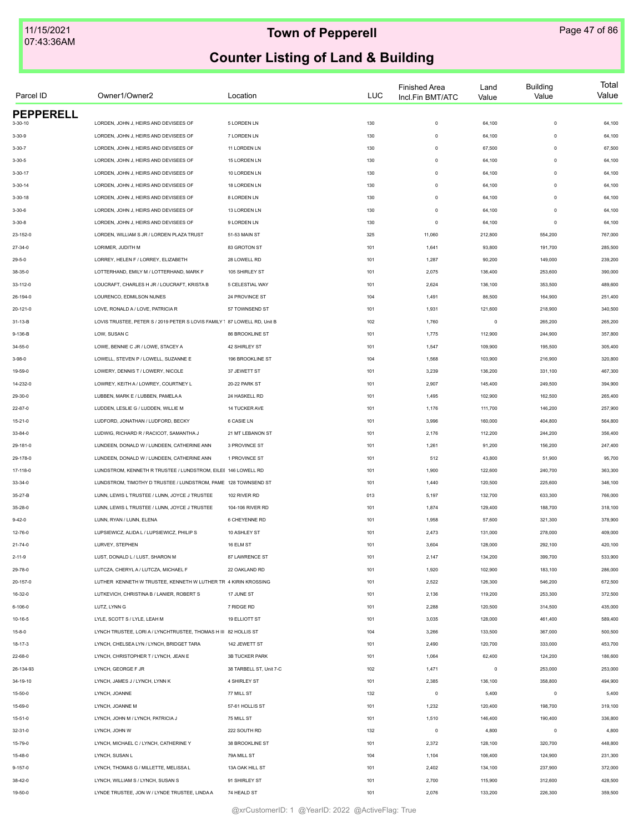| Parcel ID        | Owner1/Owner2                                                             | Location                | <b>LUC</b> | <b>Finished Area</b><br>Incl.Fin BMT/ATC | Land<br>Value | <b>Building</b><br>Value | Total<br>Value |
|------------------|---------------------------------------------------------------------------|-------------------------|------------|------------------------------------------|---------------|--------------------------|----------------|
| <b>PEPPERELL</b> |                                                                           |                         |            |                                          |               |                          |                |
| $3 - 30 - 10$    | LORDEN, JOHN J, HEIRS AND DEVISEES OF                                     | 5 LORDEN LN             | 130        | $\mathsf 0$                              | 64,100        | $\mathbf 0$              | 64,100         |
| $3 - 30 - 9$     | LORDEN, JOHN J, HEIRS AND DEVISEES OF                                     | 7 LORDEN LN             | 130        | $\mathsf 0$                              | 64,100        | $\mathbf 0$              | 64,100         |
| $3 - 30 - 7$     | LORDEN, JOHN J, HEIRS AND DEVISEES OF                                     | 11 LORDEN LN            | 130        | $\mathsf 0$                              | 67,500        | $\mathbf 0$              | 67,500         |
| $3 - 30 - 5$     | LORDEN, JOHN J, HEIRS AND DEVISEES OF                                     | 15 LORDEN LN            | 130        | $\mathsf 0$                              | 64,100        | $\mathbf 0$              | 64,100         |
| $3 - 30 - 17$    | LORDEN, JOHN J, HEIRS AND DEVISEES OF                                     | 10 LORDEN LN            | 130        | $\mathsf 0$                              | 64,100        | $\mathbf 0$              | 64,100         |
| $3 - 30 - 14$    | LORDEN, JOHN J, HEIRS AND DEVISEES OF                                     | 18 LORDEN LN            | 130        | $\mathsf 0$                              | 64,100        | $\Omega$                 | 64,100         |
| $3 - 30 - 18$    | LORDEN. JOHN J. HEIRS AND DEVISEES OF                                     | 8 LORDEN LN             | 130        | $\mathsf 0$                              | 64,100        | $\Omega$                 | 64,100         |
| $3 - 30 - 6$     | LORDEN, JOHN J, HEIRS AND DEVISEES OF                                     | 13 LORDEN LN            | 130        | $\mathsf 0$                              | 64,100        | $\mathbf 0$              | 64,100         |
| $3 - 30 - 8$     | LORDEN, JOHN J, HEIRS AND DEVISEES OF                                     | 9 LORDEN LN             | 130        | $\mathsf 0$                              | 64,100        | $\mathbf 0$              | 64,100         |
| 23-152-0         | LORDEN, WILLIAM S JR / LORDEN PLAZA TRUST                                 | 51-53 MAIN ST           | 325        | 11,060                                   | 212,800       | 554,200                  | 767,000        |
| $27 - 34 - 0$    | LORIMER, JUDITH M                                                         | 83 GROTON ST            | 101        | 1,641                                    | 93,800        | 191,700                  | 285,500        |
| $29 - 5 - 0$     | LORREY, HELEN F / LORREY, ELIZABETH                                       | 28 LOWELL RD            | 101        | 1,287                                    | 90,200        | 149,000                  | 239,200        |
| 38-35-0          | LOTTERHAND, EMILY M / LOTTERHAND, MARK F                                  | 105 SHIRLEY ST          | 101        | 2,075                                    | 136,400       | 253,600                  | 390,000        |
| 33-112-0         | LOUCRAFT, CHARLES H JR / LOUCRAFT, KRISTA B                               | 5 CELESTIAL WAY         | 101        | 2,624                                    | 136,100       | 353,500                  | 489,600        |
| 26-194-0         | LOURENCO, EDMILSON NUNES                                                  | 24 PROVINCE ST          | 104        | 1,491                                    | 86,500        | 164,900                  | 251,400        |
| 20-121-0         | LOVE, RONALD A / LOVE, PATRICIA R                                         | 57 TOWNSEND ST          | 101        | 1,931                                    | 121,600       | 218,900                  | 340,500        |
| 31-13-B          | LOVIS TRUSTEE, PETER S / 2019 PETER S LOVIS FAMILY 1 87 LOWELL RD, Unit B |                         | 102        | 1,760                                    | $\mathsf 0$   | 265,200                  | 265,200        |
| 9-136-B          | LOW, SUSAN C                                                              | 86 BROOKLINE ST         | 101        | 1,775                                    | 112,900       | 244,900                  | 357,800        |
| 34-55-0          | LOWE, BENNIE C JR / LOWE, STACEY A                                        | 42 SHIRLEY ST           | 101        | 1,547                                    | 109,900       | 195,500                  | 305,400        |
| $3 - 98 - 0$     | LOWELL, STEVEN P / LOWELL, SUZANNE E                                      | 196 BROOKLINE ST        | 104        | 1,568                                    | 103,900       | 216,900                  | 320,800        |
| 19-59-0          | LOWERY, DENNIS T / LOWERY, NICOLE                                         | 37 JEWETT ST            | 101        | 3,239                                    | 136,200       | 331,100                  | 467,300        |
| 14-232-0         | LOWREY, KEITH A / LOWREY, COURTNEY L                                      | 20-22 PARK ST           | 101        | 2,907                                    | 145,400       | 249,500                  | 394,900        |
| 29-30-0          | LUBBEN, MARK E / LUBBEN, PAMELA A                                         | 24 HASKELL RD           | 101        | 1,495                                    | 102,900       | 162,500                  | 265,400        |
| 22-87-0          | LUDDEN, LESLIE G / LUDDEN, WILLIE M                                       | 14 TUCKER AVE           | 101        | 1,176                                    | 111,700       | 146,200                  | 257,900        |
| 15-21-0          | LUDFORD, JONATHAN / LUDFORD, BECKY                                        | 6 CASIE LN              | 101        | 3,996                                    | 160,000       | 404,800                  | 564,800        |
|                  |                                                                           |                         |            |                                          |               |                          |                |
| 33-84-0          | LUDWIG, RICHARD R / RACICOT, SAMANTHA J                                   | 21 MT LEBANON ST        | 101        | 2,176                                    | 112,200       | 244,200                  | 356,400        |
| 29-181-0         | LUNDEEN, DONALD W / LUNDEEN, CATHERINE ANN                                | 3 PROVINCE ST           | 101        | 1,261                                    | 91,200        | 156,200                  | 247,400        |
| 29-178-0         | LUNDEEN, DONALD W / LUNDEEN, CATHERINE ANN                                | 1 PROVINCE ST           | 101        | 512                                      | 43,800        | 51,900                   | 95,700         |
| 17-118-0         | LUNDSTROM, KENNETH R TRUSTEE / LUNDSTROM, EILEE 146 LOWELL RD             |                         | 101        | 1,900                                    | 122,600       | 240,700                  | 363,300        |
| 33-34-0          | LUNDSTROM, TIMOTHY D TRUSTEE / LUNDSTROM, PAME 128 TOWNSEND ST            |                         | 101        | 1,440                                    | 120,500       | 225,600                  | 346,100        |
| 35-27-B          | LUNN. LEWIS L TRUSTEE / LUNN. JOYCE J TRUSTEE                             | 102 RIVER RD            | 013        | 5,197                                    | 132,700       | 633,300                  | 766,000        |
| 35-28-0          | LUNN, LEWIS L TRUSTEE / LUNN, JOYCE J TRUSTEE                             | 104-106 RIVER RD        | 101        | 1,874                                    | 129,400       | 188,700                  | 318,100        |
| $9 - 42 - 0$     | LUNN, RYAN / LUNN, ELENA                                                  | 6 CHEYENNE RD           | 101        | 1,958                                    | 57,600        | 321,300                  | 378,900        |
| 12-76-0          | LUPSIEWICZ, ALIDA L / LUPSIEWICZ, PHILIP S                                | 10 ASHLEY ST            | 101        | 2,473                                    | 131,000       | 278,000                  | 409,000        |
| 21-74-0          | LURVEY, STEPHEN                                                           | 16 ELM ST               | 101        | 3,604                                    | 128,000       | 292,100                  | 420,100        |
| $2 - 11 - 9$     | LUST, DONALD L / LUST, SHARON M                                           | 87 LAWRENCE ST          | 101        | 2,147                                    | 134,200       | 399,700                  | 533,900        |
| 29-78-0          | LUTCZA, CHERYL A / LUTCZA, MICHAEL F                                      | 22 OAKLAND RD           | 101        | 1,920                                    | 102,900       | 183,100                  | 286,000        |
| 20-157-0         | LUTHER KENNETH W TRUSTEE, KENNETH W LUTHER TR 4 KIRIN KROSSING            |                         | 101        | 2,522                                    | 126,300       | 546,200                  | 672,500        |
| 16-32-0          | LUTKEVICH, CHRISTINA B / LANIER, ROBERT S                                 | 17 JUNE ST              | 101        | 2,136                                    | 119,200       | 253,300                  | 372,500        |
| 6-106-0          | LUTZ, LYNN G                                                              | 7 RIDGE RD              | 101        | 2,288                                    | 120,500       | 314,500                  | 435,000        |
| $10 - 16 - 5$    | LYLE, SCOTT S / LYLE, LEAH M                                              | <b>19 ELLIOTT ST</b>    | 101        | 3,035                                    | 128,000       | 461,400                  | 589,400        |
| 15-8-0           | LYNCH TRUSTEE, LORI A / LYNCHTRUSTEE, THOMAS H III 82 HOLLIS ST           |                         | 104        | 3,266                                    | 133,500       | 367,000                  | 500,500        |
| 18-17-3          | LYNCH, CHELSEA LYN / LYNCH, BRIDGET TARA                                  | 142 JEWETT ST           | 101        | 2,490                                    | 120,700       | 333,000                  | 453,700        |
| 22-68-0          | LYNCH, CHRISTOPHER T / LYNCH, JEAN E                                      | 3B TUCKER PARK          | 101        | 1,064                                    | 62,400        | 124,200                  | 186,600        |
| 26-134-93        | LYNCH, GEORGE F JR                                                        | 38 TARBELL ST, Unit 7-C | 102        | 1,471                                    | $\mathsf 0$   | 253,000                  | 253,000        |
| 34-19-10         | LYNCH, JAMES J / LYNCH, LYNN K                                            | 4 SHIRLEY ST            | 101        | 2,385                                    | 136,100       | 358,800                  | 494,900        |
| 15-50-0          | LYNCH, JOANNE                                                             | 77 MILL ST              | 132        | $\mathsf 0$                              | 5,400         | $\mathbf 0$              | 5,400          |
| 15-69-0          | LYNCH, JOANNE M                                                           | 57-61 HOLLIS ST         | 101        | 1,232                                    | 120,400       | 198,700                  | 319,100        |
| 15-51-0          | LYNCH, JOHN M / LYNCH, PATRICIA J                                         | 75 MILL ST              | 101        | 1,510                                    | 146,400       | 190,400                  | 336,800        |
| 32-31-0          | LYNCH, JOHN W                                                             | 222 SOUTH RD            | 132        | $\mathbf 0$                              | 4,800         | $\mathbf 0$              | 4,800          |
| 15-79-0          | LYNCH, MICHAEL C / LYNCH, CATHERINE Y                                     | 38 BROOKLINE ST         | 101        | 2,372                                    | 128,100       | 320,700                  | 448,800        |
|                  |                                                                           |                         |            |                                          |               |                          |                |
| 15-48-0          | LYNCH, SUSAN L                                                            | 79A MILL ST             | 104        | 1,104                                    | 106,400       | 124,900                  | 231,300        |
| $9 - 157 - 0$    | LYNCH, THOMAS G / MILLETTE, MELISSA L                                     | 13A OAK HILL ST         | 101        | 2,402                                    | 134,100       | 237,900                  | 372,000        |
| 38-42-0          | LYNCH, WILLIAM S / LYNCH, SUSAN S                                         | 91 SHIRLEY ST           | 101        | 2,700                                    | 115,900       | 312,600                  | 428,500        |
| 19-50-0          | LYNDE TRUSTEE, JON W / LYNDE TRUSTEE, LINDA A                             | 74 HEALD ST             | 101        | 2,076                                    | 133,200       | 226,300                  | 359,500        |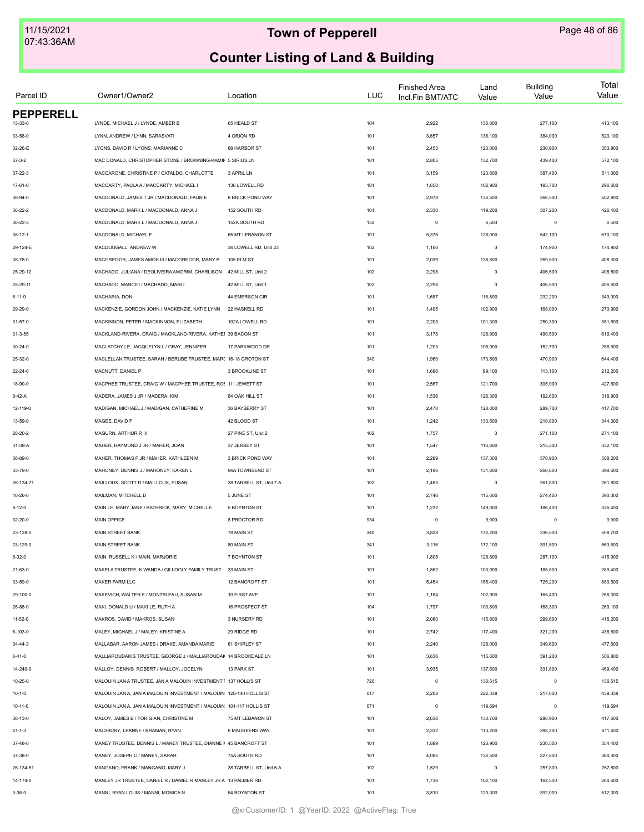| Parcel ID        | Owner1/Owner2                                                       | Location                | <b>LUC</b> | <b>Finished Area</b><br>Incl.Fin BMT/ATC | Land<br>Value | <b>Building</b><br>Value | Total<br>Value |
|------------------|---------------------------------------------------------------------|-------------------------|------------|------------------------------------------|---------------|--------------------------|----------------|
| <b>PEPPERELL</b> |                                                                     |                         |            |                                          |               |                          |                |
| 13-33-0          | LYNDE, MICHAEL J / LYNDE, AMBER B                                   | 65 HEALD ST             | 104        | 2,922                                    | 136,000       | 277,100                  | 413,100        |
| 33-58-0          | LYNN, ANDREW / LYNN, SARASVATI                                      | 4 ORION RD              | 101        | 3,657                                    | 136,100       | 384,000                  | 520,100        |
| 32-26-E          | LYONS, DAVID R / LYONS, MARIANNE C                                  | 88 HARBOR ST            | 101        | 2,453                                    | 123,000       | 230,900                  | 353,900        |
| $37 - 3 - 2$     | MAC DONALD, CHRISTOPHER STONE / BROWNING-KAMIN 5 SIRIUS LN          |                         | 101        | 2,805                                    | 132,700       | 439,400                  | 572,100        |
| $37 - 22 - 3$    | MACCARONE, CHRISTINE P / CATALDO, CHARLOTTE                         | 3 APRIL LN              | 101        | 3,159                                    | 123,600       | 387,400                  | 511,000        |
| 17-61-0          | MACCARTY, PAULA A / MACCARTY, MICHAEL I                             | 136 LOWELL RD           | 101        | 1,650                                    | 102,900       | 193,700                  | 296,600        |
| 38-94-0          | MACDONALD, JAMES T JR / MACDONALD, FAUN E                           | 8 BRICK POND WAY        | 101        | 2,978                                    | 136,500       | 366,300                  | 502,800        |
| $36 - 22 - 2$    | MACDONALD, MARK L / MACDONALD, ANNA J                               | 152 SOUTH RD            | 101        | 2,330                                    | 119,200       | 307,200                  | 426,400        |
| $36 - 22 - 3$    | MACDONALD, MARK L / MACDONALD, ANNA J                               | 152A SOUTH RD           | 132        | $\circ$                                  | 6,500         | $\mathbf 0$              | 6,500          |
| $38 - 12 - 1$    | MACDONALD, MICHAEL F                                                | 65 MT LEBANON ST        | 101        | 5,376                                    | 128,000       | 542,100                  | 670,100        |
| 29-124-E         | MACDOUGALL, ANDREW W                                                | 34 LOWELL RD, Unit 23   | 102        | 1,160                                    | $\mathsf 0$   | 174,900                  | 174,900        |
| 38-78-0          | MACGREGOR, JAMES AMOS III / MACGREGOR, MARY B                       | 105 ELM ST              | 101        | 2,039                                    | 138,800       | 269,500                  | 408,300        |
| 25-29-12         | MACHADO, JULIANA / DEOLIVEIRA AMORIM, CHARLISON                     | 42 MILL ST, Unit 2      | 102        | 2,298                                    | $\mathsf 0$   | 406,500                  | 406,500        |
| 25-29-11         | MACHADO, MARCIO / MACHADO, MARLI                                    | 42 MILL ST, Unit 1      | 102        | 2,298                                    | $\mathsf 0$   | 406,500                  | 406,500        |
| $6 - 11 - 9$     | MACHARIA, DON                                                       | 44 EMERSON CIR          | 101        | 1,687                                    | 116,800       | 232,200                  | 349,000        |
| 29-29-0          | MACKENZIE. GORDON JOHN / MACKENZIE. KATIE LYNN                      | 22 HASKELL RD           | 101        | 1,495                                    | 102,900       | 168,000                  | 270,900        |
| $31 - 57 - 0$    | MACKINNON, PETER / MACKINNON, ELIZABETH                             | 102A LOWELL RD          | 101        | 2,203                                    | 101,300       | 250,300                  | 351,600        |
| $31 - 3 - 55$    | MACKLAND-RIVERA, CRAIG / MACKLAND-RIVERA, KATHEI 39 BACON ST        |                         | 101        | 3,178                                    | 128,900       | 490,500                  | 619,400        |
| $30 - 24 - 0$    | MACLATCHY LE, JACQUELYN L / GRAY, JENNIFER                          | 17 PARKWOOD DR          | 101        | 1,203                                    | 105,900       | 152,700                  | 258,600        |
| 25-32-0          | MACLELLAN TRUSTEE, SARAH / BERUBE TRUSTEE, MAR( 16-18 GROTON ST     |                         | 340        | 1,960                                    | 173,500       | 470,900                  | 644,400        |
| 22-24-0          | MACNUTT, DANIEL P                                                   | 3 BROOKLINE ST          | 101        | 1,696                                    | 99,100        | 113,100                  | 212,200        |
| 18-90-0          | MACPHEE TRUSTEE, CRAIG W / MACPHEE TRUSTEE, RO: 111 JEWETT ST       |                         | 101        | 2,567                                    | 121,700       | 305,900                  | 427,600        |
| $8-42-A$         | MADERA, JAMES J JR / MADERA, KIM                                    | 84 OAK HILL ST          | 101        | 1,536                                    | 126,300       | 192,600                  | 318,900        |
| 12-119-0         | MADIGAN, MICHAEL J / MADIGAN, CATHERINE M                           | 36 BAYBERRY ST          | 101        | 2,470                                    | 128,000       | 289,700                  | 417,700        |
| 13-59-0          | MAGEE, DAVID F                                                      | 42 BLOOD ST             | 101        | 1,242                                    | 133,500       | 210,800                  | 344,300        |
| 28-20-2          | MAGURN, ARTHUR R III                                                | 27 PINE ST, Unit 2      | 102        | 1,757                                    | $\,0\,$       | 271,100                  | 271,100        |
|                  | MAHER, RAYMOND J JR / MAHER, JOAN                                   | 37 JERSEY ST            | 101        | 1,547                                    | 116,800       | 215,300                  | 332,100        |
| 31-39-A          | MAHER, THOMAS F JR / MAHER, KATHLEEN M                              | 3 BRICK POND WAY        | 101        | 2,299                                    | 137,300       | 370,900                  | 508,200        |
| 38-89-0          |                                                                     | 94A TOWNSEND ST         |            |                                          |               |                          |                |
| 33-79-0          | MAHONEY, DENNIS J / MAHONEY, KAREN L                                |                         | 101        | 2,196                                    | 131,800       | 266,800                  | 398,600        |
| 26-134-71        | MAILLOUX, SCOTT D / MAILLOUX, SUSAN                                 | 38 TARBELL ST, Unit 7-A | 102        | 1,483                                    | $\mathsf 0$   | 261,800                  | 261,800        |
| 16-26-0          | MAILMAN, MITCHELL D                                                 | 5 JUNE ST               | 101        | 2,746                                    | 115,600       | 274,400                  | 390,000        |
| $8 - 12 - 0$     | MAIN LE, MARY JANE / BATHRICK, MARY MICHELLE                        | <b>5 BOYNTON ST</b>     | 101        | 1,232                                    | 149,000       | 186,400                  | 335,400        |
| 32-20-0          | MAIN OFFICE                                                         | 8 PROCTOR RD            | 934        | $\circ$                                  | 9,900         | $^{\circ}$               | 9,900          |
| 23-128-0         | MAIN STREET BANK                                                    | 78 MAIN ST              | 340        | 3,828                                    | 172,200       | 336,500                  | 508,700        |
| 23-129-0         | MAIN STREET BANK                                                    | 80 MAIN ST              | 341        | 3,116                                    | 172,100       | 391,500                  | 563,600        |
| 8-32-0           | MAIN, RUSSELL K / MAIN, MARJORIE                                    | 7 BOYNTON ST            | 101        | 1,808                                    | 128,800       | 287,100                  | 415,900        |
| 21-63-0          | MAKELA TRUSTEE, K WANDA / GILLOGLY FAMILY TRUST 33 MAIN ST          |                         | 101        | 1,862                                    | 103,900       | 185,500                  | 289,400        |
| 33-59-0          | MAKER FARM LLC                                                      | 12 BANCROFT ST          | 101        | 5,454                                    | 155,400       | 725,200                  | 880,600        |
| 29-100-0         | MAKEVICH, WALTER F / MONTBLEAU, SUSAN M                             | 10 FIRST AVE            | 101        | 1,184                                    | 102,900       | 165,400                  | 268,300        |
| 26-88-0          | MAKI, DONALD U / MAKI LE, RUTH A                                    | 16 PROSPECT ST          | 104        | 1,797                                    | 100,800       | 168,300                  | 269,100        |
| $11 - 52 - 0$    | MAKROS, DAVID / MAKROS, SUSAN                                       | 3 NURSERY RD            | 101        | 2,080                                    | 115,600       | 299,600                  | 415,200        |
| 6-103-0          | MALEY, MICHAEL J / MALEY, KRISTINE A                                | 29 RIDGE RD             | 101        | 2,742                                    | 117,400       | 321,200                  | 438,600        |
| 34-44-3          | MALLABAR, AARON JAMES / DRAKE, AMANDA MARIE                         | 61 SHIRLEY ST           | 101        | 2,240                                    | 128,000       | 349,600                  | 477,600        |
| 6-41-0           | MALLIAROUDAKIS TRUSTEE, GEORGE J / MALLIAROUDAI 14 BROOKDALE LN     |                         | 101        | 3,636                                    | 115,600       | 391,200                  | 506,800        |
| 14-240-0         | MALLOY, DENNIS ROBERT / MALLOY, JOCELYN                             | 13 PARK ST              | 101        | 3,935                                    | 137,600       | 331,800                  | 469,400        |
| 10-25-0          | MALOUIN JAN A TRUSTEE, JAN A MALOUIN INVESTMENT 1 137 HOLLIS ST     |                         | 720        | $\mathsf 0$                              | 136,515       | $\mathbf 0$              | 136,515        |
| $10 - 1 - 0$     | MALOUIN JAN A, JAN A MALOUIN INVESTMENT / MALOUIN 128-140 HOLLIS ST |                         | 017        | 2,208                                    | 222,338       | 217,000                  | 439,338        |
| $10 - 11 - 0$    | MALOUIN JAN A, JAN A MALOUIN INVESTMENT / MALOUIN 101-117 HOLLIS ST |                         | 071        | $\mathsf 0$                              | 119,694       | $\mathbf 0$              | 119,694        |
| 38-13-0          | MALOY, JAMES B / TORIGIAN, CHRISTINE M                              | 75 MT LEBANON ST        | 101        | 2,636                                    | 130,700       | 286,900                  | 417,600        |
| 41-1-3           | MALSBURY, LEANNE / BRAMAN, RYAN                                     | 6 MAUREENS WAY          | 101        | 2,332                                    | 113,200       | 398,200                  | 511,400        |
| 37-48-0          | MANEY TRUSTEE, DENNIS L / MANEY TRUSTEE, DIANNE I 45 BANCROFT ST    |                         | 101        | 1,899                                    | 123,900       | 230,500                  | 354,400        |
| 37-38-0          | MANEY, JOSEPH C / MANEY, SARAH                                      | 75A SOUTH RD            | 101        | 4,085                                    | 136,500       | 227,800                  | 364,300        |
| 26-134-51        | MANGANO, FRANK / MANGANO, MARY J                                    | 38 TARBELL ST, Unit 5-A | 102        | 1,529                                    | $\mathsf 0$   | 257,800                  | 257,800        |
| 14-174-0         | MANLEY JR TRUSTEE, DANIEL R / DANIEL R MANLEY JR A 13 PALMER RD     |                         | 101        | 1,736                                    | 102,100       | 162,500                  | 264,600        |
|                  |                                                                     |                         |            |                                          |               |                          |                |
| $3 - 36 - 0$     | MANNI, RYAN LOUIS / MANNI, MONICA N                                 | 54 BOYNTON ST           | 101        | 3,810                                    | 120,300       | 392,000                  | 512,300        |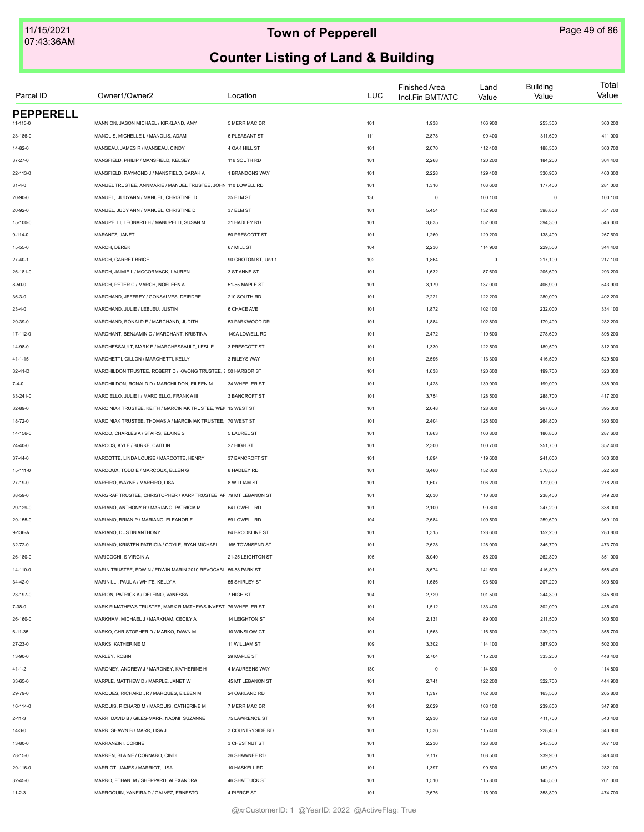| Parcel ID                    | Owner1/Owner2                                                    | Location              | <b>LUC</b> | <b>Finished Area</b><br>Incl.Fin BMT/ATC | Land<br>Value | <b>Building</b><br>Value | Total<br>Value |
|------------------------------|------------------------------------------------------------------|-----------------------|------------|------------------------------------------|---------------|--------------------------|----------------|
| <b>PEPPERELL</b><br>11-113-0 | MANNION, JASON MICHAEL / KIRKLAND, AMY                           | 5 MERRIMAC DR         | 101        | 1,938                                    | 106,900       | 253,300                  | 360,200        |
| 23-186-0                     | MANOLIS, MICHELLE L / MANOLIS, ADAM                              | 6 PLEASANT ST         | 111        | 2,878                                    | 99,400        | 311,600                  | 411,000        |
|                              | MANSEAU, JAMES R / MANSEAU, CINDY                                |                       |            |                                          |               |                          |                |
| 14-82-0                      |                                                                  | 4 OAK HILL ST         | 101        | 2,070                                    | 112,400       | 188,300                  | 300,700        |
| 37-27-0                      | MANSFIELD, PHILIP / MANSFIELD, KELSEY                            | 116 SOUTH RD          | 101        | 2,268                                    | 120,200       | 184,200                  | 304,400        |
| 22-113-0                     | MANSFIELD, RAYMOND J / MANSFIELD, SARAH A                        | 1 BRANDONS WAY        | 101        | 2,228                                    | 129,400       | 330,900                  | 460,300        |
| $31 - 4 - 0$                 | MANUEL TRUSTEE, ANNMARIE / MANUEL TRUSTEE, JOHN 110 LOWELL RD    |                       | 101        | 1,316                                    | 103,600       | 177,400                  | 281,000        |
| 20-90-0                      | MANUEL, JUDYANN / MANUEL, CHRISTINE D                            | 35 ELM ST             | 130        | $\mathsf 0$                              | 100,100       | $\mathbf 0$              | 100,100        |
| 20-92-0                      | MANUEL. JUDY ANN / MANUEL. CHRISTINE D                           | 37 ELM ST             | 101        | 5,454                                    | 132,900       | 398,800                  | 531,700        |
| 15-100-0                     | MANUPELLI, LEONARD H / MANUPELLI, SUSAN M                        | 31 HADLEY RD          | 101        | 3,835                                    | 152,000       | 394,300                  | 546,300        |
| $9 - 114 - 0$                | MARANTZ, JANET                                                   | 50 PRESCOTT ST        | 101        | 1,260                                    | 129,200       | 138,400                  | 267,600        |
| $15 - 55 - 0$                | MARCH, DEREK                                                     | 67 MILL ST            | 104        | 2,236                                    | 114,900       | 229,500                  | 344,400        |
| $27 - 40 - 1$                | MARCH, GARRET BRICE                                              | 90 GROTON ST, Unit 1  | 102        | 1,864                                    | $\mathsf 0$   | 217,100                  | 217,100        |
| 26-181-0                     | MARCH, JAIMIE L / MCCORMACK, LAUREN                              | 3 ST ANNE ST          | 101        | 1,632                                    | 87,600        | 205,600                  | 293,200        |
| $8 - 50 - 0$                 | MARCH, PETER C / MARCH, NOELEEN A                                | 51-55 MAPLE ST        | 101        | 3,179                                    | 137,000       | 406,900                  | 543,900        |
| $36 - 3 - 0$                 | MARCHAND. JEFFREY / GONSALVES. DEIRDRE L                         | 210 SOUTH RD          | 101        | 2,221                                    | 122,200       | 280,000                  | 402,200        |
| $23 - 4 - 0$                 | MARCHAND, JULIE / LEBLEU, JUSTIN                                 | 6 CHACE AVE           | 101        | 1,872                                    | 102,100       | 232,000                  | 334,100        |
| 29-39-0                      | MARCHAND, RONALD E / MARCHAND, JUDITH L                          | 53 PARKWOOD DR        | 101        | 1,884                                    | 102,800       | 179,400                  | 282,200        |
| 17-112-0                     | MARCHANT, BENJAMIN C / MARCHANT, KRISTINA                        | 149A LOWELL RD        | 101        | 2,472                                    | 119,600       | 278,600                  | 398,200        |
| 14-98-0                      | MARCHESSAULT, MARK E / MARCHESSAULT, LESLIE                      | 3 PRESCOTT ST         | 101        | 1,330                                    | 122,500       | 189,500                  | 312,000        |
| 41-1-15                      | MARCHETTI, GILLON / MARCHETTI, KELLY                             | 3 RILEYS WAY          | 101        | 2,596                                    | 113,300       | 416,500                  | 529,800        |
| 32-41-D                      | MARCHILDON TRUSTEE, ROBERT D / KWONG TRUSTEE, I 50 HARBOR ST     |                       | 101        | 1,638                                    | 120,600       | 199,700                  | 320,300        |
| $7 - 4 - 0$                  | MARCHILDON, RONALD D / MARCHILDON, EILEEN M                      | 34 WHEELER ST         | 101        | 1,428                                    | 139,900       | 199,000                  | 338,900        |
| 33-241-0                     | MARCIELLO, JULIE I / MARCIELLO, FRANK A III                      | 3 BANCROFT ST         | 101        | 3,754                                    | 128,500       | 288,700                  | 417,200        |
| 32-89-0                      | MARCINIAK TRUSTEE, KEITH / MARCINIAK TRUSTEE, WEN 15 WEST ST     |                       | 101        | 2,048                                    | 128,000       | 267,000                  | 395,000        |
| 18-72-0                      | MARCINIAK TRUSTEE, THOMAS A / MARCINIAK TRUSTEE, 70 WEST ST      |                       | 101        | 2,404                                    | 125,800       | 264,800                  | 390,600        |
| 14-156-0                     | MARCO, CHARLES A / STAIRS, ELAINE S                              | 5 LAUREL ST           | 101        | 1,863                                    | 100,800       | 186,800                  | 287,600        |
| 24-40-0                      | MARCOS, KYLE / BURKE, CAITLIN                                    | 27 HIGH ST            | 101        | 2,300                                    | 100,700       | 251,700                  | 352,400        |
| 37-44-0                      | MARCOTTE, LINDA LOUISE / MARCOTTE, HENRY                         | 37 BANCROFT ST        | 101        | 1,894                                    | 119,600       | 241,000                  | 360,600        |
| 15-111-0                     | MARCOUX, TODD E / MARCOUX, ELLEN G                               | 8 HADLEY RD           | 101        | 3,460                                    | 152,000       | 370,500                  | 522,500        |
| 27-19-0                      | MAREIRO, WAYNE / MAREIRO, LISA                                   | 8 WILLIAM ST          | 101        | 1,607                                    | 106,200       | 172,000                  | 278,200        |
| 38-59-0                      | MARGRAF TRUSTEE, CHRISTOPHER / KARP TRUSTEE, AF 79 MT LEBANON ST |                       | 101        | 2,030                                    | 110,800       | 238,400                  | 349,200        |
| 29-129-0                     | MARIANO, ANTHONY R / MARIANO, PATRICIA M                         | 64 LOWELL RD          | 101        | 2,100                                    | 90,800        | 247,200                  | 338,000        |
|                              |                                                                  |                       |            |                                          |               |                          |                |
| 29-155-0                     | MARIANO, BRIAN P / MARIANO, ELEANOR F                            | 59 LOWELL RD          | 104        | 2,684                                    | 109,500       | 259,600                  | 369,100        |
| 9-136-A                      | MARIANO, DUSTIN ANTHONY                                          | 84 BROOKLINE ST       | 101        | 1,315                                    | 128,600       | 152,200                  | 280,800        |
| 32-72-0                      | MARIANO, KRISTEN PATRICIA / COYLE, RYAN MICHAEL                  | 165 TOWNSEND ST       | 101        | 2,628                                    | 128,000       | 345,700                  | 473,700        |
| 26-180-0                     | MARICOCHI, S VIRGINIA                                            | 21-25 LEIGHTON ST     | 105        | 3,040                                    | 88,200        | 262,800                  | 351,000        |
| 14-110-0                     | MARIN TRUSTEE, EDWIN / EDWIN MARIN 2010 REVOCABL 56-58 PARK ST   |                       | 101        | 3,674                                    | 141,600       | 416,800                  | 558,400        |
| 34-42-0                      | MARINILLI, PAUL A / WHITE, KELLY A                               | 55 SHIRLEY ST         | 101        | 1,686                                    | 93,600        | 207,200                  | 300,800        |
| 23-197-0                     | MARION, PATRICK A / DELFINO, VANESSA                             | 7 HIGH ST             | 104        | 2,729                                    | 101,500       | 244,300                  | 345,800        |
| $7 - 38 - 0$                 | MARK R MATHEWS TRUSTEE, MARK R MATHEWS INVEST 76 WHEELER ST      |                       | 101        | 1,512                                    | 133,400       | 302,000                  | 435,400        |
| 26-160-0                     | MARKHAM, MICHAEL J / MARKHAM, CECILY A                           | 14 LEIGHTON ST        | 104        | 2,131                                    | 89,000        | 211,500                  | 300,500        |
| 6-11-35                      | MARKO, CHRISTOPHER D / MARKO, DAWN M                             | 10 WINSLOW CT         | 101        | 1,563                                    | 116,500       | 239,200                  | 355,700        |
| 27-23-0                      | MARKS, KATHERINE M                                               | 11 WILLIAM ST         | 109        | 3,302                                    | 114,100       | 387,900                  | 502,000        |
| 13-90-0                      | MARLEY, ROBIN                                                    | 29 MAPLE ST           | 101        | 2,704                                    | 115,200       | 333,200                  | 448,400        |
| $41 - 1 - 2$                 | MARONEY, ANDREW J / MARONEY, KATHERINE H                         | 4 MAUREENS WAY        | 130        | $\circ$                                  | 114,800       | $\mathbf 0$              | 114,800        |
| 33-65-0                      | MARPLE, MATTHEW D / MARPLE, JANET W                              | 45 MT LEBANON ST      | 101        | 2,741                                    | 122,200       | 322,700                  | 444,900        |
| 29-79-0                      | MARQUES, RICHARD JR / MARQUES, EILEEN M                          | 24 OAKLAND RD         | 101        | 1,397                                    | 102,300       | 163,500                  | 265,800        |
| 16-114-0                     | MARQUIS, RICHARD M / MARQUIS, CATHERINE M                        | 7 MERRIMAC DR         | 101        | 2,029                                    | 108,100       | 239,800                  | 347,900        |
| $2 - 11 - 3$                 | MARR, DAVID B / GILES-MARR, NAOMI SUZANNE                        | 75 LAWRENCE ST        | 101        | 2,936                                    | 128,700       | 411,700                  | 540,400        |
| 14-3-0                       | MARR, SHAWN B / MARR, LISA J                                     | 3 COUNTRYSIDE RD      | 101        | 1,536                                    | 115,400       | 228,400                  | 343,800        |
| 13-80-0                      | MARRANZINI, CORINE                                               | 3 CHESTNUT ST         | 101        | 2,236                                    | 123,800       | 243,300                  | 367,100        |
| 28-15-0                      | MARREN, BLAINE / CORNARO, CINDI                                  | 36 SHAWNEE RD         | 101        | 2,117                                    | 108,500       | 239,900                  | 348,400        |
| 29-116-0                     | MARRIOT, JAMES / MARRIOT, LISA                                   | 10 HASKELL RD         | 101        | 1,397                                    | 99,500        | 182,600                  | 282,100        |
| 32-45-0                      | MARRO, ETHAN M / SHEPPARD, ALEXANDRA                             | <b>46 SHATTUCK ST</b> | 101        | 1,510                                    | 115,800       | 145,500                  | 261,300        |
| $11 - 2 - 3$                 | MARROQUIN, YANEIRA D / GALVEZ, ERNESTO                           | 4 PIERCE ST           | 101        | 2,676                                    | 115,900       | 358,800                  | 474,700        |
|                              |                                                                  |                       |            |                                          |               |                          |                |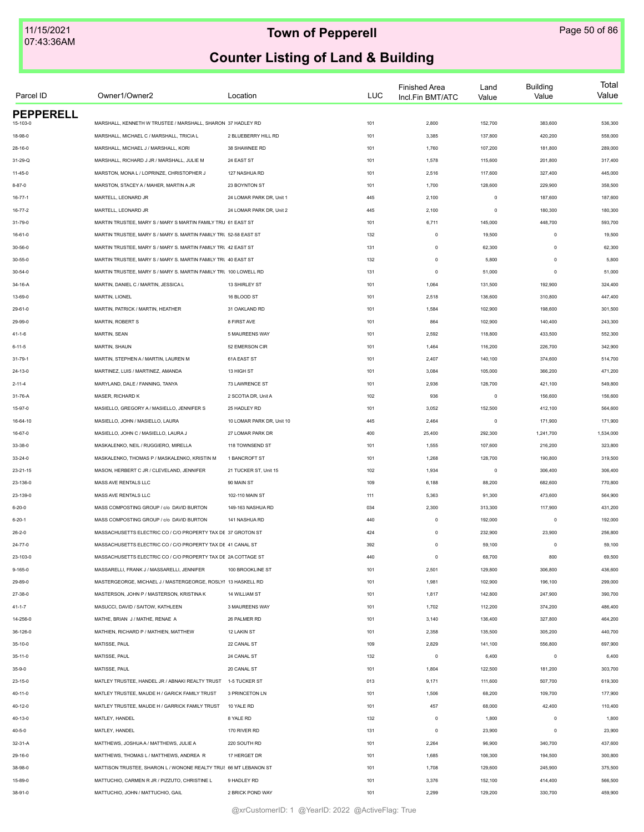| Parcel ID                    | Owner1/Owner2                                                    | Location                  | <b>LUC</b> | <b>Finished Area</b><br>Incl.Fin BMT/ATC | Land<br>Value | <b>Building</b><br>Value | Total<br>Value |
|------------------------------|------------------------------------------------------------------|---------------------------|------------|------------------------------------------|---------------|--------------------------|----------------|
| <b>PEPPERELL</b><br>15-103-0 | MARSHALL, KENNETH W TRUSTEE / MARSHALL, SHARON 37 HADLEY RD      |                           | 101        | 2,800                                    | 152,700       | 383,600                  | 536,300        |
| 18-98-0                      | MARSHALL, MICHAEL C / MARSHALL, TRICIA L                         | 2 BLUEBERRY HILL RD       | 101        | 3,385                                    | 137,800       | 420,200                  | 558,000        |
| $28 - 16 - 0$                | MARSHALL, MICHAEL J / MARSHALL, KORI                             | 38 SHAWNEE RD             | 101        | 1,760                                    | 107,200       | 181,800                  | 289,000        |
| 31-29-Q                      | MARSHALL, RICHARD J JR / MARSHALL, JULIE M                       | 24 EAST ST                |            | 1,578                                    | 115,600       | 201,800                  | 317,400        |
|                              |                                                                  |                           | 101        |                                          |               |                          |                |
| $11 - 45 - 0$                | MARSTON, MONA L / LOPRINZE, CHRISTOPHER J                        | 127 NASHUA RD             | 101        | 2,516                                    | 117,600       | 327,400                  | 445,000        |
| $8 - 87 - 0$                 | MARSTON, STACEY A / MAHER, MARTIN A JR                           | 23 BOYNTON ST             | 101        | 1,700                                    | 128,600       | 229,900                  | 358,500        |
| $16 - 77 - 1$                | MARTELL, LEONARD JR                                              | 24 LOMAR PARK DR, Unit 1  | 445        | 2,100                                    | $\mathsf 0$   | 187,600                  | 187,600        |
| $16 - 77 - 2$                | MARTELL, LEONARD JR                                              | 24 LOMAR PARK DR, Unit 2  | 445        | 2,100                                    | $\mathsf 0$   | 180,300                  | 180,300        |
| 31-79-0                      | MARTIN TRUSTEE. MARY S / MARY S MARTIN FAMILY TRU 61 EAST ST     |                           | 101        | 6,711                                    | 145,000       | 448,700                  | 593,700        |
| $16 - 61 - 0$                | MARTIN TRUSTEE, MARY S / MARY S. MARTIN FAMILY TRL 52-58 EAST ST |                           | 132        | $\mathsf 0$                              | 19,500        | $\mathbf 0$              | 19,500         |
| 30-56-0                      | MARTIN TRUSTEE, MARY S / MARY S. MARTIN FAMILY TRU 42 EAST ST    |                           | 131        | $\mathsf 0$                              | 62,300        | $\mathbf 0$              | 62,300         |
| 30-55-0                      | MARTIN TRUSTEE, MARY S / MARY S. MARTIN FAMILY TRI 40 EAST ST    |                           | 132        | $\mathsf 0$                              | 5,800         | $\mathbf 0$              | 5,800          |
| $30 - 54 - 0$                | MARTIN TRUSTEE, MARY S / MARY S. MARTIN FAMILY TRI 100 LOWELL RD |                           | 131        | $\mathsf 0$                              | 51,000        | $\circ$                  | 51,000         |
| 34-16-A                      | MARTIN, DANIEL C / MARTIN, JESSICA L                             | 13 SHIRLEY ST             | 101        | 1,064                                    | 131,500       | 192,900                  | 324,400        |
| 13-69-0                      | MARTIN, LIONEL                                                   | 16 BLOOD ST               | 101        | 2,518                                    | 136,600       | 310,800                  | 447,400        |
| 29-61-0                      | MARTIN, PATRICK / MARTIN, HEATHER                                | 31 OAKLAND RD             | 101        | 1,584                                    | 102,900       | 198,600                  | 301,500        |
| 29-99-0                      | MARTIN, ROBERT S                                                 | 8 FIRST AVE               | 101        | 864                                      | 102,900       | 140,400                  | 243,300        |
| $41 - 1 - 6$                 | MARTIN, SEAN                                                     | 5 MAUREENS WAY            | 101        | 2,592                                    | 118,800       | 433,500                  | 552,300        |
| $6 - 11 - 5$                 | MARTIN, SHAUN                                                    | 52 EMERSON CIR            | 101        | 1,464                                    | 116,200       | 226,700                  | 342,900        |
| 31-79-1                      | MARTIN, STEPHEN A / MARTIN, LAUREN M                             | 61A EAST ST               | 101        | 2,407                                    | 140,100       | 374,600                  | 514,700        |
| 24-13-0                      | MARTINEZ, LUIS / MARTINEZ, AMANDA                                | 13 HIGH ST                | 101        | 3,084                                    | 105,000       | 366,200                  | 471,200        |
| $2 - 11 - 4$                 | MARYLAND, DALE / FANNING, TANYA                                  | 73 LAWRENCE ST            | 101        | 2,936                                    | 128,700       | 421,100                  | 549,800        |
| 31-76-A                      | MASER, RICHARD K                                                 | 2 SCOTIA DR, Unit A       | 102        | 936                                      | $\mathsf 0$   | 156,600                  | 156,600        |
| 15-97-0                      | MASIELLO, GREGORY A / MASIELLO, JENNIFER S                       | 25 HADLEY RD              | 101        | 3,052                                    | 152,500       | 412,100                  | 564,600        |
| 16-64-10                     | MASIELLO, JOHN / MASIELLO, LAURA                                 | 10 LOMAR PARK DR, Unit 10 | 445        | 2,464                                    | $\mathsf 0$   | 171,900                  | 171,900        |
| 16-67-0                      | MASIELLO, JOHN C / MASIELLO, LAURA J                             | 27 LOMAR PARK DR          | 400        | 25,400                                   | 292,300       | 1,241,700                | 1,534,000      |
| 33-38-0                      | MASKALENKO, NEIL / RUGGIERO, MIRELLA                             | 118 TOWNSEND ST           | 101        | 1,555                                    | 107,600       | 216,200                  | 323,800        |
| 33-24-0                      | MASKALENKO, THOMAS P / MASKALENKO, KRISTIN M                     | 1 BANCROFT ST             | 101        | 1,268                                    | 128,700       | 190,800                  | 319,500        |
| $23 - 21 - 15$               | MASON, HERBERT C JR / CLEVELAND, JENNIFER                        | 21 TUCKER ST, Unit 15     | 102        | 1,934                                    | $\mathsf 0$   | 306,400                  | 306,400        |
| 23-136-0                     | MASS AVE RENTALS LLC                                             | 90 MAIN ST                | 109        | 6,188                                    | 88,200        | 682,600                  | 770,800        |
| 23-139-0                     | MASS AVE RENTALS LLC                                             | 102-110 MAIN ST           | 111        | 5,363                                    | 91,300        | 473,600                  | 564,900        |
| $6 - 20 - 0$                 | MASS COMPOSTING GROUP / c/o DAVID BURTON                         | 149-163 NASHUA RD         | 034        | 2,300                                    | 313,300       | 117,900                  | 431,200        |
| $6 - 20 - 1$                 | MASS COMPOSTING GROUP / c/o DAVID BURTON                         | 141 NASHUA RD             | 440        | $\mathsf 0$                              | 192,000       | $\mathbf 0$              | 192,000        |
| $26 - 2 - 0$                 | MASSACHUSETTS ELECTRIC CO / C/O PROPERTY TAX DE 37 GROTON ST     |                           | 424        | $\mathsf 0$                              | 232,900       | 23,900                   | 256,800        |
| $24 - 77 - 0$                | MASSACHUSETTS ELECTRIC CO / C/O PROPERTY TAX DE 41 CANAL ST      |                           | 392        | $\mathsf 0$                              | 59,100        | $\mathbf 0$              | 59,100         |
| 23-103-0                     | MASSACHUSETTS ELECTRIC CO / C/O PROPERTY TAX DE 2A COTTAGE ST    |                           | 440        | $\mathsf 0$                              | 68,700        | 800                      | 69,500         |
| $9 - 165 - 0$                | MASSARELLI, FRANK J / MASSARELLI, JENNIFER                       | 100 BROOKLINE ST          | 101        | 2,501                                    | 129,800       | 306,800                  | 436,600        |
| 29-89-0                      | MASTERGEORGE, MICHAEL J / MASTERGEORGE, ROSLYI 13 HASKELL RD     |                           | 101        | 1,981                                    | 102,900       | 196,100                  | 299,000        |
|                              | MASTERSON. JOHN P / MASTERSON. KRISTINA K                        | 14 WILLIAM ST             | 101        | 1,817                                    |               | 247,900                  |                |
| 27-38-0                      |                                                                  |                           |            |                                          | 142,800       |                          | 390,700        |
| $41 - 1 - 7$                 | MASUCCI, DAVID / SAITOW, KATHLEEN                                | 3 MAUREENS WAY            | 101        | 1,702                                    | 112,200       | 374,200                  | 486,400        |
| 14-256-0                     | MATHE, BRIAN J / MATHE, RENAE A                                  | 26 PALMER RD              | 101        | 3,140                                    | 136,400       | 327,800                  | 464,200        |
| 36-126-0                     | MATHIEN, RICHARD P / MATHIEN, MATTHEW                            | 12 LAKIN ST               | 101        | 2,358                                    | 135,500       | 305,200                  | 440,700        |
| 35-10-0                      | MATISSE, PAUL                                                    | 22 CANAL ST               | 109        | 2,829                                    | 141,100       | 556,800                  | 697,900        |
| $35 - 11 - 0$                | MATISSE, PAUL                                                    | 24 CANAL ST               | 132        | $\circ$                                  | 6,400         | $\circ$                  | 6,400          |
| $35 - 9 - 0$                 | MATISSE, PAUL                                                    | 20 CANAL ST               | 101        | 1,804                                    | 122,500       | 181,200                  | 303,700        |
| $23 - 15 - 0$                | MATLEY TRUSTEE, HANDEL JR / ABNAKI REALTY TRUST                  | 1-5 TUCKER ST             | 013        | 9,171                                    | 111,600       | 507,700                  | 619,300        |
| 40-11-0                      | MATLEY TRUSTEE, MAUDE H / GARICK FAMILY TRUST                    | 3 PRINCETON LN            | 101        | 1,506                                    | 68,200        | 109,700                  | 177,900        |
| 40-12-0                      | MATLEY TRUSTEE, MAUDE H / GARRICK FAMILY TRUST                   | 10 YALE RD                | 101        | 457                                      | 68,000        | 42,400                   | 110,400        |
| 40-13-0                      | MATLEY, HANDEL                                                   | 8 YALE RD                 | 132        | $\mathsf 0$                              | 1,800         | $^{\circ}$               | 1,800          |
| $40 - 5 - 0$                 | MATLEY, HANDEL                                                   | 170 RIVER RD              | 131        | 0                                        | 23,900        | $^{\circ}$               | 23,900         |
| 32-31-A                      | MATTHEWS, JOSHUA A / MATTHEWS, JULIE A                           | 220 SOUTH RD              | 101        | 2,264                                    | 96,900        | 340,700                  | 437,600        |
| 29-16-0                      | MATTHEWS, THOMAS L / MATTHEWS, ANDREA R                          | 17 HERGET DR              | 101        | 1,685                                    | 106,300       | 194,500                  | 300,800        |
| 38-98-0                      | MATTISON TRUSTEE, SHARON L / WONONE REALTY TRUS 66 MT LEBANON ST |                           | 101        | 1,708                                    | 129,600       | 245,900                  | 375,500        |
| 15-89-0                      | MATTUCHIO, CARMEN R JR / PIZZUTO, CHRISTINE L                    | 9 HADLEY RD               | 101        | 3,376                                    | 152,100       | 414,400                  | 566,500        |
| 38-91-0                      | MATTUCHIO, JOHN / MATTUCHIO, GAIL                                | 2 BRICK POND WAY          | 101        | 2,299                                    | 129,200       | 330,700                  | 459,900        |
|                              |                                                                  |                           |            |                                          |               |                          |                |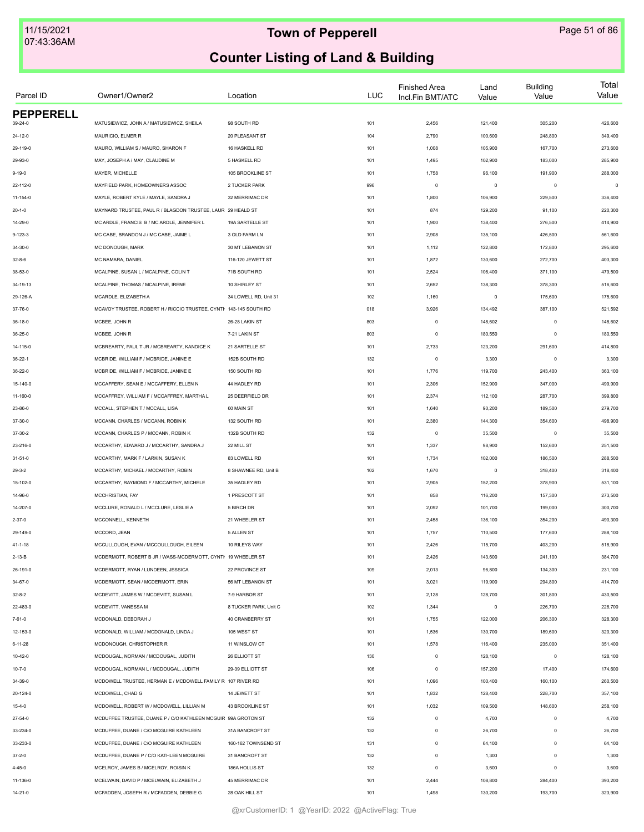| Parcel ID        | Owner1/Owner2                                                      | Location              | <b>LUC</b> | <b>Finished Area</b><br>Incl.Fin BMT/ATC | Land<br>Value | <b>Building</b><br>Value | Total<br>Value |
|------------------|--------------------------------------------------------------------|-----------------------|------------|------------------------------------------|---------------|--------------------------|----------------|
| <b>PEPPERELL</b> |                                                                    |                       |            |                                          |               |                          |                |
| 39-24-0          | MATUSIEWICZ, JOHN A / MATUSIEWICZ, SHEILA                          | 98 SOUTH RD           | 101        | 2,456                                    | 121,400       | 305,200                  | 426,600        |
| $24 - 12 - 0$    | MAURICIO, ELMER R                                                  | 20 PLEASANT ST        | 104        | 2,790                                    | 100,600       | 248,800                  | 349,400        |
| 29-119-0         | MAURO, WILLIAM S / MAURO, SHARON F                                 | 16 HASKELL RD         | 101        | 1,008                                    | 105,900       | 167,700                  | 273,600        |
| 29-93-0          | MAY, JOSEPH A / MAY, CLAUDINE M                                    | 5 HASKELL RD          | 101        | 1,495                                    | 102,900       | 183,000                  | 285,900        |
| $9 - 19 - 0$     | MAYER, MICHELLE                                                    | 105 BROOKLINE ST      | 101        | 1,758                                    | 96,100        | 191,900                  | 288,000        |
| 22-112-0         | MAYFIELD PARK, HOMEOWNERS ASSOC                                    | 2 TUCKER PARK         | 996        | $\mathsf 0$                              | $\mathsf 0$   | $\circ$                  | $\circ$        |
| $11 - 154 - 0$   | MAYLE, ROBERT KYLE / MAYLE, SANDRA J                               | 32 MERRIMAC DR        | 101        | 1,800                                    | 106,900       | 229,500                  | 336,400        |
| $20 - 1 - 0$     | MAYNARD TRUSTEE, PAUL R / BLAGDON TRUSTEE, LAUR 29 HEALD ST        |                       | 101        | 874                                      | 129,200       | 91,100                   | 220,300        |
| 14-29-0          | MC ARDLE. FRANCIS B / MC ARDLE. JENNIFER L                         | 19A SARTELLE ST       | 101        | 1,900                                    | 138,400       | 276,500                  | 414,900        |
| $9 - 123 - 3$    | MC CABE, BRANDON J / MC CABE, JAIME L                              | 3 OLD FARM LN         | 101        | 2,908                                    | 135,100       | 426,500                  | 561,600        |
| $34 - 30 - 0$    | MC DONOUGH, MARK                                                   | 30 MT LEBANON ST      | 101        | 1,112                                    | 122,800       | 172,800                  | 295,600        |
| $32 - 8 - 6$     | MC NAMARA, DANIEL                                                  | 116-120 JEWETT ST     | 101        | 1,872                                    | 130,600       | 272,700                  | 403,300        |
| 38-53-0          | MCALPINE, SUSAN L / MCALPINE, COLIN T                              | 71B SOUTH RD          | 101        | 2,524                                    | 108,400       | 371,100                  | 479,500        |
| 34-19-13         | MCALPINE, THOMAS / MCALPINE, IRENE                                 | 10 SHIRLEY ST         | 101        | 2,652                                    | 138,300       | 378,300                  | 516,600        |
| 29-126-A         | MCARDLE, ELIZABETH A                                               | 34 LOWELL RD, Unit 31 | 102        | 1,160                                    | $\mathsf 0$   | 175,600                  | 175,600        |
| 37-76-0          | MCAVOY TRUSTEE, ROBERT H / RICCIO TRUSTEE, CYNTI- 143-145 SOUTH RD |                       | 018        | 3,926                                    | 134,492       | 387,100                  | 521,592        |
| $36 - 18 - 0$    | MCBEE, JOHN R                                                      | 26-28 LAKIN ST        | 803        | $\mathsf 0$                              | 148,602       | $\mathbf 0$              | 148,602        |
| 36-25-0          | MCBEE, JOHN R                                                      | 7-21 LAKIN ST         | 803        | $\mathsf 0$                              | 180,550       | $\mathbf 0$              | 180,550        |
| 14-115-0         | MCBREARTY, PAUL T JR / MCBREARTY, KANDICE K                        | 21 SARTELLE ST        | 101        | 2,733                                    | 123,200       | 291,600                  | 414,800        |
| $36 - 22 - 1$    | MCBRIDE, WILLIAM F / MCBRIDE, JANINE E                             | 152B SOUTH RD         | 132        | $\mathsf 0$                              | 3,300         | $\mathbf 0$              | 3,300          |
| 36-22-0          | MCBRIDE. WILLIAM F / MCBRIDE. JANINE E                             | 150 SOUTH RD          | 101        | 1,776                                    | 119,700       | 243,400                  | 363,100        |
| 15-140-0         | MCCAFFERY, SEAN E / MCCAFFERY, ELLEN N                             | 44 HADLEY RD          | 101        | 2,306                                    | 152,900       | 347,000                  | 499,900        |
| 11-160-0         | MCCAFFREY, WILLIAM F / MCCAFFREY, MARTHA L                         | 25 DEERFIELD DR       | 101        | 2,374                                    | 112,100       | 287,700                  | 399,800        |
| 23-86-0          | MCCALL, STEPHEN T / MCCALL, LISA                                   | 60 MAIN ST            | 101        | 1,640                                    | 90,200        | 189,500                  | 279,700        |
| 37-30-0          | MCCANN, CHARLES / MCCANN, ROBIN K                                  | 132 SOUTH RD          | 101        | 2,380                                    | 144,300       | 354,600                  | 498,900        |
| 37-30-2          | MCCANN, CHARLES P / MCCANN, ROBIN K                                | 132B SOUTH RD         | 132        | $\circ$                                  | 35,500        | $\circ$                  | 35,500         |
|                  | MCCARTHY, EDWARD J / MCCARTHY, SANDRA J                            | 22 MILL ST            | 101        | 1,337                                    | 98,900        | 152,600                  | 251,500        |
| 23-216-0         | MCCARTHY, MARK F / LARKIN, SUSAN K                                 | 83 LOWELL RD          | 101        | 1,734                                    | 102,000       | 186,500                  | 288,500        |
| 31-51-0          |                                                                    |                       |            |                                          |               |                          |                |
| $29 - 3 - 2$     | MCCARTHY, MICHAEL / MCCARTHY, ROBIN                                | 8 SHAWNEE RD, Unit B  | 102        | 1,670                                    | $\mathsf 0$   | 318,400                  | 318,400        |
| 15-102-0         | MCCARTHY, RAYMOND F / MCCARTHY, MICHELE                            | 35 HADLEY RD          | 101        | 2,905                                    | 152,200       | 378,900                  | 531,100        |
| 14-96-0          | MCCHRISTIAN, FAY                                                   | 1 PRESCOTT ST         | 101        | 858                                      | 116,200       | 157,300                  | 273,500        |
| 14-207-0         | MCCLURE, RONALD L / MCCLURE, LESLIE A                              | 5 BIRCH DR            | 101        | 2,092                                    | 101,700       | 199,000                  | 300,700        |
| $2 - 37 - 0$     | MCCONNELL, KENNETH                                                 | 21 WHEELER ST         | 101        | 2,458                                    | 136,100       | 354,200                  | 490,300        |
| 29-149-0         | MCCORD, JEAN                                                       | 5 ALLEN ST            | 101        | 1,757                                    | 110,500       | 177,600                  | 288,100        |
| $41 - 1 - 18$    | MCCULLOUGH, EVAN / MCCOULLOUGH, EILEEN                             | 10 RILEYS WAY         | 101        | 2,426                                    | 115,700       | 403,200                  | 518,900        |
| 2-13-B           | MCDERMOTT, ROBERT B JR / WASS-MCDERMOTT, CYNTI 19 WHEELER ST       |                       | 101        | 2,426                                    | 143,600       | 241,100                  | 384,700        |
| 26-191-0         | MCDERMOTT, RYAN / LUNDEEN, JESSICA                                 | 22 PROVINCE ST        | 109        | 2,013                                    | 96,800        | 134,300                  | 231,100        |
| 34-67-0          | MCDERMOTT, SEAN / MCDERMOTT, ERIN                                  | 56 MT LEBANON ST      | 101        | 3,021                                    | 119,900       | 294,800                  | 414,700        |
| $32 - 8 - 2$     | MCDEVITT, JAMES W / MCDEVITT, SUSAN L                              | 7-9 HARBOR ST         | 101        | 2,128                                    | 128,700       | 301,800                  | 430,500        |
| 22-483-0         | MCDEVITT, VANESSA M                                                | 8 TUCKER PARK, Unit C | 102        | 1,344                                    | $\mathsf 0$   | 226,700                  | 226,700        |
| $7 - 61 - 0$     | MCDONALD, DEBORAH J                                                | 40 CRANBERRY ST       | 101        | 1,755                                    | 122,000       | 206,300                  | 328,300        |
| 12-153-0         | MCDONALD, WILLIAM / MCDONALD, LINDA J                              | 105 WEST ST           | 101        | 1,536                                    | 130,700       | 189,600                  | 320,300        |
| $6 - 11 - 28$    | MCDONOUGH, CHRISTOPHER R                                           | 11 WINSLOW CT         | 101        | 1,578                                    | 116,400       | 235,000                  | 351,400        |
| 10-42-0          | MCDOUGAL, NORMAN / MCDOUGAL, JUDITH                                | 26 ELLIOTT ST         | 130        | $\mathbf 0$                              | 128,100       | $\mathbf 0$              | 128,100        |
| $10 - 7 - 0$     | MCDOUGAL, NORMAN L / MCDOUGAL, JUDITH                              | 29-39 ELLIOTT ST      | 106        | $\mathsf 0$                              | 157,200       | 17,400                   | 174,600        |
| 34-39-0          | MCDOWELL TRUSTEE, HERMAN E / MCDOWELL FAMILY R 107 RIVER RD        |                       | 101        | 1,096                                    | 100,400       | 160,100                  | 260,500        |
| 20-124-0         | MCDOWELL, CHAD G                                                   | 14 JEWETT ST          | 101        | 1,832                                    | 128,400       | 228,700                  | 357,100        |
| $15 - 4 - 0$     | MCDOWELL, ROBERT W / MCDOWELL, LILLIAN M                           | 43 BROOKLINE ST       | 101        | 1,032                                    | 109,500       | 148,600                  | 258,100        |
| 27-54-0          | MCDUFFEE TRUSTEE, DUANE P / C/O KATHLEEN MCGUIR 99A GROTON ST      |                       | 132        | $\mathsf 0$                              | 4,700         | $^{\circ}$               | 4,700          |
| 33-234-0         | MCDUFFEE, DUANE / C/O MCGUIRE KATHLEEN                             | 31A BANCROFT ST       | 132        | $\mathsf 0$                              | 26,700        | $\mathbf 0$              | 26,700         |
| 33-233-0         | MCDUFFEE, DUANE / C/O MCGUIRE KATHLEEN                             | 160-162 TOWNSEND ST   | 131        | $\mathsf 0$                              | 64,100        | $\mathbf 0$              | 64,100         |
| $37 - 2 - 0$     | MCDUFFEE, DUANE P / C/O KATHLEEN MCGUIRE                           | 31 BANCROFT ST        | 132        | $\mathsf 0$                              | 1,300         | $\Omega$                 | 1,300          |
| $4 - 45 - 0$     | MCELROY, JAMES B / MCELROY, ROISIN K                               | 186A HOLLIS ST        | 132        | $\mathsf 0$                              | 3,600         | $\mathbf 0$              | 3,600          |
| 11-136-0         | MCELWAIN, DAVID P / MCELWAIN, ELIZABETH J                          | 45 MERRIMAC DR        | 101        | 2,444                                    | 108,800       | 284,400                  | 393,200        |
| $14 - 21 - 0$    | MCFADDEN, JOSEPH R / MCFADDEN, DEBBIE G                            | 28 OAK HILL ST        | 101        | 1,498                                    | 130,200       | 193,700                  | 323,900        |
|                  |                                                                    |                       |            |                                          |               |                          |                |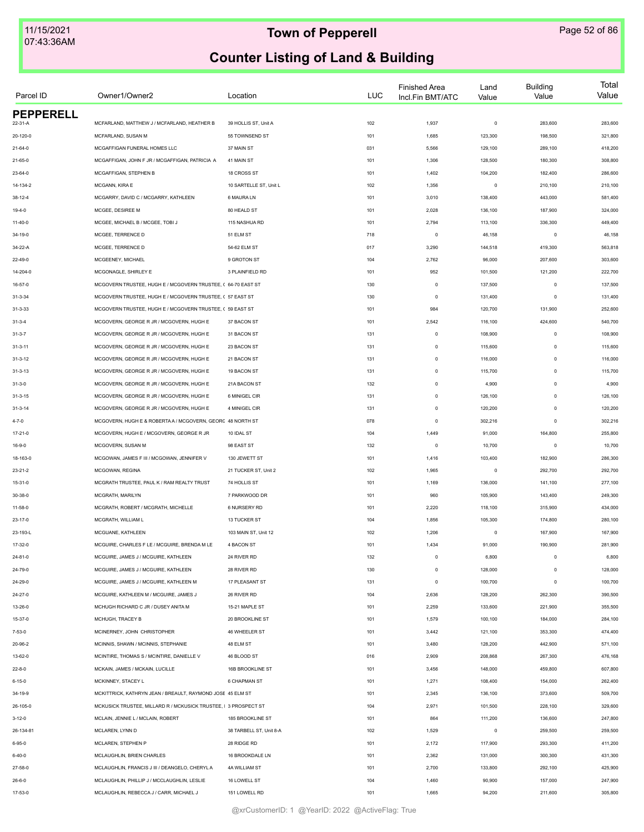| Parcel ID        | Owner1/Owner2                                                   | Location                               | <b>LUC</b> | <b>Finished Area</b><br>Incl.Fin BMT/ATC | Land<br>Value | <b>Building</b><br>Value | Total<br>Value     |
|------------------|-----------------------------------------------------------------|----------------------------------------|------------|------------------------------------------|---------------|--------------------------|--------------------|
| <b>PEPPERELL</b> |                                                                 |                                        |            |                                          |               |                          |                    |
| 22-31-A          | MCFARLAND, MATTHEW J / MCFARLAND, HEATHER B                     | 39 HOLLIS ST, Unit A                   | 102        | 1,937                                    | $\,$ 0        | 283,600                  | 283,600            |
| 20-120-0         | MCFARLAND, SUSAN M                                              | 55 TOWNSEND ST                         | 101        | 1,685                                    | 123,300       | 198,500                  | 321,800            |
| $21 - 64 - 0$    | MCGAFFIGAN FUNERAL HOMES LLC                                    | 37 MAIN ST                             | 031        | 5,566                                    | 129,100       | 289,100                  | 418,200            |
| 21-65-0          | MCGAFFIGAN, JOHN F JR / MCGAFFIGAN, PATRICIA A                  | 41 MAIN ST                             | 101        | 1,306                                    | 128,500       | 180,300                  | 308,800            |
| 23-64-0          | MCGAFFIGAN, STEPHEN B                                           | 18 CROSS ST                            | 101        | 1,402                                    | 104,200       | 182,400                  | 286,600            |
| 14-134-2         | MCGANN, KIRA E                                                  | 10 SARTELLE ST, Unit L                 | 102        | 1,356                                    | $\mathbf 0$   | 210,100                  | 210,100            |
| 38-12-4          | MCGARRY, DAVID C / MCGARRY, KATHLEEN                            | 6 MAURA LN                             | 101        | 3,010                                    | 138,400       | 443,000                  | 581,400            |
| $19 - 4 - 0$     | MCGEE, DESIREE M                                                | 80 HEALD ST                            | 101        | 2,028                                    | 136,100       | 187,900                  | 324,000            |
| $11 - 40 - 0$    | MCGEE, MICHAEL B / MCGEE, TOBI J                                | 115 NASHUA RD                          | 101        | 2,794                                    | 113,100       | 336,300                  | 449,400            |
| 34-19-0          | MCGEE, TERRENCE D                                               | 51 ELM ST                              | 718        | $^{\circ}$                               | 46,158        | $\mathbf 0$              | 46,158             |
| 34-22-A          | MCGEE, TERRENCE D                                               | 54-62 ELM ST                           | 017        | 3,290                                    | 144,518       | 419,300                  | 563,818            |
| 22-49-0          | MCGEENEY, MICHAEL                                               | 9 GROTON ST                            | 104        | 2,762                                    | 96,000        | 207,600                  | 303,600            |
| 14-204-0         | MCGONAGLE, SHIRLEY E                                            | 3 PLAINFIELD RD                        | 101        | 952                                      | 101,500       | 121,200                  | 222,700            |
| 16-57-0          | MCGOVERN TRUSTEE, HUGH E / MCGOVERN TRUSTEE, ( 64-70 EAST ST    |                                        | 130        | $\mathsf 0$                              | 137,500       | $^{\circ}$               | 137,500            |
| $31 - 3 - 34$    | MCGOVERN TRUSTEE, HUGH E / MCGOVERN TRUSTEE, ( 57 EAST ST       |                                        | 130        | $\mathsf 0$                              | 131,400       | $\mathbf 0$              | 131,400            |
| $31 - 3 - 33$    | MCGOVERN TRUSTEE, HUGH E / MCGOVERN TRUSTEE, ( 59 EAST ST       |                                        | 101        | 984                                      | 120,700       | 131,900                  | 252,600            |
| $31 - 3 - 4$     | MCGOVERN, GEORGE R JR / MCGOVERN, HUGH E                        | 37 BACON ST                            | 101        | 2,542                                    | 116,100       | 424,600                  | 540,700            |
| $31 - 3 - 7$     | MCGOVERN, GEORGE R JR / MCGOVERN, HUGH E                        | 31 BACON ST                            | 131        | $\mathsf 0$                              | 108,900       | $\mathbf 0$              | 108,900            |
| $31 - 3 - 11$    | MCGOVERN, GEORGE R JR / MCGOVERN, HUGH E                        | 23 BACON ST                            | 131        | $\mathsf 0$                              | 115,600       | $\mathbf 0$              | 115,600            |
| $31 - 3 - 12$    | MCGOVERN, GEORGE R JR / MCGOVERN, HUGH E                        | 21 BACON ST                            | 131        | $\mathsf 0$                              | 116,000       | $\mathbf 0$              | 116,000            |
| $31 - 3 - 13$    | MCGOVERN, GEORGE R JR / MCGOVERN, HUGH E                        | 19 BACON ST                            | 131        | $\mathsf 0$                              | 115,700       | $\mathbf 0$              | 115,700            |
| $31 - 3 - 0$     | MCGOVERN, GEORGE R JR / MCGOVERN, HUGH E                        | 21A BACON ST                           | 132        | $\mathsf 0$                              | 4,900         | $\mathbf 0$              | 4,900              |
| $31 - 3 - 15$    | MCGOVERN, GEORGE R JR / MCGOVERN, HUGH E                        | 6 MINIGEL CIR                          | 131        | $\mathsf 0$                              | 126,100       | $\mathbf 0$              | 126,100            |
|                  | MCGOVERN, GEORGE R JR / MCGOVERN, HUGH E                        | 4 MINIGEL CIR                          | 131        | $\mathsf 0$                              | 120,200       | $\Omega$                 | 120,200            |
| $31 - 3 - 14$    |                                                                 |                                        |            |                                          |               |                          |                    |
| $4 - 7 - 0$      | MCGOVERN, HUGH E & ROBERTA A / MCGOVERN, GEORC 48 NORTH ST      |                                        | 078        | $\mathsf 0$                              | 302,216       | $\mathbf 0$              | 302,216            |
| $17 - 21 - 0$    | MCGOVERN, HUGH E / MCGOVERN, GEORGE R JR                        | 10 IDAL ST                             | 104        | 1,449                                    | 91,000        | 164,800                  | 255,800            |
| $16 - 9 - 0$     | MCGOVERN, SUSAN M                                               | 98 EAST ST                             | 132        | $\mathsf 0$                              | 10,700        | $\mathbf 0$              | 10,700             |
| 18-163-0         | MCGOWAN, JAMES F III / MCGOWAN, JENNIFER V                      | 130 JEWETT ST                          | 101        | 1,416                                    | 103,400       | 182,900                  | 286,300            |
| $23 - 21 - 2$    | MCGOWAN, REGINA                                                 | 21 TUCKER ST, Unit 2                   | 102        | 1,965                                    | 0             | 292,700                  | 292,700            |
| $15 - 31 - 0$    | MCGRATH TRUSTEE, PAUL K / RAM REALTY TRUST                      | 74 HOLLIS ST                           | 101        | 1,169                                    | 136,000       | 141,100                  | 277,100            |
| 30-38-0          | MCGRATH, MARILYN                                                | 7 PARKWOOD DR                          | 101        | 960                                      | 105,900       | 143,400                  | 249,300            |
| $11 - 58 - 0$    | MCGRATH, ROBERT / MCGRATH, MICHELLE                             | 6 NURSERY RD                           | 101        | 2,220                                    | 118,100       | 315,900                  | 434,000            |
| $23 - 17 - 0$    | MCGRATH. WILLIAM L                                              | 13 TUCKER ST                           | 104        | 1,856                                    | 105,300       | 174,800                  | 280,100            |
| 23-193-L         | MCGUANE, KATHLEEN                                               | 103 MAIN ST, Unit 12                   | 102        | 1,206                                    | $\mathbf 0$   | 167,900                  | 167,900            |
| 17-32-0          | MCGUIRE, CHARLES F LE / MCGUIRE, BRENDA M LE                    | 4 BACON ST                             | 101        | 1,434                                    | 91,000        | 190,900                  | 281,900            |
| $24 - 81 - 0$    | MCGUIRE, JAMES J / MCGUIRE, KATHLEEN                            | 24 RIVER RD                            | 132        | $\mathbb O$                              | 6,800         | $\mathbf 0$              | 6,800              |
| 24-79-0          | MCGUIRE, JAMES J / MCGUIRE, KATHLEEN                            | 28 RIVER RD                            | 130        | $\mathsf 0$                              | 128,000       | $\Omega$                 | 128,000            |
| 24-29-0          | MCGUIRE, JAMES J / MCGUIRE, KATHLEEN M                          | 17 PLEASANT ST                         | 131        | $\mathsf 0$                              | 100,700       | $\Omega$                 | 100,700            |
| $24 - 27 - 0$    | MCGUIRE, KATHLEEN M / MCGUIRE, JAMES J                          | 26 RIVER RD                            | 104        | 2,636                                    | 128,200       | 262,300                  | 390,500            |
| 13-26-0          | MCHUGH RICHARD C JR / DUSEY ANITA M                             | 15-21 MAPLE ST                         | 101        | 2,259                                    | 133,600       | 221,900                  | 355,500            |
| 15-37-0          | MCHUGH, TRACEY B                                                | 20 BROOKLINE ST                        | 101        | 1,579                                    | 100,100       | 184,000                  | 284,100            |
| 7-53-0           | MCINERNEY, JOHN CHRISTOPHER                                     | 46 WHEELER ST                          | 101        | 3,442                                    | 121,100       | 353,300                  | 474,400            |
| 20-96-2          | MCINNIS, SHAWN / MCINNIS, STEPHANIE                             | 48 ELM ST                              | 101        | 3,480                                    | 128,200       | 442,900                  | 571,100            |
| 13-62-0          | MCINTIRE, THOMAS S / MCINTIRE, DANIELLE V                       | 46 BLOOD ST                            | 016        | 2,909                                    | 208,868       | 267,300                  | 476,168            |
| $22 - 8 - 0$     | MCKAIN, JAMES / MCKAIN, LUCILLE                                 | 16B BROOKLINE ST                       | 101        | 3,456                                    | 148,000       | 459,800                  | 607,800            |
| $6 - 15 - 0$     | MCKINNEY, STACEY L                                              | <b>6 CHAPMAN ST</b>                    | 101        | 1,271                                    | 108,400       | 154,000                  | 262,400            |
| 34-19-9          | MCKITTRICK, KATHRYN JEAN / BREAULT, RAYMOND JOSE 45 ELM ST      |                                        | 101        | 2,345                                    | 136,100       | 373,600                  | 509,700            |
| 26-105-0         | MCKUSICK TRUSTEE, MILLARD R / MCKUSICK TRUSTEE, I 3 PROSPECT ST |                                        | 104        | 2,971                                    | 101,500       | 228,100                  | 329,600            |
| $3-12-0$         | MCLAIN, JENNIE L / MCLAIN, ROBERT                               | 185 BROOKLINE ST                       | 101        | 864                                      | 111,200       | 136,600                  | 247,800            |
|                  |                                                                 |                                        |            |                                          | $\mathbf 0$   |                          |                    |
| 26-134-81        | MCLAREN, LYNN D<br>MCLAREN, STEPHEN P                           | 38 TARBELL ST, Unit 8-A<br>28 RIDGE RD | 102        | 1,529<br>2,172                           | 117,900       | 259,500<br>293,300       | 259,500<br>411,200 |
| $6 - 95 - 0$     |                                                                 |                                        | 101        |                                          |               |                          |                    |
| $6 - 40 - 0$     | MCLAUGHLIN, BRIEN CHARLES                                       | 16 BROOKDALE LN                        | 101        | 2,362                                    | 131,000       | 300,300                  | 431,300            |
| 27-58-0          | MCLAUGHLIN, FRANCIS J III / DEANGELO, CHERYL A                  | 4A WILLIAM ST                          | 101        | 2,700                                    | 133,800       | 292,100                  | 425,900            |
| $26 - 6 - 0$     | MCLAUGHLIN, PHILLIP J / MCCLAUGHLIN, LESLIE                     | 16 LOWELL ST                           | 104        | 1,460                                    | 90,900        | 157,000                  | 247,900            |
| 17-53-0          | MCLAUGHLIN, REBECCA J / CARR, MICHAEL J                         | 151 LOWELL RD                          | 101        | 1,665                                    | 94,200        | 211,600                  | 305,800            |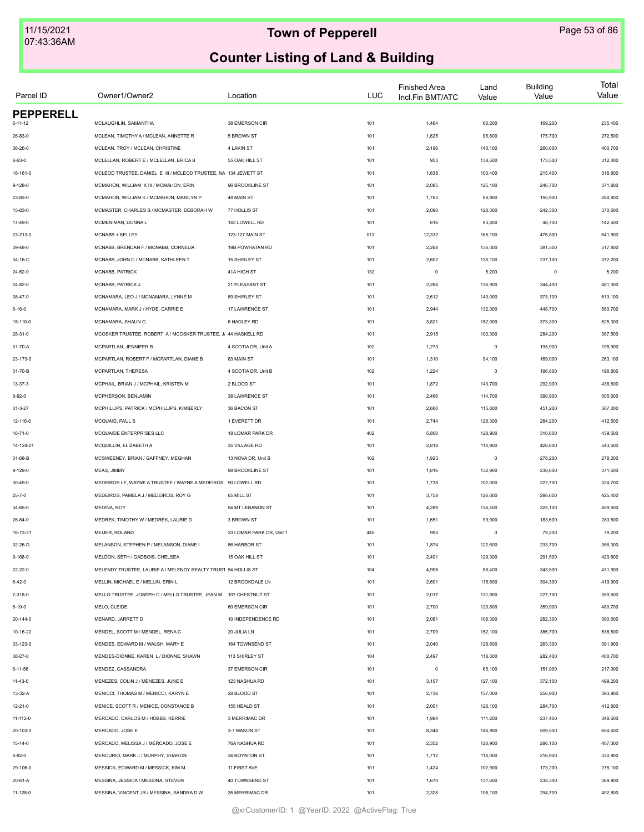| Parcel ID                   | Owner1/Owner2                                                   | Location                 | <b>LUC</b> | <b>Finished Area</b><br>Incl.Fin BMT/ATC | Land<br>Value | <b>Building</b><br>Value | Total<br>Value |
|-----------------------------|-----------------------------------------------------------------|--------------------------|------------|------------------------------------------|---------------|--------------------------|----------------|
| <b>PEPPERELL</b><br>6-11-12 | MCLAUGHLIN, SAMANTHA                                            | 38 EMERSON CIR           | 101        | 1,464                                    | 66,200        | 169,200                  | 235,400        |
| 26-83-0                     | MCLEAN, TIMOTHY A / MCLEAN, ANNETTE R                           | 5 BROWN ST               | 101        | 1,625                                    | 96,800        | 175,700                  | 272,500        |
|                             |                                                                 |                          |            |                                          |               |                          |                |
| 36-26-0                     | MCLEAN, TROY / MCLEAN, CHRISTINE                                | <b>4 LAKIN ST</b>        | 101        | 2,196                                    | 140,100       | 260,600                  | 400,700        |
| $8 - 63 - 0$                | MCLELLAN, ROBERT E / MCLELLAN, ERICA B                          | 55 OAK HILL ST           | 101        | 953                                      | 138,500       | 173,500                  | 312,000        |
| 18-161-0                    | MCLEOD TRUSTEE, DANIEL E III / MCLEOD TRUSTEE, NA 134 JEWETT ST |                          | 101        | 1,638                                    | 103,400       | 215,400                  | 318,800        |
| $9 - 128 - 0$               | MCMAHON, WILLIAM K III / MCMAHON, ERIN                          | 96 BROOKLINE ST          | 101        | 2,085                                    | 125,100       | 246,700                  | 371,800        |
| 23-83-0                     | MCMAHON, WILLIAM K / MCMAHON, MARILYN P                         | 48 MAIN ST               | 101        | 1,763                                    | 88,900        | 195,900                  | 284,800        |
| 15-83-0                     | MCMASTER, CHARLES B / MCMASTER, DEBORAH W                       | 77 HOLLIS ST             | 101        | 2,090                                    | 128,300       | 242,300                  | 370,600        |
| 17-49-0                     | MCMENIMAN, DONNA L                                              | 143 LOWELL RD            | 101        | 616                                      | 93,800        | 48,700                   | 142,500        |
| 23-213-0                    | MCNABB + KELLEY                                                 | 123-127 MAIN ST          | 013        | 12,332                                   | 165,100       | 476,800                  | 641,900        |
| 39-48-0                     | MCNABB, BRENDAN F / MCNABB, CORNELIA                            | 19B POWHATAN RD          | 101        | 2,268                                    | 136,300       | 381,500                  | 517,800        |
| 34-16-C                     | MCNABB, JOHN C / MCNABB, KATHLEEN T                             | 15 SHIRLEY ST            | 101        | 2,602                                    | 135,100       | 237,100                  | 372,200        |
| 24-52-0                     | MCNABB, PATRICK                                                 | 41A HIGH ST              | 132        | $\circ$                                  | 5,200         | $\circ$                  | 5,200          |
| 24-82-0                     | MCNABB, PATRICK J                                               | 21 PLEASANT ST           | 101        | 2,264                                    | 136,900       | 344,400                  | 481,300        |
| $38 - 47 - 0$               | MCNAMARA, LEO J / MCNAMARA, LYNNE M                             | 89 SHIRLEY ST            | 101        | 2,612                                    | 140,000       | 373,100                  | 513,100        |
| $8 - 16 - 0$                | MCNAMARA, MARK J / HYDE, CARRIE E                               | 17 LAWRENCE ST           | 101        | 2,944                                    | 132,000       | 448,700                  | 580,700        |
| 15-110-0                    | MCNAMARA, SHAUN G                                               | 6 HADLEY RD              | 101        | 3,821                                    | 152,000       | 373,300                  | 525,300        |
| 28-31-0                     | MCOSKER TRUSTEE, ROBERT A / MCOSKER TRUSTEE, J, 44 HASKELL RD   |                          | 101        | 2,915                                    | 103,300       | 284,200                  | 387,500        |
| 31-70-A                     | MCPARTLAN, JENNIFER B                                           | 4 SCOTIA DR, Unit A      | 102        | 1,273                                    | $\mathsf 0$   | 195,900                  | 195,900        |
| 23-173-0                    | MCPARTLAN, ROBERT F / MCPARTLAN, DIANE B                        | 83 MAIN ST               | 101        | 1,310                                    | 94,100        | 169,000                  | 263,100        |
| 31-70-B                     | MCPARTLAN, THERESA                                              | 4 SCOTIA DR, Unit B      | 102        | 1,224                                    | $\mathsf 0$   | 196,800                  | 196,800        |
| 13-37-3                     | MCPHAIL, BRIAN J / MCPHAIL, KRISTEN M                           | 2 BLOOD ST               | 101        | 1,872                                    | 143,700       | 292,900                  | 436,600        |
| $8 - 92 - 0$                | MCPHERSON, BENJAMIN                                             | 38 LAWRENCE ST           | 101        | 2,466                                    | 114,700       | 390,900                  | 505,600        |
| $31 - 3 - 27$               | MCPHILLIPS, PATRICK / MCPHILLIPS, KIMBERLY                      | 36 BACON ST              | 101        | 2,660                                    | 115,800       | 451,200                  | 567,000        |
| 12-116-0                    | MCQUAID, PAUL S                                                 | 1 EVERETT DR             | 101        | 2,744                                    | 128,300       | 284,200                  | 412,500        |
| $16 - 71 - 0$               | MCQUAIDE ENTERPRISES LLC                                        | 18 LOMAR PARK DR         | 402        | 5,800                                    | 128,900       | 310,600                  | 439,500        |
| 14-124-21                   | MCQUILLIN, ELIZABETH A                                          | 35 VILLAGE RD            | 101        | 2,818                                    | 114,900       | 428,600                  | 543,500        |
| 31-68-B                     | MCSWEENEY, BRIAN / GAFFNEY, MEGHAN                              | 13 NOVA DR, Unit B       | 102        | 1,923                                    | $\,0\,$       | 278,200                  | 278,200        |
| $9 - 129 - 0$               | MEAS, JIMMY                                                     | 98 BROOKLINE ST          | 101        | 1,816                                    | 132,900       | 238,600                  | 371,500        |
| $30 - 49 - 0$               | MEDEIROS LE, WAYNE A TRUSTEE / WAYNE A MEDEIROS 90 LOWELL RD    |                          | 101        | 1,738                                    | 102,000       | 222,700                  | 324,700        |
|                             |                                                                 |                          |            |                                          |               |                          |                |
| $25 - 7 - 0$                | MEDEIROS, PAMELA J / MEDEIROS, ROY G                            | 65 MILL ST               | 101        | 3,758                                    | 126,800       | 298,600                  | 425,400        |
| 34-65-0                     | MEDINA, ROY                                                     | 54 MT LEBANON ST         | 101        | 4,289                                    | 134,400       | 325,100                  | 459,500        |
| 26-84-0                     | MEDREK, TIMOTHY W / MEDREK, LAURIE D                            | 3 BROWN ST               | 101        | 1,651                                    | 99,900        | 183,600                  | 283,500        |
| 16-73-31                    | MEIJER, ROLAND                                                  | 33 LOMAR PARK DR, Unit 1 | 445        | 993                                      | $^{\circ}$    | 79,200                   | 79,200         |
| 32-26-D                     | MELANSON, STEPHEN P / MELANSON, DIANE I                         | 86 HARBOR ST             | 101        | 1,874                                    | 122,600       | 233,700                  | 356,300        |
| $9 - 168 - 0$               | MELDON, SETH / GADBOIS, CHELSEA                                 | 15 OAK HILL ST           | 101        | 2,401                                    | 129,300       | 291,500                  | 420,800        |
| 22-22-0                     | MELENDY TRUSTEE, LAURIE A/ MELENDY REALTY TRUS1 54 HOLLIS ST    |                          | 104        | 4,995                                    | 88,400        | 343,500                  | 431,900        |
| $6 - 42 - 0$                | MELLIN, MICHAEL E / MELLIN, ERIN L                              | 12 BROOKDALE LN          | 101        | 2,601                                    | 115,600       | 304,300                  | 419,900        |
| 7-318-0                     | MELLO TRUSTEE, JOSEPH C / MELLO TRUSTEE, JEAN M 107 CHESTNUT ST |                          | 101        | 2,017                                    | 131,900       | 227,700                  | 359,600        |
| $6 - 19 - 0$                | MELO, CLEIDE                                                    | 60 EMERSON CIR           | 101        | 2,700                                    | 120,800       | 359,900                  | 480,700        |
| 20-144-0                    | MENARD, JARRETT D                                               | 10 INDEPENDENCE RD       | 101        | 2,081                                    | 108,300       | 282,300                  | 390,600        |
| 10-16-22                    | MENDEL, SCOTT M / MENDEL, RENA C                                | 20 JULIA LN              | 101        | 2,709                                    | 152,100       | 386,700                  | 538,800        |
| 33-123-0                    | MENDES, EDWARD M / WALSH, MARY E                                | 164 TOWNSEND ST          | 101        | 2,040                                    | 128,600       | 263,300                  | 391,900        |
| 38-27-0                     | MENDES-DIONNE, KAREN L / DIONNE, SHAWN                          | 113 SHIRLEY ST           | 104        | 2,497                                    | 118,300       | 282,400                  | 400,700        |
| $6 - 11 - 56$               | MENDEZ, CASSANDRA                                               | 37 EMERSON CIR           | 101        | $\circ$                                  | 65,100        | 151,900                  | 217,000        |
| $11 - 43 - 0$               | MENEZES. COLIN J / MENEZES. JUNE E                              | 123 NASHUA RD            | 101        | 3,107                                    | 127,100       | 372,100                  | 499,200        |
| 13-32-A                     | MENICCI, THOMAS M / MENICCI, KARYN E                            | 28 BLOOD ST              | 101        | 2,736                                    | 137,000       | 256,900                  | 393,900        |
| 12-21-0                     | MENICE, SCOTT R / MENICE, CONSTANCE B                           | 155 HEALD ST             | 101        | 2,001                                    | 128,100       | 284,700                  | 412,800        |
| 11-112-0                    | MERCADO, CARLOS M / HOBBS, KERRIE                               | 3 MERRIMAC DR            | 101        | 1,984                                    | 111,200       | 237,400                  | 348,600        |
| 20-103-0                    | MERCADO, JOSE E                                                 | 3-7 MASON ST             | 101        | 8,344                                    | 144,900       | 509,500                  | 654,400        |
| 15-14-0                     | MERCADO, MELISSA J / MERCADO, JOSE E                            | 76A NASHUA RD            | 101        | 2,352                                    | 120,900       | 286,100                  | 407,000        |
| 8-82-0                      | MERCURIO, MARK J / MURPHY, SHARON                               | 34 BOYNTON ST            | 101        | 1,712                                    | 114,000       | 216,900                  | 330,900        |
| 29-106-0                    | MESSICK, EDWARD M / MESSICK, KIM M                              | 11 FIRST AVE             | 101        | 1,424                                    | 102,900       | 173,200                  | 276,100        |
| 20-61-A                     | MESSINA, JESSICA / MESSINA, STEVEN                              | 40 TOWNSEND ST           | 101        | 1,670                                    | 131,600       | 238,300                  | 369,900        |
| 11-128-0                    | MESSINA, VINCENT JR / MESSINA, SANDRA D W                       | 35 MERRIMAC DR           | 101        | 2,328                                    | 108,100       | 294,700                  | 402,800        |
|                             |                                                                 |                          |            |                                          |               |                          |                |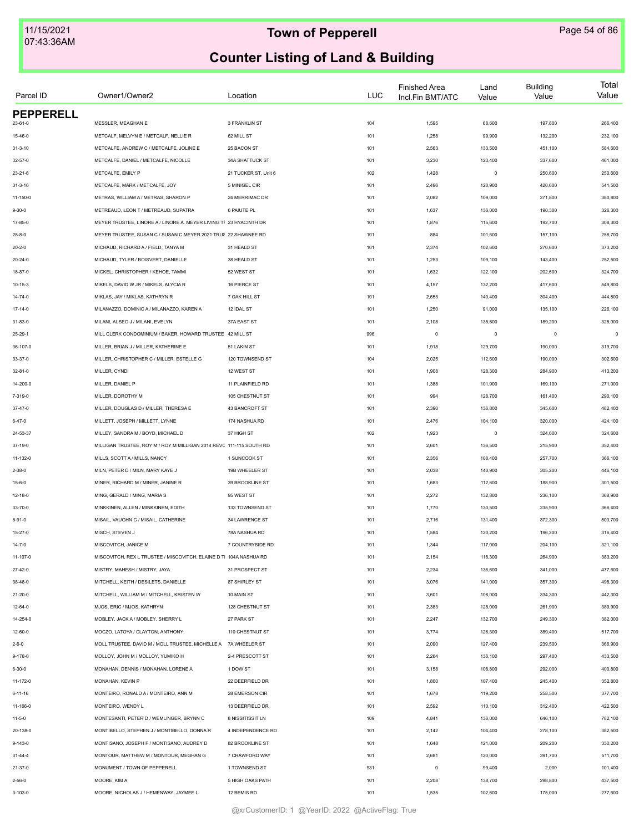| Parcel ID        | Owner1/Owner2                                                       | Location             | LUC | <b>Finished Area</b><br>Incl.Fin BMT/ATC | Land<br>Value | <b>Building</b><br>Value | Total<br>Value |
|------------------|---------------------------------------------------------------------|----------------------|-----|------------------------------------------|---------------|--------------------------|----------------|
| <b>PEPPERELL</b> |                                                                     |                      |     |                                          |               |                          |                |
| $23 - 61 - 0$    | MESSLER, MEAGHAN E                                                  | 3 FRANKLIN ST        | 104 | 1,595                                    | 68,600        | 197,800                  | 266,400        |
| 15-46-0          | METCALF, MELVYN E / METCALF, NELLIE R                               | 62 MILL ST           | 101 | 1,258                                    | 99,900        | 132,200                  | 232,100        |
| $31 - 3 - 10$    | METCALFE, ANDREW C / METCALFE, JOLINE E                             | 25 BACON ST          | 101 | 2,563                                    | 133,500       | 451,100                  | 584,600        |
| $32 - 57 - 0$    | METCALFE, DANIEL / METCALFE, NICOLLE                                | 34A SHATTUCK ST      | 101 | 3,230                                    | 123,400       | 337,600                  | 461,000        |
| 23-21-6          | METCALFE, EMILY P                                                   | 21 TUCKER ST, Unit 6 | 102 | 1,428                                    | $\mathbf 0$   | 250,600                  | 250,600        |
| $31 - 3 - 16$    | METCALFE, MARK / METCALFE, JOY                                      | 5 MINIGEL CIR        | 101 | 2,496                                    | 120,900       | 420,600                  | 541,500        |
| $11 - 150 - 0$   | METRAS, WILLIAM A / METRAS, SHARON P                                | 24 MERRIMAC DR       | 101 | 2,082                                    | 109,000       | 271,800                  | 380,800        |
| $9 - 30 - 0$     | METREAUD, LEON T / METREAUD, SUPATRA                                | 6 PAIUTE PL          | 101 | 1,637                                    | 136,000       | 190,300                  | 326,300        |
| 17-85-0          | MEYER TRUSTEE, LINORE A / LINORE A. MEYER LIVING TF 23 HYACINTH DR  |                      | 101 | 1,876                                    | 115,600       | 192,700                  | 308,300        |
| $28 - 8 - 0$     | MEYER TRUSTEE, SUSAN C / SUSAN C MEYER 2021 TRUS 22 SHAWNEE RD      |                      | 101 | 884                                      | 101,600       | 157,100                  | 258,700        |
| $20 - 2 - 0$     | MICHAUD, RICHARD A / FIELD, TANYA M                                 | 31 HEALD ST          | 101 | 2,374                                    | 102,600       | 270,600                  | 373,200        |
| 20-24-0          | MICHAUD, TYLER / BOISVERT, DANIELLE                                 | 38 HEALD ST          | 101 | 1,253                                    | 109,100       | 143,400                  | 252,500        |
| 18-87-0          | MICKEL, CHRISTOPHER / KEHOE, TAMMI                                  | 52 WEST ST           | 101 | 1,632                                    | 122,100       | 202,600                  | 324,700        |
| 10-15-3          | MIKELS, DAVID W JR / MIKELS, ALYCIA R                               | 16 PIERCE ST         | 101 | 4,157                                    | 132,200       | 417,600                  | 549,800        |
| $14 - 74 - 0$    | MIKLAS, JAY / MIKLAS, KATHRYN R                                     | 7 OAK HILL ST        | 101 | 2,653                                    | 140,400       | 304,400                  | 444,800        |
| $17 - 14 - 0$    | MILANAZZO, DOMINIC A / MILANAZZO, KAREN A                           | 12 IDAL ST           | 101 | 1,250                                    | 91,000        | 135,100                  | 226,100        |
| $31 - 83 - 0$    | MILANI, ALSEO J / MILANI, EVELYN                                    | 37A EAST ST          | 101 | 2,108                                    | 135,800       | 189,200                  | 325,000        |
| 25-29-1          | MILL CLERK CONDOMINIUM / BAKER, HOWARD TRUSTEE 42 MILL ST           |                      | 996 | $\mathsf 0$                              | $\mathsf 0$   | $\mathbf 0$              | $\mathbf 0$    |
| 36-107-0         | MILLER, BRIAN J / MILLER, KATHERINE E                               | 51 LAKIN ST          | 101 | 1,918                                    | 129,700       | 190,000                  | 319,700        |
| 33-37-0          | MILLER, CHRISTOPHER C / MILLER, ESTELLE G                           | 120 TOWNSEND ST      | 104 | 2,025                                    | 112,600       | 190,000                  | 302,600        |
| 32-81-0          | MILLER, CYNDI                                                       | 12 WEST ST           | 101 | 1,908                                    | 128,300       | 284,900                  | 413,200        |
| 14-200-0         | MILLER, DANIEL P                                                    | 11 PLAINFIELD RD     | 101 | 1,388                                    | 101,900       | 169,100                  | 271,000        |
| 7-319-0          | MILLER, DOROTHY M                                                   | 105 CHESTNUT ST      | 101 | 994                                      | 128,700       | 161,400                  | 290,100        |
| $37 - 47 - 0$    | MILLER, DOUGLAS D / MILLER, THERESA E                               | 43 BANCROFT ST       | 101 | 2,390                                    | 136,800       | 345,600                  | 482,400        |
| $6 - 47 - 0$     | MILLETT, JOSEPH / MILLETT, LYNNE                                    | 174 NASHUA RD        | 101 | 2,476                                    | 104,100       | 320,000                  | 424,100        |
| 24-53-37         | MILLEY, SANDRA M / BOYD, MICHAEL D                                  | 37 HIGH ST           | 102 | 1,923                                    | $\,0\,$       | 324,600                  | 324,600        |
| 37-19-0          | MILLIGAN TRUSTEE, ROY M / ROY M MILLIGAN 2014 REVC 111-115 SOUTH RD |                      | 101 | 2,601                                    | 136,500       | 215,900                  | 352,400        |
| 11-132-0         | MILLS, SCOTT A / MILLS, NANCY                                       | 1 SUNCOOK ST         | 101 | 2,356                                    | 108,400       | 257,700                  | 366,100        |
|                  | MILN, PETER D / MILN, MARY KAYE J                                   | 19B WHEELER ST       |     |                                          | 140,900       |                          |                |
| $2 - 38 - 0$     |                                                                     |                      | 101 | 2,038                                    |               | 305,200                  | 446,100        |
| $15 - 6 - 0$     | MINER, RICHARD M / MINER, JANINE R                                  | 39 BROOKLINE ST      | 101 | 1,683                                    | 112,600       | 188,900                  | 301,500        |
| $12 - 18 - 0$    | MING, GERALD / MING, MARIA S                                        | 95 WEST ST           | 101 | 2,272                                    | 132,800       | 236,100                  | 368,900        |
| 33-70-0          | MINKKINEN, ALLEN / MINKKINEN, EDITH                                 | 133 TOWNSEND ST      | 101 | 1,770                                    | 130,500       | 235,900                  | 366,400        |
| $8 - 91 - 0$     | MISAIL, VAUGHN C / MISAIL, CATHERINE                                | 34 LAWRENCE ST       | 101 | 2,716                                    | 131,400       | 372,300                  | 503,700        |
| $15 - 27 - 0$    | MISCH, STEVEN J                                                     | 78A NASHUA RD        | 101 | 1,584                                    | 120,200       | 196,200                  | 316,400        |
| $14 - 7 - 0$     | MISCOVITCH, JANICE M                                                | 7 COUNTRYSIDE RD     | 101 | 1,344                                    | 117,000       | 204,100                  | 321,100        |
| 11-107-0         | MISCOVITCH, REX L TRUSTEE / MISCOVITCH, ELAINE D TI 104A NASHUA RD  |                      | 101 | 2,154                                    | 118,300       | 264,900                  | 383,200        |
| $27 - 42 - 0$    | MISTRY, MAHESH / MISTRY, JAYA                                       | 31 PROSPECT ST       | 101 | 2,234                                    | 136,600       | 341,000                  | 477,600        |
| 38-48-0          | MITCHELL, KEITH / DESILETS, DANIELLE                                | 87 SHIRLEY ST        | 101 | 3,076                                    | 141,000       | 357,300                  | 498,300        |
| $21 - 20 - 0$    | MITCHELL, WILLIAM M / MITCHELL, KRISTEN W                           | 10 MAIN ST           | 101 | 3,601                                    | 108,000       | 334,300                  | 442,300        |
| $12 - 64 - 0$    | MJOS, ERIC / MJOS, KATHRYN                                          | 128 CHESTNUT ST      | 101 | 2,383                                    | 128,000       | 261,900                  | 389,900        |
| 14-254-0         | MOBLEY, JACK A / MOBLEY, SHERRY L                                   | 27 PARK ST           | 101 | 2,247                                    | 132,700       | 249,300                  | 382,000        |
| 12-60-0          | MOCZO, LATOYA / CLAYTON, ANTHONY                                    | 110 CHESTNUT ST      | 101 | 3,774                                    | 128,300       | 389,400                  | 517,700        |
| $2 - 6 - 0$      | MOLL TRUSTEE, DAVID M / MOLL TRUSTEE, MICHELLE A 7A WHEELER ST      |                      | 101 | 2,090                                    | 127,400       | 239,500                  | 366,900        |
| $9 - 178 - 0$    | MOLLOY, JOHN M / MOLLOY, YUMIKO H                                   | 2-4 PRESCOTT ST      | 101 | 2,264                                    | 136,100       | 297,400                  | 433,500        |
| $6 - 30 - 0$     | MONAHAN, DENNIS / MONAHAN, LORENE A                                 | 1 DOW ST             | 101 | 3,158                                    | 108,800       | 292,000                  | 400,800        |
| 11-172-0         | MONAHAN, KEVIN P                                                    | 22 DEERFIELD DR      | 101 | 1,800                                    | 107,400       | 245,400                  | 352,800        |
| 6-11-16          | MONTEIRO, RONALD A / MONTEIRO, ANN M                                | 28 EMERSON CIR       | 101 | 1,678                                    | 119,200       | 258,500                  | 377,700        |
| 11-166-0         | MONTEIRO, WENDY L                                                   | 13 DEERFIELD DR      | 101 | 2,592                                    | 110,100       | 312,400                  | 422,500        |
| $11 - 5 - 0$     | MONTESANTI, PETER D / WEMLINGER, BRYNN C                            | 8 NISSITISSIT LN     | 109 | 4,841                                    | 136,000       | 646,100                  | 782,100        |
| 20-138-0         | MONTIBELLO, STEPHEN J / MONTIBELLO, DONNA R                         | 4 INDEPENDENCE RD    | 101 | 2,142                                    | 104,400       | 278,100                  | 382,500        |
| 9-143-0          | MONTISANO, JOSEPH F / MONTISANO, AUDREY D                           | 82 BROOKLINE ST      | 101 | 1,648                                    | 121,000       | 209,200                  | 330,200        |
| 31-44-4          | MONTOUR, MATTHEW M / MONTOUR, MEGHAN G                              | 7 CRAWFORD WAY       | 101 | 2,681                                    | 120,000       | 391,700                  | 511,700        |
| $21 - 37 - 0$    | MONUMENT / TOWN OF PEPPERELL                                        | 1 TOWNSEND ST        | 931 | $\mathsf 0$                              | 99,400        | 2,000                    | 101,400        |
| $2 - 56 - 0$     | MOORE, KIM A                                                        | 5 HIGH OAKS PATH     | 101 | 2,208                                    | 138,700       | 298,800                  | 437,500        |
| 3-103-0          | MOORE, NICHOLAS J / HEMENWAY, JAYMEE L                              | 12 BEMIS RD          | 101 | 1,535                                    | 102,600       | 175,000                  | 277,600        |
|                  |                                                                     |                      |     |                                          |               |                          |                |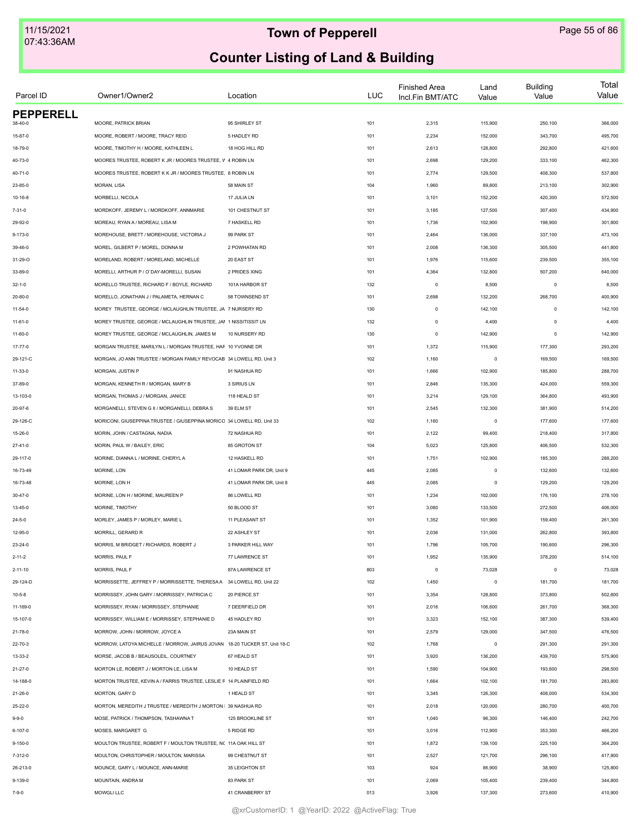| Parcel ID        | Owner1/Owner2                                                             | Location                 | <b>LUC</b> | <b>Finished Area</b><br>Incl.Fin BMT/ATC | Land<br>Value | <b>Building</b><br>Value | Total<br>Value |
|------------------|---------------------------------------------------------------------------|--------------------------|------------|------------------------------------------|---------------|--------------------------|----------------|
| <b>PEPPERELL</b> |                                                                           |                          |            |                                          |               |                          |                |
| 38-40-0          | MOORE, PATRICK BRIAN                                                      | 95 SHIRLEY ST            | 101        | 2,315                                    | 115,900       | 250,100                  | 366,000        |
| 15-87-0          | MOORE, ROBERT / MOORE, TRACY REID                                         | 5 HADLEY RD              | 101        | 2,234                                    | 152,000       | 343,700                  | 495,700        |
| 18-79-0          | MOORE, TIMOTHY H / MOORE, KATHLEEN L                                      | 18 HOG HILL RD           | 101        | 2,613                                    | 128,800       | 292,800                  | 421,600        |
| 40-73-0          | MOORES TRUSTEE, ROBERT K JR / MOORES TRUSTEE, V 4 ROBIN LN                |                          | 101        | 2,698                                    | 129,200       | 333,100                  | 462,300        |
| 40-71-0          | MOORES TRUSTEE, ROBERT K K JR / MOORES TRUSTEE, 8 ROBIN LN                |                          | 101        | 2,774                                    | 129,500       | 408,300                  | 537,800        |
| 23-85-0          | MORAN, LISA                                                               | 58 MAIN ST               | 104        | 1,960                                    | 89,800        | 213,100                  | 302,900        |
| $10-16-8$        | MORBELLI, NICOLA                                                          | 17 JULIA LN              | 101        | 3,101                                    | 152,200       | 420,300                  | 572,500        |
| $7 - 31 - 0$     | MORDKOFF, JEREMY L / MORDKOFF, ANNMARIE                                   | 101 CHESTNUT ST          | 101        | 3,185                                    | 127,500       | 307,400                  | 434,900        |
| 29-92-0          | MOREAU, RYAN A / MOREAU, LISA M                                           | 7 HASKELL RD             | 101        | 1,736                                    | 102,900       | 198,900                  | 301,800        |
| $9 - 173 - 0$    | MOREHOUSE, BRETT / MOREHOUSE, VICTORIA J                                  | 99 PARK ST               | 101        | 2,464                                    | 136,000       | 337,100                  | 473,100        |
| 39-46-0          | MOREL, GILBERT P / MOREL, DONNA M                                         | 2 POWHATAN RD            | 101        | 2,008                                    | 136,300       | 305,500                  | 441,800        |
| 31-29-O          | MORELAND, ROBERT / MORELAND, MICHELLE                                     | 20 EAST ST               | 101        | 1,976                                    | 115,600       | 239,500                  | 355,100        |
| 33-89-0          | MORELLI, ARTHUR P / O`DAY-MORELLI, SUSAN                                  | 2 PRIDES XING            | 101        | 4,364                                    | 132,800       | 507,200                  | 640,000        |
| $32 - 1 - 0$     | MORELLO TRUSTEE, RICHARD F / BOYLE, RICHARD                               | 101A HARBOR ST           | 132        | $\circ$                                  | 8,500         | $\circ$                  | 8,500          |
| $20 - 80 - 0$    | MORELLO, JONATHAN J / PALAMETA, HERNAN C                                  | 58 TOWNSEND ST           | 101        | 2,698                                    | 132,200       | 268,700                  | 400,900        |
| $11 - 54 - 0$    | MOREY TRUSTEE, GEORGE / MCLAUGHLIN TRUSTEE, JA 7 NURSERY RD               |                          | 130        | $\mathsf 0$                              | 142,100       | $\circ$                  | 142,100        |
| 11-61-0          | MOREY TRUSTEE, GEORGE / MCLAUGHLIN TRUSTEE, JAI 1 NISSITISSIT LN          |                          | 132        | $\mathsf 0$                              | 4,400         | $\mathbf 0$              | 4,400          |
| $11 - 60 - 0$    | MOREY TRUSTEE, GEORGE / MCLAUGHLIN, JAMES M                               | 10 NURSERY RD            | 130        | $\mathsf 0$                              | 142,900       | $\mathbf 0$              | 142,900        |
| 17-77-0          | MORGAN TRUSTEE, MARILYN L / MORGAN TRUSTEE, HAF 10 YVONNE DR              |                          | 101        | 1,372                                    | 115,900       | 177,300                  | 293,200        |
| 29-121-C         | MORGAN, JO ANN TRUSTEE / MORGAN FAMILY REVOCAB 34 LOWELL RD, Unit 3       |                          | 102        | 1,160                                    | $\mathsf 0$   | 169,500                  | 169,500        |
| $11 - 33 - 0$    | MORGAN, JUSTIN P                                                          | 91 NASHUA RD             | 101        | 1,666                                    | 102,900       | 185,800                  | 288,700        |
| 37-89-0          | MORGAN, KENNETH R / MORGAN, MARY B                                        | 3 SIRIUS LN              | 101        | 2,846                                    | 135,300       | 424,000                  | 559,300        |
| 13-103-0         | MORGAN, THOMAS J / MORGAN, JANICE                                         | 118 HEALD ST             | 101        | 3,214                                    | 129,100       | 364,800                  | 493,900        |
| 20-97-6          | MORGANELLI, STEVEN G II / MORGANELLI, DEBRA S                             | 39 ELM ST                | 101        | 2,545                                    | 132,300       | 381,900                  | 514,200        |
| 29-126-C         | MORICONI, GIUSEPPINA TRUSTEE / GIUSEPPINA MORICO 34 LOWELL RD, Unit 33    |                          | 102        | 1,160                                    | $\,0\,$       | 177,600                  | 177,600        |
| 15-26-0          | MORIN, JOHN / CASTAGNA, NADIA                                             | 72 NASHUA RD             | 101        | 2,122                                    | 99,400        | 218,400                  | 317,800        |
| 27-41-0          | MORIN, PAUL W / BAILEY, ERIC                                              | 85 GROTON ST             | 104        | 5,023                                    | 125,800       | 406,500                  | 532,300        |
| 29-117-0         | MORINE, DIANNA L / MORINE, CHERYL A                                       | 12 HASKELL RD            | 101        | 1,751                                    | 102,900       | 185,300                  | 288,200        |
| 16-73-49         | MORINE, LON                                                               | 41 LOMAR PARK DR, Unit 9 | 445        | 2,085                                    | $\,0\,$       | 132,600                  | 132,600        |
| 16-73-48         | MORINE, LON H                                                             | 41 LOMAR PARK DR, Unit 8 | 445        | 2,085                                    | $\circ$       | 129,200                  | 129,200        |
| $30 - 47 - 0$    | MORINE. LON H / MORINE. MAUREEN P                                         | 86 LOWELL RD             | 101        | 1,234                                    | 102,000       | 176,100                  | 278,100        |
| 13-45-0          | MORINE, TIMOTHY                                                           | 50 BLOOD ST              | 101        | 3,080                                    | 133,500       | 272,500                  | 406,000        |
| $24 - 5 - 0$     | MORLEY, JAMES P / MORLEY, MARIE L                                         | 11 PLEASANT ST           | 101        | 1,352                                    | 101,900       | 159,400                  | 261,300        |
| 12-95-0          | MORRILL, GERARD R                                                         | 22 ASHLEY ST             | 101        | 2,036                                    | 131,000       | 262,800                  | 393,800        |
| $23 - 24 - 0$    | MORRIS, M BRIDGET / RICHARDS, ROBERT J                                    | 3 PARKER HILL WAY        | 101        | 1,796                                    | 105,700       | 190,600                  | 296,300        |
| $2 - 11 - 2$     | MORRIS, PAUL F                                                            | 77 LAWRENCE ST           | 101        | 1,952                                    | 135,900       | 378,200                  | 514,100        |
| $2 - 11 - 10$    | MORRIS, PAUL F                                                            | 87A LAWRENCE ST          | 803        | $\mathsf 0$                              | 73,028        | $\Omega$                 | 73,028         |
| 29-124-D         | MORRISSETTE, JEFFREY P / MORRISSETTE, THERESAA 34 LOWELL RD, Unit 22      |                          | 102        | 1,450                                    | $\circ$       | 181,700                  | 181,700        |
| $10 - 5 - 8$     | MORRISSEY, JOHN GARY / MORRISSEY, PATRICIA C                              | 20 PIERCE ST             | 101        | 3,354                                    | 128,800       | 373,800                  | 502,600        |
| 11-169-0         | MORRISSEY, RYAN / MORRISSEY, STEPHANIE                                    | 7 DEERFIELD DR           | 101        | 2,016                                    | 106,600       | 261,700                  | 368,300        |
| 15-107-0         | MORRISSEY, WILLIAM E / MORRISSEY, STEPHANIE D                             | 45 HADLEY RD             | 101        | 3,323                                    | 152,100       | 387,300                  | 539,400        |
| 21-78-0          | MORROW, JOHN / MORROW, JOYCE A                                            | 23A MAIN ST              | 101        | 2,579                                    | 129,000       | 347,500                  | 476,500        |
| 22-70-3          | MORROW, LATOYA MICHELLE / MORROW, JAIRUS JOVAN 18-20 TUCKER ST, Unit 18-C |                          | 102        | 1,768                                    | $\mathsf 0$   | 291,300                  | 291,300        |
|                  | MORSE, JACOB B / BEAUSOLEIL, COURTNEY                                     | 67 HEALD ST              | 101        | 3,920                                    | 136,200       | 439,700                  | 575,900        |
| 13-33-2          | MORTON LE, ROBERT J / MORTON LE, LISA M                                   | 10 HEALD ST              | 101        |                                          |               | 193,600                  |                |
| $21 - 27 - 0$    | MORTON TRUSTEE, KEVIN A / FARRIS TRUSTEE, LESLIE F 14 PLAINFIELD RD       |                          |            | 1,590                                    | 104,900       |                          | 298,500        |
| 14-188-0         |                                                                           |                          | 101        | 1,664                                    | 102,100       | 181,700                  | 283,800        |
| $21 - 26 - 0$    | MORTON, GARY D                                                            | 1 HEALD ST               | 101        | 3,345                                    | 126,300       | 408,000                  | 534,300        |
| 25-22-0          | MORTON, MEREDITH J TRUSTEE / MEREDITH J MORTON   39 NASHUA RD             |                          | 101        | 2,018                                    | 120,000       | 280,700                  | 400,700        |
| $9 - 9 - 0$      | MOSE, PATRICK / THOMPSON, TASHAWNA T                                      | 125 BROOKLINE ST         | 101        | 1,040                                    | 96,300        | 146,400                  | 242,700        |
| 6-107-0          | MOSES, MARGARET G                                                         | 5 RIDGE RD               | 101        | 3,016                                    | 112,900       | 353,300                  | 466,200        |
| 9-150-0          | MOULTON TRUSTEE, ROBERT F / MOULTON TRUSTEE, NC 11A OAK HILL ST           |                          | 101        | 1,872                                    | 139,100       | 225,100                  | 364,200        |
| 7-312-0          | MOULTON, CHRISTOPHER / MOULTON, MARISSA                                   | 99 CHESTNUT ST           | 101        | 2,527                                    | 121,700       | 296,100                  | 417,800        |
| 26-213-0         | MOUNCE, GARY L / MOUNCE, ANN-MARIE                                        | 35 LEIGHTON ST           | 103        | 924                                      | 86,900        | 38,900                   | 125,800        |
| $9 - 139 - 0$    | MOUNTAIN, ANDRA M                                                         | 83 PARK ST               | 101        | 2,069                                    | 105,400       | 239,400                  | 344,800        |
| $7 - 9 - 0$      | MOWGLI LLC                                                                | 41 CRANBERRY ST          | 013        | 3,926                                    | 137,300       | 273,600                  | 410,900        |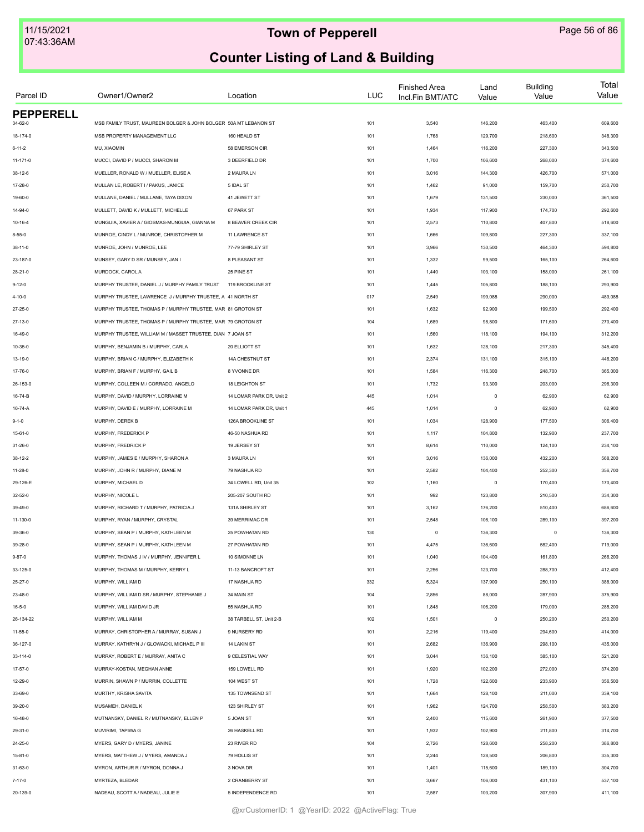| Parcel ID        | Owner1/Owner2                                                    | Location                 | <b>LUC</b> | <b>Finished Area</b><br>Incl.Fin BMT/ATC | Land<br>Value | <b>Building</b><br>Value | Total<br>Value |
|------------------|------------------------------------------------------------------|--------------------------|------------|------------------------------------------|---------------|--------------------------|----------------|
| <b>PEPPERELL</b> | MSB FAMILY TRUST, MAUREEN BOLGER & JOHN BOLGER 50A MT LEBANON ST |                          |            |                                          | 146,200       |                          |                |
| 34-62-0          |                                                                  |                          | 101        | 3,540                                    |               | 463,400                  | 609,600        |
| 18-174-0         | MSB PROPERTY MANAGEMENT LLC                                      | 160 HEALD ST             | 101        | 1,768                                    | 129,700       | 218,600                  | 348,300        |
| $6 - 11 - 2$     | MU, XIAOMIN                                                      | 58 EMERSON CIR           | 101        | 1,464                                    | 116,200       | 227,300                  | 343,500        |
| $11 - 171 - 0$   | MUCCI, DAVID P / MUCCI, SHARON M                                 | 3 DEERFIELD DR           | 101        | 1,700                                    | 106,600       | 268,000                  | 374,600        |
| 38-12-6          | MUELLER, RONALD W / MUELLER, ELISE A                             | 2 MAURA LN               | 101        | 3,016                                    | 144,300       | 426,700                  | 571,000        |
| 17-28-0          | MULLAN LE. ROBERT I / PAKUS. JANICE                              | 5 IDAL ST                | 101        | 1,462                                    | 91,000        | 159,700                  | 250,700        |
| 19-60-0          | MULLANE, DANIEL / MULLANE, TAYA DIXON                            | 41 JEWETT ST             | 101        | 1,679                                    | 131,500       | 230,000                  | 361,500        |
| 14-94-0          | MULLETT, DAVID K / MULLETT, MICHELLE                             | 67 PARK ST               | 101        | 1,934                                    | 117,900       | 174,700                  | 292,600        |
| $10 - 16 - 4$    | MUNGUIA, XAVIER A / GIOSMAS-MUNGUIA, GIANNA M                    | 8 BEAVER CREEK CIR       | 101        | 2,573                                    | 110,800       | 407,800                  | 518,600        |
| $8 - 55 - 0$     | MUNROE, CINDY L / MUNROE, CHRISTOPHER M                          | 11 LAWRENCE ST           | 101        | 1,666                                    | 109,800       | 227,300                  | 337,100        |
| $38 - 11 - 0$    | MUNROE, JOHN / MUNROE, LEE                                       | 77-79 SHIRLEY ST         | 101        | 3,966                                    | 130,500       | 464,300                  | 594,800        |
| 23-187-0         | MUNSEY, GARY D SR / MUNSEY, JAN I                                | 8 PLEASANT ST            | 101        | 1,332                                    | 99,500        | 165,100                  | 264,600        |
| 28-21-0          | MURDOCK, CAROL A                                                 | 25 PINE ST               | 101        | 1,440                                    | 103,100       | 158,000                  | 261,100        |
| $9 - 12 - 0$     | MURPHY TRUSTEE, DANIEL J / MURPHY FAMILY TRUST                   | 119 BROOKLINE ST         | 101        | 1,445                                    | 105,800       | 188,100                  | 293,900        |
| $4 - 10 - 0$     | MURPHY TRUSTEE, LAWRENCE J/MURPHY TRUSTEE, A 41 NORTH ST         |                          | 017        | 2,549                                    | 199,088       | 290,000                  | 489,088        |
| 27-25-0          | MURPHY TRUSTEE. THOMAS P / MURPHY TRUSTEE. MAR 81 GROTON ST      |                          | 101        | 1,632                                    | 92,900        | 199,500                  | 292,400        |
| 27-13-0          | MURPHY TRUSTEE, THOMAS P / MURPHY TRUSTEE, MAR 79 GROTON ST      |                          | 104        | 1,689                                    | 98,800        | 171,600                  | 270,400        |
| 16-49-0          | MURPHY TRUSTEE, WILLIAM M / MASSET TRUSTEE, DIAN 7 JOAN ST       |                          | 101        | 1,560                                    | 118,100       | 194,100                  | 312,200        |
| 10-35-0          | MURPHY, BENJAMIN B / MURPHY, CARLA                               | 20 ELLIOTT ST            | 101        | 1,632                                    | 128,100       | 217,300                  | 345,400        |
| 13-19-0          | MURPHY, BRIAN C / MURPHY, ELIZABETH K                            | 14A CHESTNUT ST          | 101        | 2,374                                    | 131,100       | 315,100                  | 446,200        |
| 17-76-0          | MURPHY, BRIAN F / MURPHY, GAIL B                                 | 8 YVONNE DR              | 101        | 1,584                                    | 116,300       | 248,700                  | 365,000        |
| 26-153-0         | MURPHY, COLLEEN M / CORRADO, ANGELO                              | 18 LEIGHTON ST           | 101        | 1,732                                    | 93,300        | 203,000                  | 296,300        |
| 16-74-B          | MURPHY, DAVID / MURPHY, LORRAINE M                               | 14 LOMAR PARK DR, Unit 2 | 445        | 1,014                                    | $\mathsf 0$   | 62,900                   | 62,900         |
| 16-74-A          | MURPHY, DAVID E / MURPHY, LORRAINE M                             | 14 LOMAR PARK DR, Unit 1 | 445        | 1,014                                    | $\mathsf 0$   | 62,900                   | 62,900         |
| $9 - 1 - 0$      | MURPHY, DEREK B                                                  | 126A BROOKLINE ST        | 101        | 1,034                                    | 128,900       | 177,500                  | 306,400        |
| $15 - 61 - 0$    | MURPHY, FREDERICK P                                              | 46-50 NASHUA RD          | 101        | 1,117                                    | 104,800       | 132,900                  | 237,700        |
| 31-26-0          | MURPHY, FREDRICK P                                               | 19 JERSEY ST             | 101        | 8,614                                    | 110,000       | 124,100                  | 234,100        |
| $38 - 12 - 2$    | MURPHY, JAMES E / MURPHY, SHARON A                               | 3 MAURA LN               | 101        | 3,016                                    | 136,000       | 432,200                  | 568,200        |
| 11-28-0          | MURPHY, JOHN R / MURPHY, DIANE M                                 | 79 NASHUA RD             | 101        | 2,582                                    | 104,400       | 252,300                  | 356,700        |
| 29-126-E         | MURPHY, MICHAEL D                                                | 34 LOWELL RD, Unit 35    | 102        | 1,160                                    | $\mathsf 0$   | 170,400                  | 170,400        |
| 32-52-0          | MURPHY, NICOLE L                                                 | 205-207 SOUTH RD         | 101        | 992                                      | 123,800       | 210,500                  | 334,300        |
| 39-49-0          | MURPHY, RICHARD T / MURPHY, PATRICIA J                           | 131A SHIRLEY ST          | 101        | 3,162                                    | 176,200       | 510,400                  | 686,600        |
| 11-130-0         | MURPHY, RYAN / MURPHY, CRYSTAL                                   | 39 MERRIMAC DR           | 101        | 2,548                                    | 108,100       | 289,100                  | 397,200        |
| 39-36-0          | MURPHY, SEAN P / MURPHY, KATHLEEN M                              | 25 POWHATAN RD           | 130        | $\Omega$                                 | 136,300       | 0                        | 136,300        |
| 39-28-0          | MURPHY, SEAN P / MURPHY, KATHLEEN M                              | 27 POWHATAN RD           | 101        | 4,475                                    | 136,600       | 582,400                  | 719,000        |
| $9 - 87 - 0$     | MURPHY, THOMAS J IV / MURPHY, JENNIFER L                         | 10 SIMONNE LN            | 101        | 1,040                                    | 104,400       | 161,800                  | 266,200        |
|                  |                                                                  | 11-13 BANCROFT ST        | 101        | 2,256                                    | 123,700       |                          | 412,400        |
| 33-125-0         | MURPHY, THOMAS M / MURPHY, KERRY L<br>MURPHY, WILLIAM D          | 17 NASHUA RD             | 332        |                                          | 137,900       | 288,700                  | 388,000        |
| $25 - 27 - 0$    | MURPHY. WILLIAM D SR / MURPHY. STEPHANIE J                       | 34 MAIN ST               |            | 5,324                                    |               | 250,100                  |                |
| 23-48-0          |                                                                  |                          | 104        | 2,856                                    | 88,000        | 287,900                  | 375,900        |
| $16 - 5 - 0$     | MURPHY, WILLIAM DAVID JR                                         | 55 NASHUA RD             | 101        | 1,848                                    | 106,200       | 179,000                  | 285,200        |
| 26-134-22        | MURPHY, WILLIAM M                                                | 38 TARBELL ST, Unit 2-B  | 102        | 1,501                                    | $\mathsf 0$   | 250,200                  | 250,200        |
| 11-55-0          | MURRAY, CHRISTOPHER A / MURRAY, SUSAN J                          | 9 NURSERY RD             | 101        | 2,216                                    | 119,400       | 294,600                  | 414,000        |
| 36-127-0         | MURRAY, KATHRYN J / GLOWACKI, MICHAEL P III                      | 14 LAKIN ST              | 101        | 2,682                                    | 136,900       | 298,100                  | 435,000        |
| 33-114-0         | MURRAY, ROBERT E / MURRAY, ANITA C                               | 9 CELESTIAL WAY          | 101        | 3,044                                    | 136,100       | 385,100                  | 521,200        |
| $17 - 57 - 0$    | MURRAY-KOSTAN, MEGHAN ANNE                                       | 159 LOWELL RD            | 101        | 1,920                                    | 102,200       | 272,000                  | 374,200        |
| 12-29-0          | MURRIN, SHAWN P / MURRIN, COLLETTE                               | 104 WEST ST              | 101        | 1,728                                    | 122,600       | 233,900                  | 356,500        |
| 33-69-0          | MURTHY, KRISHA SAVITA                                            | 135 TOWNSEND ST          | 101        | 1,664                                    | 128,100       | 211,000                  | 339,100        |
| 39-20-0          | MUSAMEH, DANIEL K                                                | 123 SHIRLEY ST           | 101        | 1,962                                    | 124,700       | 258,500                  | 383,200        |
| 16-48-0          | MUTNANSKY, DANIEL R / MUTNANSKY, ELLEN P                         | 5 JOAN ST                | 101        | 2,400                                    | 115,600       | 261,900                  | 377,500        |
| 29-31-0          | MUVIRIMI, TAPIWA G                                               | 26 HASKELL RD            | 101        | 1,932                                    | 102,900       | 211,800                  | 314,700        |
| 24-25-0          | MYERS, GARY D / MYERS, JANINE                                    | 23 RIVER RD              | 104        | 2,726                                    | 128,600       | 258,200                  | 386,800        |
| 15-81-0          | MYERS, MATTHEW J / MYERS, AMANDA J                               | 79 HOLLIS ST             | 101        | 2,244                                    | 128,500       | 206,800                  | 335,300        |
| 31-63-0          | MYRON, ARTHUR R / MYRON, DONNA J                                 | 3 NOVA DR                | 101        | 1,401                                    | 115,600       | 189,100                  | 304,700        |
| $7 - 17 - 0$     | MYRTEZA, BLEDAR                                                  | 2 CRANBERRY ST           | 101        | 3,667                                    | 106,000       | 431,100                  | 537,100        |
| 20-139-0         | NADEAU, SCOTT A / NADEAU, JULIE E                                | 5 INDEPENDENCE RD        | 101        | 2,587                                    | 103,200       | 307,900                  | 411,100        |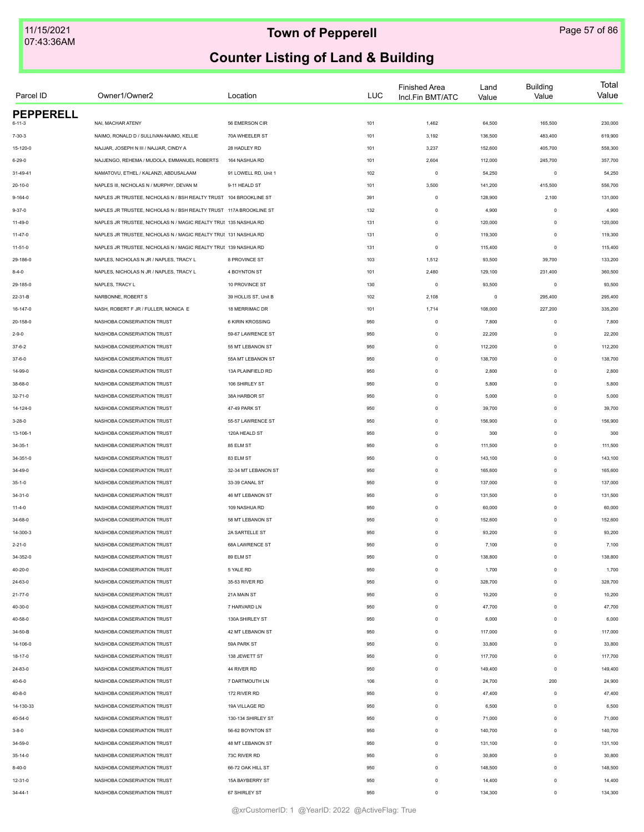| Parcel ID        | Owner1/Owner2                                                      | Location             | LUC | <b>Finished Area</b><br>Incl.Fin BMT/ATC | Land<br>Value | <b>Building</b><br>Value | Total<br>Value |
|------------------|--------------------------------------------------------------------|----------------------|-----|------------------------------------------|---------------|--------------------------|----------------|
| <b>PEPPERELL</b> |                                                                    |                      |     |                                          |               |                          |                |
| 6-11-3           | NAI, MACHAR ATENY                                                  | 56 EMERSON CIR       | 101 | 1,462                                    | 64,500        | 165,500                  | 230,000        |
| $7 - 30 - 3$     | NAIMO, RONALD D / SULLIVAN-NAIMO, KELLIE                           | 70A WHEELER ST       | 101 | 3,192                                    | 136,500       | 483,400                  | 619,900        |
| 15-120-0         | NAJJAR, JOSEPH N III / NAJJAR, CINDY A                             | 28 HADLEY RD         | 101 | 3,237                                    | 152,600       | 405,700                  | 558,300        |
| $6 - 29 - 0$     | NAJJENGO, REHEMA / MUDOLA, EMMANUEL ROBERTS                        | 164 NASHUA RD        | 101 | 2,604                                    | 112,000       | 245,700                  | 357,700        |
| 31-49-41         | NAMATOVU, ETHEL / KALANZI, ABDUSALAAM                              | 91 LOWELL RD, Unit 1 | 102 | $\mathbf 0$                              | 54,250        | $\mathbf 0$              | 54,250         |
| 20-10-0          | NAPLES III, NICHOLAS N / MURPHY, DEVAN M                           | 9-11 HEALD ST        | 101 | 3,500                                    | 141,200       | 415,500                  | 556,700        |
| $9 - 164 - 0$    | NAPLES JR TRUSTEE, NICHOLAS N / BSH REALTY TRUST 104 BROOKLINE ST  |                      | 391 | $\mathsf 0$                              | 128,900       | 2,100                    | 131,000        |
| $9 - 37 - 0$     | NAPLES JR TRUSTEE, NICHOLAS N / BSH REALTY TRUST 117A BROOKLINE ST |                      | 132 | $\mathbf 0$                              | 4,900         | $\mathbf 0$              | 4,900          |
| $11 - 49 - 0$    | NAPLES JR TRUSTEE, NICHOLAS N / MAGIC REALTY TRUE 135 NASHUA RD    |                      | 131 | $\mathsf 0$                              | 120,000       | $\mathbf 0$              | 120,000        |
| $11-47-0$        | NAPLES JR TRUSTEE, NICHOLAS N / MAGIC REALTY TRU! 131 NASHUA RD    |                      | 131 | $\mathbf 0$                              | 119,300       | $\mathbf 0$              | 119,300        |
| $11 - 51 - 0$    | NAPLES JR TRUSTEE, NICHOLAS N / MAGIC REALTY TRU! 139 NASHUA RD    |                      | 131 | $\mathbf 0$                              | 115,400       | $\mathbf 0$              | 115,400        |
| 29-186-0         | NAPLES, NICHOLAS N JR / NAPLES, TRACY L                            | 8 PROVINCE ST        | 103 | 1,512                                    | 93,500        | 39,700                   | 133,200        |
| $8 - 4 - 0$      | NAPLES, NICHOLAS N JR / NAPLES, TRACY L                            | 4 BOYNTON ST         | 101 | 2,480                                    | 129,100       | 231,400                  | 360,500        |
| 29-185-0         | NAPLES, TRACY L                                                    | 10 PROVINCE ST       | 130 | $\mathbf 0$                              | 93,500        | $\mathbf 0$              | 93,500         |
| 22-31-B          | NARBONNE, ROBERT S                                                 | 39 HOLLIS ST, Unit B | 102 | 2,108                                    | $\mathsf 0$   | 295,400                  | 295,400        |
| 16-147-0         | NASH, ROBERT F JR / FULLER, MONICA E                               | 18 MERRIMAC DR       | 101 | 1,714                                    | 108,000       | 227,200                  | 335,200        |
| 20-158-0         | NASHOBA CONSERVATION TRUST                                         | 6 KIRIN KROSSING     | 950 | $\mathsf 0$                              | 7,800         | $\mathbf 0$              | 7,800          |
| $2 - 9 - 0$      | NASHOBA CONSERVATION TRUST                                         | 59-67 LAWRENCE ST    | 950 | $\mathsf 0$                              | 22,200        | $\mathbf 0$              | 22,200         |
| $37 - 6 - 2$     | NASHOBA CONSERVATION TRUST                                         | 55 MT LEBANON ST     | 950 | $\mathsf{O}\xspace$                      | 112,200       | $\mathbf 0$              | 112,200        |
| $37 - 6 - 0$     | NASHOBA CONSERVATION TRUST                                         | 55A MT LEBANON ST    | 950 | $\mathsf{O}\xspace$                      | 138,700       | $\mathbf 0$              | 138,700        |
| 14-99-0          | NASHOBA CONSERVATION TRUST                                         | 13A PLAINFIELD RD    | 950 | $\mathsf 0$                              | 2,800         | $\Omega$                 | 2,800          |
| 38-68-0          | NASHOBA CONSERVATION TRUST                                         | 106 SHIRLEY ST       | 950 | $\mathsf 0$                              | 5,800         | $\Omega$                 | 5,800          |
| 32-71-0          | NASHOBA CONSERVATION TRUST                                         | 38A HARBOR ST        | 950 | $\mathsf 0$                              | 5,000         | $\mathbf 0$              | 5,000          |
| 14-124-0         | NASHOBA CONSERVATION TRUST                                         | 47-49 PARK ST        | 950 | $\mathsf 0$                              | 39,700        | $\mathbf 0$              | 39,700         |
| $3 - 28 - 0$     | NASHOBA CONSERVATION TRUST                                         | 55-57 LAWRENCE ST    | 950 | $\mathbf 0$                              | 156,900       | $\mathbf 0$              | 156,900        |
| 13-106-1         | NASHOBA CONSERVATION TRUST                                         | 120A HEALD ST        | 950 | $\mathbf 0$                              | 300           | $\mathbf 0$              | 300            |
|                  | NASHOBA CONSERVATION TRUST                                         | 85 ELM ST            | 950 | $\mathsf{O}\xspace$                      | 111,500       | $\mathbf 0$              | 111,500        |
| 34-35-1          | NASHOBA CONSERVATION TRUST                                         | 83 ELM ST            | 950 | $\mathsf 0$                              | 143,100       | $\Omega$                 | 143,100        |
| 34-351-0         |                                                                    |                      |     |                                          |               | $\Omega$                 |                |
| 34-49-0          | NASHOBA CONSERVATION TRUST                                         | 32-34 MT LEBANON ST  | 950 | $\mathsf 0$                              | 165,600       |                          | 165,600        |
| $35 - 1 - 0$     | NASHOBA CONSERVATION TRUST                                         | 33-39 CANAL ST       | 950 | $\mathsf 0$                              | 137,000       | $\mathbf 0$              | 137,000        |
| $34 - 31 - 0$    | NASHOBA CONSERVATION TRUST                                         | 46 MT LEBANON ST     | 950 | $\mathsf 0$                              | 131,500       | $\mathbf 0$              | 131,500        |
| $11 - 4 - 0$     | NASHOBA CONSERVATION TRUST                                         | 109 NASHUA RD        | 950 | $\mathsf 0$                              | 60,000        | $\mathbf 0$              | 60,000         |
| 34-68-0          | NASHOBA CONSERVATION TRUST                                         | 58 MT LEBANON ST     | 950 | $\mathbf 0$                              | 152,600       | $\mathbf 0$              | 152,600        |
| 14-300-3         | NASHOBA CONSERVATION TRUST                                         | 2A SARTELLE ST       | 950 | $\circ$                                  | 93,200        | $\Omega$                 | 93,200         |
| $2 - 21 - 0$     | NASHOBA CONSERVATION TRUST                                         | 68A LAWRENCE ST      | 950 | $\circ$                                  | 7,100         | $\mathbf 0$              | 7,100          |
| 34-352-0         | NASHOBA CONSERVATION TRUST                                         | 89 ELM ST            | 950 | $\mathsf 0$                              | 138,800       | $\mathbf 0$              | 138,800        |
| 40-20-0          | NASHOBA CONSERVATION TRUST                                         | 5 YALE RD            | 950 | $\circ$                                  | 1,700         | $\Omega$                 | 1,700          |
| 24-63-0          | NASHOBA CONSERVATION TRUST                                         | 35-53 RIVER RD       | 950 | $\mathbf 0$                              | 328,700       | $\mathbf 0$              | 328,700        |
| $21 - 77 - 0$    | NASHOBA CONSERVATION TRUST                                         | 21A MAIN ST          | 950 | $\mathbf 0$                              | 10,200        | $\mathbf 0$              | 10,200         |
| 40-30-0          | NASHOBA CONSERVATION TRUST                                         | 7 HARVARD LN         | 950 | $\circ$                                  | 47,700        | $\mathbf 0$              | 47,700         |
| 40-58-0          | NASHOBA CONSERVATION TRUST                                         | 130A SHIRLEY ST      | 950 | $\circ$                                  | 6,000         | $\mathbf 0$              | 6,000          |
| 34-50-B          | NASHOBA CONSERVATION TRUST                                         | 42 MT LEBANON ST     | 950 | $\circ$                                  | 117,000       | $\mathbf 0$              | 117,000        |
| 14-106-0         | NASHOBA CONSERVATION TRUST                                         | 59A PARK ST          | 950 | $\mathbf 0$                              | 33,800        | $\Omega$                 | 33,800         |
| 18-17-0          | NASHOBA CONSERVATION TRUST                                         | 138 JEWETT ST        | 950 | $\mathbf 0$                              | 117,700       | $\Omega$                 | 117,700        |
| 24-83-0          | NASHOBA CONSERVATION TRUST                                         | 44 RIVER RD          | 950 | $\mathbf 0$                              | 149,400       | $\mathbf 0$              | 149,400        |
| $40 - 6 - 0$     | NASHOBA CONSERVATION TRUST                                         | 7 DARTMOUTH LN       | 106 | $\mathbf 0$                              | 24,700        | 200                      | 24,900         |
| 40-8-0           | NASHOBA CONSERVATION TRUST                                         | 172 RIVER RD         | 950 | $\mathbf 0$                              | 47,400        | $\mathbf 0$              | 47,400         |
| 14-130-33        | NASHOBA CONSERVATION TRUST                                         | 19A VILLAGE RD       | 950 | $\mathbf 0$                              | 6,500         | $\mathbf 0$              | 6,500          |
| 40-54-0          | NASHOBA CONSERVATION TRUST                                         | 130-134 SHIRLEY ST   | 950 | $^{\circ}$                               | 71,000        | $\mathbf 0$              | 71,000         |
| $3 - 8 - 0$      | NASHOBA CONSERVATION TRUST                                         | 56-62 BOYNTON ST     | 950 | $^{\circ}$                               | 140,700       | $\mathbf 0$              | 140,700        |
| 34-59-0          | NASHOBA CONSERVATION TRUST                                         | 48 MT LEBANON ST     | 950 | $\mathsf 0$                              | 131,100       | $\Omega$                 | 131,100        |
| 35-14-0          | NASHOBA CONSERVATION TRUST                                         | 73C RIVER RD         | 950 | $\mathsf 0$                              | 30,800        | $\Omega$                 | 30,800         |
| $8 - 40 - 0$     | NASHOBA CONSERVATION TRUST                                         | 66-72 OAK HILL ST    | 950 | $\mathsf 0$                              | 148,500       | $\mathbf 0$              | 148,500        |
| $12 - 31 - 0$    | NASHOBA CONSERVATION TRUST                                         | 15A BAYBERRY ST      | 950 | $\mathsf 0$                              | 14,400        | $\mathbf 0$              | 14,400         |
| 34-44-1          | NASHOBA CONSERVATION TRUST                                         | 67 SHIRLEY ST        | 950 | $\mathbf 0$                              | 134,300       | $\mathbf 0$              | 134,300        |
|                  |                                                                    |                      |     |                                          |               |                          |                |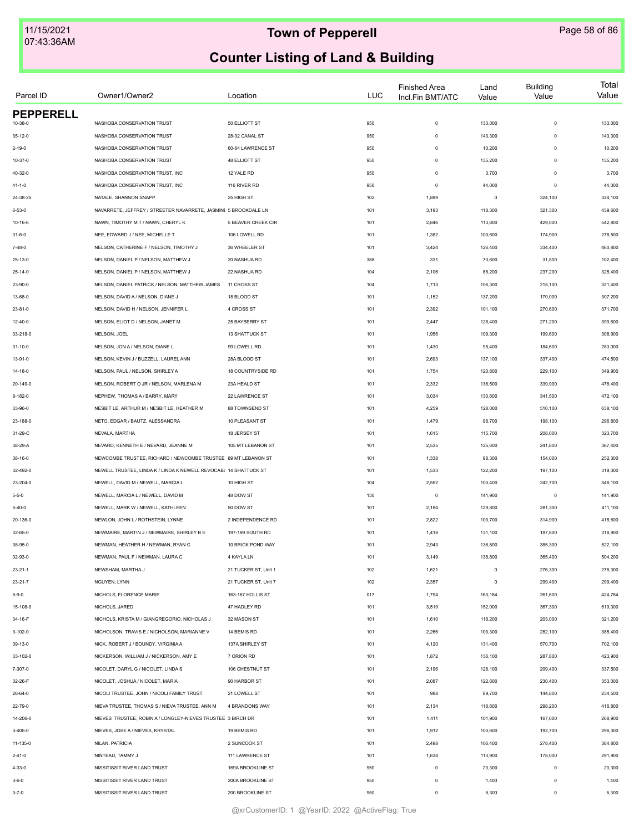| Parcel ID        | Owner1/Owner2                                                    | Location             | LUC | <b>Finished Area</b><br>Incl.Fin BMT/ATC | Land<br>Value | <b>Building</b><br>Value | Total<br>Value |
|------------------|------------------------------------------------------------------|----------------------|-----|------------------------------------------|---------------|--------------------------|----------------|
| <b>PEPPERELL</b> |                                                                  |                      |     |                                          |               |                          |                |
| $10 - 38 - 0$    | NASHOBA CONSERVATION TRUST                                       | 50 ELLIOTT ST        | 950 | $\mathsf 0$                              | 133,000       | $\mathbf 0$              | 133,000        |
| $35 - 12 - 0$    | NASHOBA CONSERVATION TRUST                                       | 28-32 CANAL ST       | 950 | $\mathbf 0$                              | 143,300       | $\mathbf 0$              | 143,300        |
| $2 - 19 - 0$     | NASHOBA CONSERVATION TRUST                                       | 60-64 LAWRENCE ST    | 950 | $\mathbf 0$                              | 10,200        | $\mathbf 0$              | 10,200         |
| 10-37-0          | NASHOBA CONSERVATION TRUST                                       | <b>48 ELLIOTT ST</b> | 950 | $\mathsf 0$                              | 135,200       | $\Omega$                 | 135,200        |
| 40-32-0          | NASHOBA CONSERVATION TRUST, INC                                  | 12 YALE RD           | 950 | $\mathbf 0$                              | 3,700         | $\mathbf 0$              | 3,700          |
| $41 - 1 - 0$     | NASHOBA CONSERVATION TRUST, INC                                  | 116 RIVER RD         | 950 | $\Omega$                                 | 44,000        | $\Omega$                 | 44,000         |
| 24-38-25         | NATALE, SHANNON SNAPP                                            | 25 HIGH ST           | 102 | 1,889                                    | $\mathsf 0$   | 324,100                  | 324,100        |
| $6 - 53 - 0$     | NAVARRETE, JEFFREY / STREETER NAVARRETE, JASMINI 5 BROOKDALE LN  |                      | 101 | 3,193                                    | 118,300       | 321,300                  | 439,600        |
| $10 - 16 - 6$    | NAWN, TIMOTHY M T / NAWN, CHERYL K                               | 5 BEAVER CREEK CIR   | 101 | 2,846                                    | 113,800       | 429,000                  | 542,800        |
| $31 - 6 - 0$     | NEE, EDWARD J / NEE, MICHELLE T                                  | 106 LOWELL RD        | 101 | 1,382                                    | 103,600       | 174,900                  | 278,500        |
| $7 - 48 - 0$     | NELSON, CATHERINE F / NELSON, TIMOTHY J                          | 36 WHEELER ST        | 101 | 3,424                                    | 126,400       | 334,400                  | 460,800        |
| 25-13-0          | NELSON, DANIEL P / NELSON, MATTHEW J                             | 20 NASHUA RD         | 388 | 331                                      | 70,600        | 31,800                   | 102,400        |
| 25-14-0          | NELSON, DANIEL P / NELSON, MATTHEW J                             | 22 NASHUA RD         | 104 | 2,106                                    | 88,200        | 237,200                  | 325,400        |
| 23-90-0          | NELSON, DANIEL PATRICK / NELSON, MATTHEW JAMES                   | 11 CROSS ST          | 104 | 1,713                                    | 106,300       | 215,100                  | 321,400        |
| 13-68-0          | NELSON, DAVID A / NELSON, DIANE J                                | 18 BLOOD ST          | 101 | 1,152                                    | 137,200       | 170,000                  | 307,200        |
| $23 - 81 - 0$    | NELSON, DAVID H / NELSON, JENNIFER L                             | 4 CROSS ST           | 101 | 2,392                                    | 101,100       | 270,600                  | 371,700        |
| 12-40-0          | NELSON, ELIOT D / NELSON, JANET M                                | 25 BAYBERRY ST       | 101 | 2,447                                    | 128,400       | 271,200                  | 399,600        |
| 33-218-0         | NELSON, JOEL                                                     | 13 SHATTUCK ST       | 101 | 1,956                                    | 109,300       | 199,600                  | 308,900        |
| 31-10-0          | NELSON, JON A / NELSON, DIANE L                                  | 99 LOWELL RD         | 101 | 1,430                                    | 98,400        | 184,600                  | 283,000        |
| 13-91-0          | NELSON, KEVIN J / BUZZELL, LAUREL ANN                            | 28A BLOOD ST         | 101 | 2,693                                    | 137,100       | 337,400                  | 474,500        |
| 14-18-0          | NELSON, PAUL / NELSON, SHIRLEY A                                 | 18 COUNTRYSIDE RD    | 101 | 1,754                                    | 120,800       | 229,100                  | 349,900        |
| 20-149-0         | NELSON, ROBERT O JR / NELSON, MARLENA M                          | 23A HEALD ST         | 101 | 2,332                                    | 136,500       | 339,900                  | 476,400        |
| 8-182-0          | NEPHEW, THOMAS A / BARRY, MARY                                   | 22 LAWRENCE ST       | 101 | 3,034                                    | 130,600       | 341,500                  | 472,100        |
| 33-96-0          | NESBIT LE, ARTHUR M / NESBIT LE, HEATHER M                       | 88 TOWNSEND ST       | 101 | 4,259                                    | 128,000       | 510,100                  | 638,100        |
| 23-188-0         | NETO, EDGAR / BAUTZ, ALESSANDRA                                  | 10 PLEASANT ST       | 101 | 1,479                                    | 98,700        | 198,100                  | 296,800        |
|                  |                                                                  |                      |     |                                          |               |                          |                |
| 31-29-C          | NEVALA, MARTHA                                                   | 18 JERSEY ST         | 101 | 1,615                                    | 115,700       | 208,000                  | 323,700        |
| 38-29-A          | NEVARD, KENNETH E / NEVARD, JEANNE M                             | 105 MT LEBANON ST    | 101 | 2,535                                    | 125,600       | 241,800                  | 367,400        |
| 38-16-0          | NEWCOMBE TRUSTEE, RICHARD / NEWCOMBE TRUSTEE 89 MT LEBANON ST    |                      | 101 | 1,338                                    | 98,300        | 154,000                  | 252,300        |
| 32-492-0         | NEWELL TRUSTEE, LINDA K / LINDA K NEWELL REVOCABI 14 SHATTUCK ST |                      | 101 | 1,533                                    | 122,200       | 197,100                  | 319,300        |
| 23-204-0         | NEWELL, DAVID M / NEWELL, MARCIA L                               | 10 HIGH ST           | 104 | 2,552                                    | 103,400       | 242,700                  | 346,100        |
| $5 - 5 - 0$      | NEWELL, MARCIA L / NEWELL, DAVID M                               | 48 DOW ST            | 130 | $\mathbf 0$                              | 141,900       | $\circ$                  | 141,900        |
| $5 - 40 - 0$     | NEWELL, MARK W / NEWELL, KATHLEEN                                | 50 DOW ST            | 101 | 2,184                                    | 129,800       | 281,300                  | 411,100        |
| 20-136-0         | NEWLON, JOHN L / ROTHSTEIN, LYNNE                                | 2 INDEPENDENCE RD    | 101 | 2,822                                    | 103,700       | 314,900                  | 418,600        |
| 32-65-0          | NEWMAIRE, MARTIN J / NEWMAIRE, SHIRLEY B E                       | 197-199 SOUTH RD     | 101 | 1,418                                    | 131,100       | 187,800                  | 318,900        |
| 38-95-0          | NEWMAN, HEATHER H / NEWMAN, RYAN C                               | 10 BRICK POND WAY    | 101 | 2,943                                    | 136,800       | 385,300                  | 522,100        |
| 32-93-0          | NEWMAN, PAUL F / NEWMAN, LAURA C                                 | 4 KAYLA LN           | 101 | 3,149                                    | 138,800       | 365,400                  | 504,200        |
| $23 - 21 - 1$    | NEWSHAM, MARTHA J                                                | 21 TUCKER ST, Unit 1 | 102 | 1,621                                    | $\mathsf 0$   | 276,300                  | 276,300        |
| $23 - 21 - 7$    | NGUYEN, LYNN                                                     | 21 TUCKER ST. Unit 7 | 102 | 2,357                                    | $\mathsf 0$   | 299,400                  | 299,400        |
| $5 - 9 - 0$      | NICHOLS, FLORENCE MARIE                                          | 163-167 HOLLIS ST    | 017 | 1,794                                    | 163,184       | 261,600                  | 424,784        |
| 15-108-0         | NICHOLS, JARED                                                   | 47 HADLEY RD         | 101 | 3,519                                    | 152,000       | 367,300                  | 519,300        |
| 34-16-F          | NICHOLS, KRISTA M / GIANGREGORIO, NICHOLAS J                     | 32 MASON ST          | 101 | 1,610                                    | 118,200       | 203,000                  | 321,200        |
| 3-102-0          | NICHOLSON, TRAVIS E / NICHOLSON, MARIANNE V                      | 14 BEMIS RD          | 101 | 2,266                                    | 103,300       | 282,100                  | 385,400        |
| 39-13-0          | NICK, ROBERT J / BOUNDY, VIRGINIA A                              | 137A SHIRLEY ST      | 101 | 4,120                                    | 131,400       | 570,700                  | 702,100        |
| 33-102-0         | NICKERSON, WILLIAM J / NICKERSON, AMY E                          | 7 ORION RD           | 101 | 1,872                                    | 136,100       | 287,800                  | 423,900        |
| 7-307-0          | NICOLET, DARYL G / NICOLET, LINDA S                              | 106 CHESTNUT ST      | 101 | 2,196                                    | 128,100       | 209,400                  | 337,500        |
| 32-26-F          | NICOLET, JOSHUA / NICOLET, MARIA                                 | 90 HARBOR ST         | 101 | 2,087                                    | 122,600       | 230,400                  | 353,000        |
| 26-64-0          | NICOLI TRUSTEE, JOHN / NICOLI FAMILY TRUST                       | 21 LOWELL ST         | 101 | 988                                      | 89,700        | 144,800                  | 234,500        |
| 22-79-0          | NIEVA TRUSTEE, THOMAS S / NIEVA TRUSTEE, ANN M                   | 4 BRANDONS WAY       | 101 | 2,134                                    | 118,600       | 298,200                  | 416,800        |
| 14-206-0         | NIEVES TRUSTEE, ROBIN A / LONGLEY-NIEVES TRUSTEE 3 BIRCH DR      |                      | 101 | 1,411                                    | 101,900       | 167,000                  | 268,900        |
| 3-405-0          | NIEVES, JOSE A / NIEVES, KRYSTAL                                 | 19 BEMIS RD          | 101 | 1,912                                    | 103,600       | 192,700                  | 296,300        |
| 11-135-0         | NILAN, PATRICIA                                                  | 2 SUNCOOK ST         | 101 | 2,498                                    | 106,400       | 278,400                  | 384,800        |
|                  |                                                                  |                      |     |                                          |               |                          |                |
| $2 - 41 - 0$     | NINTEAU, TAMMY J                                                 | 111 LAWRENCE ST      | 101 | 1,634                                    | 113,900       | 178,000                  | 291,900        |
| $4 - 33 - 0$     | NISSITISSIT RIVER LAND TRUST                                     | 169A BROOKLINE ST    | 950 | $\mathsf 0$                              | 20,300        | $\mathbf 0$              | 20,300         |
| $3 - 6 - 0$      | NISSITISSIT RIVER LAND TRUST                                     | 200A BROOKLINE ST    | 950 | $\mathsf 0$                              | 1,400         | $\circ$                  | 1,400          |
| $3 - 7 - 0$      | NISSITISSIT RIVER LAND TRUST                                     | 200 BROOKLINE ST     | 950 | $\mathbf 0$                              | 5,300         | $\mathbf 0$              | 5,300          |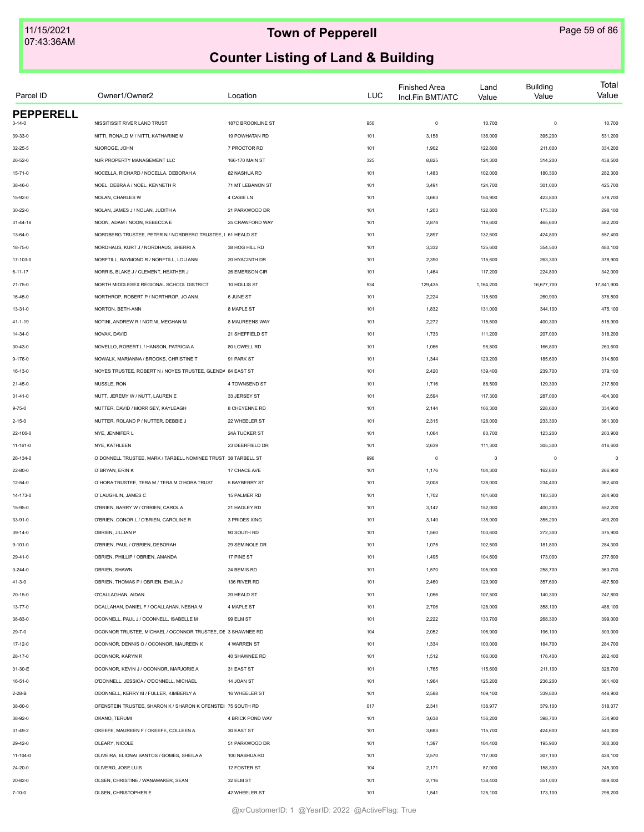| Parcel ID        | Owner1/Owner2                                                 | Location          | LUC | <b>Finished Area</b><br>Incl.Fin BMT/ATC | Land<br>Value | <b>Building</b><br>Value | Total<br>Value |
|------------------|---------------------------------------------------------------|-------------------|-----|------------------------------------------|---------------|--------------------------|----------------|
| <b>PEPPERELL</b> |                                                               |                   |     |                                          |               |                          |                |
| $3 - 14 - 0$     | NISSITISSIT RIVER LAND TRUST                                  | 187C BROOKLINE ST | 950 | $\mathbf 0$                              | 10,700        | $\mathbf 0$              | 10,700         |
| 39-33-0          | NITTI, RONALD M / NITTI, KATHARINE M                          | 19 POWHATAN RD    | 101 | 3,158                                    | 136,000       | 395,200                  | 531,200        |
| $32 - 25 - 5$    | NJOROGE, JOHN                                                 | 7 PROCTOR RD      | 101 | 1,902                                    | 122,600       | 211,600                  | 334,200        |
| $26 - 52 - 0$    | NJR PROPERTY MANAGEMENT LLC                                   | 166-170 MAIN ST   | 325 | 8,825                                    | 124,300       | 314,200                  | 438,500        |
| 15-71-0          | NOCELLA, RICHARD / NOCELLA, DEBORAH A                         | 82 NASHUA RD      | 101 | 1,483                                    | 102,000       | 180,300                  | 282,300        |
| 38-46-0          | NOEL, DEBRAA / NOEL, KENNETH R                                | 71 MT LEBANON ST  | 101 | 3,491                                    | 124,700       | 301,000                  | 425,700        |
| 15-92-0          | NOLAN, CHARLES W                                              | 4 CASIE LN        | 101 | 3,663                                    | 154,900       | 423,800                  | 578,700        |
| $30 - 22 - 0$    | NOLAN, JAMES J / NOLAN, JUDITH A                              | 21 PARKWOOD DR    | 101 | 1,203                                    | 122,800       | 175,300                  | 298,100        |
| 31-44-16         | NOON, ADAM / NOON, REBECCA E                                  | 25 CRAWFORD WAY   | 101 | 2,874                                    | 116,600       | 465,600                  | 582,200        |
| 13-64-0          | NORDBERG TRUSTEE, PETER N / NORDBERG TRUSTEE, I 61 HEALD ST   |                   | 101 | 2,897                                    | 132,600       | 424,800                  | 557,400        |
| 18-75-0          | NORDHAUS, KURT J / NORDHAUS, SHERRI A                         | 38 HOG HILL RD    | 101 | 3,332                                    | 125,600       | 354,500                  | 480,100        |
| 17-103-0         | NORFTILL, RAYMOND R / NORFTILL, LOU ANN                       | 20 HYACINTH DR    | 101 | 2,390                                    | 115,600       | 263,300                  | 378,900        |
| $6 - 11 - 17$    | NORRIS, BLAKE J / CLEMENT, HEATHER J                          | 26 EMERSON CIR    | 101 | 1,464                                    | 117,200       | 224,800                  | 342,000        |
| 21-75-0          | NORTH MIDDLESEX REGIONAL SCHOOL DISTRICT                      | 10 HOLLIS ST      | 934 | 129,435                                  | 1,164,200     | 16,677,700               | 17,841,900     |
| 16-45-0          | NORTHROP, ROBERT P / NORTHROP, JO ANN                         | 6 JUNE ST         | 101 | 2,224                                    | 115,600       | 260,900                  | 376,500        |
| $13 - 31 - 0$    | NORTON, BETH-ANN                                              | 8 MAPLE ST        | 101 | 1,832                                    | 131,000       | 344,100                  | 475,100        |
| 41-1-19          | NOTINI, ANDREW R / NOTINI, MEGHAN M                           | 8 MAUREENS WAY    | 101 | 2,272                                    | 115,600       | 400,300                  | 515,900        |
| 14-34-0          | NOVAK, DAVID                                                  | 21 SHEFFIELD ST   | 101 | 1,733                                    | 111,200       | 207,000                  | 318,200        |
| 30-43-0          | NOVELLO, ROBERT L / HANSON, PATRICIA A                        | 80 LOWELL RD      | 101 | 1,066                                    | 96,800        | 166,800                  | 263,600        |
| $9 - 176 - 0$    | NOWALK, MARIANNA / BROOKS, CHRISTINE T                        | 91 PARK ST        | 101 | 1,344                                    | 129,200       | 185,600                  | 314,800        |
| 16-13-0          | NOYES TRUSTEE, ROBERT N / NOYES TRUSTEE, GLENDA 84 EAST ST    |                   | 101 | 2,420                                    | 139,400       | 239,700                  | 379,100        |
| 21-45-0          | NUSSLE, RON                                                   | 4 TOWNSEND ST     | 101 | 1,716                                    | 88,500        | 129,300                  | 217,800        |
| $31 - 41 - 0$    | NUTT, JEREMY W / NUTT, LAUREN E                               | 33 JERSEY ST      | 101 | 2,594                                    | 117,300       | 287,000                  | 404,300        |
| $9 - 75 - 0$     | NUTTER, DAVID / MORRISEY, KAYLEAGH                            | 8 CHEYENNE RD     | 101 | 2,144                                    | 106,300       | 228,600                  | 334,900        |
| $2 - 15 - 0$     | NUTTER, ROLAND P / NUTTER, DEBBIE J                           | 22 WHEELER ST     | 101 | 2,315                                    | 128,000       | 233,300                  | 361,300        |
| 22-100-0         | NYE, JENNIFER L                                               | 24A TUCKER ST     | 101 | 1,064                                    | 80,700        | 123,200                  | 203,900        |
| 11-161-0         | NYE, KATHLEEN                                                 | 23 DEERFIELD DR   | 101 | 2,639                                    | 111,300       | 305,300                  | 416,600        |
| 26-134-0         | O DONNELL TRUSTEE, MARK / TARBELL NOMINEE TRUST 38 TARBELL ST |                   | 996 | $\mathbf 0$                              | $\,0\,$       | $\mathbf 0$              | $\mathbf 0$    |
|                  | O'BRYAN, ERIN K                                               | 17 CHACE AVE      |     |                                          | 104,300       | 162,600                  |                |
| 22-80-0          | O'HORA TRUSTEE, TERA M / TERA M O'HORA TRUST                  | 5 BAYBERRY ST     | 101 | 1,176                                    | 128,000       |                          | 266,900        |
| $12 - 54 - 0$    |                                                               |                   | 101 | 2,008                                    |               | 234,400                  | 362,400        |
| 14-173-0         | O'LAUGHLIN, JAMES C                                           | 15 PALMER RD      | 101 | 1,702                                    | 101,600       | 183,300                  | 284,900        |
| 15-95-0          | O'BRIEN, BARRY W / O'BRIEN, CAROL A                           | 21 HADLEY RD      | 101 | 3,142                                    | 152,000       | 400,200                  | 552,200        |
| 33-91-0          | O'BRIEN, CONOR L / O'BRIEN, CAROLINE R                        | 3 PRIDES XING     | 101 | 3,140                                    | 135,000       | 355,200                  | 490,200        |
| 39-14-0          | OBRIEN, JILLIAN P                                             | 90 SOUTH RD       | 101 | 1,560                                    | 103,600       | 272,300                  | 375,900        |
| $9 - 101 - 0$    | O'BRIEN, PAUL / O'BRIEN, DEBORAH                              | 29 SEMINOLE DR    | 101 | 1,075                                    | 102,500       | 181,800                  | 284,300        |
| 29-41-0          | OBRIEN, PHILLIP / OBRIEN, AMANDA                              | 17 PINE ST        | 101 | 1,495                                    | 104,600       | 173,000                  | 277,600        |
| $3 - 244 - 0$    | OBRIEN, SHAWN                                                 | 24 BEMIS RD       | 101 | 1,570                                    | 105,000       | 258,700                  | 363,700        |
| $41 - 3 - 0$     | OBRIEN, THOMAS P / OBRIEN, EMILIA J                           | 136 RIVER RD      | 101 | 2,460                                    | 129,900       | 357,600                  | 487,500        |
| $20 - 15 - 0$    | O'CALLAGHAN, AIDAN                                            | 20 HEALD ST       | 101 | 1,056                                    | 107,500       | 140,300                  | 247,800        |
| $13 - 77 - 0$    | OCALLAHAN, DANIEL F / OCALLAHAN, NESHA M                      | 4 MAPLE ST        | 101 | 2,706                                    | 128,000       | 358,100                  | 486,100        |
| 38-83-0          | OCONNELL, PAUL J / OCONNELL, ISABELLE M                       | 99 ELM ST         | 101 | 2,222                                    | 130,700       | 268,300                  | 399,000        |
| $29 - 7 - 0$     | OCONNOR TRUSTEE, MICHAEL / OCONNOR TRUSTEE, DE 3 SHAWNEE RD   |                   | 104 | 2,052                                    | 106,900       | 196,100                  | 303,000        |
| 17-12-0          | OCONNOR, DENNIS O / OCONNOR, MAUREEN K                        | 4 WARREN ST       | 101 | 1,334                                    | 100,000       | 184,700                  | 284,700        |
| $28 - 17 - 0$    | OCONNOR, KARYN R                                              | 40 SHAWNEE RD     | 101 | 1,512                                    | 106,000       | 176,400                  | 282,400        |
| 31-30-E          | OCONNOR, KEVIN J / OCONNOR, MARJORIE A                        | 31 EAST ST        | 101 | 1,765                                    | 115,600       | 211,100                  | 326,700        |
| $16 - 51 - 0$    | O'DONNELL, JESSICA / O'DONNELL, MICHAEL                       | 14 JOAN ST        | 101 | 1,964                                    | 125,200       | 236,200                  | 361,400        |
| $2 - 28 - B$     | ODONNELL, KERRY M / FULLER, KIMBERLY A                        | 16 WHEELER ST     | 101 | 2,588                                    | 109,100       | 339,800                  | 448,900        |
| 38-60-0          | OFENSTEIN TRUSTEE, SHARON K / SHARON K OFENSTEI 75 SOUTH RD   |                   | 017 | 2,341                                    | 138,977       | 379,100                  | 518,077        |
| 38-92-0          | OKANO, TERUMI                                                 | 4 BRICK POND WAY  | 101 | 3,638                                    | 136,200       | 398,700                  | 534,900        |
| 31-49-2          | OKEEFE, MAUREEN F / OKEEFE, COLLEEN A                         | 30 EAST ST        | 101 | 3,683                                    | 115,700       | 424,600                  | 540,300        |
| 29-42-0          | OLEARY, NICOLE                                                | 51 PARKWOOD DR    | 101 | 1,397                                    | 104,400       | 195,900                  | 300,300        |
| 11-104-0         | OLIVEIRA, ELIONAI SANTOS / GOMES, SHEILA A                    | 100 NASHUA RD     | 101 | 2,570                                    | 117,000       | 307,100                  | 424,100        |
| 24-20-0          | OLIVERO, JOSE LUIS                                            | 12 FOSTER ST      | 104 | 2,171                                    | 87,000        | 158,300                  | 245,300        |
| 20-82-0          | OLSEN, CHRISTINE / WANAMAKER, SEAN                            | 32 ELM ST         | 101 | 2,716                                    | 138,400       | 351,000                  | 489,400        |
| $7 - 10 - 0$     | OLSEN, CHRISTOPHER E                                          | 42 WHEELER ST     | 101 | 1,541                                    | 125,100       | 173,100                  | 298,200        |
|                  |                                                               |                   |     |                                          |               |                          |                |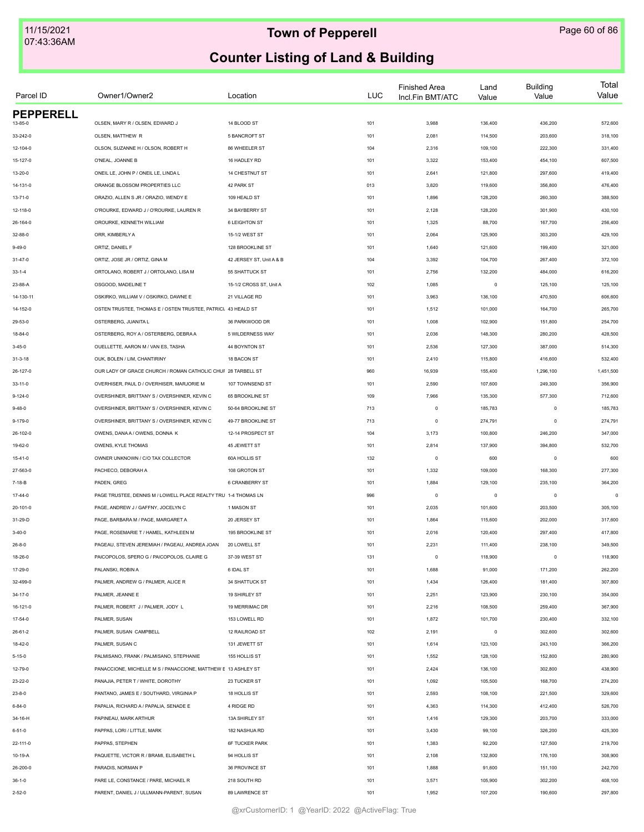| Parcel ID        | Owner1/Owner2                                                  | Location                 | <b>LUC</b> | <b>Finished Area</b><br>Incl.Fin BMT/ATC | Land<br>Value | <b>Building</b><br>Value | Total<br>Value |
|------------------|----------------------------------------------------------------|--------------------------|------------|------------------------------------------|---------------|--------------------------|----------------|
| <b>PEPPERELL</b> |                                                                |                          |            |                                          |               |                          |                |
| 13-85-0          | OLSEN, MARY R / OLSEN, EDWARD J                                | 14 BLOOD ST              | 101        | 3,988                                    | 136,400       | 436,200                  | 572,600        |
| 33-242-0         | OLSEN, MATTHEW R                                               | 5 BANCROFT ST            | 101        | 2,081                                    | 114,500       | 203,600                  | 318,100        |
| 12-104-0         | OLSON, SUZANNE H / OLSON, ROBERT H                             | 86 WHEELER ST            | 104        | 2,316                                    | 109,100       | 222,300                  | 331,400        |
| 15-127-0         | O'NEAL, JOANNE B                                               | 16 HADLEY RD             | 101        | 3,322                                    | 153,400       | 454,100                  | 607,500        |
| 13-20-0          | ONEIL LE, JOHN P / ONEIL LE, LINDA L                           | 14 CHESTNUT ST           | 101        | 2,641                                    | 121,800       | 297,600                  | 419,400        |
| 14-131-0         | ORANGE BLOSSOM PROPERTIES LLC                                  | 42 PARK ST               | 013        | 3,820                                    | 119,600       | 356,800                  | 476,400        |
| $13 - 71 - 0$    | ORAZIO, ALLEN S JR / ORAZIO, WENDY E                           | 109 HEALD ST             | 101        | 1,896                                    | 128,200       | 260,300                  | 388,500        |
| 12-118-0         | O'ROURKE, EDWARD J / O'ROURKE, LAUREN R                        | 34 BAYBERRY ST           | 101        | 2,128                                    | 128,200       | 301,900                  | 430,100        |
| 26-164-0         | OROURKE, KENNETH WILLIAM                                       | 6 LEIGHTON ST            | 101        | 1,325                                    | 88,700        | 167,700                  | 256,400        |
| 32-88-0          | ORR, KIMBERLY A                                                | 15-1/2 WEST ST           | 101        | 2,064                                    | 125,900       | 303,200                  | 429,100        |
| $9 - 49 - 0$     | ORTIZ, DANIEL F                                                | 128 BROOKLINE ST         | 101        | 1,640                                    | 121,600       | 199,400                  | 321,000        |
| 31-47-0          | ORTIZ, JOSE JR / ORTIZ, GINA M                                 | 42 JERSEY ST, Unit A & B | 104        | 3,392                                    | 104,700       | 267,400                  | 372,100        |
| $33 - 1 - 4$     | ORTOLANO, ROBERT J / ORTOLANO, LISA M                          | 55 SHATTUCK ST           | 101        | 2,756                                    | 132,200       | 484,000                  | 616,200        |
| 23-88-A          | OSGOOD, MADELINE T                                             | 15-1/2 CROSS ST, Unit A  | 102        | 1,085                                    | $\mathsf 0$   | 125,100                  | 125,100        |
| 14-130-11        | OSKIRKO, WILLIAM V / OSKIRKO, DAWNE E                          | 21 VILLAGE RD            | 101        | 3,963                                    | 136,100       | 470,500                  | 606,600        |
| 14-152-0         | OSTEN TRUSTEE, THOMAS E / OSTEN TRUSTEE, PATRICI. 43 HEALD ST  |                          | 101        | 1,512                                    | 101,000       | 164,700                  | 265,700        |
| 29-53-0          | OSTERBERG, JUANITA L                                           | 36 PARKWOOD DR           | 101        | 1,008                                    | 102,900       | 151,800                  | 254,700        |
| 18-84-0          | OSTERBERG, ROY A / OSTERBERG, DEBRA A                          | 5 WILDERNESS WAY         | 101        | 2,036                                    | 148,300       | 280,200                  | 428,500        |
| $3 - 45 - 0$     | OUELLETTE, AARON M / VAN ES, TASHA                             | 44 BOYNTON ST            | 101        | 2,536                                    | 127,300       | 387,000                  | 514,300        |
| $31 - 3 - 18$    | OUK, BOLEN / LIM, CHANTIRINY                                   | 18 BACON ST              | 101        | 2,410                                    | 115,800       | 416,600                  | 532,400        |
| 26-127-0         | OUR LADY OF GRACE CHURCH / ROMAN CATHOLIC CHUF 28 TARBELL ST   |                          | 960        | 16,939                                   | 155,400       | 1,296,100                | 1,451,500      |
| 33-11-0          | OVERHISER, PAUL D / OVERHISER, MARJORIE M                      | 107 TOWNSEND ST          | 101        | 2,590                                    | 107,600       | 249,300                  | 356,900        |
| $9 - 124 - 0$    | OVERSHINER, BRITTANY S / OVERSHINER, KEVIN C                   | 65 BROOKLINE ST          | 109        | 7,966                                    | 135,300       | 577,300                  | 712,600        |
| $9 - 48 - 0$     | OVERSHINER, BRITTANY S / OVERSHINER, KEVIN C                   | 50-64 BROOKLINE ST       | 713        | $\circ$                                  | 185,783       | $\circ$                  | 185,783        |
| 9-179-0          | OVERSHINER, BRITTANY S / OVERSHINER, KEVIN C                   | 49-77 BROOKLINE ST       | 713        | $\circ$                                  | 274,791       | $\mathbf 0$              | 274,791        |
| 26-102-0         | OWENS, DANA A / OWENS, DONNA K                                 | 12-14 PROSPECT ST        | 104        | 3,173                                    | 100,800       | 246,200                  | 347,000        |
| 19-62-0          | OWENS, KYLE THOMAS                                             | 45 JEWETT ST             | 101        | 2,814                                    | 137,900       | 394,800                  | 532,700        |
| $15 - 41 - 0$    | OWNER UNKNOWN / C/O TAX COLLECTOR                              | 60A HOLLIS ST            | 132        | $\circ$                                  | 600           | $\circ$                  | 600            |
|                  | PACHECO, DEBORAH A                                             | 108 GROTON ST            |            |                                          |               |                          |                |
| 27-563-0         |                                                                |                          | 101        | 1,332                                    | 109,000       | 168,300                  | 277,300        |
| $7 - 18 - B$     | PADEN, GREG                                                    | 6 CRANBERRY ST           | 101        | 1,884                                    | 129,100       | 235,100                  | 364,200        |
| $17-44-0$        | PAGE TRUSTEE. DENNIS M / LOWELL PLACE REALTY TRU 1-4 THOMAS LN |                          | 996        | $\circ$                                  | $\mathsf 0$   | $\circ$                  | $\mathbf 0$    |
| 20-101-0         | PAGE, ANDREW J / GAFFNY, JOCELYN C                             | 1 MASON ST               | 101        | 2,035                                    | 101,600       | 203,500                  | 305,100        |
| 31-29-D          | PAGE, BARBARA M / PAGE, MARGARET A                             | 20 JERSEY ST             | 101        | 1,864                                    | 115,600       | 202,000                  | 317,600        |
| $3-40-0$         | PAGE, ROSEMARIE T / HAMEL, KATHLEEN M                          | 195 BROOKLINE ST         | 101        | 2,016                                    | 120,400       | 297,400                  | 417,800        |
| $26 - 8 - 0$     | PAGEAU, STEVEN JEREMIAH / PAGEAU, ANDREA JOAN                  | 20 LOWELL ST             | 101        | 2,231                                    | 111,400       | 238,100                  | 349,500        |
| 18-26-0          | PAICOPOLOS, SPERO G / PAICOPOLOS, CLAIRE G                     | 37-39 WEST ST            | 131        | $\mathbb O$                              | 118,900       | $\mathbf 0$              | 118,900        |
| 17-29-0          | PALANSKI, ROBIN A                                              | 6 IDAL ST                | 101        | 1,688                                    | 91,000        | 171,200                  | 262,200        |
| 32-499-0         | PALMER, ANDREW G / PALMER, ALICE R                             | 34 SHATTUCK ST           | 101        | 1,434                                    | 126,400       | 181,400                  | 307,800        |
| $34 - 17 - 0$    | PALMER, JEANNE E                                               | 19 SHIRLEY ST            | 101        | 2,251                                    | 123,900       | 230,100                  | 354,000        |
| 16-121-0         | PALMER, ROBERT J / PALMER, JODY L                              | 19 MERRIMAC DR           | 101        | 2,216                                    | 108,500       | 259,400                  | 367,900        |
| $17 - 54 - 0$    | PALMER, SUSAN                                                  | 153 LOWELL RD            | 101        | 1,872                                    | 101,700       | 230,400                  | 332,100        |
| 26-61-2          | PALMER, SUSAN CAMPBELL                                         | 12 RAILROAD ST           | 102        | 2,191                                    | $\mathsf 0$   | 302,600                  | 302,600        |
| 18-42-0          | PALMER, SUSAN C                                                | 131 JEWETT ST            | 101        | 1,614                                    | 123,100       | 243,100                  | 366,200        |
| $5 - 15 - 0$     | PALMISANO, FRANK / PALMISANO, STEPHANIE                        | 155 HOLLIS ST            | 101        | 1,552                                    | 128,100       | 152,800                  | 280,900        |
| 12-79-0          | PANACCIONE, MICHELLE M S / PANACCIONE, MATTHEW E 13 ASHLEY ST  |                          | 101        | 2,424                                    | 136,100       | 302,800                  | 438,900        |
| 23-22-0          | PANAJIA, PETER T / WHITE, DOROTHY                              | 23 TUCKER ST             | 101        | 1,092                                    | 105,500       | 168,700                  | 274,200        |
| $23 - 8 - 0$     | PANTANO, JAMES E / SOUTHARD, VIRGINIA P                        | 18 HOLLIS ST             | 101        | 2,593                                    | 108,100       | 221,500                  | 329,600        |
| $6 - 84 - 0$     | PAPALIA, RICHARD A / PAPALIA, SENADE E                         | 4 RIDGE RD               | 101        | 4,363                                    | 114,300       | 412,400                  | 526,700        |
| 34-16-H          | PAPINEAU, MARK ARTHUR                                          | 13A SHIRLEY ST           | 101        | 1,416                                    | 129,300       | 203,700                  | 333,000        |
| $6 - 51 - 0$     | PAPPAS, LORI / LITTLE, MARK                                    | 182 NASHUA RD            | 101        | 3,430                                    | 99,100        | 326,200                  | 425,300        |
| 22-111-0         | PAPPAS, STEPHEN                                                | <b>6F TUCKER PARK</b>    | 101        | 1,383                                    | 92,200        | 127,500                  | 219,700        |
| 10-19-A          | PAQUETTE, VICTOR R / BRAMI, ELISABETH L                        | 94 HOLLIS ST             | 101        | 2,108                                    | 132,800       | 176,100                  | 308,900        |
| 26-200-0         | PARADIS, NORMAN P                                              | 36 PROVINCE ST           | 101        | 1,888                                    | 91,600        | 151,100                  | 242,700        |
| $36 - 1 - 0$     | PARE LE, CONSTANCE / PARE, MICHAEL R                           | 218 SOUTH RD             | 101        | 3,571                                    | 105,900       | 302,200                  | 408,100        |
| $2 - 52 - 0$     | PARENT, DANIEL J / ULLMANN-PARENT, SUSAN                       | 89 LAWRENCE ST           | 101        | 1,952                                    | 107,200       | 190,600                  | 297,800        |
|                  |                                                                |                          |            |                                          |               |                          |                |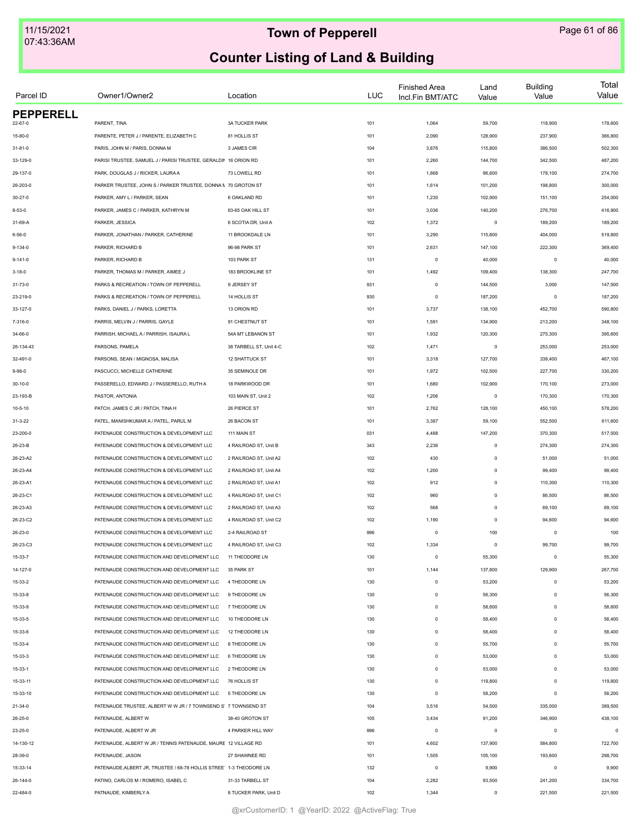| Parcel ID        | Owner1/Owner2                                                       | Location                | <b>LUC</b> | <b>Finished Area</b><br>Incl.Fin BMT/ATC | Land<br>Value | <b>Building</b><br>Value | Total<br>Value |
|------------------|---------------------------------------------------------------------|-------------------------|------------|------------------------------------------|---------------|--------------------------|----------------|
| <b>PEPPERELL</b> |                                                                     |                         |            |                                          |               |                          |                |
| $22 - 67 - 0$    | PARENT, TINA                                                        | <b>3A TUCKER PARK</b>   | 101        | 1,064                                    | 59,700        | 118,900                  | 178,600        |
| 15-80-0          | PARENTE, PETER J / PARENTE, ELIZABETH C                             | 81 HOLLIS ST            | 101        | 2,090                                    | 128,900       | 237,900                  | 366,800        |
| $31 - 81 - 0$    | PARIS, JOHN M / PARIS, DONNA M                                      | 3 JAMES CIR             | 104        | 3,876                                    | 115,800       | 386,500                  | 502,300        |
| 33-129-0         | PARISI TRUSTEE, SAMUEL J / PARISI TRUSTEE, GERALDIN 16 ORION RD     |                         | 101        | 2,260                                    | 144,700       | 342,500                  | 487,200        |
| 29-137-0         | PARK, DOUGLAS J / RICKER, LAURA A                                   | 73 LOWELL RD            | 101        | 1,868                                    | 96,600        | 178,100                  | 274,700        |
| 26-203-0         | PARKER TRUSTEE, JOHN S / PARKER TRUSTEE, DONNA N 70 GROTON ST       |                         | 101        | 1,614                                    | 101,200       | 198,800                  | 300,000        |
| $30 - 27 - 0$    | PARKER, AMY L / PARKER, SEAN                                        | 6 OAKLAND RD            | 101        | 1,230                                    | 102,900       | 151,100                  | 254,000        |
| $8 - 53 - 0$     | PARKER, JAMES C / PARKER, KATHRYN M                                 | 63-65 OAK HILL ST       | 101        | 3,036                                    | 140,200       | 276,700                  | 416,900        |
| 31-69-A          | PARKER, JESSICA                                                     | 6 SCOTIA DR, Unit A     | 102        | 1,372                                    | $\mathsf 0$   | 189,200                  | 189,200        |
| $6 - 56 - 0$     | PARKER, JONATHAN / PARKER, CATHERINE                                | 11 BROOKDALE LN         | 101        | 3,290                                    | 115,800       | 404,000                  | 519,800        |
| $9 - 134 - 0$    | PARKER, RICHARD B                                                   | 96-98 PARK ST           | 101        | 2,631                                    | 147,100       | 222,300                  | 369,400        |
| $9 - 141 - 0$    | PARKER, RICHARD B                                                   | 103 PARK ST             | 131        | $\mathbf 0$                              | 40,000        | $\mathbf 0$              | 40,000         |
| $3 - 18 - 0$     | PARKER, THOMAS M / PARKER, AIMEE J                                  | 183 BROOKLINE ST        | 101        | 1,492                                    | 109,400       | 138,300                  | 247,700        |
| 31-73-0          | PARKS & RECREATION / TOWN OF PEPPERELL                              | 9 JERSEY ST             | 931        | $\mathbf 0$                              | 144,500       | 3,000                    | 147,500        |
| 23-219-0         | PARKS & RECREATION / TOWN OF PEPPERELL                              | 14 HOLLIS ST            | 930        | $\mathbf 0$                              | 187,200       | $\mathbf 0$              | 187,200        |
| 33-127-0         | PARKS, DANIEL J / PARKS, LORETTA                                    | 13 ORION RD             | 101        | 3,737                                    | 138,100       | 452,700                  | 590,800        |
| 7-316-0          | PARRIS, MELVIN J / PARRIS, GAYLE                                    | 91 CHESTNUT ST          | 101        | 1,591                                    | 134,900       | 213,200                  | 348,100        |
| 34-66-0          | PARRISH, MICHAEL A / PARRISH, ISAURA L                              | 54A MT LEBANON ST       | 101        | 1,932                                    | 120,300       | 275,300                  | 395,600        |
| 26-134-43        | PARSONS, PAMELA                                                     | 38 TARBELL ST, Unit 4-C | 102        | 1,471                                    | $\mathsf 0$   | 253,000                  | 253,000        |
| 32-491-0         | PARSONS, SEAN / MIGNOSA, MALISA                                     | 12 SHATTUCK ST          | 101        | 3,318                                    | 127,700       | 339,400                  | 467,100        |
| $9 - 98 - 0$     | PASCUCCI, MICHELLE CATHERINE                                        | 35 SEMINOLE DR          | 101        | 1,972                                    | 102,500       | 227,700                  | 330,200        |
| 30-10-0          | PASSERELLO, EDWARD J / PASSERELLO, RUTH A                           | 18 PARKWOOD DR          | 101        | 1,680                                    | 102,900       | 170,100                  | 273,000        |
| 23-193-B         | PASTOR, ANTONIA                                                     | 103 MAIN ST, Unit 2     | 102        | 1,206                                    | $\mathbf 0$   | 170,300                  | 170,300        |
| $10 - 5 - 10$    | PATCH, JAMES C JR / PATCH, TINA H                                   | 26 PIERCE ST            | 101        | 2,762                                    | 128,100       | 450,100                  | 578,200        |
| $31 - 3 - 22$    | PATEL, MANISHKUMAR A / PATEL, PARUL M                               | 26 BACON ST             | 101        | 3,387                                    | 59,100        | 552,500                  | 611,600        |
| 23-200-0         | PATENAUDE CONSTRUCTION & DEVELOPMENT LLC                            | 111 MAIN ST             | 031        | 4,488                                    | 147,200       | 370,300                  | 517,500        |
| 26-23-B          | PATENAUDE CONSTRUCTION & DEVELOPMENT LLC                            | 4 RAILROAD ST, Unit B   | 343        | 2,236                                    | $\mathsf 0$   | 274,300                  | 274,300        |
| 26-23-A2         | PATENAUDE CONSTRUCTION & DEVELOPMENT LLC                            | 2 RAILROAD ST, Unit A2  | 102        | 430                                      | $\mathsf 0$   | 51,000                   | 51,000         |
| 26-23-A4         | PATENAUDE CONSTRUCTION & DEVELOPMENT LLC                            | 2 RAILROAD ST, Unit A4  | 102        | 1,200                                    | $\mathsf 0$   | 99,400                   | 99,400         |
| 26-23-A1         | PATENAUDE CONSTRUCTION & DEVELOPMENT LLC                            | 2 RAILROAD ST, Unit A1  | 102        | 912                                      | $\mathsf 0$   | 110,300                  | 110,300        |
| 26-23-C1         | PATENAUDE CONSTRUCTION & DEVELOPMENT LLC                            | 4 RAILROAD ST, Unit C1  | 102        | 960                                      | $\mathsf 0$   | 86,500                   | 86,500         |
| 26-23-A3         | PATENAUDE CONSTRUCTION & DEVELOPMENT LLC                            | 2 RAILROAD ST, Unit A3  | 102        | 568                                      | $\mathsf 0$   | 69,100                   | 69,100         |
| 26-23-C2         | PATENAUDE CONSTRUCTION & DEVELOPMENT LLC                            | 4 RAILROAD ST. Unit C2  | 102        | 1,190                                    | $\mathsf 0$   | 94,600                   | 94,600         |
| 26-23-0          | PATENAUDE CONSTRUCTION & DEVELOPMENT LLC                            | 2-4 RAILROAD ST         | 996        | $^{\circ}$                               | 100           | $\mathbf 0$              | 100            |
| 26-23-C3         | PATENAUDE CONSTRUCTION & DEVELOPMENT LLC                            | 4 RAILROAD ST, Unit C3  | 102        | 1,334                                    | 0             | 99,700                   | 99,700         |
| 15-33-7          | PATENAUDE CONSTRUCTION AND DEVELOPMENT LLC                          | 11 THEODORE LN          | 130        | $\mathbf 0$                              | 55,300        | $^{\circ}$               | 55,300         |
| 14-127-0         | PATENAUDE CONSTRUCTION AND DEVELOPMENT LLC                          | 35 PARK ST              | 101        | 1,144                                    | 137,800       | 129,900                  | 267,700        |
| 15-33-2          | PATENAUDE CONSTRUCTION AND DEVELOPMENT LLC                          | 4 THEODORE LN           | 130        | $\mathbf 0$                              | 53,200        | $\mathbf 0$              | 53,200         |
| 15-33-8          | PATENAUDE CONSTRUCTION AND DEVELOPMENT LLC                          | 9 THEODORE LN           | 130        | $\mathbf 0$                              | 56,300        | $\Omega$                 | 56,300         |
| 15-33-9          | PATENAUDE CONSTRUCTION AND DEVELOPMENT LLC                          | 7 THEODORE LN           | 130        | $\mathbf 0$                              | 58,600        | $\Omega$                 | 58,600         |
| 15-33-5          | PATENAUDE CONSTRUCTION AND DEVELOPMENT LLC                          | 10 THEODORE LN          | 130        | $\mathbf 0$                              | 58,400        | $\Omega$                 | 58,400         |
| 15-33-6          | PATENAUDE CONSTRUCTION AND DEVELOPMENT LLC                          | 12 THEODORE LN          | 130        | $\mathbf 0$                              | 58,400        | $\mathbf 0$              | 58,400         |
| 15-33-4          | PATENAUDE CONSTRUCTION AND DEVELOPMENT LLC                          | 8 THEODORE LN           | 130        | $\circ$                                  | 55,700        | $\Omega$                 | 55,700         |
| 15-33-3          | PATENAUDE CONSTRUCTION AND DEVELOPMENT LLC                          | 6 THEODORE LN           | 130        | $\circ$                                  | 53,000        | $\Omega$                 | 53,000         |
| 15-33-1          | PATENAUDE CONSTRUCTION AND DEVELOPMENT LLC                          | 2 THEODORE LN           | 130        | $\mathbf 0$                              | 53,000        | $\Omega$                 | 53,000         |
| 15-33-11         | PATENAUDE CONSTRUCTION AND DEVELOPMENT LLC                          | 76 HOLLIS ST            | 130        | $\mathbf 0$                              | 119,800       | $\Omega$                 | 119,800        |
| 15-33-10         | PATENAUDE CONSTRUCTION AND DEVELOPMENT LLC                          | 5 THEODORE LN           | 130        | $\mathbf 0$                              | 58,200        | $\Omega$                 | 58,200         |
| $21 - 34 - 0$    | PATENAUDE TRUSTEE, ALBERT W W JR / 7 TOWNSEND S' 7 TOWNSEND ST      |                         | 104        | 3,516                                    | 54,500        | 335,000                  | 389,500        |
| 26-25-0          | PATENAUDE, ALBERT W                                                 | 38-40 GROTON ST         | 105        | 3,434                                    | 91,200        | 346,900                  | 438,100        |
| 23-25-0          | PATENAUDE, ALBERT W JR                                              | 4 PARKER HILL WAY       | 996        | $\mathbf 0$                              | $\mathsf 0$   | $^{\circ}$               | $\circ$        |
| 14-130-12        | PATENAUDE, ALBERT W JR / TENNIS PATENAUDE, MAURE 12 VILLAGE RD      |                         | 101        | 4,602                                    | 137,900       | 584,800                  | 722,700        |
| 28-39-0          | PATENAUDE, JASON                                                    | 27 SHAWNEE RD           | 101        | 1,505                                    | 105,100       | 193,600                  | 298,700        |
| 15-33-14         | PATENAUDE, ALBERT JR, TRUSTEE / 68-78 HOLLIS STREE' 1-3 THEODORE LN |                         | 132        | $\mathbf 0$                              | 9,900         | $\mathbf 0$              | 9,900          |
| 26-144-0         | PATINO, CARLOS M / ROMERO, ISABEL C                                 | 31-33 TARBELL ST        | 104        | 2,282                                    | 93,500        | 241,200                  | 334,700        |
| 22-484-0         | PATNAUDE, KIMBERLY A                                                | 8 TUCKER PARK, Unit D   | 102        | 1,344                                    | $\mathsf 0$   | 221,500                  | 221,500        |
|                  |                                                                     |                         |            |                                          |               |                          |                |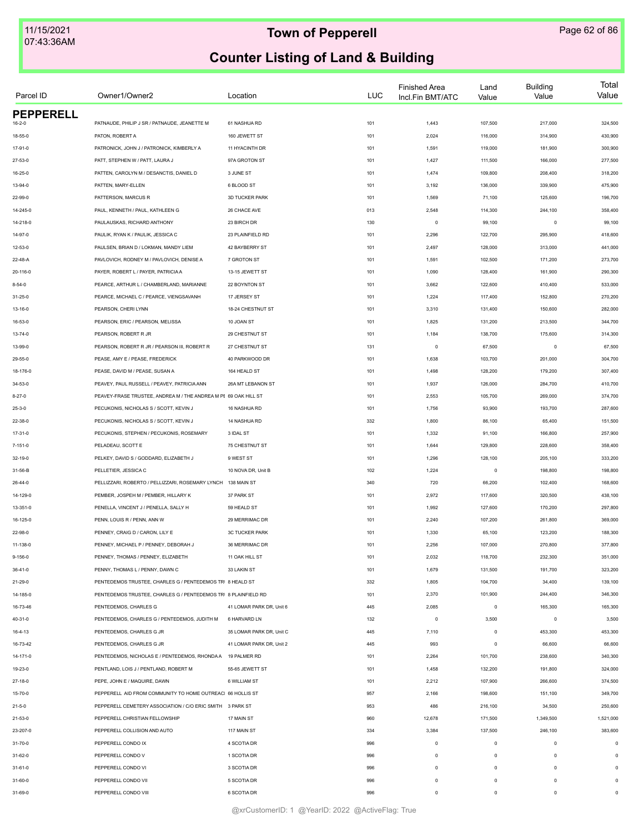| Parcel ID        | Owner1/Owner2                                                   | Location                 | <b>LUC</b> | <b>Finished Area</b><br>Incl.Fin BMT/ATC | Land<br>Value | <b>Building</b><br>Value | Total<br>Value |
|------------------|-----------------------------------------------------------------|--------------------------|------------|------------------------------------------|---------------|--------------------------|----------------|
| <b>PEPPERELL</b> | PATNAUDE, PHILIP J SR / PATNAUDE, JEANETTE M                    |                          |            |                                          | 107,500       | 217,000                  |                |
| $16 - 2 - 0$     |                                                                 | 61 NASHUA RD             | 101        | 1,443                                    |               |                          | 324,500        |
| 18-55-0          | PATON, ROBERT A                                                 | 160 JEWETT ST            | 101        | 2,024                                    | 116,000       | 314,900                  | 430,900        |
| 17-91-0          | PATRONICK, JOHN J / PATRONICK, KIMBERLY A                       | 11 HYACINTH DR           | 101        | 1,591                                    | 119,000       | 181,900                  | 300,900        |
| 27-53-0          | PATT, STEPHEN W / PATT, LAURA J                                 | 97A GROTON ST            | 101        | 1,427                                    | 111,500       | 166,000                  | 277,500        |
| 16-25-0          | PATTEN, CAROLYN M / DESANCTIS, DANIEL D                         | 3 JUNE ST                | 101        | 1,474                                    | 109,800       | 208,400                  | 318,200        |
| 13-94-0          | PATTEN, MARY-ELLEN                                              | 6 BLOOD ST               | 101        | 3,192                                    | 136,000       | 339,900                  | 475,900        |
| 22-99-0          | PATTERSON, MARCUS R                                             | 3D TUCKER PARK           | 101        | 1,569                                    | 71,100        | 125,600                  | 196,700        |
| 14-245-0         | PAUL, KENNETH / PAUL, KATHLEEN G                                | 26 CHACE AVE             | 013        | 2,548                                    | 114,300       | 244,100                  | 358,400        |
| 14-218-0         | PAULAUSKAS, RICHARD ANTHONY                                     | 23 BIRCH DR              | 130        | $\circ$                                  | 99,100        | $^{\circ}$               | 99,100         |
| 14-97-0          | PAULIK, RYAN K / PAULIK, JESSICA C                              | 23 PLAINFIELD RD         | 101        | 2,296                                    | 122,700       | 295,900                  | 418,600        |
| 12-53-0          | PAULSEN, BRIAN D / LOKMAN, MANDY LIEM                           | 42 BAYBERRY ST           | 101        | 2,497                                    | 128,000       | 313,000                  | 441,000        |
| 22-48-A          | PAVLOVICH, RODNEY M / PAVLOVICH, DENISE A                       | 7 GROTON ST              | 101        | 1,591                                    | 102,500       | 171,200                  | 273,700        |
| 20-116-0         | PAYER, ROBERT L / PAYER, PATRICIA A                             | 13-15 JEWETT ST          | 101        | 1,090                                    | 128,400       | 161,900                  | 290,300        |
| $8 - 54 - 0$     | PEARCE, ARTHUR L / CHAMBERLAND, MARIANNE                        | 22 BOYNTON ST            | 101        | 3,662                                    | 122,600       | 410,400                  | 533,000        |
| $31 - 25 - 0$    | PEARCE. MICHAEL C / PEARCE. VIENGSAVANH                         | 17 JERSEY ST             | 101        | 1,224                                    | 117,400       | 152,800                  | 270,200        |
| 13-16-0          | PEARSON, CHERI LYNN                                             | 18-24 CHESTNUT ST        | 101        | 3,310                                    | 131,400       | 150,600                  | 282,000        |
| 16-53-0          | PEARSON, ERIC / PEARSON, MELISSA                                | 10 JOAN ST               | 101        | 1,825                                    | 131,200       | 213,500                  | 344,700        |
| $13 - 74 - 0$    | PEARSON, ROBERT R JR                                            | 29 CHESTNUT ST           | 101        | 1,184                                    | 138,700       | 175,600                  | 314,300        |
| 13-99-0          | PEARSON, ROBERT R JR / PEARSON III, ROBERT R                    | 27 CHESTNUT ST           | 131        | $\mathsf 0$                              | 67,500        | $\mathbf 0$              | 67,500         |
| 29-55-0          | PEASE, AMY E / PEASE, FREDERICK                                 | 40 PARKWOOD DR           | 101        | 1,638                                    | 103,700       | 201,000                  | 304,700        |
| 18-176-0         | PEASE. DAVID M / PEASE. SUSAN A                                 | 164 HEALD ST             | 101        | 1,498                                    | 128,200       | 179,200                  | 307,400        |
| 34-53-0          | PEAVEY, PAUL RUSSELL / PEAVEY, PATRICIA ANN                     | 26A MT LEBANON ST        | 101        | 1,937                                    | 126,000       | 284,700                  | 410,700        |
| $8 - 27 - 0$     | PEAVEY-FRASE TRUSTEE, ANDREA M / THE ANDREA M PE 69 OAK HILL ST |                          | 101        | 2,553                                    | 105,700       | 269,000                  | 374,700        |
| $25 - 3 - 0$     | PECUKONIS, NICHOLAS S / SCOTT, KEVIN J                          | 16 NASHUA RD             | 101        | 1,756                                    | 93,900        | 193,700                  | 287,600        |
| 22-38-0          | PECUKONIS, NICHOLAS S / SCOTT, KEVIN J                          | 14 NASHUA RD             | 332        | 1,800                                    | 86,100        | 65,400                   | 151,500        |
| $17 - 31 - 0$    | PECUKONIS, STEPHEN / PECUKONIS, ROSEMARY                        | 3 IDAL ST                | 101        | 1,332                                    | 91,100        | 166,800                  | 257,900        |
| 7-151-0          | PELADEAU, SCOTT E                                               | 75 CHESTNUT ST           | 101        | 1,644                                    | 129,800       | 228,600                  | 358,400        |
| 32-19-0          | PELKEY, DAVID S / GODDARD, ELIZABETH J                          | 9 WEST ST                | 101        | 1,296                                    | 128,100       | 205,100                  | 333,200        |
| 31-56-B          | PELLETIER, JESSICA C                                            | 10 NOVA DR, Unit B       | 102        | 1,224                                    | $\mathsf 0$   | 198,800                  | 198,800        |
| 26-44-0          | PELLIZZARI, ROBERTO / PELLIZZARI, ROSEMARY LYNCH                | 138 MAIN ST              | 340        | 720                                      | 66,200        | 102,400                  | 168,600        |
| 14-129-0         | PEMBER, JOSPEH M / PEMBER, HILLARY K                            | 37 PARK ST               | 101        | 2,972                                    | 117,600       | 320,500                  | 438,100        |
|                  |                                                                 |                          |            |                                          |               |                          |                |
| 13-351-0         | PENELLA, VINCENT J / PENELLA, SALLY H                           | 59 HEALD ST              | 101        | 1,992                                    | 127,600       | 170,200                  | 297,800        |
| 16-125-0         | PENN, LOUIS R / PENN, ANN W                                     | 29 MERRIMAC DR           | 101        | 2,240                                    | 107,200       | 261,800                  | 369,000        |
| 22-98-0          | PENNEY, CRAIG D / CARON, LILY E                                 | <b>3C TUCKER PARK</b>    | 101        | 1,330                                    | 65,100        | 123,200                  | 188,300        |
| 11-138-0         | PENNEY, MICHAEL P / PENNEY, DEBORAH J                           | 36 MERRIMAC DR           | 101        | 2,256                                    | 107,000       | 270,800                  | 377,800        |
| 9-156-0          | PENNEY, THOMAS / PENNEY, ELIZABETH                              | 11 OAK HILL ST           | 101        | 2,032                                    | 118,700       | 232,300                  | 351,000        |
| $36 - 41 - 0$    | PENNY, THOMAS L / PENNY, DAWN C                                 | 33 LAKIN ST              | 101        | 1,679                                    | 131,500       | 191,700                  | 323,200        |
| 21-29-0          | PENTEDEMOS TRUSTEE, CHARLES G / PENTEDEMOS TRI 8 HEALD ST       |                          | 332        | 1,805                                    | 104,700       | 34,400                   | 139,100        |
| 14-185-0         | PENTEDEMOS TRUSTEE, CHARLES G / PENTEDEMOS TRI 8 PLAINFIELD RD  |                          | 101        | 2,370                                    | 101,900       | 244,400                  | 346,300        |
| 16-73-46         | PENTEDEMOS, CHARLES G                                           | 41 LOMAR PARK DR, Unit 6 | 445        | 2,085                                    | $\mathsf 0$   | 165,300                  | 165,300        |
| 40-31-0          | PENTEDEMOS, CHARLES G / PENTEDEMOS, JUDITH M                    | 6 HARVARD LN             | 132        | $\circ$                                  | 3,500         | $\mathbf 0$              | 3,500          |
| $16 - 4 - 13$    | PENTEDEMOS, CHARLES G JR                                        | 35 LOMAR PARK DR, Unit C | 445        | 7,110                                    | $\mathsf 0$   | 453,300                  | 453,300        |
| 16-73-42         | PENTEDEMOS, CHARLES G JR                                        | 41 LOMAR PARK DR, Unit 2 | 445        | 993                                      | $\mathsf 0$   | 66,600                   | 66,600         |
| 14-171-0         | PENTEDEMOS, NICHOLAS E / PENTEDEMOS, RHONDA A 19 PALMER RD      |                          | 101        | 2,264                                    | 101,700       | 238,600                  | 340,300        |
| 19-23-0          | PENTLAND, LOIS J / PENTLAND, ROBERT M                           | 55-65 JEWETT ST          | 101        | 1,458                                    | 132,200       | 191,800                  | 324,000        |
| $27 - 18 - 0$    | PEPE. JOHN E / MAQUIRE. DAWN                                    | 6 WILLIAM ST             | 101        | 2,212                                    | 107,900       | 266,600                  | 374,500        |
| 15-70-0          | PEPPERELL AID FROM COMMUNITY TO HOME OUTREACI 66 HOLLIS ST      |                          | 957        | 2,166                                    | 198,600       | 151,100                  | 349,700        |
| $21 - 5 - 0$     | PEPPERELL CEMETERY ASSOCIATION / C/O ERIC SMITH 3 PARK ST       |                          | 953        | 486                                      | 216,100       | 34,500                   | 250,600        |
| 21-53-0          | PEPPERELL CHRISTIAN FELLOWSHIP                                  | 17 MAIN ST               | 960        | 12,678                                   | 171,500       | 1,349,500                | 1,521,000      |
| 23-207-0         | PEPPERELL COLLISION AND AUTO                                    | 117 MAIN ST              | 334        | 3,384                                    | 137,500       | 246,100                  | 383,600        |
| 31-70-0          | PEPPERELL CONDO IX                                              | 4 SCOTIA DR              | 996        | $\mathsf 0$                              | $\mathsf 0$   | $\mathbf 0$              | $\circ$        |
| 31-62-0          | PEPPERELL CONDO V                                               | 1 SCOTIA DR              | 996        | $\mathsf 0$                              | $\mathsf 0$   | $\mathbf 0$              | $\Omega$       |
| $31 - 61 - 0$    | PEPPERELL CONDO VI                                              | 3 SCOTIA DR              | 996        | $\mathsf 0$                              | $\circ$       | $\mathbf 0$              | $\Omega$       |
| 31-60-0          | PEPPERELL CONDO VII                                             | 5 SCOTIA DR              | 996        | $\mathsf 0$                              | $\circ$       | $\mathbf 0$              | $\Omega$       |
| 31-69-0          | PEPPERELL CONDO VIII                                            | 6 SCOTIA DR              | 996        | $\mathsf 0$                              | $\mathbf 0$   | $\mathbf 0$              | $\mathbf 0$    |
|                  |                                                                 |                          |            |                                          |               |                          |                |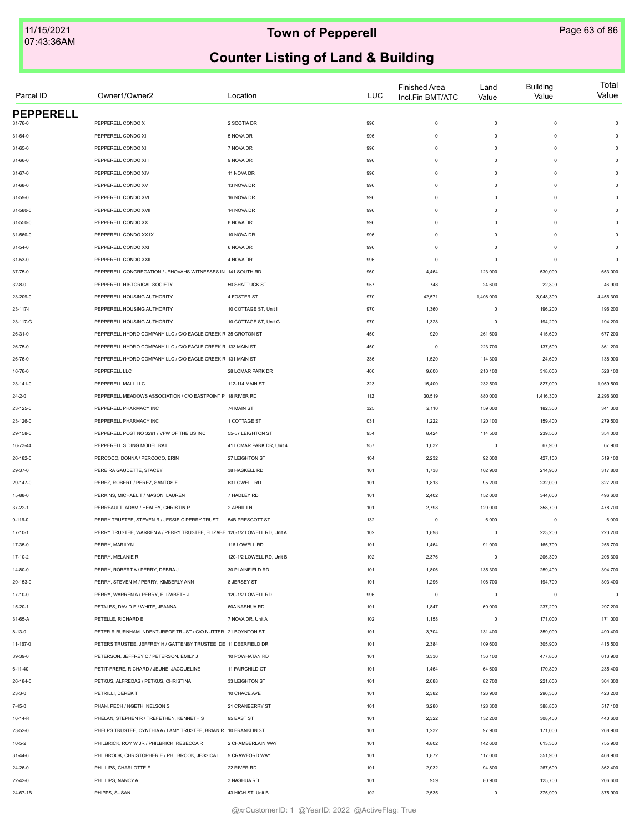| Parcel ID        | Owner1/Owner2                                                              | Location                  | <b>LUC</b> | <b>Finished Area</b><br>Incl.Fin BMT/ATC | Land<br>Value | <b>Building</b><br>Value | Total<br>Value |
|------------------|----------------------------------------------------------------------------|---------------------------|------------|------------------------------------------|---------------|--------------------------|----------------|
| <b>PEPPERELL</b> |                                                                            |                           |            |                                          |               |                          |                |
| 31-76-0          | PEPPERELL CONDO X                                                          | 2 SCOTIA DR               | 996        | $\mathsf 0$                              | $\circ$       | $\mathbf 0$              | $\circ$        |
| 31-64-0          | PEPPERELL CONDO XI                                                         | 5 NOVA DR                 | 996        | $\circ$                                  | $\mathsf 0$   | $\circ$                  | $\mathbf 0$    |
| 31-65-0          | PEPPERELL CONDO XII                                                        | 7 NOVA DR                 | 996        | $\circ$                                  | $\mathsf 0$   | $\circ$                  | $\circ$        |
| 31-66-0          | PEPPERELL CONDO XIII                                                       | 9 NOVA DR                 | 996        | $^{\circ}$                               | $\mathsf 0$   | $\Omega$                 | 0              |
| 31-67-0          | PEPPERELL CONDO XIV                                                        | 11 NOVA DR                | 996        | $^{\circ}$                               | $\mathsf 0$   | $\Omega$                 | 0              |
| 31-68-0          | PEPPERELL CONDO XV                                                         | 13 NOVA DR                | 996        | $\Omega$                                 | $\Omega$      | $\Omega$                 | $\Omega$       |
| 31-59-0          | PEPPERELL CONDO XVI                                                        | 16 NOVA DR                | 996        | $\Omega$                                 | $\Omega$      | $\Omega$                 | $\Omega$       |
| 31-580-0         | PEPPERELL CONDO XVII                                                       | 14 NOVA DR                | 996        | $\circ$                                  | $\mathsf 0$   | $\circ$                  | $\Omega$       |
| 31-550-0         | PEPPERELL CONDO XX                                                         | 8 NOVA DR                 | 996        | $\circ$                                  | $\mathsf 0$   | $\circ$                  | $\Omega$       |
| 31-560-0         | PEPPERELL CONDO XX1X                                                       | 10 NOVA DR                | 996        | $\circ$                                  | $\circ$       | $\mathbf 0$              | $\Omega$       |
| $31 - 54 - 0$    | PEPPERELL CONDO XXI                                                        | 6 NOVA DR                 | 996        | $\circ$                                  | $\circ$       | $\mathbf 0$              | 0              |
| 31-53-0          | PEPPERELL CONDO XXII                                                       | 4 NOVA DR                 | 996        | 0                                        | $^{\circ}$    | $^{\circ}$               | 0              |
| 37-75-0          | PEPPERELL CONGREGATION / JEHOVAHS WITNESSES IN 141 SOUTH RD                |                           | 960        | 4,464                                    | 123,000       | 530,000                  | 653,000        |
| $32 - 8 - 0$     | PEPPERELL HISTORICAL SOCIETY                                               | 50 SHATTUCK ST            | 957        | 748                                      | 24,600        | 22,300                   | 46,900         |
| 23-209-0         | PEPPERELL HOUSING AUTHORITY                                                | 4 FOSTER ST               | 970        | 42,571                                   | 1,408,000     | 3,048,300                | 4,456,300      |
| $23 - 117 - 1$   | PEPPERELL HOUSING AUTHORITY                                                | 10 COTTAGE ST, Unit I     | 970        | 1,360                                    | $\circ$       | 196,200                  | 196,200        |
| 23-117-G         | PEPPERELL HOUSING AUTHORITY                                                | 10 COTTAGE ST, Unit G     | 970        | 1,328                                    | $\mathsf 0$   | 194,200                  | 194,200        |
| 26-31-0          | PEPPERELL HYDRO COMPANY LLC / C/O EAGLE CREEK F 35 GROTON ST               |                           | 450        | 920                                      | 261,600       | 415,600                  | 677,200        |
| 26-75-0          | PEPPERELL HYDRO COMPANY LLC / C/O EAGLE CREEK F 133 MAIN ST                |                           | 450        | 0                                        | 223,700       | 137,500                  | 361,200        |
| 26-76-0          | PEPPERELL HYDRO COMPANY LLC / C/O EAGLE CREEK F 131 MAIN ST                |                           | 336        | 1,520                                    | 114,300       | 24,600                   | 138,900        |
| 16-76-0          | PEPPERELL LLC                                                              | 28 LOMAR PARK DR          | 400        | 9,600                                    | 210,100       | 318,000                  | 528,100        |
| 23-141-0         | PEPPERELL MALL LLC                                                         | 112-114 MAIN ST           | 323        | 15,400                                   | 232,500       | 827,000                  | 1,059,500      |
| $24 - 2 - 0$     | PEPPERELL MEADOWS ASSOCIATION / C/O EASTPOINT P 18 RIVER RD                |                           | 112        | 30,519                                   | 880,000       | 1,416,300                | 2,296,300      |
| 23-125-0         | PEPPERELL PHARMACY INC                                                     | 74 MAIN ST                | 325        | 2,110                                    | 159,000       | 182,300                  | 341,300        |
| 23-126-0         | PEPPERELL PHARMACY INC                                                     | 1 COTTAGE ST              | 031        | 1,222                                    | 120,100       | 159,400                  | 279,500        |
| 29-158-0         | PEPPERELL POST NO 3291 / VFW OF THE US INC                                 | 55-57 LEIGHTON ST         | 954        | 8,424                                    | 114,500       | 239,500                  | 354,000        |
| 16-73-44         | PEPPERELL SIDING MODEL RAIL                                                | 41 LOMAR PARK DR, Unit 4  | 957        | 1,032                                    | 0             | 67,900                   | 67,900         |
| 26-182-0         | PERCOCO, DONNA / PERCOCO, ERIN                                             | 27 LEIGHTON ST            | 104        | 2,232                                    | 92,000        | 427,100                  | 519,100        |
|                  |                                                                            |                           |            |                                          |               |                          |                |
| 29-37-0          | PEREIRA GAUDETTE, STACEY                                                   | 38 HASKELL RD             | 101        | 1,738                                    | 102,900       | 214,900                  | 317,800        |
| 29-147-0         | PEREZ, ROBERT / PEREZ, SANTOS F                                            | 63 LOWELL RD              | 101        | 1,813                                    | 95,200        | 232,000                  | 327,200        |
| 15-88-0          | PERKINS, MICHAEL T / MASON, LAUREN                                         | 7 HADLEY RD               | 101        | 2,402                                    | 152,000       | 344,600                  | 496,600        |
| $37 - 22 - 1$    | PERREAULT, ADAM / HEALEY, CHRISTIN P                                       | 2 APRIL LN                | 101        | 2,798                                    | 120,000       | 358,700                  | 478,700        |
| $9 - 116 - 0$    | PERRY TRUSTEE, STEVEN R / JESSIE C PERRY TRUST                             | 54B PRESCOTT ST           | 132        | $\circ$                                  | 6,000         | $\mathbf 0$              | 6,000          |
| 17-10-1          | PERRY TRUSTEE, WARREN A / PERRY TRUSTEE, ELIZABE 120-1/2 LOWELL RD, Unit A |                           | 102        | 1,898                                    | $^{\circ}$    | 223,200                  | 223,200        |
| 17-35-0          | PERRY, MARILYN                                                             | 116 LOWELL RD             | 101        | 1,464                                    | 91,000        | 165,700                  | 256,700        |
| 17-10-2          | PERRY, MELANIE R                                                           | 120-1/2 LOWELL RD, Unit B | 102        | 2,376                                    | $\mathsf 0$   | 206,300                  | 206,300        |
| 14-80-0          | PERRY, ROBERT A / PERRY, DEBRA J                                           | 30 PLAINFIELD RD          | 101        | 1,806                                    | 135,300       | 259,400                  | 394,700        |
| 29-153-0         | PERRY, STEVEN M / PERRY, KIMBERLY ANN                                      | 8 JERSEY ST               | 101        | 1,296                                    | 108,700       | 194,700                  | 303,400        |
| 17-10-0          | PERRY, WARREN A / PERRY, ELIZABETH J                                       | 120-1/2 LOWELL RD         | 996        | $\mathsf 0$                              | $\mathsf 0$   | $\mathbf 0$              | $\circ$        |
| $15 - 20 - 1$    | PETALES, DAVID E / WHITE, JEANNA L                                         | 60A NASHUA RD             | 101        | 1,847                                    | 60,000        | 237,200                  | 297,200        |
| 31-65-A          | PETELLE, RICHARD E                                                         | 7 NOVA DR, Unit A         | 102        | 1,158                                    | $\mathsf 0$   | 171,000                  | 171,000        |
| 8-13-0           | PETER R BURNHAM INDENTUREOF TRUST / C/O NUTTER 21 BOYNTON ST               |                           | 101        | 3,704                                    | 131,400       | 359,000                  | 490,400        |
| 11-167-0         | PETERS TRUSTEE, JEFFREY H / GATTENBY TRUSTEE, DE 11 DEERFIELD DR           |                           | 101        | 2,384                                    | 109,600       | 305,900                  | 415,500        |
| 39-39-0          | PETERSON, JEFFREY C / PETERSON, EMILY J                                    | 10 POWHATAN RD            | 101        | 3,336                                    | 136,100       | 477,800                  | 613,900        |
| $6 - 11 - 40$    | PETIT-FRERE, RICHARD / JEUNE, JACQUELINE                                   | 11 FAIRCHILD CT           | 101        | 1,464                                    | 64,600        | 170,800                  | 235,400        |
| 26-184-0         | PETKUS, ALFREDAS / PETKUS, CHRISTINA                                       | 33 LEIGHTON ST            | 101        | 2,088                                    | 82,700        | 221,600                  | 304,300        |
| $23 - 3 - 0$     | PETRILLI, DEREKT                                                           | 10 CHACE AVE              | 101        | 2,382                                    | 126,900       | 296,300                  | 423,200        |
| $7 - 45 - 0$     | PHAN, PECH / NGETH, NELSON S                                               | 21 CRANBERRY ST           | 101        | 3,280                                    | 128,300       | 388,800                  | 517,100        |
| 16-14-R          | PHELAN, STEPHEN R / TREFETHEN, KENNETH S                                   | 95 EAST ST                | 101        | 2,322                                    | 132,200       | 308,400                  | 440,600        |
| 23-52-0          | PHELPS TRUSTEE, CYNTHIAA / LAMY TRUSTEE, BRIAN R 10 FRANKLIN ST            |                           | 101        | 1,232                                    | 97,900        | 171,000                  | 268,900        |
| $10 - 5 - 2$     | PHILBRICK, ROY W JR / PHILBRICK, REBECCA R                                 | 2 CHAMBERLAIN WAY         | 101        | 4,802                                    | 142,600       | 613,300                  | 755,900        |
| 31-44-6          | PHILBROOK, CHRISTOPHER E / PHILBROOK, JESSICA L 9 CRAWFORD WAY             |                           | 101        | 1,872                                    | 117,000       | 351,900                  | 468,900        |
| 24-26-0          | PHILLIPS, CHARLOTTE F                                                      | 22 RIVER RD               | 101        | 2,032                                    | 94,800        | 267,600                  | 362,400        |
| $22 - 42 - 0$    | PHILLIPS, NANCY A                                                          | 3 NASHUA RD               | 101        | 959                                      | 80,900        | 125,700                  | 206,600        |
| 24-67-1B         | PHIPPS, SUSAN                                                              | 43 HIGH ST, Unit B        | 102        | 2,535                                    | $\mathsf 0$   | 375,900                  | 375,900        |
|                  |                                                                            |                           |            |                                          |               |                          |                |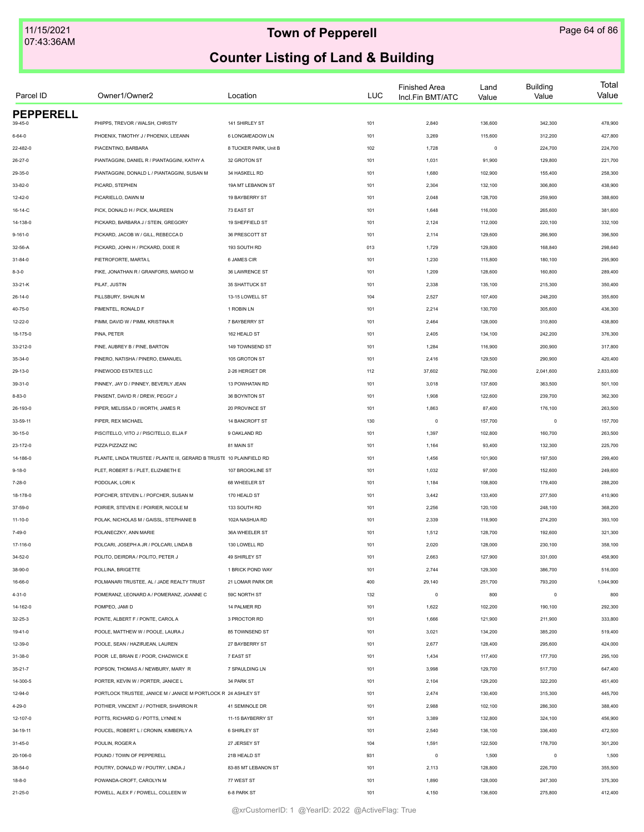| Parcel ID                 | Owner1/Owner2                                                        | Location              | LUC | <b>Finished Area</b><br>Incl.Fin BMT/ATC | Land<br>Value | <b>Building</b><br>Value | Total<br>Value |
|---------------------------|----------------------------------------------------------------------|-----------------------|-----|------------------------------------------|---------------|--------------------------|----------------|
| <b>PEPPERELL</b>          |                                                                      |                       |     |                                          |               |                          |                |
| 39-45-0                   | PHIPPS, TREVOR / WALSH, CHRISTY                                      | 141 SHIRLEY ST        | 101 | 2,840                                    | 136,600       | 342,300                  | 478,900        |
| $6 - 64 - 0$              | PHOENIX, TIMOTHY J / PHOENIX, LEEANN                                 | 6 LONGMEADOW LN       | 101 | 3,269                                    | 115,600       | 312,200                  | 427,800        |
| 22-482-0                  | PIACENTINO, BARBARA                                                  | 8 TUCKER PARK, Unit B | 102 | 1,728                                    | $\mathsf 0$   | 224,700                  | 224,700        |
| 26-27-0                   | PIANTAGGINI, DANIEL R / PIANTAGGINI, KATHY A                         | 32 GROTON ST          | 101 | 1,031                                    | 91,900        | 129,800                  | 221,700        |
| 29-35-0                   | PIANTAGGINI, DONALD L / PIANTAGGINI, SUSAN M                         | 34 HASKELL RD         | 101 | 1,680                                    | 102,900       | 155,400                  | 258,300        |
| 33-82-0                   | PICARD, STEPHEN                                                      | 19A MT LEBANON ST     | 101 | 2,304                                    | 132,100       | 306,800                  | 438,900        |
| 12-42-0                   | PICARIELLO, DAWN M                                                   | 19 BAYBERRY ST        | 101 | 2,048                                    | 128,700       | 259,900                  | 388,600        |
| 16-14-C                   | PICK, DONALD H / PICK, MAUREEN                                       | 73 EAST ST            | 101 | 1,648                                    | 116,000       | 265,600                  | 381,600        |
| 14-138-0                  | PICKARD, BARBARA J / STEIN, GREGORY                                  | 19 SHEFFIELD ST       | 101 | 2,124                                    | 112,000       | 220,100                  | 332,100        |
| $9 - 161 - 0$             | PICKARD, JACOB W / GILL, REBECCA D                                   | 36 PRESCOTT ST        | 101 | 2,114                                    | 129,600       | 266,900                  | 396,500        |
| 32-56-A                   | PICKARD, JOHN H / PICKARD, DIXIE R                                   | 193 SOUTH RD          | 013 | 1,729                                    | 129,800       | 168,840                  | 298,640        |
| 31-84-0                   | PIETROFORTE, MARTA L                                                 | 6 JAMES CIR           | 101 | 1,230                                    | 115,800       | 180,100                  | 295,900        |
| $8 - 3 - 0$               | PIKE, JONATHAN R / GRANFORS, MARGO M                                 | 36 LAWRENCE ST        | 101 | 1,209                                    | 128,600       | 160,800                  | 289,400        |
| 33-21-K                   | PILAT, JUSTIN                                                        | 35 SHATTUCK ST        | 101 | 2,338                                    | 135,100       | 215,300                  | 350,400        |
| $26 - 14 - 0$             | PILLSBURY, SHAUN M                                                   | 13-15 LOWELL ST       | 104 | 2,527                                    | 107,400       | 248,200                  | 355,600        |
| 40-75-0                   | PIMENTEL, RONALD F                                                   | 1 ROBIN LN            | 101 | 2,214                                    | 130,700       | 305,600                  | 436,300        |
| 12-22-0                   | PIMM, DAVID W / PIMM, KRISTINA R                                     | 7 BAYBERRY ST         | 101 | 2,464                                    | 128,000       | 310,800                  | 438,800        |
| 18-175-0                  | PINA, PETER                                                          | 162 HEALD ST          | 101 | 2,405                                    | 134,100       | 242,200                  | 376,300        |
| 33-212-0                  | PINE, AUBREY B / PINE, BARTON                                        | 149 TOWNSEND ST       | 101 | 1,284                                    | 116,900       | 200,900                  | 317,800        |
| 35-34-0                   | PINERO, NATISHA / PINERO, EMANUEL                                    | 105 GROTON ST         | 101 | 2,416                                    | 129,500       | 290,900                  | 420,400        |
| 29-13-0                   | PINEWOOD ESTATES LLC                                                 | 2-26 HERGET DR        | 112 | 37,602                                   | 792,000       | 2,041,600                | 2,833,600      |
| 39-31-0                   | PINNEY, JAY D / PINNEY, BEVERLY JEAN                                 | 13 POWHATAN RD        | 101 | 3,018                                    | 137,600       | 363,500                  | 501,100        |
| $8 - 83 - 0$              | PINSENT, DAVID R / DREW, PEGGY J                                     | 36 BOYNTON ST         | 101 | 1,908                                    | 122,600       | 239,700                  | 362,300        |
| 26-193-0                  | PIPER, MELISSA D / WORTH, JAMES R                                    | 20 PROVINCE ST        | 101 | 1,863                                    | 87,400        | 176,100                  | 263,500        |
| 33-59-11                  | PIPER, REX MICHAEL                                                   | 14 BANCROFT ST        | 130 | $\mathbf 0$                              | 157,700       | $\circ$                  | 157,700        |
|                           |                                                                      |                       |     |                                          |               |                          |                |
| $30 - 15 - 0$             | PISCITELLO, VITO J / PISCITELLO, ELJA F                              | 9 OAKLAND RD          | 101 | 1,397                                    | 102,800       | 160,700                  | 263,500        |
| 23-172-0                  | PIZZA PIZZAZZ INC                                                    | 81 MAIN ST            | 101 | 1,164                                    | 93,400        | 132,300                  | 225,700        |
| 14-186-0                  | PLANTE, LINDA TRUSTEE / PLANTE III, GERARD B TRUSTE 10 PLAINFIELD RD |                       | 101 | 1,456                                    | 101,900       | 197,500                  | 299,400        |
| $9 - 18 - 0$              | PLET, ROBERT S / PLET, ELIZABETH E                                   | 107 BROOKLINE ST      | 101 | 1,032                                    | 97,000        | 152,600                  | 249,600        |
| $7 - 28 - 0$              | PODOLAK, LORIK                                                       | 68 WHEELER ST         | 101 | 1,184                                    | 108,800       | 179,400                  | 288,200        |
| 18-178-0                  | POFCHER, STEVEN L / POFCHER, SUSAN M                                 | 170 HEALD ST          | 101 | 3,442                                    | 133,400       | 277,500                  | 410,900        |
| 37-59-0                   | POIRIER, STEVEN E / POIRIER, NICOLE M                                | 133 SOUTH RD          | 101 | 2,256                                    | 120,100       | 248,100                  | 368,200        |
| $11 - 10 - 0$             | POLAK, NICHOLAS M / GAISSL, STEPHANIE B                              | 102A NASHUA RD        | 101 | 2,339                                    | 118,900       | 274,200                  | 393,100        |
| 7-49-0                    | POLANECZKY, ANN MARIE                                                | 36A WHEELER ST        | 101 | 1,512                                    | 128,700       | 192,600                  | 321,300        |
| 17-116-0                  | POLCARI, JOSEPH A JR / POLCARI, LINDA B                              | 130 LOWELL RD         | 101 | 2,020                                    | 128,000       | 230,100                  | 358,100        |
| 34-52-0                   | POLITO, DEIRDRA / POLITO, PETER J                                    | 49 SHIRLEY ST         | 101 | 2,663                                    | 127,900       | 331,000                  | 458,900        |
| 38-90-0                   | POLLINA, BRIGETTE                                                    | 1 BRICK POND WAY      | 101 | 2,744                                    | 129,300       | 386,700                  | 516,000        |
| 16-66-0                   | POLMANARI TRUSTEE. AL / JADE REALTY TRUST                            | 21 LOMAR PARK DR      | 400 | 29,140                                   | 251,700       | 793,200                  | 1,044,900      |
| $4 - 31 - 0$              | POMERANZ, LEONARD A / POMERANZ, JOANNE C                             | 59C NORTH ST          | 132 | $\mathbf 0$                              | 800           | $\circ$                  | 800            |
| 14-162-0                  | POMPEO, JAMI D                                                       | 14 PALMER RD          | 101 | 1,622                                    | 102,200       | 190,100                  | 292,300        |
| $32 - 25 - 3$             | PONTE, ALBERT F / PONTE, CAROL A                                     | 3 PROCTOR RD          | 101 | 1,666                                    | 121,900       | 211,900                  | 333,800        |
| 19-41-0                   | POOLE, MATTHEW W / POOLE, LAURA J                                    | 85 TOWNSEND ST        | 101 | 3,021                                    | 134,200       | 385,200                  | 519,400        |
| 12-39-0                   | POOLE, SEAN / HAZIRJEAN, LAUREN                                      | 27 BAYBERRY ST        | 101 | 2,677                                    | 128,400       | 295,600                  | 424,000        |
| 31-38-0                   | POOR LE, BRIAN E / POOR, CHADWICK E                                  | 7 EAST ST             | 101 | 1,434                                    | 117,400       | 177,700                  | 295,100        |
| $35 - 21 - 7$             | POPSON, THOMAS A / NEWBURY, MARY R                                   | 7 SPAULDING LN        | 101 | 3,998                                    | 129,700       | 517,700                  | 647,400        |
| 14-300-5                  | PORTER. KEVIN W / PORTER. JANICE L                                   | 34 PARK ST            | 101 | 2,104                                    | 129,200       | 322,200                  | 451,400        |
| 12-94-0                   | PORTLOCK TRUSTEE, JANICE M / JANICE M PORTLOCK R 24 ASHLEY ST        |                       | 101 | 2,474                                    | 130,400       | 315,300                  | 445,700        |
| 4-29-0                    | POTHIER, VINCENT J / POTHIER, SHARRON R                              | 41 SEMINOLE DR        | 101 | 2,988                                    | 102,100       | 286,300                  | 388,400        |
| 12-107-0                  | POTTS, RICHARD G / POTTS, LYNNE N                                    | 11-15 BAYBERRY ST     | 101 | 3,389                                    | 132,800       | 324,100                  | 456,900        |
| 34-19-11                  | POUCEL, ROBERT L / CRONIN, KIMBERLY A                                | 6 SHIRLEY ST          | 101 | 2,540                                    | 136,100       | 336,400                  | 472,500        |
| 31-45-0                   | POULIN, ROGER A                                                      | 27 JERSEY ST          | 104 | 1,591                                    | 122,500       | 178,700                  | 301,200        |
|                           | POUND / TOWN OF PEPPERELL                                            | 21B HEALD ST          | 931 | $\mathbb O$                              | 1,500         | $\mathbf 0$              | 1,500          |
| 20-106-0<br>$38 - 54 - 0$ | POUTRY, DONALD W / POUTRY, LINDA J                                   | 83-85 MT LEBANON ST   | 101 |                                          | 128,800       | 226,700                  | 355,500        |
|                           |                                                                      |                       |     | 2,113                                    |               |                          |                |
| $18 - 8 - 0$              | POWANDA-CROFT, CAROLYN M                                             | 77 WEST ST            | 101 | 1,890                                    | 128,000       | 247,300                  | 375,300        |
| $21 - 25 - 0$             | POWELL, ALEX F / POWELL, COLLEEN W                                   | 6-8 PARK ST           | 101 | 4,150                                    | 136,600       | 275,800                  | 412,400        |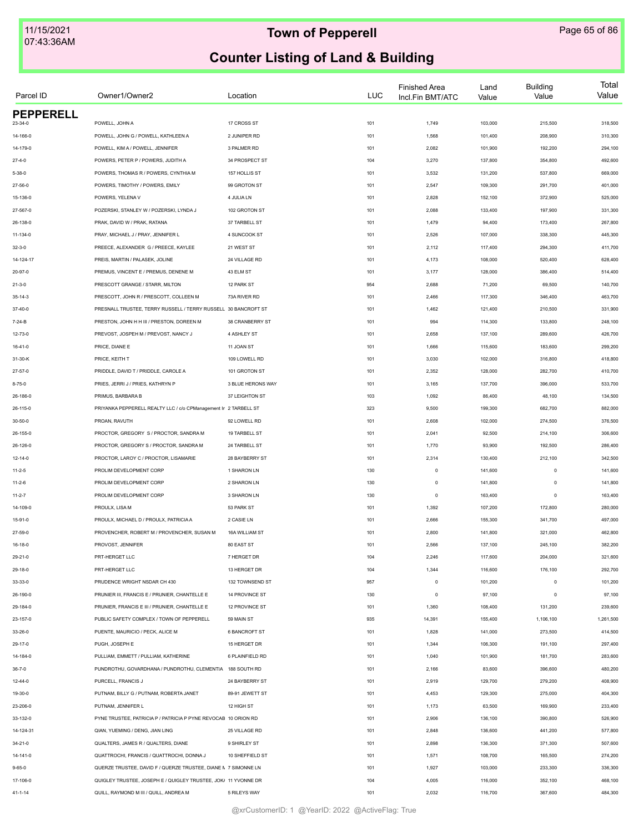| Parcel ID        | Owner1/Owner2                                                    | Location             | <b>LUC</b> | <b>Finished Area</b><br>Incl.Fin BMT/ATC | Land<br>Value      | <b>Building</b><br>Value | Total<br>Value     |
|------------------|------------------------------------------------------------------|----------------------|------------|------------------------------------------|--------------------|--------------------------|--------------------|
| <b>PEPPERELL</b> |                                                                  |                      |            |                                          |                    |                          |                    |
| 23-34-0          | POWELL, JOHN A                                                   | 17 CROSS ST          | 101        | 1,749                                    | 103,000            | 215,500                  | 318,500            |
| 14-166-0         | POWELL, JOHN G / POWELL, KATHLEEN A                              | 2 JUNIPER RD         | 101        | 1,568                                    | 101,400            | 208,900                  | 310,300            |
| 14-179-0         | POWELL, KIM A / POWELL, JENNIFER                                 | 3 PALMER RD          | 101        | 2,082                                    | 101,900            | 192,200                  | 294,100            |
| $27 - 4 - 0$     | POWERS, PETER P / POWERS, JUDITH A                               | 34 PROSPECT ST       | 104        | 3,270                                    | 137,800            | 354,800                  | 492,600            |
| $5 - 38 - 0$     | POWERS, THOMAS R / POWERS, CYNTHIA M                             | 157 HOLLIS ST        | 101        | 3,532                                    | 131,200            | 537,800                  | 669,000            |
| 27-56-0          | POWERS. TIMOTHY / POWERS. EMILY                                  | 99 GROTON ST         | 101        | 2,547                                    | 109,300            | 291,700                  | 401,000            |
| 15-136-0         | POWERS, YELENA V                                                 | 4 JULIA LN           | 101        | 2,828                                    | 152,100            | 372,900                  | 525,000            |
| 27-567-0         | POZERSKI, STANLEY W / POZERSKI, LYNDA J                          | 102 GROTON ST        | 101        | 2,088                                    | 133,400            | 197,900                  | 331,300            |
| 26-138-0         | PRAK, DAVID W / PRAK, RATANA                                     | 37 TARBELL ST        | 101        | 1,479                                    | 94,400             | 173,400                  | 267,800            |
| 11-134-0         | PRAY, MICHAEL J / PRAY, JENNIFER L                               | 4 SUNCOOK ST         | 101        | 2,526                                    | 107,000            | 338,300                  | 445,300            |
| $32 - 3 - 0$     | PREECE, ALEXANDER G / PREECE, KAYLEE                             | 21 WEST ST           | 101        | 2,112                                    | 117,400            | 294,300                  | 411,700            |
| 14-124-17        | PREIS, MARTIN / PALASEK, JOLINE                                  | 24 VILLAGE RD        | 101        | 4,173                                    | 108,000            | 520,400                  | 628,400            |
| 20-97-0          | PREMUS, VINCENT E / PREMUS, DENENE M                             | 43 ELM ST            | 101        | 3,177                                    | 128,000            | 386,400                  | 514,400            |
| $21 - 3 - 0$     | PRESCOTT GRANGE / STARR, MILTON                                  | 12 PARK ST           | 954        | 2,688                                    | 71,200             | 69,500                   | 140,700            |
| $35 - 14 - 3$    | PRESCOTT, JOHN R / PRESCOTT, COLLEEN M                           | 73A RIVER RD         | 101        | 2,466                                    | 117,300            | 346,400                  | 463,700            |
| $37 - 40 - 0$    | PRESNALL TRUSTEE, TERRY RUSSELL / TERRY RUSSELL 30 BANCROFT ST   |                      | 101        | 1,462                                    | 121,400            | 210,500                  | 331,900            |
| 7-24-B           | PRESTON, JOHN H H III / PRESTON, DOREEN M                        | 38 CRANBERRY ST      | 101        | 994                                      | 114,300            | 133,800                  | 248,100            |
| 12-73-0          | PREVOST, JOSPEH M / PREVOST, NANCY J                             | 4 ASHLEY ST          | 101        | 2,658                                    | 137,100            | 289,600                  | 426,700            |
| 16-41-0          | PRICE, DIANE E                                                   | 11 JOAN ST           | 101        | 1,666                                    | 115,600            | 183,600                  | 299,200            |
| 31-30-K          | PRICE, KEITH T                                                   | 109 LOWELL RD        | 101        | 3,030                                    | 102,000            | 316,800                  | 418,800            |
| 27-57-0          | PRIDDLE, DAVID T / PRIDDLE, CAROLE A                             | 101 GROTON ST        | 101        | 2,352                                    | 128,000            | 282,700                  | 410,700            |
| $8 - 75 - 0$     | PRIES, JERRI J / PRIES, KATHRYN P                                | 3 BLUE HERONS WAY    | 101        | 3,165                                    | 137,700            | 396,000                  | 533,700            |
| 26-186-0         | PRIMUS, BARBARA B                                                | 37 LEIGHTON ST       | 103        | 1,092                                    | 86,400             | 48,100                   | 134,500            |
| 26-115-0         | PRIYANKA PEPPERELL REALTY LLC / c/o CPManagement Ir 2 TARBELL ST |                      | 323        | 9,500                                    | 199,300            | 682,700                  | 882,000            |
| 30-50-0          | PROAN, RAVUTH                                                    | 92 LOWELL RD         | 101        | 2,608                                    | 102,000            | 274,500                  | 376,500            |
| 26-155-0         | PROCTOR, GREGORY S / PROCTOR, SANDRA M                           | 19 TARBELL ST        | 101        | 2,041                                    | 92,500             | 214,100                  | 306,600            |
| 26-126-0         | PROCTOR, GREGORY S / PROCTOR, SANDRA M                           | 24 TARBELL ST        | 101        | 1,770                                    | 93,900             | 192,500                  | 286,400            |
|                  | PROCTOR, LAROY C / PROCTOR, LISAMARIE                            | 28 BAYBERRY ST       | 101        | 2,314                                    | 130,400            | 212,100                  | 342,500            |
| 12-14-0          | PROLIM DEVELOPMENT CORP                                          | 1 SHARON LN          |            | $\circ$                                  |                    | $\mathbf 0$              |                    |
| $11 - 2 - 5$     | PROLIM DEVELOPMENT CORP                                          | 2 SHARON LN          | 130<br>130 | $\circ$                                  | 141,600<br>141,800 | $\mathbf 0$              | 141,600<br>141,800 |
| $11 - 2 - 6$     | PROLIM DEVELOPMENT CORP                                          |                      |            |                                          |                    |                          |                    |
| $11 - 2 - 7$     |                                                                  | 3 SHARON LN          | 130        | $\circ$                                  | 163,400            | $\mathbf 0$              | 163,400            |
| 14-109-0         | PROULX, LISA M                                                   | 53 PARK ST           | 101        | 1,392                                    | 107,200            | 172,800                  | 280,000            |
| 15-91-0          | PROULX, MICHAEL D / PROULX, PATRICIA A                           | 2 CASIE LN           | 101        | 2,666                                    | 155,300            | 341,700                  | 497,000            |
| 27-59-0          | PROVENCHER, ROBERT M / PROVENCHER, SUSAN M                       | 16A WILLIAM ST       | 101        | 2,800                                    | 141,800            | 321,000                  | 462,800            |
| 16-18-0          | PROVOST, JENNIFER                                                | 80 EAST ST           | 101        | 2,566                                    | 137,100            | 245,100                  | 382,200            |
| 29-21-0          | PRT-HERGET LLC                                                   | 7 HERGET DR          | 104        | 2,246                                    | 117,600            | 204,000                  | 321,600            |
| 29-18-0          | PRT-HERGET LLC                                                   | 13 HERGET DR         | 104        | 1,344                                    | 116,600            | 176,100                  | 292,700            |
| 33-33-0          | PRUDENCE WRIGHT NSDAR CH 430                                     | 132 TOWNSEND ST      | 957        | $\mathsf 0$                              | 101,200            | $\mathbf 0$              | 101,200            |
| 26-190-0         | PRUNIER III, FRANCIS E / PRUNIER, CHANTELLE E                    | 14 PROVINCE ST       | 130        | $\mathsf 0$                              | 97,100             | $\theta$                 | 97,100             |
| 29-184-0         | PRUNIER, FRANCIS E III / PRUNIER, CHANTELLE E                    | 12 PROVINCE ST       | 101        | 1,360                                    | 108,400            | 131,200                  | 239,600            |
| 23-157-0         | PUBLIC SAFETY COMPLEX / TOWN OF PEPPERELL                        | 59 MAIN ST           | 935        | 14,391                                   | 155,400            | 1,106,100                | 1,261,500          |
| 33-26-0          | PUENTE, MAURICIO / PECK, ALICE M                                 | <b>6 BANCROFT ST</b> | 101        | 1,828                                    | 141,000            | 273,500                  | 414,500            |
| 29-17-0          | PUGH, JOSEPH E                                                   | 15 HERGET DR         | 101        | 1,344                                    | 106,300            | 191,100                  | 297,400            |
| 14-184-0         | PULLIAM, EMMETT / PULLIAM, KATHERINE                             | 6 PLAINFIELD RD      | 101        | 1,040                                    | 101,900            | 181,700                  | 283,600            |
| $36 - 7 - 0$     | PUNDROTHU, GOVARDHANA / PUNDROTHU, CLEMENTIA 188 SOUTH RD        |                      | 101        | 2,166                                    | 83,600             | 396,600                  | 480,200            |
| $12 - 44 - 0$    | PURCELL, FRANCIS J                                               | 24 BAYBERRY ST       | 101        | 2,919                                    | 129,700            | 279,200                  | 408,900            |
| 19-30-0          | PUTNAM, BILLY G / PUTNAM, ROBERTA JANET                          | 89-91 JEWETT ST      | 101        | 4,453                                    | 129,300            | 275,000                  | 404,300            |
| 23-206-0         | PUTNAM, JENNIFER L                                               | 12 HIGH ST           | 101        | 1,173                                    | 63,500             | 169,900                  | 233,400            |
| 33-132-0         | PYNE TRUSTEE, PATRICIA P / PATRICIA P PYNE REVOCAB 10 ORION RD   |                      | 101        | 2,906                                    | 136,100            | 390,800                  | 526,900            |
| 14-124-31        | QIAN, YUEMING / DENG, JIAN LING                                  | 25 VILLAGE RD        | 101        | 2,848                                    | 136,600            | 441,200                  | 577,800            |
| 34-21-0          | QUALTERS, JAMES R / QUALTERS, DIANE                              | 9 SHIRLEY ST         | 101        | 2,898                                    | 136,300            | 371,300                  | 507,600            |
| 14-141-0         | QUATTROCHI, FRANCIS / QUATTROCHI, DONNA J                        | 10 SHEFFIELD ST      | 101        | 1,571                                    | 108,700            | 165,500                  | 274,200            |
| $9 - 65 - 0$     | QUERZE TRUSTEE, DAVID F / QUERZE TRUSTEE, DIANE I\ 7 SIMONNE LN  |                      | 101        | 1,927                                    | 103,000            | 233,300                  | 336,300            |
| 17-106-0         | QUIGLEY TRUSTEE, JOSEPH E / QUIGLEY TRUSTEE, JOK/ 11 YVONNE DR   |                      | 104        | 4,005                                    | 116,000            | 352,100                  | 468,100            |
| $41 - 1 - 14$    | QUILL, RAYMOND M III / QUILL, ANDREA M                           | 5 RILEYS WAY         | 101        | 2,032                                    | 116,700            | 367,600                  | 484,300            |
|                  |                                                                  |                      |            |                                          |                    |                          |                    |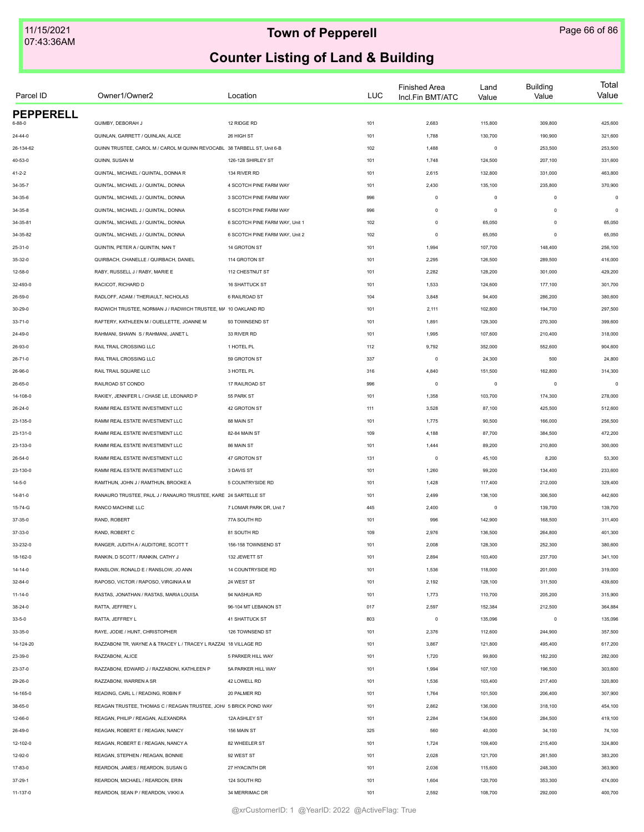| Parcel ID        | Owner1/Owner2                                                           | Location                       | <b>LUC</b> | <b>Finished Area</b><br>Incl.Fin BMT/ATC | Land<br>Value | <b>Building</b><br>Value | Total<br>Value |
|------------------|-------------------------------------------------------------------------|--------------------------------|------------|------------------------------------------|---------------|--------------------------|----------------|
| <b>PEPPERELL</b> |                                                                         |                                |            |                                          |               |                          |                |
| 6-88-0           | QUIMBY, DEBORAH J                                                       | 12 RIDGE RD                    | 101        | 2,683                                    | 115,800       | 309,800                  | 425,600        |
| 24-44-0          | QUINLAN, GARRETT / QUINLAN, ALICE                                       | 26 HIGH ST                     | 101        | 1,788                                    | 130,700       | 190,900                  | 321,600        |
| 26-134-62        | QUINN TRUSTEE, CAROL M / CAROL M QUINN REVOCABL 38 TARBELL ST, Unit 6-B |                                | 102        | 1,488                                    | $\mathsf 0$   | 253,500                  | 253,500        |
| 40-53-0          | QUINN, SUSAN M                                                          | 126-128 SHIRLEY ST             | 101        | 1,748                                    | 124,500       | 207,100                  | 331,600        |
| $41 - 2 - 2$     | QUINTAL, MICHAEL / QUINTAL, DONNA R                                     | 134 RIVER RD                   | 101        | 2,615                                    | 132,800       | 331,000                  | 463,800        |
| 34-35-7          | QUINTAL, MICHAEL J / QUINTAL, DONNA                                     | 4 SCOTCH PINE FARM WAY         | 101        | 2,430                                    | 135,100       | 235,800                  | 370,900        |
| 34-35-6          | QUINTAL, MICHAEL J / QUINTAL, DONNA                                     | 3 SCOTCH PINE FARM WAY         | 996        | $\mathbb O$                              | $\mathsf 0$   | $\mathbf 0$              | $\mathbf 0$    |
| 34-35-8          | QUINTAL, MICHAEL J / QUINTAL, DONNA                                     | 6 SCOTCH PINE FARM WAY         | 996        | $\Omega$                                 | $\mathsf 0$   | $\Omega$                 | $\circ$        |
| 34-35-81         | QUINTAL, MICHAEL J / QUINTAL, DONNA                                     | 6 SCOTCH PINE FARM WAY, Unit 1 | 102        | $\mathbb O$                              | 65,050        | $\Omega$                 | 65,050         |
| 34-35-82         | QUINTAL, MICHAEL J / QUINTAL, DONNA                                     | 6 SCOTCH PINE FARM WAY, Unit 2 | 102        | $\circ$                                  | 65,050        | $\mathbf 0$              | 65,050         |
| 25-31-0          | QUINTIN, PETER A / QUINTIN, NAN T                                       | 14 GROTON ST                   | 101        | 1,994                                    | 107,700       | 148,400                  | 256,100        |
| 35-32-0          | QUIRBACH, CHANELLE / QUIRBACH, DANIEL                                   | 114 GROTON ST                  | 101        | 2,295                                    | 126,500       | 289,500                  | 416,000        |
| 12-58-0          | RABY, RUSSELL J / RABY, MARIE E                                         | 112 CHESTNUT ST                | 101        | 2,282                                    | 128,200       | 301,000                  | 429,200        |
| 32-493-0         | RACICOT, RICHARD D                                                      | 16 SHATTUCK ST                 | 101        | 1,533                                    | 124,600       | 177,100                  | 301,700        |
| 26-59-0          | RADLOFF, ADAM / THERIAULT, NICHOLAS                                     | 6 RAILROAD ST                  | 104        | 3,848                                    | 94,400        | 286,200                  | 380,600        |
| 30-29-0          | RADWICH TRUSTEE, NORMAN J / RADWICH TRUSTEE, MA 10 OAKLAND RD           |                                | 101        | 2,111                                    | 102,800       | 194,700                  | 297,500        |
| $33 - 71 - 0$    | RAFTERY, KATHLEEN M / OUELLETTE, JOANNE M                               | 93 TOWNSEND ST                 | 101        | 1,891                                    | 129,300       | 270,300                  | 399,600        |
| 24-49-0          | RAHMANI, SHAWN S / RAHMANI, JANET L                                     | 33 RIVER RD                    | 101        | 1,995                                    | 107,600       | 210,400                  | 318,000        |
| 26-93-0          | RAIL TRAIL CROSSING LLC                                                 | 1 HOTEL PL                     | 112        | 9,792                                    | 352,000       | 552,600                  | 904,600        |
| 26-71-0          | RAIL TRAIL CROSSING LLC                                                 | 59 GROTON ST                   | 337        | $\circ$                                  | 24,300        | 500                      | 24,800         |
| 26-96-0          | RAIL TRAIL SQUARE LLC                                                   | 3 HOTEL PL                     | 316        | 4,840                                    | 151,500       | 162,800                  | 314,300        |
| 26-65-0          | RAILROAD ST CONDO                                                       | 17 RAILROAD ST                 | 996        | $\circ$                                  | $\mathsf 0$   | $^{\circ}$               | $\mathbf 0$    |
| 14-108-0         | RAKIEY, JENNIFER L / CHASE LE, LEONARD P                                | 55 PARK ST                     | 101        | 1,358                                    | 103,700       | 174,300                  | 278,000        |
| 26-24-0          | RAMM REAL ESTATE INVESTMENT LLC                                         | 42 GROTON ST                   | 111        | 3,528                                    | 87,100        | 425,500                  | 512,600        |
| 23-135-0         | RAMM REAL ESTATE INVESTMENT LLC                                         | 88 MAIN ST                     | 101        | 1,775                                    | 90,500        | 166,000                  | 256,500        |
| 23-131-0         | RAMM REAL ESTATE INVESTMENT LLC                                         | 82-84 MAIN ST                  | 109        | 4,188                                    | 87,700        | 384,500                  | 472,200        |
| 23-133-0         | RAMM REAL ESTATE INVESTMENT LLC                                         | 86 MAIN ST                     | 101        | 1,444                                    | 89,200        | 210,800                  | 300,000        |
|                  |                                                                         |                                |            |                                          |               |                          |                |
| 26-54-0          | RAMM REAL ESTATE INVESTMENT LLC                                         | 47 GROTON ST                   | 131        | $\circ$                                  | 45,100        | 8,200                    | 53,300         |
| 23-130-0         | RAMM REAL ESTATE INVESTMENT LLC                                         | 3 DAVIS ST                     | 101        | 1,260                                    | 99,200        | 134,400                  | 233,600        |
| 14-5-0           | RAMTHUN, JOHN J / RAMTHUN, BROOKE A                                     | 5 COUNTRYSIDE RD               | 101        | 1,428                                    | 117,400       | 212,000                  | 329,400        |
| $14 - 81 - 0$    | RANAURO TRUSTEE, PAUL J / RANAURO TRUSTEE, KARE 24 SARTELLE ST          |                                | 101        | 2,499                                    | 136,100       | 306,500                  | 442,600        |
| 15-74-G          | RANCO MACHINE LLC                                                       | 7 LOMAR PARK DR, Unit 7        | 445        | 2,400                                    | $\mathsf 0$   | 139,700                  | 139,700        |
| 37-35-0          | RAND, ROBERT                                                            | 77A SOUTH RD                   | 101        | 996                                      | 142,900       | 168,500                  | 311,400        |
| 37-33-0          | RAND, ROBERT C                                                          | 81 SOUTH RD                    | 109        | 2,976                                    | 136,500       | 264,800                  | 401,300        |
| 33-232-0         | RANGER, JUDITH A / AUDITORE, SCOTT T                                    | 156-158 TOWNSEND ST            | 101        | 2,008                                    | 128,300       | 252,300                  | 380,600        |
| 18-162-0         | RANKIN, D SCOTT / RANKIN, CATHY J                                       | 132 JEWETT ST                  | 101        | 2,894                                    | 103,400       | 237,700                  | 341,100        |
| 14-14-0          | RANSLOW, RONALD E / RANSLOW, JO ANN                                     | 14 COUNTRYSIDE RD              | 101        | 1,536                                    | 118,000       | 201,000                  | 319,000        |
| $32 - 84 - 0$    | RAPOSO, VICTOR / RAPOSO, VIRGINIA A M                                   | 24 WEST ST                     | 101        | 2,192                                    | 128,100       | 311,500                  | 439,600        |
| $11 - 14 - 0$    | RASTAS, JONATHAN / RASTAS, MARIA LOUISA                                 | 94 NASHUA RD                   | 101        | 1,773                                    | 110,700       | 205,200                  | 315,900        |
| $38 - 24 - 0$    | RATTA, JEFFREY L                                                        | 96-104 MT LEBANON ST           | 017        | 2,597                                    | 152,384       | 212,500                  | 364,884        |
| $33 - 5 - 0$     | RATTA, JEFFREY L                                                        | <b>41 SHATTUCK ST</b>          | 803        | $\circ$                                  | 135,096       | $\circ$                  | 135,096        |
| 33-35-0          | RAYE, JODIE / HUNT, CHRISTOPHER                                         | 126 TOWNSEND ST                | 101        | 2,376                                    | 112,600       | 244,900                  | 357,500        |
| 14-124-20        | RAZZABONI TR, WAYNE A & TRACEY L / TRACEY L RAZZAI 18 VILLAGE RD        |                                | 101        | 3,867                                    | 121,800       | 495,400                  | 617,200        |
| 23-39-0          | RAZZABONI, ALICE                                                        | 5 PARKER HILL WAY              | 101        | 1,720                                    | 99,800        | 182,200                  | 282,000        |
| 23-37-0          | RAZZABONI. EDWARD J / RAZZABONI. KATHLEEN P                             | 5A PARKER HILL WAY             | 101        | 1,994                                    | 107,100       | 196,500                  | 303,600        |
| 29-26-0          | RAZZABONI, WARREN A SR                                                  | 42 LOWELL RD                   | 101        | 1,536                                    | 103,400       | 217,400                  | 320,800        |
| 14-165-0         | READING, CARL L / READING, ROBIN F                                      | 20 PALMER RD                   | 101        | 1,764                                    | 101,500       | 206,400                  | 307,900        |
| 38-65-0          | REAGAN TRUSTEE, THOMAS C / REAGAN TRUSTEE, JOH/ 5 BRICK POND WAY        |                                | 101        | 2,862                                    | 136,000       | 318,100                  | 454,100        |
| 12-66-0          | REAGAN, PHILIP / REAGAN, ALEXANDRA                                      | 12A ASHLEY ST                  | 101        | 2,284                                    | 134,600       | 284,500                  | 419,100        |
| 26-49-0          | REAGAN, ROBERT E / REAGAN, NANCY                                        | 156 MAIN ST                    | 325        | 560                                      | 40,000        | 34,100                   | 74,100         |
| 12-102-0         | REAGAN, ROBERT E / REAGAN, NANCY A                                      | 82 WHEELER ST                  | 101        | 1,724                                    | 109,400       | 215,400                  | 324,800        |
| 12-92-0          | REAGAN, STEPHEN / REAGAN, BONNIE                                        | 92 WEST ST                     | 101        | 2,028                                    | 121,700       | 261,500                  | 383,200        |
| 17-83-0          | REARDON, JAMES / REARDON, SUSAN G                                       | 27 HYACINTH DR                 | 101        | 2,036                                    | 115,600       | 248,300                  | 363,900        |
| 37-29-1          | REARDON, MICHAEL / REARDON, ERIN                                        | 124 SOUTH RD                   | 101        | 1,604                                    | 120,700       | 353,300                  | 474,000        |
| 11-137-0         | REARDON, SEAN P / REARDON, VIKKI A                                      | 34 MERRIMAC DR                 | 101        | 2,592                                    | 108,700       | 292,000                  | 400,700        |
|                  |                                                                         |                                |            |                                          |               |                          |                |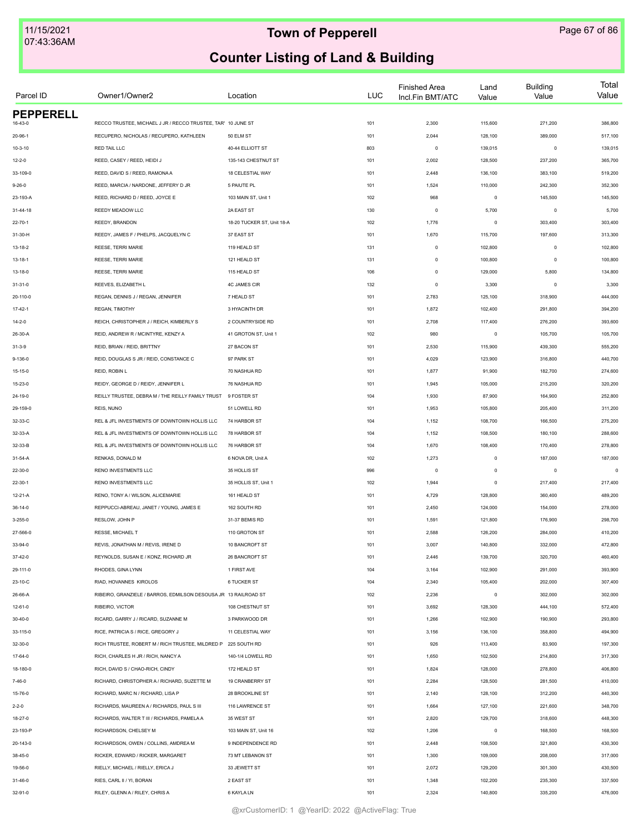| Parcel ID                   | Owner1/Owner2                                                   | Location                   | LUC        | <b>Finished Area</b><br>Incl.Fin BMT/ATC | Land<br>Value | <b>Building</b><br>Value | Total<br>Value |
|-----------------------------|-----------------------------------------------------------------|----------------------------|------------|------------------------------------------|---------------|--------------------------|----------------|
| <b>PEPPERELL</b><br>16-43-0 | RECCO TRUSTEE, MICHAEL J JR / RECCO TRUSTEE, TAR' 10 JUNE ST    |                            | 101        | 2,300                                    | 115,600       | 271,200                  | 386,800        |
| 20-96-1                     | RECUPERO, NICHOLAS / RECUPERO, KATHLEEN                         | 50 ELM ST                  | 101        | 2,044                                    | 128,100       | 389,000                  | 517,100        |
| $10 - 3 - 10$               | RED TAIL LLC                                                    | 40-44 ELLIOTT ST           | 803        | $^{\circ}$                               | 139,015       | $\mathbf 0$              | 139,015        |
| $12 - 2 - 0$                | REED, CASEY / REED, HEIDI J                                     | 135-143 CHESTNUT ST        | 101        | 2,002                                    | 128,500       | 237,200                  | 365,700        |
| 33-109-0                    | REED, DAVID S / REED, RAMONA A                                  | 18 CELESTIAL WAY           |            | 2,448                                    | 136,100       | 383,100                  | 519,200        |
|                             | REED. MARCIA / NARDONE. JEFFERY D JR                            | 5 PAIUTE PL                | 101<br>101 |                                          | 110,000       | 242,300                  | 352,300        |
| $9 - 26 - 0$                | REED, RICHARD D / REED, JOYCE E                                 | 103 MAIN ST, Unit 1        |            | 1,524<br>968                             | $\mathbf 0$   |                          |                |
| 23-193-A                    | REEDY MEADOW LLC                                                | 2A EAST ST                 | 102        |                                          |               | 145,500<br>$\mathbf 0$   | 145,500        |
| $31 - 44 - 18$              |                                                                 |                            | 130        | $\mathsf 0$                              | 5,700         |                          | 5,700          |
| $22 - 70 - 1$               | REEDY, BRANDON                                                  | 18-20 TUCKER ST, Unit 18-A | 102        | 1,776                                    | $\mathbf 0$   | 303,400                  | 303,400        |
| 31-30-H                     | REEDY, JAMES F / PHELPS, JACQUELYN C                            | 37 EAST ST                 | 101        | 1,670                                    | 115,700       | 197,600                  | 313,300        |
| $13 - 18 - 2$               | REESE, TERRI MARIE                                              | 119 HEALD ST               | 131        | $\mathsf 0$                              | 102,800       | $\mathbf 0$              | 102,800        |
| 13-18-1                     | REESE, TERRI MARIE                                              | 121 HEALD ST               | 131        | $\mathsf 0$                              | 100,800       | 0                        | 100,800        |
| 13-18-0                     | REESE, TERRI MARIE                                              | 115 HEALD ST               | 106        | $\mathsf 0$                              | 129,000       | 5,800                    | 134,800        |
| 31-31-0                     | REEVES, ELIZABETH L                                             | <b>4C JAMES CIR</b>        | 132        | $\mathsf 0$                              | 3,300         | $\mathbf 0$              | 3,300          |
| 20-110-0                    | REGAN, DENNIS J / REGAN, JENNIFER                               | 7 HEALD ST                 | 101        | 2,783                                    | 125,100       | 318,900                  | 444,000        |
| $17-42-1$                   | REGAN, TIMOTHY                                                  | 3 HYACINTH DR              | 101        | 1,872                                    | 102,400       | 291,800                  | 394,200        |
| $14 - 2 - 0$                | REICH, CHRISTOPHER J / REICH, KIMBERLY S                        | 2 COUNTRYSIDE RD           | 101        | 2,708                                    | 117,400       | 276,200                  | 393,600        |
| 26-30-A                     | REID, ANDREW R / MCINTYRE, KENZY A                              | 41 GROTON ST, Unit 1       | 102        | 980                                      | $\mathsf 0$   | 105,700                  | 105,700        |
| $31 - 3 - 9$                | REID, BRIAN / REID, BRITTNY                                     | 27 BACON ST                | 101        | 2,530                                    | 115,900       | 439,300                  | 555,200        |
| 9-136-0                     | REID, DOUGLAS S JR / REID, CONSTANCE C                          | 97 PARK ST                 | 101        | 4,029                                    | 123,900       | 316,800                  | 440,700        |
| 15-15-0                     | REID, ROBIN L                                                   | 70 NASHUA RD               | 101        | 1,877                                    | 91,900        | 182,700                  | 274,600        |
| 15-23-0                     | REIDY, GEORGE D / REIDY, JENNIFER L                             | 76 NASHUA RD               | 101        | 1,945                                    | 105,000       | 215,200                  | 320,200        |
| 24-19-0                     | REILLY TRUSTEE, DEBRA M / THE REILLY FAMILY TRUST               | 9 FOSTER ST                | 104        | 1,930                                    | 87,900        | 164,900                  | 252,800        |
| 29-159-0                    | REIS, NUNO                                                      | 51 LOWELL RD               | 101        | 1,953                                    | 105,800       | 205,400                  | 311,200        |
| 32-33-C                     | REL & JFL INVESTMENTS OF DOWNTOWN HOLLIS LLC                    | 74 HARBOR ST               | 104        | 1,152                                    | 108,700       | 166,500                  | 275,200        |
| 32-33-A                     | REL & JFL INVESTMENTS OF DOWNTOWN HOLLIS LLC                    | 78 HARBOR ST               | 104        | 1,152                                    | 108,500       | 180,100                  | 288,600        |
| 32-33-B                     | REL & JFL INVESTMENTS OF DOWNTOWN HOLLIS LLC                    | 76 HARBOR ST               | 104        | 1,670                                    | 108,400       | 170,400                  | 278,800        |
| 31-54-A                     | RENKAS, DONALD M                                                | 6 NOVA DR, Unit A          | 102        | 1,273                                    | $\mathsf 0$   | 187,000                  | 187,000        |
| 22-30-0                     | RENO INVESTMENTS LLC                                            | 35 HOLLIS ST               | 996        | $\mathsf 0$                              | $\mathbf 0$   | $\mathbf 0$              | $\Omega$       |
| $22 - 30 - 1$               | RENO INVESTMENTS LLC                                            | 35 HOLLIS ST, Unit 1       | 102        | 1,944                                    | $\mathbf 0$   | 217,400                  | 217,400        |
| $12 - 21 - A$               | RENO, TONY A / WILSON, ALICEMARIE                               | 161 HEALD ST               | 101        | 4,729                                    | 128,800       | 360,400                  | 489,200        |
| $36 - 14 - 0$               | REPPUCCI-ABREAU, JANET / YOUNG, JAMES E                         | 162 SOUTH RD               | 101        | 2,450                                    | 124,000       | 154,000                  | 278,000        |
| $3 - 255 - 0$               | RESLOW, JOHN P                                                  | 31-37 BEMIS RD             | 101        | 1,591                                    | 121,800       | 176,900                  | 298,700        |
| 27-566-0                    | RESSE, MICHAEL T                                                | 110 GROTON ST              | 101        | 2,588                                    | 126,200       | 284,000                  | 410,200        |
| 33-94-0                     | REVIS, JONATHAN M / REVIS, IRENE D                              | 10 BANCROFT ST             | 101        | 3,007                                    | 140,800       | 332,000                  | 472,800        |
| 37-42-0                     | REYNOLDS, SUSAN E / KONZ, RICHARD JR                            | 26 BANCROFT ST             | 101        | 2,446                                    | 139,700       | 320,700                  | 460,400        |
| 29-111-0                    | RHODES, GINA LYNN                                               | 1 FIRST AVE                | 104        | 3,164                                    | 102,900       | 291,000                  | 393,900        |
| 23-10-C                     | RIAD, HOVANNES KIROLOS                                          | <b>6 TUCKER ST</b>         | 104        | 2,340                                    | 105,400       | 202,000                  | 307,400        |
| 26-66-A                     | RIBEIRO, GRANZIELE / BARROS, EDMILSON DESOUSA JR 13 RAILROAD ST |                            | 102        | 2,236                                    | $\mathbf 0$   | 302,000                  | 302,000        |
| $12 - 61 - 0$               | RIBEIRO, VICTOR                                                 | 108 CHESTNUT ST            | 101        | 3,692                                    | 128,300       | 444,100                  | 572,400        |
| $30 - 40 - 0$               | RICARD, GARRY J / RICARD, SUZANNE M                             | 3 PARKWOOD DR              | 101        | 1,266                                    | 102,900       | 190,900                  | 293,800        |
| 33-115-0                    | RICE, PATRICIA S / RICE, GREGORY J                              | 11 CELESTIAL WAY           | 101        | 3,156                                    | 136,100       | 358,800                  | 494,900        |
| 32-30-0                     | RICH TRUSTEE, ROBERT M / RICH TRUSTEE, MILDRED P                | 225 SOUTH RD               | 101        | 926                                      | 113,400       | 83,900                   | 197,300        |
| 17-64-0                     | RICH, CHARLES H JR / RICH, NANCY A                              | 140-1/4 LOWELL RD          | 101        | 1,650                                    | 102,500       | 214,800                  | 317,300        |
| 18-180-0                    | RICH, DAVID S / CHAO-RICH, CINDY                                | 172 HEALD ST               | 101        | 1,824                                    | 128,000       | 278,800                  | 406,800        |
| $7 - 46 - 0$                | RICHARD, CHRISTOPHER A / RICHARD, SUZETTE M                     | 19 CRANBERRY ST            | 101        | 2,284                                    | 128,500       | 281,500                  | 410,000        |
| 15-76-0                     | RICHARD, MARC N / RICHARD, LISA P                               | 28 BROOKLINE ST            | 101        | 2,140                                    | 128,100       | 312,200                  | 440,300        |
| $2 - 2 - 0$                 | RICHARDS, MAUREEN A / RICHARDS, PAUL S III                      | 116 LAWRENCE ST            | 101        | 1,664                                    | 127,100       | 221,600                  | 348,700        |
| 18-27-0                     | RICHARDS, WALTER T III / RICHARDS, PAMELA A                     | 35 WEST ST                 | 101        | 2,820                                    | 129,700       | 318,600                  | 448,300        |
| 23-193-P                    | RICHARDSON, CHELSEY M                                           | 103 MAIN ST, Unit 16       | 102        | 1,206                                    | $\mathsf 0$   | 168,500                  | 168,500        |
| 20-143-0                    | RICHARDSON, OWEN / COLLINS, AMDREA M                            | 9 INDEPENDENCE RD          | 101        | 2,448                                    | 108,500       | 321,800                  | 430,300        |
| 38-45-0                     | RICKER, EDWARD / RICKER, MARGARET                               | 73 MT LEBANON ST           | 101        | 1,300                                    | 109,000       | 208,000                  | 317,000        |
| 19-56-0                     | RIELLY, MICHAEL / RIELLY, ERICA J                               | 33 JEWETT ST               | 101        | 2,072                                    | 129,200       | 301,300                  | 430,500        |
| $31 - 46 - 0$               | RIES, CARL II / YI, BORAN                                       | 2 EAST ST                  | 101        | 1,348                                    | 102,200       | 235,300                  | 337,500        |
| 32-91-0                     | RILEY, GLENN A / RILEY, CHRIS A                                 | 6 KAYLA LN                 | 101        | 2,324                                    | 140,800       | 335,200                  | 476,000        |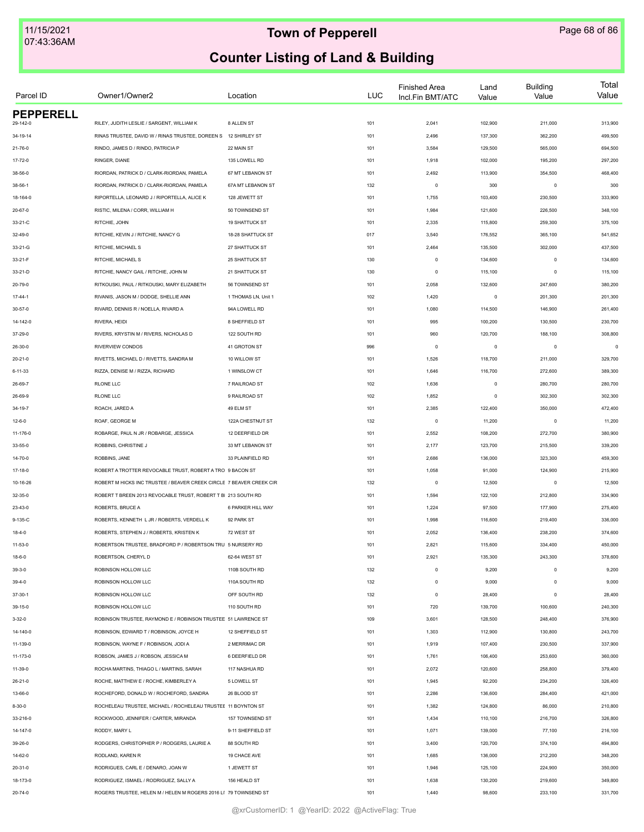| Parcel ID        | Owner1/Owner2                                                       | Location            | <b>LUC</b> | <b>Finished Area</b><br>Incl.Fin BMT/ATC | Land<br>Value | <b>Building</b><br>Value | Total<br>Value |
|------------------|---------------------------------------------------------------------|---------------------|------------|------------------------------------------|---------------|--------------------------|----------------|
| <b>PEPPERELL</b> |                                                                     |                     |            |                                          |               |                          |                |
| 29-142-0         | RILEY, JUDITH LESLIE / SARGENT, WILLIAM K                           | 8 ALLEN ST          | 101        | 2,041                                    | 102,900       | 211,000                  | 313,900        |
| 34-19-14         | RINAS TRUSTEE, DAVID W / RINAS TRUSTEE, DOREEN S 12 SHIRLEY ST      |                     | 101        | 2,496                                    | 137,300       | 362,200                  | 499,500        |
| $21 - 76 - 0$    | RINDO, JAMES D / RINDO, PATRICIA P                                  | 22 MAIN ST          | 101        | 3,584                                    | 129,500       | 565,000                  | 694,500        |
| 17-72-0          | RINGER, DIANE                                                       | 135 LOWELL RD       | 101        | 1,918                                    | 102,000       | 195,200                  | 297,200        |
| 38-56-0          | RIORDAN, PATRICK D / CLARK-RIORDAN, PAMELA                          | 67 MT LEBANON ST    | 101        | 2,492                                    | 113,900       | 354,500                  | 468,400        |
| $38 - 56 - 1$    | RIORDAN, PATRICK D / CLARK-RIORDAN, PAMELA                          | 67A MT LEBANON ST   | 132        | $\mathbf 0$                              | 300           | $\mathbf 0$              | 300            |
| 18-164-0         | RIPORTELLA, LEONARD J / RIPORTELLA, ALICE K                         | 128 JEWETT ST       | 101        | 1,755                                    | 103,400       | 230,500                  | 333,900        |
| 20-67-0          | RISTIC, MILENA / CORR, WILLIAM H                                    | 50 TOWNSEND ST      | 101        | 1,984                                    | 121,600       | 226,500                  | 348,100        |
| 33-21-C          | RITCHIE, JOHN                                                       | 19 SHATTUCK ST      | 101        | 2,335                                    | 115,800       | 259,300                  | 375,100        |
| $32 - 49 - 0$    | RITCHIE, KEVIN J / RITCHIE, NANCY G                                 | 18-28 SHATTUCK ST   | 017        | 3,540                                    | 176,552       | 365,100                  | 541,652        |
| 33-21-G          | RITCHIE, MICHAEL S                                                  | 27 SHATTUCK ST      | 101        | 2,464                                    | 135,500       | 302,000                  | 437,500        |
| 33-21-F          | RITCHIE, MICHAEL S                                                  | 25 SHATTUCK ST      | 130        | $\mathbf 0$                              | 134,600       | $\mathbf 0$              | 134,600        |
| 33-21-D          | RITCHIE, NANCY GAIL / RITCHIE, JOHN M                               | 21 SHATTUCK ST      | 130        | $\mathbf 0$                              | 115,100       | $\mathbf 0$              | 115,100        |
| 20-79-0          | RITKOUSKI, PAUL / RITKOUSKI, MARY ELIZABETH                         | 56 TOWNSEND ST      | 101        | 2,058                                    | 132,600       | 247,600                  | 380,200        |
| 17-44-1          | RIVANIS, JASON M / DODGE, SHELLIE ANN                               | 1 THOMAS LN, Unit 1 | 102        | 1,420                                    | $\mathsf 0$   | 201,300                  | 201,300        |
| 30-57-0          | RIVARD, DENNIS R / NOELLA, RIVARD A                                 | 94A LOWELL RD       | 101        | 1,080                                    | 114,500       | 146,900                  | 261,400        |
| 14-142-0         | RIVERA, HEIDI                                                       | 8 SHEFFIELD ST      | 101        | 995                                      | 100,200       | 130,500                  | 230,700        |
| 37-29-0          | RIVERS, KRYSTIN M / RIVERS, NICHOLAS D                              | 122 SOUTH RD        | 101        | 960                                      | 120,700       | 188,100                  | 308,800        |
| 26-30-0          | RIVERVIEW CONDOS                                                    | 41 GROTON ST        | 996        | $\mathbf 0$                              | $\mathsf 0$   | $\mathbf 0$              | $\mathbf 0$    |
| $20 - 21 - 0$    | RIVETTS, MICHAEL D / RIVETTS, SANDRA M                              | 10 WILLOW ST        | 101        | 1,526                                    | 118,700       | 211,000                  | 329,700        |
| $6 - 11 - 33$    | RIZZA, DENISE M / RIZZA, RICHARD                                    | 1 WINSLOW CT        | 101        | 1,646                                    | 116,700       | 272,600                  | 389,300        |
| 26-69-7          | <b>RLONE LLC</b>                                                    | 7 RAILROAD ST       | 102        | 1,636                                    | $\mathsf 0$   | 280,700                  | 280,700        |
| 26-69-9          | <b>RLONE LLC</b>                                                    | 9 RAILROAD ST       | 102        | 1,852                                    | $\mathsf 0$   | 302,300                  | 302,300        |
| 34-19-7          | ROACH, JARED A                                                      | 49 ELM ST           | 101        | 2,385                                    | 122,400       | 350,000                  | 472,400        |
| $12 - 6 - 0$     | ROAF, GEORGE M                                                      | 122A CHESTNUT ST    | 132        | $\mathbf 0$                              | 11,200        | $\mathbf 0$              | 11,200         |
| 11-176-0         | ROBARGE, PAUL N JR / ROBARGE, JESSICA                               | 12 DEERFIELD DR     | 101        | 2,552                                    | 108,200       | 272,700                  | 380,900        |
| 33-55-0          | ROBBINS, CHRISTINE J                                                | 33 MT LEBANON ST    | 101        | 2,177                                    | 123,700       | 215,500                  | 339,200        |
| 14-70-0          | ROBBINS, JANE                                                       | 33 PLAINFIELD RD    | 101        | 2,686                                    | 136,000       | 323,300                  | 459,300        |
|                  | ROBERT A TROTTER REVOCABLE TRUST, ROBERT A TRO 9 BACON ST           |                     |            |                                          |               |                          |                |
| 17-18-0          |                                                                     |                     | 101        | 1,058                                    | 91,000        | 124,900                  | 215,900        |
| 10-16-26         | ROBERT M HICKS INC TRUSTEE / BEAVER CREEK CIRCLE 7 BEAVER CREEK CIR |                     | 132        | $\mathbf 0$                              | 12,500        | $\mathbf 0$              | 12,500         |
| 32-35-0          | ROBERT T BREEN 2013 REVOCABLE TRUST, ROBERT T BI 213 SOUTH RD       |                     | 101        | 1,594                                    | 122,100       | 212,800                  | 334,900        |
| 23-43-0          | ROBERTS, BRUCE A                                                    | 6 PARKER HILL WAY   | 101        | 1,224                                    | 97,500        | 177,900                  | 275,400        |
| 9-135-C          | ROBERTS, KENNETH L JR / ROBERTS, VERDELL K                          | 92 PARK ST          | 101        | 1,998                                    | 116,600       | 219,400                  | 336,000        |
| $18 - 4 - 0$     | ROBERTS, STEPHEN J / ROBERTS, KRISTEN K                             | 72 WEST ST          | 101        | 2,052                                    | 136,400       | 238,200                  | 374,600        |
| $11 - 53 - 0$    | ROBERTSON TRUSTEE, BRADFORD P / ROBERTSON TRU 5 NURSERY RD          |                     | 101        | 2,821                                    | 115,600       | 334,400                  | 450,000        |
| $18 - 6 - 0$     | ROBERTSON, CHERYL D                                                 | 62-64 WEST ST       | 101        | 2,921                                    | 135,300       | 243,300                  | 378,600        |
| $39 - 3 - 0$     | ROBINSON HOLLOW LLC                                                 | 110B SOUTH RD       | 132        | $\mathbf 0$                              | 9,200         | $\mathbf 0$              | 9,200          |
| $39 - 4 - 0$     | ROBINSON HOLLOW LLC                                                 | 110A SOUTH RD       | 132        | $\mathbf 0$                              | 9,000         | $\Omega$                 | 9,000          |
| $37 - 30 - 1$    | ROBINSON HOLLOW LLC                                                 | OFF SOUTH RD        | 132        | $\mathbf 0$                              | 28,400        | $\Omega$                 | 28,400         |
| 39-15-0          | ROBINSON HOLLOW LLC                                                 | 110 SOUTH RD        | 101        | 720                                      | 139,700       | 100,600                  | 240,300        |
| $3 - 32 - 0$     | ROBINSON TRUSTEE, RAYMOND E / ROBINSON TRUSTEE 51 LAWRENCE ST       |                     | 109        | 3,601                                    | 128,500       | 248,400                  | 376,900        |
| 14-140-0         | ROBINSON, EDWARD T / ROBINSON, JOYCE H                              | 12 SHEFFIELD ST     | 101        | 1,303                                    | 112,900       | 130,800                  | 243,700        |
| 11-139-0         | ROBINSON, WAYNE F / ROBINSON, JODI A                                | 2 MERRIMAC DR       | 101        | 1,919                                    | 107,400       | 230,500                  | 337,900        |
| 11-173-0         | ROBSON, JAMES J / ROBSON, JESSICA M                                 | 6 DEERFIELD DR      | 101        | 1,761                                    | 106,400       | 253,600                  | 360,000        |
| 11-39-0          | ROCHA MARTINS, THIAGO L / MARTINS, SARAH                            | 117 NASHUA RD       | 101        | 2,072                                    | 120,600       | 258,800                  | 379,400        |
| $26 - 21 - 0$    | ROCHE, MATTHEW E / ROCHE, KIMBERLEY A                               | 5 LOWELL ST         | 101        | 1,945                                    | 92,200        | 234,200                  | 326,400        |
| 13-66-0          | ROCHEFORD, DONALD W / ROCHEFORD, SANDRA                             | 26 BLOOD ST         | 101        | 2,286                                    | 136,600       | 284,400                  | 421,000        |
| $8 - 30 - 0$     | ROCHELEAU TRUSTEE, MICHAEL / ROCHELEAU TRUSTEE 11 BOYNTON ST        |                     | 101        | 1,382                                    | 124,800       | 86,000                   | 210,800        |
| 33-216-0         | ROCKWOOD, JENNIFER / CARTER, MIRANDA                                | 157 TOWNSEND ST     | 101        | 1,434                                    | 110,100       | 216,700                  | 326,800        |
| 14-147-0         | RODDY, MARY L                                                       | 9-11 SHEFFIELD ST   | 101        | 1,071                                    | 139,000       | 77,100                   | 216,100        |
| 39-26-0          | RODGERS, CHRISTOPHER P / RODGERS, LAURIE A                          | 88 SOUTH RD         | 101        | 3,400                                    | 120,700       | 374,100                  | 494,800        |
| 14-62-0          | RODLAND, KAREN R                                                    | 19 CHACE AVE        | 101        | 1,685                                    | 136,000       | 212,200                  | 348,200        |
| 20-31-0          | RODRIGUES, CARL E / DENARO, JOAN W                                  | 1 JEWETT ST         | 101        | 1,946                                    | 125,100       | 224,900                  | 350,000        |
| 18-173-0         | RODRIGUEZ, ISMAEL / RODRIGUEZ, SALLY A                              | 156 HEALD ST        | 101        | 1,638                                    | 130,200       | 219,600                  | 349,800        |
| $20 - 74 - 0$    | ROGERS TRUSTEE, HELEN M / HELEN M ROGERS 2016 LI 79 TOWNSEND ST     |                     | 101        | 1,440                                    | 98,600        | 233,100                  | 331,700        |
|                  |                                                                     |                     |            |                                          |               |                          |                |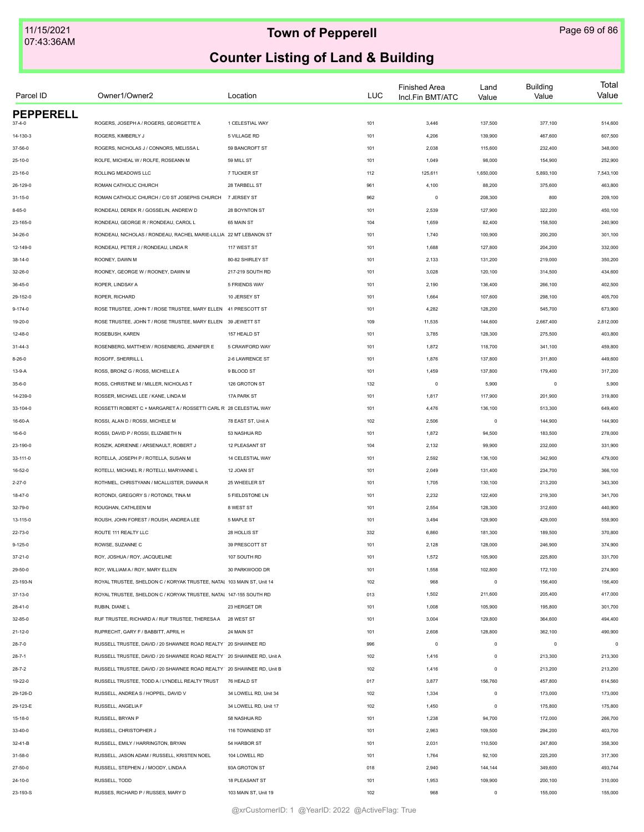| Parcel ID        | Owner1/Owner2                                                         | Location              | <b>LUC</b> | <b>Finished Area</b><br>Incl.Fin BMT/ATC | Land<br>Value | <b>Building</b><br>Value | Total<br>Value |
|------------------|-----------------------------------------------------------------------|-----------------------|------------|------------------------------------------|---------------|--------------------------|----------------|
| <b>PEPPERELL</b> |                                                                       |                       |            |                                          |               |                          |                |
| $37 - 4 - 0$     | ROGERS, JOSEPH A / ROGERS, GEORGETTE A                                | 1 CELESTIAL WAY       | 101        | 3,446                                    | 137,500       | 377,100                  | 514,600        |
| 14-130-3         | ROGERS, KIMBERLY J                                                    | 5 VILLAGE RD          | 101        | 4,206                                    | 139,900       | 467,600                  | 607,500        |
| 37-56-0          | ROGERS, NICHOLAS J / CONNORS, MELISSA L                               | 59 BANCROFT ST        | 101        | 2,038                                    | 115,600       | 232,400                  | 348,000        |
| $25 - 10 - 0$    | ROLFE, MICHEAL W / ROLFE, ROSEANN M                                   | 59 MILL ST            | 101        | 1,049                                    | 98,000        | 154,900                  | 252,900        |
| $23 - 16 - 0$    | ROLLING MEADOWS LLC                                                   | 7 TUCKER ST           | 112        | 125,611                                  | 1,650,000     | 5,893,100                | 7,543,100      |
| 26-129-0         | ROMAN CATHOLIC CHURCH                                                 | 28 TARBELL ST         | 961        | 4,100                                    | 88,200        | 375,600                  | 463,800        |
| $31 - 15 - 0$    | ROMAN CATHOLIC CHURCH / C/0 ST JOSEPHS CHURCH                         | 7 JERSEY ST           | 962        | $\mathsf 0$                              | 208,300       | 800                      | 209,100        |
| $8 - 65 - 0$     | RONDEAU, DEREK R / GOSSELIN, ANDREW D                                 | 28 BOYNTON ST         | 101        | 2,539                                    | 127,900       | 322,200                  | 450,100        |
| 23-165-0         | RONDEAU, GEORGE R / RONDEAU, CAROL L                                  | 65 MAIN ST            | 104        | 1,659                                    | 82,400        | 158,500                  | 240,900        |
| 34-26-0          | RONDEAU, NICHOLAS / RONDEAU, RACHEL MARIE-LILLIA 22 MT LEBANON ST     |                       | 101        | 1,740                                    | 100,900       | 200,200                  | 301,100        |
| 12-149-0         | RONDEAU, PETER J / RONDEAU, LINDA R                                   | 117 WEST ST           | 101        | 1,688                                    | 127,800       | 204,200                  | 332,000        |
| $38 - 14 - 0$    | ROONEY, DAWN M                                                        | 80-82 SHIRLEY ST      | 101        | 2,133                                    | 131,200       | 219,000                  | 350,200        |
| 32-26-0          | ROONEY, GEORGE W / ROONEY, DAWN M                                     | 217-219 SOUTH RD      | 101        | 3,028                                    | 120,100       | 314,500                  | 434,600        |
| 36-45-0          | ROPER, LINDSAY A                                                      | 5 FRIENDS WAY         | 101        | 2,190                                    | 136,400       | 266,100                  | 402,500        |
| 29-152-0         | ROPER, RICHARD                                                        | 10 JERSEY ST          | 101        | 1,664                                    | 107,600       | 298,100                  | 405,700        |
| $9 - 174 - 0$    | ROSE TRUSTEE, JOHN T / ROSE TRUSTEE, MARY ELLEN 41 PRESCOTT ST        |                       | 101        | 4,282                                    | 128,200       | 545,700                  | 673,900        |
| 19-20-0          | ROSE TRUSTEE, JOHN T / ROSE TRUSTEE, MARY ELLEN 39 JEWETT ST          |                       | 109        | 11,535                                   | 144,600       | 2,667,400                | 2,812,000      |
| $12 - 48 - 0$    | ROSEBUSH, KAREN                                                       | 157 HEALD ST          | 101        | 3,785                                    | 128,300       | 275,500                  | 403,800        |
| $31 - 44 - 3$    | ROSENBERG, MATTHEW / ROSENBERG, JENNIFER E                            | 5 CRAWFORD WAY        | 101        | 1,872                                    | 118,700       | 341,100                  | 459,800        |
| $8-26-0$         | ROSOFF, SHERRILL L                                                    | 2-6 LAWRENCE ST       | 101        | 1,876                                    | 137,800       | 311,800                  | 449,600        |
| 13-9-A           | ROSS, BRONZ G / ROSS, MICHELLE A                                      | 9 BLOOD ST            | 101        | 1,459                                    | 137,800       | 179,400                  | 317,200        |
| $35 - 6 - 0$     | ROSS, CHRISTINE M / MILLER, NICHOLAS T                                | 126 GROTON ST         | 132        | $\mathbf 0$                              | 5,900         | $\mathbf 0$              | 5,900          |
| 14-239-0         | ROSSER, MICHAEL LEE / KANE, LINDA M                                   | 17A PARK ST           | 101        | 1,817                                    | 117,900       | 201,900                  | 319,800        |
| 33-104-0         | ROSSETTI ROBERT C + MARGARET A / ROSSETTI CARL R 28 CELESTIAL WAY     |                       | 101        | 4,476                                    | 136,100       | 513,300                  | 649,400        |
| 16-60-A          | ROSSI, ALAN D / ROSSI, MICHELE M                                      | 78 EAST ST, Unit A    | 102        | 2,506                                    | $\mathsf 0$   | 144,900                  | 144,900        |
| $16 - 6 - 0$     | ROSSI, DAVID P / ROSSI, ELIZABETH N                                   | 53 NASHUA RD          | 101        | 1,872                                    | 94,500        | 183,500                  | 278,000        |
| 23-190-0         | ROSZIK, ADRIENNE / ARSENAULT, ROBERT J                                | 12 PLEASANT ST        | 104        | 2,132                                    | 99,900        | 232,000                  | 331,900        |
| 33-111-0         | ROTELLA, JOSEPH P / ROTELLA, SUSAN M                                  | 14 CELESTIAL WAY      | 101        | 2,592                                    | 136,100       | 342,900                  | 479,000        |
| 16-52-0          | ROTELLI, MICHAEL R / ROTELLI, MARYANNE L                              | 12 JOAN ST            | 101        | 2,049                                    | 131,400       | 234,700                  | 366,100        |
| $2 - 27 - 0$     | ROTHMEL, CHRISTYANN / MCALLISTER, DIANNA R                            | 25 WHEELER ST         | 101        | 1,705                                    | 130,100       | 213,200                  | 343,300        |
|                  |                                                                       |                       |            |                                          |               |                          |                |
| 18-47-0          | ROTONDI, GREGORY S / ROTONDI, TINA M                                  | 5 FIELDSTONE LN       | 101        | 2,232                                    | 122,400       | 219,300                  | 341,700        |
| 32-79-0          | ROUGHAN, CATHLEEN M                                                   | 8 WEST ST             | 101        | 2,554                                    | 128,300       | 312,600                  | 440,900        |
| 13-115-0         | ROUSH, JOHN FOREST / ROUSH, ANDREA LEE                                | 5 MAPLE ST            | 101        | 3,494                                    | 129,900       | 429,000                  | 558,900        |
| 22-73-0          | ROUTE 111 REALTY LLC                                                  | 28 HOLLIS ST          | 332        | 6,860                                    | 181,300       | 189,500                  | 370,800        |
| $9 - 125 - 0$    | ROWSE, SUZANNE C                                                      | 39 PRESCOTT ST        | 101        | 2,128                                    | 128,000       | 246,900                  | 374,900        |
| 37-21-0          | ROY, JOSHUA / ROY, JACQUELINE                                         | 107 SOUTH RD          | 101        | 1,572                                    | 105,900       | 225,800                  | 331,700        |
| 29-50-0          | ROY, WILLIAM A / ROY, MARY ELLEN                                      | 30 PARKWOOD DR        | 101        | 1,558                                    | 102,800       | 172,100                  | 274,900        |
| 23-193-N         | ROYAL TRUSTEE, SHELDON C / KORYAK TRUSTEE, NATAL 103 MAIN ST, Unit 14 |                       | 102        | 968                                      | $\circ$       | 156,400                  | 156,400        |
| 37-13-0          | ROYAL TRUSTEE, SHELDON C / KORYAK TRUSTEE, NATAL 147-155 SOUTH RD     |                       | 013        | 1,502                                    | 211,600       | 205,400                  | 417,000        |
| $28 - 41 - 0$    | RUBIN, DIANE L                                                        | 23 HERGET DR          | 101        | 1,008                                    | 105,900       | 195,800                  | 301,700        |
| 32-85-0          | RUF TRUSTEE, RICHARD A / RUF TRUSTEE, THERESAA 28 WEST ST             |                       | 101        | 3,004                                    | 129,800       | 364,600                  | 494,400        |
| $21 - 12 - 0$    | RUPRECHT, GARY F / BABBITT, APRIL H                                   | 24 MAIN ST            | 101        | 2,608                                    | 128,800       | 362,100                  | 490,900        |
| $28 - 7 - 0$     | RUSSELL TRUSTEE, DAVID / 20 SHAWNEE ROAD REALTY 20 SHAWNEE RD         |                       | 996        | $\circ$                                  | $\mathsf 0$   | $\circ$                  | $\circ$        |
| $28 - 7 - 1$     | RUSSELL TRUSTEE, DAVID / 20 SHAWNEE ROAD REALTY 20 SHAWNEE RD, Unit A |                       | 102        | 1,416                                    | $\mathsf 0$   | 213,300                  | 213,300        |
| $28 - 7 - 2$     | RUSSELL TRUSTEE, DAVID / 20 SHAWNEE ROAD REALTY 20 SHAWNEE RD, Unit B |                       | 102        | 1,416                                    | $\mathsf 0$   | 213,200                  | 213,200        |
| 19-22-0          | RUSSELL TRUSTEE. TODD A / LYNDELL REALTY TRUST                        | 76 HEALD ST           | 017        | 3,877                                    | 156,760       | 457,800                  | 614,560        |
| 29-126-D         | RUSSELL, ANDREA S / HOPPEL, DAVID V                                   | 34 LOWELL RD, Unit 34 | 102        | 1,334                                    | $\mathsf 0$   | 173,000                  | 173,000        |
| 29-123-E         | RUSSELL, ANGELIA F                                                    | 34 LOWELL RD, Unit 17 | 102        | 1,450                                    | $\mathsf 0$   | 175,800                  | 175,800        |
| 15-18-0          | RUSSELL, BRYAN P                                                      | 58 NASHUA RD          | 101        | 1,238                                    | 94,700        | 172,000                  | 266,700        |
| 33-40-0          | RUSSELL, CHRISTOPHER J                                                | 116 TOWNSEND ST       | 101        | 2,963                                    | 109,500       | 294,200                  | 403,700        |
| 32-41-B          | RUSSELL, EMILY / HARRINGTON, BRYAN                                    | 54 HARBOR ST          | 101        | 2,031                                    | 110,500       | 247,800                  | 358,300        |
| 31-58-0          | RUSSELL, JASON ADAM / RUSSELL, KRISTEN NOEL                           | 104 LOWELL RD         | 101        | 1,764                                    | 92,100        | 225,200                  | 317,300        |
| 27-50-0          | RUSSELL, STEPHEN J / MOODY, LINDAA                                    | 93A GROTON ST         | 018        | 2,940                                    | 144,144       | 349,600                  | 493,744        |
| 24-10-0          | RUSSELL, TODD                                                         | 18 PLEASANT ST        | 101        | 1,953                                    | 109,900       | 200,100                  | 310,000        |
| 23-193-S         | RUSSES, RICHARD P / RUSSES, MARY D                                    | 103 MAIN ST, Unit 19  | 102        | 968                                      | $\mathsf 0$   | 155,000                  | 155,000        |
|                  |                                                                       |                       |            |                                          |               |                          |                |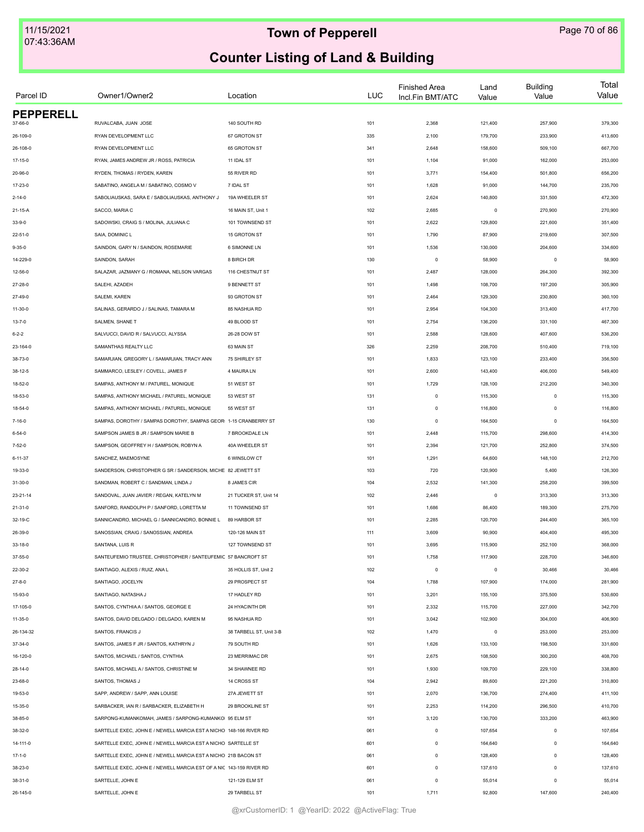| Parcel ID        | Owner1/Owner2                                                       | Location                | <b>LUC</b> | <b>Finished Area</b><br>Incl.Fin BMT/ATC | Land<br>Value | <b>Building</b><br>Value | Total<br>Value |
|------------------|---------------------------------------------------------------------|-------------------------|------------|------------------------------------------|---------------|--------------------------|----------------|
| <b>PEPPERELL</b> |                                                                     |                         |            |                                          |               |                          |                |
| 37-66-0          | RUVALCABA, JUAN JOSE                                                | 140 SOUTH RD            | 101        | 2,368                                    | 121,400       | 257,900                  | 379,300        |
| 26-109-0         | RYAN DEVELOPMENT LLC                                                | 67 GROTON ST            | 335        | 2,100                                    | 179,700       | 233,900                  | 413,600        |
| 26-108-0         | RYAN DEVELOPMENT LLC                                                | 65 GROTON ST            | 341        | 2,648                                    | 158,600       | 509,100                  | 667,700        |
| $17 - 15 - 0$    | RYAN, JAMES ANDREW JR / ROSS, PATRICIA                              | 11 IDAL ST              | 101        | 1,104                                    | 91,000        | 162,000                  | 253,000        |
| 20-96-0          | RYDEN, THOMAS / RYDEN, KAREN                                        | 55 RIVER RD             | 101        | 3,771                                    | 154,400       | 501,800                  | 656,200        |
| 17-23-0          | SABATINO, ANGELA M / SABATINO, COSMO V                              | 7 IDAL ST               | 101        | 1,628                                    | 91,000        | 144,700                  | 235,700        |
| $2 - 14 - 0$     | SABOLIAUSKAS, SARA E / SABOLIAUSKAS, ANTHONY J                      | 19A WHEELER ST          | 101        | 2,624                                    | 140,800       | 331,500                  | 472,300        |
| 21-15-A          | SACCO, MARIA C                                                      | 16 MAIN ST, Unit 1      | 102        | 2,685                                    | $\mathsf 0$   | 270,900                  | 270,900        |
| $33 - 9 - 0$     | SADOWSKI, CRAIG S / MOLINA, JULIANA C                               | 101 TOWNSEND ST         | 101        | 2,622                                    | 129,800       | 221,600                  | 351,400        |
| $22 - 51 - 0$    | SAIA, DOMINIC L                                                     | 15 GROTON ST            | 101        | 1,790                                    | 87,900        | 219,600                  | 307,500        |
| $9 - 35 - 0$     | SAINDON, GARY N / SAINDON, ROSEMARIE                                | 6 SIMONNE LN            | 101        | 1,536                                    | 130,000       | 204,600                  | 334,600        |
| 14-229-0         | SAINDON, SARAH                                                      | 8 BIRCH DR              | 130        | $\circ$                                  | 58,900        | $\circ$                  | 58,900         |
| 12-56-0          | SALAZAR, JAZMANY G / ROMANA, NELSON VARGAS                          | 116 CHESTNUT ST         | 101        | 2,487                                    | 128,000       | 264,300                  | 392,300        |
| 27-28-0          | SALEHI, AZADEH                                                      | 9 BENNETT ST            | 101        | 1,498                                    | 108,700       | 197,200                  | 305,900        |
| 27-49-0          | SALEMI, KAREN                                                       | 93 GROTON ST            | 101        | 2,464                                    | 129,300       | 230,800                  | 360,100        |
| $11 - 30 - 0$    | SALINAS, GERARDO J / SALINAS, TAMARA M                              | 85 NASHUA RD            | 101        | 2,954                                    | 104,300       | 313,400                  | 417,700        |
| $13 - 7 - 0$     | SALMEN, SHANE T                                                     | 49 BLOOD ST             | 101        | 2,754                                    | 136,200       | 331,100                  | 467,300        |
| $6 - 2 - 2$      | SALVUCCI, DAVID R / SALVUCCI, ALYSSA                                | 26-28 DOW ST            | 101        | 2,588                                    | 128,600       | 407,600                  | 536,200        |
| 23-164-0         | SAMANTHAS REALTY LLC                                                | 63 MAIN ST              | 326        | 2,259                                    | 208,700       | 510,400                  | 719,100        |
| 38-73-0          | SAMARJIAN, GREGORY L / SAMARJIAN, TRACY ANN                         | 75 SHIRLEY ST           | 101        | 1,833                                    | 123,100       | 233,400                  | 356,500        |
| 38-12-5          | SAMMARCO, LESLEY / COVELL, JAMES F                                  | 4 MAURA LN              | 101        | 2,600                                    | 143,400       | 406,000                  | 549,400        |
| 18-52-0          | SAMPAS, ANTHONY M / PATUREL, MONIQUE                                | 51 WEST ST              | 101        | 1,729                                    | 128,100       | 212,200                  | 340,300        |
| 18-53-0          | SAMPAS, ANTHONY MICHAEL / PATUREL, MONIQUE                          | 53 WEST ST              | 131        | $\mathbb O$                              | 115,300       | $\circ$                  | 115,300        |
| $18 - 54 - 0$    | SAMPAS, ANTHONY MICHAEL / PATUREL, MONIQUE                          | 55 WEST ST              | 131        | $\mathbb O$                              | 116,800       | $\circ$                  | 116,800        |
| 7-16-0           | SAMPAS, DOROTHY / SAMPAS DOROTHY, SAMPAS GEOR 1-15 CRANBERRY ST     |                         | 130        | $\circ$                                  | 164,500       | $\mathbf 0$              | 164,500        |
|                  |                                                                     |                         |            |                                          |               |                          |                |
| $6 - 54 - 0$     | SAMPSON JAMES B JR / SAMPSON MARIE B                                | 7 BROOKDALE LN          | 101        | 2,448                                    | 115,700       | 298,600                  | 414,300        |
| 7-52-0           | SAMPSON, GEOFFREY H / SAMPSON, ROBYN A                              | 40A WHEELER ST          | 101        | 2,394                                    | 121,700       | 252,800                  | 374,500        |
| 6-11-37          | SANCHEZ, MAEMOSYNE                                                  | 6 WINSLOW CT            | 101        | 1,291                                    | 64,600        | 148,100                  | 212,700        |
| 19-33-0          | SANDERSON, CHRISTOPHER G SR / SANDERSON, MICHE 82 JEWETT ST         |                         | 103        | 720                                      | 120,900       | 5,400                    | 126,300        |
| $31 - 30 - 0$    | SANDMAN, ROBERT C / SANDMAN, LINDA J                                | 8 JAMES CIR             | 104        | 2,532                                    | 141,300       | 258,200                  | 399,500        |
| 23-21-14         | SANDOVAL, JUAN JAVIER / REGAN, KATELYN M                            | 21 TUCKER ST, Unit 14   | 102        | 2,446                                    | $\mathsf 0$   | 313,300                  | 313,300        |
| $21 - 31 - 0$    | SANFORD, RANDOLPH P / SANFORD, LORETTA M                            | 11 TOWNSEND ST          | 101        | 1,686                                    | 86,400        | 189,300                  | 275,700        |
| 32-19-C          | SANNICANDRO, MICHAEL G / SANNICANDRO, BONNIE L                      | 89 HARBOR ST            | 101        | 2,285                                    | 120,700       | 244,400                  | 365,100        |
| 26-39-0          | SANOSSIAN, CRAIG / SANOSSIAN, ANDREA                                | 120-126 MAIN ST         | 111        | 3,609                                    | 90,900        | 404,400                  | 495,300        |
| $33 - 18 - 0$    | SANTANA, LUIS R                                                     | 127 TOWNSEND ST         | 101        | 3,695                                    | 115,900       | 252,100                  | 368,000        |
| 37-55-0          | SANTEUFEMIO TRUSTEE, CHRISTOPHER / SANTEUFEMIC 57 BANCROFT ST       |                         | 101        | 1,758                                    | 117,900       | 228,700                  | 346,600        |
| 22-30-2          | SANTIAGO, ALEXIS / RUIZ, ANA L                                      | 35 HOLLIS ST, Unit 2    | 102        | $\circ$                                  | $\mathsf 0$   | 30,466                   | 30,466         |
| $27 - 8 - 0$     | SANTIAGO, JOCELYN                                                   | 29 PROSPECT ST          | 104        | 1,788                                    | 107,900       | 174,000                  | 281,900        |
| 15-93-0          | SANTIAGO, NATASHA J                                                 | 17 HADLEY RD            | 101        | 3,201                                    | 155,100       | 375,500                  | 530,600        |
| 17-105-0         | SANTOS, CYNTHIA A / SANTOS, GEORGE E                                | 24 HYACINTH DR          | 101        | 2,332                                    | 115,700       | 227,000                  | 342,700        |
| $11 - 35 - 0$    | SANTOS, DAVID DELGADO / DELGADO, KAREN M                            | 95 NASHUA RD            | 101        | 3,042                                    | 102,900       | 304,000                  | 406,900        |
| 26-134-32        | SANTOS, FRANCIS J                                                   | 38 TARBELL ST, Unit 3-B | 102        | 1,470                                    | $\mathsf 0$   | 253,000                  | 253,000        |
| 37-34-0          | SANTOS, JAMES F JR / SANTOS, KATHRYN J                              | 79 SOUTH RD             | 101        | 1,626                                    | 133,100       | 198,500                  | 331,600        |
| 16-120-0         | SANTOS, MICHAEL / SANTOS, CYNTHIA                                   | 23 MERRIMAC DR          | 101        | 2,675                                    | 108,500       | 300,200                  | 408,700        |
| $28 - 14 - 0$    | SANTOS, MICHAEL A / SANTOS, CHRISTINE M                             | 34 SHAWNEE RD           | 101        | 1,930                                    | 109,700       | 229,100                  | 338,800        |
| 23-68-0          | SANTOS, THOMAS J                                                    | 14 CROSS ST             | 104        | 2,942                                    | 89,600        | 221,200                  | 310,800        |
| 19-53-0          | SAPP, ANDREW / SAPP, ANN LOUISE                                     | 27A JEWETT ST           | 101        | 2,070                                    | 136,700       | 274,400                  | 411,100        |
| 15-35-0          | SARBACKER, IAN R / SARBACKER, ELIZABETH H                           | 29 BROOKLINE ST         | 101        | 2,253                                    | 114,200       | 296,500                  | 410,700        |
| 38-85-0          | SARPONG-KUMANKOMAH, JAMES / SARPONG-KUMANKO 95 ELM ST               |                         | 101        | 3,120                                    | 130,700       | 333,200                  | 463,900        |
| 38-32-0          | SARTELLE EXEC, JOHN E / NEWELL MARCIA EST A NICHO 148-166 RIVER RD  |                         | 061        | $\mathbf 0$                              | 107,654       | $^{\circ}$               | 107,654        |
|                  | SARTELLE EXEC, JOHN E / NEWELL MARCIA EST A NICHO SARTELLE ST       |                         | 601        | $\mathbf 0$                              | 164,640       | $\mathbf 0$              | 164,640        |
| 14-111-0         |                                                                     |                         |            |                                          |               |                          |                |
| $17 - 1 - 0$     | SARTELLE EXEC, JOHN E / NEWELL MARCIA EST A NICHO 21B BACON ST      |                         | 061        | $\mathbb O$                              | 128,400       | $\Omega$                 | 128,400        |
| 38-23-0          | SARTELLE EXEC, JOHN E / NEWELL MARCIA EST OF A NIC 143-159 RIVER RD |                         | 601        | $\mathbb O$                              | 137,610       | $\mathbf 0$              | 137,610        |
| 38-31-0          | SARTELLE, JOHN E                                                    | 121-129 ELM ST          | 061        | $\mathbb O$                              | 55,014        | $\mathbf 0$              | 55,014         |
| 26-145-0         | SARTELLE, JOHN E                                                    | 29 TARBELL ST           | 101        | 1,711                                    | 92,800        | 147,600                  | 240,400        |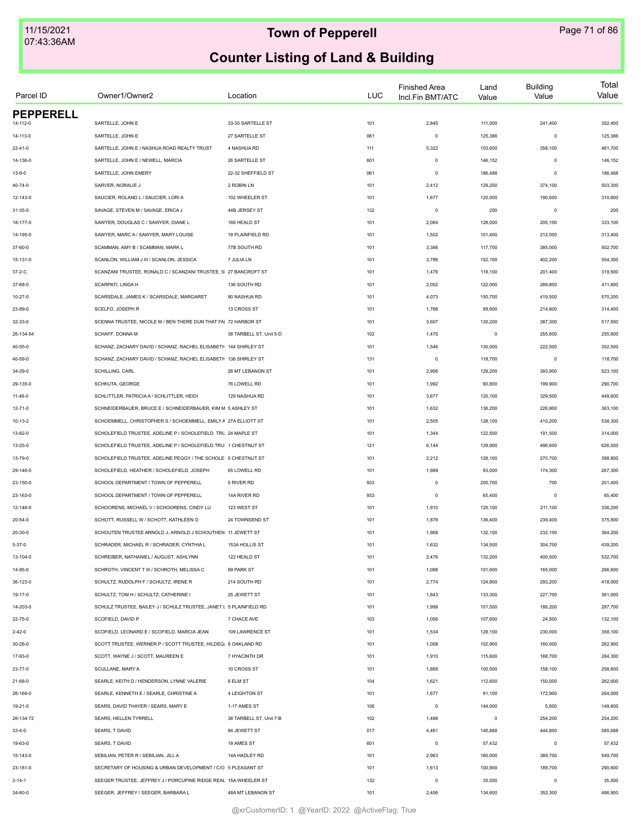| Parcel ID        | Owner1/Owner2                                                      | Location                | <b>LUC</b> | <b>Finished Area</b><br>Incl.Fin BMT/ATC | Land<br>Value | <b>Building</b><br>Value | Total<br>Value |
|------------------|--------------------------------------------------------------------|-------------------------|------------|------------------------------------------|---------------|--------------------------|----------------|
| <b>PEPPERELL</b> |                                                                    |                         |            |                                          |               |                          |                |
| 14-112-0         | SARTELLE, JOHN E                                                   | 33-35 SARTELLE ST       | 101        | 2,840                                    | 111,000       | 241,400                  | 352,400        |
| 14-113-0         | SARTELLE, JOHN E                                                   | 27 SARTELLE ST          | 061        | $\mathsf 0$                              | 125,386       | $\mathbf 0$              | 125,386        |
| $22 - 41 - 0$    | SARTELLE, JOHN E / NASHUA ROAD REALTY TRUST                        | 4 NASHUA RD             | 111        | 5,322                                    | 103,600       | 358,100                  | 461,700        |
| 14-136-0         | SARTELLE, JOHN E / NEWELL, MARCIA                                  | 26 SARTELLE ST          | 601        | $\mathsf 0$                              | 146,152       | $\mathbf 0$              | 146,152        |
| $13 - 9 - 0$     | SARTELLE, JOHN EMERY                                               | 22-32 SHEFFIELD ST      | 061        | $\mathsf 0$                              | 186,488       | $\mathbf 0$              | 186,488        |
| 40-74-0          | SARVER, NORALIE J                                                  | 2 ROBIN LN              | 101        | 2,412                                    | 129,200       | 374,100                  | 503,300        |
| 12-143-0         | SAUCIER, ROLAND L / SAUCIER, LORI A                                | 102 WHEELER ST          | 101        | 1,677                                    | 120,000       | 190,600                  | 310,600        |
| $31 - 35 - 0$    | SAVAGE, STEVEN M / SAVAGE, ERICA J                                 | 44B JERSEY ST           | 132        | $\mathsf 0$                              | 200           | $\mathbf 0$              | 200            |
| 18-177-0         | SAWYER, DOUGLAS C / SAWYER, DIANE L                                | 168 HEALD ST            | 101        | 2,064                                    | 128,000       | 205,100                  | 333,100        |
| 14-195-0         | SAWYER, MARC A / SAWYER, MARY LOUISE                               | 19 PLAINFIELD RD        | 101        | 1,502                                    | 101,400       | 212,000                  | 313,400        |
| 37-60-0          | SCAMMAN, AMY B / SCAMMAN, MARK L                                   | 77B SOUTH RD            | 101        | 3,386                                    | 117,700       | 385,000                  | 502,700        |
| 15-131-0         | SCANLON, WILLIAM J III / SCANLON, JESSICA                          | 7 JULIA LN              | 101        | 3,796                                    | 152,100       | 402,200                  | 554,300        |
| $37 - 2 - C$     | SCANZANI TRUSTEE, RONALD C / SCANZANI TRUSTEE, S 27 BANCROFT ST    |                         | 101        | 1,476                                    | 118,100       | 201,400                  | 319,500        |
| 37-68-0          | SCARPATI, LINDA H                                                  | 136 SOUTH RD            | 101        | 2,052                                    | 122,000       | 289,800                  | 411,800        |
| $10 - 27 - 0$    | SCARSDALE, JAMES K / SCARSDALE, MARGARET                           | 90 NASHUA RD            | 101        | 4,073                                    | 150,700       | 419,500                  | 570,200        |
| 23-89-0          | SCELFO, JOSEPH R                                                   | 13 CROSS ST             | 101        | 1,768                                    | 99,600        | 214,800                  | 314,400        |
| 32-33-0          | SCENNA TRUSTEE. NICOLE M / BEN THERE DUN THAT FAI 72 HARBOR ST     |                         | 101        | 3,607                                    | 130,200       | 387,300                  | 517,500        |
| 26-134-54        | SCHAFF, DONNA M                                                    | 38 TARBELL ST, Unit 5-D | 102        | 1,470                                    | $\mathbf 0$   | 255,600                  | 255,600        |
| 40-55-0          | SCHANZ, ZACHARY DAVID / SCHANZ, RACHEL ELISABETH 144 SHIRLEY ST    |                         | 101        | 1,546                                    | 130,000       | 222,500                  | 352,500        |
| 40-59-0          | SCHANZ, ZACHARY DAVID / SCHANZ, RACHEL ELISABETH 136 SHIRLEY ST    |                         | 131        | $\mathsf 0$                              | 118,700       | $\mathbf 0$              | 118,700        |
| 34-29-0          | SCHILLING, CARL                                                    | 26 MT LEBANON ST        | 101        | 2,906                                    | 129,200       | 393,900                  | 523,100        |
| 29-135-0         | SCHKUTA, GEORGE                                                    | 76 LOWELL RD            | 101        | 1,992                                    | 90,800        | 199,900                  | 290,700        |
| 11-46-0          | SCHLITTLER, PATRICIAA / SCHLITTLER, HEIDI                          | 129 NASHUA RD           | 101        | 3,677                                    | 120,100       | 329,500                  | 449,600        |
| $12 - 71 - 0$    | SCHNEIDERBAUER, BRUCE E / SCHNEIDERBAUER, KIM M 5 ASHLEY ST        |                         | 101        | 1,632                                    | 136,200       | 226,900                  | 363,100        |
| $10 - 13 - 2$    | SCHOEMMELL, CHRISTOPHER S / SCHOEMMELL, EMILY A 27A ELLIOTT ST     |                         | 101        | 2,505                                    | 128,100       | 410,200                  | 538,300        |
|                  |                                                                    |                         |            |                                          |               |                          |                |
| 13-82-0          | SCHOLEFIELD TRUSTEE, ADELINE P / SCHOLEFIELD TRU 24 MAPLE ST       |                         | 101        | 1,344                                    | 122,500       | 191,500                  | 314,000        |
| $13 - 25 - 0$    | SCHOLEFIELD TRUSTEE, ADELINE P / SCHOLEFIELD TRU 1 CHESTNUT ST     |                         | 121        | 6,144                                    | 129,900       | 496,600                  | 626,500        |
| 13-79-0          | SCHOLEFIELD TRUSTEE, ADELINE PEGGY / THE SCHOLE 5 CHESTNUT ST      |                         | 101        | 2,212                                    | 128,100       | 270,700                  | 398,800        |
| 29-146-0         | SCHOLEFIELD, HEATHER / SCHOLEFIELD, JOSEPH                         | 65 LOWELL RD            | 101        | 1,989                                    | 93,000        | 174,300                  | 267,300        |
| 23-150-0         | SCHOOL DEPARTMENT / TOWN OF PEPPERELL                              | 5 RIVER RD              | 933        | $\mathbf 0$                              | 200,700       | 700                      | 201,400        |
| 23-163-0         | SCHOOL DEPARTMENT / TOWN OF PEPPERELL                              | 14A RIVER RD            | 933        | $\mathsf 0$                              | 65,400        | $\mathbf 0$              | 65,400         |
| 12-146-0         | SCHOORENS, MICHAEL V / SCHOORENS, CINDY LU                         | 123 WEST ST             | 101        | 1,910                                    | 125,100       | 211,100                  | 336,200        |
| $20 - 54 - 0$    | SCHOTT, RUSSELL W / SCHOTT, KATHLEEN O                             | 24 TOWNSEND ST          | 101        | 1,876                                    | 136,400       | 239,400                  | 375,800        |
| 20-30-0          | SCHOUTEN TRUSTEE ARNOLD J, ARNOLD J SCHOUTHEN 11 JEWETT ST         |                         | 101        | 1,968                                    | 132,100       | 232,100                  | 364,200        |
| $5 - 37 - 0$     | SCHRADER, MICHAEL R / SCHRADER, CYNTHIA L                          | 153A HOLLIS ST          | 101        | 1,632                                    | 134,500       | 304,700                  | 439,200        |
| 13-104-0         | SCHREIBER, NATHANIEL / AUGUST, ASHLYNN                             | 122 HEALD ST            | 101        | 2,476                                    | 132,200       | 400,500                  | 532,700        |
| 14-95-0          | SCHROTH, VINCENT T III / SCHROTH, MELISSA C                        | 69 PARK ST              | 101        | 1,088                                    | 101,600       | 165,000                  | 266,600        |
| 36-123-0         | SCHULTZ, RUDOLPH F / SCHULTZ, IRENE R                              | 214 SOUTH RD            | 101        | 2,774                                    | 124,800       | 293,200                  | 418,000        |
| 19-17-0          | SCHULTZ, TOM H / SCHULTZ, CATHERINE I                              | 25 JEWETT ST            | 101        | 1,843                                    | 133,300       | 227,700                  | 361,000        |
| 14-203-0         | SCHULZ TRUSTEE, BAILEY J / SCHULZ TRUSTEE, JANET L 5 PLAINFIELD RD |                         | 101        | 1,999                                    | 101,500       | 186,200                  | 287,700        |
| 22-75-0          | SCOFIELD, DAVID P                                                  | 7 CHACE AVE             | 103        | 1,056                                    | 107,600       | 24,500                   | 132,100        |
| $2 - 42 - 0$     | SCOFIELD, LEONARD E / SCOFIELD, MARCIA JEAN                        | 109 LAWRENCE ST         | 101        | 1,534                                    | 128,100       | 230,000                  | 358,100        |
| 30-28-0          | SCOTT TRUSTEE, WERNER P / SCOTT TRUSTEE, HILDEG/ 8 OAKLAND RD      |                         | 101        | 1,008                                    | 102,900       | 160,000                  | 262,900        |
| 17-93-0          | SCOTT, WAYNE J / SCOTT, MAUREEN E                                  | 7 HYACINTH DR           | 101        | 1,910                                    | 115,600       | 168,700                  | 284,300        |
| 23-77-0          | SCULLANE, MARY A                                                   | 10 CROSS ST             | 101        | 1,869                                    | 100,500       | 158,100                  | 258,600        |
| $21 - 68 - 0$    | SEARLE, KEITH D / HENDERSON, LYNNE VALERIE                         | 8 ELM ST                | 104        | 1,621                                    | 112,600       | 150,000                  | 262,600        |
| 26-169-0         | SEARLE, KENNETH E / SEARLE, CHRISTINE A                            | 4 LEIGHTON ST           | 101        | 1,677                                    | 91,100        | 172,900                  | 264,000        |
| 19-21-0          | SEARS, DAVID THAYER / SEARS, MARY E                                | 1-17 AMES ST            | 106        | $\mathsf 0$                              | 144,000       | 5,600                    | 149,600        |
| 26-134-72        | SEARS, HELLEN TYRRELL                                              | 38 TARBELL ST, Unit 7-B | 102        | 1,488                                    | $\mathsf 0$   | 254,200                  | 254,200        |
| $33 - 4 - 0$     | SEARS, T DAVID                                                     | 84 JEWETT ST            | 017        | 4,461                                    | 140,888       | 444,800                  | 585,688        |
| 19-63-0          | SEARS, T DAVID                                                     | 19 AMES ST              | 601        | $\mathsf 0$                              | 57,432        | $^{\circ}$               | 57,432         |
| 15-143-0         | SEBILIAN, PETER R / SEBILIAN, JILL A                               | 14A HADLEY RD           | 101        | 2,963                                    | 160,000       | 389,700                  | 549,700        |
| 23-181-0         | SECRETARY OF HOUSING & URBAN DEVELOPMENT / C/O 5 PLEASANT ST       |                         | 101        | 1,613                                    | 100,900       | 189,700                  | 290,600        |
| $2 - 14 - 1$     | SEEGER TRUSTEE, JEFFREY J / PORCUPINE RIDGE REAL 15A WHEELER ST    |                         | 132        | $\mathsf 0$                              | 35,500        | $\mathbf 0$              | 35,500         |
| 34-60-0          | SEEGER, JEFFREY / SEEGER, BARBARA L                                | 48A MT LEBANON ST       | 101        | 2,406                                    | 134,600       | 352,300                  | 486,900        |
|                  |                                                                    |                         |            |                                          |               |                          |                |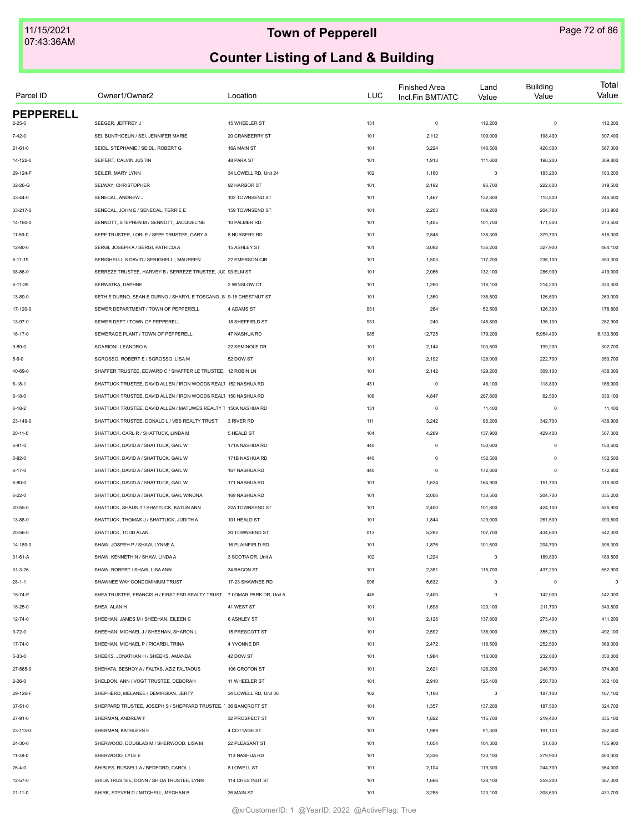| Parcel ID        | Owner1/Owner2                                                            | Location              | <b>LUC</b> | <b>Finished Area</b><br>Incl.Fin BMT/ATC | Land<br>Value | <b>Building</b><br>Value | Total<br>Value |
|------------------|--------------------------------------------------------------------------|-----------------------|------------|------------------------------------------|---------------|--------------------------|----------------|
| <b>PEPPERELL</b> |                                                                          |                       |            |                                          |               |                          |                |
| 2-25-0           | SEEGER, JEFFREY J                                                        | 15 WHEELER ST         | 131        | $\mathbf 0$                              | 112,200       | $\circ$                  | 112,200        |
| $7 - 42 - 0$     | SEI, BUNTHOEUN / SEI, JENNIFER MARIE                                     | 20 CRANBERRY ST       | 101        | 2,112                                    | 109,000       | 198,400                  | 307,400        |
| $21 - 61 - 0$    | SEIDL, STEPHANIE / SEIDL, ROBERT G                                       | 16A MAIN ST           | 101        | 3,224                                    | 146,500       | 420,500                  | 567,000        |
| 14-122-0         | SEIFERT, CALVIN JUSTIN                                                   | 48 PARK ST            | 101        | 1,913                                    | 111,600       | 198,200                  | 309,800        |
| 29-124-F         | SEILER, MARY LYNN                                                        | 34 LOWELL RD, Unit 24 | 102        | 1,160                                    | $\mathsf 0$   | 183,200                  | 183,200        |
| 32-26-G          | SELWAY, CHRISTOPHER                                                      | 92 HARBOR ST          | 101        | 2,192                                    | 96,700        | 222,800                  | 319,500        |
| 33-44-0          | SENECAL, ANDREW J                                                        | 102 TOWNSEND ST       | 101        | 1,467                                    | 132,800       | 113,800                  | 246,600        |
| 33-217-0         | SENECAL, JOHN E / SENECAL, TERRIE E                                      | 159 TOWNSEND ST       | 101        | 2,203                                    | 109,200       | 204,700                  | 313,900        |
| 14-160-0         | SENNOTT, STEPHEN M / SENNOTT, JACQUELINE                                 | 10 PALMER RD          | 101        | 1,405                                    | 101,700       | 171,800                  | 273,500        |
| $11 - 59 - 0$    | SEPE TRUSTEE, LORI E / SEPE TRUSTEE, GARY A                              | 8 NURSERY RD          | 101        | 2,848                                    | 136,300       | 379,700                  | 516,000        |
| $12 - 80 - 0$    | SERGI, JOSEPH A / SERGI, PATRICIA A                                      | 15 ASHLEY ST          | 101        | 3,092                                    | 136,200       | 327,900                  | 464,100        |
| 6-11-19          | SERIGHELLI, S DAVID / SERIGHELLI, MAUREEN                                | 22 EMERSON CIR        | 101        | 1,503                                    | 117,200       | 236,100                  | 353,300        |
| 38-86-0          | SERREZE TRUSTEE, HARVEY B / SERREZE TRUSTEE, JUL 93 ELM ST               |                       | 101        | 2,066                                    | 132,100       | 286,900                  | 419,000        |
| 6-11-39          | SERWATKA, DAPHNE                                                         | 2 WINSLOW CT          | 101        | 1,260                                    | 116,100       | 214,200                  | 330,300        |
| 13-89-0          | SETH E DURNO, SEAN E DURNO / SHARYL E TOSCANO, S 9-15 CHESTNUT ST        |                       | 101        | 1,360                                    | 136,500       | 126,500                  | 263,000        |
| 17-120-0         | SEWER DEPARTMENT / TOWN OF PEPPERELL                                     | 4 ADAMS ST            | 931        | 264                                      | 52,500        | 126,300                  | 178,800        |
| 13-97-0          | SEWER DEPT / TOWN OF PEPPERELL                                           | 18 SHEFFIELD ST       | 931        | 240                                      | 146,800       | 136,100                  | 282,900        |
| $16 - 17 - 0$    | SEWERAGE PLANT / TOWN OF PEPPERELL                                       | 47 NASHUA RD          | 985        | 12,725                                   | 179,200       | 5,954,400                | 6,133,600      |
| $9 - 89 - 0$     | SGARIONI, LEANDRO A                                                      | 22 SEMINOLE DR        | 101        | 2,144                                    | 103,500       | 199,200                  | 302,700        |
| $5 - 6 - 0$      | SGROSSO, ROBERT E / SGROSSO, LISA M                                      | 52 DOW ST             | 101        | 2,192                                    | 128,000       | 222,700                  | 350,700        |
| 40-69-0          | SHAFFER TRUSTEE, EDWARD C / SHAFFER LE TRUSTEE, 12 ROBIN LN              |                       | 101        | 2,142                                    | 129,200       | 309,100                  | 438,300        |
| $6 - 18 - 1$     | SHATTUCK TRUSTEE, DAVID ALLEN / IRON WOODS REAL1 152 NASHUA RD           |                       | 431        | $\circ$                                  | 48,100        | 118,800                  | 166,900        |
| 6-18-0           | SHATTUCK TRUSTEE, DAVID ALLEN / IRON WOODS REAL1 150 NASHUA RD           |                       | 106        | 4,847                                    | 267,600       | 62,500                   | 330,100        |
| $6 - 18 - 2$     | SHATTUCK TRUSTEE, DAVID ALLEN / MATUWES REALTY T 150A NASHUA RD          |                       | 131        | $\circ$                                  | 11,400        | $\mathbf 0$              | 11,400         |
| 23-149-0         | SHATTUCK TRUSTEE, DONALD L / VBS REALTY TRUST                            | 3 RIVER RD            | 111        | 3,242                                    | 96,200        | 342,700                  | 438,900        |
|                  | SHATTUCK, CARL R / SHATTUCK, LINDA M                                     |                       |            |                                          | 137,900       | 429,400                  |                |
| $20 - 11 - 0$    |                                                                          | 5 HEALD ST            | 104        | 4,269                                    |               |                          | 567,300        |
| $6 - 81 - 0$     | SHATTUCK, DAVID A / SHATTUCK, GAIL W                                     | 171A NASHUA RD        | 440        | $\circ$                                  | 150,600       | $\mathbf 0$              | 150,600        |
| 6-82-0           | SHATTUCK, DAVID A / SHATTUCK, GAIL W                                     | 171B NASHUA RD        | 440        | $\circ$                                  | 152,500       | $\mathbf 0$              | 152,500        |
| 6-17-0           | SHATTUCK, DAVID A / SHATTUCK, GAIL W                                     | 167 NASHUA RD         | 440        | $\circ$                                  | 172,800       | $\mathbf 0$              | 172,800        |
| $6 - 80 - 0$     | SHATTUCK, DAVID A / SHATTUCK, GAIL W                                     | 171 NASHUA RD         | 101        | 1,624                                    | 164,900       | 151,700                  | 316,600        |
| $6 - 22 - 0$     | SHATTUCK, DAVID A / SHATTUCK, GAIL WINONA                                | 169 NASHUA RD         | 101        | 2,006                                    | 130,500       | 204,700                  | 335,200        |
| 20-55-0          | SHATTUCK, SHAUN T / SHATTUCK, KATLIN ANN                                 | 22A TOWNSEND ST       | 101        | 2,400                                    | 101,800       | 424,100                  | 525,900        |
| 13-88-0          | SHATTUCK, THOMAS J / SHATTUCK, JUDITH A                                  | 101 HEALD ST          | 101        | 1,844                                    | 129,000       | 261,500                  | 390,500        |
| 20-56-0          | SHATTUCK, TODD ALAN                                                      | 20 TOWNSEND ST        | 013        | 5,262                                    | 107,700       | 434,600                  | 542,300        |
| 14-189-0         | SHAW, JOSPEH P / SHAW, LYNNE A                                           | 16 PLAINFIELD RD      | 101        | 1,876                                    | 101,600       | 204,700                  | 306,300        |
| 31-61-A          | SHAW, KENNETH N / SHAW, LINDA A                                          | 3 SCOTIA DR, Unit A   | 102        | 1,224                                    | $\mathsf 0$   | 189,800                  | 189,800        |
| $31 - 3 - 26$    | SHAW, ROBERT / SHAW, LISA ANN                                            | 34 BACON ST           | 101        | 2,381                                    | 115,700       | 437,200                  | 552,900        |
| $28 - 1 - 1$     | SHAWNEE WAY CONDOMINIUM TRUST                                            | 17-23 SHAWNEE RD      | 996        | 5,632                                    | $\mathsf 0$   | $\mathbf 0$              | $\mathsf 0$    |
| 15-74-E          | SHEA TRUSTEE, FRANCIS H / FIRST PSD REALTY TRUST 7 LOMAR PARK DR, Unit 5 |                       | 445        | 2,400                                    | $\mathsf 0$   | 142,000                  | 142,000        |
| 18-25-0          | SHEA, ALAN H                                                             | 41 WEST ST            | 101        | 1,698                                    | 129,100       | 211,700                  | 340,800        |
| $12 - 74 - 0$    | SHEEHAN, JAMES M / SHEEHAN, EILEEN C                                     | <b>6 ASHLEY ST</b>    | 101        | 2,128                                    | 137,800       | 273,400                  | 411,200        |
| $9 - 72 - 0$     | SHEEHAN, MICHAEL J / SHEEHAN, SHARON L                                   | 15 PRESCOTT ST        | 101        | 2,592                                    | 136,900       | 355,200                  | 492,100        |
| 17-74-0          | SHEEHAN, MICHAEL P / PICARDI, TRINA                                      | 4 YVONNE DR           | 101        | 2,472                                    | 116,500       | 252,500                  | 369,000        |
| $5 - 33 - 0$     | SHEEKS, JONATHAN H / SHEEKS, AMANDA                                      | 42 DOW ST             | 101        | 1,984                                    | 118,000       | 232,000                  | 350,000        |
| 27-565-0         | SHEHATA, BESHOY A / FALTAS, AZIZ FALTAOUS                                | 106 GROTON ST         | 101        | 2,621                                    | 126,200       | 248,700                  | 374,900        |
| $2 - 26 - 0$     | SHELDON, ANN / VOGT TRUSTEE, DEBORAH                                     | 11 WHEELER ST         | 101        | 2,910                                    | 125,400       | 256,700                  | 382,100        |
| 29-126-F         | SHEPHERD, MELANEE / DEMIRGIAN, JERTY                                     | 34 LOWELL RD, Unit 36 | 102        | 1,160                                    | $\mathsf 0$   | 187,100                  | 187,100        |
| $37 - 51 - 0$    | SHEPPARD TRUSTEE, JOSEPH S / SHEPPARD TRUSTEE, ' 36 BANCROFT ST          |                       | 101        | 1,357                                    | 137,200       | 187,500                  | 324,700        |
| 27-91-0          | SHERMAN, ANDREW F                                                        | 32 PROSPECT ST        | 101        | 1,822                                    | 115,700       | 219,400                  | 335,100        |
| 23-113-0         | SHERMAN, KATHLEEN E                                                      | 4 COTTAGE ST          | 101        | 1,989                                    | 91,300        | 191,100                  | 282,400        |
| 24-30-0          | SHERWOOD, DOUGLAS M / SHERWOOD, LISA M                                   | 22 PLEASANT ST        | 101        | 1,054                                    | 104,300       | 51,600                   | 155,900        |
|                  | SHERWOOD, LYLE E                                                         | 113 NASHUA RD         |            | 2,336                                    | 120,100       | 279,900                  | 400,000        |
| 11-38-0          | SHIBLES, RUSSELL A / BEDFORD, CAROL L                                    | 8 LOWELL ST           | 101<br>101 | 2,104                                    | 119,300       | 244,700                  | 364,000        |
| $26 - 4 - 0$     |                                                                          |                       |            |                                          |               |                          |                |
| $12 - 57 - 0$    | SHIDA TRUSTEE, DONN / SHIDA TRUSTEE, LYNN                                | 114 CHESTNUT ST       | 101        | 1,666                                    | 128,100       | 259,200                  | 387,300        |
| $21 - 11 - 0$    | SHIRK, STEVEN D / MITCHELL, MEGHAN B                                     | 26 MAIN ST            | 101        | 3,285                                    | 123,100       | 308,600                  | 431,700        |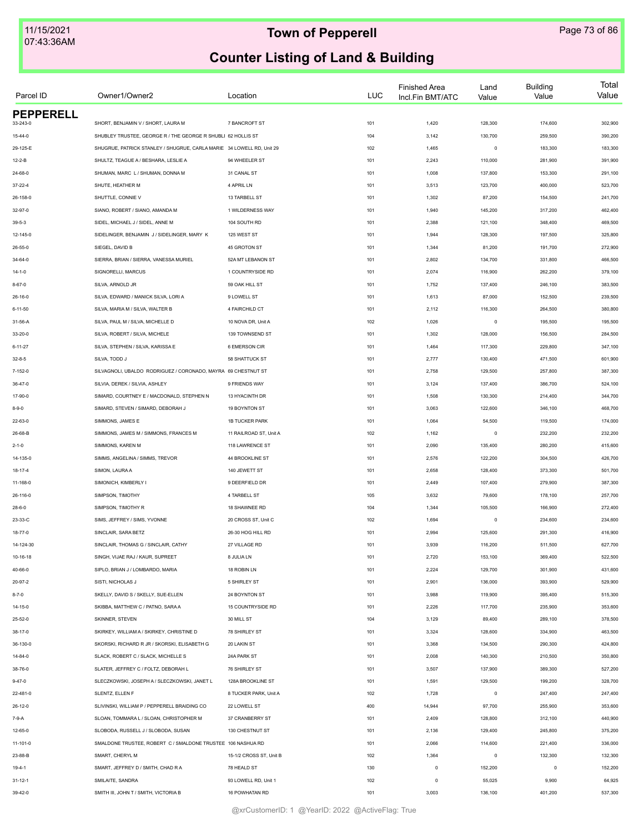| Parcel ID        | Owner1/Owner2                                                         | Location                |     | <b>LUC</b> | <b>Finished Area</b><br>Incl.Fin BMT/ATC | Land<br>Value | <b>Building</b><br>Value | Total<br>Value |
|------------------|-----------------------------------------------------------------------|-------------------------|-----|------------|------------------------------------------|---------------|--------------------------|----------------|
| <b>PEPPERELL</b> |                                                                       |                         |     |            |                                          |               |                          |                |
| 33-243-0         | SHORT, BENJAMIN V / SHORT, LAURA M                                    | 7 BANCROFT ST           | 101 |            | 1,420                                    | 128,300       | 174,600                  | 302,900        |
| $15 - 44 - 0$    | SHUBLEY TRUSTEE, GEORGE R / THE GEORGE R SHUBLI 62 HOLLIS ST          |                         | 104 |            | 3,142                                    | 130,700       | 259,500                  | 390,200        |
| 29-125-E         | SHUGRUE, PATRICK STANLEY / SHUGRUE, CARLA MARIE 34 LOWELL RD. Unit 29 |                         | 102 |            | 1,465                                    | $\circ$       | 183,300                  | 183,300        |
| $12 - 2 - B$     | SHULTZ, TEAGUE A / BESHARA, LESLIE A                                  | 94 WHEELER ST           | 101 |            | 2,243                                    | 110,000       | 281,900                  | 391,900        |
| 24-68-0          | SHUMAN, MARC L / SHUMAN, DONNA M                                      | 31 CANAL ST             | 101 |            | 1,008                                    | 137,800       | 153,300                  | 291,100        |
| $37 - 22 - 4$    | SHUTE, HEATHER M                                                      | 4 APRIL LN              | 101 |            | 3,513                                    | 123,700       | 400,000                  | 523,700        |
| 26-158-0         | SHUTTLE, CONNIE V                                                     | 13 TARBELL ST           | 101 |            | 1,302                                    | 87,200        | 154,500                  | 241,700        |
| 32-97-0          | SIANO, ROBERT / SIANO, AMANDA M                                       | 1 WILDERNESS WAY        | 101 |            | 1,940                                    | 145,200       | 317,200                  | 462,400        |
| $39 - 5 - 3$     | SIDEL, MICHAEL J / SIDEL, ANNE M                                      | 104 SOUTH RD            | 101 |            | 2,388                                    | 121,100       | 348,400                  | 469,500        |
| 12-145-0         | SIDELINGER, BENJAMIN J / SIDELINGER, MARY K                           | 125 WEST ST             | 101 |            | 1,944                                    | 128,300       | 197,500                  | 325,800        |
| $26 - 55 - 0$    | SIEGEL, DAVID B                                                       | 45 GROTON ST            | 101 |            | 1,344                                    | 81,200        | 191,700                  | 272,900        |
| $34 - 64 - 0$    | SIERRA, BRIAN / SIERRA, VANESSA MURIEL                                | 52A MT LEBANON ST       | 101 |            | 2,802                                    | 134,700       | 331,800                  | 466,500        |
| $14 - 1 - 0$     | SIGNORELLI, MARCUS                                                    | 1 COUNTRYSIDE RD        | 101 |            | 2,074                                    | 116,900       | 262,200                  | 379,100        |
| $8 - 67 - 0$     | SILVA, ARNOLD JR                                                      | 59 OAK HILL ST          | 101 |            | 1,752                                    | 137,400       | 246,100                  | 383,500        |
| 26-16-0          | SILVA, EDWARD / MANICK SILVA, LORI A                                  | 9 LOWELL ST             | 101 |            | 1,613                                    | 87,000        | 152,500                  | 239,500        |
| $6 - 11 - 50$    | SILVA, MARIA M / SILVA, WALTER B                                      | 4 FAIRCHILD CT          | 101 |            | 2,112                                    | 116,300       | 264,500                  | 380,800        |
| 31-56-A          | SILVA, PAUL M / SILVA, MICHELLE D                                     | 10 NOVA DR, Unit A      | 102 |            | 1,026                                    | $\mathsf 0$   | 195,500                  | 195,500        |
| $33 - 20 - 0$    | SILVA, ROBERT / SILVA, MICHELE                                        | 139 TOWNSEND ST         | 101 |            | 1,302                                    | 128,000       | 156,500                  | 284,500        |
| $6 - 11 - 27$    | SILVA, STEPHEN / SILVA, KARISSA E                                     | <b>6 EMERSON CIR</b>    | 101 |            | 1,464                                    | 117,300       | 229,800                  | 347,100        |
| $32 - 8 - 5$     | SILVA, TODD J                                                         | 58 SHATTUCK ST          | 101 |            | 2,777                                    | 130,400       | 471,500                  | 601,900        |
| 7-152-0          | SILVAGNOLI, UBALDO RODRIGUEZ / CORONADO, MAYRA 69 CHESTNUT ST         |                         | 101 |            | 2,758                                    | 129,500       | 257,800                  | 387,300        |
| 36-47-0          | SILVIA, DEREK / SILVIA, ASHLEY                                        | 9 FRIENDS WAY           | 101 |            | 3,124                                    | 137,400       | 386,700                  | 524,100        |
| 17-90-0          | SIMARD, COURTNEY E / MACDONALD, STEPHEN N                             | 13 HYACINTH DR          | 101 |            | 1,508                                    | 130,300       | 214,400                  | 344,700        |
| $8 - 9 - 0$      | SIMARD, STEVEN / SIMARD, DEBORAH J                                    | 19 BOYNTON ST           | 101 |            | 3,063                                    | 122,600       | 346,100                  | 468,700        |
| 22-63-0          | SIMMONS, JAMES E                                                      | <b>1B TUCKER PARK</b>   | 101 |            | 1,064                                    | 54,500        | 119,500                  | 174,000        |
| 26-68-B          | SIMMONS, JAMES M / SIMMONS, FRANCES M                                 | 11 RAILROAD ST, Unit A  | 102 |            | 1,162                                    | $\mathsf 0$   | 232,200                  | 232,200        |
| $2 - 1 - 0$      | SIMMONS, KAREN M                                                      | 118 LAWRENCE ST         | 101 |            | 2,090                                    | 135,400       | 280,200                  | 415,600        |
| 14-135-0         | SIMMS, ANGELINA / SIMMS, TREVOR                                       | 44 BROOKLINE ST         | 101 |            | 2,576                                    | 122,200       | 304,500                  | 426,700        |
| 18-17-4          | SIMON, LAURA A                                                        | 140 JEWETT ST           | 101 |            | 2,658                                    | 128,400       | 373,300                  | 501,700        |
| 11-168-0         | SIMONICH, KIMBERLY I                                                  | 9 DEERFIELD DR          | 101 |            | 2,449                                    | 107,400       | 279,900                  | 387,300        |
| 26-116-0         | SIMPSON, TIMOTHY                                                      | 4 TARBELL ST            | 105 |            | 3,632                                    | 79,600        | 178,100                  | 257,700        |
| $28 - 6 - 0$     | SIMPSON, TIMOTHY R                                                    | 18 SHAWNEE RD           | 104 |            | 1,344                                    | 105,500       | 166,900                  | 272,400        |
| 23-33-C          | SIMS, JEFFREY / SIMS, YVONNE                                          | 20 CROSS ST, Unit C     | 102 |            | 1,694                                    | $\mathsf 0$   | 234,600                  | 234,600        |
| 18-77-0          | SINCLAIR, SARA BETZ                                                   | 26-30 HOG HILL RD       | 101 |            | 2,994                                    | 125,600       | 291,300                  | 416,900        |
| 14-124-30        | SINCLAIR, THOMAS G / SINCLAIR, CATHY                                  | 27 VILLAGE RD           | 101 |            | 3,939                                    | 116,200       | 511,500                  | 627,700        |
| 10-16-18         | SINGH, VIJAE RAJ / KAUR, SUPREET                                      | 8 JULIA LN              | 101 |            | 2,720                                    | 153,100       | 369,400                  | 522,500        |
| 40-66-0          | SIPLO, BRIAN J / LOMBARDO, MARIA                                      | 18 ROBIN LN             | 101 |            | 2,224                                    | 129,700       | 301,900                  | 431,600        |
| 20-97-2          | SISTI, NICHOLAS J                                                     | 5 SHIRLEY ST            | 101 |            | 2,901                                    | 136,000       | 393,900                  | 529,900        |
| $8 - 7 - 0$      | SKELLY, DAVID S / SKELLY, SUE-ELLEN                                   | 24 BOYNTON ST           | 101 |            | 3,988                                    | 119,900       | 395,400                  | 515,300        |
| $14 - 15 - 0$    | SKIBBA, MATTHEW C / PATNO, SARA A                                     | 15 COUNTRYSIDE RD       | 101 |            | 2,226                                    | 117,700       | 235,900                  | 353,600        |
| $25 - 52 - 0$    | <b>SKINNER, STEVEN</b>                                                | 30 MILL ST              | 104 |            | 3,129                                    | 89,400        | 289,100                  | 378,500        |
| 38-17-0          | SKIRKEY, WILLIAM A / SKIRKEY, CHRISTINE D                             | 78 SHIRLEY ST           | 101 |            | 3,324                                    | 128,600       | 334,900                  | 463,500        |
| 36-130-0         | SKORSKI, RICHARD R JR / SKORSKI, ELISABETH G                          | 20 LAKIN ST             | 101 |            | 3,368                                    | 134,500       | 290,300                  | 424,800        |
| 14-84-0          | SLACK, ROBERT C / SLACK, MICHELLE S                                   | 24A PARK ST             | 101 |            | 2,008                                    | 140,300       | 210,500                  | 350,800        |
| 38-76-0          | SLATER, JEFFREY C / FOLTZ, DEBORAH L                                  | 76 SHIRLEY ST           | 101 |            | 3,507                                    | 137,900       | 389,300                  | 527,200        |
| $9 - 47 - 0$     | SLECZKOWSKI, JOSEPH A / SLECZKOWSKI, JANET L                          | 128A BROOKLINE ST       | 101 |            | 1,591                                    | 129,500       | 199,200                  | 328,700        |
| 22-481-0         | SLENTZ, ELLEN F                                                       | 8 TUCKER PARK, Unit A   | 102 |            | 1,728                                    | $\mathsf 0$   | 247,400                  | 247,400        |
|                  |                                                                       |                         |     |            |                                          |               |                          |                |
| $26 - 12 - 0$    | SLIVINSKI, WILLIAM P / PEPPERELL BRAIDING CO                          | 22 LOWELL ST            | 400 |            | 14,944                                   | 97,700        | 255,900                  | 353,600        |
| 7-9-A            | SLOAN, TOMMARA L / SLOAN, CHRISTOPHER M                               | 37 CRANBERRY ST         | 101 |            | 2,409                                    | 128,800       | 312,100                  | 440,900        |
| 12-65-0          | SLOBODA, RUSSELL J / SLOBODA, SUSAN                                   | 130 CHESTNUT ST         | 101 |            | 2,136                                    | 129,400       | 245,800                  | 375,200        |
| 11-101-0         | SMALDONE TRUSTEE, ROBERT C / SMALDONE TRUSTEE 106 NASHUA RD           |                         | 101 |            | 2,066                                    | 114,600       | 221,400                  | 336,000        |
| 23-88-B          | SMART, CHERYL M                                                       | 15-1/2 CROSS ST, Unit B | 102 |            | 1,364                                    | $\mathsf 0$   | 132,300                  | 132,300        |
| 19-4-1           | SMART, JEFFREY D / SMITH, CHAD R A                                    | 78 HEALD ST             | 130 |            | $\mathsf 0$                              | 152,200       | $\mathbf 0$              | 152,200        |
| $31 - 12 - 1$    | SMILAITE, SANDRA                                                      | 93 LOWELL RD, Unit 1    | 102 |            | $\mathsf 0$                              | 55,025        | 9,900                    | 64,925         |
| 39-42-0          | SMITH III, JOHN T / SMITH, VICTORIA B                                 | 16 POWHATAN RD          | 101 |            | 3,003                                    | 136,100       | 401,200                  | 537,300        |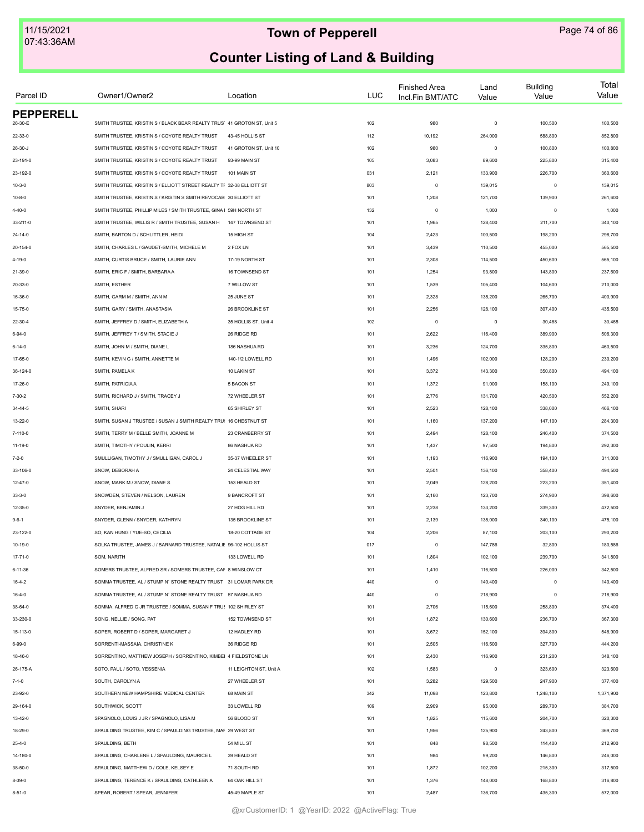| Parcel ID                   | Owner1/Owner2                                                           | Location               | <b>LUC</b> | <b>Finished Area</b><br>Incl.Fin BMT/ATC | Land<br>Value | <b>Building</b><br>Value | Total<br>Value |
|-----------------------------|-------------------------------------------------------------------------|------------------------|------------|------------------------------------------|---------------|--------------------------|----------------|
| <b>PEPPERELL</b><br>26-30-E | SMITH TRUSTEE, KRISTIN S / BLACK BEAR REALTY TRUS' 41 GROTON ST, Unit 5 |                        | 102        | 980                                      | $\mathsf 0$   | 100,500                  | 100,500        |
|                             |                                                                         |                        |            |                                          |               |                          |                |
| 22-33-0                     | SMITH TRUSTEE, KRISTIN S / COYOTE REALTY TRUST                          | 43-45 HOLLIS ST        | 112        | 10,192                                   | 264,000       | 588,800                  | 852,800        |
| $26 - 30 - J$               | SMITH TRUSTEE, KRISTIN S / COYOTE REALTY TRUST                          | 41 GROTON ST, Unit 10  | 102        | 980                                      | $\circ$       | 100,800                  | 100,800        |
| 23-191-0                    | SMITH TRUSTEE, KRISTIN S / COYOTE REALTY TRUST                          | 93-99 MAIN ST          | 105        | 3,083                                    | 89,600        | 225,800                  | 315,400        |
| 23-192-0                    | SMITH TRUSTEE, KRISTIN S / COYOTE REALTY TRUST                          | 101 MAIN ST            | 031        | 2,121                                    | 133,900       | 226,700                  | 360,600        |
| $10 - 3 - 0$                | SMITH TRUSTEE, KRISTIN S / ELLIOTT STREET REALTY TF 32-38 ELLIOTT ST    |                        | 803        | $\mathsf 0$                              | 139,015       | $\circ$                  | 139,015        |
| $10 - 8 - 0$                | SMITH TRUSTEE, KRISTIN S / KRISTIN S SMITH REVOCAB 30 ELLIOTT ST        |                        | 101        | 1,208                                    | 121,700       | 139,900                  | 261,600        |
| $4 - 40 - 0$                | SMITH TRUSTEE, PHILLIP MILES / SMITH TRUSTEE, GINA I 59H NORTH ST       |                        | 132        | $\circ$                                  | 1,000         | $\circ$                  | 1,000          |
| 33-211-0                    | SMITH TRUSTEE, WILLIS R / SMITH TRUSTEE, SUSAN H                        | 147 TOWNSEND ST        | 101        | 1,965                                    | 128,400       | 211,700                  | 340,100        |
| $24 - 14 - 0$               | SMITH, BARTON D / SCHLITTLER, HEIDI                                     | 15 HIGH ST             | 104        | 2,423                                    | 100,500       | 198,200                  | 298,700        |
| 20-154-0                    | SMITH, CHARLES L / GAUDET-SMITH, MICHELE M                              | 2 FOX LN               | 101        | 3,439                                    | 110,500       | 455,000                  | 565,500        |
| 4-19-0                      | SMITH, CURTIS BRUCE / SMITH, LAURIE ANN                                 | 17-19 NORTH ST         | 101        | 2,308                                    | 114,500       | 450,600                  | 565,100        |
| 21-39-0                     | SMITH, ERIC F / SMITH, BARBARA A                                        | 16 TOWNSEND ST         | 101        | 1,254                                    | 93,800        | 143,800                  | 237,600        |
| 20-33-0                     | SMITH, ESTHER                                                           | 7 WILLOW ST            | 101        | 1,539                                    | 105,400       | 104,600                  | 210,000        |
| 16-36-0                     | SMITH, GARM M / SMITH, ANN M                                            | 25 JUNE ST             | 101        | 2,328                                    | 135,200       | 265,700                  | 400,900        |
| 15-75-0                     | SMITH, GARY / SMITH, ANASTASIA                                          | 26 BROOKLINE ST        | 101        | 2,256                                    | 128,100       | 307,400                  | 435,500        |
| 22-30-4                     | SMITH, JEFFREY D / SMITH, ELIZABETH A                                   | 35 HOLLIS ST, Unit 4   | 102        | $\circ$                                  | $\mathsf 0$   | 30,468                   | 30,468         |
| $6 - 94 - 0$                | SMITH, JEFFREY T / SMITH, STACIE J                                      | 26 RIDGE RD            | 101        | 2,622                                    | 116,400       | 389,900                  | 506,300        |
| $6 - 14 - 0$                | SMITH, JOHN M / SMITH, DIANE L                                          | 186 NASHUA RD          | 101        | 3,236                                    | 124,700       | 335,800                  | 460,500        |
| 17-65-0                     | SMITH, KEVIN G / SMITH, ANNETTE M                                       | 140-1/2 LOWELL RD      | 101        | 1,496                                    | 102,000       | 128,200                  | 230,200        |
| 36-124-0                    | SMITH, PAMELA K                                                         | 10 LAKIN ST            | 101        | 3,372                                    | 143,300       | 350,800                  | 494,100        |
| 17-26-0                     | SMITH, PATRICIA A                                                       | 5 BACON ST             | 101        | 1,372                                    | 91,000        | 158,100                  | 249,100        |
| $7 - 30 - 2$                | SMITH, RICHARD J / SMITH, TRACEY J                                      | 72 WHEELER ST          | 101        | 2,776                                    | 131,700       | 420,500                  | 552,200        |
| $34 - 44 - 5$               | SMITH, SHARI                                                            | 65 SHIRLEY ST          | 101        | 2,523                                    | 128,100       | 338,000                  | 466,100        |
| 13-22-0                     | SMITH, SUSAN J TRUSTEE / SUSAN J SMITH REALTY TRU: 16 CHESTNUT ST       |                        | 101        | 1,160                                    | 137,200       | 147,100                  | 284,300        |
| 7-110-0                     | SMITH, TERRY M / BELLE SMITH, JOANNE M                                  | 23 CRANBERRY ST        | 101        | 2,494                                    | 128,100       | 246,400                  | 374,500        |
| 11-19-0                     | SMITH, TIMOTHY / POULIN, KERRI                                          | 86 NASHUA RD           | 101        | 1,437                                    | 97,500        | 194,800                  | 292,300        |
| $7 - 2 - 0$                 | SMULLIGAN, TIMOTHY J / SMULLIGAN, CAROL J                               | 35-37 WHEELER ST       | 101        | 1,193                                    | 116,900       | 194,100                  | 311,000        |
| 33-106-0                    | SNOW, DEBORAH A                                                         | 24 CELESTIAL WAY       | 101        | 2,501                                    | 136,100       | 358,400                  | 494,500        |
| $12 - 47 - 0$               | SNOW, MARK M / SNOW, DIANE S                                            | 153 HEALD ST           | 101        | 2,049                                    | 128,200       | 223,200                  | 351,400        |
|                             | SNOWDEN, STEVEN / NELSON, LAUREN                                        | 9 BANCROFT ST          |            |                                          | 123,700       |                          |                |
| $33 - 3 - 0$                |                                                                         |                        | 101        | 2,160                                    |               | 274,900                  | 398,600        |
| 12-35-0                     | SNYDER, BENJAMIN J                                                      | 27 HOG HILL RD         | 101        | 2,238                                    | 133,200       | 339,300                  | 472,500        |
| $9 - 6 - 1$                 | SNYDER, GLENN / SNYDER, KATHRYN                                         | 135 BROOKLINE ST       | 101        | 2,139                                    | 135,000       | 340,100                  | 475,100        |
| 23-122-0                    | SO, KAN HUNG / YUE-SO, CECILIA                                          | 18-20 COTTAGE ST       | 104        | 2,206                                    | 87,100        | 203,100                  | 290,200        |
| $10 - 19 - 0$               | SOLKA TRUSTEE, JAMES J / BARNARD TRUSTEE, NATALIE 96-102 HOLLIS ST      |                        | 017        | $\circ$                                  | 147,786       | 32,800                   | 180,586        |
| 17-71-0                     | SOM, NARITH                                                             | 133 LOWELL RD          | 101        | 1,804                                    | 102,100       | 239,700                  | 341,800        |
| $6 - 11 - 36$               | SOMERS TRUSTEE, ALFRED SR / SOMERS TRUSTEE, CAF 8 WINSLOW CT            |                        | 101        | 1,410                                    | 116,500       | 226,000                  | 342,500        |
| $16 - 4 - 2$                | SOMMA TRUSTEE, AL / STUMP N' STONE REALTY TRUST 31 LOMAR PARK DR        |                        | 440        | $\mathsf 0$                              | 140,400       | $\mathbf 0$              | 140,400        |
| $16 - 4 - 0$                | SOMMA TRUSTEE, AL / STUMP N' STONE REALTY TRUST 57 NASHUA RD            |                        | 440        | $\mathsf 0$                              | 218,900       | $\circ$                  | 218,900        |
| 38-64-0                     | SOMMA, ALFRED G JR TRUSTEE / SOMMA, SUSAN F TRU! 102 SHIRLEY ST         |                        | 101        | 2,706                                    | 115,600       | 258,800                  | 374,400        |
| 33-230-0                    | SONG, NELLIE / SONG, PAT                                                | 152 TOWNSEND ST        | 101        | 1,872                                    | 130,600       | 236,700                  | 367,300        |
| 15-113-0                    | SOPER, ROBERT D / SOPER, MARGARET J                                     | 12 HADLEY RD           | 101        | 3,672                                    | 152,100       | 394,800                  | 546,900        |
| 6-99-0                      | SORRENTI-MASSAIA, CHRISTINE K                                           | 36 RIDGE RD            | 101        | 2,505                                    | 116,500       | 327,700                  | 444,200        |
| 18-46-0                     | SORRENTINO, MATTHEW JOSEPH / SORRENTINO, KIMBEI 4 FIELDSTONE LN         |                        | 101        | 2,430                                    | 116,900       | 231,200                  | 348,100        |
| 26-175-A                    | SOTO, PAUL / SOTO, YESSENIA                                             | 11 LEIGHTON ST, Unit A | 102        | 1,583                                    | $\mathsf 0$   | 323,600                  | 323,600        |
| $7 - 1 - 0$                 | SOUTH, CAROLYN A                                                        | 27 WHEELER ST          | 101        | 3,282                                    | 129,500       | 247,900                  | 377,400        |
| 23-92-0                     | SOUTHERN NEW HAMPSHIRE MEDICAL CENTER                                   | 68 MAIN ST             | 342        | 11,098                                   | 123,800       | 1,248,100                | 1,371,900      |
| 29-164-0                    | SOUTHWICK, SCOTT                                                        | 33 LOWELL RD           | 109        | 2,909                                    | 95,000        | 289,700                  | 384,700        |
| 13-42-0                     | SPAGNOLO, LOUIS J JR / SPAGNOLO, LISA M                                 | 56 BLOOD ST            | 101        | 1,825                                    | 115,600       | 204,700                  | 320,300        |
| 18-29-0                     | SPAULDING TRUSTEE, KIM C / SPAULDING TRUSTEE, MAF 29 WEST ST            |                        | 101        | 1,956                                    | 125,900       | 243,800                  | 369,700        |
| $25 - 4 - 0$                | SPAULDING, BETH                                                         | 54 MILL ST             | 101        | 848                                      | 98,500        | 114,400                  | 212,900        |
| 14-180-0                    | SPAULDING, CHARLENE L / SPAULDING, MAURICE L                            | 39 HEALD ST            | 101        | 984                                      | 99,200        | 146,800                  | 246,000        |
| 38-50-0                     | SPAULDING, MATTHEW D / COLE, KELSEY E                                   | 71 SOUTH RD            | 101        | 1,872                                    | 102,200       | 215,300                  | 317,500        |
| $8 - 39 - 0$                | SPAULDING, TERENCE K / SPAULDING, CATHLEEN A                            | 64 OAK HILL ST         | 101        | 1,376                                    | 148,000       | 168,800                  | 316,800        |
| $8 - 51 - 0$                | SPEAR, ROBERT / SPEAR, JENNIFER                                         | 45-49 MAPLE ST         | 101        | 2,487                                    | 136,700       | 435,300                  | 572,000        |
|                             |                                                                         |                        |            |                                          |               |                          |                |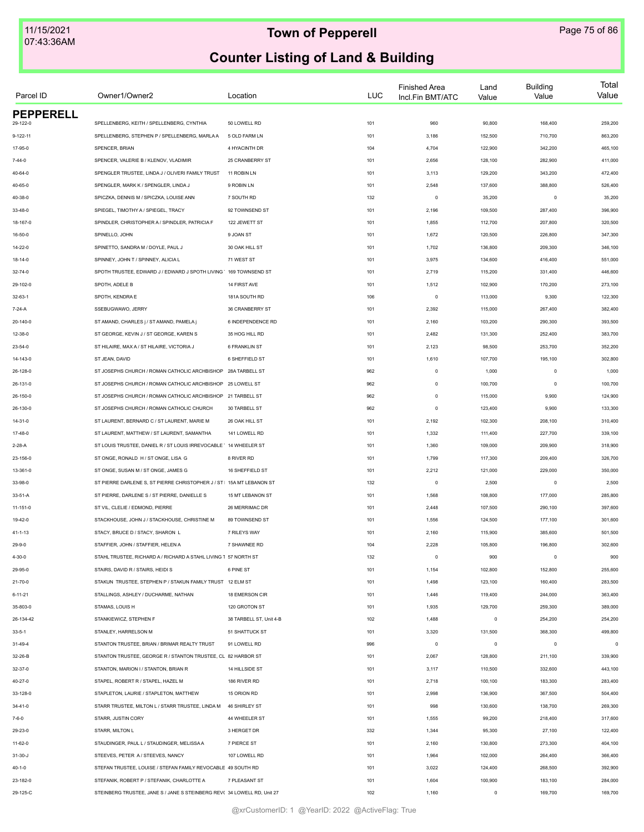| Parcel ID        | Owner1/Owner2                                                           | Location                | <b>LUC</b> | <b>Finished Area</b><br>Incl.Fin BMT/ATC | Land<br>Value | <b>Building</b><br>Value | Total<br>Value |
|------------------|-------------------------------------------------------------------------|-------------------------|------------|------------------------------------------|---------------|--------------------------|----------------|
| <b>PEPPERELL</b> | SPELLENBERG, KEITH / SPELLENBERG, CYNTHIA                               | 50 LOWELL RD            |            |                                          |               |                          |                |
| 29-122-0         |                                                                         | 5 OLD FARM LN           | 101        | 960                                      | 90,800        | 168,400                  | 259,200        |
| 9-122-11         | SPELLENBERG, STEPHEN P / SPELLENBERG, MARLA A                           |                         | 101        | 3,186                                    | 152,500       | 710,700                  | 863,200        |
| 17-95-0          | SPENCER, BRIAN                                                          | 4 HYACINTH DR           | 104        | 4,704                                    | 122,900       | 342,200                  | 465,100        |
| 7-44-0           | SPENCER, VALERIE B / KLENOV, VLADIMIR                                   | 25 CRANBERRY ST         | 101        | 2,656                                    | 128,100       | 282,900                  | 411,000        |
| 40-64-0          | SPENGLER TRUSTEE, LINDA J / OLIVERI FAMILY TRUST                        | 11 ROBIN LN             | 101        | 3,113                                    | 129,200       | 343,200                  | 472,400        |
| 40-65-0          | SPENGLER, MARK K / SPENGLER, LINDA J                                    | 9 ROBIN LN              | 101        | 2,548                                    | 137,600       | 388,800                  | 526,400        |
| 40-38-0          | SPICZKA, DENNIS M / SPICZKA, LOUISE ANN                                 | 7 SOUTH RD              | 132        | $\circ$                                  | 35,200        | $\circ$                  | 35,200         |
| 33-48-0          | SPIEGEL, TIMOTHY A / SPIEGEL, TRACY                                     | 92 TOWNSEND ST          | 101        | 2,196                                    | 109,500       | 287,400                  | 396,900        |
| 18-167-0         | SPINDLER, CHRISTOPHER A / SPINDLER, PATRICIA F                          | 122 JEWETT ST           | 101        | 1,855                                    | 112,700       | 207,800                  | 320,500        |
| 16-50-0          | SPINELLO, JOHN                                                          | 9 JOAN ST               | 101        | 1,672                                    | 120,500       | 226,800                  | 347,300        |
| 14-22-0          | SPINETTO, SANDRA M / DOYLE, PAUL J                                      | 30 OAK HILL ST          | 101        | 1,702                                    | 136,800       | 209,300                  | 346,100        |
| 18-14-0          | SPINNEY, JOHN T / SPINNEY, ALICIA L                                     | 71 WEST ST              | 101        | 3,975                                    | 134,600       | 416,400                  | 551,000        |
| 32-74-0          | SPOTH TRUSTEE, EDWARD J / EDWARD J SPOTH LIVING ' 169 TOWNSEND ST       |                         | 101        | 2,719                                    | 115,200       | 331,400                  | 446,600        |
| 29-102-0         | SPOTH, ADELE B                                                          | 14 FIRST AVE            | 101        | 1,512                                    | 102,900       | 170,200                  | 273,100        |
| $32 - 63 - 1$    | SPOTH, KENDRA E                                                         | 181A SOUTH RD           | 106        | $\circ$                                  | 113,000       | 9,300                    | 122,300        |
| 7-24-A           | SSEBUGWAWO, JERRY                                                       | 36 CRANBERRY ST         | 101        | 2,392                                    | 115,000       | 267,400                  | 382,400        |
| 20-140-0         | ST AMAND, CHARLES j / ST AMAND, PAMELA j                                | 6 INDEPENDENCE RD       | 101        | 2,160                                    | 103,200       | 290,300                  | 393,500        |
| 12-38-0          | ST GEORGE, KEVIN J / ST GEORGE, KAREN S                                 | 35 HOG HILL RD          | 101        | 2,482                                    | 131,300       | 252,400                  | 383,700        |
| 23-54-0          | ST HILAIRE, MAX A / ST HILAIRE, VICTORIA J                              | 6 FRANKLIN ST           | 101        | 2,123                                    | 98,500        | 253,700                  | 352,200        |
| 14-143-0         | ST JEAN, DAVID                                                          | 6 SHEFFIELD ST          | 101        | 1,610                                    | 107,700       | 195,100                  | 302,800        |
| 26-128-0         | ST JOSEPHS CHURCH / ROMAN CATHOLIC ARCHBISHOP                           | 28A TARBELL ST          | 962        | $\mathsf 0$                              | 1,000         | $\mathbf 0$              | 1,000          |
| 26-131-0         | ST JOSEPHS CHURCH / ROMAN CATHOLIC ARCHBISHOP 25 LOWELL ST              |                         | 962        | $\mathbb O$                              | 100,700       | $\mathbf 0$              | 100,700        |
| 26-150-0         | ST JOSEPHS CHURCH / ROMAN CATHOLIC ARCHBISHOP 21 TARBELL ST             |                         | 962        | $\mathbb O$                              | 115,000       | 9,900                    | 124,900        |
| 26-130-0         | ST JOSEPHS CHURCH / ROMAN CATHOLIC CHURCH                               | 30 TARBELL ST           | 962        | $\mathbb O$                              | 123,400       | 9,900                    | 133,300        |
| $14 - 31 - 0$    | ST LAURENT, BERNARD C / ST LAURENT, MARIE M                             | 26 OAK HILL ST          | 101        | 2,192                                    | 102,300       | 208,100                  | 310,400        |
| 17-48-0          | ST LAURENT, MATTHEW / ST LAURENT, SAMANTHA                              | 141 LOWELL RD           | 101        | 1,332                                    | 111,400       | 227,700                  | 339,100        |
| 2-28-A           | ST LOUIS TRUSTEE, DANIEL R / ST LOUIS IRREVOCABLE ' 14 WHEELER ST       |                         | 101        | 1,360                                    | 109,000       | 209,900                  | 318,900        |
| 23-156-0         | ST ONGE, RONALD H / ST ONGE, LISA G                                     | 8 RIVER RD              | 101        | 1,799                                    | 117,300       | 209,400                  | 326,700        |
| 13-361-0         | ST ONGE, SUSAN M / ST ONGE, JAMES G                                     | 16 SHEFFIELD ST         | 101        | 2,212                                    | 121,000       | 229,000                  | 350,000        |
| 33-98-0          | ST PIERRE DARLENE S, ST PIERRE CHRISTOPHER J / ST   15A MT LEBANON ST   |                         | 132        | $\circ$                                  | 2,500         | $\circ$                  | 2,500          |
|                  |                                                                         |                         |            |                                          |               |                          |                |
| 33-51-A          | ST PIERRE, DARLENE S / ST PIERRE, DANIELLE S                            | 15 MT LEBANON ST        | 101        | 1,568                                    | 108,800       | 177,000                  | 285,800        |
| $11 - 151 - 0$   | ST VIL, CLELIE / EDMOND, PIERRE                                         | 26 MERRIMAC DR          | 101        | 2,448                                    | 107,500       | 290,100                  | 397,600        |
| 19-42-0          | STACKHOUSE, JOHN J / STACKHOUSE, CHRISTINE M                            | 89 TOWNSEND ST          | 101        | 1,556                                    | 124,500       | 177,100                  | 301,600        |
| 41-1-13          | STACY, BRUCE D / STACY, SHARON L                                        | 7 RILEYS WAY            | 101        | 2,160                                    | 115,900       | 385,600                  | 501,500        |
| 29-9-0           | STAFFIER, JOHN / STAFFIER, HELEN A                                      | 7 SHAWNEE RD            | 104        | 2,228                                    | 105,800       | 196,800                  | 302,600        |
| 4-30-0           | STAHL TRUSTEE, RICHARD A / RICHARD A STAHL LIVING 1 57 NORTH ST         |                         | 132        | $\mathbb O$                              | 900           | $\mathbf 0$              | 900            |
| 29-95-0          | STAIRS, DAVID R / STAIRS, HEIDI S                                       | 6 PINE ST               | 101        | 1,154                                    | 102,800       | 152,800                  | 255,600        |
| $21 - 70 - 0$    | STAKUN TRUSTEE, STEPHEN P / STAKUN FAMILY TRUST 12 ELM ST               |                         | 101        | 1,498                                    | 123,100       | 160,400                  | 283,500        |
| $6 - 11 - 21$    | STALLINGS, ASHLEY / DUCHARME, NATHAN                                    | 18 EMERSON CIR          | 101        | 1,446                                    | 119,400       | 244,000                  | 363,400        |
| 35-803-0         | STAMAS, LOUIS H                                                         | 120 GROTON ST           | 101        | 1,935                                    | 129,700       | 259,300                  | 389,000        |
| 26-134-42        | STANKIEWICZ, STEPHEN F                                                  | 38 TARBELL ST, Unit 4-B | 102        | 1,488                                    | $\mathsf 0$   | 254,200                  | 254,200        |
| $33 - 5 - 1$     | STANLEY, HARRELSON M                                                    | 51 SHATTUCK ST          | 101        | 3,320                                    | 131,500       | 368,300                  | 499,800        |
| 31-49-4          | STANTON TRUSTEE, BRIAN / BRIMAR REALTY TRUST                            | 91 LOWELL RD            | 996        | $\circ$                                  | $\mathsf 0$   | $\circ$                  | $\circ$        |
| 32-26-B          | STANTON TRUSTEE, GEORGE R / STANTON TRUSTEE, CL 82 HARBOR ST            |                         | 101        | 2,067                                    | 128,800       | 211,100                  | 339,900        |
| 32-37-0          | STANTON, MARION I / STANTON, BRIAN R                                    | 14 HILLSIDE ST          | 101        | 3,117                                    | 110,500       | 332,600                  | 443,100        |
| $40 - 27 - 0$    | STAPEL, ROBERT R / STAPEL, HAZEL M                                      | 186 RIVER RD            | 101        | 2,718                                    | 100,100       | 183,300                  | 283,400        |
| 33-128-0         | STAPLETON, LAURIE / STAPLETON, MATTHEW                                  | 15 ORION RD             | 101        | 2,998                                    | 136,900       | 367,500                  | 504,400        |
| $34 - 41 - 0$    | STARR TRUSTEE, MILTON L / STARR TRUSTEE, LINDA M                        | 46 SHIRLEY ST           | 101        | 998                                      | 130,600       | 138,700                  | 269,300        |
| $7 - 6 - 0$      | STARR, JUSTIN CORY                                                      | 44 WHEELER ST           | 101        | 1,555                                    | 99,200        | 218,400                  | 317,600        |
| 29-23-0          | STARR, MILTON L                                                         | 3 HERGET DR             | 332        | 1,344                                    | 95,300        | 27,100                   | 122,400        |
| 11-62-0          | STAUDINGER, PAUL L / STAUDINGER, MELISSA A                              | 7 PIERCE ST             | 101        | 2,160                                    | 130,800       | 273,300                  | 404,100        |
| $31-30 - J$      | STEEVES, PETER A/STEEVES, NANCY                                         | 107 LOWELL RD           | 101        | 1,964                                    | 102,000       | 264,400                  | 366,400        |
| $40 - 1 - 0$     | STEFAN TRUSTEE, LOUISE / STEFAN FAMILY REVOCABLE 49 SOUTH RD            |                         | 101        | 3,022                                    | 124,400       | 268,500                  | 392,900        |
| 23-182-0         | STEFANIK, ROBERT P / STEFANIK, CHARLOTTE A                              | 7 PLEASANT ST           | 101        | 1,604                                    | 100,900       | 183,100                  | 284,000        |
| 29-125-C         | STEINBERG TRUSTEE, JANE S / JANE S STEINBERG REV( 34 LOWELL RD, Unit 27 |                         | 102        | 1,160                                    | $\mathsf 0$   | 169,700                  | 169,700        |
|                  |                                                                         |                         |            |                                          |               |                          |                |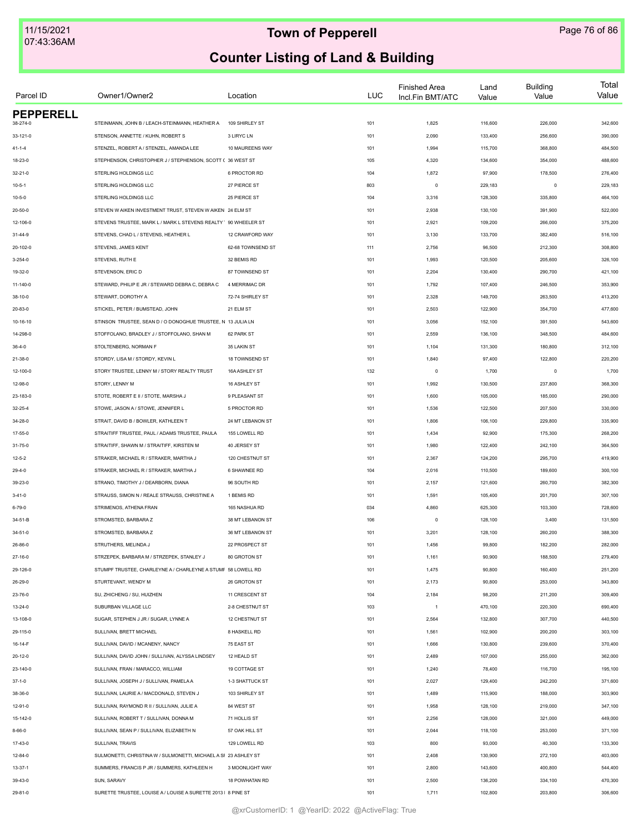| Parcel ID                    | Owner1/Owner2                                                   | Location          | <b>LUC</b> | <b>Finished Area</b><br>Incl.Fin BMT/ATC | Land<br>Value | <b>Building</b><br>Value | Total<br>Value |
|------------------------------|-----------------------------------------------------------------|-------------------|------------|------------------------------------------|---------------|--------------------------|----------------|
| <b>PEPPERELL</b><br>38-274-0 | STEINMANN, JOHN B / LEACH-STEINMANN, HEATHER A                  | 109 SHIRLEY ST    | 101        | 1,825                                    | 116,600       | 226,000                  | 342,600        |
|                              | STENSON, ANNETTE / KUHN, ROBERT S                               |                   |            |                                          |               |                          |                |
| 33-121-0                     |                                                                 | 3 LIRYC LN        | 101        | 2,090                                    | 133,400       | 256,600                  | 390,000        |
| $41 - 1 - 4$                 | STENZEL, ROBERT A / STENZEL, AMANDA LEE                         | 10 MAUREENS WAY   | 101        | 1,994                                    | 115,700       | 368,800                  | 484,500        |
| 18-23-0                      | STEPHENSON, CHRISTOPHER J / STEPHENSON, SCOTT ( 36 WEST ST      |                   | 105        | 4,320                                    | 134,600       | 354,000                  | 488,600        |
| 32-21-0                      | STERLING HOLDINGS LLC                                           | 6 PROCTOR RD      | 104        | 1,872                                    | 97,900        | 178,500                  | 276,400        |
| $10 - 5 - 1$                 | STERLING HOLDINGS LLC                                           | 27 PIERCE ST      | 803        | $\circ$                                  | 229,183       | $\circ$                  | 229,183        |
| $10 - 5 - 0$                 | STERLING HOLDINGS LLC                                           | 25 PIERCE ST      | 104        | 3,316                                    | 128,300       | 335,800                  | 464,100        |
| $20 - 50 - 0$                | STEVEN W AIKEN INVESTMENT TRUST. STEVEN W AIKEN 24 ELM ST       |                   | 101        | 2,938                                    | 130,100       | 391,900                  | 522,000        |
| 12-106-0                     | STEVENS TRUSTEE, MARK L / MARK L STEVENS REALTY ' 90 WHEELER ST |                   | 101        | 2,921                                    | 109,200       | 266,000                  | 375,200        |
| $31 - 44 - 9$                | STEVENS, CHAD L / STEVENS, HEATHER L                            | 12 CRAWFORD WAY   | 101        | 3,130                                    | 133,700       | 382,400                  | 516,100        |
| 20-102-0                     | STEVENS, JAMES KENT                                             | 62-68 TOWNSEND ST | 111        | 2,756                                    | 96,500        | 212,300                  | 308,800        |
| $3 - 254 - 0$                | STEVENS, RUTH E                                                 | 32 BEMIS RD       | 101        | 1,993                                    | 120,500       | 205,600                  | 326,100        |
| 19-32-0                      | STEVENSON, ERIC D                                               | 87 TOWNSEND ST    | 101        | 2,204                                    | 130,400       | 290,700                  | 421,100        |
| 11-140-0                     | STEWARD, PHILIP E JR / STEWARD DEBRA C, DEBRA C                 | 4 MERRIMAC DR     | 101        | 1,792                                    | 107,400       | 246,500                  | 353,900        |
| 38-10-0                      | STEWART, DOROTHY A                                              | 72-74 SHIRLEY ST  | 101        | 2,328                                    | 149,700       | 263,500                  | 413,200        |
| 20-83-0                      | STICKEL, PETER / BUMSTEAD, JOHN                                 | 21 ELM ST         | 101        | 2,503                                    | 122,900       | 354,700                  | 477,600        |
| 10-16-10                     | STINSON TRUSTEE, SEAN D / O DONOGHUE TRUSTEE, N 13 JULIA LN     |                   | 101        | 3,056                                    | 152,100       | 391,500                  | 543,600        |
| 14-298-0                     | STOFFOLANO, BRADLEY J / STOFFOLANO, SHAN M                      | 62 PARK ST        | 101        | 2,559                                    | 136,100       | 348,500                  | 484,600        |
| $36 - 4 - 0$                 | STOLTENBERG, NORMAN F                                           | 35 LAKIN ST       | 101        | 1,104                                    | 131,300       | 180,800                  | 312,100        |
| 21-38-0                      | STORDY, LISA M / STORDY, KEVIN L                                | 18 TOWNSEND ST    | 101        | 1,840                                    | 97,400        | 122,800                  | 220,200        |
| 12-100-0                     | STORY TRUSTEE, LENNY M / STORY REALTY TRUST                     | 16A ASHLEY ST     | 132        | $\circ$                                  | 1,700         | $\mathbf 0$              | 1,700          |
| 12-98-0                      | STORY, LENNY M                                                  | 16 ASHLEY ST      | 101        | 1,992                                    | 130,500       | 237,800                  | 368,300        |
| 23-183-0                     | STOTE, ROBERT E II / STOTE, MARSHA J                            | 9 PLEASANT ST     | 101        | 1,600                                    | 105,000       | 185,000                  | 290,000        |
| $32 - 25 - 4$                | STOWE, JASON A / STOWE, JENNIFER L                              | 5 PROCTOR RD      | 101        | 1,536                                    | 122,500       | 207,500                  | 330,000        |
| 34-28-0                      | STRAIT, DAVID B / BOWLER, KATHLEEN T                            | 24 MT LEBANON ST  | 101        | 1,806                                    | 106,100       | 229,800                  | 335,900        |
| 17-55-0                      | STRAITIFF TRUSTEE, PAUL / ADAMS TRUSTEE, PAULA                  | 155 LOWELL RD     | 101        | 1,434                                    | 92,900        | 175,300                  | 268,200        |
| 31-75-0                      | STRAITIFF, SHAWN M / STRAITIFF, KIRSTEN M                       | 40 JERSEY ST      | 101        | 1,980                                    | 122,400       | 242,100                  | 364,500        |
| $12 - 5 - 2$                 | STRAKER, MICHAEL R / STRAKER, MARTHA J                          | 120 CHESTNUT ST   | 101        | 2,367                                    | 124,200       | 295,700                  | 419,900        |
|                              | STRAKER, MICHAEL R / STRAKER, MARTHA J                          | 6 SHAWNEE RD      | 104        | 2,016                                    | 110,500       | 189,600                  | 300,100        |
| 29-4-0                       | STRANO, TIMOTHY J / DEARBORN, DIANA                             | 96 SOUTH RD       | 101        | 2,157                                    | 121,600       | 260,700                  | 382,300        |
| 39-23-0                      |                                                                 | 1 BEMIS RD        |            |                                          |               |                          |                |
| $3 - 41 - 0$                 | STRAUSS, SIMON N / REALE STRAUSS, CHRISTINE A                   |                   | 101        | 1,591                                    | 105,400       | 201,700                  | 307,100        |
| $6 - 79 - 0$                 | STRIMENOS, ATHENA FRAN                                          | 165 NASHUA RD     | 034        | 4,860                                    | 625,300       | 103,300                  | 728,600        |
| 34-51-B                      | STROMSTED, BARBARA Z                                            | 38 MT LEBANON ST  | 106        | $\circ$                                  | 128,100       | 3,400                    | 131,500        |
| $34 - 51 - 0$                | STROMSTED, BARBARA Z                                            | 36 MT LEBANON ST  | 101        | 3,201                                    | 128,100       | 260,200                  | 388,300        |
| 26-86-0                      | STRUTHERS, MELINDA J                                            | 22 PROSPECT ST    | 101        | 1,456                                    | 99,800        | 182,200                  | 282,000        |
| 27-16-0                      | STRZEPEK, BARBARA M / STRZEPEK, STANLEY J                       | 80 GROTON ST      | 101        | 1,161                                    | 90,900        | 188,500                  | 279,400        |
| 29-126-0                     | STUMPF TRUSTEE, CHARLEYNE A / CHARLEYNE A STUMF 58 LOWELL RD    |                   | 101        | 1,475                                    | 90,800        | 160,400                  | 251,200        |
| 26-29-0                      | STURTEVANT, WENDY M                                             | 26 GROTON ST      | 101        | 2,173                                    | 90,800        | 253,000                  | 343,800        |
| 23-76-0                      | SU, ZHICHENG / SU, HUIZHEN                                      | 11 CRESCENT ST    | 104        | 2,184                                    | 98,200        | 211,200                  | 309,400        |
| $13 - 24 - 0$                | SUBURBAN VILLAGE LLC                                            | 2-8 CHESTNUT ST   | 103        | $\overline{1}$                           | 470,100       | 220,300                  | 690,400        |
| 13-108-0                     | SUGAR, STEPHEN J JR / SUGAR, LYNNE A                            | 12 CHESTNUT ST    | 101        | 2,564                                    | 132,800       | 307,700                  | 440,500        |
| 29-115-0                     | SULLIVAN, BRETT MICHAEL                                         | 8 HASKELL RD      | 101        | 1,561                                    | 102,900       | 200,200                  | 303,100        |
| 16-14-F                      | SULLIVAN, DAVID / MCANENY, NANCY                                | 75 EAST ST        | 101        | 1,666                                    | 130,800       | 239,600                  | 370,400        |
| $20 - 12 - 0$                | SULLIVAN, DAVID JOHN / SULLIVAN, ALYSSA LINDSEY                 | 12 HEALD ST       | 101        | 2,489                                    | 107,000       | 255,000                  | 362,000        |
| 23-140-0                     | SULLIVAN, FRAN / MARACCO, WILLIAM                               | 19 COTTAGE ST     | 101        | 1,240                                    | 78,400        | 116,700                  | 195,100        |
| $37 - 1 - 0$                 | SULLIVAN, JOSEPH J / SULLIVAN, PAMELAA                          | 1-3 SHATTUCK ST   | 101        | 2,027                                    | 129,400       | 242,200                  | 371,600        |
| 38-36-0                      | SULLIVAN, LAURIE A / MACDONALD, STEVEN J                        | 103 SHIRLEY ST    | 101        | 1,489                                    | 115,900       | 188,000                  | 303,900        |
| 12-91-0                      | SULLIVAN, RAYMOND R II / SULLIVAN, JULIE A                      | 84 WEST ST        | 101        | 1,958                                    | 128,100       | 219,000                  | 347,100        |
| 15-142-0                     | SULLIVAN, ROBERT T / SULLIVAN, DONNA M                          | 71 HOLLIS ST      | 101        | 2,256                                    | 128,000       | 321,000                  | 449,000        |
| $8 - 66 - 0$                 | SULLIVAN, SEAN P / SULLIVAN, ELIZABETH N                        | 57 OAK HILL ST    | 101        | 2,044                                    | 118,100       | 253,000                  | 371,100        |
| 17-43-0                      | SULLIVAN, TRAVIS                                                | 129 LOWELL RD     | 103        | 800                                      | 93,000        | 40,300                   | 133,300        |
| 12-84-0                      | SULMONETTI, CHRISTINA W / SULMONETTI, MICHAEL A SF 23 ASHLEY ST |                   | 101        | 2,408                                    | 130,900       | 272,100                  | 403,000        |
| $13 - 37 - 1$                | SUMMERS, FRANCIS P JR / SUMMERS, KATHLEEN H                     | 3 MOONLIGHT WAY   | 101        | 2,800                                    | 143,600       | 400,800                  | 544,400        |
| 39-43-0                      | SUN, SARAVY                                                     | 18 POWHATAN RD    | 101        | 2,500                                    | 136,200       | 334,100                  | 470,300        |
|                              |                                                                 |                   |            |                                          |               |                          |                |
| 29-81-0                      | SURETTE TRUSTEE, LOUISE A / LOUISE A SURETTE 2013   8 PINE ST   |                   | 101        | 1,711                                    | 102,800       | 203,800                  | 306,600        |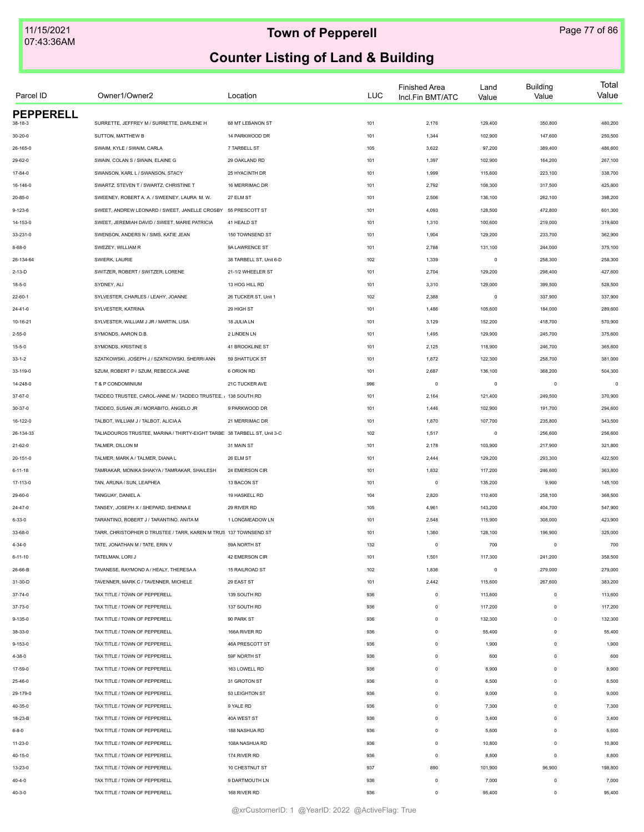| Parcel ID        | Owner1/Owner2                                                            | Location                | LUC | <b>Finished Area</b><br>Incl.Fin BMT/ATC | Land<br>Value | <b>Building</b><br>Value | Total<br>Value |
|------------------|--------------------------------------------------------------------------|-------------------------|-----|------------------------------------------|---------------|--------------------------|----------------|
| <b>PEPPERELL</b> | SURRETTE, JEFFREY M / SURRETTE, DARLENE H                                | 88 MT LEBANON ST        |     |                                          | 129,400       |                          | 480,200        |
| 38-18-3          |                                                                          |                         | 101 | 2,176                                    |               | 350,800                  |                |
| $30 - 20 - 0$    | SUTTON, MATTHEW B                                                        | 14 PARKWOOD DR          | 101 | 1,344                                    | 102,900       | 147,600                  | 250,500        |
| 26-165-0         | SWAIM, KYLE / SWAIM, CARLA                                               | 7 TARBELL ST            | 105 | 3,622                                    | 97,200        | 389,400                  | 486,600        |
| 29-62-0          | SWAIN, COLAN S / SWAIN, ELAINE G                                         | 29 OAKLAND RD           | 101 | 1,397                                    | 102,900       | 164,200                  | 267,100        |
| 17-84-0          | SWANSON, KARL L / SWANSON, STACY                                         | 25 HYACINTH DR          | 101 | 1,999                                    | 115,600       | 223,100                  | 338,700        |
| 16-146-0         | SWARTZ, STEVEN T / SWARTZ, CHRISTINE T                                   | 16 MERRIMAC DR          | 101 | 2,792                                    | 108,300       | 317,500                  | 425,800        |
| $20 - 85 - 0$    | SWEENEY, ROBERT A. A. / SWEENEY, LAURA M. W.                             | 27 ELM ST               | 101 | 2,506                                    | 136,100       | 262,100                  | 398,200        |
| $9 - 123 - 6$    | SWEET, ANDREW LEONARD / SWEET, JANELLE CROSBY 55 PRESCOTT ST             |                         | 101 | 4,093                                    | 128,500       | 472,800                  | 601,300        |
| 14-153-0         | SWEET. JEREMIAH DAVID / SWEET. MARIE PATRICIA                            | 41 HEALD ST             | 101 | 1,310                                    | 100,600       | 219,000                  | 319,600        |
| 33-231-0         | SWENSON, ANDERS N / SIMS, KATIE JEAN                                     | 150 TOWNSEND ST         | 101 | 1,904                                    | 129,200       | 233,700                  | 362,900        |
| $8 - 68 - 0$     | SWEZEY, WILLIAM R                                                        | 9A LAWRENCE ST          | 101 | 2,788                                    | 131,100       | 244,000                  | 375,100        |
| 26-134-64        | SWIERK, LAURIE                                                           | 38 TARBELL ST, Unit 6-D | 102 | 1,339                                    | $\,0\,$       | 258,300                  | 258,300        |
| $2-13-D$         | SWITZER, ROBERT / SWITZER, LORENE                                        | 21-1/2 WHEELER ST       | 101 | 2,704                                    | 129,200       | 298,400                  | 427,600        |
| $18 - 5 - 0$     | SYDNEY, ALI                                                              | 13 HOG HILL RD          | 101 | 3,310                                    | 129,000       | 399,500                  | 528,500        |
| $22 - 60 - 1$    | SYLVESTER, CHARLES / LEAHY, JOANNE                                       | 26 TUCKER ST, Unit 1    | 102 | 2,388                                    | $\mathsf 0$   | 337,900                  | 337,900        |
| $24 - 41 - 0$    | SYLVESTER, KATRINA                                                       | 29 HIGH ST              | 101 | 1,486                                    | 105,600       | 184,000                  | 289,600        |
| 10-16-21         | SYLVESTER, WILLIAM J JR / MARTIN, LISA                                   | 18 JULIA LN             | 101 | 3,129                                    | 152,200       | 418,700                  | 570,900        |
| $2 - 55 - 0$     | SYMONDS, AARON D.B.                                                      | 2 LINDEN LN             | 101 | 1,495                                    | 129,900       | 245,700                  | 375,600        |
| $15 - 5 - 0$     | SYMONDS, KRISTINE S                                                      | 41 BROOKLINE ST         | 101 | 2,125                                    | 118,900       | 246,700                  | 365,600        |
| $33 - 1 - 2$     | SZATKOWSKI, JOSEPH J / SZATKOWSKI, SHERRI ANN                            | 59 SHATTUCK ST          | 101 | 1,872                                    | 122,300       | 258,700                  | 381,000        |
| 33-119-0         | SZUM, ROBERT P / SZUM, REBECCA JANE                                      | 6 ORION RD              | 101 | 2,687                                    | 136,100       | 368,200                  | 504,300        |
| 14-248-0         | T & P CONDOMINIUM                                                        | 21C TUCKER AVE          | 996 | $\mathbf 0$                              | $\mathsf 0$   | $\mathsf 0$              | $\Omega$       |
| 37-67-0          | TADDEO TRUSTEE, CAROL-ANNE M / TADDEO TRUSTEE, , 138 SOUTH RD            |                         | 101 | 2,164                                    | 121,400       | 249,500                  | 370,900        |
| 30-37-0          | TADDEO, SUSAN JR / MORABITO, ANGELO JR                                   | 9 PARKWOOD DR           | 101 | 1,446                                    | 102,900       | 191,700                  | 294,600        |
| 16-122-0         | TALBOT, WILLIAM J / TALBOT, ALICIA A                                     | 21 MERRIMAC DR          | 101 | 1,870                                    | 107,700       | 235,800                  | 343,500        |
| 26-134-33        | TALIADOUROS TRUSTEE, MARINA / THIRTY-EIGHT TARBE 38 TARBELL ST, Unit 3-C |                         | 102 | 1,517                                    | $\mathsf 0$   | 256,600                  | 256,600        |
| 21-62-0          | TALMER, DILLON M                                                         | 31 MAIN ST              | 101 | 2,178                                    | 103,900       | 217,900                  | 321,800        |
| 20-151-0         | TALMER, MARK A / TALMER, DIANA L                                         | 26 ELM ST               | 101 | 2,444                                    | 129,200       | 293,300                  | 422,500        |
| $6 - 11 - 18$    | TAMRAKAR, MONIKA SHAKYA / TAMRAKAR, SHAILESH                             | 24 EMERSON CIR          | 101 | 1,832                                    | 117,200       | 246,600                  | 363,800        |
|                  | TAN, ARUNA / SUN, LEAPHEA                                                | 13 BACON ST             | 101 | $\mathbf 0$                              | 135,200       | 9,900                    | 145,100        |
| 17-113-0         |                                                                          |                         |     |                                          |               |                          |                |
| 29-60-0          | TANGUAY, DANIEL A                                                        | 19 HASKELL RD           | 104 | 2,820                                    | 110,400       | 258,100                  | 368,500        |
| $24 - 47 - 0$    | TANSEY, JOSEPH X / SHEPARD, SHENNA E                                     | 29 RIVER RD             | 105 | 4,961                                    | 143,200       | 404,700                  | 547,900        |
| $6 - 33 - 0$     | TARANTINO, ROBERT J / TARANTINO, ANITA M                                 | 1 LONGMEADOW LN         | 101 | 2,548                                    | 115,900       | 308,000                  | 423,900        |
| 33-68-0          | TARR, CHRISTOPHER D TRUSTEE / TARR, KAREN M TRUS 137 TOWNSEND ST         |                         | 101 | 1,360                                    | 128,100       | 196,900                  | 325,000        |
| $4 - 34 - 0$     | TATE, JONATHAN M / TATE, ERIN V                                          | 59A NORTH ST            | 132 | $\mathbf 0$                              | 700           | $\mathsf 0$              | 700            |
| $6 - 11 - 10$    | TATELMAN, LORI J                                                         | 42 EMERSON CIR          | 101 | 1,501                                    | 117,300       | 241,200                  | 358,500        |
| 26-66-B          | TAVANESE, RAYMOND A / HEALY, THERESA A                                   | 15 RAILROAD ST          | 102 | 1,836                                    | $\mathsf 0$   | 279,000                  | 279,000        |
| 31-30-D          | TAVENNER, MARK C / TAVENNER, MICHELE                                     | 29 EAST ST              | 101 | 2,442                                    | 115,600       | 267,600                  | 383,200        |
| $37 - 74 - 0$    | TAX TITLE / TOWN OF PEPPERELL                                            | 139 SOUTH RD            | 936 | $\mathbf 0$                              | 113,600       | $\mathsf 0$              | 113,600        |
| 37-73-0          | TAX TITLE / TOWN OF PEPPERELL                                            | 137 SOUTH RD            | 936 | $\mathbf 0$                              | 117,200       | $\mathbf 0$              | 117,200        |
| $9 - 135 - 0$    | TAX TITLE / TOWN OF PEPPERELL                                            | 90 PARK ST              | 936 | $\mathbf 0$                              | 132,300       | $\mathbf 0$              | 132,300        |
| 38-33-0          | TAX TITLE / TOWN OF PEPPERELL                                            | 166A RIVER RD           | 936 | $\mathbf 0$                              | 55,400        | $\mathbf 0$              | 55,400         |
| $9 - 153 - 0$    | TAX TITLE / TOWN OF PEPPERELL                                            | 46A PRESCOTT ST         | 936 | $\mathbf 0$                              | 1,900         | $\Omega$                 | 1,900          |
| 4-38-0           | TAX TITLE / TOWN OF PEPPERELL                                            | 59F NORTH ST            | 936 | $\mathbf 0$                              | 600           | $\Omega$                 | 600            |
| 17-59-0          | TAX TITLE / TOWN OF PEPPERELL                                            | 163 LOWELL RD           | 936 | $\mathbf 0$                              | 8,900         | $\mathbf 0$              | 8,900          |
| 25-46-0          | TAX TITLE / TOWN OF PEPPERELL                                            | 31 GROTON ST            | 936 | $\mathbf 0$                              | 6,500         | $\mathbf 0$              | 6,500          |
| 29-179-0         | TAX TITLE / TOWN OF PEPPERELL                                            | 53 LEIGHTON ST          | 936 | $\mathbf 0$                              | 9,000         | $\mathbf 0$              | 9,000          |
| 40-35-0          | TAX TITLE / TOWN OF PEPPERELL                                            | 9 YALE RD               | 936 | $\mathbf 0$                              | 7,300         | $\mathbf 0$              | 7,300          |
| 18-23-B          | TAX TITLE / TOWN OF PEPPERELL                                            | 40A WEST ST             | 936 | $\mathbf 0$                              | 3,400         | $^{\circ}$               | 3,400          |
| $6 - 8 - 0$      | TAX TITLE / TOWN OF PEPPERELL                                            | 188 NASHUA RD           | 936 | $\mathbf 0$                              | 5,600         | $^{\circ}$               | 5,600          |
| 11-23-0          | TAX TITLE / TOWN OF PEPPERELL                                            | 108A NASHUA RD          | 936 | $\mathbf 0$                              | 10,800        | $\mathsf 0$              | 10,800         |
| 40-15-0          | TAX TITLE / TOWN OF PEPPERELL                                            | 174 RIVER RD            | 936 | $\mathbf 0$                              | 8,800         | $^{\circ}$               | 8,800          |
| 13-23-0          | TAX TITLE / TOWN OF PEPPERELL                                            | 10 CHESTNUT ST          | 937 | 890                                      | 101,900       | 96,900                   | 198,800        |
| $40 - 4 - 0$     | TAX TITLE / TOWN OF PEPPERELL                                            | 9 DARTMOUTH LN          | 936 | $\mathbf 0$                              | 7,000         | $\mathbf 0$              | 7,000          |
| $40 - 3 - 0$     | TAX TITLE / TOWN OF PEPPERELL                                            | 168 RIVER RD            | 936 | $\mathbf 0$                              | 95,400        | $\mathbf 0$              | 95,400         |
|                  |                                                                          |                         |     |                                          |               |                          |                |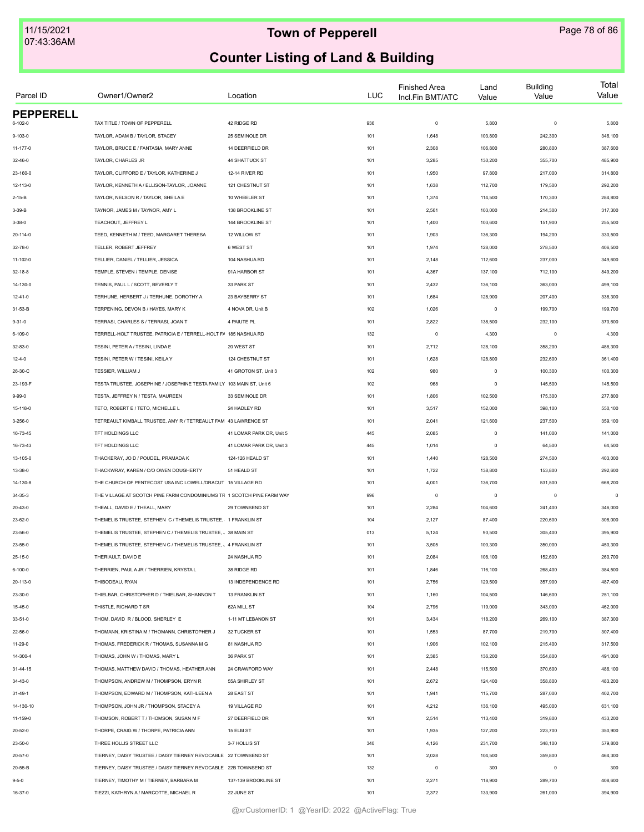| Parcel ID        | Owner1/Owner2                                                          | Location                 | <b>LUC</b> | <b>Finished Area</b><br>Incl.Fin BMT/ATC | Land<br>Value | <b>Building</b><br>Value | Total<br>Value |
|------------------|------------------------------------------------------------------------|--------------------------|------------|------------------------------------------|---------------|--------------------------|----------------|
| <b>PEPPERELL</b> |                                                                        |                          |            |                                          |               |                          |                |
| 6-102-0          | TAX TITLE / TOWN OF PEPPERELL                                          | 42 RIDGE RD              | 936        | $\mathsf 0$                              | 5,800         | $\mathbf 0$              | 5,800          |
| $9 - 103 - 0$    | TAYLOR, ADAM B / TAYLOR, STACEY                                        | 25 SEMINOLE DR           | 101        | 1,648                                    | 103,800       | 242,300                  | 346,100        |
| 11-177-0         | TAYLOR, BRUCE E / FANTASIA, MARY ANNE                                  | 14 DEERFIELD DR          | 101        | 2,308                                    | 106,800       | 280,800                  | 387,600        |
| 32-46-0          | TAYLOR, CHARLES JR                                                     | 44 SHATTUCK ST           | 101        | 3,285                                    | 130,200       | 355,700                  | 485,900        |
| 23-160-0         | TAYLOR, CLIFFORD E / TAYLOR, KATHERINE J                               | 12-14 RIVER RD           | 101        | 1,950                                    | 97,800        | 217,000                  | 314,800        |
| 12-113-0         | TAYLOR, KENNETH A / ELLISON-TAYLOR, JOANNE                             | 121 CHESTNUT ST          | 101        | 1,638                                    | 112,700       | 179,500                  | 292,200        |
| $2 - 15 - B$     | TAYLOR, NELSON R / TAYLOR, SHEILA E                                    | 10 WHEELER ST            | 101        | 1,374                                    | 114,500       | 170,300                  | 284,800        |
| 3-39-B           | TAYNOR, JAMES M / TAYNOR, AMY L                                        | 138 BROOKLINE ST         | 101        | 2,561                                    | 103,000       | 214,300                  | 317,300        |
| $3 - 38 - 0$     | TEACHOUT, JEFFREY L                                                    | 144 BROOKLINE ST         | 101        | 1,400                                    | 103,600       | 151,900                  | 255,500        |
| 20-114-0         | TEED, KENNETH M / TEED, MARGARET THERESA                               | 12 WILLOW ST             | 101        | 1,903                                    | 136,300       | 194,200                  | 330,500        |
| 32-78-0          | TELLER, ROBERT JEFFREY                                                 | 6 WEST ST                | 101        | 1,974                                    | 128,000       | 278,500                  | 406,500        |
| 11-102-0         | TELLIER, DANIEL / TELLIER, JESSICA                                     | 104 NASHUA RD            | 101        | 2,148                                    | 112,600       | 237,000                  | 349,600        |
| $32 - 18 - 8$    | TEMPLE, STEVEN / TEMPLE, DENISE                                        | 91A HARBOR ST            | 101        | 4,367                                    | 137,100       | 712,100                  | 849,200        |
| 14-130-0         | TENNIS, PAUL L / SCOTT, BEVERLY T                                      | 33 PARK ST               | 101        | 2,432                                    | 136,100       | 363,000                  | 499,100        |
| $12 - 41 - 0$    | TERHUNE, HERBERT J / TERHUNE, DOROTHY A                                | 23 BAYBERRY ST           | 101        | 1,684                                    | 128,900       | 207,400                  | 336,300        |
| 31-53-B          | TERPENING, DEVON B / HAYES, MARY K                                     | 4 NOVA DR, Unit B        | 102        | 1,026                                    | $\mathsf 0$   | 199,700                  | 199,700        |
| $9 - 31 - 0$     | TERRASI, CHARLES S / TERRASI, JOAN T                                   | 4 PAIUTE PL              | 101        | 2,822                                    | 138,500       | 232,100                  | 370,600        |
| 6-109-0          | TERRELL-HOLT TRUSTEE, PATRICIA E / TERRELL-HOLT FA 185 NASHUA RD       |                          | 132        | $\mathsf 0$                              | 4,300         | $\mathbf 0$              | 4,300          |
| 32-83-0          | TESINI, PETER A / TESINI, LINDA E                                      | 20 WEST ST               | 101        | 2,712                                    | 128,100       | 358,200                  | 486,300        |
| $12 - 4 - 0$     | TESINI, PETER W / TESINI, KEILA Y                                      | 124 CHESTNUT ST          | 101        | 1,628                                    | 128,800       | 232,600                  | 361,400        |
| 26-30-C          | TESSIER, WILLIAM J                                                     | 41 GROTON ST, Unit 3     | 102        | 980                                      | $\mathsf 0$   | 100,300                  | 100,300        |
| 23-193-F         | TESTA TRUSTEE, JOSEPHINE / JOSEPHINE TESTA FAMILY 103 MAIN ST. Unit 6  |                          | 102        | 968                                      | $\mathsf 0$   | 145,500                  | 145,500        |
| $9 - 99 - 0$     | TESTA, JEFFREY N / TESTA, MAUREEN                                      | 33 SEMINOLE DR           | 101        | 1,806                                    | 102,500       | 175,300                  | 277,800        |
| 15-118-0         | TETO, ROBERT E / TETO, MICHELLE L                                      | 24 HADLEY RD             | 101        | 3,517                                    | 152,000       | 398,100                  | 550,100        |
| 3-256-0          | TETREAULT KIMBALL TRUSTEE, AMY R / TETREAULT FAM 43 LAWRENCE ST        |                          | 101        | 2,041                                    | 121,600       | 237,500                  | 359,100        |
| 16-73-45         | TFT HOLDINGS LLC                                                       | 41 LOMAR PARK DR, Unit 5 | 445        | 2,085                                    | $\mathsf 0$   | 141,000                  | 141,000        |
| 16-73-43         | TFT HOLDINGS LLC                                                       | 41 LOMAR PARK DR, Unit 3 | 445        | 1,014                                    | 0             | 64,500                   | 64,500         |
| 13-105-0         | THACKERAY, JO D / POUDEL, PRAMADA K                                    | 124-126 HEALD ST         | 101        | 1,440                                    | 128,500       | 274,500                  | 403,000        |
| 13-38-0          | THACKWRAY, KAREN / C/O OWEN DOUGHERTY                                  | 51 HEALD ST              | 101        | 1,722                                    | 138,800       | 153,800                  | 292,600        |
| 14-130-8         | THE CHURCH OF PENTECOST USA INC LOWELL/DRACUT 15 VILLAGE RD            |                          | 101        | 4,001                                    | 136,700       | 531,500                  | 668,200        |
| $34 - 35 - 3$    | THE VILLAGE AT SCOTCH PINE FARM CONDOMINIUMS TR 1 SCOTCH PINE FARM WAY |                          | 996        | $\mathsf 0$                              | $\mathsf 0$   | $\mathbf 0$              | $\theta$       |
| 20-43-0          | THEALL, DAVID E / THEALL, MARY                                         | 29 TOWNSEND ST           | 101        | 2,284                                    | 104,600       | 241,400                  | 346,000        |
| 23-62-0          | THEMELIS TRUSTEE, STEPHEN C / THEMELIS TRUSTEE, 1 FRANKLIN ST          |                          | 104        | 2,127                                    | 87,400        | 220,600                  | 308,000        |
| 23-56-0          | THEMELIS TRUSTEE, STEPHEN C / THEMELIS TRUSTEE, J 38 MAIN ST           |                          | 013        | 5,124                                    | 90,500        | 305,400                  | 395,900        |
| 23-55-0          | THEMELIS TRUSTEE, STEPHEN C / THEMELIS TRUSTEE, J 4 FRANKLIN ST        |                          | 101        | 3,505                                    | 100,300       | 350,000                  | 450,300        |
| 25-15-0          | THERIAULT, DAVID E                                                     | 24 NASHUA RD             | 101        | 2,084                                    | 108,100       | 152,600                  | 260,700        |
| $6 - 100 - 0$    | THERRIEN, PAUL A JR / THERRIEN, KRYSTA L                               | 38 RIDGE RD              | 101        | 1,846                                    | 116,100       | 268,400                  | 384,500        |
| 20-113-0         | THIBODEAU, RYAN                                                        | 13 INDEPENDENCE RD       | 101        | 2,756                                    | 129,500       | 357,900                  | 487,400        |
| 23-30-0          | THIELBAR, CHRISTOPHER D / THIELBAR, SHANNON T                          | 13 FRANKLIN ST           | 101        | 1,160                                    | 104,500       | 146,600                  | 251,100        |
| 15-45-0          | THISTLE, RICHARD T SR                                                  | 62A MILL ST              | 104        | 2,796                                    | 119,000       | 343,000                  | 462,000        |
| $33 - 51 - 0$    | THOM, DAVID R / BLOOD, SHERLEY E                                       | 1-11 MT LEBANON ST       | 101        | 3,434                                    | 118,200       | 269,100                  | 387,300        |
| 22-56-0          | THOMANN, KRISTINA M / THOMANN, CHRISTOPHER J                           | 32 TUCKER ST             | 101        | 1,553                                    | 87,700        | 219,700                  | 307,400        |
| 11-29-0          | THOMAS, FREDERICK R / THOMAS, SUSANNA M G                              | 81 NASHUA RD             | 101        | 1,906                                    | 102,100       | 215,400                  | 317,500        |
| 14-300-4         | THOMAS, JOHN W / THOMAS, MARY L                                        | 36 PARK ST               | 101        | 2,385                                    | 136,200       | 354,800                  | 491,000        |
| 31-44-15         | THOMAS. MATTHEW DAVID / THOMAS. HEATHER ANN                            | 24 CRAWFORD WAY          | 101        | 2,448                                    | 115,500       | 370,600                  | 486,100        |
| 34-43-0          | THOMPSON, ANDREW M / THOMPSON, ERYN R                                  | 55A SHIRLEY ST           | 101        | 2,672                                    | 124,400       | 358,800                  | 483,200        |
| $31 - 49 - 1$    | THOMPSON, EDWARD M / THOMPSON, KATHLEEN A                              | 28 EAST ST               | 101        | 1,941                                    | 115,700       | 287,000                  | 402,700        |
|                  |                                                                        |                          |            |                                          |               |                          |                |
| 14-130-10        | THOMPSON, JOHN JR / THOMPSON, STACEY A                                 | 19 VILLAGE RD            | 101        | 4,212                                    | 136,100       | 495,000                  | 631,100        |
| 11-159-0         | THOMSON, ROBERT T / THOMSON, SUSAN M F                                 | 27 DEERFIELD DR          | 101        | 2,514                                    | 113,400       | 319,800                  | 433,200        |
| 20-52-0          | THORPE, CRAIG W / THORPE, PATRICIA ANN                                 | 15 ELM ST                | 101        | 1,935                                    | 127,200       | 223,700                  | 350,900        |
| 23-50-0          | THREE HOLLIS STREET LLC                                                | 3-7 HOLLIS ST            | 340        | 4,126                                    | 231,700       | 348,100                  | 579,800        |
| 20-57-0          | TIERNEY, DAISY TRUSTEE / DAISY TIERNEY REVOCABLE 22 TOWNSEND ST        |                          | 101        | 2,028                                    | 104,500       | 359,800                  | 464,300        |
| 20-55-B          | TIERNEY, DAISY TRUSTEE / DAISY TIERNEY REVOCABLE 22B TOWNSEND ST       |                          | 132        | $\mathsf 0$                              | 300           | $\mathbf 0$              | 300            |
| $9 - 5 - 0$      | TIERNEY, TIMOTHY M / TIERNEY, BARBARA M                                | 137-139 BROOKLINE ST     | 101        | 2,271                                    | 118,900       | 289,700                  | 408,600        |
| 16-37-0          | TIEZZI, KATHRYN A / MARCOTTE, MICHAEL R                                | 22 JUNE ST               | 101        | 2,372                                    | 133,900       | 261,000                  | 394,900        |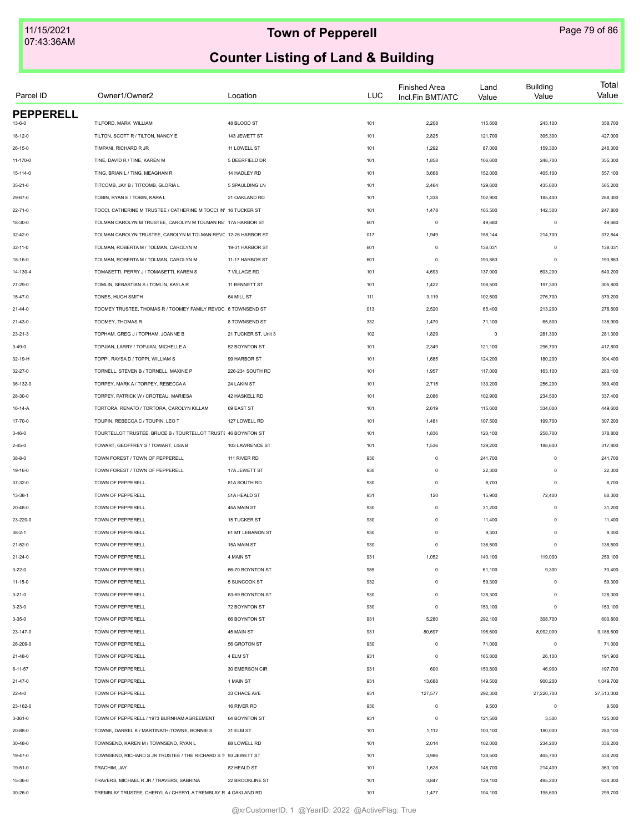| Parcel ID        | Owner1/Owner2                                                              | Location             | <b>LUC</b> | <b>Finished Area</b><br>Incl.Fin BMT/ATC | Land<br>Value | <b>Building</b><br>Value | Total<br>Value |
|------------------|----------------------------------------------------------------------------|----------------------|------------|------------------------------------------|---------------|--------------------------|----------------|
| <b>PEPPERELL</b> |                                                                            |                      |            |                                          |               |                          |                |
| $13 - 6 - 0$     | TILFORD, MARK WILLIAM                                                      | 48 BLOOD ST          | 101        | 2,208                                    | 115,600       | 243,100                  | 358,700        |
| 18-12-0          | TILTON, SCOTT R / TILTON, NANCY E                                          | 143 JEWETT ST        | 101        | 2,825                                    | 121,700       | 305,300                  | 427,000        |
| $26 - 15 - 0$    | TIMPANI, RICHARD R JR                                                      | 11 LOWELL ST         | 101        | 1,292                                    | 87,000        | 159,300                  | 246,300        |
| 11-170-0         | TINE, DAVID R / TINE, KAREN M                                              | 5 DEERFIELD DR       | 101        | 1,858                                    | 106,600       | 248,700                  | 355,300        |
| 15-114-0         | TING, BRIAN L / TING, MEAGHAN R                                            | 14 HADLEY RD         | 101        | 3,668                                    | 152,000       | 405,100                  | 557,100        |
| $35 - 21 - 6$    | TITCOMB, JAY B / TITCOMB, GLORIA L                                         | 5 SPAULDING LN       | 101        | 2,464                                    | 129,600       | 435,600                  | 565,200        |
| 29-67-0          | TOBIN, RYAN E / TOBIN, KARA L                                              | 21 OAKLAND RD        | 101        | 1,338                                    | 102,900       | 185,400                  | 288,300        |
| $22 - 71 - 0$    | TOCCI, CATHERINE M TRUSTEE / CATHERINE M TOCCI IN' 16 TUCKER ST            |                      | 101        | 1,478                                    | 105,500       | 142,300                  | 247,800        |
| 18-30-0          | TOLMAN CAROLYN M TRUSTEE, CAROLYN M TOLMAN RE' 17A HARBOR ST               |                      | 601        | $\circ$                                  | 49,680        | $\circ$                  | 49,680         |
| $32 - 42 - 0$    | TOLMAN CAROLYN TRUSTEE, CAROLYN M TOLMAN REVC 12-26 HARBOR ST              |                      | 017        | 1,949                                    | 158,144       | 214,700                  | 372,844        |
| $32 - 11 - 0$    | TOLMAN, ROBERTA M / TOLMAN, CAROLYN M                                      | 19-31 HARBOR ST      | 601        | $\circ$                                  | 138,031       | $\mathbf 0$              | 138,031        |
| 18-16-0          | TOLMAN, ROBERTA M / TOLMAN, CAROLYN M                                      | 11-17 HARBOR ST      | 601        | $\circ$                                  | 193,863       | $\circ$                  | 193,863        |
| 14-130-4         | TOMASETTI, PERRY J / TOMASETTI, KAREN S                                    | 7 VILLAGE RD         | 101        | 4,693                                    | 137,000       | 503,200                  | 640,200        |
| 27-29-0          | TOMLIN, SEBASTIAN S / TOMLIN, KAYLA R                                      | 11 BENNETT ST        | 101        | 1,422                                    | 108,500       | 197,300                  | 305,800        |
| $15 - 47 - 0$    | TONES, HUGH SMITH                                                          | 64 MILL ST           | 111        | 3,119                                    | 102,500       | 276,700                  | 379,200        |
| $21 - 44 - 0$    | TOOMEY TRUSTEE, THOMAS R / TOOMEY FAMILY REVOC 6 TOWNSEND ST               |                      | 013        | 2,520                                    | 65,400        | 213,200                  | 278,600        |
| $21 - 43 - 0$    | TOOMEY, THOMAS R                                                           | 8 TOWNSEND ST        | 332        | 1,470                                    | 71,100        | 65,800                   | 136,900        |
| $23 - 21 - 3$    | TOPHAM, GREG J / TOPHAM, JOANNE B                                          | 21 TUCKER ST, Unit 3 | 102        | 1,829                                    | $\mathsf 0$   | 281,300                  | 281,300        |
| $3 - 49 - 0$     | TOPJIAN, LARRY / TOPJIAN, MICHELLE A                                       | 52 BOYNTON ST        | 101        | 2,349                                    | 121,100       | 296,700                  | 417,800        |
| 32-19-H          | TOPPI, RAYSA D / TOPPI, WILLIAM S                                          | 99 HARBOR ST         | 101        | 1,685                                    | 124,200       | 180,200                  | 304,400        |
| $32 - 27 - 0$    | TORNELL. STEVEN B / TORNELL. MAXINE P                                      | 226-234 SOUTH RD     | 101        | 1,957                                    | 117,000       | 163,100                  | 280,100        |
|                  |                                                                            | 24 LAKIN ST          |            |                                          |               |                          | 389,400        |
| 36-132-0         | TORPEY, MARK A / TORPEY, REBECCA A<br>TORPEY, PATRICK W / CROTEAU, MARIESA | 42 HASKELL RD        | 101        | 2,715                                    | 133,200       | 256,200                  |                |
| 28-30-0          |                                                                            |                      | 101        | 2,086                                    | 102,900       | 234,500                  | 337,400        |
| 16-14-A          | TORTORA, RENATO / TORTORA, CAROLYN KILLAM                                  | 69 EAST ST           | 101        | 2,619                                    | 115,600       | 334,000                  | 449,600        |
| 17-70-0          | TOUPIN, REBECCA C / TOUPIN, LEO T                                          | 127 LOWELL RD        | 101        | 1,481                                    | 107,500       | 199,700                  | 307,200        |
| $3 - 46 - 0$     | TOURTELLOT TRUSTEE, BRUCE B / TOURTELLOT TRUSTE 46 BOYNTON ST              |                      | 101        | 1,836                                    | 120,100       | 258,700                  | 378,800        |
| $2 - 45 - 0$     | TOWART, GEOFFREY S / TOWART, LISA B                                        | 103 LAWRENCE ST      | 101        | 1,536                                    | 129,200       | 188,600                  | 317,800        |
| $38 - 8 - 0$     | TOWN FOREST / TOWN OF PEPPERELL                                            | 111 RIVER RD         | 930        | $\mathbf 0$                              | 241,700       | $\mathbf 0$              | 241,700        |
| 19-16-0          | TOWN FOREST / TOWN OF PEPPERELL                                            | 17A JEWETT ST        | 930        | $\mathbf 0$                              | 22,300        | $\mathbf 0$              | 22,300         |
| 37-32-0          | TOWN OF PEPPERELL                                                          | 81A SOUTH RD         | 930        | $\mathbb O$                              | 8,700         | $\mathbf 0$              | 8,700          |
| $13 - 38 - 1$    | TOWN OF PEPPERELL                                                          | 51A HEALD ST         | 931        | 120                                      | 15,900        | 72,400                   | 88,300         |
| $20 - 48 - 0$    | TOWN OF PEPPERELL                                                          | 45A MAIN ST          | 930        | $\mathbb O$                              | 31,200        | $\mathbf 0$              | 31,200         |
| 23-220-0         | TOWN OF PEPPERELL                                                          | 15 TUCKER ST         | 930        | $\mathbb O$                              | 11,400        | $\mathbf 0$              | 11,400         |
| $38 - 2 - 1$     | TOWN OF PEPPERELL                                                          | 61 MT LEBANON ST     | 930        | $\Omega$                                 | 9,300         | $\Omega$                 | 9,300          |
| $21 - 52 - 0$    | TOWN OF PEPPERELL                                                          | 15A MAIN ST          | 930        | $\mathbb O$                              | 136,500       | $\mathbf 0$              | 136,500        |
| 21-24-0          | TOWN OF PEPPERELL                                                          | 4 MAIN ST            | 931        | 1,052                                    | 140,100       | 119,000                  | 259,100        |
| $3 - 22 - 0$     | TOWN OF PEPPERELL                                                          | 66-70 BOYNTON ST     | 985        | $\mathbb O$                              | 61,100        | 9,300                    | 70,400         |
| $11 - 15 - 0$    | TOWN OF PEPPERELL                                                          | 5 SUNCOOK ST         | 932        | $\mathbb O$                              | 59,300        | $\mathbf 0$              | 59,300         |
| $3 - 21 - 0$     | TOWN OF PEPPERELL                                                          | 63-69 BOYNTON ST     | 930        | $\mathbb O$                              | 128,300       | $\mathbf 0$              | 128,300        |
| $3 - 23 - 0$     | TOWN OF PEPPERELL                                                          | 72 BOYNTON ST        | 930        | $\circ$                                  | 153,100       | $\mathbf 0$              | 153,100        |
| $3 - 35 - 0$     | TOWN OF PEPPERELL                                                          | 66 BOYNTON ST        | 931        | 5,280                                    | 292,100       | 308,700                  | 600,800        |
| 23-147-0         | TOWN OF PEPPERELL                                                          | 45 MAIN ST           | 931        | 80,697                                   | 196,600       | 8,992,000                | 9,188,600      |
| 26-209-0         | TOWN OF PEPPERELL                                                          | 56 GROTON ST         | 930        | $\circ$                                  | 71,000        | $\circ$                  | 71,000         |
| 21-48-0          | TOWN OF PEPPERELL                                                          | 4 ELM ST             | 931        | $\circ$                                  | 165,800       | 26,100                   | 191,900        |
| $6 - 11 - 57$    | TOWN OF PEPPERELL                                                          | 30 EMERSON CIR       | 931        | 600                                      | 150,800       | 46,900                   | 197,700        |
| $21 - 47 - 0$    | TOWN OF PEPPERELL                                                          | 1 MAIN ST            | 931        | 13,688                                   | 149,500       | 900,200                  | 1,049,700      |
| $22 - 4 - 0$     | TOWN OF PEPPERELL                                                          | 33 CHACE AVE         | 931        | 127,577                                  | 292,300       | 27,220,700               | 27,513,000     |
|                  | TOWN OF PEPPERELL                                                          | 16 RIVER RD          | 930        | $\mathbb O$                              | 9,500         | $\mathbf 0$              | 9,500          |
| 23-162-0         |                                                                            |                      |            |                                          |               |                          |                |
| 3-361-0          | TOWN OF PEPPERELL / 1973 BURNHAM AGREEMENT                                 | 64 BOYNTON ST        | 931        | $\mathbf 0$                              | 121,500       | 3,500                    | 125,000        |
| 20-88-0          | TOWNE, DARREL K / MARTINATH-TOWNE, BONNIE S                                | 31 ELM ST            | 101        | 1,112                                    | 100,100       | 180,000                  | 280,100        |
| 30-48-0          | TOWNSEND, KAREN M / TOWNSEND, RYAN L                                       | 88 LOWELL RD         | 101        | 2,014                                    | 102,000       | 234,200                  | 336,200        |
| 19-47-0          | TOWNSEND, RICHARD S JR TRUSTEE / THE RICHARD S T 93 JEWETT ST              |                      | 101        | 3,986                                    | 128,500       | 405,700                  | 534,200        |
| $19 - 51 - 0$    | TRACHIM, JAY                                                               | 82 HEALD ST          | 101        | 1,628                                    | 148,700       | 214,400                  | 363,100        |
| 15-36-0          | TRAVERS, MICHAEL R JR / TRAVERS, SABRINA                                   | 22 BROOKLINE ST      | 101        | 3,847                                    | 129,100       | 495,200                  | 624,300        |
| 30-26-0          | TREMBLAY TRUSTEE, CHERYL A / CHERYL A TREMBLAY R 4 OAKLAND RD              |                      | 101        | 1,477                                    | 104,100       | 195,600                  | 299,700        |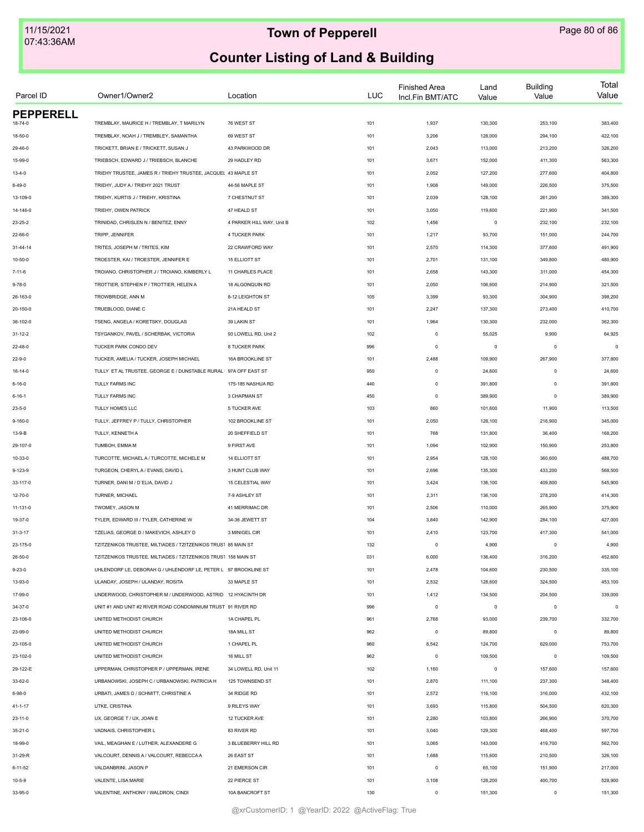| Parcel ID        | Owner1/Owner2                                                   | Location                  | <b>LUC</b> | <b>Finished Area</b><br>Incl.Fin BMT/ATC | Land<br>Value | <b>Building</b><br>Value | Total<br>Value |
|------------------|-----------------------------------------------------------------|---------------------------|------------|------------------------------------------|---------------|--------------------------|----------------|
| <b>PEPPERELL</b> |                                                                 |                           |            |                                          |               |                          |                |
| 18-74-0          | TREMBLAY, MAURICE H / TREMBLAY, T MARILYN                       | 76 WEST ST                | 101        | 1,937                                    | 130,300       | 253,100                  | 383,400        |
| 18-50-0          | TREMBLAY, NOAH J / TREMBLEY, SAMANTHA                           | 69 WEST ST                | 101        | 3,206                                    | 128,000       | 294,100                  | 422,100        |
| 29-46-0          | TRICKETT, BRIAN E / TRICKETT, SUSAN J                           | 43 PARKWOOD DR            | 101        | 2,043                                    | 113,000       | 213,200                  | 326,200        |
| 15-99-0          | TRIEBSCH, EDWARD J / TRIEBSCH, BLANCHE                          | 29 HADLEY RD              | 101        | 3,671                                    | 152,000       | 411,300                  | 563,300        |
| $13 - 4 - 0$     | TRIEHY TRUSTEE, JAMES R / TRIEHY TRUSTEE, JACQUEL 43 MAPLE ST   |                           | 101        | 2,052                                    | 127,200       | 277,600                  | 404,800        |
| $8 - 49 - 0$     | TRIEHY, JUDY A / TRIEHY 2021 TRUST                              | 44-56 MAPLE ST            | 101        | 1,908                                    | 149,000       | 226,500                  | 375,500        |
| 13-109-0         | TRIEHY, KURTIS J / TRIEHY, KRISTINA                             | 7 CHESTNUT ST             | 101        | 2,039                                    | 128,100       | 261,200                  | 389,300        |
| 14-146-0         | TRIEHY, OWEN PATRICK                                            | 47 HEALD ST               | 101        | 3,050                                    | 119,600       | 221,900                  | 341,500        |
| $23 - 25 - 2$    | TRINIDAD. CHRISLEN N / BENITEZ. ENNY                            | 4 PARKER HILL WAY, Unit B | 102        | 1,456                                    | $\mathsf 0$   | 232,100                  | 232,100        |
| 22-66-0          | TRIPP, JENNIFER                                                 | 4 TUCKER PARK             | 101        | 1,217                                    | 93,700        | 151,000                  | 244,700        |
| $31 - 44 - 14$   | TRITES, JOSEPH M / TRITES, KIM                                  | 22 CRAWFORD WAY           | 101        | 2,570                                    | 114,300       | 377,600                  | 491,900        |
| 10-50-0          | TROESTER, KAI / TROESTER, JENNIFER E                            | <b>15 ELLIOTT ST</b>      | 101        | 2,701                                    | 131,100       | 349,800                  | 480,900        |
| 7-11-6           | TROIANO, CHRISTOPHER J / TROIANO, KIMBERLY L                    | 11 CHARLES PLACE          | 101        | 2,658                                    | 143,300       | 311,000                  | 454,300        |
| $9 - 78 - 0$     | TROTTIER, STEPHEN P / TROTTIER, HELEN A                         | 18 ALGONQUIN RD           | 101        | 2,050                                    | 106,600       | 214,900                  | 321,500        |
| 26-163-0         | TROWBRIDGE, ANN M                                               | 8-12 LEIGHTON ST          | 105        | 3,399                                    | 93,300        | 304,900                  | 398,200        |
| 20-150-0         | TRUEBLOOD, DIANE C                                              | 21A HEALD ST              | 101        | 2,247                                    | 137,300       | 273,400                  | 410,700        |
| 36-102-0         | TSENG, ANGELA / KORETSKY, DOUGLAS                               | 39 LAKIN ST               | 101        | 1,964                                    | 130,300       | 232,000                  | 362,300        |
| $31 - 12 - 2$    | TSYGANKOV, PAVEL / SCHERBAK, VICTORIA                           | 93 LOWELL RD, Unit 2      | 102        | $\circ$                                  | 55,025        | 9,900                    | 64,925         |
| 22-48-0          | TUCKER PARK CONDO DEV                                           | 8 TUCKER PARK             | 996        | $\circ$                                  | $\mathsf 0$   | $\mathbf 0$              | $\epsilon$     |
| $22 - 9 - 0$     | TUCKER, AMELIA / TUCKER, JOSEPH MICHAEL                         | 16A BROOKLINE ST          | 101        | 2,488                                    | 109,900       | 267,900                  | 377,800        |
| 16-14-0          | TULLY ET AL TRUSTEE, GEORGE E / DUNSTABLE RURAL 97A OFF EAST ST |                           | 950        | $\mathsf 0$                              | 24,600        | $\mathbf 0$              | 24,600         |
| 6-16-0           | TULLY FARMS INC                                                 | 175-185 NASHUA RD         | 440        | $\mathbb O$                              | 391,800       | $\mathbf 0$              | 391,800        |
| $6 - 16 - 1$     | TULLY FARMS INC                                                 | 3 CHAPMAN ST              | 450        | $\mathbb O$                              | 389,900       | $\mathbf 0$              | 389,900        |
| $23 - 5 - 0$     | TULLY HOMES LLC                                                 | 5 TUCKER AVE              | 103        | 860                                      | 101,600       | 11,900                   | 113,500        |
| $9 - 160 - 0$    | TULLY, JEFFREY P / TULLY, CHRISTOPHER                           | 102 BROOKLINE ST          | 101        | 2,050                                    | 128,100       | 216,900                  | 345,000        |
|                  |                                                                 |                           |            |                                          |               |                          |                |
| 13-9-B           | TULLY, KENNETH A                                                | 20 SHEFFIELD ST           | 101        | 768                                      | 131,800       | 36,400                   | 168,200        |
| 29-107-0         | TUMBOH, EMMA M                                                  | 9 FIRST AVE               | 101        | 1,094                                    | 102,900       | 150,900                  | 253,800        |
| 10-33-0          | TURCOTTE, MICHAEL A / TURCOTTE, MICHELE M                       | <b>14 ELLIOTT ST</b>      | 101        | 2,954                                    | 128,100       | 360,600                  | 488,700        |
| 9-123-9          | TURGEON, CHERYLA / EVANS, DAVID L                               | 3 HUNT CLUB WAY           | 101        | 2,696                                    | 135,300       | 433,200                  | 568,500        |
| 33-117-0         | TURNER, DANI M / D'ELIA, DAVID J                                | 15 CELESTIAL WAY          | 101        | 3,424                                    | 136,100       | 409,800                  | 545,900        |
| 12-70-0          | TURNER, MICHAEL                                                 | 7-9 ASHLEY ST             | 101        | 2,311                                    | 136,100       | 278,200                  | 414,300        |
| 11-131-0         | TWOMEY, JASON M                                                 | 41 MERRIMAC DR            | 101        | 2,506                                    | 110,000       | 265,900                  | 375,900        |
| 19-37-0          | TYLER, EDWARD III / TYLER, CATHERINE W                          | 34-36 JEWETT ST           | 104        | 3,840                                    | 142,900       | 284,100                  | 427,000        |
| $31 - 3 - 17$    | TZELIAS, GEORGE D / MAKEVICH, ASHLEY D                          | 3 MINIGEL CIR             | 101        | 2,410                                    | 123,700       | 417,300                  | 541,000        |
| 23-175-0         | TZITZENIKOS TRUSTEE, MILTIADES / TZITZENIKOS TRUS1 85 MAIN ST   |                           | 132        | $\circ$                                  | 4,900         | $\mathbf 0$              | 4,900          |
| 26-50-0          | TZITZENIKOS TRUSTEE, MILTIADES / TZITZENIKOS TRUS1 158 MAIN ST  |                           | 031        | 6,000                                    | 136,400       | 316,200                  | 452,600        |
| $9 - 23 - 0$     | UHLENDORF LE, DEBORAH G / UHLENDORF LE, PETER L 97 BROOKLINE ST |                           | 101        | 2,478                                    | 104,600       | 230,500                  | 335,100        |
| 13-93-0          | ULANDAY, JOSEPH / ULANDAY, ROSITA                               | 33 MAPLE ST               | 101        | 2,532                                    | 128,600       | 324,500                  | 453,100        |
| 17-99-0          | UNDERWOOD, CHRISTOPHER M / UNDERWOOD, ASTRID 12 HYACINTH DR     |                           | 101        | 1,412                                    | 134,500       | 204,500                  | 339,000        |
| 34-37-0          | UNIT #1 AND UNIT #2 RIVER ROAD CONDOMINIUM TRUST 91 RIVER RD    |                           | 996        | $\circ$                                  | $\mathsf 0$   | $\mathbf 0$              | $\circ$        |
| 23-106-0         | UNITED METHODIST CHURCH                                         | 1A CHAPEL PL              | 961        | 2,768                                    | 93,000        | 239,700                  | 332,700        |
| 23-99-0          | UNITED METHODIST CHURCH                                         | 18A MILL ST               | 962        | $\circ$                                  | 89,800        | 0                        | 89,800         |
| 23-105-0         | UNITED METHODIST CHURCH                                         | 1 CHAPEL PL               | 960        | 8,542                                    | 124,700       | 629,000                  | 753,700        |
| 23-102-0         | UNITED METHODIST CHURCH                                         | 16 MILL ST                | 962        | $\circ$                                  | 109,500       | $\circ$                  | 109,500        |
| 29-122-E         | UPPERMAN, CHRISTOPHER P / UPPERMAN, IRENE                       | 34 LOWELL RD, Unit 11     | 102        | 1,160                                    | $\mathsf 0$   | 157,600                  | 157,600        |
| 33-62-0          | URBANOWSKI, JOSEPH C / URBANOWSKI, PATRICIA H                   | 125 TOWNSEND ST           | 101        | 2,870                                    | 111,100       | 237,300                  | 348,400        |
| $6 - 98 - 0$     | URBATI, JAMES D / SCHMITT, CHRISTINE A                          | 34 RIDGE RD               | 101        | 2,572                                    | 116,100       | 316,000                  | 432,100        |
| 41-1-17          | UTKE, CRISTINA                                                  | 9 RILEYS WAY              | 101        | 3,693                                    | 115,800       | 504,500                  | 620,300        |
| 23-11-0          | UX, GEORGE T / UX, JOAN E                                       | 12 TUCKER AVE             | 101        | 2,280                                    | 103,800       | 266,900                  | 370,700        |
| 35-21-0          | VADNAIS, CHRISTOPHER L                                          | 83 RIVER RD               | 101        | 3,040                                    | 129,300       | 468,400                  | 597,700        |
| 18-99-0          | VAIL, MEAGHAN E / LUTHER, ALEXANDERE G                          | 3 BLUEBERRY HILL RD       | 101        | 3,065                                    | 143,000       | 419,700                  | 562,700        |
|                  |                                                                 |                           |            |                                          |               |                          |                |
| 31-29-R          | VALCOURT, DENNIS A / VALCOURT, REBECCA A                        | 26 EAST ST                | 101        | 1,688                                    | 115,600       | 210,500                  | 326,100        |
| $6 - 11 - 52$    | VALDANBRINI, JASON P                                            | 21 EMERSON CIR            | 101        | $\mathbb O$                              | 65,100        | 151,900                  | 217,000        |
| $10 - 5 - 9$     | VALENTE, LISA MARIE                                             | 22 PIERCE ST              | 101        | 3,108                                    | 128,200       | 400,700                  | 528,900        |
| 33-95-0          | VALENTINE, ANTHONY / WALDRON, CINDI                             | 10A BANCROFT ST           | 130        | $\circ$                                  | 151,300       | 0                        | 151,300        |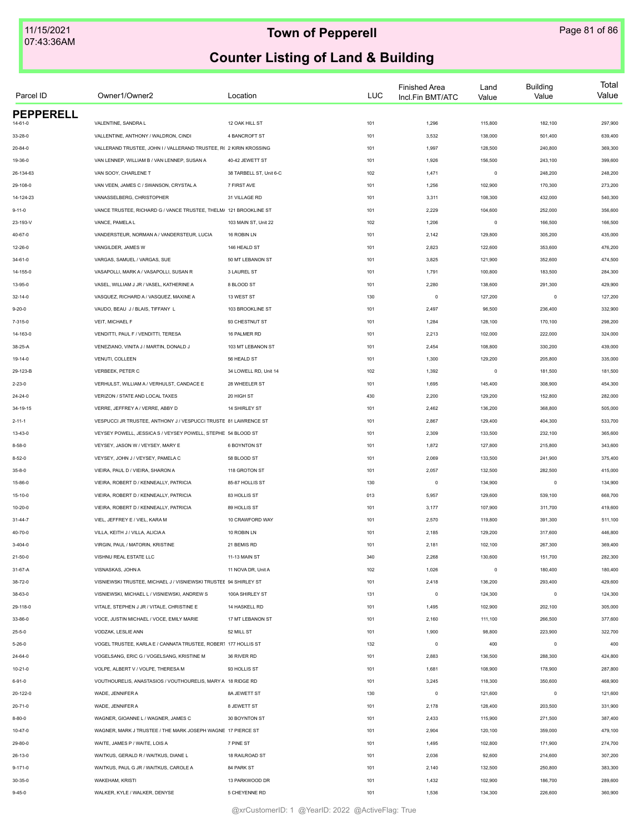| Parcel ID        | Owner1/Owner2                                                      | Location                | <b>LUC</b> | <b>Finished Area</b><br>Incl.Fin BMT/ATC | Land<br>Value | <b>Building</b><br>Value | Total<br>Value |
|------------------|--------------------------------------------------------------------|-------------------------|------------|------------------------------------------|---------------|--------------------------|----------------|
| <b>PEPPERELL</b> |                                                                    |                         |            |                                          |               |                          |                |
| $14 - 61 - 0$    | VALENTINE, SANDRA L                                                | 12 OAK HILL ST          | 101        | 1,296                                    | 115,800       | 182,100                  | 297,900        |
| 33-28-0          | VALLENTINE, ANTHONY / WALDRON, CINDI                               | 4 BANCROFT ST           | 101        | 3,532                                    | 138,000       | 501,400                  | 639,400        |
| $20 - 84 - 0$    | VALLERAND TRUSTEE, JOHN I / VALLERAND TRUSTEE, R( 2 KIRIN KROSSING |                         | 101        | 1,997                                    | 128,500       | 240,800                  | 369,300        |
| 19-36-0          | VAN LENNEP, WILLIAM B / VAN LENNEP, SUSAN A                        | 40-42 JEWETT ST         | 101        | 1,926                                    | 156,500       | 243,100                  | 399,600        |
| 26-134-63        | VAN SOOY, CHARLENE T                                               | 38 TARBELL ST, Unit 6-C | 102        | 1,471                                    | $\circ$       | 248,200                  | 248,200        |
| 29-108-0         | VAN VEEN, JAMES C / SWANSON, CRYSTAL A                             | 7 FIRST AVE             | 101        | 1,256                                    | 102,900       | 170,300                  | 273,200        |
| 14-124-23        | VANASSELBERG, CHRISTOPHER                                          | 31 VILLAGE RD           | 101        | 3,311                                    | 108,300       | 432,000                  | 540,300        |
| $9 - 11 - 0$     | VANCE TRUSTEE, RICHARD G / VANCE TRUSTEE, THELM/ 121 BROOKLINE ST  |                         | 101        | 2,229                                    | 104,600       | 252,000                  | 356,600        |
| 23-193-V         | VANCE, PAMELA L                                                    | 103 MAIN ST, Unit 22    | 102        | 1,206                                    | $\mathsf 0$   | 166,500                  | 166,500        |
| 40-67-0          | VANDERSTEUR, NORMAN A / VANDERSTEUR, LUCIA                         | 16 ROBIN LN             | 101        | 2,142                                    | 129,800       | 305,200                  | 435,000        |
| 12-26-0          | VANGILDER, JAMES W                                                 | 146 HEALD ST            | 101        | 2,823                                    | 122,600       | 353,600                  | 476,200        |
| $34 - 61 - 0$    | VARGAS, SAMUEL / VARGAS, SUE                                       | 50 MT LEBANON ST        | 101        | 3,825                                    | 121,900       | 352,600                  | 474,500        |
| 14-155-0         | VASAPOLLI, MARK A / VASAPOLLI, SUSAN R                             | 3 LAUREL ST             | 101        | 1,791                                    | 100,800       | 183,500                  | 284,300        |
| 13-95-0          | VASEL, WILLIAM J JR / VASEL, KATHERINE A                           | 8 BLOOD ST              | 101        | 2,280                                    | 138,600       | 291,300                  | 429,900        |
| $32 - 14 - 0$    | VASQUEZ. RICHARD A / VASQUEZ. MAXINE A                             | 13 WEST ST              | 130        | $\circ$                                  | 127,200       | $\circ$                  | 127,200        |
| $9 - 20 - 0$     | VAUDO, BEAU J / BLAIS, TIFFANY L                                   | 103 BROOKLINE ST        | 101        | 2,497                                    | 96,500        | 236,400                  | 332,900        |
| 7-315-0          | VEIT, MICHAEL F                                                    | 93 CHESTNUT ST          | 101        | 1,284                                    | 128,100       | 170,100                  | 298,200        |
| 14-163-0         | VENDITTI, PAUL F / VENDITTI, TERESA                                | 16 PALMER RD            | 101        | 2,213                                    | 102,000       | 222,000                  | 324,000        |
| 38-25-A          | VENEZIANO, VINITA J / MARTIN, DONALD J                             | 103 MT LEBANON ST       | 101        | 2,454                                    | 108,800       | 330,200                  | 439,000        |
| 19-14-0          | VENUTI, COLLEEN                                                    | 56 HEALD ST             | 101        | 1,300                                    | 129,200       | 205,800                  | 335,000        |
| 29-123-B         | VERBEEK, PETER C                                                   | 34 LOWELL RD, Unit 14   | 102        | 1,392                                    | $\mathsf 0$   | 181,500                  | 181,500        |
| $2 - 23 - 0$     | VERHULST, WILLIAM A / VERHULST, CANDACE E                          | 28 WHEELER ST           | 101        | 1,695                                    | 145,400       | 308,900                  | 454,300        |
| 24-24-0          | VERIZON / STATE AND LOCAL TAXES                                    | 20 HIGH ST              | 430        | 2,200                                    | 129,200       | 152,800                  | 282,000        |
| 34-19-15         | VERRE, JEFFREY A / VERRE, ABBY D                                   | 14 SHIRLEY ST           | 101        | 2,462                                    | 136,200       | 368,800                  | 505,000        |
| $2 - 11 - 1$     | VESPUCCI JR TRUSTEE, ANTHONY J / VESPUCCI TRUSTE 81 LAWRENCE ST    |                         | 101        | 2,867                                    | 129,400       | 404,300                  | 533,700        |
| 13-43-0          | VEYSEY POWELL, JESSICA S / VEYSEY POWELL, STEPHE 54 BLOOD ST       |                         | 101        | 2,309                                    | 133,500       | 232,100                  | 365,600        |
| $8 - 58 - 0$     | VEYSEY, JASON W / VEYSEY, MARY E                                   | 6 BOYNTON ST            | 101        | 1,872                                    | 127,800       | 215,800                  | 343,600        |
|                  |                                                                    |                         |            |                                          |               |                          |                |
| $8 - 52 - 0$     | VEYSEY, JOHN J / VEYSEY, PAMELA C                                  | 58 BLOOD ST             | 101        | 2,069                                    | 133,500       | 241,900                  | 375,400        |
| $35 - 8 - 0$     | VIEIRA, PAUL D / VIEIRA, SHARON A                                  | 118 GROTON ST           | 101        | 2,057                                    | 132,500       | 282,500                  | 415,000        |
| 15-86-0          | VIEIRA, ROBERT D / KENNEALLY, PATRICIA                             | 85-87 HOLLIS ST         | 130        | $\mathsf 0$                              | 134,900       | $\mathbf 0$              | 134,900        |
| $15 - 10 - 0$    | VIEIRA, ROBERT D / KENNEALLY, PATRICIA                             | 83 HOLLIS ST            | 013        | 5,957                                    | 129,600       | 539,100                  | 668,700        |
| $10 - 20 - 0$    | VIEIRA, ROBERT D / KENNEALLY, PATRICIA                             | 89 HOLLIS ST            | 101        | 3,177                                    | 107,900       | 311,700                  | 419,600        |
| $31 - 44 - 7$    | VIEL, JEFFREY E / VIEL, KARA M                                     | 10 CRAWFORD WAY         | 101        | 2,570                                    | 119,800       | 391,300                  | 511,100        |
| 40-70-0          | VILLA, KEITH J / VILLA, ALICIA A                                   | 10 ROBIN LN             | 101        | 2,185                                    | 129,200       | 317,600                  | 446,800        |
| $3 - 404 - 0$    | VIRGIN, PAUL / MATORIN, KRISTINE                                   | 21 BEMIS RD             | 101        | 2,181                                    | 102,100       | 267,300                  | 369,400        |
| 21-50-0          | VISHNU REAL ESTATE LLC                                             | 11-13 MAIN ST           | 340        | 2,268                                    | 130,600       | 151,700                  | 282,300        |
| 31-67-A          | VISNASKAS, JOHN A                                                  | 11 NOVA DR, Unit A      | 102        | 1,026                                    | $\circ$       | 180,400                  | 180,400        |
| 38-72-0          | VISNIEWSKI TRUSTEE, MICHAEL J / VISNIEWSKI TRUSTEE 94 SHIRLEY ST   |                         | 101        | 2,418                                    | 136,200       | 293,400                  | 429,600        |
| 38-63-0          | VISNIEWSKI, MICHAEL L / VISNIEWSKI, ANDREW S                       | 100A SHIRLEY ST         | 131        | $\mathsf 0$                              | 124,300       | $\mathbf 0$              | 124,300        |
| 29-118-0         | VITALE, STEPHEN J JR / VITALE, CHRISTINE E                         | 14 HASKELL RD           | 101        | 1,495                                    | 102,900       | 202,100                  | 305,000        |
| 33-86-0          | VOCE, JUSTIN MICHAEL / VOCE, EMILY MARIE                           | 17 MT LEBANON ST        | 101        | 2,160                                    | 111,100       | 266,500                  | 377,600        |
| $25 - 5 - 0$     | VODZAK, LESLIE ANN                                                 | 52 MILL ST              | 101        | 1,900                                    | 98,800        | 223,900                  | 322,700        |
| $5 - 26 - 0$     | VOGEL TRUSTEE, KARLA E / CANNATA TRUSTEE, ROBER1 177 HOLLIS ST     |                         | 132        | $\mathsf 0$                              | 400           | $^{\circ}$               | 400            |
| 24-64-0          | VOGELSANG, ERIC G / VOGELSANG, KRISTINE M                          | 36 RIVER RD             | 101        | 2,883                                    | 136,500       | 288,300                  | 424,800        |
| $10 - 21 - 0$    | VOLPE, ALBERT V / VOLPE, THERESA M                                 | 93 HOLLIS ST            | 101        | 1,681                                    | 108,900       | 178,900                  | 287,800        |
| $6 - 91 - 0$     | VOUTHOURELIS, ANASTASIOS / VOUTHOURELIS, MARY A 18 RIDGE RD        |                         | 101        | 3,245                                    | 118,300       | 350,600                  | 468,900        |
| 20-122-0         | WADE, JENNIFER A                                                   | 8A JEWETT ST            | 130        | $\circ$                                  | 121,600       | $\circ$                  | 121,600        |
| $20 - 71 - 0$    | WADE, JENNIFER A                                                   | 8 JEWETT ST             | 101        | 2,178                                    | 128,400       | 203,500                  | 331,900        |
| $8 - 80 - 0$     | WAGNER, GIOANNE L / WAGNER, JAMES C                                | 30 BOYNTON ST           | 101        | 2,433                                    | 115,900       | 271,500                  | 387,400        |
| $10 - 47 - 0$    | WAGNER, MARK J TRUSTEE / THE MARK JOSEPH WAGNE 17 PIERCE ST        |                         | 101        | 2,904                                    | 120,100       | 359,000                  | 479,100        |
| 29-80-0          | WAITE, JAMES P / WAITE, LOIS A                                     | 7 PINE ST               | 101        | 1,495                                    | 102,800       | 171,900                  | 274,700        |
| 26-13-0          | WAITKUS, GERALD R / WAITKUS, DIANE L                               | 18 RAILROAD ST          | 101        | 2,036                                    | 92,600        | 214,600                  | 307,200        |
| $9 - 171 - 0$    | WAITKUS, PAUL G JR / WAITKUS, CAROLE A                             | 84 PARK ST              | 101        | 2,140                                    | 132,500       | 250,800                  | 383,300        |
|                  | WAKEHAM, KRISTI                                                    | 13 PARKWOOD DR          | 101        | 1,432                                    | 102,900       | 186,700                  | 289,600        |
| 30-35-0          | WALKER, KYLE / WALKER, DENYSE                                      | 5 CHEYENNE RD           |            |                                          |               |                          |                |
| $9 - 45 - 0$     |                                                                    |                         | 101        | 1,536                                    | 134,300       | 226,600                  | 360,900        |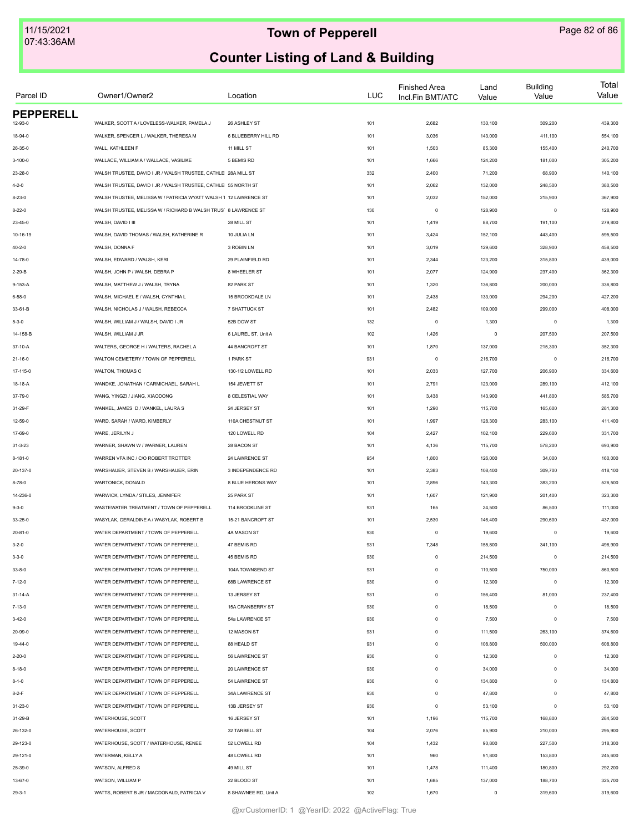| Parcel ID        | Owner1/Owner2                                                    | Location             | LUC | <b>Finished Area</b><br>Incl.Fin BMT/ATC | Land<br>Value | <b>Building</b><br>Value | Total<br>Value |
|------------------|------------------------------------------------------------------|----------------------|-----|------------------------------------------|---------------|--------------------------|----------------|
| <b>PEPPERELL</b> |                                                                  |                      |     |                                          |               |                          |                |
| 12-93-0          | WALKER, SCOTT A / LOVELESS-WALKER, PAMELA J                      | 26 ASHLEY ST         | 101 | 2,682                                    | 130,100       | 309,200                  | 439,300        |
| 18-94-0          | WALKER, SPENCER L / WALKER, THERESA M                            | 6 BLUEBERRY HILL RD  | 101 | 3,036                                    | 143,000       | 411,100                  | 554,100        |
| 26-35-0          | WALL, KATHLEEN F                                                 | 11 MILL ST           | 101 | 1,503                                    | 85,300        | 155,400                  | 240,700        |
| 3-100-0          | WALLACE, WILLIAM A / WALLACE, VASILIKE                           | 5 BEMIS RD           | 101 | 1,666                                    | 124,200       | 181,000                  | 305,200        |
| 23-28-0          | WALSH TRUSTEE, DAVID I JR / WALSH TRUSTEE, CATHLE 28A MILL ST    |                      | 332 | 2,400                                    | 71,200        | 68,900                   | 140,100        |
| $4 - 2 - 0$      | WALSH TRUSTEE, DAVID I JR / WALSH TRUSTEE, CATHLE 55 NORTH ST    |                      | 101 | 2,062                                    | 132,000       | 248,500                  | 380,500        |
| $8 - 23 - 0$     | WALSH TRUSTEE, MELISSA W / PATRICIA WYATT WALSH 1 12 LAWRENCE ST |                      | 101 | 2,032                                    | 152,000       | 215,900                  | 367,900        |
| $8 - 22 - 0$     | WALSH TRUSTEE, MELISSA W / RICHARD B WALSH TRUS' 8 LAWRENCE ST   |                      | 130 | $\mathbf 0$                              | 128,900       | $\mathbf 0$              | 128,900        |
| 23-45-0          | WALSH, DAVID I III                                               | 28 MILL ST           | 101 | 1,419                                    | 88,700        | 191,100                  | 279,800        |
| 10-16-19         | WALSH, DAVID THOMAS / WALSH, KATHERINE R                         | 10 JULIA LN          | 101 | 3,424                                    | 152,100       | 443,400                  | 595,500        |
| $40 - 2 - 0$     | WALSH, DONNA F                                                   | 3 ROBIN LN           | 101 | 3,019                                    | 129,600       | 328,900                  | 458,500        |
| 14-78-0          | WALSH, EDWARD / WALSH, KERI                                      | 29 PLAINFIELD RD     | 101 | 2,344                                    | 123,200       | 315,800                  | 439,000        |
| $2 - 29 - B$     | WALSH, JOHN P / WALSH, DEBRA P                                   | 8 WHEELER ST         | 101 | 2,077                                    | 124,900       | 237,400                  | 362,300        |
| 9-153-A          | WALSH, MATTHEW J / WALSH, TRYNA                                  | 82 PARK ST           | 101 | 1,320                                    | 136,800       | 200,000                  | 336,800        |
| $6 - 58 - 0$     | WALSH, MICHAEL E / WALSH, CYNTHIA L                              | 15 BROOKDALE LN      | 101 | 2,438                                    | 133,000       | 294,200                  | 427,200        |
| 33-61-B          | WALSH, NICHOLAS J / WALSH, REBECCA                               | 7 SHATTUCK ST        | 101 | 2,482                                    | 109,000       | 299,000                  | 408,000        |
| $5 - 3 - 0$      | WALSH, WILLIAM J / WALSH, DAVID I JR                             | 52B DOW ST           | 132 | $\mathbf 0$                              | 1,300         | $\mathbf 0$              | 1,300          |
| 14-158-B         | WALSH, WILLIAM J JR                                              | 6 LAUREL ST, Unit A  | 102 | 1,426                                    | $\mathsf 0$   | 207,500                  | 207,500        |
| 37-10-A          | WALTERS, GEORGE H / WALTERS, RACHEL A                            | 44 BANCROFT ST       | 101 | 1,870                                    | 137,000       | 215,300                  | 352,300        |
| $21 - 16 - 0$    | WALTON CEMETERY / TOWN OF PEPPERELL                              | 1 PARK ST            | 931 | $\mathbf 0$                              | 216,700       | $\mathbf 0$              | 216,700        |
| 17-115-0         | WALTON, THOMAS C                                                 | 130-1/2 LOWELL RD    | 101 | 2,033                                    | 127,700       | 206,900                  | 334,600        |
| 18-18-A          | WANDKE, JONATHAN / CARMICHAEL, SARAH L                           | 154 JEWETT ST        | 101 | 2,791                                    | 123,000       | 289,100                  | 412,100        |
| 37-79-0          | WANG, YINGZI / JIANG, XIAODONG                                   | 8 CELESTIAL WAY      | 101 | 3,438                                    | 143,900       | 441,800                  | 585,700        |
| 31-29-F          | WANKEL, JAMES D / WANKEL, LAURA S                                | 24 JERSEY ST         | 101 | 1,290                                    | 115,700       | 165,600                  | 281,300        |
| 12-59-0          | WARD, SARAH / WARD, KIMBERLY                                     | 110A CHESTNUT ST     | 101 | 1,997                                    | 128,300       | 283,100                  | 411,400        |
| 17-69-0          | WARE, JERILYN J                                                  | 120 LOWELL RD        | 104 | 2,427                                    | 102,100       | 229,600                  | 331,700        |
| $31 - 3 - 23$    | WARNER, SHAWN W / WARNER, LAUREN                                 | 28 BACON ST          | 101 | 4,136                                    | 115,700       | 578,200                  | 693,900        |
| 8-181-0          | WARREN VFA INC / C/O ROBERT TROTTER                              | 24 LAWRENCE ST       | 954 | 1,800                                    | 126,000       | 34,000                   | 160,000        |
| 20-137-0         | WARSHAUER, STEVEN B / WARSHAUER, ERIN                            | 3 INDEPENDENCE RD    | 101 | 2,383                                    | 108,400       | 309,700                  | 418,100        |
| $8 - 78 - 0$     | WARTONICK, DONALD                                                | 8 BLUE HERONS WAY    | 101 | 2,896                                    | 143,300       | 383,200                  | 526,500        |
|                  |                                                                  |                      |     |                                          |               |                          |                |
| 14-236-0         | WARWICK, LYNDA / STILES, JENNIFER                                | 25 PARK ST           | 101 | 1,607                                    | 121,900       | 201,400                  | 323,300        |
| $9 - 3 - 0$      | WASTEWATER TREATMENT / TOWN OF PEPPERELL                         | 114 BROOKLINE ST     | 931 | 165                                      | 24,500        | 86,500                   | 111,000        |
| 33-25-0          | WASYLAK, GERALDINE A / WASYLAK, ROBERT B                         | 15-21 BANCROFT ST    | 101 | 2,530                                    | 146,400       | 290,600                  | 437,000        |
| $20 - 81 - 0$    | WATER DEPARTMENT / TOWN OF PEPPERELL                             | 4A MASON ST          | 930 | $\theta$                                 | 19,600        | $\mathbf 0$              | 19,600         |
| $3 - 2 - 0$      | WATER DEPARTMENT / TOWN OF PEPPERELL                             | 47 BEMIS RD          | 931 | 7,348                                    | 155,800       | 341,100                  | 496,900        |
| $3 - 3 - 0$      | WATER DEPARTMENT / TOWN OF PEPPERELL                             | 45 BEMIS RD          | 930 | $\mathsf 0$                              | 214,500       | $\mathbf 0$              | 214,500        |
| $33 - 8 - 0$     | WATER DEPARTMENT / TOWN OF PEPPERELL                             | 104A TOWNSEND ST     | 931 | $\mathbf 0$                              | 110,500       | 750,000                  | 860,500        |
| $7 - 12 - 0$     | WATER DEPARTMENT / TOWN OF PEPPERELL                             | 68B LAWRENCE ST      | 930 | $\mathbf 0$                              | 12,300        | $\mathbf 0$              | 12,300         |
| $31 - 14 - A$    | WATER DEPARTMENT / TOWN OF PEPPERELL                             | 13 JERSEY ST         | 931 | $\mathbf 0$                              | 156,400       | 81,000                   | 237,400        |
| $7 - 13 - 0$     | WATER DEPARTMENT / TOWN OF PEPPERELL                             | 15A CRANBERRY ST     | 930 | $\mathbf 0$                              | 18,500        | $\mathbf 0$              | 18,500         |
| $3 - 42 - 0$     | WATER DEPARTMENT / TOWN OF PEPPERELL                             | 54a LAWRENCE ST      | 930 | $\mathbf 0$                              | 7,500         | $^{\circ}$               | 7,500          |
| 20-99-0          | WATER DEPARTMENT / TOWN OF PEPPERELL                             | 12 MASON ST          | 931 | $\mathbf 0$                              | 111,500       | 263,100                  | 374,600        |
| 19-44-0          | WATER DEPARTMENT / TOWN OF PEPPERELL                             | 88 HEALD ST          | 931 | $\mathbf 0$                              | 108,800       | 500,000                  | 608,800        |
| $2 - 20 - 0$     | WATER DEPARTMENT / TOWN OF PEPPERELL                             | 56 LAWRENCE ST       | 930 | $\mathbf 0$                              | 12,300        | $\mathbf 0$              | 12,300         |
| $8 - 18 - 0$     | WATER DEPARTMENT / TOWN OF PEPPERELL                             | 20 LAWRENCE ST       | 930 | $\mathbf 0$                              | 34,000        | $\mathbf 0$              | 34,000         |
| $8 - 1 - 0$      | WATER DEPARTMENT / TOWN OF PEPPERELL                             | 54 LAWRENCE ST       | 930 | $\mathbf 0$                              | 134,800       | $\mathbf 0$              | 134,800        |
| $8 - 2 - F$      | WATER DEPARTMENT / TOWN OF PEPPERELL                             | 34A LAWRENCE ST      | 930 | $\mathbf 0$                              | 47,800        | $\mathbf 0$              | 47,800         |
| 31-23-0          | WATER DEPARTMENT / TOWN OF PEPPERELL                             | 13B JERSEY ST        | 930 | $\mathbf 0$                              | 53,100        | $\mathbf 0$              | 53,100         |
| 31-29-B          | WATERHOUSE, SCOTT                                                | 16 JERSEY ST         | 101 | 1,196                                    | 115,700       | 168,800                  | 284,500        |
| 26-132-0         | WATERHOUSE, SCOTT                                                | 32 TARBELL ST        | 104 | 2,076                                    | 85,900        | 210,000                  | 295,900        |
| 29-123-0         | WATERHOUSE, SCOTT / WATERHOUSE, RENEE                            | 52 LOWELL RD         | 104 | 1,432                                    | 90,800        | 227,500                  | 318,300        |
| 29-121-0         | WATERMAN, KELLY A                                                | 48 LOWELL RD         | 101 | 960                                      | 91,800        | 153,800                  | 245,600        |
| 25-39-0          | WATSON, ALFRED S                                                 | 49 MILL ST           | 101 | 1,478                                    | 111,400       | 180,800                  | 292,200        |
| 13-67-0          | WATSON, WILLIAM P                                                | 22 BLOOD ST          | 101 | 1,685                                    | 137,000       | 188,700                  | 325,700        |
| $29 - 3 - 1$     | WATTS, ROBERT B JR / MACDONALD, PATRICIA V                       | 8 SHAWNEE RD, Unit A | 102 | 1,670                                    | 0             | 319,600                  | 319,600        |
|                  |                                                                  |                      |     |                                          |               |                          |                |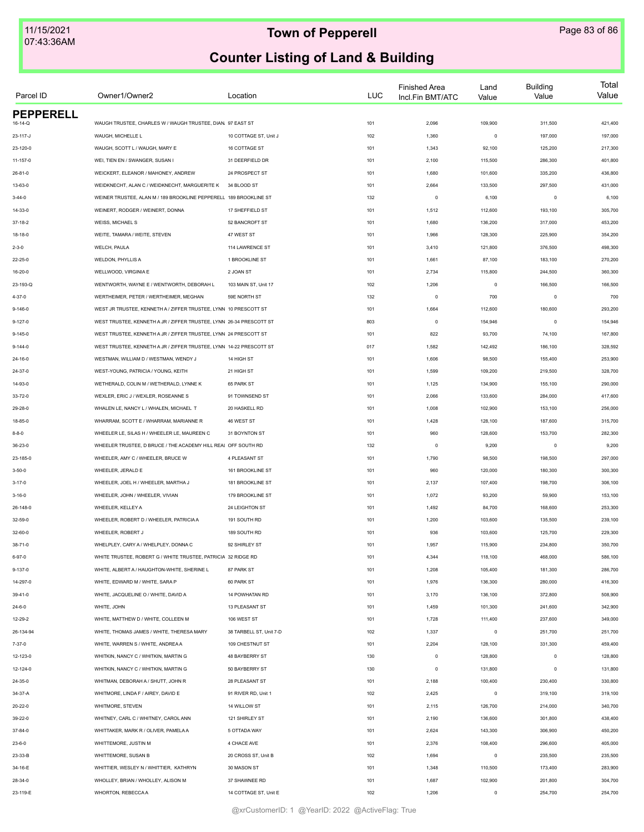| Parcel ID        | Owner1/Owner2                                                       | Location                | <b>LUC</b> | <b>Finished Area</b><br>Incl.Fin BMT/ATC | Land<br>Value | <b>Building</b><br>Value | Total<br>Value |
|------------------|---------------------------------------------------------------------|-------------------------|------------|------------------------------------------|---------------|--------------------------|----------------|
| <b>PEPPERELL</b> |                                                                     |                         |            |                                          |               |                          |                |
| 16-14-Q          | WAUGH TRUSTEE, CHARLES W / WAUGH TRUSTEE, DIAN. 97 EAST ST          |                         | 101        | 2,096                                    | 109,900       | 311,500                  | 421,400        |
| 23-117-J         | WAUGH, MICHELLE L                                                   | 10 COTTAGE ST, Unit J   | 102        | 1,360                                    | $\mathsf 0$   | 197,000                  | 197,000        |
| 23-120-0         | WAUGH, SCOTT L / WAUGH, MARY E                                      | 16 COTTAGE ST           | 101        | 1,343                                    | 92,100        | 125,200                  | 217,300        |
| 11-157-0         | WEI, TIEN EN / SWANGER, SUSAN I                                     | 31 DEERFIELD DR         | 101        | 2,100                                    | 115,500       | 286,300                  | 401,800        |
| $26 - 81 - 0$    | WEICKERT, ELEANOR / MAHONEY, ANDREW                                 | 24 PROSPECT ST          | 101        | 1,680                                    | 101,600       | 335,200                  | 436,800        |
| 13-63-0          | WEIDKNECHT, ALAN C / WEIDKNECHT, MARGUERITE K                       | 34 BLOOD ST             | 101        | 2,664                                    | 133,500       | 297,500                  | 431,000        |
| $3 - 44 - 0$     | WEINER TRUSTEE, ALAN M / 189 BROOKLINE PEPPERELL 189 BROOKLINE ST   |                         | 132        | $\mathsf 0$                              | 6,100         | $\mathbf 0$              | 6,100          |
| 14-33-0          | WEINERT, RODGER / WEINERT, DONNA                                    | 17 SHEFFIELD ST         | 101        | 1,512                                    | 112,600       | 193,100                  | 305,700        |
| $37 - 18 - 2$    | <b>WEISS, MICHAEL S</b>                                             | 52 BANCROFT ST          | 101        | 1,680                                    | 136,200       | 317,000                  | 453,200        |
| 18-18-0          | WEITE, TAMARA / WEITE, STEVEN                                       | 47 WEST ST              | 101        | 1,966                                    | 128,300       | 225,900                  | 354,200        |
| $2 - 3 - 0$      | WELCH, PAULA                                                        | 114 LAWRENCE ST         | 101        | 3,410                                    | 121,800       | 376,500                  | 498,300        |
| 22-25-0          | <b>WELDON, PHYLLIS A</b>                                            | 1 BROOKLINE ST          | 101        | 1,661                                    | 87,100        | 183,100                  | 270,200        |
| 16-20-0          | WELLWOOD, VIRGINIA E                                                | 2 JOAN ST               | 101        | 2,734                                    | 115,800       | 244,500                  | 360,300        |
| 23-193-Q         | WENTWORTH, WAYNE E / WENTWORTH, DEBORAH L                           | 103 MAIN ST, Unit 17    | 102        | 1,206                                    | $\mathsf 0$   | 166,500                  | 166,500        |
| $4 - 37 - 0$     | WERTHEIMER, PETER / WERTHEIMER, MEGHAN                              | 59E NORTH ST            | 132        | $\mathsf 0$                              | 700           | $\mathbf 0$              | 700            |
| $9 - 146 - 0$    | WEST JR TRUSTEE, KENNETH A / ZIFFER TRUSTEE, LYNN 10 PRESCOTT ST    |                         | 101        | 1,664                                    | 112,600       | 180,600                  | 293,200        |
| $9 - 127 - 0$    | WEST TRUSTEE, KENNETH A JR / ZIFFER TRUSTEE, LYNN 26-34 PRESCOTT ST |                         | 803        | $^{\circ}$                               | 154,946       | $^{\circ}$               | 154,946        |
| $9 - 145 - 0$    | WEST TRUSTEE, KENNETH A JR / ZIFFER TRUSTEE, LYNN 24 PRESCOTT ST    |                         | 101        | 822                                      | 93,700        | 74,100                   | 167,800        |
| $9 - 144 - 0$    | WEST TRUSTEE, KENNETH A JR / ZIFFER TRUSTEE, LYNN 14-22 PRESCOTT ST |                         | 017        | 1,582                                    | 142,492       | 186,100                  | 328,592        |
| 24-16-0          | WESTMAN, WILLIAM D / WESTMAN, WENDY J                               | 14 HIGH ST              | 101        | 1,606                                    | 98,500        | 155,400                  | 253,900        |
| 24-37-0          | WEST-YOUNG, PATRICIA / YOUNG, KEITH                                 | 21 HIGH ST              | 101        | 1,599                                    | 109,200       | 219,500                  | 328,700        |
| 14-93-0          | WETHERALD, COLIN M / WETHERALD, LYNNE K                             | 65 PARK ST              | 101        | 1,125                                    | 134,900       | 155,100                  | 290,000        |
| 33-72-0          | WEXLER, ERIC J / WEXLER, ROSEANNE S                                 | 91 TOWNSEND ST          | 101        | 2,066                                    | 133,600       | 284,000                  | 417,600        |
| 29-28-0          | WHALEN LE, NANCY L / WHALEN, MICHAEL T                              | 20 HASKELL RD           | 101        | 1,008                                    | 102,900       | 153,100                  | 256,000        |
| 18-85-0          | WHARRAM, SCOTT E / WHARRAM, MARIANNE R                              | 46 WEST ST              | 101        | 1,428                                    | 128,100       | 187,600                  | 315,700        |
| $8 - 8 - 0$      | WHEELER LE, SILAS H / WHEELER LE, MAUREEN C                         | 31 BOYNTON ST           | 101        | 960                                      | 128,600       | 153,700                  | 282,300        |
| 36-23-0          | WHEELER TRUSTEE, D BRUCE / THE ACADEMY HILL REAL OFF SOUTH RD       |                         | 132        | $\circ$                                  | 9,200         | $\mathbf 0$              | 9,200          |
| 23-185-0         | WHEELER, AMY C / WHEELER, BRUCE W                                   | 4 PLEASANT ST           | 101        | 1,790                                    | 98,500        | 198,500                  | 297,000        |
| $3 - 50 - 0$     | WHEELER, JERALD E                                                   | 161 BROOKLINE ST        | 101        | 960                                      | 120,000       | 180,300                  | 300,300        |
| $3 - 17 - 0$     | WHEELER, JOEL H / WHEELER, MARTHA J                                 | 181 BROOKLINE ST        | 101        | 2,137                                    | 107,400       | 198,700                  | 306,100        |
| $3 - 16 - 0$     | WHEELER, JOHN / WHEELER, VIVIAN                                     | 179 BROOKLINE ST        | 101        | 1,072                                    | 93,200        | 59,900                   | 153,100        |
| 26-148-0         | WHEELER, KELLEY A                                                   | 24 LEIGHTON ST          | 101        | 1,492                                    | 84,700        | 168,600                  | 253,300        |
| 32-59-0          | WHEELER, ROBERT D / WHEELER, PATRICIA A                             | 191 SOUTH RD            | 101        | 1,200                                    | 103,600       | 135,500                  | 239,100        |
| 32-60-0          | WHEELER, ROBERT J                                                   | 189 SOUTH RD            | 101        | 936                                      | 103,600       | 125,700                  | 229,300        |
| $38 - 71 - 0$    | WHELPLEY, CARY A / WHELPLEY, DONNA C                                | 92 SHIRLEY ST           | 101        | 1,957                                    | 115,900       | 234,800                  | 350,700        |
| $6 - 97 - 0$     | WHITE TRUSTEE, ROBERT G / WHITE TRUSTEE, PATRICIA 32 RIDGE RD       |                         | 101        | 4,344                                    | 118,100       | 468,000                  | 586,100        |
| $9 - 137 - 0$    | WHITE, ALBERT A / HAUGHTON-WHITE, SHERINE L                         | 87 PARK ST              | 101        | 1,208                                    | 105,400       | 181,300                  | 286,700        |
| 14-297-0         | WHITE, EDWARD M / WHITE, SARA P                                     | 60 PARK ST              | 101        | 1,976                                    | 136,300       | 280,000                  | 416,300        |
| 39-41-0          | WHITE, JACQUELINE O / WHITE, DAVID A                                | 14 POWHATAN RD          | 101        | 3,170                                    | 136,100       | 372,800                  | 508,900        |
| $24 - 6 - 0$     | WHITE, JOHN                                                         | 13 PLEASANT ST          | 101        | 1,459                                    | 101,300       | 241,600                  | 342,900        |
| 12-29-2          | WHITE, MATTHEW D / WHITE, COLLEEN M                                 | 106 WEST ST             | 101        | 1,728                                    | 111,400       | 237,600                  | 349,000        |
| 26-134-94        | WHITE, THOMAS JAMES / WHITE, THERESA MARY                           | 38 TARBELL ST, Unit 7-D | 102        | 1,337                                    | $\mathsf 0$   | 251,700                  | 251,700        |
| $7 - 37 - 0$     | WHITE, WARREN S / WHITE, ANDREA A                                   | 109 CHESTNUT ST         | 101        | 2,204                                    | 128,100       | 331,300                  | 459,400        |
| 12-123-0         | WHITKIN, NANCY C / WHITKIN, MARTIN G                                | 48 BAYBERRY ST          | 130        | $\mathsf 0$                              | 128,800       | $\mathbf 0$              | 128,800        |
| 12-124-0         | WHITKIN, NANCY C / WHITKIN, MARTIN G                                | 50 BAYBERRY ST          | 130        | $\mathsf 0$                              | 131,800       | $\mathbf 0$              | 131,800        |
| 24-35-0          | WHITMAN, DEBORAH A / SHUTT, JOHN R                                  | 28 PLEASANT ST          | 101        | 2,188                                    | 100,400       | 230,400                  | 330,800        |
| 34-37-A          | WHITMORE, LINDA F / AIREY, DAVID E                                  | 91 RIVER RD, Unit 1     | 102        | 2,425                                    | $\circ$       | 319,100                  | 319,100        |
|                  |                                                                     |                         |            |                                          |               |                          |                |
| 20-22-0          | WHITMORE, STEVEN                                                    | 14 WILLOW ST            | 101        | 2,115                                    | 126,700       | 214,000                  | 340,700        |
| 39-22-0          | WHITNEY, CARL C / WHITNEY, CAROL ANN                                | 121 SHIRLEY ST          | 101        | 2,190                                    | 136,600       | 301,800                  | 438,400        |
| 37-84-0          | WHITTAKER, MARK R / OLIVER, PAMELA A                                | 5 OTTADA WAY            | 101        | 2,624                                    | 143,300       | 306,900                  | 450,200        |
| $23 - 6 - 0$     | WHITTEMORE, JUSTIN M                                                | 4 CHACE AVE             | 101        | 2,376                                    | 108,400       | 296,600                  | 405,000        |
| 23-33-B          | WHITTEMORE, SUSAN B                                                 | 20 CROSS ST, Unit B     | 102        | 1,694                                    | $\circ$       | 235,500                  | 235,500        |
| 34-16-E          | WHITTIER, WESLEY N / WHITTIER, KATHRYN                              | 30 MASON ST             | 101        | 1,348                                    | 110,500       | 173,400                  | 283,900        |
| 28-34-0          | WHOLLEY, BRIAN / WHOLLEY, ALISON M                                  | 37 SHAWNEE RD           | 101        | 1,687                                    | 102,900       | 201,800                  | 304,700        |
| 23-119-E         | WHORTON, REBECCAA                                                   | 14 COTTAGE ST, Unit E   | 102        | 1,206                                    | $\mathbf 0$   | 254,700                  | 254,700        |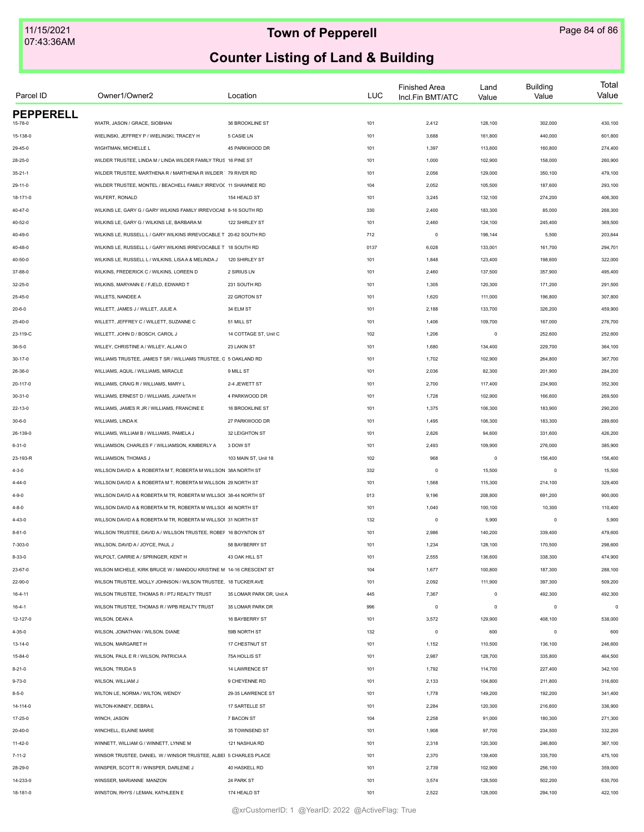| Parcel ID        | Owner1/Owner2                                                      | Location                 | LUC  | <b>Finished Area</b><br>Incl.Fin BMT/ATC | Land<br>Value | <b>Building</b><br>Value | Total<br>Value |
|------------------|--------------------------------------------------------------------|--------------------------|------|------------------------------------------|---------------|--------------------------|----------------|
| <b>PEPPERELL</b> | WIATR, JASON / GRACE, SIOBHAN                                      | 36 BROOKLINE ST          |      |                                          |               |                          |                |
| 15-78-0          |                                                                    |                          | 101  | 2,412                                    | 128,100       | 302,000                  | 430,100        |
| 15-138-0         | WIELINSKI, JEFFREY P / WIELINSKI, TRACEY H                         | 5 CASIE LN               | 101  | 3,688                                    | 161,800       | 440,000                  | 601,800        |
| 29-45-0          | WIGHTMAN, MICHELLE L                                               | 45 PARKWOOD DR           | 101  | 1,397                                    | 113,600       | 160,800                  | 274,400        |
| 28-25-0          | WILDER TRUSTEE, LINDA M / LINDA WILDER FAMILY TRUS 16 PINE ST      |                          | 101  | 1,000                                    | 102,900       | 158,000                  | 260,900        |
| $35 - 21 - 1$    | WILDER TRUSTEE, MARTHENA R / MARTHENA R WILDER 79 RIVER RD         |                          | 101  | 2,056                                    | 129,000       | 350,100                  | 479,100        |
| $29 - 11 - 0$    | WILDER TRUSTEE, MONTEL / BEACHELL FAMILY IRREVO( 11 SHAWNEE RD     |                          | 104  | 2,052                                    | 105,500       | 187,600                  | 293,100        |
| 18-171-0         | WILFERT, RONALD                                                    | 154 HEALD ST             | 101  | 3,245                                    | 132,100       | 274,200                  | 406,300        |
| 40-47-0          | WILKINS LE, GARY G / GARY WILKINS FAMILY IRREVOCAE 8-16 SOUTH RD   |                          | 330  | 2,400                                    | 183,300       | 85,000                   | 268,300        |
| 40-52-0          | WILKINS LE, GARY G / WILKINS LE, BARBARA M                         | 122 SHIRLEY ST           | 101  | 2,460                                    | 124,100       | 245,400                  | 369,500        |
| 40-49-0          | WILKINS LE, RUSSELL L / GARY WILKINS IRREVOCABLE T 20-62 SOUTH RD  |                          | 712  | $\circ$                                  | 198,144       | 5,500                    | 203,644        |
| $40 - 48 - 0$    | WILKINS LE, RUSSELL L / GARY WILKINS IRREVOCABLE T 18 SOUTH RD     |                          | 0137 | 6,028                                    | 133,001       | 161,700                  | 294,701        |
| 40-50-0          | WILKINS LE, RUSSELL L / WILKINS, LISAA & MELINDA J                 | 120 SHIRLEY ST           | 101  | 1,848                                    | 123,400       | 198,600                  | 322,000        |
| 37-88-0          | WILKINS, FREDERICK C / WILKINS, LOREEN D                           | 2 SIRIUS LN              | 101  | 2,460                                    | 137,500       | 357,900                  | 495,400        |
| 32-25-0          | WILKINS, MARYANN E / FJELD, EDWARD T                               | 231 SOUTH RD             | 101  | 1,305                                    | 120,300       | 171,200                  | 291,500        |
| 25-45-0          | <b>WILLETS, NANDEE A</b>                                           | 22 GROTON ST             | 101  | 1,620                                    | 111,000       | 196,800                  | 307,800        |
| $20 - 6 - 0$     | WILLETT, JAMES J / WILLET, JULIE A                                 | 34 ELM ST                | 101  | 2,188                                    | 133,700       | 326,200                  | 459,900        |
| 25-40-0          | WILLETT, JEFFREY C / WILLETT, SUZANNE C                            | 51 MILL ST               | 101  | 1,406                                    | 109,700       | 167,000                  | 276,700        |
| 23-119-C         | WILLETT, JOHN D / BOSCH, CAROL J                                   | 14 COTTAGE ST, Unit C    | 102  | 1,206                                    | $\mathsf 0$   | 252,600                  | 252,600        |
| $36 - 5 - 0$     | WILLEY, CHRISTINE A / WILLEY, ALLAN O                              | 23 LAKIN ST              | 101  | 1,680                                    | 134,400       | 229,700                  | 364,100        |
| 30-17-0          | WILLIAMS TRUSTEE, JAMES T SR / WILLIAMS TRUSTEE, C 5 OAKLAND RD    |                          | 101  | 1,702                                    | 102,900       | 264,800                  | 367,700        |
| 26-36-0          | WILLIAMS, AQUIL / WILLIAMS, MIRACLE                                | 9 MILL ST                | 101  | 2,036                                    | 82,300        | 201,900                  | 284,200        |
| 20-117-0         | WILLIAMS, CRAIG R / WILLIAMS, MARY L                               | 2-4 JEWETT ST            | 101  | 2,700                                    | 117,400       | 234,900                  | 352,300        |
| $30 - 31 - 0$    | WILLIAMS, ERNEST D / WILLIAMS, JUANITA H                           | 4 PARKWOOD DR            | 101  | 1,728                                    | 102,900       | 166,600                  | 269,500        |
| $22 - 13 - 0$    | WILLIAMS, JAMES R JR / WILLIAMS, FRANCINE E                        | 16 BROOKLINE ST          | 101  | 1,375                                    | 106,300       | 183,900                  | 290,200        |
| $30 - 6 - 0$     | WILLIAMS, LINDA K                                                  | 27 PARKWOOD DR           | 101  | 1,495                                    | 106,300       | 183,300                  | 289,600        |
| 26-139-0         | WILLIAMS, WILLIAM B / WILLIAMS, PAMELA J                           | 32 LEIGHTON ST           | 101  | 2,826                                    | 94,600        | 331,600                  | 426,200        |
| $6 - 31 - 0$     | WILLIAMSON, CHARLES F / WILLIAMSON, KIMBERLY A                     | 3 DOW ST                 | 101  | 2,493                                    | 109,900       | 276,000                  | 385,900        |
| 23-193-R         | WILLIAMSON, THOMAS J                                               | 103 MAIN ST, Unit 18     | 102  | 968                                      | $\,0\,$       | 156,400                  | 156,400        |
| $4 - 3 - 0$      | WILLSON DAVID A & ROBERTA M T, ROBERTA M WILLSON 38A NORTH ST      |                          | 332  | $\mathsf 0$                              | 15,500        | $^{\circ}$               | 15,500         |
| $4 - 44 - 0$     | WILLSON DAVID A & ROBERTA M T, ROBERTA M WILLSON 29 NORTH ST       |                          | 101  | 1,568                                    | 115,300       | 214,100                  | 329,400        |
|                  |                                                                    |                          |      |                                          |               |                          |                |
| $4 - 9 - 0$      | WILLSON DAVID A & ROBERTA M TR, ROBERTA M WILLSOI 38-44 NORTH ST   |                          | 013  | 9,196                                    | 208,800       | 691,200                  | 900,000        |
| $4 - 8 - 0$      | WILLSON DAVID A & ROBERTA M TR, ROBERTA M WILLSOI 46 NORTH ST      |                          | 101  | 1,040                                    | 100,100       | 10,300                   | 110,400        |
| $4 - 43 - 0$     | WILLSON DAVID A & ROBERTA M TR, ROBERTA M WILLSOI 31 NORTH ST      |                          | 132  | $\circ$                                  | 5,900         | $\circ$                  | 5,900          |
| $8 - 61 - 0$     | WILLSON TRUSTEE, DAVID A / WILLSON TRUSTEE, ROBEF 16 BOYNTON ST    |                          | 101  | 2,986                                    | 140,200       | 339,400                  | 479,600        |
| 7-303-0          | WILLSON, DAVID A / JOYCE, PAUL J                                   | 58 BAYBERRY ST           | 101  | 1,234                                    | 128,100       | 170,500                  | 298,600        |
| $8 - 33 - 0$     | WILPOLT, CARRIE A / SPRINGER, KENT H                               | 43 OAK HILL ST           | 101  | 2,555                                    | 136,600       | 338,300                  | 474,900        |
| 23-67-0          | WILSON MICHELE, KIRK BRUCE W / MANDOU KRISTINE M 14-16 CRESCENT ST |                          | 104  | 1,677                                    | 100,800       | 187,300                  | 288,100        |
| 22-90-0          | WILSON TRUSTEE, MOLLY JOHNSON / WILSON TRUSTEE. 18 TUCKER AVE      |                          | 101  | 2,092                                    | 111,900       | 397,300                  | 509,200        |
| $16 - 4 - 11$    | WILSON TRUSTEE. THOMAS R / PTJ REALTY TRUST                        | 35 LOMAR PARK DR. Unit A | 445  | 7,367                                    | $\circ$       | 492,300                  | 492,300        |
| $16 - 4 - 1$     | WILSON TRUSTEE, THOMAS R / WPB REALTY TRUST                        | 35 LOMAR PARK DR         | 996  | $\mathsf 0$                              | $\circ$       | $\mathbf 0$              | $\circ$        |
| 12-127-0         | WILSON, DEAN A                                                     | 16 BAYBERRY ST           | 101  | 3,572                                    | 129,900       | 408,100                  | 538,000        |
| 4-35-0           | WILSON, JONATHAN / WILSON, DIANE                                   | 59B NORTH ST             | 132  | $\mathsf 0$                              | 600           | $^{\circ}$               | 600            |
| $13 - 14 - 0$    | WILSON, MARGARET H                                                 | 17 CHESTNUT ST           | 101  | 1,152                                    | 110,500       | 136,100                  | 246,600        |
| 15-84-0          | WILSON, PAUL E R / WILSON, PATRICIA A                              | 75A HOLLIS ST            | 101  | 2,987                                    | 128,700       | 335,800                  | 464,500        |
| $8 - 21 - 0$     | <b>WILSON, TRUDAS</b>                                              | 14 LAWRENCE ST           | 101  | 1,792                                    | 114,700       | 227,400                  | 342,100        |
| $9 - 73 - 0$     | WILSON, WILLIAM J                                                  | 9 CHEYENNE RD            | 101  | 2,133                                    | 104,800       | 211,800                  | 316,600        |
| $8 - 5 - 0$      | WILTON LE, NORMA / WILTON, WENDY                                   | 29-35 LAWRENCE ST        | 101  | 1,778                                    | 149,200       | 192,200                  | 341,400        |
| 14-114-0         | WILTON-KINNEY, DEBRA L                                             | 17 SARTELLE ST           | 101  | 2,284                                    | 120,300       | 216,600                  | 336,900        |
| 17-25-0          | WINCH, JASON                                                       | 7 BACON ST               | 104  | 2,258                                    | 91,000        | 180,300                  | 271,300        |
| 20-40-0          | WINCHELL, ELAINE MARIE                                             | 35 TOWNSEND ST           | 101  | 1,908                                    | 97,700        | 234,500                  | 332,200        |
| 11-42-0          | WINNETT, WILLIAM G / WINNETT, LYNNE M                              | 121 NASHUA RD            | 101  | 2,318                                    | 120,300       | 246,800                  | 367,100        |
| $7 - 11 - 2$     | WINSOR TRUSTEE, DANIEL W / WINSOR TRUSTEE, ALBEI 5 CHARLES PLACE   |                          | 101  | 2,370                                    | 139,400       | 335,700                  | 475,100        |
| 28-29-0          | WINSPER, SCOTT R / WINSPER, DARLENE J                              | 40 HASKELL RD            | 101  | 2,739                                    | 102,900       | 256,100                  | 359,000        |
| 14-233-0         | WINSSER, MARIANNE MANZON                                           | 24 PARK ST               | 101  | 3,574                                    | 128,500       | 502,200                  | 630,700        |
| 18-181-0         | WINSTON, RHYS / LEMAN, KATHLEEN E                                  | 174 HEALD ST             | 101  | 2,522                                    | 128,000       | 294,100                  | 422,100        |
|                  |                                                                    |                          |      |                                          |               |                          |                |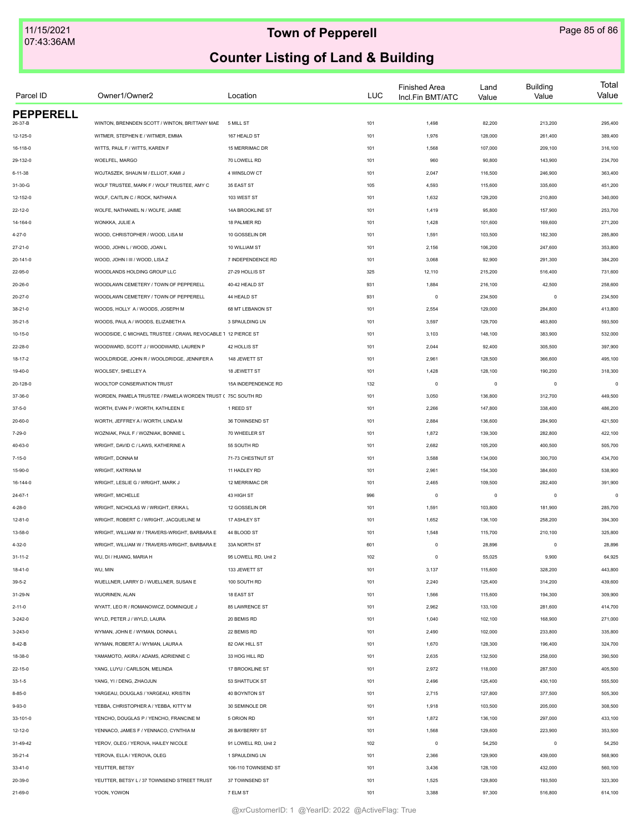| Parcel ID            | Owner1/Owner2                                                                     | Location                       | <b>LUC</b> | <b>Finished Area</b><br>Incl.Fin BMT/ATC | Land<br>Value      | <b>Building</b><br>Value | Total<br>Value     |
|----------------------|-----------------------------------------------------------------------------------|--------------------------------|------------|------------------------------------------|--------------------|--------------------------|--------------------|
| <b>PEPPERELL</b>     | WINTON, BRENNDEN SCOTT / WINTON, BRITTANY MAE                                     | 5 MILL ST                      |            |                                          | 82,200             | 213,200                  | 295,400            |
| 26-37-B              |                                                                                   |                                | 101        | 1,498                                    |                    |                          |                    |
| 12-125-0<br>16-118-0 | WITMER, STEPHEN E / WITMER, EMMA<br>WITTS, PAUL F / WITTS, KAREN F                | 167 HEALD ST<br>15 MERRIMAC DR | 101<br>101 | 1,976<br>1,568                           | 128,000<br>107,000 | 261,400<br>209,100       | 389,400<br>316,100 |
| 29-132-0             | WOELFEL, MARGO                                                                    | 70 LOWELL RD                   |            | 960                                      | 90,800             | 143,900                  | 234,700            |
|                      |                                                                                   |                                | 101        |                                          |                    |                          |                    |
| 6-11-38              | WOJTASZEK, SHAUN M / ELLIOT, KAMI J<br>WOLF TRUSTEE, MARK F / WOLF TRUSTEE, AMY C | 4 WINSLOW CT<br>35 EAST ST     | 101        | 2,047<br>4,593                           | 116,500            | 246,900                  | 363,400            |
| 31-30-G              |                                                                                   |                                | 105        |                                          | 115,600            | 335,600                  | 451,200            |
| 12-152-0             | WOLF, CAITLIN C / ROCK, NATHAN A<br>WOLFE, NATHANIEL N / WOLFE, JAIME             | 103 WEST ST                    | 101        | 1,632                                    | 129,200            | 210,800                  | 340,000            |
| $22 - 12 - 0$        |                                                                                   | 14A BROOKLINE ST               | 101        | 1,419                                    | 95,800             | 157,900                  | 253,700            |
| 14-164-0             | WONKKA, JULIE A                                                                   | 18 PALMER RD                   | 101        | 1,428                                    | 101,600            | 169,600                  | 271,200            |
| 4-27-0               | WOOD, CHRISTOPHER / WOOD, LISA M                                                  | 10 GOSSELIN DR                 | 101        | 1,591                                    | 103,500            | 182,300                  | 285,800            |
| $27 - 21 - 0$        | WOOD, JOHN L / WOOD, JOAN L                                                       | 10 WILLIAM ST                  | 101        | 2,156                                    | 106,200            | 247,600                  | 353,800            |
| 20-141-0             | WOOD, JOHN I III / WOOD, LISA Z                                                   | 7 INDEPENDENCE RD              | 101        | 3,068                                    | 92,900             | 291,300                  | 384,200            |
| 22-95-0              | WOODLANDS HOLDING GROUP LLC                                                       | 27-29 HOLLIS ST                | 325        | 12,110                                   | 215,200            | 516,400                  | 731,600            |
| 20-26-0              | WOODLAWN CEMETERY / TOWN OF PEPPERELL                                             | 40-42 HEALD ST                 | 931        | 1,884                                    | 216,100            | 42,500                   | 258,600            |
| $20 - 27 - 0$        | WOODLAWN CEMETERY / TOWN OF PEPPERELL                                             | 44 HEALD ST                    | 931        | $\circ$                                  | 234,500            | $\mathbf 0$              | 234,500            |
| $38 - 21 - 0$        | WOODS, HOLLY A / WOODS, JOSEPH M                                                  | 68 MT LEBANON ST               | 101        | 2,554                                    | 129,000            | 284,800                  | 413,800            |
| $35 - 21 - 5$        | WOODS, PAUL A / WOODS, ELIZABETH A                                                | 3 SPAULDING LN                 | 101        | 3,597                                    | 129,700            | 463,800                  | 593,500            |
| 10-15-0              | WOODSIDE, C MICHAEL TRUSTEE / CRAWL REVOCABLE 1 12 PIERCE ST                      |                                | 101        | 3,103                                    | 148,100            | 383,900                  | 532,000            |
| 22-28-0              | WOODWARD, SCOTT J / WOODWARD, LAUREN P                                            | 42 HOLLIS ST                   | 101        | 2,044                                    | 92,400             | 305,500                  | 397,900            |
| 18-17-2              | WOOLDRIDGE, JOHN R / WOOLDRIDGE, JENNIFER A                                       | 148 JEWETT ST                  | 101        | 2,961                                    | 128,500            | 366,600                  | 495,100            |
| 19-40-0              | WOOLSEY, SHELLEY A                                                                | 18 JEWETT ST                   | 101        | 1,428                                    | 128,100            | 190,200                  | 318,300            |
| 20-128-0             | WOOLTOP CONSERVATION TRUST                                                        | 15A INDEPENDENCE RD            | 132        | $\mathsf 0$                              | $\mathsf 0$        | $\mathbf 0$              | $\Omega$           |
| 37-36-0              | WORDEN, PAMELA TRUSTEE / PAMELA WORDEN TRUST ( 75C SOUTH RD                       |                                | 101        | 3,050                                    | 136,800            | 312,700                  | 449,500            |
| $37 - 5 - 0$         | WORTH, EVAN P / WORTH, KATHLEEN E                                                 | 1 REED ST                      | 101        | 2,266                                    | 147,800            | 338,400                  | 486,200            |
| 20-60-0              | WORTH, JEFFREY A / WORTH, LINDA M                                                 | 36 TOWNSEND ST                 | 101        | 2,884                                    | 136,600            | 284,900                  | 421,500            |
| 7-29-0               | WOZNIAK, PAUL F / WOZNIAK, BONNIE L                                               | 70 WHEELER ST                  | 101        | 1,872                                    | 139,300            | 282,800                  | 422,100            |
| 40-63-0              | WRIGHT, DAVID C / LAWS, KATHERINE A                                               | 55 SOUTH RD                    | 101        | 2,682                                    | 105,200            | 400,500                  | 505,700            |
| $7 - 15 - 0$         | WRIGHT, DONNA M                                                                   | 71-73 CHESTNUT ST              | 101        | 3,588                                    | 134,000            | 300,700                  | 434,700            |
| 15-90-0              | WRIGHT, KATRINA M                                                                 | 11 HADLEY RD                   | 101        | 2,961                                    | 154,300            | 384,600                  | 538,900            |
| 16-144-0             | WRIGHT, LESLIE G / WRIGHT, MARK J                                                 | 12 MERRIMAC DR                 | 101        | 2,465                                    | 109,500            | 282,400                  | 391,900            |
| $24 - 67 - 1$        | WRIGHT, MICHELLE                                                                  | 43 HIGH ST                     | 996        | $\circ$                                  | $\mathsf 0$        | $\mathbf 0$              | $\theta$           |
| 4-28-0               | WRIGHT, NICHOLAS W / WRIGHT, ERIKA L                                              | 12 GOSSELIN DR                 | 101        | 1,591                                    | 103,800            | 181,900                  | 285,700            |
| $12 - 81 - 0$        | WRIGHT, ROBERT C / WRIGHT, JACQUELINE M                                           | 17 ASHLEY ST                   | 101        | 1,652                                    | 136,100            | 258,200                  | 394,300            |
| 13-58-0              | WRIGHT, WILLIAM W / TRAVERS-WRIGHT, BARBARA E                                     | 44 BLOOD ST                    | 101        | 1,548                                    | 115,700            | 210,100                  | 325,800            |
| 4-32-0               | WRIGHT, WILLIAM W / TRAVERS-WRIGHT, BARBARA E                                     | 33A NORTH ST                   | 601        | $\mathsf 0$                              | 28,896             | $^{\circ}$               | 28,896             |
| $31 - 11 - 2$        | WU, DI / HUANG, MARIA H                                                           | 95 LOWELL RD, Unit 2           | 102        | $\mathsf 0$                              | 55,025             | 9,900                    | 64,925             |
| 18-41-0              | WU, MIN                                                                           | 133 JEWETT ST                  | 101        | 3,137                                    | 115,600            | 328,200                  | 443,800            |
| $39 - 5 - 2$         | WUELLNER, LARRY D / WUELLNER, SUSAN E                                             | 100 SOUTH RD                   | 101        | 2,240                                    | 125,400            | 314,200                  | 439,600            |
| 31-29-N              | WUORINEN, ALAN                                                                    | 18 EAST ST                     | 101        | 1,566                                    | 115,600            | 194,300                  | 309,900            |
| $2 - 11 - 0$         | WYATT, LEO R / ROMANOWICZ, DOMINIQUE J                                            | 85 LAWRENCE ST                 | 101        | 2,962                                    | 133,100            | 281,600                  | 414,700            |
| $3 - 242 - 0$        | WYLD, PETER J / WYLD, LAURA                                                       | 20 BEMIS RD                    | 101        | 1,040                                    | 102,100            | 168,900                  | 271,000            |
| 3-243-0              | WYMAN, JOHN E / WYMAN, DONNA L                                                    | 22 BEMIS RD                    | 101        | 2,490                                    | 102,000            | 233,800                  | 335,800            |
| 8-42-B               | WYMAN, ROBERT A / WYMAN, LAURA A                                                  | 82 OAK HILL ST                 | 101        | 1,670                                    | 128,300            | 196,400                  | 324,700            |
| 18-38-0              | YAMAMOTO, AKIRA / ADAMS, ADRIENNE C                                               | 33 HOG HILL RD                 | 101        | 2,635                                    | 132,500            | 258,000                  | 390,500            |
| $22 - 15 - 0$        | YANG, LUYU / CARLSON, MELINDA                                                     | 17 BROOKLINE ST                | 101        | 2,972                                    | 118,000            | 287,500                  | 405,500            |
| $33 - 1 - 5$         | YANG, YI / DENG, ZHAOJUN                                                          | 53 SHATTUCK ST                 | 101        | 2,496                                    | 125,400            | 430,100                  | 555,500            |
| $8 - 85 - 0$         | YARGEAU, DOUGLAS / YARGEAU, KRISTIN                                               | 40 BOYNTON ST                  | 101        | 2,715                                    | 127,800            | 377,500                  | 505,300            |
| $9 - 93 - 0$         | YEBBA, CHRISTOPHER A / YEBBA, KITTY M                                             | 30 SEMINOLE DR                 | 101        | 1,918                                    | 103,500            | 205,000                  | 308,500            |
| 33-101-0             | YENCHO, DOUGLAS P / YENCHO, FRANCINE M                                            | 5 ORION RD                     | 101        | 1,872                                    | 136,100            | 297,000                  | 433,100            |
| 12-12-0              | YENNACO, JAMES F / YENNACO, CYNTHIA M                                             | 26 BAYBERRY ST                 | 101        | 1,568                                    | 129,600            | 223,900                  | 353,500            |
| 31-49-42             | YEROV, OLEG / YEROVA, HAILEY NICOLE                                               | 91 LOWELL RD, Unit 2           | 102        | $\mathbf 0$                              | 54,250             | $\mathbf 0$              | 54,250             |
| $35 - 21 - 4$        | YEROVA, ELLA / YEROVA, OLEG                                                       | 1 SPAULDING LN                 | 101        | 2,366                                    | 129,900            | 439,000                  | 568,900            |
| $33 - 41 - 0$        | YEUTTER, BETSY                                                                    | 106-110 TOWNSEND ST            | 101        | 3,436                                    | 128,100            | 432,000                  | 560,100            |
| 20-39-0              | YEUTTER, BETSY L / 37 TOWNSEND STREET TRUST                                       | 37 TOWNSEND ST                 | 101        | 1,525                                    | 129,800            | 193,500                  | 323,300            |
| 21-69-0              | YOON, YOWON                                                                       | 7 ELM ST                       | 101        | 3,388                                    | 97,300             | 516,800                  | 614,100            |
|                      |                                                                                   |                                |            |                                          |                    |                          |                    |